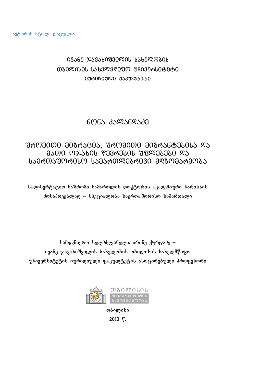# 03560 %5356033000 %560000  $0.080$ º $0.0000$  usba $0.0800$  usbayeding university  $0.0000$ 0ᲣᲠᲘᲦᲘᲣᲚᲘ ᲤᲐᲙᲣᲚᲢᲔᲢᲘ

## $606$  $358368$  $33$

## ซิศฺ 03000 308สง300, ซิศฺ 03000 308สง6838066 % 8500 0%5606 7363606 738938360 85  $15360530$ ന്ന് സ്വ $153560$ ജി $36030$   $38303563035$

სადისერტაციო ნაშრომი სამართლის დოქტორის აკადემიური ხარისხის მოსაპოვებლად – სპეციალობა საერთაშორისო სამართალი

სამეცნიერო ხელმძღვანელი: ირინე ქურდაძე – ივანე ჯავახიშვილის სახელობის თბილისის სახელმწიფო უნივერსიტეტის იურიდიული ფაკულტეტის ასოცირებული პროფესორი



თბილისი 2010 წ.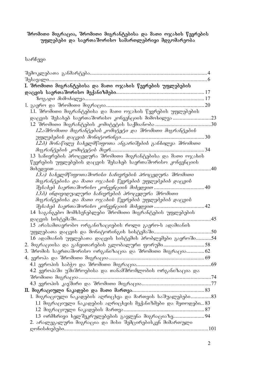#### შრომითი მიგრაცია, შრომითი მიგრანტებისა და მათი ოჯახის წევრების უფლებები და საერთაშორისო სამართლებრივი მდგომარეობა

 $b$ არჩევი

| შესავალი                                                     |     |
|--------------------------------------------------------------|-----|
| I. შრომითი მიგრანტებისა და მათი ოჯახის წევრების უფლებების    |     |
|                                                              |     |
|                                                              | 17  |
|                                                              | .20 |
| 1.1. შრომითი მიგრანტებისა და მათი ოჯახის წევრების უფლებების  |     |
|                                                              |     |
|                                                              |     |
| 1.2.აშრომითი მიგრანტების კომიტეტი და შრომითი მიგრანტების     |     |
| უფლებების დაცვის მონიტორინგი.                                |     |
| 1.2.პ) მონაწილე სახელმწიფოთა ანგარიშების განხილვა შრომითი    |     |
| მიგრანტების კომიტეტის მიერ                                   | 34  |
| 1.3 საჩივრების პროცედურა შრომითი მიგრანტებისა და მათი ოჯახის |     |
| წევრების უფლებების დაცვის შესახებ საერთაშორისო კონვენციის    |     |
| მიხედვით                                                     | .40 |
| 1.3.ა) სახელმწიფოთაშორისი საჩივრების პროცედურა შრომითი       |     |
| მიგრანტებისა და მათი ოჯახის წევრების უფლებების დაცვის        |     |
|                                                              | 40  |
| 1.3.ბ) ინდივიდუალური საჩივრების პროცედურა შრომითი            |     |
| მიგრანტებისა და მათი ოჯახის წევრების უფლებების დაცვის        |     |
| შესახებ საერთაშორისო კონვენციის მიხედვით                     | 42  |
| 1.4 საგანგებო მომხსენებლები შრომითი მიგრანტების უფლებების    |     |
| დაცვის სისტემაში                                             | .45 |
| 1.5 არასამთავრობო ორგანიზაციების როლი გაერო-ს ადამიანის      |     |
|                                                              |     |
| 1.6 ადამიანის უფლებათა დაცვის სისტემის პრობლემები გაეროში54  |     |
| 2. მიგრაციისა და განვითარების გლობალური ფორუმი58             |     |
| 3. შრომის საერთაშორისო ორგანიზაცია და შრომითი მიგრაცია62     |     |
| 4. ევროპა და შრომითი მიგრაცია                                |     |
|                                                              |     |
| 4.2 ევროპაში უშიშროებისა და თანამშრომლობის ორგანიზაცია და    |     |
|                                                              |     |
|                                                              |     |
|                                                              |     |
| 1. მიგრაციული ნაკადების აღრიცხვა და მართვის საშუალებები83    |     |
| 1.1 მიგრაციული ნაკადების აღრიცხვის მექანიზმები და მეთოდები83 |     |
| 1.2 მიგრაციული ნაკადების მართვა                              |     |
|                                                              |     |
| 2. არალეგალური მიგრაცია და მისი შემცირებისკენ მიმართული      |     |
|                                                              |     |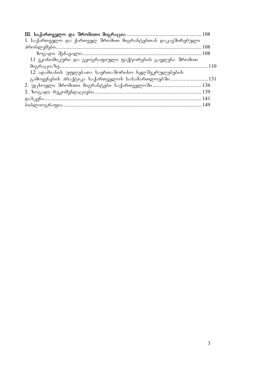| 1. საქართველო და ქართველ შრომით მიგრანტებთან დაკავშირებული |      |
|------------------------------------------------------------|------|
|                                                            |      |
|                                                            |      |
| 1.1 ეკონომიკური და გეოგრაფიული ფაქტორების გავლენა შრომით   |      |
|                                                            |      |
| 1.2 ადამიანის უფლებათა საერთაშორისო ხელშეკრულებების        |      |
|                                                            |      |
|                                                            |      |
|                                                            | -139 |
|                                                            |      |
|                                                            |      |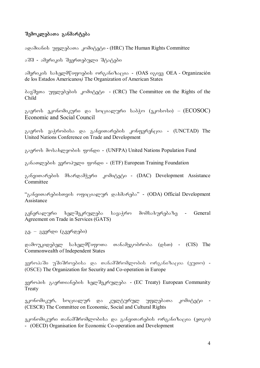#### შემოკლებათა განმარტება

agadaabol უფლებათა კომიტეტი - (HRC) The Human Rights Committee

აშშ - ამერიკის შეერთებული შტატები

amerikis saxelmwifoebis organizacia - (OAS igive OEA *-* Organización de los Estados Americanos*)* The Organization of American States

 $\delta$  $\delta$ 3 $\delta$ 3 $\gamma$   $\gamma$   $\gamma$   $\gamma$   $\gamma$  $\delta$  $\gamma$  $\delta$  $\delta$   $\delta$   $\delta$   $\gamma$   $\delta$   $\gamma$   $\delta$   $\gamma$   $\delta$   $\gamma$   $\delta$   $\gamma$   $\delta$   $\gamma$   $\delta$   $\gamma$   $\delta$   $\gamma$   $\delta$   $\gamma$   $\delta$   $\gamma$   $\delta$   $\gamma$   $\delta$   $\gamma$   $\delta$   $\gamma$   $\delta$   $\gamma$   $\delta$   $\gamma$   $\delta$   $\gamma$  Child

გაეროს ეკონომიკური და სოციალური საბჭო (ეკოსოსი) –  $(ECOSOC)$ Economic and Social Council

გაეროს ვაჭრობისა და განვითარების კონფერენცია - (UNCTAD) The United Nations Conference on Trade and Development

გაეროს მოსახლეობის ფონდი - (UNFPA) United Nations Population Fund

განათლების ევროპული ფონდი - (ETF) European Training Foundation

განვითარების მხარდამჭერი კომიტეტი - (DAC) Development Assistance **Committee** 

"განვითარებისთვის ოფიციალურ დახმარება" - (ODA) Official Development Assistance

გენერალური ხელშეკრულება სავაჭრო მომსახურებაზე - General Agreement on Trade in Services (GATS)

გვ. – გვერდი (გვერდები)

დამოუკიდებელ სახელმწიფოთა თანამეგობრობა (დსთ) - (CIS) The Commonwealth of Independent States

ევროპაში უშიშროებისა და თანამშრომლობის ორგანიზაცია (ეუთო) -(OSCE) The Organization for Security and Co-operation in Europe

ევროპის გაერთიანების ხელშეკრულება - (EC Treaty) European Community Treaty

ეკონომიკურ, სოციალურ და კულტურულ უფლებათა კომიტეტი -(CESCR) The Committee on Economic, Social and Cultural Rights

ეკონომიკური თანამშრომლობისა და განვითარების ორგანიზაცია (ეთგო) - (OECD) Organisation for Economic Co-operation and Development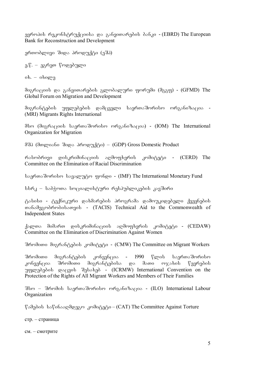ევროპის რეკონსტრუქციისა და განვითარების ბანკი - (EBRD) The European Bank for Reconstruction and Development

ერთობლივი შიდა პროდუქტი (ეშპ)

ე.წ. – ეგრეთ წოდებული

 $ob. - obogeg.$ 

მიგრაციის და განვითარების გლობალური ფორუმი (მგგფ) - (GFMD) The Global Forum on Migration and Development

შიგრანტების უფლებების დამცველი საერთაშორისო ორგანიზაცია -(MRI) Migrants Rights International

მსო (მიგრაციის საერთაშორისო ორგანიზაცია) - (IOM) The International Organization for Migration

მშპ (მთლიანი შიდა პროდუქტი) – (GDP) Gross Domestic Product

რასობრივი დისკრიმინაციის აღმოფხვრის კომიტეტი - (CERD) The Committee on the Elimination of Racial Discrimination

საერთაშორისო სავალუტო ფონდი - (IMF) The International Monetary Fund

სსრკ – საბჭოთა სოციალისტური რესპუბლიკების კავშირი

ტასისი - ტექნიკური დახმარების პროგრამა დამოუკიდებელი ქვეყნების TanamegobrobisaTvis - (TACIS) Technical Aid to the Commonwealth of Independent States

ქალთა მიმართ დისკრიმინაციის აღმოფხვრის კომიტეტი - (CEDAW) Committee on the Elimination of Discrimination Against Women

შრომითი მიგრანტების კომიტეტი - (CMW) The Committee on Migrant Workers

შრომითი მიგრანტების კონვენცია - 1990 წლის საერთაშორისო კონვენცია შრომითი მიგრანტებისა და მათი ოჯახის წევრების magendal bebis data best and the Convention on the magnetic Sessare of the metal convention on the Protection of the Rights of All Migrant Workers and Members of Their Families

შსო – შრომის საერთაშორისო ორგანიზაცია - (ILO) International Labour Organization

წამების საწინააღმდეგო კომიტეტი – (CAT) The Committee Against Torture

стр. – страница

см. – смотрите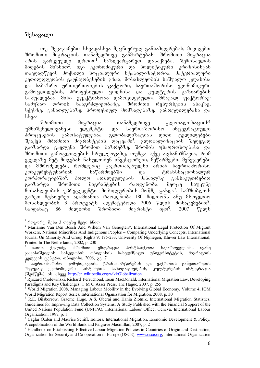### შესავალი

თუ შევაჯამებთ სხვადასხვა მეცნიერულ განსაზღვრებას, მივიღებთ შრომითი მიგრაციის თანამედროვე განმარტებას: შრომითი მიგრაცია არის გარკვეული დროით<sup>1</sup> საზღვარგარეთ დასაქმება, შემოსავლის მიღების მიზნით<sup>2</sup>. იგი ეკონომიკური და პოლიტიკური კრიზისისგან თავდაღწევის მოქნილი სოციალური სტაბილიზატორია, მატერიალური  $\lambda$ ეთილდღეობის გაუმჯობესების გზაა, მოსახლეობის საშუალო კლასისა და საბაზრო ურთიერთობების ფაქტორი, საერთაშორისო ეკონომიკური გამოცდილების, პროფესიული ცოდნისა და კულტურის გაზიარების saSualebaa. misi efeqtianoba damokidebulia mraval faqtorze: სამუშაო დროის ხანგრძლივობაზე, შრომითი რესურსების ასაკზე, სქესზე, განათლებაზე, პროფესიულ მომზადებაზე, გამოცდილებასა და სხვა<sup>3</sup>.<br>შრომითი

 $\partial$ იგრაცია თანამედროვე გლობალიზაციის $^4$ უმნიშვნელოვანესი ელემენტი და საერთაშორისო ინტეგრაციული<br>პროცესების გამოხატულებაა. გლობალიზაციას დიდი ცვლილებები პროცესების გამოხატულებაა. გლობალიზაციას დიდი შეაქვს შრომითი მიგრანტების დაცვაში<sup>5</sup>. გლობალიზაციის შედეგად , არის და არადა და არის და არადა.<br>გაიზარდა გავლენა შრომით ბაზრებზე, შრომის უსაფრთხოებასა და შრომითი გამოცდილების სრულყოფაზე, თუმცა აქვე აღსანიშნავია, რომ  $y_3$ ელაზე მეტ მოგებას ნახულობენ ინვესტორები, მეწარმეები, მენე $\chi$ ერები და მშრომელები, რომლებიც გაერთიანებულნი არიან საერთაშორისო კონკურენტუნარიან საწარმოებში და ტრანსნაციონალურ კორპორაციებში<sup>6</sup>. ბოლო ათწლეულების მანძილზე განსაკუთრებით<br>გაიზარდა შრომითი მიგრანტების რაოდენობა. მეოცე საუკუნე გაიზარდა შრომითი მიგრანტების რაოდენობა. მეოცე საუკუნე მოსახლეობის უპრეცედენტო მობილურობის მოწმე გახდა<sup>7</sup>. სამშობლოს გარეთ მცხოვრებ ადამიანთა რაოდენობა 180 მილიონს ანუ მსოფლიო მოსახლეობის 3 პროცენტს აღემატებოდა 2006 წლის მონაცემებით<sup>8</sup>, საიდანაც 86 მილიონი შრომითი მიგრანტი იყო<sup>9</sup>. 2007 წელს

<sup>-</sup> $^1$  როგორც წესი 3 თვეზე მეტი ხნით $^-$ 

<sup>&</sup>lt;sup>2</sup> Marianne Van Den Bosch And Willem Van Genugten†, International Legal Protection Of Migrant Workers, National Minorities And Indigenous Peoples – Comparing Underlying Concepts, International Journal On Minority And Group Rights 9: 195-233, University Of Nijmegen, Kluwer Law International, Printed In The Netherlands, 2002, p. 230

ნათია ჭელიძე, შრომითი ემიგრაცია პოსტსაბჭოთა საქართველოში, ივანე  $\sim$ გავახიშვილის სახელობის თბილისის სახელმწიფო უნივერსიტეტის, მიგრაციის კვლევის ცენტრი, თბილისი, 2006, გვ. 7

საერთაშორისო კომუნიკაციის, ტრანსპორტირების და ვაჭრობის განვითარების შედეგად ეკონომიკური სისტემების, საზოგადოებების, კულტურების ინტეგრაცია (dago gado), ob. abaza http://en.wikipedia.org/wiki/Globalization

<sup>&</sup>lt;sup>5</sup> Ryszard Cholewinski, Richard Perruchoud, Euan MacDonald, International Migration Law, Developing Paradigms and Key Challenges, T·M·C·Asser Press, The Hague, 2007, p. 255

<sup>&</sup>lt;sup>6</sup> World Migration 2008, Managing Labour Mobility in the Evolving Global Economy, Volume 4, IOM World Migration Report Series, International Oganization for Migration, 2008, p. 30

<sup>7</sup> R.E. Bilsborrow, Graeme Hugo, A.S. Oberai and Hania Zlotnik, International Migration Statistics, Guidelines for Improving Data Collection Systems, A Study Published with the Financial Support of the United Nations Population Fund (UNFPA), International Labour Office, Geneva, International Labour Organization, 1997, p. 1

<sup>&</sup>lt;sup>8</sup> Çaglar Özden and Maurice Schiff, Editors, International Migration, Economic Development & Policy, A copublication of the World Bank and Palgrave Macmillan, 2007, p. 2

<sup>&</sup>lt;sup>9</sup> Handbook on Establishing Effective Labour Migration Policies in Countries of Origin and Destination, Organization for Security and Co-operation in Europe (OSCE); www.osce.org, International Organization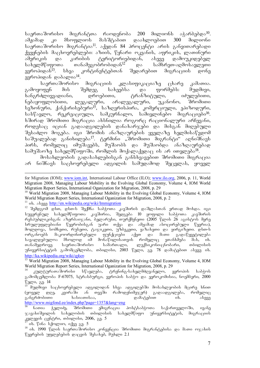საერთაშორისო მიგრანტთა რაოდენობა 200 მილიონს აჭარბებდა<sup>10</sup>.<br>ამჟამად კი მსოფლიოს მასშტაბით დაახლოებით 300 მილიონი ამჟამად კი მსოფლიოს მასშტაბით დაახლოებით 300 მილიონი საერთაშორისო მიგრანტია<sup>11</sup>. აქედან 84 პროცენტი არის განვითარებადი ქვეყნების მაცხოვრებლები: აზიის, წყნარი ოკეანის, აფრიკის, ლათინური<br>ამერიკის და კარიბის ტერიტორიებიდან, ასევე დამოუკიდებელ ამერიკის და კარიბის ტერიტორიებიდან,<br>სახელმწიფოთა თანამეგობრობიდან<sup>12</sup> და სახელმწიფოთა თანამეგობრობიდან<sup>12</sup> და სამხრეთ-აღმოსავლეთი<br>ევროპიდან<sup>13</sup>. სხვა კონტინენტებთან შედარებით მიგრაციის დონე სხვა კონტინენტებთან შედარებით მიგრაციის დონე  $\frac{1}{2}$ გროპიდან დაბალია $^{14}$ .

საერთაშორისო მიგრაციის კლასიფიკაციაზე ცხარე კამათია. გამოყოფენ მის შემდეგ სახეებსა და ფორმებს: მუდმივი,<br>ხანგრძლივვადიანი, დროებითი, ჩრანზიტული, იძულებითი, ხანგრძლივვადიანი, დროებითი, ტრანზიტული, იძულებითი, ნებაყოფლობითი, ლეგალური, არალეგალური, უკანონო, შრომითი სეზონური, ქანქარისებური<sup>15</sup>, საზღვრისპირა, კომერციული, ეპიზოდური, სასწავლო, რეკრეაციული, სამკურნალო, სამივლინებო მიგრაციები<sup>16</sup>. ხშირად შრომითი მიგრაცია ახსნილია როგორც რაციონალური არჩევანი, როდესაც იციან გადაადგილების დანახარჯები და მისგან მიღებული  $\partial \mathcal{S}$ შესაძლო მოგება. თგი მრომის ანაზღაურების ყველაზე ხელმისაწვდომ საშუალებად განიხილება<sup>17</sup>. ტერმინი "შრომითი მიგრანტი" აღნიშნავს პირს, რომელიც იმუშავებს, მუშაობს და მუშაობდა ანაზღაურებად სამუშაოზე სახელმწიფოში, რომლის მოქალაქედაც ის არ ითვლება<sup>18</sup>.

მოსახლეობის გადასახლებისგან განსხვავებით შრომითი მიგრაცია არ ნიშნავს საცხოვრებელი ადგილის სამუდამოდ შეცვლას, ყოველ

for Migration (IOM); www.iom.int, International Labour Office (ILO); www.ilo.org, 2006, p. 11, World Migration 2008, Managing Labour Mobility in the Evolving Global Economy, Volume 4, IOM World Migration Report Series, International Oganization for Migration, 2008, p. 29

<sup>&</sup>lt;sup>10</sup> World Migration 2008, Managing Labour Mobility in the Evolving Global Economy, Volume 4, IOM World Migration Report Series, International Oganization for Migration, 2008, p. 2<sup>11</sup> ob. sbaan http://en.wikipedia.org/wiki/Immigration

<sup>12</sup> შემდგომ დსთ, დსთ-ს შექმნა საბჭოთა კავშირის დაშლასთან ერთად მოხდა. იგი სუვერენულ სახელმწიფოთა კავშირია, შედგება 10 ყოფილი საბჭოთა კავშირის  $\sigma$ ესპუბლიკისგან: აზერბაიჯანი, ბელარუსი, თურქმენეთი (2005 წლის 26 აგისტოს მერე სრულუფლებიანი წევრობისგან უარი თქვა და ამჟამად ასოცირებული წევრია), მოლდოვა, სომხეთი, რუსეთი, ტაჯიკეთი, უზბეკეთი, ყაზახეთი და ყირგიზეთი. დსთ-ს ორგანოებს მაკოორდინირებელი ფუნქციები აქვთ და მათი გადაწყვეტილება სავალდებულოა მხოლოდ იმ მონაწილისათვის რომელიც ეთანხმება მას, იხ.<br>თანამედროვე საერთაშორისო სამართალი, ლექსიკონი-ცნობარი, თბილისის \_ლექსიკონი-ცნობარი, \_\_\_ თბილისის უნივერსიტეტის გამომცემლობა, თბილისი, 2003 წელი, გვ. 78 დამატებით ასევე იხ. http://ka.wikipedia.org/wiki/დსთ

<sup>&</sup>lt;sup>13</sup> World Migration 2008, Managing Labour Mobility in the Evolving Global Economy, Volume 4, IOM World Migration Report Series, International Oganization for Migration, 2008, p. 29<br><sup>14</sup> კულტურათაშორისი სწავლება, ტრენინგ-სახელმძღვანელო,

სწავლება, ტრენინგ-სახელმძღვანელო, ევროპის საბჭოს გამოშცემლობა F-67075, სტრასბურგი, ევროპის საბჭო და ევროკომისია, ნოემბერი, 2000 წელი, გვ. 14

მუდმივი საცხოვრებელი ადგილიდან სხვა ადგილებში მოსახლეობის მცირე ხნით<br>უველ დღე, კვირაში ან თვეში რამოდენიმეჯერ) გადაადგილება, რომელიც  $($ ყოველ დღე, კვირაში ან თვეში რამოდენიმეჯერ) გადაადგილება, რომელიც განგრძობითი სასიათისაა, დამატებით ის. ასევე http://www.migfond.ee/index.php?page=1357&lang=eng

ნათია ჭელიძე, შრომითი ემიგრაცია პოსტსაბჭოთა საქართველოში, ივანე javaxiSvilis saxelobis Tbilisis saxelmwifo universitetis, migraciis კელევის ცენტრი, თბილისი, 2006, გვ. 5

 $\sigma$ b.  $\sqrt{65}$  b.  $\sqrt{6}$  wind  $\sigma$ ,  $\sigma$ ,  $\sigma$ ,  $\sigma$ 

<sup>18</sup> ob. 1990 წლის საერთაშორისო კონვენცია შრომითი მიგრანტებისა და მათი ოჯახის  $\nabla$ ევრების უფლებების დაცვის შესახებ, მუხლი 2.1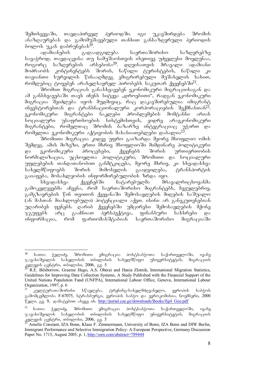შემთხვევაში, თავდაპირველ პერიოდში. იგი უკავშირდება შრომის ანაზღაურებას და გამომუშავებული თანხით განსაზღვრული პერიოდის ბოლოს უკან დაბრუნებას<sup>]9</sup>.

ადამიანების გადაადგილება საერთაშორისო საზღვრებზე სავაჭროდ, თავდაცვისა თუ სამუშაოსთვის ისეთივე უძველესი მოვლენაა, როგორც საზღვრების არსებობა<sup>20</sup>. დღეისათვის მრავალი ადამიანი მოძრაობს კონტინენტებს შორის, ნაწილი ტურისტების, ნაწილი კი თავიანთი სურვილის წინააღმდეგ ემიგრირებული მუშახელის სახით, რომლებიც ტოვებენ არახელსაყრელ პირობებს საკუთარ ქვეყნებში<sup>21</sup>.

შრომით მიგრაციას განასხვავებენ ეკონომიკური მიგრაციისაგან და ამ განსხვავებაში თავს იჩენს სიტყვა "დროებითი", რადგან ეკონომიკური მიგრაცია შეიძლება იყოს მუდმივიც, რაც დაკავშირებულია იმიგრანტ ინვესტორებთან და ტრანსნაციონალური კორპორაციების შექმნასთან<sup>22</sup>.<br>"ევონომიკური მიგრანტები ნაკლები პრობლემების მომტანნი არიან  $n$ კონომიკური მიგრანტები ნაკლები პრობლემების მომტანნი არიან სოციალური უსაფრთხოების სისტემისთვის, ვიდრე არაეკონომიკური მიგრანტები, რომელთაც შრომის ბაზარზე ინტეგრაციაც უჭირთ და რომელთა ეკონომიკური აქტივობის მახასიათებლები დაბალია<sup>2</sup>

შრომითი მიგრაცია კიდევ უფრო გაიზარდა მეორე მსოფლიო ომის შემდეგ. ამის მიზეზი, ერთი მხრივ მსოფლიოში მიმდინარე პოლიტიკური და ეკონომიკური პროცესები, ქვეყნებს შორის ურთიერთობის ნორმალიზაცია, უცხოელთა პოლიტიკური, შრომითი და სოციალური უფლებების თანდათანობით განმტკიცება, მეორე მხრივ, კი სხვადასხვა<br>სახელმწიფოებს შორის მიმოსვლის გაადვილება, ტრანსპორტის სახელმწიფოებს შორის მიმოსვლის გაადვილება, ტრანსპორტის გაიაფება, მოსახლეობის ინფორმირებულობის ზრდა იყო.

სხვადასხვა ქვეყნებში ჩატარებულმა მრავალრიცხოვანმა გამოკვლევებმა აჩვენა, რომ საერთაშორისო მიგრანტებს, ჩვეულებრივ, გამგზავრების წინ თვითონ ქვეყანაში შემოსავლების მიღების საშუალო (ან მასთან მიახლოებული) პოტენციალი აქვთ. ისინი არ განეკუთვნებიან უღარიბეს ფენებს. ღარიბ ქვეყნებში უმცირესი შემოსავლების მქონე  $\%$ გუფებს არც გააჩნიათ პერსპექტივა, ფინანსური სახსრები და ინფორმაცია, რომ ფართომასშტაბიან საერთაშორისო მიგრაციაში

<sup>19</sup> ნათია ჭელიძე, შრომითი ემიგრაცია პოსტსაბჭოთა საქართველოში, ივანე  $\%$ ავახიშვილის სახელობის თბილისის სახელმწიფო უნივერსიტეტის, მიგრაციის კვლევის ცენტრი, თბილისი, 2006, გვ. 5

R.E. Bilsborrow, Graeme Hugo, A.S. Oberai and Hania Zlotnik, International Migration Statistics, Guidelines for Improving Data Collection Systems, A Study Published with the Financial Support of the United Nations Population Fund (UNFPA), International Labour Office, Geneva, International Labour Organization, 1997, p. 6<br><sup>21</sup> კულტურათაშორისი

სწავლება, ტრენინგ-სახელმძღვანელო, ევროპის საბჭოს გამომცემლობა F-67075, სტრასბურგი, ევროპის საბჭო და ევროკომისია, ნოემბერი, 2000 Vago, 33. 9, godogadoo olaaa ob. http://portal.coe.ge/downloads/Books/fig4\_Geo.pdf

 $^{22}$  ნათია ჭელიძე, შრომითი ემიგრაცია პოსტსაბჭოთა საქართველოში, ივანე  $\infty$ ავახიშვილის სახელობის თბილისის სახელმწიფო უნივერსიტეტის, მიგრაციის კვლევის ცენტრი, თბილისი, 2006, გვ. 5

Amelie Constant, IZA Bonn, Klaus F. Zimmermann, University of Bonn, IZA Bonn and DIW Berlin, Immigrant Performance and Selective Immigration Policy: A European Perspective, Germany Discussion Paper No. 1715, August 2005, p. 1, http://ssrn.com/abstract=789444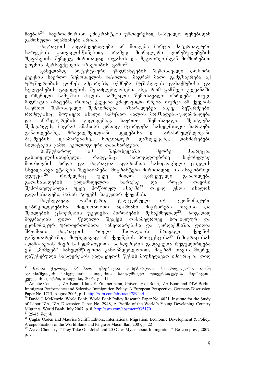$6$ გებან $^{24}$ . საერთაშორისო ემიგრანტები უმთავრესად საშუალო ფენებიდან გამოსული ადამიანები არიან.

მიგრაციის გადაწყვეტილება არ მიიღება მარტო მატერიალური<br>იბის გათვალისწინებით, არამედ მორალური ღირებულებების ხარჯების გათვალისწინებით, არამედ მორალური ღირებულებების  $\partial \partial \overline{\partial}$  3 and  $\partial \overline{\partial}$   $\partial \overline{\partial}$  and  $\partial \overline{\partial}$  and  $\partial \overline{\partial}$  and  $\partial \overline{\partial}$  and  $\partial \overline{\partial}$  and  $\partial \overline{\partial}$  and  $\partial \overline{\partial}$  and  $\partial \overline{\partial}$  and  $\partial \overline{\partial}$  and  $\partial \overline{\partial}$  and  $\partial \overline{\partial}$  and  $\partial \overline{\partial}$  and  $\partial \overline{\partial}$  $y_0$   $y_0$   $y_0$   $y_1$   $y_1$   $y_2$   $y_3$   $y_4$   $y_5$   $y_6$   $y_7$   $y_8$   $y_9$   $y_9$   $y_9$   $y_9$   $y_9$   $y_9$   $y_9$   $y_9$   $y_9$   $y_9$   $y_9$   $y_9$   $y_9$   $y_9$   $y_9$   $y_9$   $y_9$   $y_9$   $y_9$   $y_9$   $y_9$   $y_9$   $y_9$   $y_9$   $y_9$ 

გასვლამდე პოტენციური ემიგრანტების შემოსავალი დონორი  $f_3$ ეყნის საერთო შემოსავლის ნაწილია, მაგრამ მათი გამგზავრება აქ უმუშევრობის დონეს ამცირებს, იქმნება მუშახელის დასაქმებისა და ხელფასების გადიდების შესაძლებლობები. ასე, რომ გამშვებ ქვეყანაში დარჩენილი სამუშაო ძალის საშუალო შემოსავალი იზრდება, თუკი შიგრაცია იმატებს, რითაც ქვეყანა კმაყოფილი რჩება. თუმცა ამ ქვეყნის საერთო შემოსავალი შემცირდება. იზარალებენ ასევე მეწარმეები, რომლებსაც მოუწევთ ახალი სამუშაო ძალის მომზადება-გადამზადება<br>და ანაზდაურების გადიდებაც. საერთო შემოსავალი შეიძლება და ანაზღაურების გადიდებაც. საერთო შემოსავალი შეიძლება შემცირდეს, მაგრამ ამასთან ერთად მცირდება სახელმწიფო ხარჯები<br>განათლებაზე, მრავალშვილიანი დედებისა და არასრულწლოვანი მრავალშვილიანი დედებისა და არასრულწლოვანი ბავშვების დახმარებაზე, სოციალურ დაზღვევაზე, დახმარებები სიღატაკის გამო, ეკოლოგიური დანახარჯები.

სამწუხაროდ ამ შემთხვევაში მეორე მხარეცაა<br>ვალისწინებელი, რადგანაც საზოგადოებრივ საქონელზე გასათვალისწინებელი, რადგანაც საზოგადოებრივ საქონელზე შოთხოვნის ზრდა და მიგრაცია ადამიანთა სასიცოცხლო ციკლის სხვადასხვა ეტაპებს შეესაბამება. მიგრანტები ძირითადად ის ასაკობრივი<br>ჯგუფია<sup>26</sup>, \_ რომელმაც \_ უკვე \_ მიიღო \_ გარკვეული \_ განათლება  $\alpha$ გუფია $^{26}$ , რომელმაც უკვე მიიღო გარკვეული განათლება გადასახადების გადამხდელთა ხარჯზე და როცა თავისი<br>შემოსავლებიდან უკვე მოწიფულ ასაკში<sup>27</sup> თავად უნდა იხადოს შემოსავლებიდან უკვე მოწიფულ ასაკში<sup>27</sup> თავად უნდა იხადოს გადასახადები, მაშინ ტოვებს საკუთარ ქვეყანას.

მიუხედავად ფიზიკური, კულტურული თუ ეკონომიკური დაბრკოლებებისა, მილიონობით ადამიანი მიგრირებს თავისი და<br>შვილების ცხოვრების უკეთესი პირობების შესაქმნელად<sup>28</sup>. ზოგადად შვილების ცხოვრების უკეთესი პირობების მიგრაციას დიდი წვლილი შეაქვს თანამედროვე სოციალურ და ეკონომიკურ ურთიერთობათა განვითარებასა და გარდაქმნაში. დიდია შრომითი მიგრაციის როლი მსოფლიოს მრავალი ქვეყნის განვითარებაშიც მიუხედავად ამ ქვეყნების პროტესტისა<sup>29</sup> (იმიგრაცისას ადამიანების მიერ სახელმწიფოთა საზღვრების გადაკვეთა რეგულირდება ე.წ. "მიმღებ" სახელმწიფოთა კანონმდებლობით, მაგრამ თავის მიერვე mestalia webuli sama dan berbesar menggadak di sebuai menggadak di sebuai menggadak di sebuai menggalak pendan<br>Temah

 $24$ ნათია ჭელიძე, შრომითი ემიგრაცია პოსტსაბჭოთა საქართველოში, ივანე  $\%$ ავახიშვილის სახელობის თბილისის სახელმწიფო უნივერსიტეტის, მიგრაციის კვლევის ცენტრი, თბილისი, 2006, გვ. 11

Amelie Constant, IZA Bonn, Klaus F. Zimmermann, University of Bonn, IZA Bonn and DIW Berlin, Immigrant Performance and Selective Immigration Policy: A European Perspective, Germany Discussion Paper No. 1715, August 2005, p. 1, http://ssrn.com/abstract=789444

<sup>&</sup>lt;sup>26</sup> David J. McKenzie, World Bank, World Bank Policy Research Paper No. 4021, Institute for the Study of Labor IZA, IZA Discussion Paper No. 2948, A Profile of the World's Young Developing Country Migrants, World Bank, July 2007, p. 8, http://ssrn.com/abstract=935170

 $27,25-45$  from

<sup>&</sup>lt;sup>28</sup> Cağlar Özden and Maurice Schiff, Editors, International Migration, Economic Development & Policy, A copublication of the World Bank and Palgrave Macmillan, 2007, p. 22

<sup>&</sup>lt;sup>29</sup> Aviva Chomsky, "They Take Our Jobs! and 20 Other Myths about Immigration", Beacon press, 2007, p. vii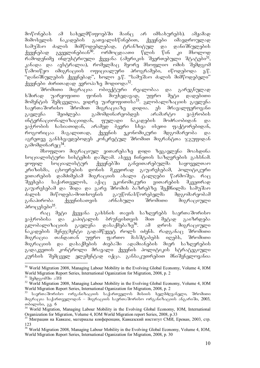მოწონებას ამ სახელმწიფოებში მაინც არ იმსახურებს). ამჟამად მიმოსვლის ნაკადების გათვალისწინებით, ქვეყნები იმავდროულად<br>სამუშაო ძალის მიმწოდებლებად, ტრანზიტულ და დანიშნულების სამუშაო ძალის მიმწოდებლებად, ტრანზიტულ და დანიშნულების<br>ქვეყნებად გვევლინებიან<sup>30</sup>. ორმოცდაათი წლის წინ .ෘი მხოლოდ ქვეყნებად გვევლინებიან $^{30}$ . ორმოცდაათი წლის წინ კი მხოლოდ რამოდენიმე ინდუსტრიული ქვეყანა (ამერიკის შეერთებული შტატები<sup>31</sup>, კანადა და ავსტრალია), რომელმაც მეორე მსოფლიო ომის შემდგომ წამოიწყო იმიგრაციის ოფიციალური პროგრამები, იწოდებოდა ე.წ. ...<br>"დანიშნულების ქვეყნებად", ხოლო ე.წ. "სამუშაო ძალის მიმწოდებელი"  $q_3$ ევენები ძირითადად ევროპაზე მოდიოდა $^{32}$ .

შრომითი მიგრაცია ობიექტური რეალობაა და გარეგნულად ხშირად უარყოფითი ფონის მიუხედავად, უფრო მეტი დადებითი მომენტის შემცველია, ვიდრე უარყოფითისა<sup>33</sup>. გლობალიზაციის გავლენა<br>საერთაშორისო შრომით მიგრაციაზე დიდია. ეს მრავალფეროვანი -შრომით მიგრაციაზე დიდია. ეს მრავალფეროვანი<br>ლება გამომდინარეობდეს არამარტო ვაჭრობის გავლენა შეიძლება გამომდინარეობდეს არამარტო ინტერნაციონალიზაციიდან, ფულადი ნაკადების მოძრაობიდან და ვაჭრობის ხასიათიდან, არამედ ბევრი სხვა ისეთი ფაქტორებიდან, როგორიცაა მაგალითად, ქვეყნის ეკონომიკური მდგომარეობა და აგრეთვე განსხვავდებოდეს კონკრეტულ შრომით მიგრანტთა ჯგუფიდან გამომდინარეც $^{34}$ .

მსოფლიო მიგრაციულ ვითარებაზე დიდი ზეგავლენა მოახდინა სოციალისტური სისტემის დაშლამ. ასევე ჩინეთის საზღვრების გახსნამ. ყოფილ სოციალისტურ ქვეყნებში განვითარებულმა საყოველთაო კრიზისმა, ცხოვრების დონის მკვეთრად გაუარესებამ, პოლიტიკური ვითარების დამძიმებამ მიგრაციის ახალი ტალღები წარმოშვა. რაც<br>შეეხება საქართველოს, აქაც ეკონომიკური ვითარების მკვეთრად შეეხება საქართველოს, აქაც ეკონომიკური ვითარების მკვეთრად გაუარესებამ და შიდა და გარე შრომის ბაზრებზე შექმნილმა სამუშაო ძალის მიწოდება-მოთხოვნის გაუწონასწორებელმა მდგომარეობამ განაპირობა ქვეყნისათვის არნახული შრომითი მიგრაციული პროცესები<sup>35</sup>.

რაც მეტი ქვეყანა გახსნის თავის საზღვრებს საერთაშორისო<br>იბისა და კაპიტალის ბრუნვისთვის მით მეტად გაიზრდება ვაჭრობისა და კაპიტალის ბრუნვისთვის მით მეტად გაიზრდება<br>გლობალიზაციის გავლენა დასაქმებაზე<sup>36</sup>. ამ დროს მიგრაციული გლობალიზაციის გავლენა დასაქმებაზე<sup>36</sup>. ამ დროს მიგრაციული ნაკადების მენეჯმენტი გადამწყვეტ როლს იძენს. რადგანაც შრომითი მიგრაცია თანდათან უფრო ფართო მასშტაბებს იღებს, შრომითი შიგრაციის და დასაქმების ძიებაში ადამიანების მიერ საზღვრების გადაკვეთის კონტროლი მრავალი ქვეყნის პოლიტიკის სტრატეგიული კურსის შემცველ ელემენტად იქცა. განსაკუთრებით მნიშვნელოვანია

<sup>&</sup>lt;sup>30</sup> World Migration 2008, Managing Labour Mobility in the Evolving Global Economy, Volume 4, IOM World Migration Report Series, International Oganization for Migration, 2008, p. 2

<sup>&</sup>lt;sup>32</sup> World Migration 2008, Managing Labour Mobility in the Evolving Global Economy, Volume 4, IOM World Migration Report Series, International Oganization for Migration, 2008, p. 2

<sup>&</sup>lt;sup>33</sup> საერთაშორისო ორგანიზაციის საქართველოს მისიის ხელმძღვანელი, შრომითი  $\partial$ მიგრაცია საქართველოდან –  $\partial \partial \partial \delta$ აციის საერთაშორისო ორგანიზაციის ანგარიში, 2003,  $\overline{\text{odom}}$  do  $\overline{\text{od}}$ ,  $\overline{\text{od}}$  6

<sup>&</sup>lt;sup>34</sup> World Migration, Managing Labour Mobility in the Evolving Global Economy, IOM, International Organization for Migration, Volume 4, IOM World Migration report Series, 2008, p.33

<sup>35</sup> Миграции на Кавказе, материалы конференции, Кавказский институт СМИ, Ереван, 2003, стр. 123

<sup>&</sup>lt;sup>36</sup> World Migration 2008, Managing Labour Mobility in the Evolving Global Economy, Volume 4, IOM, World Migration Report Series, International Oganization for Migration, 2008, p. 30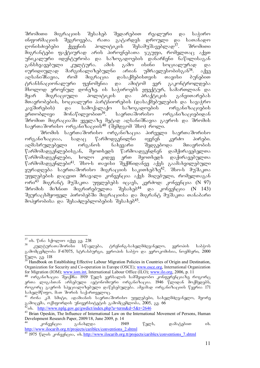შრომითი მიგრაციის შესახებ შედარებით რეალური და საჭირო ინფორმაციის შეგროვება, რათა გატარდეს დროული და სათანადო<br>დონისძიებები ქვეყნის პოლიტიკის შესამუშავებლად<sup>37</sup>. შრომითი დონისძიებები ქვეყნის პოლიტიკის შესამუშავებლად $^{37}$ . შრომითი მიგრანტები ფაქტიურად არის პიროვნებათა ჯგუფი, რომელთაც აქვთ უნიკალური იდენტურობა და საზოგადოების დანარჩენი ნაწილისაგან<br>განსხვავებული კულტურა. ამის გამო ისინი სოციალურად და განსხვავებული კულტურა. ამის გამო ისინი სოციალურად და იურიდიულად მარგინალიზებულნი არიან უმრავლესობისგან $^{38}$ . აქვე აღსანიშნავია, რომ მიგრაცია დასაქმებისთვის თავისი ბუნებით<br>ტრანსნაციონალური ფენომენია და ამიტომ ვერ გაკონტროლდება ტრანსნაციონალური ფენომენია და ამიტომ ვერ გაკონტროლდება მხოლოდ ეროვნულ დონეზე. ის საჭიროებს ეფექტურ, სამართლიან და<br>მყარ მიგრაციული პოლიტიკის და პრაქტიკის განვითარებას მყარ მიგრაციული პოლიტიკის და პრაქტიკის მთავრობების, სოციალური პარტნიორების (დასაქმებულების და სავაჭრო კავშირების) და სამოქალაქო საზოგადოების ორგანიზაციების<br>ერთობლივი მონაწილეობით<sup>39</sup>. საერთაშორისო ორგანიზაციებიდან ერთობლივი მონაწილეობით $^{39}$ . საერთაშორისო ორგანიზაციებიდან შრომით მიგრაციაში ყველაზე მეტად აღსანიშნავია გაეროს და შრომის საერთაშორისო ორგანიზაციის $^{40}$  (შემდგომ შსო) როლი.

შრომის საერთაშორისო ორგანიზაცია პირველი საერთაშორისო ორგანიზაციაა, სადაც წარმოდგენილნი იყვნენ კერძო პირები. აღმასრულებელი ორგანოს ნახევარი შედგებოდა მთავრობის  $\%$ არმომადგენლებისგან, მეოთხედს წარმოადგენდნენ დამქირავებელთა წარმომადგენლები, ხოლო კიდევ ერთ მეოთხედს დაქირავებულთა  $\beta$ არმომადგენლები $^{41}$ . შსო-ს თავისი შექმნიდანვე აქვს გაამახვილებული ყურადღება საერთაშორისო მიგრაციის საკითხებზე $42$ . შსო-ს მუშაკთა უფლებების დაცვით მრავალი კონვენცია აქვს მიღებული, რომელთაგან ორი $^{43}$  მიგრანტ მუშაკთა უფლებებს იცავს, კერძოდ: კონვენცია (N 97) Sromis mizniT migrirebulTa Sesaxeb44 da konvencia (N 143) შეურაცხმყოფელ პირობებში მიგრაციისა და მიგრანტ მუშაკთა თანაბარი მოპყრობისა და შესაძლებლობების შესახებ<sup>45</sup>.

<sup>2</sup>ob. http://www.nplg.gov.ge/gwdict/index.php?a=term&d=5&t=2646

<sup>-</sup> $37$  ob. წინა სქოლიო იქვე გვ. 238

კულტურათაშორისი სწავლება, ტრენინგ-სახელმძღვანელო, ევროპის საბჭოს გამომცემლობა F-67075, სტრასბურგი, ევროპის საბჭო და ევროკომისია, ნოემბერი, 2000  $\sqrt[3]{2}$   $\sqrt[3]{2}$   $\sqrt[3]{2}$   $\sqrt[3]{2}$   $\sqrt[3]{2}$   $\sqrt[3]{2}$   $\sqrt[3]{2}$   $\sqrt[3]{2}$   $\sqrt[3]{2}$   $\sqrt[3]{2}$   $\sqrt[3]{2}$   $\sqrt[3]{2}$   $\sqrt[3]{2}$   $\sqrt[3]{2}$   $\sqrt[3]{2}$   $\sqrt[3]{2}$   $\sqrt[3]{2}$   $\sqrt[3]{2}$   $\sqrt[3]{2}$   $\sqrt[3]{2}$   $\sqrt[3]{2}$   $\sqrt[3]{2}$ 

<sup>39</sup> Handbook on Establishing Effective Labour Migration Policies in Countries of Origin and Destination, Organization for Security and Co-operation in Europe (OSCE); www.osce.org, International Organization for Migration (IOM); www.iom.int, International Labour Office (ILO); www.ilo.org, 2006, p. 11

 $^{40}$  ორგანიზაცია შეიქმნა 1919 წელს ვერსალის სამშვიდობო კონფერენციაზე როგორც ერთა ლიგასთან არსებული ავტონომიური ორგანიზაცია. 1946 წლიდან მოქმედებს, როგორც გაეროს სპეციალიზებული დაწესებულება. ამჟამად ორგანიზაციის წევრია 171  $\iota$ სახელმწიფო, მათ შორის საქართველოც.

 $^{41}$  რონა კ.მ. სმიტი, ადამიანის საერთაშორისო უფლებები, სახელმძღვანელო, მეორე  $\,$ გამოცემა, ოქსფორდის უნივერსიტეტის გამომცემლობა, 2005, გვ. 66

<sup>&</sup>lt;sup>43</sup> Brian Opeskin, The Influence of International Law on the International Movement of Persons, Human Development Research Paper, 2009/18, June 2009, p. 14

<sup>&</sup>lt;sup>44</sup> კონვენცია განახლდა 1949 წელს, დამატებით იხ. http://www.ilocarib.org.tt/projects/cariblex/conventions\_2.shtml

<sup>45</sup> 1975 wlis konvencia, ix. http://www.ilocarib.org.tt/projects/cariblex/conventions\_7.shtml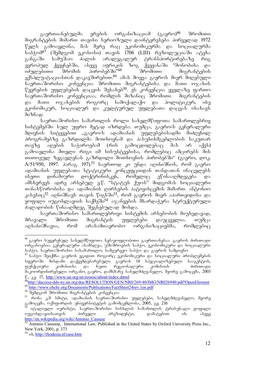გაერთიანებულმა ერების ორგანიზაციამ (გაერო)<sup>46</sup> შრომითი მიგრანტების მიმართ თავისი სერიოზული დაინტერესება პირველად 1972 წელს გამოავლინა, მას მერე რაც ეკონომიკურმა და სოციალურმა საბჭომ<sup>47</sup> (შემდგომ ეკოსოსი) თავის 1706 (LIII) რეზოლუციაში ატეხა<br>განგაში სამუშაო ძალის არალეგალურ ტრანსპორტირებაზე რიგ განგაში სამუშაო ძალის არალეგალურ ტრანსპორტირებაზე ევროპულ ქვეყნებში, ასევე აფრიკის ზოგ ქვეყანაში "მონობისა და იძულებითი შრომის პირობებში<sup>,</sup>\*<sup>48</sup> შრომითი — მიგრანტების eqspluataciasTan dakavSirebiT.49 amas moyva gaeros mier miRebuli საერთაშორისო კონვენცია შრომითი მიგრანტებისა და მათი ოჯახის  $\mathbb{F}$ ევრების უფლებების დაცვის შესახებ $^{50}$ . ეს კონვენცია ყველაზე ფართო საერთაშორისო კონვენციაა, რომლის მიზანიც შრომითი — მიგრანტების და მათი ოჯახების როგორც სამოქალაქო და პოლიტიკურ, ისე ეკონომიკურ, სოციალურ და კულტურულ უფლებათა დაცვას ისახავს  $a_0$  $b_0$ 

საერთაშორისო სამართლის როლი სახელმწიფოთა სამართლებრივ სისტემებში სულ უფრო მეტად იზრდება. თუმცა, გაერო-ს გენერალური მდივნის სიტყვებით "გაერო-ს ადამიანის უფლებებისადმი მიძღვნილ პროგრამებზე გაზრდილმა მოთხოვნამ და პასუხისმგებლობის საკუთარ თავზე ადების საჭიროებამ (რის გამოცდილებაც მას არ აქვს) გამოავლინა მთელი რიგი იმ სისუსტეებისა, რომლებიც ამცირებს მის თითოეულ ზეგავლენას გაზრდილი მოთხოვნის პირობებში" (გაერო, დოკ. A/51/950, 1997. პარაგ. 197).<sup>51</sup> საერთოდ კი უნდა აღინიშნოს, რომ გაერო ადამიანის უფლებათა სტატიკური კონცეფციიდან თანდათან ინაცვლებს  $\overline{a}$ ისეთი დინამიური დოქტრინისკენ, რომელიც ეწინააღმდეგება და ამსხვრევს ადრე არსებულ ე.წ. "სტატუს ქუოს" მიდგომას სოციალური თანასწორობისა და ადამიანის ღირსების პატივისცემის მიმართ. ანტონიო კასესიც<sup>52</sup> აღნიშნავს თავის წიგნში<sup>53</sup>, რომ გაეროს შიერ აპართეიდისა და yogomo onambesaoob baddado<sup>54</sup> agasandob dbangaana bengalennen ძალადობის წინააღმდეგ შეგნებულად მოხდა.

საერთაშორისო სამართლებრივი სისტემის არსებობის მიუხედავად, მრავალი შრომითი მიგრანტის უფლებები დაუცველია. თუმცა აღსანიშნავია, რომ არასამთავრობო ორგანიზაციებმა, რომლებიც

<sup>&</sup>lt;sup>46</sup> გაერო სუვერენულ სახელმწიფოთა ნებაყოფლობითი გაერთიანებაა. გაეროს ძირითადი\_ ორგანოებია: გენერალური ასამბლეა, უშიშროების საბჭო, ეკონომიკური და სოციალური საბჭო, საერთაშორისო სასამართლო, სამეურვეო საბჭო და გაეროს სამდივნო

 $^{47}$  საბჭო. შეიქმნა გაეროს ეგიდით როგორც ეკონომიკური და სოციალური პრობლემების სფეროში მისდამი დაქვემდებარებული გაეროს 14 სპეციალიზებული სააგენტოს,<br>ფუნქციური კომისიისა და ხუთი რეგიონალური კომისიის - ძირითადი ფუნქციური კომისიისა და ხუთი რეგიონალური კომისიის — ძირითადი მაკოორდინირებელი ორგანო, გაერო, დამხმარე სახელმძღვანელო, მეორე გამოცემა, 2003  $\mathcal{V}$ ., 83. 17, http://www.un.org/en/ecosoc/about/index.shtml

<sup>&</sup>lt;sup>48</sup>http://daccess-dds-ny.un.org/doc/RESOLUTION/GEN/NR0/269/40/IMG/NR026940.pdf?OpenElement 49 http://www.ohchr.org/Documents/Publications/FactSheet24rev.1en.pdf

<sup>&</sup>lt;sup>50</sup> შემდგომ შრომითი მიგრანტების კონვენცია

<sup>51</sup> rona k.m. smithi, adamici, adamici, adamici, samiti, samiti, samiti, samiti, samiti, samiti, samiti, samiti გამოცემა, ოქსფორდის უნივერსიტეტის გამომცემლობა, 2005, გვ. 216

\_იტალიელი იურისტი, საერთაშორისო სისხლის სამართლის ტრიბუნალი ყოფილი<br>ცოსლავიისათვის — პირველი — პრეზიდენტი, — დამატებით — იხ. — ასევე იუგოსლავიისათვის პირველი პრეზიდენტი, დამატებით იხ. ასევე http://en.wikipedia.org/wiki/Antonio\_Cassese

<sup>53</sup> Antonio Cassesse, International Law, Published in the United States by Oxford University Press Inc., New York, 2001, p. 373

 $54$  ob. http://rhodesia.nl/case.htm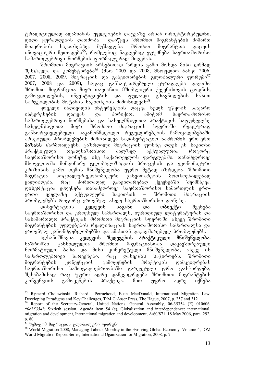ტრადიციულად ადამიანის უფლებების დაცვაზე არიან ორიენტირებულნი, დიდი ყურადღების დათმობა დაიწყეს შრომით მიგრანტების მიმართ<br>მოპყრობის საკითხებზე. მუშავდება შრომით მიგრანტთა დაცვის მოპყრობის საკითხებზე. მუშავდება შრომით მიგრანტთა დაცვის ინოვაციური მეთოდები<sup>55</sup>, რომლებიც ნაკლებად ეფუძნება საერთაშორისო სამართლებრივი ნორმების ფორმალურად მიღებას.

3რომითი მიგრაციის არსებითად ზრდის გამო მოხდა მისი ღრმად  $\partial \partial \psi$  and  $\partial \partial \phi$  and  $\partial \partial \phi$  and  $\partial \partial \phi$  and  $\partial \partial \phi$  and  $\partial \partial \phi$  and  $\partial \partial \phi$  and  $\partial \partial \phi$  and  $\partial \partial \phi$  and  $\partial \partial \phi$ 2007, 2008, 2009,  $\partial \rho_0$   $\partial \rho_1$  and  $\partial \rho_2$  and  $\partial \rho_3$  and  $\partial \rho_2$  and  $\partial \rho_3$  and  $\partial \rho_1$ 2007, 2008 და 2009),  $\overline{b}$   $\overline{b}$   $\overline{b}$  asbbs $\overline{b}$  and  $\overline{c}$  and  $\overline{c}$  and  $\overline{c}$  and  $\overline{c}$  and  $\overline{c}$ შრომით მიგრანტთა მიერ თავიანთი მშობლიური ქვეყნისთვის ცოდნის,<br>გამოცდილების, ინვესტიციების და ფულადი გზავნილების სახით ინვესტიციების და ფულადი გზავნილების სახით სარგებლობის მოტანის საკითხების მიმოხილვას<sup>58</sup>.

ყოველი ინდივიდის ინტერესების დაცვა ხელს უწყობს საჯარო<br>ესების დაცვას და პირიქით, ამიტომ საერთაშორისო ინტერესების დაცვას და პირიქით, ამიტომ საერთაშორისო სამართლებრივი ნორმებისა და სახელმწიფოთა პრაქტიკის საფუძველზე სახელმწიფოთა მიერ შრომითი მიგრაციის სფეროში რეალურად განხორციულებული საკანონმდებლო რეგულირებების ჩამოყალიბებაში არსებული პრობლემების მიმოხილვა სადისერტაციო ნაშრომის ერთ-ერთ <mark>მიზანს</mark> წარმოადგენს. გაზრდილი მიგრაციის ფონზე დღეს ეს საკითხი<br>პრაქტიკული — თვალსაზრისით — ძალზედ — აქტუალურია — როგორც პრაქტიკული თვალსაზრისით ძალზედ აქტუალურია როგორც საერთაშორისო დონეზე, ისე საქართველოს ფარგლებში. თანამედროვე მსოფლიოში მიმდინარე გლობალიზაციის პროცესის და ეკონომიკური კრიზისის გამო თემის მნიშვნელობა უფრო მეტად იზრდება. შრომითი<br>მიგრაცია სოციალურ-ეკონომიკური განვითარების მოთხოვნილებად მიგრაცია სოციალურ-ეკონომიკური განვითარების ყალიბდება, რაც ძირითადად განვითარებად ქვეყნებში შეიმჩნევა. დისერტაცია ეძღვნება თანამედროვე საერთაშორისო სამართლის ერთერთი ყველაზე აქტუალური საკითხის – შრომითი მიგრაციის პრობლემებს როგორც ეროვნულ ასევე საერთაშორისო დონეზე.

დისერტაციის **კვლევის საგანი და ობიექტი** შეეხება საერთაშორისო და ეროვნულ სამართალს, იურიდიულ ლიტერატურას და სასამართლო პრაქტიკას შრომითი მიგრაციის სფეროში. ასევე შრომითი შიგრანტების უფლებების რეალიზაციას საერთაშორისო სამართალსა და ეროვნულ კანონმდებლობებში და ამასთან დაკავშირებულ პრობლემებს.

აღსანიშნავია <mark>კვლევის შედეგების პრაქტიკული მნიშვნელობა.</mark><br>მში განხილულია შრომით მიგრაციასთან დაკავშირებული ნაშრომში განხილულია შრომით მიგრაციასთან დაკავშირებული ნორმატიული ბაზა და მისი კონკრეტული მნიშვნელობა, ასევე ის სამართლებრივი ხარვეზები, რაც დახვეწას საჭიროებს. შრომითი<br>მიგრანტების კონვენციის გამოყენების პრაქტიკის დამკვიდრებას მიგრანტების კონვენციის გამოყენების პრაქტიკის დამკვიდრებას საერთაშორისო საზოგადოებრიობაში გარკვეული დრო დასჭირდება, შესაბამისად რაც უფრო ადრე დამკვიდრდება შრომითი მიგრანტების  $\lambda$ ონვენციის გამოყენების პრაქტიკა, მით უფრო ადრე იქნება

<sup>-</sup>55 Ryszard Cholewinski, Richard Perruchoud, Euan MacDonald, International Migration Law, Developing Paradigms and Key Challenges, T·M·C·Asser Press, The Hague, 2007, p. 257 and 312

<sup>56</sup> Report of the Secretary-General, United Nations, General Assembly, 06-35354 (E) 010606, *\*0635354\*,* Sixtieth session, Agenda item 54 (c), Globalization and interdependence: international, migration and development, International migration and development, A/60/871, 18 May 2006, para. 292, p. 80

შემდგომ მიგრაციის გლობალური ფორუმი

<sup>58</sup> World Migration 2008, Managing Labour Mobility in the Evolving Global Economy, Volume 4, IOM World Migration Report Series, International Oganization for Migration, 2008, p. 7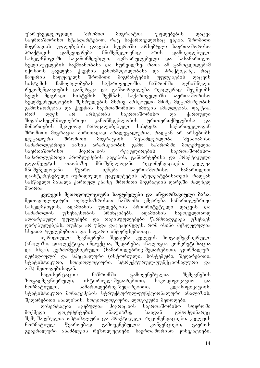უზრუნველყოფილი შრომით მიგრანტთა უფლებების დაცვა საერთაშორისო სტანდარტებით, რაც საქართველოსაც ეხება. შრომითი მიგრაციის უფლებების დაცვის სფეროში არსებული საერთაშორისო პრაქტიკის დამკვიდრება მნიშვნელოვნად არის დამოკიდებული სახელმწიფოში საკანონმდებლო, აღმასრულებელი და სასამართლო ხელისუფლების საქმიანობასა და სურვილზე, რათა ამ გამოცდილებამ იქონიოს გავლენა ქვეყნის კანონმდებლობასა და პრაქტიკაზე, რაც ჩაუყრის საფუძველს შრომითი მიგრანტების უფლებების დაცვის სისტემის ჩამოყალიბებას საქართველოში. ნაშრომში აღნიშნული რეკომენდაციების დანერგვა და განხორცილება რეალურად შეუწყობს<br>ხელს მდგრადი სისტემის შექმნას, საქართველოში საერთაშორისო <mark>ხელს მდგრადი სისტემის შექმნას, საქართველ</mark>ოში საერთაშორისო ხელშეკრულებების შესრულების მხრივ არსებული მძიმე მდგომარეობის გამოსწორებას და ქვეყნის საერთაშორისო იმიჯის ამაღლებას. ფაქტია, რომ დღეს არ არსებობს საერთაშორისო და ქართული შიდასახელმწიფოებრივი კანონმდებლობის ურთიერთქმედებისა და მიმართების მკაფიოდ ჩამოყალიბებული სისტემა. საქართველოდან შრომითი მიგრაცია ძირითადად არალეგალურია, რადგან არ არსებობს legaluri SromiTi migraciis SesaZlebloba Sesabamisi სამართლებრივი ბაზის არარსებობის გამო. ნაშრომში მოცემულია საერთაშორისო მიგრაციის რეგულირების საერთაშორისოსამართლებრივი პრობლემების გაგების, განმარტებისა და პრაქტიკული გადაწყვეტის თაობაზე მნიშვნელოვანი რეკომენდაციები. კვლევა მნიშვნელოვანი წყარო იქნება საერთაშორისო სამართლით დაინტერესებული იურიდიული ფაკულტეტის სტუდენტებისათვის, რადგან სასწავლო მასალა ქართულ ენაზე შრომითი მიგრაციის დარგში ძალზედ  $\partial \omega$ ირია.

კვლევის მეთოდოლოგიური საფუძვლები და ინფორმაციული ბაზა. შეთოდოლოგიური თვალსაზრისით ნაშრომი ემყარება სამართლებრივი სახელმწიფოს, ადამიანის უფლებების პრიორიტეტული დაცვის და სამართლის უზენაესობის პრინციპებს. ადამიანის საყოველთაოდ აღიარებული უფლებები და თავისუფლებები წარმოადგენენ უზენაეს ლირებულებებს, თუმცა არ უნდა დაგვავიწყდეს, რომ ისინი შეზღუდულია სხვათა უფლებებითა და საჯარო ინტერესებითაც.

იურიდიული მეცნიერება შედგება კვლევის ზოგადმეცნიერული (ანალიზი, დიალექტიკა, ინდუქცია, შედარება, ანალოგია, კონკრეტიზაცია და სხვა), კერძომეცნიერული (სამართლებრივ-შედარებითი, ფორმალურიურიდიული) და სპეციალური (ისტორიული, სისტემური, შედარებითი, სტატისტიკური, სოციოლოგიური, სტრუქტურულ-ფუნქციონალური და ა.შ.) მეთოდებისაგან.

სადისერტაციო — ნაშრომში — გამოყენებულია — შემეცნების ზოგადმეცნიერული, ისტორიულ-შედარებითი, საკოდიფიკაციო და ნორმატიული, \_\_\_\_\_\_\_\_ სამართლებრივ-შედარებითი, \_\_\_\_\_\_\_ კლასიფიკაციის, სტატისტიკური მონაცემების სტრუქტურულ-ფუნქციონალური ანალიზის, შედარებითი ანალიზის, სოციოლოგიური, ლოგიკური მეთოდები.

დისერტაცია აგებულია მიგრაციის საერთაშორისო სფეროში მოქმედი დოკუმენტების ანალიზზე, საიდან გამომდინარეც შემუშავებულია ოპტიმალური და პრაქტიკული რეკომენდაციები. კვლევის ნორმატიულ წყაროებად გამოყენებულია კონვენციები, გაეროს გენერალური ასამბლეის რეზოლუციები, საერთაშორისო კონვენციები,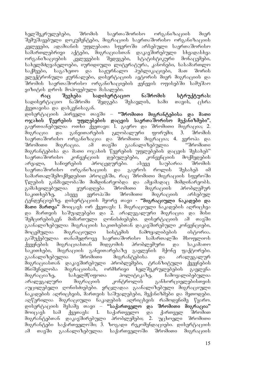ხელშეკრულებები, შრომის საერთაშორისო ორგანიზაციის მიერ შემუშავებული დოკუმენტები, მიგრაციის საერთაშორისო ორგანიზაციის კვლევები, ადამიანის უფლებათა სფეროში არსებული საერთაშორისო სამართლებრივი აქტები, მიგრაციასთან დაკავშირებული სხვადასხვა<br>ორგანიზაციების კვლევების შედეგები, სტატისტიკური მონაცემები, ორგანიზაციების კვლევების შედეგები, სტატისტიკური მონაცემები, სახელმძღვანელოები, იურიდიული ლიტერატურა, კანონები, სასამართლო საქმეები, საგაზეთო და საჟურნალო პუბლიკაციები, მათ შორის ელექტრონული ჟურნალები, დისერტაციის ავტორის მიერ მიგრაციის და შრომის საერთაშორისო ორგანიზაციების ჟენევის ოფისებში სამუშაო ვიზიტის დროს მოპოვებული მასალები.

რაც შეეხება სადისერტაციო ნაშრომის სტრუქტურას: სადისერტაციო ნაშრომი შედგება შესავლის, სამი თავის, ცხრა  $\beta$ ვეთავისა და დასკვნისაგან.

დისერტაციის პირველი თავში – "შრომითი მიგრანტებისა და მათი ოჯახის წევრების უფლებების დაცვის საერთაშორისო მექანიზმები", გაერთიანებულია ოთხი ქვეთავი: 1. გაერო და შრომითი მიგრაცია; 2. მიგრაცია და განვითარების გლობალური ფორუმი; 3. შრომის საერთაშორისო ორგანიზაცია და შრომითი მიგრაცია; 4. ევროპა და შრომითი მიგრაცია. ამ თავში გაანალიზებულია "შრომითი მიგრანტებისა და მათი ოჯახის წევრების უფლებების დაცვის შესახებ"<br>საერთაშორისო კონვენციის დებულებები, კონვენციის მოქმედების საერთაშორისო კონვენციის დებულებები, კონვენციის მოქმედების არეალი, საჩივრების პროცედურები. ასევე საუბარია შრომის საერთაშორისო ორგანიზაციის და გაეროს როლის შესახებ იმ სამართალშემოქმედებით პროცესში, რაც შრომითი მიგრაციის სფეროში  $\nabla$ ლების განმავლობაში მიმდინარეობდა და ამჟამადაც მიმდინარეობს. გამახვილებულია ყურადღება შრომითი მიგრაციის პრობლემურ საკითხებზე, ასევე ევროპაში შრომითი მიგრაციის არსებულ ტენდენციებზე. დისერტაციის მეორე თავი - "მიგრაციული ნაკადები და მათი მართვა" მოიცავს ორ ქვეთავს: 1. მიგრაციული ნაკადების აღრიცხვა და მართვის საშუალებები და 2. არალეგალური მიგრაცია და მისი შემცირებისკენ მიმართული ღონისძიებები. დისერტაციის ამ თავში გაანალიზებულია მიგრაციის საკითხებთან დაკავშირებული კონვენციები, მოცემულია მიგრაციული სისტემის ჩამოყალიბების ისტორია.<br>გაშუქებულია თანამედროვე საერთაშორისო სამართალში მსოფლიოს თანამედროვე საერთაშორისო სამართალში მსოფლიოს ქვეყნების მიგრაციასთან მიდგომის პრობლემური და საკამათო<br>საკითხები, მიგრაციის განვითარებაზე გავლენის მქონე ფაქტორები. საკითხები, მიგრაციის განვითარებაზე გავლენის მქონე<br>გაანალიზებულია შრომითი მიგრანტებისა და ა გაანალიზებულია შრომითი მიგრანტებისა და არალეგალურ მიგრაციასთან დაკავშირებული პრობლემები, ტრანზიტული ქვეყნების მნიშვნელობა მიგრაციისას, ორმხრივი ხელშეკრულებების გავლენა მიგრაციაზე, სახელმწიფოთა პოლიტიკაზე, ჩამოყალიბებულია არალეგალური მიგრაციის კონტროლის განხორციელებისთვის აუცილებელი ღონისძიებები. ვრცლადაა გაანალიზებული მიგრაციული  $6$ აკადების აღრიცხვის, მართვის საშუალებები, მექანიზმები და მეთოდები. აღწერილია მიგრაციული ნაკადების აღრიცხვის რამოდენიმე წყარო.<br>დისერტაციის მესამე თავი – **"საქართველო და შრომითი მიგრაცია"** დისერტაციის მესამე თავი – **"საქართველო და შრომითი მიგრაცია"** მოიცავს სამ ქვეთავს: 1. საქართველო და ქართველ შრომით მიგრანტებთან დაკავშირებული პრობლემები; 2. უცხოელი შრომითი მიგრანტები საქართველოში; 3. ზოგადი რეკომენდაციები. დისერტაციის ამ თავში გაანალიზებულია საქართველოში შრომითი მიგრაციის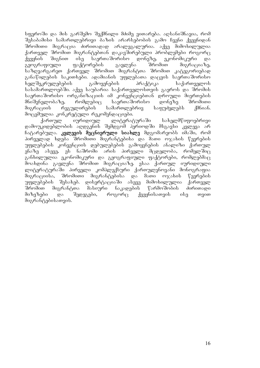სფეროში და მის გარშემო შექმნილი მძიმე ვითარება. აღსანიშნავია, რომ შესაბამისი სამართლებრივი ბაზის არარსებობის გამო ჩვენი ქვეყნიდან შრომითი მიგრაცია ძირითადად არალეგალურია. აქვე მიმოხილულია ქართველ შრომით მიგრანტებთან დაკავშირებული პრობლემები როგორც ქვეყნის შიგნით ისე საერთაშორისო დონეზე, ეკონომიკური და geografiuli faqtorebis gavlena SromiT migraciaze, საზღვარგარეთ ქართველ შრომით მიგრანტთა შრომით განაწილების საკითხები. ადამიანის უფლებათა დაცვის საერთაშორისო<br>ხელშეკრულებების გამოყენების პრაქტიკა საქართველოს  $\mathbf{b}$ ელ შეკრულებების გამოყენების სასამართლოებში. აქვე საუბარია საქართველოსთვის გაეროს და შრომის საერთაშორისო ორგანიზაციის იმ კონვენციებთან დროული მიერთების მნიშვნელობაზე, რომლებიც საერთაშორისო დონეზე შრომითი მიგრაციის რეგულირების სამართლებრივ საფუძვლებს ქმნიან. მოცემულია კონკრეტული რეკომენდაციები.

ქართულ იურიდიულ ლიტერატურაში სახელმწიფოებრივი დამოუკიდებლობის აღდგენის შემდგომ პერიოდში მსგავსი კვლევა არ ჩატარებულა. **კვლევის მეცნიერული სიახლე** მდგომარეობს იმაში, რომ პირველად ხდება შრომითი მიგრანტებისა და მათი ოჯახის წევრების უფლებების კონვენციის დებულებების გამოყენების ანალიზი ქართულ ენაზე ასევე, ეს ნაშრომი არის პირველი მცდელობა, რომელშიც განხილულია ეკონომიკური და გეოგრაფიული ფაქტორები, რომლებმაც მოახდინა გავლენა შრომით მიგრაციაზე. ესაა ქართულ იურიდიული ლიტერატურაში პირველი კომპლექსური ქართულენოვანი მონოგრაფია მიგრაციისა, შრომითი მიგრანტებისა და მათი ოჯახის წევრების უფლებების შესახებ. დისერტაციაში ასევე მიმოხილულია ქართველ შრომით მიგრანტთა მასიური ნაკადების წარმოშობის ძირითადი მიზეზები და შედეგები, როგორც ქვეყნისათვის ისე თვით მიგრანტებისათვის.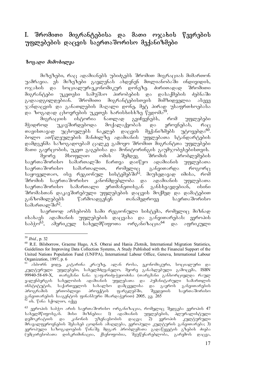## I. შრომითი მიგრანტებისა და მათი ოჯახის წევრების უფლებების დაცვის საურთაშორისო მექანიზმები

#### **bezspo** doderbognas

მიზეზები, რაც ადამიანებს უბიძგებს შრომით მიგრაციას მიმართონ უამრავია. ეს მიზეზები გავლენას ახდენენ მთლიანობაში ინდივიდის, ოჯახის და სოციალურ-ეკონომიკურ დონეზე. ძირითადად შრომითი მიგრანტები უკეთესი სამუშაო პირობების და დასაქმების ძებნაში გადაადგილდებიან. შრომითი მიგრანტებისთვის მიმზიდველია ასევე ჯანდაცვის და განათლების მაღალი დონე, მეტ პირად უსაფრთხოებასა go bozogog człozonolu zaronu bogobioli ba Francos<sup>59</sup>.

მიგრაციის ისტორია ნათლად გვიჩვენებს, რომ უფლებები მჭიდროდ უკავშირდებოდა მოქალაქეობას და ეროვნებას, რაც<br>თავისთავად უცხოელებს ნაკლებ დაცვის მექანიზმებს უტოვებდა<sup>60</sup>. თავისთავად უცხოელებს ნაკლებ დაცვის ბოლო ათწლეულების მანძილზე ადამიანის უფლებათა სტანდარტების დამდგენმა საზოგადოებამ ცალკე გამოყო შრომით მიგრანტთა უფლებები

maTi gavrcobis, ukeT gagebisa da monitoringis gaumjobesebisTvis. მეორე მსოფლიო ომის შემდეგ შრომის პრობლემების საერთაშორისო სამართალში ჩართვა დაიწყო ადამიანის უფლებათა<br>საერთაშორისო სამართალით, რომელიც განვითარდა როგორც საერთაშორისო სამართალით, რომელიც განვითარდა როგორც საყოველთაო, ისე რეგიონულ სისტემებში<sup>61</sup>. მიუხედავად იმისა, რომ შრომის საერთაშორისო კანონმდებლობა და ადამიანის უფლებათა საერთაშორისო სამართალი ერთმანეთისგან განსხვავდებიან, ისინი შრომასთან დაკავშირებული უფლებების დაცვის მოქმედ და დამატებით<br>განზომილებებს წარმოადგენენ თანამედროვე საერთაშორისო წარმოადგენენ თანამედროვე საერთა შორისო სამართალში<sup>62</sup>.

საერთოდ არსებობს სამი რეგიონული სისტემა, რომელიც მიზნად ისახავს ადამიანის უფლებების დაცვასა და განვითარებას: ევროპის საბჭო<sup>63</sup>, ამერიკულ სახელმწიფოთა ორგანიზაცია<sup>64</sup> და აფრიკული

<sup>59</sup> *Ibid.*, p. 32

<sup>60</sup> R.E. Bilsborrow, Graeme Hugo, A.S. Oberai and Hania Zlotnik, International Migration Statistics, Guidelines for Improving Data Collection Systems, A Study Published with the Financial Support of the United Nations Population Fund (UNFPA), International Labour Office, Geneva, International Labour Organization, 1997, p. 6

 $^{61}$  ასბორნ ეიდე, კატარინა კრაუზე, ალან როსა, ეკონომიკური, სოციალური და კულტურული უფლებები, სახელმძღვანელო, მეორე განახლებული გამოცემა, ISBN  $99940$ -58-69-X, თარგმანი ნანა ჯაფარიძე-ჭყიოძისა (თარგმანი განხორციელდა რაულ ვალენბერგის სახელობის ადამიანის უფლებათა და პუმანიტარული სამართლის<br>ინსტიტუტის, საქართველოს სახალხო დამცველისა და გაეროს განვითარების ინსტიტუტის, საქართველოს სახალხო დამცველისა და გაეროს განვითარების<br>პროგრამის ერთობლივი პროექტის ფარგლებში, შვედეთის საერთაშორისო პროგრამის ერთობლივი პროექტის ფარგლებში, შვედეთის საერთაშორისო განვითარების სააგენტოს ფინანსური მხარდაჭერით) 2005, გვ. 265 <sup>62</sup> იხ. წინა სქოლიო, იქვე

 $^{63}$  ევროპის საბჭო არის საერთაშორისო ორგანიზაცია, რომელიც შედგება ევროპის 47 სახელმწიფოსგან. მისი შიზნებია: 1) ადამიანის უფლებების, პლურალისტული<br>დემოკრატიის და კანონის უზენაესობის დაცვა; 2) ევროპის კულტურული დემოკრატიის და კანონის უზენაესობის დაცვა; 2) ევროპის კულტურული მრავალფეროვნების შესახებ ცოდნის ამაღლება, ევროპული კულტურის განვითარება; 3) ევროპული საზოგადოების წინაშე მდგარ პრობლემათა გადაწყვეტის გზების ძიება (უმცირესობათა დისკრიმინაცია, ქსენოფობია, შეუწყნარებლობა, გარემოს დაცვა,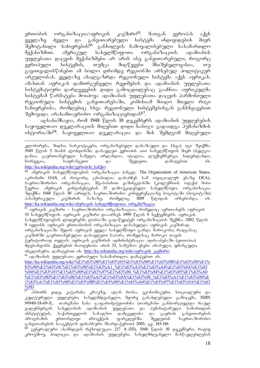ერთობის ორგანიზაცია/აფრიკის კავშირი<sup>65</sup>. მათგან ევროპას აქვს<br>ყველაზე ძველი და განვითარებული სისტემა ინდივიდების მიერ ყველაზე ძველი და განვითარებული სისტემა ინდივიდების მიერ<br>შემოტანილი საჩივრების<sup>66</sup> განხილვის ჩამოყალიბებული სასამართლო  $\theta$ ემოტანილი საჩივრების $^{66}$  განხილვის ჩამოყალიბებული სასამართლო შექანიზმით. ამერიკულ სახელმწიფოთა ორგანიზაციის ადამიანის უფლებათა დაცვის მექანიზმები არ არის ისე განვითარებული, როგორც ევროპული სისტემის, თუმცა მიღწევები მნიშვნელოვანია, თუ გავითვალისწინებთ ამ ბოლო დრომდე რეგიონში არსებულ პოლიტიკურ არეულობას. ყველაზე ახალგაზრდა რეგიონული სისტემა აქვს აფრიკას. ამასთან აფრიკას დამთრგუნველი რეჟიმების და ადამიანის უფლებათა სისტემატიური დარღვევების დიდი გამოცდილებაც გააჩნია. აფრიკულმა სისტემამ წარმატება მოიპოვა ადამიანის უფლებათა დაცვის ჰარმონიული რეგიონული სისტემის განვითარებაში, კომისიამ მიიღო მთელი რიგი საჩივრებისა, რომლებიც სხვა რეგიონული სისტემებისგან განსხვავებით  $\theta$ შემოვიდა არასამთავრობო ორგანიზაციებიდან $^{67}$ .

აღსანიშნავია, რომ 1948 წლის 10 დეკემბერს ადამიანის უფლებების საყოველთაო დეკლარაციის მიღებით დიდი ნაბიჯი გადაიდგა ჰუმანიზმის ისტორიაში<sup>68</sup>. საყოველთაო დეკლარაცია და მის შემდგომ მიღებული

კლონირება, შიდსი, ნარკოტიკები, ორგანიზებული დანაშაული და სხვა). იგი შეიქმნა 1949 წლის 5 მაისს ლონდონში, დასავლეთ ევროპის ათი სახელმწიფოს მიერ (ბელგია დანია, გაერთიანებული სამეფო, ირლანდია, იტალია, ლუქსემბურგი, ნიდერლანდი, ნორვეგია, საფრანგეთი და შვედეთი, დამატებით ის. http://ka.wikipedia.org/wiki/ევროპის\_საბჭო

64 ამერიკის სახელმწიფოების ორგანიზაცია (ინგლ. The Organization of American States, აკრონიმი OAS, ან როგორც ცნობილია დანარჩენ სამ ოფიციალურ ენაზე OEA), საერთაშორისო ორგანიზაცია, შტაბ-ბინით ვაშინგტონში (კოლუმბიის ოლქი) მისი წევრია ამერიკის კონტინენტების 35 დამოუკიდებელი სახელმწიფო, ორგანიზაცია შეიქმნა 1948 წლის 30 აპრილს, საერთაშორისო კონფერენციაზე ბოგოტაში (ბოგოტაში)<br>პანამერიკული — კავშირის — ბაზაზე, — რომელიც — 1889 — წლიდან — არსებობდა, — იხ. პანამერიკული კავშირის ბაზაზე, რომელიც 1889 წლიდან არსებობდა, http://ka.wikipedia.org/wiki/ამერიკის სახელმწიფოთა\_ორგანიზაცია

 $^{65}$  აფრიკის კავშირი – საერთაშორისო ორგანიზაციაა, რომელიც აერთიანებს აფრიკის  $53$  სახელმწიფოს. აფრიკის კავშირი დააარსეს 1999 წლის 9 სექტემბერს. აფრიკის სახელმწიფოების ლიდერებმა ლიბიაში გადაწყვიტეს ორგანიზაციის შექმნა. 2002 წლის 9 ogლისს აფრიკის ერთიანობის ორგანიზაცია დასახელდა აფრიკის კავშირად. ორგანიზაციაში შედის აფრიკის ყველა სახელმწიფო გარდა მაროკოსი, რადგანაც კავშირში გაერთიანებულია დასავლეთი საჰარა, რომელსაც მაროკო თავის ტერიტორიად თვლის. აფრიკის კავშირის ადმინისტრაცია ადის-აბებაში (ეთიოპია) მდებარეობს. ქვეყნების რაოდენობა არის 53, სამუშაო ენები არაბული, ფრანგული, obzლoსური, დამატებით ob. http://ka.wikipedia.org/wiki/აფრიკის კავშირი

 $^{66}$  sgsdosbob უფლუბათა უვროპული სასამართლო, დამატებით იხ. http://ka.wikipedia.org/wiki/%E1%83%90%E1%83%93%E1%83%90%E1%83%9B%E1%83%98%E1% 83%90%E1%83%9C%E1%83%98%E1%83%A1\_%E1%83%A3%E1%83%A4%E1%83%9A%E1%83 %94%E1%83%91%E1%83%90%E1%83%97%E1%83%90\_%E1%83%94%E1%83%95%E1%83%A0 %E1%83%9D%E1%83%9E%E1%83%A3%E1%83%9A%E1%83%98\_%E1%83%A1%E1%83%90%E 1%83%A1%E1%83%90%E1%83%9B%E1%83%90%E1%83%A0%E1%83%97%E1%83%9A%E1%83 %9D

-ასბორნ ეიდე, კატარინა კრაუზე, ალან როსა, ეკონომიკური, სოციალური და კულტურული უფლებები, სახელმძღვანელო, მეორე განახლებული გამოცემა, ISBN 99940-58-69-X, თარგმანი ნანა ჯაფარიძე-ჭყიოძისა (თარგმანი განხორციელდა რაულ ვალენბერგის სახელობის ადამიანის უფლებათა და პუმანიტარული სამართლის<br>ინსტიტუტის, საქართველოს სახალხო დამცველისა და გაეროს განვითარების ინსტიტუტის, საქართველოს სახალხო დამცველისა და გაეროს განვითარების<br>პროგრამის ერთობლივი პროექტის ფარგლებში, შვედეთის საერთაშორისო პროგრამის ერთობლივი პროექტის ფარგლებში, შვედეთის საერთაშორისო განვითარების სააგენტოს ფინანსური მხარდაჭერით) 2005, გვ. 145-146

 $^{68}$  გენერალური ასამბლეის რეზოლუცია 217 A (III), 1948 წლის 10 დეკემბერი, რალფ კროუშოუ, პოლიცია და ადამიანის უფლებები, სახელმძღვანელო მასწავლებლების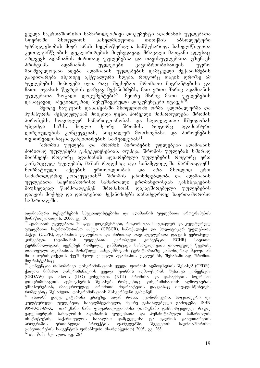ყველა საერთაშორისო სამართლებრივი დოკუმენტი ადამიანის უფლებათა სფეროში მსოფლიოს სახელმწიფოთა თითქმის აბსოლუტური უმრავლესობის მიერ არის ხელმოწერილი. სამწუხაროდ, სახელმწიფოთა კეთილგანწყობის დეკლარირების მიუხედავად მრავალი მათგანი დღესაც არღვევს ადამიანის ძირითად უფლებებსა და თავისუფლებათა უზენაეს პრინციპს. ადამიანის უფლებები კაცობრიობისათვის უფრო მნიშვნელოვანი ხდება. ადამიანის უფლებების დამცველი მექანიზმების განვითარება ისეთივე აქტუალური ხდება, როგორც თავის დროზე ამ უფლებების მოპოვება იყო. რაც შეეხებათ შრომითი მიგრანტებისა და მათი ოჯახის წევრების დამცავ მექანიზმებს, მათ ერთი მხრივ ადამიანის<br>უფლებათა ზოგადი დოკუმენტები<sup>69</sup>, მეორე მხრივ მათი უფლებების უფლებათა ზოგადი დოკუმენტები<sup>69</sup>, მეორე მხრივ მათი დასაცავად სპეციალურად შემუშავებული დოკუმენტები იცავენ<sup>70</sup>.

მეოცე საუკუნის დასაწყისში მსოფლიოში ორმა გლობალურმა და ჰუმანურმა შეხედულებამ მოიკიდა ფეხი. პირველი მიმართულება შრომის პირობებს, სოციალურ სამართლიანობას და საყოველთაო მშვიდობას უსვამდა ხაზს, ხოლო მეორე შრომის, როგორც ადამიანური დირებულების კონცეფციას, სოციალურ მოთხოვნასა და პიროვნების თვითრეალიზაცია-განვითარების საშუალებას $^{71}$ .

შრომის უფლება და შრომის პირობების უფლებები ადამიანის ძირითად უფლებებს განეკუთვნებიან. თუმცა, შრომის უფლებას ხშირად მიიჩნევენ როგორც ადამიანის აღიარებული უფლებების როგორც ერთ კონკრეტულ უფლებას, მაშინ როდესაც იგი სინამდვილეში წარმოადგენს ნორმატიული აქტების ერთობლიობას და არა მხოლოდ ერთ სამართლებრივ კონცეფციას $^{72}$ . შრომის კანონმდებლობა და ადამიანის უფლებათა საერთაშორისო სამართალი ერთმანეთისგან განსხვავების მიუხედავად წარმოადგენენ შრომასთან დაკავშირებული უფლებების დაცვის მოქმედ და დამატებით მექანიზმებს თანამედროვე საერთაშორისო სამართალში.

კონვენცია რასობრივი დისკრიმინაციის ყველა ფორმის აღმოფხვრის შესახებ(CEDR), ქალთა შიმართ დისკრიმინაციის ყველა ფორმის აღმოფხვრის შესახებ კონვენცია (CEDAW) და შსო-ს (ILO) კონვენცია (NI11) შრომისა და დასაქმების სფეროში<br>დისკრიმინაციის აღმოფხვრის შესახებ, რომლებიც დისკრიმინაციის აღმოფხვრას დისკრიმინაციის აღმოფხერის შესახებ, რომლებიც დისკრიმინაციის აღმოფხერას<br>ემსახურებიან, იმავდროულად შრომითი მიგრანტების დაცვასაც ითვალისწინებენ, მიგრანტების დაცვასაც ითვალისწინებენ, რომლებიც შესაძლოა დისკრიმინაციის მსხვერპლნი გახდნენ

 $^{71}$  ასბორნ ეიდე, კატარინა კრაუზე, ალან როსა, ეკონომიკური, სოციალური და კულტურული უფლებები, სახელმძღვანელო, მეორე განახლებული გამოცემა, ISBN 99940-58-69-X, თარგმანი ნანა ჯაფარიძე-ჭყიოძისა (თარგმანი განხორციელდა რაულ<br>ვალენბერგის სახელობის ადამიანის უფლებათა და ჰუმანიტარული სამართლის სახელობის ადამიანის უფლებათა და <mark>პუმანიტარული სამართლის</mark><br>საქართველოს სახალხო დამცველისა და გაეროს განვითარების ინსტიტუტის, საქართველოს სახალხო დამცველისა და გაეროს განვითარების<br>პროგრამის ერთობლივი პროექტის ფარგლებში, შვედეთის საერთაშორისო პროგრამის ერთობლივი პროექტის ფარგლებში, შვედეთის საერთაშორისო განვითარების სააგენტოს ფინანსური მხარდაჭერით) 2005, გვ. 263

ადამიანური რესურსების სპეციალისტებისა და ადამიანის უფლებათა პროგრამების მონაწილეთათვის, 2006, გვ. 30

<sup>&</sup>lt;sup>69</sup> ადამიანის უფლებათა ზოგადი დოკუმენტები, როგორიცაა სოციალურ და კულტურულ უფლებათა საერთაშორისო პაქტი (CESCR), სამოქალაქო და პოლიტიკურ უფლებათა პაქტი (CCPR), ადამიანის უფლებათა და ძირითად თავისუფლებათა დაცვის ევროპული<br>კონვენცია - (ადამიანის - უფლებათა - ევროპული - კონვენცია, - ECHR) - საერთო კონვენცია (ადამიანის უფლებათა ევროპული კონვენცია, ECHR) საერთო ტერმინოლოგიას იყენებენ რომელიც განმარტავს საზოგადოების თითოეული წევრის, თითოეული ადამიანის, მონაწილე სახელმწიფოს ტერიტორიაზე კანონიერად მყოფი ან მისი იურისდიქციის ქვეშ მყოფი ყოველი ადამიანის უფლებებს, შესაბამისად შრომით მიგრანტებსაც

ob. წინა სქოლიო, გვ. 267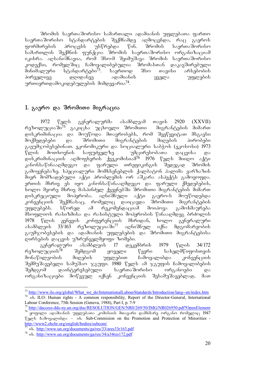'შრომის საერთაშორისო სამართალი ადამიანის უფლებათა ფართო<br>იაშორისო სტანდარტების შექმნამდე აღმოცენდა, რაც გაეროს საერთაშორისო სტანდარტების შექმნამდე აღმოცენდა, რაც გაეროს<br>ფორმირების პროცესს უსწრებდა წინ. შრომის საერთაშორისო gg რემირების პროცესს უსწრებდა წინ. შრომის საერთაშორისო სამართლის შექმნის ფუნქცია შრომის საერთაშორისო ორგანიზაციამ იკისრა. აღსანიშნავია, რომ შსო-მ შეიმუშავა შრომის საერთაშორისო<br>"ოდექსი, რომელშიც ჩამოყალიბებულია შრომასთან დაკავშირებული კოდექსი, რომელშიც ჩამოყალიბებულია შრომასთან დაკავშირებული<br>მინიმალური სტანდარტები<sup>73</sup>. საერთოდ შსო თავისი არსებობის მინიმალური სტანდარტები<sup>73</sup>. საერთოდ შსო თავისი პირველივე დღიდანვე ადამიანის ყველა უფლების ურთიერთდამოკიდებულების მიმდევარია $^{74}$ .

### 1. გაერო და შრომითი მიგრაცია

1972 წელს გენერალურმა ასამბლეამ თავის 2920 (XXVII) რეზოლუციაში<sup>75`</sup> გაკიცხა უცხოელი შრომითი — მიგრანტების მიმართ დისკრიმინაცია და მოუწოდა მთავრობებს, რომ შეეწყვიტათ მსგავსი მოქმედებები და შრომითი მიგრანტების მიღების პირობები გაეუმჯობესებინათ. ეკონომიკური და სოციალური საბჭოს (ეკოსოსი) 1973 წლის მოთხოვნის საფუძველზე — უმცირესობათა დაცვისა და დისკრიმინაციის აღმოფხვრის ქვეკომისიამ<sup>76</sup> 1976 წელს მიიღო აქტი კანონსაწინააღმდეგო და ფარული თრეფიკინგის შედეგად შრომის გამოყენებაზე. სპეციალური მომხსენებლის ქალბატონ ჰალიმა ვარზაზის მიერ მომზადებული აქტი პრობლემის ორ აშკარა ასპექტს გამოყოფდა. ერთის მხრივ ეს იყო კანონსაწინააღმდეგო და ფარული ქმედებების, ხოლო მეორე მხრივ მასპინძელ ქვეყნებში შრომითი მიგრანტების მიმართ დისკრეციული მოპყრობა. აღნიშნული აქტი გაერო-ს მოუწოდებდა კონვენციის შექმნასაც, რომელიც დაიცავდა შრომითი მიგრანტების<br>უფლებებს. სწორედ ამ რეკომენდაციამ მოიპოვა გამოხმაურება უფლებებს. სწორედ ამ რეკომენდაციამ მოიპოვა მსოფლიოს რასიზმისა და რასისტული მოპყრობის წინააღმდეგ ბრძოლის 1978 წლის ჟენევის კონფერენციის მხრიდან, ხოლო გენერალური<br>ასამბლეის 33/163 რეზოლუციაში<sup>77</sup> აღნიშნულ იქნა მდგომარეობის  $\delta$ ასამბლეის 33/163 რეზოლუციაში $^{77}$  აღნიშნულ იქნა მდგომარეობის გაუმჯობესების და ადამიანის უფლებების და შრომითი მიგრანტებისა დირსების დაცვის უზრუნველმყოფი ზომები.

გენერალური ასამბლეის 17 დეკემბრის 1979 წლის 34/172<br>რეზოლუციის<sup>78</sup> შემდგომ ყოველი წევრი სახელმწიფოსთვის შემდგომ ყოველი წევრი სახელმწიფოსთვის მონაწილეობის მიღების უფლებით ჩამოყალიბდა კონვენციის შემმუშავებელი სამუშაო ჯგუფი. 1980 წელს ამ ჯგუფის ჩამოყალიბების შემდგომ დაინტერესებული საერთაშორისო ორგანოები და ორგანიზაციები მოწვეულ იქნენ კონვენციის შესამუშავებლად, მათ

<sup>-</sup><sup>73</sup> http://www.ilo.org/global/What\_we\_do/InternationalLabourStandards/Introduction/lang--en/index.htm <sup>74</sup> ob. ILO: Human rights - A common responsibility, Report of the Director-General, International Labour Conference, 75th Session (Geneva, 1988), Part I, p. 7-9

<sup>&</sup>lt;sup>75</sup> http://daccess-dds-ny.un.org/doc/RESOLUTION/GEN/NR0/269/50/IMG/NR026950.pdf?OpenElement

 $76$  ყოფილი ადამიანის უფლებათა კომისიის მთავარი დამხმარე ორგანო რომელიც 1947  $\gamma$  means for  $\gamma$  is dependence on the Promotion and Protection of Minorities http://www2.ohchr.org/english/bodies/subcom/

 $\frac{77}{10}$  ob. http://www.un.org/documents/ga/res/33/ares33r163.pdf

<sup>&</sup>lt;sup>78</sup> ob. http://www.un.org/documents/ga/res/34/a34res172.pdf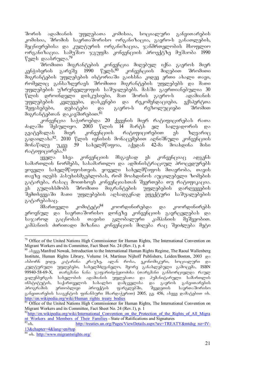შორის ადამიანის უფლებათა კომისია, სოციალური განვითარების კომისია, შრომის საერთაშორისო ორგანიზაცია, გაერო-ს განათლების, მეცნიერებისა და კულტურის ორგანიზაცია, ჯანმრთელობის მსოფლიო ორგანიზაცია. სამუშაო ჯგუფმა კონვენციის პროექტზე მუშაობა  $1990$  $\sqrt[p]{3}$ ლს დაასრულა. $^{79}$ 

-შრომითი მიგრანტების კონვენცია მიღებულ იქნა გაეროს მიერ<br>აყრის გარეშე 1990 წელს.<sup>80</sup> კონვენციის მიღებით შრომითი კენჭისყრის გარეშე 1990 წელს.<sup>80</sup> კონვენციის მიღებით შრომითი მიგრანტების უფლებების ისტორიაში გაიხსნა კიდევ ერთი ახალი თავი, რომელიც განსაზღვრავს შრომითი მიგრანტების უფლებებს და მათი უფლებების უზრუნველყოფის საშუალებებს. მასში გაერთიანებულია  $30$  $\mathfrak k$ ლის დროინდელი დისკუსიები, მათ შორის გაერო-ს ადამიანის უფლებების კვლევები, დასკვნები და რეკომენდაციები, ექსპერტთა შეფასებები, დებატები და გაერო-ს რეზოლუციები შრომით მიგრანტუბთან დაკავშირებით. $^{\hat{8}1}$ 

კონვენცია საჭიროებდა 20 ქვეყნის მიერ რატიფიცირებას რათა<br>lo შესულიყო. 2003 წლის 14 მარტს ელ სალვადორის და ძალაში შესულიყო. 2003 წლის 14 მარტს ელ სალვადორის და<br>გვატემალას მიერ კონვენციის რატიფიცირებით ეს ზღვარიც გვატემალას მიერ კონვენციის რატიფიცირებით ეს ზღვარიც გადაილახა<sup>82</sup>. 2010 წლის ივნისის მონაცემებით აღნიშნული კონვენციის მონაწილე უკვე 59 სახელმწიფოა, აქედან 42-მა მოახდინა მისი რატიფიცირება.<sup>83</sup>

 $\gamma$ ggges b $\epsilon$ a geb $\gamma$ gavela dhasabse gb geb $\gamma$ al adgens $\epsilon$  seagbl სამართლის ნორმებს, სასამართლო და ადმინისტრაციულ პროცედურებს ყოველი სახელმწიფოსთვის. ყოველი სახელმწიფოს მთავრობა, თავის თავზე იღებს პასუხისმგებლობას, რომ მოახდინოს აუცილებელი ზომების გატარება, რასაც მოითხოვს კონვენციასთან შეერთება თუ რატიფიკაცია. ეს გულიხსმობს შრომითი მიგრანტების უფლებების დარღვევების შემთხვევაში მათი უფლებების აღსადგენად ეფექტური საშუალებების გატარებასაც.

მმართველი კომიტეტი<sup>84</sup> კოორდინირებდა და კოორდინირებს ეროვნულ და საერთაშორისო დონეზე კონვენციის გავრცელებას და<br>საჯაროდ გაცნობას თავისი გლობალური კამპანიის მეშვეობით. საჯაროდ გაცნობას თავისი გლობალური კამპანიის მეშვეობით. კამპანიის ძირითადი მიზანია კონვენციის მიღება რაც შეიძლება მეტი

<sup>-</sup><sup>79</sup> Office of the United Nations High Commissioner for Human Rights, The International Convention on Migrant Workers and its Committee, Fact Sheet No. 24 (Rev.1), p. 4

<sup>&</sup>lt;sup>80</sup> ab<sub>131</sub> Manfred Nowak, Introduction to the International Human Rights Regime, The Raoul Wallenberg Institute, Human Rights Library, Volume 14, Martinus Nijhoff Publishers, Leiden/Boston, 2003 da ასბორნ ეიდე, კატარინა კრაუზე, ალან როსა, ეკონომიკური, სოციალური და კულტურული უფლებები, სახელმძღვანელო, მეორე განახლებული გამოცემა, ISBN  $99940$ -58-69-X, თარგმანი ნანა ჯაფარიძე-ჭყიოძისა (თარგმანი განხორციელდა რაულ ვალენბერგის სახელობის ადამიანის უფლებათა და ჰუმანიტარული სამართლის<br>ინსტიტუტის, საქართველოს სახალხო დამცველისა და გაეროს განვითარების .<br>ინსტიტუტის, საქართველოს სახალხო დამცველისა და გაეროს განვითარების<br>პროგრამის ერთობლივი პროექტის ფარგლებში, შვედეთის საერთაშორისო პროგრამის ერთობლივი პროექტის ფარგლებში, შვედეთის საერთაშორისო განვითარების სააგენტოს ფინანსური მხარდაჭერით) 2005, გვ. 456, ასევე დამატებით იხ. http://en.wikipedia.org/wiki/Human\_rights\_treaty\_bodies

<sup>&</sup>lt;sup>81</sup> Office of the United Nations High Commissioner for Human Rights, The International Convention on Migrant Workers and its Committee, Fact Sheet No. 24 (Rev.1), p. 1

 $82$ http://en.wikipedia.org/wiki/International Convention on the Protection of the Rights of All Migra nt\_Workers\_and\_Members\_of\_Their\_Families - State of Ratifications and Signatures<br>  $h_{\text{t}}$  http://treaties.un.org/Pages/ViewDetails.aspx?src=TREA

http://treaties.un.org/Pages/ViewDetails.aspx?src=TREATY&mtdsg\_no=IV-13&chapter=4&lang=en#top

ob. http://www.migrantsrights.org/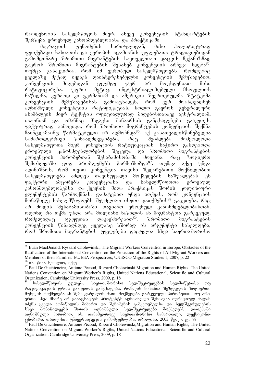რაოდენობის სახელმწიფოს მიერ, ასევე კონვენციის სტანდარტების შერწყმა ეროვნულ კანონმდებლობასა და პრაქტიკაში.<br>მიგრაციის — ფენომენის — სირთულიდან, — მის

 $\frac{1}{10}$ ფეთქებადი ხასიათის და ევროპის ადამიანის უფლებათა ტრადიციებიდან გამომდინარე შრომითი მიგრანტების საყოველთაო დაცვის მექანიზმად  $a$ გაეროს შრომითი მიგრანტების შესახებ კონვენციის არჩევა ხდება<sup>85</sup>. Tumca gasakviria, rom im evropul saxelmwifoebs, romlebic ყველაზე მეტად იყვნენ დაინტერესებულნი კონვენციის შემუშავებით, კონვენციის მიღებიდან დღემდე ჯერ არ მოუხდენიათ მისი<br>რატიფიცირება. უფრო მეტიც, ინდუსტრიალიზებული მსოფლიოს მეტიც, ინდუსტრიალიზებული მსოფლიოს ნაწილმა, კურძოდ კი გერმანიამ და ამერიკის შეერთებულმა შტატებმა კონვენციის შემუშავებისას გამოაცხადეს, რომ ვერ მოახდენდნენ aRniSnuli konvenciis ratifikacias, xolo gaeros generaluri ასამბლეის მიერ ტექსტის ოფიციალურად მიღებისთანავე ავსტრალიამ,  $\frac{1}{10}$  is  $\frac{1}{10}$  degree on  $\frac{1}{10}$  and  $\frac{1}{10}$  and  $\frac{1}{10}$  and  $\frac{1}{10}$  and  $\frac{1}{10}$  and  $\frac{1}{10}$  and  $\frac{1}{10}$  and  $\frac{1}{10}$  and  $\frac{1}{10}$  and  $\frac{1}{10}$  and  $\frac{1}{10}$  and  $\frac{1}{10}$  and  $\frac{1}{$ ფაქტიურად გამოვიდა, რომ შრომითი მიგრანტების კონვენციის შექმნა maincdamainc warmatebuli ar aRmoCnda86. aq gasaTvaliswinebelia სამართლებრივი წინააღმდეგობები, რაც შეიძლება მოჰყოლოდა  $\,$ სახელმწიფოთა მიერ კონვენციის რატიფიკაციას. საჭირო გახდებოდა -ეროვნული კანონმდებლობების შეცვლა და შრომითი მიგრანტების<br>კონვენციის პირობებთან შესაბამისობაში მოყვანა. რაც ზოგიერთ ്შესაბამისობაში მოყვანა. რაც <sup>ა</sup>ხოგიერთ შემთხვევაში დიდ პრობლემებს წარმოშობდა<sup>87</sup>. თუმცა აქვე უნდა აღინიშნოს, რომ თვით კონვუნცია თავისი შედარებითი მოქნილობით სახელმწიფოებს აძლევს თავისუფალი მოქმედების საშუალებას. ეს ფაქტორი ამცირებს კონვენციასა და სახელმწიფოთა ეროვნულ "ანონმდებლობებსა და ქვეყნის შიდა პრაქტიკას შორის კოლიზიური ელემენტების წარმოქმნას. დამატებით უნდა ითქვას, რომ კონვენციის  $\frac{1}{2}$ მონაწილე სახელმწიფოებს შეუძლიათ ისეთი დათქმების $^{88}$  გაკუთება, რა $\overline{\rm G}$ არ მოდის შესაბამისობაში თავიანთ ეროვნულ კანონმდებლობასთან, ოღონდ რა თქმა უნდა არა მთლიანი ნაწილის ან მიგრანტთა გარკვეულ, რომელიღაც ჯგუფთან დაკავშირებით<sup>89</sup>. შრომითი მიგრანტების კონვენციის წინააღმდეგ ყველაზე ხშირად ის არგუმენტი სახელდება, რომ შრომითი მიგრანტების უფლებები დაცულია სხვა საერთაშორისო

<sup>-</sup><sup>85</sup> Euan MacDonald, Ryszard Cholewinski, The Migrant Workers Convention in Europe, Obstacles of the Ratification of the International Convention on the Protection of the Rights of All Migrant Workers and Members of their Families: EU/EEA Perspectives, UNESCO Migration Studies 1, 2007, p. 22

<sup>&</sup>lt;sup>86</sup> ob. წინა სქოლიო, იქვე

<sup>&</sup>lt;sup>87</sup> Paul De Guchteneire, Antione Pécoud, Riszard Cholewinski, Migration and Human Rights, The United Nations Convention on Migrant Worker's Rigths, United Nations Educational, Scientific and Cultural Organization, Cambridge University Press, 2009, p. 18

სახელმწიფოს უფლება, საერთაშორისო ხელშეკრულების ხელმოწერისა რატიფიკაციის დროს გააკეთოს განცხადება, რომლის მიზანია შეზღუდოს ზოგიერთი მუხლის მოქმედება ან შემოფარგლოს მათი მოქმედება გარკვეული პირობებით. თუ არც ერთი სხვა მხარე არ განაცხადებს პროტესტს აღნიშნული შენიშვნა იურიდიულ ძალას iZens yvela monawilis mimarT da SeniSvnis gamkeTebelsa da xelSekrulebis სხვა მონაწილეებს შორის აღნიშნული ხელშეკრულება მოქმედებს დათქმაში აღნიშნული პირობით, იხ. თანამედროვე საერთაშორისო სამართალი, ლექსიკონიცნობარი, თბილისის უნივერსიტეტის გამოშცემლობა, თბილისი, 2003 წელი, გვ.  $78$ 

<sup>89</sup> Paul De Guchteneire, Antione Pécoud, Riszard Cholewinski,Migration and Human Rights, The United Nations Convention on Migrant Worker's Rigths, United Nations Educational, Scientific and Cultural Organization, Cambridge University Press, 2009, p. 18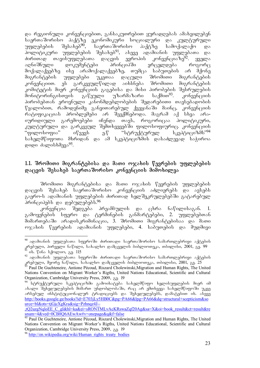და რეგიონული კონვენციებით, განსაკუთრებით ყურადღებას ამახვილებენ საერთაშორისო პაქტზე ეკონომიკური სოციალური და კულტურული<br>უფლებების შესახებ<sup>90</sup>, საერთაშორისო პაქტზე სამოქალაქო და უფლებების შესახებ<sup>90</sup>, საერთაშორისო პაქტზე სამოქალაქო და სთვანა<br>პოლიტიკური უფლებების შესახებ<sup>91</sup>, ასევე ადამიანის უფლებათა და<br>ძირითად თავისუფლებათა დაცვის ევროპის კონვენციაზე<sup>92</sup>. ყველა ძირითად თავისუფლებათა დაცვის ევროპის კონვენციაზე<sup>92</sup>. ყველა აღნიშნული დოკუმენტები პრინციპში ვრცელდება როგორც მოქალაქეებზე ისე არამოქალაქეებზე, თუმცა საბუთების არ მქონე მიგრანტების უფლებები უკეთაა დაცული შრომითი მიგრანტების<br>კონვენციით. ეს გარკვეულწილად აიხსნება შრომითი მიგრანტების ეს გარკვეულწილად აიხსნება შრომითი მიგრანტების კომიტეტის მიერ კონვენციის გაგებისა და მისი პირობების შესრულების<br>მონიტორინგისთვის — გაწეული — უზარმაზარი — საქმით<sup>93</sup>. — კონვენციის მონიტორინგისთვის პირობებთან ეროვნული კანონმდებლობების შედარებითი თავსებადობის  $\nabla$ ყალობით, რამოდუნიმე განვითარებულ ქვეყანაში მაინც, კონვენციის რატიფიკაციას პრობლემები არ შეექმნებოდა. მაგრამ აქ სხვა არაიურიდიული გარემოებები იჩენდა თავს, როგორიცაა პოლიტიკური, კულტურული და გარკვეულ შემთხვევებში ფილოსოფიურიც. კონვენციის<br>"ფილოსოფია" იწვევს ე.წ "სტრუქტურულ სკეპტიციზმს"<sup>94</sup> 'ფილოსოფია'' იწვევს ე.წ "სტრუქტურულ სკეპტიციზმს"<sup>94</sup> ათა.<br>სახელმწიფოთა მხრიდან და ამ სკეპტიციზმის დასაძლევად საჭიროა popo dspotbda3<sup>95</sup>.

#### 1.1. შრომითი მიგრანტებისა და მათი ოჯახის წევრების უფლებების  $\varphi$ აცვის შესახებ საერთაშორისო კონვენციის მიმოხილვა

შრომითი მიგრანტებისა და მათი ოჯახის წევრების უფლებების დაცვის შესახებ საერთაშორისო კონვენციის აძლიერებს და ავსებს გაერო-ს ადამიანის უფლებების ძირითად ხელშეკრულებებში გატარებულ პრინციპებს და დებულებებს.<sup>96</sup>

კონვენცია შედგება პრეამბულის და ცხრა ნაწილისაგან. 1. გამოყენების სფერო და ტერმინების განმარტებები, 2. უფლებებთან მიმართებაში არადისკრიმინაცია, 3. შრომითი მიგრანტებისაა და მათი  $\alpha$  ox $\beta$ bob  $\alpha$ is adamianis uga manamanis utlebes da mudoso da mudoso da mudoso da mudoso da mudoso da mudoso da mudoso da mudoso da mudoso da mudoso da mudoso da mudoso da mudoso da mudoso da mudoso da mudoso da mud

 $^{90}$  ადამიანის უფლებათა სფეროში ძირითადი საერთაშორისო სამართლებრივი აქტების კრებული, პირველი ნაწილი, სახალხო დამცველის ბიბლიოთეკა, თბილისი, 2001, გვ. 99<br><sup>91</sup> იხ. წინა სქოლიო, გვ. 115

<sup>92 &</sup>lt;sub>s</sub>eo: <sub>V</sub>oso s<sub>o</sub>o: <sub>2002</sub> s<sub>oo</sub>. ---<br><sup>92</sup> seosdos6ob უფლებათა სფეროში ძირითადი საერთაშორისო სამართლებრივი აქტების  $k$ rebuli, meore nawili, sakalisan biblioteka, Tbilisi, 2001, 2001, 2001, 2003, 25

<sup>93</sup> Paul De Guchteneire, Antione Pécoud, Riszard Cholewinski,Migration and Human Rights, The United Nations Convention on Migrant Worker's Rigths, United Nations Educational, Scientific and Cultural Organization, Cambridge University Press, 2009, 83. 19

 $^{94}$  სტრუქტურული სკეპტიციზმი გამოიხატება სახელმწიფო ხელისუფლების მიერ იმ ახალი შეხედულებების მიმართ უნდობლობაში, რაც არ ემთხვევა სახელმწიფოში უკვე არსებულ ინსტიტუციონალურ ტრადიციებს და შეხედულებებს, დამატებით იხ. ასევე http://books.google.ge/books?id=E703jLy5HB0C&pg=PA66&lpg=PA66&dq=structural+scepticism&so urce=bl&ots=tjGjcXgKra&sig=Pzhnqz4J--

<sup>,</sup>tQ2uzgNqloEE\_C\_gI&hl=ka&ei=sRONTMLvAcKRswaZqf20Ag&sa=X&oi=book\_result&ct=result&re snum=4&ved=0CB8Q6AEwAw#v=onepage&q&f=false

<sup>95</sup> Paul De Guchteneire, Antione Pécoud, Riszard Cholewinski,Migration and Human Rights, The United Nations Convention on Migrant Worker's Rigths, United Nations Educational, Scientific and Cultural Organization, Cambridge University Press, 2009,  $\delta$ 3. 19

<sup>&</sup>lt;sup>96</sup> http://en.wikipedia.org/wiki/Human\_rights\_treaty\_bodies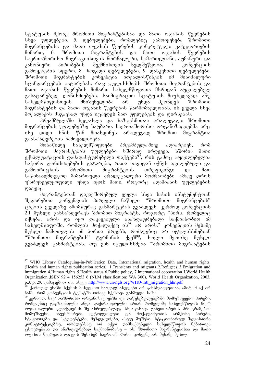სტატუსის მქონე შრომითი მიგრანტებისაა და მათი ოჯახის წევრების სხვა უფლებები, 5. დებულებები, რომლებიც გამოიყენება შრომითი შიგრანტებისა და მათი ოჯახის წევრების კონკრეტული კატეგორიების მიმართ, 6. შრომითი მიგრანტების და მათი ოჯახის წევრების საერთაშორისო მიგრაციისთვის ნორმალური, სამართლიანი, ჰუმანური და<br>კანონიერი — პირობების — შექმნისთვის — ხელშეწყობა, — 7. — კონვენციის კანონიერი პიროპების შექმნისთვის ხელშეწყობა, 7. კონვენციის გამოყენების სფერო, 8. ზოგადი დეპულებები, 9. დასკვნითი დებულებები. შრომითი მიგრანტების კონვენცია ითვალისწინებს იმ მინიმალური სტანდარტების გატარებას, რაც გულისხმობს შრომითი მიგრანტების და მათი ოჯახის წევრების მიმართ სახელმწიფოთა მხრიდან აუცილებელ გასატარებელ ღონისძიებებს, საიმიგრაციო სტატუსის მიუხედავად. ანუ სახელმწიფოსთვის მნიშვნელობა არ უნდა პქონდეს შრომითი მიგრანტების და მათი ოჯახის წევრების წარმომავლობას, ის ყველა სხვა მოქალაქის მსგავსად უნდა იცავდეს მათ უფლებეპს და ღირსეპას.

.<br>პრეამბულაში ხელახლა და ხაზგასმითაა არალეგალი შრომითი მიგრანტების უფლებებზე საუბარი. საერთაშორისო ორგანიზაციებმა არც ისე დიდი ხნის წინ მოახდინეს არალეგალ შრომით მიგრანტთა განსაზღვრების ჩამოყალიბება.

მონაწილე სახელმწიფოები პრეამბულაშივე აღიარებენ, რომ შრომითი მიგრანტების უფლებები ხშირად ირღვევა. ხშირია მათი ექსპლუატაციის დამადასტურებელი ფაქტები<sup>97</sup>, რის გამოც აუცილებელია საჭირო ღონისძიებების გატარება, რათა თავიდან იქნეს აცილებული და გამოირიცხოს შრომითი მიგრანტების თრეფიკინგი და მათ საწინააღმდეგოდ მიმართული არალეგალური მოძრაობები. ამავე დროს უზრუნველყოფილი უნდა იყოს მათი, როგორც ადამიანის უფლებების  $Q^{3}(33)$ 

მიგრანტებთან დაკავშირებულ ყველა სხვა სახის ინსტუმენტთან შედარებით კონვენციის პირველი ნაწილი "შრომითი მიგრანტების" ცნების ყველაზე ამომწურავ განმარტებას გვაძლევს. კერძოდ კონვენციის  $2.1$  მუხლი განსაზღვრავს შრომით მიგრანტს, როგორც "პირს, რომელიც იქნება, არის და იყო დაკავებული ანაზღაურებადი საქმიანობით იმ  $\sim$ სახულმწიფოში, რომლის მოქალაქე $\rm_B$  ის $^{98}$  არ არის." კონვუნციის მესამე მუხლი ჩამოთვლის იმ პირთა წრეებს, რომლებიც არ იგულისხმებიან "შრომითი მიგრანტების" ტერმინის ქვეშ<sup>99</sup>, ხოლო მეოთხე მუხლი გვაძლევს განმარტებას, თუ ვინ იგულისხმება "შრომითი მიგრანტების

<sup>&</sup>lt;sup>97</sup> WHO Library Cataloguing-in-Publication Data, International migration, health and human rights. (Health and human rights publication series), 1.Transients and migrants 2.Refugees 3.Emigration and immigration 4.Human rights 5.Health status 6.Public policy, 7.International cooperation I.World Health Organization.,ISBN 92 4 156253 6 (NLM classification: WA 300), World Health Organization, 2003, p.3, p. 29, godoggdoo ob. obgg http://www.un-ngls.org/WHO-intl\_migration\_hhr.pdf

ქართულ ენაში სქესის მიხედვით ნაცვალსახელები არ განსხვავდებიან, ამიტომ აქ არ  $6s\overline{b}$ , რომ კონვენციის ტექსტში ორივე სქესზეა გასმული ხაზი

 $^{\prime}$ კერძოდ, საერთაშორისო ორგანიზაციებში და დაწესებულებებში მომუშავეები, პირები, როშელნიც გაგზავნილნი ანდა დაქირავებულნი არიან როშელიმე სახელშწიფოს მიერ <u>ოფიციალური ფუნქციების შესასრულებლად, სხვადასხვა განვითარების პროგრამებში</u> მომუშავენი, ინვესტორები, ლტოლვილები და მოქალაქეობის არმქონე პირები, სტაჟიორები და სტუდენტები, მეზდვაურები, ასევე მუშები, სტაციონარულ ზღვისპირა კონსტრუქციებზე, რომლებსაც არ აქვთ დამსაქმებელი სახელმწიფოს ნებართვა<sub>.</sub>  $\alpha$ ცხოვრებასა და ანაზდაურებად საქმიანობაზე – იხ. შრომითი მიგრანტებისაა და მათი დჯახის წევრების დაცვის შესახებ საერთაშორისო კონვენციის მესამე მუხლი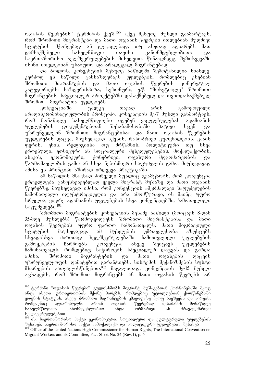ოჯახის წევრების" ტერმინის ქვეშ.<sup>100</sup> აქვე მეხუთე მუხლი განმარტავს, რომ შრომითი მიგრანტები და მათი ოჯახის წევრები ითლებიან მუდმივი სტატუსის მქონეებად ან ლეგალებად, თუ ასეთად აღიარებს მათ დამსაქმებელი სახელმწიფო თავისი კანონმდებლობითა და საერთაშორისო ხელშეკრულებების მიხედვით. წინააღმდეგ შემთხვევაში ისინი ითვლებიან უსაბუთო და არალეგალ მიგრანტებად.

და ბოლოს, კონვენციის მეხუთე ნაწილში შემოტანილია სიახლე, კერძოდ ეს ნაწილი განსაზღვრავს უფლებებს, რომლებიც ეხებიან<br>შრომითი მიგრანტების და მათი ოჯახის წევრების კონკრეტულ შრომითი მიგრანტების და მათი ოჯახის წევრების კონკრეტულ კატეგორიებს: საზღვრისპირა, სეზონური, ე.წ. "მოხეტიალე" შრომითი მიგრანტების, სპეციალურ პროექტებში დასაქმებულ და თვითდასაქმებულ შრომით მიგრანტთა უფლებებს.

კონვენციაში ცალკე თავად არის გამოყოფილი არადისკრიმინაციულობის პრინციპი. კონვენციის მე-7 მუხლი განმარტავს, რომ მონაწილე სახელმწიფოები იღებენ ვალდებულებას ადამიანის უფლებების დოკუმენტებთან შესაბამისობაში პატივი სცენ და უზრუნველყონ შრომითი მიგრანტებისაა და მათი ოჯახის წევრების უფლებების დაცვა, მიუხედავად სქესის, რასობრივი კუთვნილების, კანის ფერის, ენის, რელიგიისა თუ მრწამსის, პოლიტიკური თუ სხვა ეროვნული, ეთნიკური ან სოციალური შეხედულებების, მოქალაქეობის, ასაკის, ეკონომიკური, ქონებრივი, ოჯახური მდგომარეობის და წარმომავლობის გამო ან სხვა ნებისმიერი საფუძვლის გამო. მიუხედავად ამისა ეს პრინციპი ხშირად ირღვევა პრაქტიკაში.

ამ ნაწილის მსავსად პირველი მუხლიც გვამცნობს, რომ კონვენცია ვრცელდება განუსხვავებლად ყველა მიგრანტ მუშაზე და მათი ოჯახის წევრებზე. მიუხედავად იმისა, რომ კონვენციის ამკრძალავი საფუძვლების ჩამონათვალი ილუსტრაციულია და არა ამომწურავი, ის მაინც უფრო სრულია, ვიდრე ადამიანის უფლებების სხვა კონვენციებში, ჩამოთვლილი საფუძვლები.<sup>101</sup>

შრომითი მიგრანტების კონვენციის მესამე ნაწილი (მოიცავს 8-დან 35-მდე მუხლებს) წარმოგვიდგენს შრომითი მიგრანტებისა და მათი ოჯახის წევრების უფრო ფართო ჩამონათვალს, მათი მიგრაციული სტატუსის მიუხედავად. ამ მუხლების უმრავლესობა აზუსტებს სხვადასხვა ძირითად ხელშეკრულებაში ჩამოთვლილი უფლებების გამოყენების ჩარჩოებს. კონვენცია ასევე შეიცავს უფლებების ჩამონათვალს, რომლებიც საჭიროებს სპეციალურ დაცვას და გარდა ამისა, შრომითი მიგრანტების და მათი ოჯახების დაცვის უზრუნველყოფის დამატუბით გარანტიებს, სისტემის მექანიზმების სუსტი  $\delta$ bsრუების გათვალისწინებით.  $\delta$  მაგალითად, კონვენციის მე-15 მუხლი აცხადებს, რომ შრომით მიგრანტებს ან მათი ოჯახის წევრებს არ

 $^{100}$  ტერმინი "ოჯახის წევრები" გულისხმობს მიგრანტ მუშაკებთან ქორწინებაში მყოფ ანდა ისეთი ურთიერთობის მქონე პირებს, რომლებიც უტოლდებიან ქორწინებაში ყოფნის სტატუსს, ასევე შრომითი მიგრანტების კმაყოფაზე მყოფ ბავშვებს და პირებს,<br>რომელნიც — აღიარებულნი — არიან — ოჯახის — წევრებად — შესაბამის — მონაწილე რომელნიც აღიარებულნი არიან ოჯახის წევრებად შესა<br>სახელმწიფოთა კანონმდებლობით ანდა ორმხრივი ან  $\alpha$ ანონმდებლობით ანდა ორმხრივი ან მრავალმხრივი ხელშეკრულებებით

იხ. საერთაშორისო პაქტი ეკონომიკური, სოციალური და კულტურული უფლებების შესახებ, საერთაშორისო პაქტი სამოქალაქო და პოლიტიკური უფლებების შესახებ

<sup>102</sup> Office of the United Nations High Commissioner for Human Rights, The International Convention on Migrant Workers and its Committee, Fact Sheet No. 24 (Rev.1), p. 6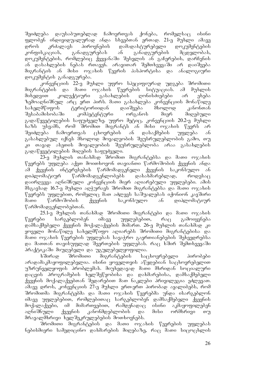შეიძლება დაუსაბუთებლად ჩამოერთვას ქონება, რომელსაც ისინი ფლობენ ინდივიდუალურად ანდა სხვებთან ერთად. 21-ე მუხლი ამავე<br>დროს კრძალავს პიროვნების დამადასტურებელი დოკუმენტების დროს კრძალავს პიროვნების დამადასტურებელი დოკუმენტების კონფისკაციას, განადგურებას ან განადგურების მცდელობას, დოკუმენტების, რომლებიც ქვეყანაში შესვლის ან გაჩერების, დარჩენის  $\delta$  დასახლების ნებას რთავენ. არავითარ შემთხვევაში არ დაიშვება მიგრანტის ან მისი ოჯახის წევრის პასპორტისა და ანალოგიური დოკუმენტის განადგურება.

კონვენციის 22-ე მუხლი უფრო სპეციფიურად უდგება შრომითი შიგრანტების და მათი ოჯახის წევრების სიტუაციას. ამ მუხლის მიხედვით კოლექტიური გასახლების ღონისძიებები არ ეხება ზემოაღნიშნულ არც ერთ პირს. მათი გასახლება კონვენციის მონაწილე<br>სახელმწიფოს — ტერიტორიიდან — დაიშვება — მხოლოდ — კანონთან სახელმწიფოს ტერიტორიიდან დაიშვება მხოლოდ შესაბამისობაში კომპეტენტური ორგანოს მიერ მიღებული გადაწყვეტილების საფუძველზე. უფრო მეტიც, კონვენციის 20.2-ე მუხლი ხაზს უსვამს, რომ შრომით მიგრანტს ან მისი ოჯახის წევრს არ შეიძლება ჩამოერთვას ცხოვრების ან დასაქმების უფლება ან გასახლებულ იქნეს მხოლოდ მოვალეობის შეუსრულებლობის გამო, თუ კი თავად ასეთის მოვალეობის შეუსრულებლობა არაა გასახლების გადაწყვეტილების მიღების საფუძველი.

23-ე მუხლის თანახმად შრომით მიგრანტებსა და მათი ოჯახის  $\nabla$ ევრებს უფლება აქვთ მოითხოვონ თავიანთი  $\nabla$ არმოშობის ქვეყნის ანდა ამ ქვეყნის ინტერესების წარმომადგენელი ქვეყნის საკონსულო ან დიპლომატიურ წარმომადგენლობებს დასახმარებლად, როდესაც დაირღვევა აღნიშნული კონვენციის მიერ აღიარებული უფლებები. ამის მსგავსად 16.7-ე მუხლი აღჭურავს შრომით მიგრანტებსა და მათი ოჯახის წევრებს უფლებით, რომელიც მათ აძლევს საშუალებას იქონიონ კავშირი მათი წარმოშობის ქვეყნის საკონსულო ან დიპლომატიურ წარმომადგენლობებთან.

25.1-ე მუხლის თანახმად შრომითი მიგრანტები და მათი ოჯახის<br>ბი სარგებლობენ იმავე უფლებებით, რაც გამოიყენება  $\mathcal{C}$ ევრები სარგებლობენ იმავე უფლებებით, რაც გამოიყენება დამსაქმებელი ქვეყნის მოქალაქეების მიმართ. 26-ე მუხლის თანახმად კი ყოველი მონაწილე სახელმწიფო აღიარებს შრომითი მიგრანტებისა და მათი ოჯახის წევრების უფლებას სავაჭრო გაერთიანებების შეხვედრებსა და მათთან თავისუფლად შეერთების უფლებას. რაც ხშირ შემთხვევაში პრაქტიკაში მიუღებელი და უგულებელყოფილია.

ხშირად შრომითი მიგრანტების საცხოვრებელი პირობები არადამაკმაყოფილებელია. ისინი ყოველთვის აწყდებიან საცხოვრებელით უზრუნველყოფის პრობლემას. მიუხედავად მათი მხრიდან სოციალური დაცვის პროგრამების ხელშეწყობისა და დახმარებისა, დამსაქმებელი  $f_3$ ეყნის მოქალაქეებთან შედარებით მათ ნაკლები პრივილეგია ეძლევათ.  $\alpha$ მავე დროს, კონვენციის 27-ე მუხლი ერთ-ერთ პირობად აყალიბებს, რომ შრომითმა მიგრანტებმა და მათი ოჯახის წევრებმა უნდა ისარგებლონ იმავე უფლებებით, რომლებითაც სარგებლობენ დამსაქმებელი ქვეყნის მოქალაქეები, იმ მიმართვებით, რამდენადაც ისინი აკმაყოფილებენ აღნიშნული ქვეყნის კანონმდებლობის და მისი ორმხრივი თუ მრავალმხრივი ხელშეკრულებების მოთხოვნებს.

შრომითი შიგრანტეპის და მათი ოჯახის წევრების უფლებას ნებისმიერი სამედიცინო დახმარების მიღებაზე, რაც მათი სიცოცხლის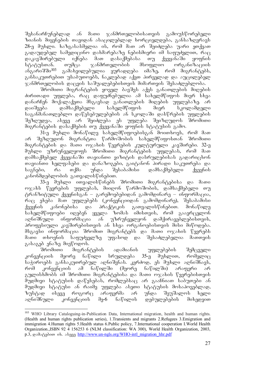"შესანარჩუნებლად ან მათი ჯანმრთელობისათვის გამოუსწორებელი ზიანის მიყენების თავიდან ასაცილებლად ხორციელდება, განსაზღვრავს 28-ე მუხლი. ხაზგასასმელია ის, რომ მათ არ შეიძლება უარი ეთქვათ გადაუდებელ სამედიცინო დახმარებაზე ნებისმიერი იმ საფუძელით, რაც<br>დაკავშირებული - იქნება - მათ - დასაქმებასა - თუ - ქვეყანაში - ყოფნის დაკავშირებული იქნება მათ დასაქმებასა თუ ქვეყანაში ყოფნის<br>სტატუსთან. თუმცა ჯანმრთელობის მსოფლიო ორგანიზაციის \_ სტატუსთან. \_\_ თუმცა \_\_ ჯანმრთელობის \_\_ მსოფლიო \_\_ ორგანიზაციის<br>ანგარიშში<sup>103</sup> \_ გამახვილებულია \_ ყურადღება \_ იმაზე, \_ რომ \_ მიგრანტებს. გამახვილებულია ყურადღება იმაზე, რომ მიგრანტებს, განსაკუთრებით უსაბუთოებს, ნაკლებად აქვთ პირველად და აუცილებელ ჯანმრთელობის დაცვის საშუალებებისთვის მიმართვის შესაძლებლობა.

შრომითი მიგრანტების ყოველ ბავშვს აქვს განათლების მიღების  $\partial$ ძირითადი უფლება, რაც დაფუძნებულია ამ სახელმწიფოს მიერ სხვა დანარჩენ მოქალაქეთა მსგავსად განათლების მიღების უფლებაზე. არ<br>დაიშვება დამსაქმებელი სახელმწიფოს მიერ სკოლამდელი დაიშვება დამსაქმებელი სახელმწიფოს მიერ სკოლამდელი საგანმანათლებლო დაწესებულებების ან სკოლაში დასწრების უფლების შეზღუდვა, ასევე არ შეიძლება ეს უფლება შეიზღუდოს შრომითი მიგრანტების დასაქმების თუ ქვეყანაში ყოფნის სტატუსის გამო.

 $31$ -ე მუხლი მონაწილე სახელმწიფოებისგან მოითხოვს, რომ მათ არ შეზღუდონ მიგრანტთა წარმოშობის სახელმწიფოსთან შრომითი მიგრანტების და მათი ოჯახის წევრების კულტურული კავშირები. 32-ე მუხლი უზრუნველყოფს შრომითი მიგრანტების უფლებას, რომ მათ დამსაქმებელ ქვეყანაში თავიანთი ვიზიტის დასრულებისას გადარიცხონ თავიანთი ხელფასები და დანაზოგები, გაიტანონ პირადი საკუთრება და საგნები, რა თქმა უნდა შესაბამისი დამსაქმებელი ქვეყნის კანონმდებლობის გათვალისწინებით.

33-ე მუხლი ითვალისწინებს შრომითი მიგრანტებისა და მათი \_<br>თჯახს წევრების უფლებას, მიიღონ წარმოშობის, დამსაქმებელი თუ ტრანზიტული ქვეყნისგან – გარემოებებიდან გამომდინარე – ინფორმაცია, რაც ეხება მათ უფლებებს (კონვენციიდან გამომდინარე), შესაბამისი ქვეყნის კანონებისა და პრაქტიკის გათვალისწინებით. მონაწილე სახელმწიფოები იღებენ ყველა ზომას იმისთვის, რომ გაავრცელონ აღნიშნული ინფორმაცია ან უზრუნველყონ დამქირავებლებისთვის, პროფესიული კავშირებისთვის ან სხვა ორგანოებისთვის მისი მიწოდება. მსგავსი ინფორმაცია შრომით მიგრანტებს და მათი ოჯახის წევრებს მათი თხოვნის საფუძველზე უფასოდ და შესაძლებელია მათთვის გასაგებ ენაზე მიეწოდოს.<br>შრომითი — მიგრან

- მიგრანტების ადამიანის უფლებების შემცველი<br>რე ნაწილი სრულდება 35-ე მუხლით, რომელიც კონვენციის მეორე ნაწილი სრულდება 35-ე მუხლით, რომელიც საჭიროებს განსაკუთრებულ აღნიშვნას. კერძოდ, ეს მუხლი აღნიშნავს, რომ კონვენციის ამ ნაწილში (მეორე ნაწილში) არაფერი არ გულისხმობს იმ შრომითი მიგრანტებისა და მათი ოჯახის წევრებისთვის  $\delta$ უდმივი სტატუსის დაწესებას, რომლებსაც არ გააჩნიათ საბუთები ან მუდმივი სტატუსი ან რაიმე უფლება ასეთი სტატუსის მოსაპოვებლად, ზუსტად ისევე როგორც არაფერმა არ უნდა შეუშალოს ხელი<br>აღნიშნული კონვენციის მე-6 ნაწილის დებულებების მიხედვით აღნიშნული კონვენციის მე-6 ნაწილის დებულებების მიხედვით

 $103\,$ <sup>103</sup> WHO Library Cataloguing-in-Publication Data, International migration, health and human rights. (Health and human rights publication series), 1.Transients and migrants 2.Refugees 3.Emigration and immigration 4.Human rights 5.Health status 6.Public policy, 7.International cooperation I.World Health Organization.,ISBN 92 4 156253 6 (NLM classification: WA 300), World Health Organization, 2003, p.3, godon-ob. as as a http://www.un-ngls.org/WHO-intl\_migration\_hhr.pdf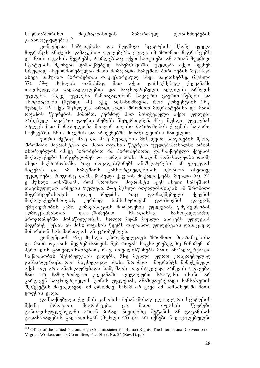საერთაშორისო მიგრაციისთვის მიმართულ ღონისძიებების განხორციელებას. $^{104}$ 

კონვენცია საბუთებისა და მუდმივი სტატუსის მქონე ყველა მიგრანტს ანიჭებს დამატებით უფლებებს. ყველა იმ შრომით მიგრანტებს და მათი ოჯახის წევრებს, რომლებსაც აქვთ საბუთები ან არიან მუდმივი  $\alpha$  uponeni damba kama aqalayda badan saxeman aqqaba aqqaba aqqaba aqqaba aqqaba adamsada adamsan aqqaba adamsan a სრულად ინფორმირებულნი მათი მომავალი სამუშაო პირობების შესახებ. ასევე სამუშაო პირობებთან დაკავშირებულ სხვა საკითხებზე. (მუხლი<br>37). 39-ე მუხლის თანახმად მათ აქვთ დამსაქმებელ ქვეყანაში 37). 39-ე მუხლის თანახმად მათ აქვთ დამსაქმებელ ქვეყანაში თავისუფლად გადაადგილების და საცხოვრებელი ადგილის არჩევის უფლება, ასევე უფლება ჩამოაყალიბონ სავაჭრო გაერთიანებები და  $\sigma$ ასოციაციები (მუხლი 40). აქვე აღსანიშნავია, რომ კონვენციის 26-ე მუხლს არ აქვს შეზღუდვა არალეგალი შრომითი მიგრანტებისა და მათი ოჯახის წევრების მიმართ, კერძოდ მათ მინიჭებული აქვთ უფლება არსებულ სავაჭრო გაერთიანებებს შეუერთდნენ. 41-ე მუხლი უფლებას აძლევს მათ მონაწილეობა მიიღონ თავისი წარმოშობის ქვეყნის საჯარო საქმეებში, ხმის მიცემის და არჩევნებში მონაწილეობის ჩათვლით.

უფრო მეტიც, 43-ე და 45-ე მუხლების მიხედვით საბუთების მქონე შრომითი მიგრანტები და მათი ოჯახის წევრები უფლებამოსილნი არიან  $\sigma$ ისარგებლონ იმავე პირობებით რა პირობებითა $\alpha$  დამსაქმებელი ქვეყნის მოქალაქეები სარგებლობენ და გარდა ამისა მიიღონ მონაწილეობა რაიმე ისეთ საქმიანობაში, რაც ითვალისწინებს ანაზღაურების ან ჯილდოს მიცემას და ამ სამუშაოს განხორციელებისას იქონიონ ისეთივე უფლებები, როგორც დამსაქმებელი ქვეყნის მოქალაქეებს (მუხლი 55). 52ე მუხლი აღნიშნავს, რომ შრომით მიგრანტს აქვს ასეთი სამუშაოს თავისუფლად არჩევის უფლება. 54-ე მუხლი ითვალისწინებს ამ შრომითი მიგრანტებისთვის იგივე რეჟიმს, რაც დამსაქმებელი ქვეყნის მოქალაქეებისათვის, კერძოდ სამსახურიდან დათხოვნის დაცვას, უმუშევრობის გამო კომპენსაციის მოთხოვნის უფლებას, უმუშევრობის აღმოფხვრასთან დაკავშირებით სხვადასხვა საზოგადოებრივ პროგრამებში მონაწილეობას, ხოლო მე-18 მუხლი ანიჭებს უფლებას მიგრანტ მუშას ან მისი ოჯახის წევრს თავიანთი უფლებების დასაცავად მიმართონ სასამართლოს ან ტრიბუნალს.

კონვენციის 49-ე მუხლი უზრუნველყოფს შრომითი მიგრანტებისა და მათი ოჯახის წევრებისათვის ნებართვას საცხოვრებელზე მინიმუმ იმ  $\delta$ ერიოდის გათვალისწინებით, რაც ითვალისწინებს მათი ანაზღაურებადი საქმიანობის შესრულების ვადებს. 51-ე მუხლი უფრო კონკრეტულად განსაზღვრავს, რომ მიუხედავად იმისა შრომით \_ მიგრანტს მინიჭებული აქვს თუ არა ანაზღაურებადი სამუშაოს თავისუფლად არჩევის უფლება, მათ არ ჩამოერთმევათ ქვეყანაში ლეგალური სტატუსი. ისინი არ კარგავენ საცხოვრებელის ქონის უფლებას, ანაზღაურებადი სამსახურის შეწყვეტის მიუხედავად იმ დრომდე, სანამ არ გავა ამ სამსახურში მათი yოფნის ვადა.

დამსაქმებელი ქვეყნის კანონის შესაბამისად ლეგალური სტატუსის მქონე შრომითი მიგრანტები და მათი ოჯახის წევრები განთავისუფლებულნი არიან პირად ნივთებზე შეტანის ან გატანისას გადასახადების გადახდისგან (მუხლი 46) და არ იქნებიან დავალებულნი

<sup>-</sup><sup>104</sup> Office of the United Nations High Commissioner for Human Rights, The International Convention on Migrant Workers and its Committee, Fact Sheet No. 24 (Rev.1), p. 8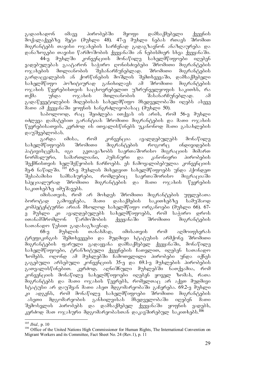გადაიხადონ იმავე პირობებში მყოფი დამსაქმებელი ქვეყნის მოქალაქეებზე მეტი (მუხლი 48). 47-ე მუხლი ნებას რთავს შრომით მიგრანტებს თავისი ოჯახების სარჩენად გადაგზავნონ ანაზღაურება და დანაზოგები თავისი წარმოშობის ქვეყანაში ან ნებისმიერ სხვა ქვეყანაში.<br>1916 - მუხლში კონვენციის მონაწილე სახელმწიფოები იღებენ

44-ე მუხლში კონვენციის მონაწილე სახელმწიფოები იღებენ ვადებულებას გაატარონ საჭირო ღონისძიებები შრომითი მიგრანტების<br>ოჯახების მთლიანობის შესანარჩუნებლად. შრომითი მიგრანტების  $\overline{p}$ ოჯახების მთლიანობის შესანარჩუნებლად. შრომითი მიგრანტების გარდაცვალების ან ქორწინების მოშლის შემთხვევაში, დამსაქმებელი<br>სახელმწიფო პოზიტიურად განიხილავს ამ შრომითი მიგრანტების სახელმწიფო პოზიტიურად განიხილავს ამ შრომითი ოჯახის წევრებისთვის საცხოვრებელით უზრუნველყოფის საკითხს, რა<br>თქმა – უნდა – ოჯახის – მთლიანობის – შასანარჩუნებლად. – ამ  $\sigma$ ქმა უნდა ოჯახის მთლიანობის შასანარჩუნებლად. ამ გადაწყვეტილების მიღებისას სახელმწიფო მხედველობაში იღებს ასევე  $\delta$ ათი ამ ქვეყანაში ყოფნის ხანგრძლივობასაც (მუხლი 50).

 $b$ აპოლოოდ, რა $\alpha$  შეიძლება ითქვას ის არის, რომ 56-ე მუხლი იძლევა დამატებით გარანტიას შრომითი მიგრანტების და მათი ოჯახის  $\nabla$ ევრებისათვის, კერძოდ ის ითვალის $\nabla$ ინებს უკანონოდ მათი გასახლების დაუშვებლობას.

გარდა იმისა, რომ კონვენცია ავალდებულებს მონაწილე სახელმწიფოებს შრომითი მიგრანტების როგორც ინდივიდების პატივისცემას, იგი გვთავაზობს საერთაშორისო მიგრაციის მიმართ<br>ნორმალური, სამართლიანი, ჰუმანური და კანონიერი პირობების ნორმალური, სამართლიანი, პუმანური და კანონიერი პირობების შექმნისთვის ხელშეწყობის ჩარჩოებს. ეს ჩამოყალიბებულია კონვენციის მე-6 ნაწილში. <sup>105</sup> 65-ე მუხლის მიხედვით სახელმწიფოებს უნდა ჰქონდეთ<br>შესაბამისი სამსახურები, რომლებიც საერთაშორისო მიგრაციაში  $\mathfrak{F}_0$ საბამისი სამსახურები, რომლებიც საერთაშორისო მიგრაციაში სპეციალურად შრომითი მიგრანტების და მათი ოჯახის წევრების საკითხებზე იმუშავებს.

იმისათვის, რომ არ მოხდეს შრომითი მიგრანტების უფლებათა ბოროტად გამოყენება, მათი დასაქმების საკითხებზე სამუშაოდ კომპეტენტურნი არიან მხოლოდ სახელმწიფო ორგანოები (მუხლი 66). 67ე მუხლი კი ავალდებულებს სახელმწიფოებს, რომ საჭირო დროს ითანამშრომლონ წარმოშობის ქვეყანაში შრომითი მიგრანტების  $b$ ათანადო წესით გადასაგზავნად.

68-ე მუხლის თანახმად, იმისათვის რომ აღმოიფხვრას ტრეფიკინგის შემთხვევები და მუდმივი სტატუსის არმქონე შრომითი მიგრანტების ფარული გადაყვანა დამსაქმებელ ქვეყანაში, მონაწილე სახელმწიფოები, ტრანზიტული ქვეყნების ჩათვლით, იღებენ სათანადო ზომებს. ოღონდ ამ მუხლებში ჩამოთვლილი პირობები უნდა იქნეს გაგებული არსებული კონვენციის 35-ე და 69.1-ე მუხლების პირობების გათვალისწინებით. კერძოდ, აღნიშნული მუხლებში ნათქვამია, რომ კონვენციის მონაწილე სახელმწიფოები იღებენ ყოველ ზომას, რათა მიგრანტებს და მათი ოჯახის წევრებს, რომელთაც არ აქვთ მუდმივი სტატუსი არ დაუშვან მათი ასეთ მდგომარეობაში გაჩერება. 69.2-ე მუხლი კი ადგენს, რომ მონაწილე სახელმწიფოები შრომითი მიგრანტების<br>\_ასეთი მდგომარეობის განხილვისას მხედველობაში იღებენ მათი ასეთი მდგომარეობის განხილვისას მხედველობაში იღებენ მათი შემოსვლის პირობებს და დამსაქმებელ ქვეყანაში ყოფნის ვადებს, კერძოდ მათ ოჯახური მდგომარეობასთან დაკავშირებულ საკითხებს.<sup>106</sup>

<sup>&</sup>lt;u>.</u> <sup>105</sup> *Ibid.,* p. 10

<sup>&</sup>lt;sup>106</sup> Office of the United Nations High Commissioner for Human Rights, The International Convention on Migrant Workers and its Committee, Fact Sheet No. 24 (Rev.1), p. 11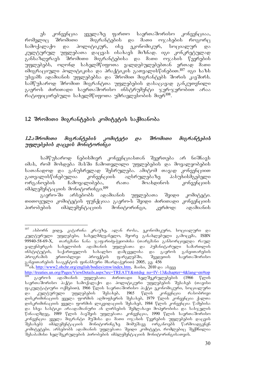ეს კონვენცია ყველაზე ფართო საერთაშორისო კონვენციაა, რომელიც შრომითი — მიგრანტების და მათი ოჯახების როგორც სამოქალაქო და პოლიტიკურ, ისე ეკონომიკურ, სოციალურ და კულტურულ უფლებათა დაცვას ისახავს მიზნად. იგი კონკრეტულად განსაზღვრავს შრომითი მიგრანტებისა და მათი ოჯახის წევრების უფლებებს, ოღონდ სახელმწიფოთა ვალდებულებებთან ერთად მათი  $\sigma$ უსვამს ადამიანის უფლებებსა და შრომით მიგრანტებს შორის კავშირს. სამწუხაროდ შრომით მიგრანტთა უფლებების დასაცავად განკუთვნილი გაეროს ძირითადი საერთაშორისო ინსტრუმენტი ჯერ-ჯერობით არაა რატიფიცირებული სახელმწიფოთა უმრავლესობის მიერ $^{108}$ .

### 1.2 შრომითი მიგრანტების კომიტეტის საქმიანობა

#### 1.2.აშრომითი მიგრანტების კომიტეტი და შრომითი მიგრანტების mggmgdgdob goggob daboganobao

სამწუხაროდ ნებისმიერ კონვენციასთან შეერთება არ ნიშნავს იმას, რომ მოხდება მასში ჩამოთვლილი უფლებების და მოვალეობების სათანადოდ და განუხრელად შესრულება. ამიტომ თავად კონვენციით გათვალისწინებულია კონვენციის აღსრულებაზე პასუხისმგებელი ორგანოების ჩამოყალიბება, რათა მოახდინოს კონვენციის იმპლემენტაციის მონიტორინგი. $^{109}$ 

გაერო-ში არსებობს ადამიანის უფლებათა შვიდი კომიტეტი. თითოეული კომიტეტის ფუნქციაა გაერო-ს შვიდი ძირითადი კონვენციის პირობების იმპლემენტაციის მონიტორინგი, კერძოდ: ადამიანის

<sup>107</sup> ასბორნ ეიდე, კატარინა კრაუზე, ალან როსა, ეკონომიკური, სოციალური და კულტურული უფლებები, სახელმძღვანელო, მეორე განახლებული გამოცემა, ISBN 99940-58-69-X, თარგმანი ნანა ჯაფარიძე-ჭყიოძისა (თარგმანი განხორციელდა რაულ ვალენბერგის სახელობის ადამიანის უფლებათა და ჰუმანიტარული სამართლის<br>ინსტიტუტის, საქართველოს სახალხო დამცველისა და გაეროს განვითარების ინსტიტუტის, საქართველოს სახალხო დამცველისა და გაეროს განვითარების<br>პროგრამის ერთობლივი პროექტის ფარგლებში, შვედეთის საერთაშორისო პროგრამის ერთობლივი პროექტის ფარგლებში, შვედეთის საერთაშორისო განვითარების სააგენტოს ფინანსური მხარდაჭერით) 2005, გვ. 456

<sup>&</sup>lt;sup>108</sup>ob. http://www2.ohchr.org/english/bodies/cmw/index.htm, doobo, 2010 goo sb<sub>030</sub>

http://treaties.un.org/Pages/ViewDetails.aspx?src=TREATY&mtdsg\_no=IV-13&chapter=4&lang=en#top<br><sup>109</sup> გაერო-ს ადამიანის უფლებათა ძირითადი ხელშეკრულებების (1966 წლის საერთაშორისო პაქტი სამოქალაქო და პოლიტიკური უფლებების შესახებ (თავისი .<br>ფაკულტატიური ოქმებით), 1966 წლის საერთაშორისო პაქტი ეკონომიკური, სოციალური<br>და \_ კულტურული \_ უფლებების \_ შესახებ, \_ 1965 \_ წლის \_ კონვენცია \_ რასობრივი და კულტურული უფლებების შესახებ, 1965 წლის კონვენცია რასობრივი დისკრიმინაციის ყველა ფორმის აღმოფხვრის შესახებ, 1979 წლის კონვენცია ქალთა დისკრიმინაციის ყველა ფორმის ლიკვიდაციის შესახებ, 1984 წლის კონვენცია წამებისა და სხვა სასტიკი არაადამიანური ან ღირსების შემლახავი მოპერობისა და სასჯელის წინააღმდეგ, 1989 წლის ბავშვის უფლებათა კონვენცია, 1990 წლის საერთაშორისო კონვენცია ყველა მიგრანტი მუშისა და მათი ოჯახის წევრების უფლებების დაცვის შესახებ) იმპლემენტაციის მონიტორინგზე მომუშავე ორგანოებს წარმოადგენენ კომიტეტები. არსებობს ადამიანის უ<mark>ფლებათა შვიდი კომიტეტი, რომლებიც შექმ</mark>ნილია ്მესაბაშისი ხელშეკრულების პირობების იმპლემენტაციის მონიტორინგისათვის.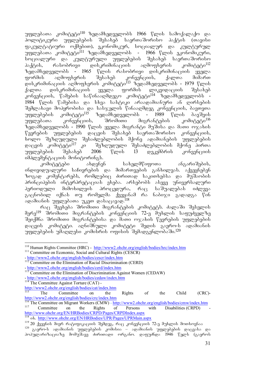უფლებათა კომიტეტი<sup>110</sup> ზედამხედველობს 1966 წლის სამოქალაქო და პოლიტიკური უფლებების შესახებ საერთაშორისო პაქტის (თავისი ფაკულტატიური ოქმებით), ეკონომიკურ, სოციალურ და კულტურულ უფლებათა კომიტეტი<sup>III</sup> ზედამხედველობს - 1966 წლის ეკონომიკური, .<br>არციალური და კულტურული უფლებების შესახებ საერთაშორისო პაქტის, რასობრივი დისკრიმინაციის აღმოფხვრის კომიტეტი<sup>112</sup> ზედამხედველობს - 1965 წლის რასობრივი დისკრიმინაციის ყველა ფორმის აღმოფხვრის შესახებ კონვენციის, ქალთა მიმართ დისკრიმინაციის აღმოფხვრის კომიტეტი<sup>113</sup> ზედამხედველობს - 1979 წლის ქალთა დისკრიმინაციის ყველა ფორმის ლიკვიდაციის შესახებ კონვენციის, წამების საწინააღმდეგო კომიტეტი<sup>114</sup> ზედამხედველობს -1984 წლის წამებისა და სხვა სასტიკი არაადამიანური ან ღირსების  $\partial \mathcal{A}$ მემლახავი მოპყრობისა და სასჯელის წინააღმდეგ კონვენციის, ბავთვთა უფლებეპის კომიტეტი<sup>115`</sup> ზედამხედველობს - 1989 წლის ბავშვის<br>უფლებათა კონვენციის, შრომითი მიგრანტების კომიტეტი<sup>116</sup> უფლებათა კონვენციის, შრომითი მიგრანტების ზედამხედველობს - 1990 წლის ყველა მიგრანტი მუშისა და მათი ოჯახის<br>წევრების უფლებების დაცვის შესახებ საერთაშორისო კონვენციის,  $\nabla$ ევრების უფლებების დაცვის შესახებ საერთაშორისო კონვენციის, ხოლო შეზღუღული შესაძლებლობის მქონე ადამიანების უფლებების<br>დაცვის კომიტეტი<sup>117</sup> კი შეზღუდული შესაძლებლობის მქონე პირთა შეზღუდული შესაძლებლობის მქონე პირთა<br>006 წლის 13 დეკემბრის კონვენციის  $m$  $0.03$ ლემენტა $(3.001 \overline{a})$ მონიტორინგს.

კომიტეტები — ახდენენ — სახელმწიფოთა — ანგარიშების,  $\sigma$ ნდივიდუალური საჩივრების და მიმართვების განხილვას. აქვეყნებენ ზოგად კომენტარებს, რომლებიც ძირითად საკითხებსა და მუშაობის პრინციპების ინტერპრეტაციას ეხება. არსებობს ასევე უნივერსალური პერიოდული მიმოხილვის პროცედურა, რაც საშუალებას იძლევა გაცნობილ იქნას თუ რომელმა ქვეყანამ რა ნაბიჯი გადადგა წინ agadosbob უფლებათა უკეთ დასაცავად.<sup>118</sup>

რაც შეეხება შრომითი მიგრანტების კომიტეტს. ძალაში შესვლის მერე $^{119}$  შრომითი მიგრანტების კონვუნციის 72-ე შუხლის საფუძველზე შეიქმნა შრომითი მიგრანტებისა და მათი ოჯახის წევრების უფლებების დაცვის კომიტეტი. აღნიშნული კომიტეტი შედის გაერო-ს ადამიანის უფლებების უმაღლესი კომისრის ოფისის შემადგენლობაში. $^{120}$ 

<sup>-</sup><sup>110</sup> Human Rights Committee (HRC) - <u>http://www2.ohchr.org/english/bodies/hrc/index.htm</u> 1<sup>11</sup> Committee on Economic, Social and Cultural Rights (CESCR)

<sup>-</sup> http://www2.ohchr.org/english/bodies/cescr/index.htm

<sup>&</sup>lt;sup>-</sup> Hup.//www.c.org/committee on the Elimination of Racial Discrimination (CERD)

<sup>-</sup> http://www2.ohchr.org/english/bodies/cerd/index.htm

<sup>&</sup>lt;sup>113</sup> Committee on the Elimination of Discrimination Against Women (CEDAW)

<sup>-</sup> http://www2.ohchr.org/english/bodies/cedaw/index.htm

<sup>&</sup>lt;sup>114</sup> The Committee Against Torture (CAT) -

http://www2.ohchr.org/english/bodies/cat/index.htm<br>The Committee on the

<sup>&</sup>lt;sup>115</sup> The Committee on the Rights of the Child (CRC)http://www2.ohchr.org/english/bodies/crc/index.htm

<sup>&</sup>lt;sup>116</sup> The Committee on Migrant Workers (CMW) - http://www2.ohchr.org/english/bodies/cmw/index.htm<br><sup>117</sup> Committee on the Rights of Persons with Disabilities (CRPD) 117 Committee on the Rights of Persons with Disabilities (CRPD) http://www.ohchr.org/EN/HRBodies/CRPD/Pages/CRPDIndex.aspx

ob. http://www.ohchr.org/EN/HRBodies/UPR/Pages/UPRMain.aspx

<sup>119 20</sup> ქვეყნის მიერ რატიფიკაციის შემდეგ, რაც კონვენციის 72-ე მუხლის მოთხოვნაა 120 გაერო-ს ადამიანის უფლებების კოშისია – ადამიანის უფლებების დაცვასა და

პოპულარიზაციაზე მომუშავე ძირითადი ორგანო. დაფუძნდა 1946 წელს (გაეროს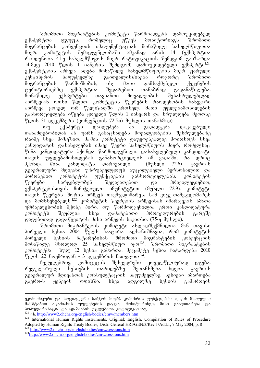შრომითი მიგრანტების კომიტეტი წარმოადგენს დამოუკიდებელ ექსპერტთა ჯგუფს, რომელიც უწევს მონიტორინგს შრომითი<br>მიგრანტების კონვენციის იმპლემენტაციას მონაწილე სახელმწიფოთა მიგრანტების კონვენციის იმპლემენტაციას მონაწილე სახელმწიფოთა<br>მიერ. კომიტეტის შემადგენლობაში ამჟამად არის 14 (ექსპერტთა მიერ. კომიტეტის შემადგენლობაში ამჟამად არის 14 რაოდენობა 41-ე სახელმწიფოს მიერ რატიფიკაციის შემდგომ გაიზარდა 14-მდე 2010 წლის 1 იანვრის შემდგომ) დამოუკიდებელი ექსპერტი<sup>121</sup>. ექსპერტების არჩევა ხდება მონაწილე სახელმწიფოების მიერ ფარული<br>კენჭისყრის საფუძველზე. გაითვალისწინება როგორც შრომითი kenWisyris safuZvelze. gaiTvaliswineba rogorc SromiTi შიგრანტების წარმოშობის, ისე მათი დამსაქმებელი ტერიტორიებზე ექსპერტთა შედარებით თანაბრად გადანაწილება. შონაწილე ექსპერტები თავიანთი მოვალეობის შესასრულებლად  $\sim$ აირჩევიან ოთხი წლით. კომიტეტის წევრების რაოდენობის ნახევარი აირჩუვა ყოველ ორ წელიწადში ერთხელ. მათი უფლებამოსილების განხორციელება იწყება ყოველი წლის 1 იანვარს და სრულდება მეოთხე  $\sqrt[n]{\infty}$ ის 31 დეკემბერს (კონვენციის 72.5.a) მუხლის თანახმად).<br>თუ სიქსპერტი დაიღუპება ან გადადგება

თუ ექსპერტი დაიღუპება ან გადადგება დაკავებული თანამდებობიდან ან უარს განაცხადებს მოვალეობების შესრულებაზე რაიმე სხვა მიზეზით, მაშინ კომიტეტი დაუყოვნებლივ მოითხოვს სხვა კანდიდატის დასახელებას იმავე წევრი სახელმწიფოს მიერ, რომელსაც წინა კანდიდატურა პქონდა წარმოდგენილი. დასახელებული კანდიდატი თავის უფლებამოსილებას განახორციელებს იმ ვადაში, რა დროც<br>ჰქონდა წინა კანდიდატს დარჩენილი. (მუხლი 72.6). გაერო-ს  $\delta$ ქონდა წინა კანდიდატს დარჩენილი. (მუხლი 72.6). გაერო-ს გენერალური მდივანი უზრუნველყოფს აუცილებელი პერსონალით და პირობებით კომიტეტის ფუნქციების განხორციელებას. კომიტეტის წევრები სარგებლობენ შეღავათებით და პრივილეგიებით, ექსპერტებისთვის მინიჭებული იმუნიტეტით (მუხლი 72.9). კომიტეტი  $\sigma$ თავის წევრებს შორის ირჩევს თავმჯდომარეს, სამ ვიცე-თამვჯდომარეს და მომხსუნუბელს. $^{122}$  კომიტუტის წუვრების არჩევისას იმარჯვუბს ხმათა უმრავლესობის მქონე პირი. თუ წარმოდგენილია ერთი კანდიდატურა<br>კომიტეტს შეუძლია სხვა დამატებითი პროცედურების გარეშე .<br>"ომიტეტს შეუძლია სხვა დამატებითი პროცედურების გარეშე დადებითად გადაწყვიტოს მისი არჩევის საკითხი. (75-ე მუხლი).

შრომითი მიგრანტების კომიტეტი ახლადშექმნილია, მან თავისი პირველი სესია 2004 წელს ჩაატარა. აღსანიშნავია, რომ კომიტეტის<br>პირველი სესიის ჩატარებისას შრომითი მიგრანტების კონვენციის პირველი სესიის ჩატარებისას შრომითი მიგრანტების მონაწილე მხოლოდ 25 სახელმწიფო იყო $^{123}$ . შრომითი მიგრანტუბის კომიტეტშა სულ 12 სესია გამართა. მეცამეტე სესია ჩატარდება 2010  $\degree$ ლის 22 ნოემრიდან - 3 დეკემბრის ჩათვლით $^{124}$ .

ჩვეულებრივ, კომიტეტის შეხვედრები ყოველწლიურად დგება. რეგულარული სესიების თარიღებზე შეთანხმება ხდება გაერო-ს გენერალურ მდივანთან კონსულტაციის საფუძველზე. სესიები იმართება გაერო-ს ჟენევის ოფისში. სხვა ადგილზე სესიის გამართვის

ეკონომიკური და სოციალური საბჭოს მიერ). კომისრის ფუნქციებში შედის მსოფლიო ขึงไม่ปีคิงอิงัต อุติงฮิดง6งไม่ ๆที่พี่ตากอิงได้ไม่ ตั้งเวลา ขึ้นข้อคิดคัดคัดอิงัก ขึ้นให้การเจ้า ตั้ง პოპულარიზაცია და ადამიანის უფლებათა კოდიფიკაციაც.<br><sup>121</sup> ob. http://www2.ohchr.org/english/bodies/cmw/members.htm

<sup>&</sup>lt;sup>122</sup> International Human Rights Instruments, Original: English, Compilation of Rules of Procedure Adopted by Human Rights Treaty Bodies, Distr. General HRI/GEN/3/Rev.1/Add.1, 7 May 2004, p. 8<br><sup>123</sup> http://www2.ohchr.org/english/bodies/cmw/sessions.htm

<sup>123</sup> http://www2.ohchr.org/english/bodies/cmw/sessions.htm 124http://www2.ohchr.org/english/bodies/cmw/sessions.htm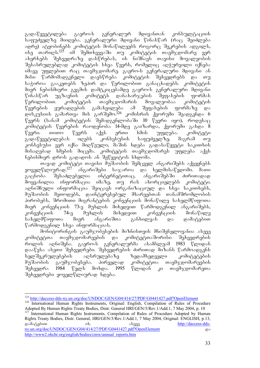გადაწყვეტილება გაერო-ს გენერალურ მდივანთან კონსულტაციის საფუძველზე მიიღება. გენერალური მდივანი წინასწარ (რაც შეიძლება  $\alpha$ დრე) ატყობინებს კომიტეტის მონაწილეებს როგორც შეკრების ადგილს,  $\frac{1}{125}$  თარიღს. $^{125}$  ი $\frac{1}{2}$  შეშთხვევაში თუ კომიტეტის თავმჯდომარე ვერ ონი მინისა.<br>ახერხებს შეხვედრაზე დასწრებას, ის ნიშნავს თავისი მოვალეობის შესასრულებლად კომიტეტის სხვა წევრს, რომელიც აღჭურვილი იქნება  $\alpha$ da $\alpha$  799 mare. 698 mare.  $\alpha$ მისი წარმომადგენელი დაესწრება კომიტეტის შეხვედრებს და თუ საჭიროა გააკეთებს ზეპირ და წერილობით განაცხადებს. კომიტეტის მიერ ნებისმიერი გეგმის დამტკიცებამდე გაერო-ს გუნერალური მდივანი<br>წინასწარ უგზავნის კომიტეტს დანახარჯების შეფასების ფორმას  $\mathfrak F$ ინასწარ უგზავნის კომიტეტს დანახარჯების შეფასების ფორმას წერილობით. კომიტეტის თავმჯდომარის მოვალეობაა კომიტეტის<br>წევრების ყურადღების გამახვილება ამ შეფასების ფორმაზე და წევრების ყურადღების გამახვილება ამ შეფასების ფორმაზე და  $\frac{1}{26}$ დისკუსიის გამართვა მის გარშემო. $^{126}$  კომისრის ქვორუმი შეადგენდა 6  $\sqrt[p]{33}$ რს (სანაშ კომიტეტის შემადგენლობაში 10  $\sqrt[p]{33}$ რი იყო), როდესაც კომიტეტის წევრების რაოდენობა 14-მდე გაიზარდა, ქვორუმი გახდა 8 წევრი. თითო წევრს აქვს ერთი ხმის უფლება. კომიტეტი გადაწყვეტილებას იღებს კონსესუსის საფუძველზე, მაგრამ თუ კონსესუსი ვერ იქნა მიღწეული, მაშინ ხდება გადასაწყვეტი საკითხის მისაღებად ხმების მიცემა. კომიტეტის თავმჯდომარეს უფლება აქვს  $5a$ ბისმიერ დროს გადადოს ან შეწყვიტოს სხდომა.

თავად კომიტეტი თავისი მუშაობის შემცველ ანგარიშებს აქვეყნებს  $\gamma$ ოველწლიურად. $^{127}$  ანგარიშები საჯაროა და ხელმისაწვდომი. მათი გაცნობა შესაძლებელია ინტერნეტითაც. ანგარიშებში ძირითადად მოყვანილია ინფორმაცია იმაზე, თუ რას ახორციელებს კომიტეტი. აღნიშნული ინფორმაცია შეიცავს ორგანიზაციულ და სხვა საკითხებს, მუშაობის მეთოდებს, დაინტერესებულ მხარეებთან თანამშრომლობის პირობებს, შრომითი მიგრანტების კონვენციის მონაწილე სახელმწიფოთა მიერ კონვენციის 73-ე მუხლის მიხედვით წარმოდგენილ ანგარიშებს,<br>კონვენციის 74-ე მუხლის მიხედვით კონვენციის მონაწილე კონვენციის 74-ე მუხლის მიხედვით კონვენციის მონაწილე სახელმწიფოთა მიერ ანგარიშთა განხილვას და დამატებით  $\nabla$ არმოდგენილ სხვა ინფორმაციას.

მონიტორინგის გაუმჯობესების მიზნისთვის მნიშვნელოვანია ასევე კომიტეტთა თავმჯდომარეების და კომიტეტთაშორისი შეხვედრების როლის აღნიშვნა. გაერო-ს გენერალურმა ასამბლეამ 1983 წლიდან daawesa aseTi Sexvedrebi. Sexvedrebis ZiriTad mizans warmoadgens kaლშეკრულებების აღსრულებაზე ზედამხედველი მუშაობის გაუმჯობესება. პირველად კომიტეტთა თავმჯდომარეების შეხვედრა 1984 წელს მოხდა. 1995 წლიდან კი თავმჯდომარეთა შეხვედრები ყოველწლიურად ხდება.

<sup>-</sup><sup>125</sup> http://daccess-dds-ny.un.org/doc/UNDOC/GEN/G04/414/27/PDF/G0441427.pdf?OpenElement

<sup>&</sup>lt;sup>126</sup> International Human Rights Instruments, Original: English, Compilation of Rules of Procedure Adopted By Human Rights Treaty Bodies, Distr. General HRI/GEN/3/Rev.1/Add.1, 7 May 2004, p. 10 <sup>127</sup> International Human Rights Instruments, Compilation of Rules of Procedure Adopted by Human Rights Treaty Bodies, Distr. General, HRI/GEN/3/Rev.1/Add.1, 7 May 2004, Original: ENGLISH, p.13, damatebiT ix. aseve http://daccess-ddsny.un.org/doc/UNDOC/GEN/G04/414/27/PDF/G0441427.pdf?OpenElement gos http://www2.ohchr.org/english/bodies/cmw/annual\_reports.htm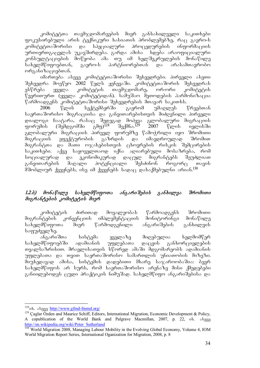კომიტეტთა თავმჯდომარეების მიერ განსახილველი საკითხები ფოკუსირებული არის ტექნიკური ხასიათის პრობლემებზე, რაც გაერო-ს<br>კომიტეტთაშორისი \_ და \_ სპეციალური \_ პროცედურების \_ ინფორმაციის  $\mu$ თმიტეტთაშორისი და სპეციალური პროცუდურების ინფორმაციის ურთიერთგაცვლას უკავშირდება. გარდა ამისა — ხდება არაოფიციალური კონსულტაციების მოწყობა ამა თუ იმ ხელშეკრულების მონაწილე<br>სახელმწიფოებთან, გაერო-ს პარტნიორებთან და არასამთავრობო სახელმწიფოებთან, გაერო-ს პარტნიორებთან და არასამთავრობო ორგანიზაციებთან.

იმართება ასევე კომიტეტთაშორისი შეხვედრები. პირველი ასეთი შეხვედრა მოეწყო 2002 წელს ჟენევაში. კომიტეტთაშორის შეხვედრას ესწრება ყველა კომიტეტის თავმჯდომარე, ორ-ორი კომიტეტის წევრითურთ (ყველა კომიტეტიდან). სამუშაო მეთოდების ჰარმონიზაცია წარმოადგენს კომიტეტთაშორისი შეხვედრების მთავარ საკითხს.<br>"2006 წლის — სექტემბერში — გაერომ — უმაოლეს

სექტემბერში გაერომ უმაღლეს წრეებთან საერთაშორისო მიგრაციისა და განვითარებისთვის მიძღვნილი პირველი დიალოგი ჩაატარა, რასაც შედეგად მოჰყვა გლობალური მიგრაციის<br>ფორუმის (შემდგომში გმფ<sup>)128</sup> შექმნა.<sup>129</sup> 2007 წლის ივლისში ფორუმის (შემდგომში გმფ)<sup>128</sup> შექმნა.<sup>129</sup> 2007 წლის ივლისში გლობალური მიგრაციის პირველ ფორუმზე წამოჭრილი იყო შრომითი<br>მიგრაციის ეფექტურობის გაზრდის და იმავდროულად შრომით მიგრაციის ეფექტურობის გაზრდის და იმავდროულად შრომით შიგრანტთა და მათი ოჯახებისთვის ცხოვრების რისკის შემცირების საკითხები. აქვე საყოველთაოდ იქნა აღიარებული მოსაზრება, რომ სოციალურად და ეკონომიკურად დაცულ მიგრანტებს შეუძლიათ განვითარების მაღალი პოტენციალი შესძინონ როგორც თავის  $\partial\overline{\partial}$  ariangleynebs,  $\overline{\partial}$  and  $\overline{\partial}$  and  $\overline{\partial}$  and  $\overline{\partial}$  are  $\overline{\partial}$  are  $\overline{\partial}$  are  $\overline{\partial}$ .130

#### 1.2.ბ) მონაწილე სახელმწიფოთა ანგარიშების განხილვა შრომითი მიგრანტების კომიტეტის მიერ

კომიტეტის ძირითად მოვალეობას წარმოადგენს შრომითი მიგრანტების კონვენციის იმპლემენტაციის მონიტორინგი მონაწილე<br>სახელმწიფოთა მიერ წარმოდგენილი ანგარიშების განხილვის სახელმწიფოთა მიერ წარმოდგენილი ანგარიშების განხილვის საფუძველზე.

ანგარიშთა სისტემა ყველაზე მიღებულია ხელმომწერ<br>ამწიფოებში ადამიანის უფლებათა დაცვის განხორციელების სახელმწიფოებში ადამიანის უფლებათა დაცვის განხორციელების თვალსაზრისით. მრავლისათვის სწორედ ამაში მდგომარეობს ადამიანის უფლებათა და თვით საერთაშორისო სამართლის უნიათობის მიზეზი. მიუხედავად ამისა, სისტემის დადებითი მხარე საჯაროობაშია: ბევრ სახელმწიფოს არ სურს, რომ საერთაშორისო არენაზე მისი ქმედებები განიილებოდეს ცუდი პრაქტიკის ნიმუშად. სახელმწიფო ანგარიშებისა და

<sup>&</sup>lt;sup>128</sup>ob. ab<sub>030</sub> http://www.gfmd-fmmd.org/

<sup>&</sup>lt;sup>129</sup> Caglar Özden and Maurice Schiff, Editors, International Migration, Economic Development & Policy, A copublication of the World Bank and Palgrave Macmillan, 2007, p. 22, ob.  $\delta$ k. http://en.wikipedia.org/wiki/Peter\_Sutherland

<sup>130</sup> World Migration 2008, Managing Labour Mobility in the Evolving Global Economy, Volume 4, IOM World Migration Report Series, International Oganization for Migration, 2008, p. 8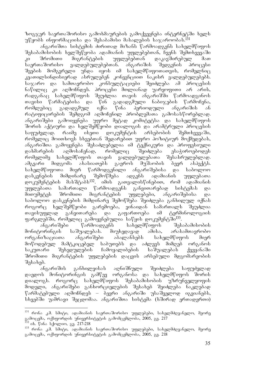ზოგჯერ საერთაშორისო გამოხმაურების გამოქვეყნება ინტერნეტში ხელს უწყობს ინფორმაციისა და შესაბამისი მასალების საჯაროობას. $^{131}$ 

 $\sigma$ გარიშთა სისტემის ძირითად მიზანს წარმოადგენს სახელმწიფოს შესაბამისობის ხელშეწყობა ადამიანის უფლებებთან, ჩვენს შემთხვევაში კი შრომითი მიგრანტების უფლებებთან დაკავშირებულ მათ საერთაშორისო ვალდებულებებთან. ანგარიშის შედგენის პროცესი შვების მომგვრელი უნდა იყოს იმ სახელმწიფოთათვის, რომელნიც კეათილსინდისიერად ასრულებენ კონვენციით ნაკისრ ვალდებულებებს. საჯარო და სამთავრობო კონსულტაციები შეიძლება ამ პროცესის ნაწილიც კი აღმოჩნდეს. პროცესი მთლიანად უარყოფითი არ არის, რადგანაც სახელმწიფოს შეუძლია თავის ანგარიშში წარმოადგინოს თავისი წარმატებისა და წინ გადადგმული ნაბიჯების წარმოჩენა, რომლებიც გადადგმულ იქნა წინა პერიოდული ანგარიშის ან რატიფიცირების შემდგომ აღმოჩენილ პრობლემათა გამოსასწორებლად. ანგარიშები გამოიყენება უფრო მეტად კომიტეტსა და სახელმწიფოს შორის აქტიური და ხელშემწყობი დიალოგის და არამტრული პროცესის საფუძვლად. რაიმე ისეთი დოკუმენტის არსებობის შემთხვევაში, რომელიც მოითხოვს სხვებთან შედარებით უფრო პოზიტიურ მოქმედებას, ანგარიშთა გამოყენება შესაძლებელია იმ ტექნიკური და პროფესიული დახმარების აღმოსაჩენად, რომელიც შეიძლება ესაჭიროებოდეს<br>რომელიმე სახელმწიფოს თავის გალდებულებათა შესასრულებლად. რომელიმე სახელმწიფოს თავის ვალდებულებათა<br>ამგვარი მიდგომა ახასიათებს გაეროს მუშაობი! ამგვარი მიდგომა ახასიათებს გაეროს მუშაობის ბევრ ასპექტს. სახელმწიფოთა მიერ წარმოდგენილი ანგარიშებისა და საბოლოო<br>დასკვნების მიმდინარე შემოწმება ადგენს ადამიანის უფლებათა დასკვნების მიმდინარე შემოწმება ადგენს ადამიანის უფლებათა დოკუმენტების მასშტაბს<sup>132</sup>. იმის გათვალისწინებით, რომ ადამიანის უფლებათა სამართალი წარმოადგენს განვითარებად სისტემას და მითუმეტეს შრომითი მიგრანტების უფლებები, ანგარიშებისა და საბოლოო დასკვნების მიმდინარე შემოწმება შეიძლება განხილულ იქნას როგორც ხელშემწყობი გარემოება, ვინაიდან სამართალს შეუძლია თავისუფლად განვითარება და გაფართოება იმ ტერმინოლოგიის ფარგლებში, რომელიც გამოყენებულია საწყის დოკუმენტში<sup>133</sup>.

ანგარიშები წარმოადგენს სახელმწიფოს შესაბამისობის მონიტორინგის საშუალებას. მიუხედავად ამისა, არასამთავრობო ორგანიზაციათა ანგარიშები აბალანსებს სახელმწიფოს მიერ მოწოდებულ მამტკიცებელ საბუთებს და აძლევს მიმღებ ორგანოს საკუთარი შეხედულების ჩამოყალიბების საშუალებას ქვეყანაში შრომითი მიგრანტების უფლებების დაცვის არსებული მდგომარეობის შესახებ.

ანგარიშის განხილვისას აღნიშნული შეიძლება საფუძვლად დაედოს მონიტორინგის გამწევ ორგანოსა და სახელმწიფოს შორის დიალოგს. როგორც სახელმწიფოს შესაბამისობის უზრუნველყოფის მოდელი, ანგარიშები განხორციელების შესახებ შეიძლება ნაკლებად  $\%$ არმატებული აღმოჩნდეს – ბევრი ანგარიში უსაშველოდ იგვიანებს, სხვებში უამრავი შეცდომაა. ანგარიშთა სისტემა (ხშირად ერთადერთი)

<sup>&</sup>lt;sup>131</sup> რონა კ.მ. სმიტი, ადამიანის საერთაშორისო უფლებები, სახელმძღვანელო, მეორე გამოცემა, ოქსფორდის უნივერსიტეტის გამომცემლობა, 2005, გვ. 217

<sup>&</sup>lt;sup>132</sup> იხ. წინა სქოლიო, გვ. 217-218

<sup>&</sup>lt;sup>133</sup> რონა კ.მ. სმიტი, ადამიანის საერთაშორისო უფლებები, სახელმძღვანელო, მეორე გამოცემა, ოქსფორდის უნივერსიტეტის გამომცემლობა, 2005, გვ. 218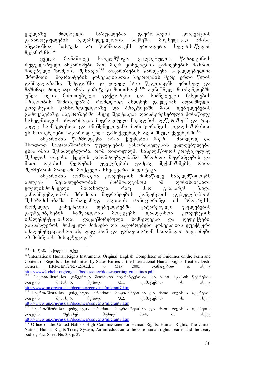ყველაზე მიღებული საშუალებაა გაერო-სთვის კონვენციის<br>განხორციელების ზედამხედველობის საქმეში. მიუხედავად ამისა, განხორციელების ზედამხედველობის საქმეში. მიუხედავად ამისა,<br>ანგარიშთა სისტემა არ წარმოადგენს ერთადერთ ხელმისაწვდომ სისტემა არ წარმოადგენს ერთადერთ ხელმისაწვდომ  $a<sub>2</sub>$  $a<sub>3</sub>$  $a<sub>4</sub>$  $a<sub>6</sub>$  $a<sub>6</sub>$  $a<sub>8</sub>$  $a<sub>1</sub>$  $a<sub>1</sub>$  $a<sub>1</sub>$ 

ყველა მონაწილე სახელმწიფო ვალდებულია წარადგინოს რეგულარული ანგარიშები მათ მიერ კონვენციის გამოყენების მიზნით ორგილი მირიანი.<br>მიღებული ზომების შესახებ.<sup>135</sup> ანგარიშების წარდგენა სავალდებულოა შრომითი მიგრანტების კონვენციასთან შეერთების მერე ერთი წლის განმავლობაში, შემდგომში კი ყოველ ხუთ წელიწადში ერთხელ და maSinac rodesac amas komiteti moiTxovs.136 aRniSnul moxsenebebSi უნდა იყოს მითითებული ფაქტორები და სიძნელეები (ასეთების არსებობის შემთხვევაში), რომლებიც ახდენენ გავლენას აღნიშნული კონვენციის განხორციელებაზე და პრაქტიკაში მისი დებულებების გამოყენებაზე. ანგარიშებში ასევე შეიტანება დაინტერესებული მონაწილე სახელმწიფოს ინფორმაცია მიგრაციული ნაკადების აღწერაზე<sup>137</sup> და რაც კიდევ საინტერესოა და მნიშვნელოვანი მონიტორინგის თვალსაზრისით ეს მოხსენებები საჯაროდ უნდა გამოქვეყნდეს აღნიშნულ ქვეყნებში. $^{138}$ 

ანგარიშის წარმოდგენა არაა ქვეყნების მიერ — მხოლოდ და მხოლოდ საერთაშორისო უფლებების განორციელების ვალდებულება, ესაა იმის შესაძლებლობა, რომ თითოეულმა სახელმწიფომ კრიტიკულად შეხედოს თავისი ქვეყნის კანონმდებლობაში შრომითი მიგრანტების და მათი ოჯახის წევრების უფლებების დამცავ მექანიზმებს, რათა შეიმუშაონ მათდამი მოქცევის სხვაგვარი პოლიტიკა.

ანგარიშის მომზადება კონვენციის მონაწილე სახელმწიფოებს აძლევს შესაძლებლობას: წარმოადგინოს იმ ღონისძიებათა ყოვლისმომცველი მიმოხილვა, რაც მათ გაატარეს შიდა კანონმდებლობის შრომითი მიგრანტების კონვენციის დებულებებთან შესაბამისობაში მოსაყვანად, გაეწიოს მონიტორინგი იმ პროგრესს, რომელიც კონვენციის დებულებებში გატარებული უფლებების გაუმჯობესების საშუალებას მოგვცემს, დაადგინონ კონვენციის იმპლემენტაციასთან დაკავშირებული სიძნელეები და დეფექტები, განსაზღვრონ მომავალი მიზნები და საჭიროებები კონვენციის ეფექტური იმპლემენტაციისათვის, დაგეგმონ და განავითარონ სათანადო მიდგომები sa do bogoob dobse and mise

<sup>-</sup><sup>134</sup> იხ. წინა სქოლიო, იქვე

<sup>&</sup>lt;sup>135</sup>International Human Rights Instruments, Original: English, Compilaton of Guidlines on the Form and Content of Reports to be Submitted by States Parties to the International Human Rights Treaties, Distr. General, HRI/GEN/2/Rev.2/Add.1, 6 May 2005, დამატებით იხ. ასევე http://www2.ohchr.org/english/bodies/cmw/docs/reporting-guidelines.pdf

<sup>136</sup> saerTaSoriso konvencia SromiTi migrantebisaa da maTi ojaxis wevrebis დაცვის შესახებ, მუხლი 73.1, დამატებით იხ. ასევე http://www.un.org/russian/documen/convents/migrant7.htm

<sup>&</sup>lt;sup>137 </sup>საერთაშორისო კონვენცია შრომითი მიგრანტებისაა და მათი ოჯახის წევრების<br>დაცვის შესახებ, მუხლი 73.2, დამატებით იხ. ასევე შესახებ, მუხლი 73.2, დამატებით იხ. ასევე http://www.un.org/russian/documen/convents/migrant7.htm

<sup>.&</sup>lt;br>\_<br>საერთაშორისო კონვენცია შრომითი მიგრანტებისაა და მათი ოჯახის წევრების დაცვის შესახებ, მუხლი 73.4, იხ. ასევე http://www.un.org/russian/documen/convents/migrant7.htm

<sup>139</sup> Office of the United Nations High Commissioner for Human Rights, Human Rights, The United Nations Human Rights Treaty System, An introduction to the core human rights treaties and the treaty bodies, Fact Sheet No. 30, p. 27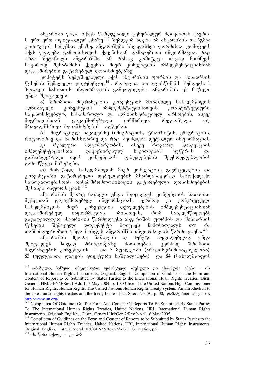ანგარიში უნდა იქნეს წარდგენილი გენერალურ მდივანთან გაერო- $\frac{1}{2}$  s errors and  $\frac{1}{2}$  of  $\frac{1}{2}$  of  $\frac{1}{2}$   $\frac{1}{2}$   $\frac{1}{2}$   $\frac{1}{2}$   $\frac{1}{2}$   $\frac{1}{2}$   $\frac{1}{2}$   $\frac{1}{2}$   $\frac{1}{2}$   $\frac{1}{2}$   $\frac{1}{2}$   $\frac{1}{2}$   $\frac{1}{2}$   $\frac{1}{2}$   $\frac{1}{2}$   $\frac{1}{2}$   $\frac{1}{2}$  კოშიტეტის საშუშაო ენაზე. ანგარიშები სხვადასხვა ფორმისაა. კომიტეტს  $\sim$ ქვს უფლება გამოითხოვოს ქვეყნისგან დამატებითი ინფორმაცია, რაც არაა შეტანილი ანგარიშში, ან რასაც კომიტეტი თავად მიიჩნევს  $s_{\text{adv}}$  315568866 1314606 3016 3063163006 033 366656666  $\varrho$ აკავშირებით გატარებულ ღონისძიებებზე.

კომიტეტს შემუშავებული აქვს ანგარიშის ფორმის და შინაარსის წესების შემცველი დოკუმენტიც<sup>141</sup>, რომელიც ითვალისწინებს შემდეგს: 1. ზოგადი ხასიათის ინფორმაციის განყოფილება. ანგარიშის ეს ნაწილი უნდა შეიცავდეს:

ა) შრომითი მიგრანტების კონვენციის მონაწილე სახელმწიფოს<br>ნული კონვენციის იმპლემენტაციისათვის კონსტიტუციური, აღნიშნული კონვენციის იმპლემენტაციისათვის კონსტიტუციური, საკანონმდებლო, სასამართლო და ადმინისტრაციულ ჩარჩოების, ასევე<br>მიგრაციასთან დაკავშირებული ორმხრივი, რეგიონული თუ მიგრაციასთან დაკავშირებული ორმხრივი, რეგიონული თუ მრავალმხრივი შეთანხმებების აღწერას.

ბ) მიგრაციულ ნაკადებზე (იმიგრაციის, ტრანზიტის, ემიგრაციის) რიცხობრივ და ხარისხობრივ და რაც შეიძლება დეტალურ ინფორმაციას.

გ) რეალური მდგომარეობის, ისევე როგორც კონვენციის იმპლემენტაციასთან დაკავშირებულ საკითხების აღწერას და განსაზღვრული იყოს კონვენციის დებულებების შეუსრულებლობის გამომწვევი მიზეზები,

დ) მონაწილე სახელმწიფოს მიერ კონვენციის გავრცელების და  $\lambda$ ონვენციაში გატარებული დებულებების მხარდასაჭერად სამოქალაქო საზოგადოებასთან თანამშრომლობისთვის გატარებული ღონისძიებების შესახებ ინფორმაციას. $^{142}$ 

ანგარიშის მეორე ნაწილი უნდა შეიცავდეს კონვენციის სათითაო მუხლთან დაკავშირებულ ინფორმაციას, კერძოდ კი კონკრეტული<br>სახელმწიფოს მიერ კონვენციის დებულებების იმპლემენტაციასთან სახელმწიფოს მიერ კონვენციის დებულებების იმპლემენტაციასთან<br>დაკავშირებულ ინფორმაციას. იმისათვის, რომ სახელმწიფოებს დაკავშირებულ ინფორმაციას. იმისათვის, რომ სახელმწიფოებს  $a$ გაუადვილდეთ ანგარიშის წარმოდგენა ანგარიშის ფორმის და შინაარსის  $\sqrt[n]{3}$ ესების შემცველი დოკუმენტი მოიცავს ჩამონათვალს თუ რა თანმიმდევრობით უნდა მოხდეს ანგარიშში ინფორმაციის წარმოდგენა.<sup>143</sup>

ანგარიშის მეორე ნაწილის ა) პუნქტი აუცილებლად უნდა<br>ვდეს ზოგად პრინციპებზე მითითებას, კერძოდ შრომითი შეიცავდეს ზოგად პრინციპებზე მითითებას, კერძოდ შრომითი მიგრანტების კონვენციის 1.1 და 7 მუხლებში (არადისკრიმინაციულობა),  $83$  (უფლებათა დაცვის ეფექტური საშუალებები) და  $84$  (სახელმწიფოს

<sup>140</sup> არაბული, ჩინური, ინგლისური, ფრანგული, რუსული და ესპანური ენები – იხ. International Human Rights Instruments, Original: English, Compilaton of Guidlins on the Form and Content of Report to be Submitted by States Parties to the International Huan Rights Treaties, Distr. General, HRI/GEN/3/Rev.1/Add.1, 7 May 2004, p. 10, Office of the United Nations High Commissioner for Human Rights, Human Rights, The United Nations Human Rights Treaty System, An introduction to the core human rights treaties and the treaty bodies, Fact Sheet No. 30, p. 30,  $\alpha$ s $\delta_0$  $\delta_0$  $\delta_0$  as  $\delta_0$ http://www.un.org/

<sup>&</sup>lt;sup>141</sup> Compilaton Of Guidlines On The Form And Content Of Reports To Be Submitted By States Parties To The International Human Rights Treaties, United Nations, HRI, International Human Rights Instruments, Original: English, , Distr., General Hri/Gen/2/Rev.2/Ad1, 6 May 2005

<sup>&</sup>lt;sup>142</sup> Compilaton of Guidlines on the Form and Content of Reports to be Submitted by States Parties to the International Human Rights Treaties, United Nations, HRI, International Human Rights Instruments, Original: English, Distr., General HRI/GEN/2/Rev.2/AdGHTS Treaties, p.2

 $143$  ob.  $905$  b/mgom 33. 2-5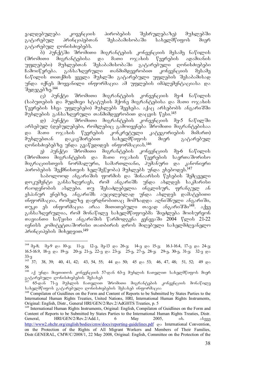ვალდებულება კოვენციის პირობების შესრულებაზე) მუხლებში გატარებულ პრინციპებთან შესაბამისობაში სახელმწიფოს მიერ გატარებულ ღონისძიებებს.

.<br>— პუნქტში შრომითი მიგრანტების კონვენციის მესამე ნაწილის<br>ითი მიგრანტებისა და მათი ოჯახის წევრების ადამიანის (შრომითი მიგრანტებისა და მათი ოჯახის წევრების ადამიანის უფლებები) მუხლებთან შესაბამისობაში გატარებული ღონისძიებები<br>ჩამოიწერება. განსაზღვრული თანმიმდევრობით კონვენციის მესამე  $\delta$ გშოიწერება. განსაზღვრული თანმიმდევრობით კონვენციის მესამე ნაწილის თითქმის ყველა მუხლში გატარებული უფლების შესაბამისად უნდა იქნეს მოყვანილი ინფორმაცია ამ უფლების იმპლემენტაციასა და  $\delta$  $\alpha$  $\beta$  $\beta$  $\beta$  $\delta$  $\delta$  $\gamma$  $\beta$ .<sup>144</sup>

 $\mathrm{G})$  პუნქტი შრომითი მიგრანტების კონვენციის მე-4 ნაწილის (საბუთების და მუდმივი სტატუსის მქონე მიგრანტებისა და მათი ოჯახის  $\nabla$ ევრების სხვა უფლებები) მუხლებს შეეხება. აქაც არსებობს ანგარიშში  $\partial$ უხლების განსაზღვრული თანმიმდევრობით დაცვის წესი.<sup>145</sup>

დაა ყვალი და.<br>დ) პუნქტი შრომითი მიგრანტების კონვენციის მე-5 ნაწილში არსებულ (დებულებები, რომლებიც გამოიყენება შრომითი მიგრანტებისაა და მათი ოჯახის წევრების კონკრეტული კატეგორიების მიმართ) მუხლებთან დაკავშირებით სახელმწიფოს შიერ გატარებულ დონისძიებებზე უნდა გვაწვდიდეს ინფორმაციას.<sup>146</sup>

 $e_{\rm B}$ ) პუნქტი შრომითი მიგრანტების კონვენციის მე-6 ნაწილის (შრომითი მიგრანტების და მათი ოჯახის წევრების საერთაშორისო შიგრაციისთვის ნორმალური, სამართლიანი, პუმანური და კანონიერი პირობების შექმნისთვის ხელშეწყობა) მუხლებს უნდა ეხებოდეს.<sup>147</sup>

საბოლოოდ ანგარიშის ფორმის და შინაარსის წესების შემცველი დოკუმენტი განსაზღვრავს, რომ ანგარიშს უნდა ახლდეს საკმარისი რაოდენობის ასლები. თუ შესაძლებელია ინგლისურ, ფრანგულ ან ესპანურ ენებზე. ანგარიშს აუცილებლად უნდა ახლდეს დამატებითი ინფორმაცია, რომელზე დაყრდნობითაც მომზადდა აღნიშნული ანგარიში, თუკი ეს ინფორმაცია არაა მითითუბული თავად ანგარიშში $^{148}$ . აქვე განსაზღვრულია, რომ მონაწილე სახელმწიფოებმა შიეძლება მოისურვონ თავიანთი საწყისი ანგარიშის წარმოდგენა ჟენევაში 2004 წლის 21-22 ივნისს კომიტეტთაშორისი თათბირის დროს მიღებული სახელმძღვანელო პრინციპების მიხედვით. $^{149}$ 

<sup>-</sup> $^{144}$   $\partial_0$ -8;  $\partial_0$ -9 go 10- $\partial$ ; 11- $\partial$ ; 12- $\partial$ ,  $\partial_0$ -13 go 26- $\partial$ ; 14- $\partial$  go 15- $\partial$ ; 16.1-16.4, 17- $\partial$  go 24- $\partial$ ; 16.5-16.9, 18- $\pi$   $\infty$  19- $\pi$ ; 20- $\pi$ ; 21- $\pi$ , 22- $\pi$   $\infty$  23- $\pi$ ; 25- $\pi$ , 27- $\pi$ , 28- $\pi$ ; 29- $\pi$ , 30- $\pi$ , 31- $\pi$ ; 32- $\pi$   $\infty$ 33-<sub>0</sub>

 $145$  37; 38, 39; 40, 41, 42; 43, 54, 55; 44  $\varphi$  50; 45  $\varphi$  53; 46, 47, 48; 51, 52; 49  $\varphi$ 56

 $^{146}$  აქ უნდა მიეთითოს კონვენციის 57-დან 63-ე მუხლის ჩათვლით სახელმწიფოს მიერ ვატარეპული ღონისძიებების შესახებ<br>მე

<sup>147</sup> 65-dan 71-e muxlis CaTvliT SromiTi migrantebis konvenciis monawile სახელმწიფოს გატარებული ღონისძიებების შესახებ ინფორმაცია

<sup>&</sup>lt;sup>148</sup> Compilaton of Guidlines on the Form and Content of Reports to be Submitted by States Parties to the International Human Rights Treaties, United Nations, HRI, International Human Rights Instruments, Original: English, Distr., General HRI/GEN/2/Rev.2/AdGHTS Treaties, p. 5

<sup>&</sup>lt;sup>149</sup> International Human Rights Instruments, Original: English, Compilaton of Guidlines on the Form and Content of Reports to be Submitted by States Parties to the International Human Rights Treaties, Distr. General,  $HRI/GEN/2/Rev.2/Add.1$ , 6 May 2005, ob. assays http://www2.ohchr.org/english/bodies/cmw/docs/reporting-guidelines.pdf go International Convention, on the Protection of the Rights of All Migrant Workers and Members of Their Families, Distr.GENERAL, CMW/C/2008/1, 22 May 2008, Original: English, Committee on the Protection of the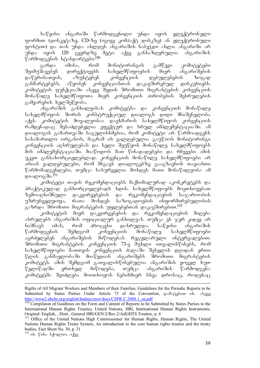საწყისი ანგარიში წარმოდგენილი უნდა იყოს ელექტრონული ფორმით (დისკეტაზე, CD-ზე (იგივე კომპაქტ დისკზე) ან ელექტრონული groboo) da ayldes abwood soostoodol badaydo shood afoodo soostoodo argamaan argamaan argamaan argamaan argamaa უნდა იყოს 120 გვერდზე მეტი. აქვე განსაზღვრულია ანგარიშის წარმოდგენის სტანდარტები.<sup>150</sup>

გარდა იმისა, რომ მონიტორინგის გამწევი კომიტეტები შეიმუშავებენ დირექტივებს სახელმწიფოების მიერ ანგარიშების<br>დაწერისათვის, აზუსტებენ კონვენციის დებულებების ზოგად დაწერისათვის, აზუსტებენ კონვენციის დებულებების ზოგად განმარტებებს, აწყობენ კონვენციასთან დაკავშირებულ დისკუსიებს. კომიტეტის ფუნქციაში ასევე შედის შრომითი მიგრანტების კონვენციის მონაწილე სახელმწიფოთა მიერ კონვენციის პირობების შესრულების გამყარების ხელშეწყობა.

ანგარიშის განხილვისას კომიტეტსა და კონვენციის მონაწილე სახელმწიფოს შორის კონსტრუქციულ დიალოგს დიდი მნიშვნელობა აქვს. კომიტეტის მოვალეობაა დაეხმაროს სახელმწიფოს კონვენციის რამდენადაც შესაძლებელია ეფექტურ და სრულ იმპლემენტაციაში. ამ დიალოგის გამართვაში ნაგულისხმებია, რომ კომიტეტი არ წარმოადგენს  $b$ ასამართლო ორგანოს, მაგრამ ის ვალდებულია გაუწიოს მონიტორინგი კონვენციის აღსრულებას და ხელი შეუწყოს მონაწილე სახელმწიფოებს მის იმპლემენტაციაში. მიაწოდოს მათ წინადადებები და რჩევები ამის უკეთ განსახორციელებლად. კონვენციის მონაწილე სახელმწიფოები არ ითია და და და და და და დიალოგებზე გააგზავნონ თავიანთი წარმომადგენლები, თუმცა სასურველია მოხდეს მათი მონაწილეობა ამ დიალოგ ში. $^{151}$ 

კომიტეტი თავის რეკომენდაციებს მაქსიმალურად აკონკრეტებს და პრაქტიკულად განხორციელებადს ხდის. სახელმწიფოებს მოეთხოვებათ ზემოაღნიშნული დაკვირვებების და რეკომენდაციების საჯაროობის<br>უზრუნველყოფა, რათა მოხდეს საზოგადოების ინფორმირებულობის უზრუნველყოფა, რათა მოხდეს საზოგადოების გაზრდა შრომითი მიგრანტების უფლებებთან დაკავშირებით.<sup>152</sup>

.<br>"ცომიტეტის მიერ დაკვირვებების და რეკომენდაციების მიღება ასრულებს ანგარიშის ოფიციალურ განხილვას. თუმცა ეს ჯერ კიდევ არ<br>ნიშნავს იმას, რომ პროცესი დასრულდა. საწყისი ანგარიშის \_იმას, რომ პროცესი დასრულდა. საწყისი ანგარიშის<br>ნის შემდგომ კონვენციის მონაწილე სახელმწიფოები  $\mathcal{C}$ არმოდგენის შემდგომ კონვენციის მონა $\mathcal{C}$ ილე სახელმ $\mathcal{C}$ იფოები აგრძელებენ ანგარიშების მიწოდებას რეგულარული ინტერვალებით. შრომითი მიგრანტების კონვენციის 73-ე მუხლი ითვალისწინებს, რომ სახელმწიფოები მათთვის კონვენციის ძალაში შესვლის დღიდან ერთი წლის განმავლობაში მიაწვდიან ანგარიშებს შრომითი მიგრანტების კომიტეტს. ამის შემდგომ გათვალისწინებულია ანგარიშის ყოველ ხუთ წელიწადში ერთხელ მიწოდება, თუმცა ანგარიშის წარმოდგენა კომიტეტმა შეიძლება მოითხოვოს ნებისმიერ სხვა დროსაც, როდესაც

 $152$  ob.  $\nabla$  ob  $\frac{152}{20}$  ob.  $\nabla$ 

Rigths of All Migrant Workers and Members of their Families, Guidelines for the Periodic Reports to be Submitted by States Parties Under Article 73 of the Convention,  $\cos\theta \cdot \cos\theta$  is.  $\cos\theta$ http://www2.ohchr.org/english/bodies/cmw/docs/CMW.C.2008.1\_en.pdf

<sup>&</sup>lt;sup>150</sup> Compilaton of Guidlines on the Form and Content of Reports to be Submitted by States Parties to the International Human Rights Treaties, United Nations, HRI, International Human Rights Instruments, Original: English, , Distr., General HRI/GEN/2/Rev.2/AdGHTS Treaties, p. 6

<sup>&</sup>lt;sup>151</sup> Office of the United Nations High Commissioner for Human Rights, Human Rights, The United Nations Human Rights Treaty System, An introduction to the core human rights treaties and the treaty bodies, Fact Sheet No. 30, p. 31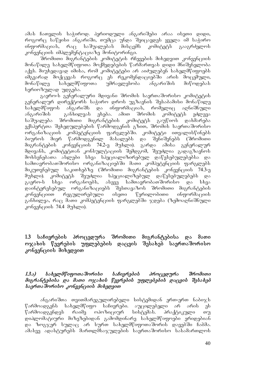ამას ჩათვლის საჭიროდ. პერიოდული ანგარიშები არაა ისეთი დიდი, როგორც საწყისი ანგარიში, თუმცა უნდა შეიცავდეს ყველა იმ საჭირო<br>ინფორმაციას, რაც საშუალებას მისცემს კომიტეტს გააგრძელოს ინფორმაციას, რაც საშუალებას მისცემს კომიტეტს გააგრძელოს კონვენციის იმპლემენტაციაზე მონიტორინგი.

შრომითი მიგრანტების კომიტეტის რჩევების მიხედვით კონვენციის მონაწილე სახელმწიფოთა მოქმედებების წარმართვას დიდი მნიშვნელობა აქვს. მიუხედავად იმისა, რომ კომიტუტები არ აიძულებენ სახელმწიფოებს იმგვარად მოქცევას როგორც ეს რეკომენდაციებში არის მოცემული,<br>მონაწილე სახელმწიფოთა უმრავლესობა ანგარიშის მიწოდებას მონაწილე სახელმწიფოთა უმრავლესობა ანგარიშის მიწოდებას სერიოზულად უდგება.

გაერო-ს გენერალური მდივანი შრომის საერთაშორისო კომიტეტის გენერალურ დირექტორს საჭირო დროს უგზავნის შესაბამისი მონაწილე<br>სახელმწიფოს ანგარიშს და ინფორმაციას, რომელიც აღნიშნული სახელმწიფოს ანგარიშს და ინფორმაციას, რომელიც აღნიშნული ანგარიშის — განხილვას ეხება. ამით შრომის კომიტეტს ეძლევა საშუალება შრომითი მიგრანტების კომიტეტს გაუწიოს დახმარება ექსპერტთა შეხედულებების წარმოდგენის გზით, შრომის საერთაშორისო ორგანიზაციის კომპეტენციის ფარგლებში. კომიტეტი ითვალისწინებს ბიუროს მიერ წარმოდგენილ მასალებს და შენიშვნებს (შრომითი მიგრანტების კონვენციის 74.2-ე მუხლი). გარდა ამისა გენერალურ მდივანს, კომიტეტთან კონსულტაციის შემდგომ, შეუძლია გადაგზავნოს მოხსენებათა ასლები სხვა სპეციალიზირებულ დაწესებულებებსა და სამთავრობათშორისო ორგანიზაციებში მათი კომპეტენციის ფარგლებს მიკუთვნებულ საკითხებზე (შრომითი მიგრანტების კონვენციის 74.3-ე მუხლი). კომიტეტს შეუძლია სპეციალიზებულ დაწესებულებებს და<br>გაერო-ს სხვა ორგანოებს, ასევე სამთავრობათშორისო და სხვა გაერო-ს სხვა ორგანოებს, ასევე სამთავრობათშორისო და სხვა დაინტერესებულ ორგანიზაციებს შესთავაზოს შრომითი მიგრანტების კონვენციით რეგულირებული ისეთი წერილობითი ინფორმაციის განხილვა, რაც მათი კომპეტენციის ფარგლებში ჯდება (ზემოადნიშნული  $R^{\alpha}$ 6316300 $\mu$  74.4  $\theta^{\alpha}$ bgro).

#### 1.3 საჩივრების პროცედურა შრომითი მიგრანტებისა და მათი ოჯახის წევრების უფლებების დაცვის შესახებ საერთაშორისო კონვენციის მიხედვით

#### 1.3.ა) სახელმწიფოთაშორისი საჩივრების პროცედურა შრომითი  $\partial$ oz რანტებისა და მათი ოჯახის წევრების უფლებების დაცვის შესახებ  $b$ აერთა შორისო კონვენციის მიხედვით

ანგარიშთა თვითმარეგულირებელი სისტემიდან ერთ-ერთ ნაბიჯს წარმოადგენს სახელმწიფო საჩივრები. აუცილებელი არ არის ეს<br>წარმოადგენდეს რაიმე ოპოზიციურ სისტემას. პრაქტიკული თუ წარმოადგენდეს რაიმე ოპოზიციურ სისტემას. პრაქტიკული თუ დიპლომატიური მიზეზებიდან გამომდინარე სახელმწიფოები ერიდებიან და ზოგჯერ სულაც არ სურთ სახელმწიფოთაშორის დავებში ჩაბმა.  $s$ მასვე ადასტურებს მართლმსაჯულების საერთაშორისო სასამართლოს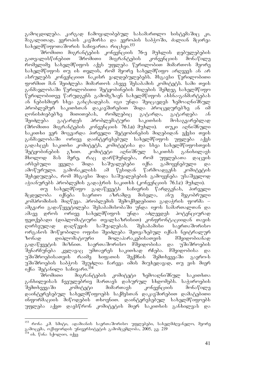გამოცდილება. კარგად ჩამოყალიბებულ სასამართლო სისტემაშიც კი, მაგალითად, ევროპის კავშირსა და ევროპის საბჭოში, ძალიან მცირეა  $b$ s $b$ ელმწიფოთაშორის საჩივართა რიცხვი.<sup>153</sup>

შრომითი მიგრანტების კონვენციის 76-ე მუხლის დებულებების<br>ლისწინებით შრომითი მიგრანტების კონვენციის მონაწილე გათვალისწინებით შრომითი მიგრანტების კონვენციის მონაწილე რომელიმე სახელმწიფოს აქვს უფლება წერილობით მიმართოს მეორე სახელმწიფოს თუ ის თვლის, რომ მეორე სახელმწიფო არღვევს ან არ ასრულებს კონვენციით ნაკისრ ვალდებულებებს. მსგავსი წერილობითი gორშით მან შეიძლება მიმართოს ასევე შესაბამის კომიტეტს. სამი თვის განმავლობაში წერილობითი შეტყობინების მიღების შემდეგ სახელმწიფო წერილობითვე წარუდგენს გამოშგზავნ სახელმწიფოს ახსნა-განშარტებას ან ნებისმიერ სხვა განცხადებას. იგი უნდა შეიცავდეს ზემოაღნიშნულ პრობლემურ საკითხთან დაკავშირებით შიდა პროცედურებზე ან იმ დონისძიებებზე მითითებას, რომლებიც გატარდა, გატარდება ან შეიძლება გატარდეს პრობლემატური საკითხის მოსაგვარებლად (შრომითი მიგრანტების კონვენციის 76.1.a) მუხლი). თუკი აღნიშნული საკითხი ვერ მოგვარდა პირველი შეტყობინების მიღებიდან ექვსი თვის განმავლობაში ორივე დაინტერესებულ სახელმწიფოს უფლება აქვს გადასცეს საკითხი კომიტეტს, კომიტეტისა და სხვა სახელმწიფოსთვის შეტყობინების გზით. კომიტეტი აღნიშნულ საკითხს განიხილავს მხოლოდ მას მერე, რაც დარწმუნდება, რომ უფლებათა დაცვის<br>არსებული ყველა შიდა საშუალებები იქნა გამოყენებული და არსებული ყველა შიდა საშუალებები იქნა გამოყენებული და<br>ამოწურული. გამონაკლისს ამ წესიდან წარმოადგენს კომიტეტის ამოწურული. გამონაკლისს ამ წესიდან წარმოადგენს კომიტეტის შეხედულება, რომ მსგავსი შიდა საშუალებების გამოყენება უსაშველოდ აჭიანურებს პრობლემის გადაჭრის საკითხს (კონვენციის 76.1.c) მუხლი).

თუ სახელმწიფო გადაწყვეტს საჩივრის წარდგენას, პირველი<br>¤ობა იქნება საერთო აზრამდე მისვლა, ანუ მეგობრული მცდელობა იქნება საერთო აზრამდე მისვლა, ანუ მეგობრული კომპრომისის მიღწევა. პრობლემის შემოქმედებითი გადაჭრის ფორმა – ამგვარი გადაწყვეტილება შესაბამისობაში უნდა იყოს სამართალთან და<br>ამავე დროს ორივე სახელმწიფოს უნდა აძლევდეს პოტენციურად ამავე დროს ორივე სახელმწიფოს უნდა აძლევდეს პოტენციურად ფეთქებადი (დიპლომატიური თვალსაზრისით) კონფრონტაციიდან თავის დირსეულად დაღწევის საშუალებას. შესაბამისი საერთაშორისო ორგანოს მოწყობილი ოფისი შეიძლება შეთვაზებულ იქნას ნეიტრალურ<br>ზონად დიპლომატიური მოლაპარაკებისათვის მშვიდობიანად დიპლომატიური მოლაპარაკებისათვის მშვიდობიანად გადაწყვეტის მიზნით. საერთაშორისო მშვიდობისა და უშიშროების შენარჩუნება კვლავაც უმთავრეს საკითხად რჩება. მშვიდობისა და უშიშროებისათვის რაიმე ხიფათის შექმნის შემთხვევაში გაერო-ს უშიშროების საბჭოს შეუძლია ჩარევა იმის მიუხედავად, თუ ვის მიერ იქნა შეტანილი საჩივარი.<sup>154</sup>

შრომითი მიგრანტების კომიტეტი ზემოაღნიშნულ საკითხთა განხილვისას ჩვეულებრივ მართავს დახურულ სხდომებს. საჭიროების შემთხვევაში კომიტეტი მიმართავს კონვენციის მონაწილე დაინტერესებულ სახელმწიფოებს საქმესთან დაკავშირებით დამატებითი  $\alpha$ ნფორმაციის მიწოდების თხოვნით. დაინტერესებულ სახელმწიფოებს უფლება აქვთ დაესწრონ კომიტეტის მიერ საკითხის განხილვას და

<sup>-</sup><sup>153</sup> რონა კ.მ. სმიტი, ადამიანის საერთაშორისო უფლებები, სახელმძღვანელო, მეორე გამოცემა, ოქსფორდის უნივერსიტეტის გამომცემლობა, 2005, გვ. 219

 $^{154}$  იხ. წინა სქოლიო, იქვე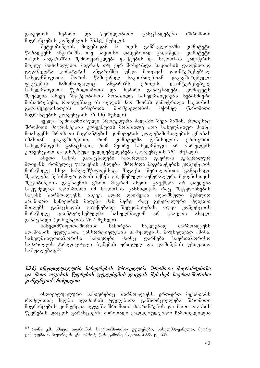გააკეთონ ზეპირი და წერილობითი განცხადებები (შრომითი

მიგრანტების კონვენციის 76.1.g) მუხლი).<br>მეტყობინების მიღებიდან 12 - მიღებიდან 12 თვის განმავლობაში კომიტეტი წარადგენს ანგარიშს. თუ საკითხი დადებითად გადაწყდა, კომიტეტი<br>თავის ანგარიშში შემოიფარგლება ფაქტების და საკითხის გადაჭრის თავის ანგარიშში შემოიფარგლება ფაქტების და საკითხის მოკლე მიმოხილვით. მაგრამ, თუ ვერ მოხერხდა საკითხის დადებითად გადაწყვეტა კომიტეტის ანგარიშმა უნდა მოიცვას დაინტერესებულ სახელმწიფოთა შორის წამოჭრილ საკითხთებთან დაკავშირებული ფაქტების ჩამონათვალიც. ანგარიშს ერთვის დაინტერესებულ სახელმწიფოთა წერილობითი და ზეპირი განაცხადები. კომიტეტს შეუძლია ასევე შეატყობინოს მონაწილე სახელმწიფოებს ნებისმიერი მოსაზრებები, რომლებსაც ის თვლის მათ შორის წამოჭრილი საკითხის<br>გადაწყვეტისათვის არსებითი მნიშვნელობის მქონედ (შრომითი გადაწყვეტისათვის არსებითი მნიშვნელობის მქონედ (შრომითი  $\partial$ oz რანტების კონვენციის 76. 1.h)  $\partial$ უხლი).

ყველა ზემოაღნიშნული პროცედურა ძალაში შევა მაშინ, როდესაც  $\partial \mathcal{S}$  36  $\partial \mathcal{S}$  monopole and  $\partial \mathcal{S}$  and  $\partial \mathcal{S}$   $\partial \mathcal{S}$  and  $\partial \mathcal{S}$   $\partial \mathcal{S}$  and  $\partial \mathcal{S}$ მოახდენს შრომითი მიგრანტების კომიტეტის უფლებამოსილების ცნობას იმასთან დაკავშირებით, რომ კომიტეტმა განიხილოს ერთ-ერთი<br>სახელმწიფოს განაცხადი, რომ მეორე სახელმწიფო არ ასრულებს სახელმწიფოს განაცხადი, რომ მეორე სახელმწიფო არ ასრულებს

კონვენციით დაკისრებულ ვალდებულებებს (კონვენციის 76.2 მუხლი).<br>ასეთი სახის განაცახადები ჩაბარდება გაერო-ს გენერაც ასეთი სახის განაცხადები ჩაბარდება გაერო-ს გენერალურ მდივანს, რომელიც უგზავნის ასლებს შრომითი მიგრანტების კონვენციის მონაწილე სხვა სახელმწიფოებსაც. მსგავსი წერილობითი განაცხადი შეიძლება ნებისმიერ დროს იქნეს გაუქმებული გენერალური მდივნისთვის შეტობინების გაგზავნის გზით. მაგრამ ასეთი გაუქმება არ დაედება საფუძვლად ნებისმიერი იმ საკითხის განხილვას, რაც შეტყობინების საგანს წარმოადგენს. ასევე, აღარ დაიშვება აღნიშნული მუხლით არანაირი საჩივარის მიღება მას მერე, რაც გენერალური მდივანი მიიღებს განაცხადის გაუქმებაზე შეტყობინებას, თუკი კონვენციის<br>მონაწილე დაინტერესებულმა სახელმწიფომ არ გააკეთა ახალი მონაწილე დაინტერესებულმა სახელმწიფომ არ გააკეთა ახალი

განაცხადი (კონვენციის 76.2 მუხლი).<br>სახელმწიფოთაშორისი — საჩირები სახელმწიფოთაშორისი საჩირები ნაკლებად წარმოადგენს ადამიანის უფლებათა განხორციელების საშუალებას. მიუხედავად ამისა, სახელმწიფოთაშორისი საჩივრები მაინც დარჩება საერთაშორისო სამართლის ტრადიციული ბუნების ერთგულ და დაშინების უხიფათო საშუალებად<sup>155</sup>.

#### 1.3. $\partial$ ) ინდივიდუალური საჩივრების პროცედურა შრომითი მიგრანტებისა და მათი ოჯახის წევრების უფლებების დაცვის შესახებ საერთაშორისო kopungung menggalakan ke

 $\sigma$ ნდივიდუალური საჩივრებიც წარმოადგენს ერთ-ერთ მექანიზმს რომლითაც ხდება ადამიანის უფლებათა განხორციელება. შრომითი მიგრანტების კონვენცია ადგენს შრომითი მიგრანტების და მათი ოჯახის წევრების დაცვის გარანტიებს. ძირითადი ვალდებულებები ჩამოთვლილია

<sup>&</sup>lt;sup>155</sup> რონა კ.მ. სმიტი, ადამიანის საერთაშორისო უფლებები, სახელმძღვანელო, მეორე გამოცემა, ოქსფორდის უნივერსიტეტის გამომცემლობა, 2005, გვ. 219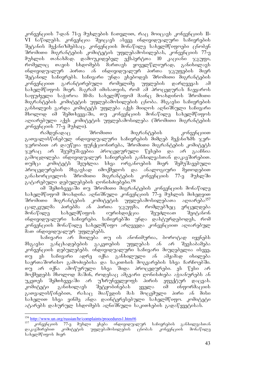კონვენციის 7-დან 71-ე მუხლების ჩათვლით, რაც მოიცავს კონვენციის II-VI ნაწილებს. კონვენცია შეიცავს ასევე ინდივიდუალური საჩივრების Setanis meqanizmebsac. konvenciis monawile saxelmwifoebi cnoben  $\theta$ რომითი მიგრანტების კომიტეტის უფლებამოსილებას, კონვენციის 77-ე მუხლის თანახმად. დამოუკიდებელ ექსპერტთა 10 კაციანი ჯგუფი,<br>რომელიც თავის სხდომებს მართავს ყოველწლიურად, განიხილავს რომელიც თავის სხდომებს მართავს ყოველწლიურად, განიხილავს  $\sigma$ ნდივიდუალურ პირთა ან ინდივიდუალურ პირთა ჯგუფუბის მიურ შეტანილ საჩივრებს. საჩივარი უნდა ეხებოდეს შრომითი მიგრანტების კონვენციით გარანტირებული რომელიმე უფლების დარღვევას ამ სახელმწიფოს მიერ. მაგრამ იმისათვის, რომ ამ პროცედურას ჩაეყაროს  $\frac{1}{2}$ საფუძველი საჭიროა 10-მა სახელმწიფომ მაინც მოახდინოს შრომითი მიგრანტების კომიტეტის უფლებამოსილების ცნობა. მსგავსი საჩივრების განხილვის გარდა კომიტეტს უფლება აქვს მიიღოს აღნიშნული საჩივარი მხოლოდ იმ შემთხვევაში, თუ კონვენციის მონაწილე სახელმწიფოს აღიარებული აქვს კომიტეტის უფლებამოსილება (შრომითი მიგრანტების კონვენციის 77-ე მუხლი).

რამდენადაც შრომითი მიგრანტების კონვენციით გათვალისწინებულ ინდივიდუალური საჩივრების მიმღებ მექანიზმს ჯერ- $\alpha$ ერობით არ დაუწყია ფუნქციონირება, შრომითი მიგრანტების კომიტეტს  $\alpha$ ერაც არ შეუმუშავებია პროცედურული წესები და არ გააჩნია გამოცდილება ინდივიდუალურ საჩივრების განხილვასთან დაკავშირებით. თუმცა კომიტეტს შეუძლია სხვა ორგანოების მიერ შემუშავებული პროცედურების მსგავსად იმოქმედოს და ანალოგიური მეთოდებით<br>განახორციელოს შრომითი მიგრანტების კონვენციის 77-ე მუხლში განახორციელოს შრომითი მიგრანტების კონვენციის 77-ე მუხლში გატარებული დებულებების ღონისძიებები.<sup>156</sup>

იმ შემთხვევაში თუ შრომითი მიგრანტების კონვენციის მონაწილე  $\mu$ სახელმწიფომ მოახდინა აღნიშნული კონვენციის 77-ე მუხლის მიხედვით შრომითი მიგრანტების კომიტეტის უფლებამოსილებათა აღიარება<sup>157</sup> ცალკეულმა პირებმა ან პირთა ჯგუფმა, რომლებზეც ვრცელღება მონაწილე სახელმწიფოს იურისდიქცია შეუძლიათ შეიტანონ ინდივიდუალური საჩივრები. საჩივრებში უნდა დასტურდებოდეს, რომ კონვუნციის მონაწილე სახელმწიფო არღვევდა კონვენციით აღიარებულ მათ ინდივიდუალურ უფლებებს.

საჩივარი არ მიიღება თუ ის ანონიმურია, ბოროტად იყენებს მსგავსი განცხადებების გაკეთების უფლებას ან არ შეესაბამება კონვუნციის დუბულუბებს. ინდივიდუალური საჩივარი მიუღებელია ისევე, თუ ეს საჩივარი ადრე იქნა განხილული ან ამჟამად იხილება საერთაშორისო გამოძიებისა და საკითხის მოგვარების სხვა ჩარჩოებში. თუ არ იქნა ამოწურული სხვა შიდა პროცედურები. ეს წესი არ მოქმედებს მხოლოდ მაშინ, როდესაც ამგვარი ღონისძიება აჭიანურებს ან უკეთეს შემთხვევაში არ უზრუნველყოფს პირის ეფექტურ დაცვას.  $\lambda$ ომიტეტი განიხილავს შეტყობინებას ყველა იმ ინფორმაციის გათვალისწინებით, რასაც მიაწვდის მას მოცემული პირი ან მისი სახელით სხვა ვინმე ანდა დაინტერესებული სახელმწიფო. კომიტეტი ატარებს დახურულ სხდომებს აღნიშნული საკითხების გადაწყვეტისას.

<sup>-</sup>156 http://www.un.org/russian/hr/complaints/procedures1.htm#6

<sup>157</sup> კონვენციის 77-ე მუხლი ეხება ინდივიდუალურ საჩივრების განხილვასთან დაკავშირებით კომიტეტის უფლებამოსილების ცნობას კონვენციის მონაწილე სახელმწიფოს მიერ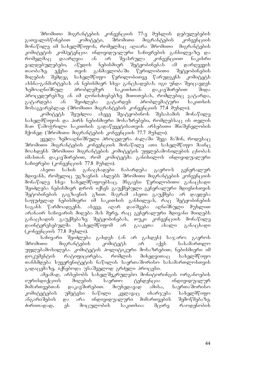შრომითი მიგრანტების კონვენციის 77-ე მუხლის დებულებების გათვალისწინებით კომიტეტი, შრომითი მიგრანტების კონვენციის მონაწილე იმ სახელმწიფოს, რომელმაც აღიარა შრომითი მიგრანტების კომიტეტის კომპეტენცია ინდივიდუალური საჩივრების განხილვაზე და<br>რომელმაც დაარღვია ან არ შეასრულა კონვენციით ნაკისრი რომელმაც დაარღვია ან არ შეასრულა კონვენციით ნაკისრი<br>ვალდებულებები, აწვდის ნებისმიერ შეტყობინებას ამ დარღვევის ვალდებულებები, აწვდის ნებისმიერ შეტყობინებას ამ დარღვევის<br>თაობაზე. ექვსი თვის განმავლობაში წერილობითი შეტყობინების თაობაზე. ექვსი თვის განმავლობაში წერილობითი შეტყობინების<br>მიღების შემდეგ სახელმწიფო წერილობითვე წარუდგენს კომიტეტს მიღების შემდეგ სახელმწიფო წერილობითვე წარუდგენს კომიტეტს ახსნა-განმარტებას ან ნებისმიერ სხვა განცხადებას. იგი უნდა შეიცავდეს ზემოაღნიშნულ პრობლემურ საკითხთან დაკავშირებით შიდა პროცედურებზე ან იმ ღონისძიებებზე მითითებას, რომლებიც გატარდა, გატარდება ან შეიძლება გატარდეს პრობლემატური საკითხის  $\delta$ ოსაგვარებლად (შრომითი მიგრანტების კონვენციის 77.4 მუხლი).

კომიტეტს შეუძლია ასევე შეატყობინოს შესაბამის მონაწილე სახელმწიფოს და პირს ნებისმიერი მოსაზრებები, რომლებსაც ის თვლის მათ წამოჭრილი საკითხის გადაწყვეტისათვის არსებითი მნიშვნელობის მქონედ (შრომითი მიგრანტების კონვენციის 77.7 მუხლი).

 $g_3$ ელა ზემოაღნიშნული პროცედურა ძალაში შევა მაშინ, როდესაც შრომითი მიგრანტების კონვენციის მონაწილე ათი სახელმწიფო მაინც მოახდენს შრომითი მიგრანტების კომიტეტის უფლებამოსილების ცნობას იმასთან დაკავშირებით, რომ კომიტეტმა განიხილოს ინდივიდუალური საჩივრები (კონვენციის  $77.8$  მუხლი).

ასეთი სახის განაცხადები ჩაბარდება გაერო-ს გენერალურ მდივანს, რომელიც უგზავნის ასლებს შრომითი მიგრანტების კონვენციის მონაწილე სხვა სახელმწიფოებსაც. მსგავსი წერილობითი განაცხადი შეიძლება ნებისმიერ დროს იქნეს გაუქმებული გენერალური მდივნისთვის შეტობინების გაგზავნის გზით. მაგრამ ასეთი გაუქმება არ დაედება საფუძვლად ნებისმიერი იმ საკითხის განხილვას, რაც შეტყობინების საგანს წარმოადგენს. ასევე, აღარ დაიშვება აღნიშნული მუხლით  $\alpha$ გრანაირ საჩივარის მიღება მას მერე, რაც გენერალური მდივანი მიიღებს განაცხადის გაუქმებაზე შეტყობინებას, თუკი კონვენციის მონაწილე დაინტერესებულმა სახელმწიფომ არ გააკეთა ახალი განაცხადი  $($ კონვენციის 77.8 მუხლი).

საჩივარი შეიძლება გახდეს (ან არ გახდეს) საჯარო. გაეროს შრომითი მიგრანტების კომიტეტს არ აქვს სასამართლო უფლებამოსილება. კომიტეტის პოლიტიკური მოსაზრებით, ნებისმიერი იმ დოკუმენტის რატიფიცირება, რომლის მიხედვითაც სახელმწიფო თანხმდება სუვერენიტეტის ნაწილის საერთაშორისო სასამართლოსთვის გადაცემაზე, იქნებოდა უსაშველოდ გრძელი პროცესი.

ამჟამად, არსებობს სახელშეკრულებო მონიტორინგის ორგანოების იურისდიქციის მიღების საერთო ტენდენცია ინდივიდუალურ მიმართვებთან დაკავშირებით. მიუხედავად ამისა, საერთაშორისო კომიტეტების უმეტესი ნაწილი კვლავაც იხარჯება სახელმწიფო ანგარიშების და არა ინდივიდუალური მიმართვების შემოწმებაზე. ძირითადად, ეს მოცულობის საკითხია: მცირე რაოდენობის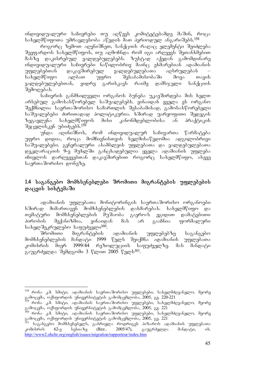ინდივიდუალური საჩივრები თუ აღწევს კომიტეტებამდე მაშინ, როცა სახელმწიფოთა უმრავლესობა აწვდის მათ პერიოდულ ანგარიშებს.<sup>158</sup>

 $\alpha$ როგორც ზემოთ ადვნიშნეთ, სანქციის რაღაც ელეშენტი შეიძლება  $\theta$ ეეფარდოს სახელმწიფოს, თუ აღმოჩნდა რომ იგი არღვევს შეთანხმებით მასზე დაკისრებულ ვალდებულებებს. ზუსტად აქედან გამომდინარე  $\sigma$ ნდივიდუალური საჩივრები ნაწილობრივ მაინც ეხმარებიან ადამიანის უფლებეპთან დაკავშირებულ ვალდებულებათა აღსრულებას<br>სახელმწიფო ალბათ უფრო შესაბამისობაში მოვა თ სახელმწიფო ალბათ უფრო შესაბამისობაში მოვა თავის ვალდებულებებთან, ვიდრე გარისკავს რაიმე დამსჯელი სანქციის შემოღებას.

საჩივრის განმხილველი ორგანოს ბუნება უკავშირდება მის ხელთ არსებულ გამოსასწორებელ საშუალებებს. ვინაიდან ყველა ეს ორგანო შექმნილია საერთაშორისო სამართლის შესაბამისად, გამოსასწორებელი საშუალებები ძირითადად პოლიტიკურია. ხშირად უარყოფითი შედეგის<br>ზეგავლენა სახელმწიფოს მისი კანონმდებლობისა ან პრაქტიკის ზეგავლენა სახელმწიფოს მისი კანონმდებლობისა ან პრაქტიკის **Taggggobag6** უბიძგებს.<sup>159</sup>

უნდა აღინიშნოს, რომ ინდივიდუალურ საჩივართა წარმატება უფრო დიდია, როცა მომჩივნისთვის ხელმისაწვდომია ადგილობრივი საშუალებები. გენერალური ასამბლეის უფლებათა და ვალდებულებათა დეკლარაციის 9-ე მუხლში განცხადებულია ყველა ადამიანის უფლება იჩივლოს დარღვევებთან დაკავშირებით როგორც სახელმწიფო, ასევე საერთაშორისო დონეზე.

### 1.4 საგანგებო მომხსენებლები შრომითი მიგრანტების უფლებების  $\varrho$ აცვის სისტემაში

ადამიანის უფლებათა მონიტორინგის საერთაშორისო ორგანოები ხშირად მიმართავენ მომხსენებლების დახმარებას. სახელმწიფო და თემატური მომხსენებლების მუშაობა გაერო-ს ეგიდით დამატებითი<br>პირობის მექანიზმია, ვინაიდან მას არ გააჩნია ფორმალური პირობის მექანიზმია, ვინაიდან მას არ გააჩნია ფორმალური saxelSekrulebo safuZveli160.

მიგრანტების ადამიანის უფლებებზე საგანგებო მომხსენებლების მანდატი 1999 წელს შეიქმნა ადამიანის უფლებათა კომისრის მიერ 1999/44 რეზოლუციის საფუძველზე. მას მანდატი გაუგრძელდა შემდგომი 3 წლით 2005 წელს<sup>161</sup>.

<sup>-</sup><sup>158</sup> რონა კ.მ. სმიტი, ადამიანის საერთაშორისო უფლებები, სახელმძღვანელო, მეორე გამოცემა, ოქსფორდის უნივერსიტეტის გამომცემლობა, 2005, გვ. 220-221

<sup>&</sup>lt;sup>159</sup> რონა კ.მ. სმიტი, ადამიანის საერთა'შორისო უფლებები, სახელმძღვანელო, მეორე გამოცემა, ოქსფორდის უნივერსიტეტის გამომცემლობა, 2005, გვ. 221

<sup>&</sup>lt;sup>160</sup> რონა კ.მ. სმიტი, ადამიანის საერთა'შორისო უფლებები, სახელმძღვანელო, მეორე გამოცემა, ოქსფორდის უნივერსიტეტის გამომცემლობა, 2005, გვ. 221

<sup>&</sup>lt;sup>161</sup> საგანგებო მომხსენებელს, გაბრიელა როდრიგეს პიზაროს ადამიანის უფლებათა კომისრის 62-ე სესიაზე (Rez.. 2005/47), გაუგრძელდა მანდატი, იხ. http://www2.ohchr.org/english/issues/migration/rapporteur/index.htm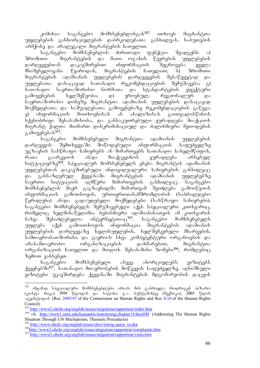$k$ ომისია საგანგებო მომხსენებლისგან $^{162}$  ითხოვს მიგრანტთა უფლებების განხორციელების დაბრკოლებათა განხილვას, საბუთების  $\alpha$ გრმქონე და არალეგალი მიგრანტების ჩათვლით.

საგანგებო მომხსენებლის ძირითადი ფუნქცია შეადგენს: ა) SromiTi migrantebis da maTi ojaxis wevrebis uflebebis დარღვევებთან დაკავშირებით ინფორმაციის შეგროვება ყველა<br>მნიშვნელოვანი წყაროდან, მიგრანტების ჩათვლით; ბ) შრომითი მნიშვნელოვანი წყაროდან, მიგრანტების ჩათვლით; ბ) შრომითი მიგრანტების ადამიანის უფლებების დარღვევების შესაწყვეტად და უფლებათა დასაცავად სათანადო რეკომენდაციების შემუშავება; გ)<br>სათანადო საერთაშორისო ნორმათა და სტანდარტების ეფექტური სათანადო საერთაშორისო ნორმათა და სტანდარტების ეფექტური<br>გამოყენების ხელშეწყობა; დ) ეროვნულ, რეგიონალურ და გამოყენების ხელშეწყობა; დ) ეროვნულ, რეგიონალურ და .<br>საერთაშორისო დონეზე მიგრანტთა ადამიანის უფლებების დასაცავად  $\partial$ ოქმედებათა და საშუალებათა გამოყენებაზე რეკომენდაციების გაწევა; ე) ინფორმაციის მოთხოვნისას ან ანალიზისას გაითვალისწინოს სქესობრივი შესაბამისობა, და განსაკუთრებული ყურადღება მიაქციოს შიგრანტ ქალთა მიიმართ დისკრიმინაციულ და ძალისმიერი მეთოდების გამოყენებას<sup>163</sup>.

საგანგებო მომხსენებელი მიგრანტთა ადამიანის უფლებების<br>კევის შემთხვევაში მოწოდებული ინფორმაციის საფუძველზე დარღვევის შემთხვევაში მოწოდებული ინფორმაციის საფუძველზე  $m_2$ ზავნის სასწრაფო საჩივრებს ან მიმართვებს სათანადო სახელმწიფოს, რათა გაარკვიოს ან/და მიაქცევინოს ყურადღება არსებულ სიტუაციებზე<sup>164</sup>. სპეციალურ მომხსენებელს ეხება მიგრანტის ადამიანის უფლებებთან დაკავშირებული ინდივიდუალური საჩივრების განხილვა $\alpha$ და განსაზღვრულ ქვეყანაში მიგრანტების ადამიანის უფლებებზე<br>საერთო სიტუაციის აღმწერი მიმართვების განხილვაც. საგანგებო საერთო სიტუაციის აღმწერი მიმართვების განხილვაც. მომხსენებლის მიერ გაგზავნილმა მიმართვამ შეიძლება გამოიწვიოს ინფორმაციის გამოთხოვის, ურთიერთთანამშრომლობის (საბრალდებო წერილები) ან/და გადაუდებელი მოქმედებები (სასწრაფო საჩივრები). საგანგებო მომხსენებელს შემუშავებული აქვს სპეციალური კითხვარიც, რომელიც ხელმისაწვდომია ნებისმიერი ადამიანისათვის ამ კითხვარის  $6sba\alpha$  შესაძლებელია ინტერნეტითაც $^{165}$ . საგანგებო მომხსენებელს უფლება აქვს გამოითხოვოს ინფორმაცია მიგრანტების ადამიანის უფლებების დარღვევაზე ხელისუფლების, ხელშემკვრელი მხარეების, სამთავრობათშორისი და გაერო-ს სხვა კომპეტენტური ორგანოების და არასამთავრობო ორგანიზაციების დახმარებით, მიგრანტთა ორგანიზაციის ჩათვლით და მიიღოს შესაბამისი ზომები<sup>166</sup>, რომლებიც  $b_0$ მოთ ვახსენეთ.

საგანგებო მომხსენებელი ასევე ახორციელებს ვიზიტებს ქვეყნებში<sup>167</sup>, სათანადო მთავრობების მოწვევის საფუძველზე. აღნიშნული ვიზიტები უკავშირდება ქვეყანაში მიგრანტების მდგომარეობის დაცვის

<sup>162</sup> ამჟამად სპეციალური მომხსენებლები არიან: მის გაბრიელა როდრიგეს პიზარო (კოსტა რიკა) 1999 წლიდან და ბატონი ჯ.ა. ბუსტამანტე (მექსიკა), 2005 წლის  $\alpha$ <sub>23</sub>ρ υ<sub>β</sub> του (Res. 2005/47 of the Commission on Human Rights and Res. 8/10 of the Human Rights Council)

<sup>163</sup> http://www2.ohchr.org/english/issues/migration/rapporteur/index.htm

<sup>164</sup> ob. http://www1.umn.edu/humanrts/monitoring/chapter19.html#H (Addressing The Human Rights Situation Through UN Mechanisms, Thematic Procedures)

<sup>&</sup>lt;sup>165</sup> http://www.ohchr.org/english/issues/docs/mmig-quest\_ru.doc

<sup>166</sup>http://www2.ohchr.org/english/issues/migration/rapporteur/complaints.htm

<sup>167</sup> http://www2.ohchr.org/english/issues/migration/rapporteur/visits.htm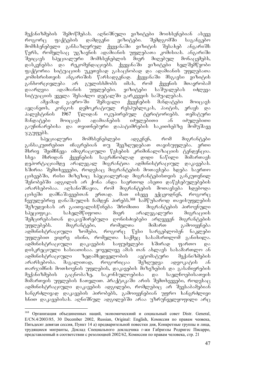მექანიზმების შემოწმებას. აღნიშნული ვიზიტები მოიხსენებიან ასევე როგორც ფაქტების დამდგენი ვიზიტები. შემდგომში საგანგებო მომხსენებელი განსაზღვრულ ქვეყანაში ვიზიტის შესახებ ანგარიშს  $\nabla$ ერს, რომელსაც უგზავნის ადამიანის უფლებათა კომისიას. ანგარიში შეიცავს სპეციალური მომხსენებლის მიერ მიღებულ მონაცემებს,<br>დასკვნებსა და რეკომენდაციებს. ქვეყანაში ვიზიტები ხელშემწყობი  $\overline{\omega}$ daskva das rekomendas dans paradetes.  $\overline{\omega}$  $q$ აქტორია სიტუაციის უკეთესად გასაცნობად და ადამიანის უფლებათა კომისრისთვის ანგარიშის წარსადგენად. ქვეყანაში მსგავსი ვიზიტის<br>განხორციელება არ გულისხმობს იმას, რომ ქვეყნის მთავრობამ განხორციელება არ გულისხმობს იმას, რომ ქვეყნის მთავრობამ<br>დაარღვია ადამიანის უფლებები. ვიზიტები საშუალებას იძლევა დაარღვია ადამიანის უფლებები. ვიზიტები საშუალებას იძლევა სიტუაციის ყველა შესაძლო დეტალში გარკვევის საშუალებას.

ამჟამად გაერო-ში შემავალი ქვეყნების მანდატები მოიცავს ავღანეთს, კონგოს დემოკრატიულ რესპუბლიკას, პაიტის, ერაყს და პალესტინის 1967 წლიდან ოკუპირებულ ტერიტორიებს. თემატური მანდატები მოიცავს ადამიანების იძულებითი ან იძულებითი გაუჩინარებისა და თვითნებური დაპატიმრების საკითხებზე მომუშავე  $\chi_{\rm A}$ უფებს.

სპეციალური მომხსენებლები ადგენენ, რომ მიგრანტები განსაკუთრებით იჩაგრებიან თუ შეეზღუდებათ თავისუფლება. ერთი  $\partial b$ რივ შეიმჩნევა იმიგრაციული წესების კრიმინალიზაციის ტენდენცია. სხვა მხრიდან ქვეყნების საგრძნობლად დიდი ნაწილი მიმართავს დეპორტაციამდე არალეგალ მიგრანტთა ადმინისტრაციულ დაკავებას. ხშირია შემთხვევები, როდესაც მიგრანტების მოთავსება ხდება საერთო ციხეებში, რისი მიზეზიც სპეციალურად მიგრანტებისთვის განკუთვნილ შენობებში ადგილის არ ქონა ანდა საერთოდ ასეთი დაწესებულებების არარსებობაა. აღსანიშნავია, რომ მიგრანტების მოთავსება ხდებოდა<br>ციხეში დამნაშავეებთან ერთად. მათ ისევე ექცეოდნენ, როგორც  $\alpha$ იხეში დამნაშავეებთან ერთად. მათ ისევე ექ $\alpha$ ეოდნენ, როგორ $\alpha$ ჩვეულებრივ დანაშაულის ჩამდენ პირებს.<sup>168</sup> სამწუხაროდ თავისუფლების შეზუდვისას არ გაითვალისწინება შრომითი მიგრანტების პიროვნული სპეციფიკა. სახელმწიფოთა მიერ არალეგალური მიგრაციის შემცირებასთან დაკავშირებული ღონისძიებები არღვევენ მიგრანტების უფლებებს. მიგრანტები, რომელთა მიმართ გამოიყენება ადმინისტრაციული ზომები, როგორც წესი სარგებლობენ ნაკლები უფლებით ვიდრე ისინი, რომელთა საქმეც სასამართლომ განიხილა. ადმინისტრაციული დაკავების საფუძვლები ხშირად ფართო და დისკრეციული ხასიათისაა. ყოველივე ამას თან ახლავს სასამართლო ან ადმინისტრაციული ზედამხედველობის ავტომატური მექანიზმების<br>არარსებობა. მაგალითად, როგორიცაა შეზღუდვა ადვოკატის ან არარსებობა. მაგალითად, როგორიცაა შეზღუდვა ადვოკატის ან თარჯიმნის მოთხოვნის უფლების, დაკავების მიზეზების და გასაჩივრების შექანიზმების გაცნობაზე, საკონსულოებისა და საელჩოებისათვის  $\partial$ იმართვის უფლების ჩათვლით. პრაქტიკაში არის შემთხვევები, როდესაც ადმინისტრაციული დაკავების ადგილები, რომლებიც არ შეესაბამებიან ხანგრძლივად დაკავების პირობებს, გამოიყენებიან უფრო ხანგრძლივი  $b$ ნით დაკავებისას. აღნიშნულ ადგილებში არაა უზრუნველყოფილი არ $\alpha$ 

<sup>&</sup>lt;sup>168</sup> Организация объединенных наций, экономическиий и социальный совет Distr. General, E/CN.4/2003/85, 30 December 2002, Russian, Original: English, Комиссия по правам чеовека, Пятьдесят девятая сессия, Пункт 14 а) предварительной повестки дня, Конкретные группы и лица, трудящиеся мигранты, Доклад Специального докладчика г-жи Габриэлы Родригес Писарро, представленный в соответствии с резолюцией 2002/62, Комиссии по правам человека, стр. 21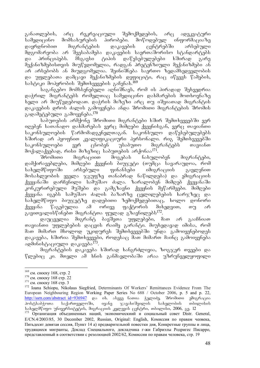განათლების, არც რეკრეაციული შემოქმედების, არც ადეკვატური სამედიცინო მომსახურების პირობები. მოწოდებულ ინფორმაციაზე დაყრდნობით მიგრანტების დაკავების ცენტრებში არსებული მდგომარეობა არ შეესაბამება დაკავების საერთაშორისო სტანდარტებს და პრინციპებს. მსგავსი ტიპის დაწესებულებები ხშირად გარე მექანიზმებისთვის მიუწვდომელია, რადგან პრეტენზიული მექანიზმები ან არ არსებობს ან მიუდგომელია. შეინიშნება საერთო ზედამხედველობის  $\infty$  უფლებათა დამცავი მექანიზმების დეფიციტი, რაც იწვევს წამების, სასტიკი მოპყრობის შემთხვევების გაჩენას.<sup>169</sup>

 $b$ აგანგებო მომხსენებელი აღნიშნავს, რომ ის პირადად შეხვედრია დაჭრილ მიგრანტებს რომელთაც სამედიცინო დახმარების მოთხოვნაზე ხელი არ მიუწვდებოდათ. დაჭრის მიზეზი არც თუ იშვიათად მიგრანტის დაკავების დროს ძალის გამოყენება ანდა შრომითი მიგრანტების შრომის გადამეტებული გამოყენება.<sup>170</sup>

საბუთების არმქონე შრომითი მიგრანტები ხშირ შემთხვევებში ვერ ingada bomsbogu gosbdomado aama dadgado daaybobas aama moqosboo საკონსულოების წარმომადგენელთაგან. საკონსულო დაწესებულებებს ხშირად არ ჰყოფნით კვალიფიკაციური პერსონალი. რიგ შემთხვევებში საკონსულოები ვერ ცნობენ უსაბუთო მიგრანტებს თავიანთ მოქალაქეებად, რისი მიზეზიც საბუთების არქონაა<sup>171</sup>.<br>- შრომითი — მიგრაციით — მოგებას — ნახულ

მიგრაციით მოგებას ნახულობენ მიგრანტები, დამქირავებლები, მიმღები ქვეყნის ბიუჯეტი (თუმცა სავარაუდოა, რომ სახელმწიფოში არსებული ფინანსები იმიგრაციის გავლენით მოსახლეობის ყველა ჯგუფზე თანაბრად ნაწილდება) და ემიგრაციის ქვეყანაში დარჩენილი სამუშაო ძალა. ზარალობენ მიმღებ ქვეყანაში კონკურირებული მუშები და გამგზავნი ქვეყნის მეწარმეები. მიმღები  $f_3$ ეყანა იგებს სამუშაო ძალის ბაზარზე ცვლილებების ხარჯზეც და სახელმწიფო ბიუჯეტზე დადებითი ზემოქმედებითაც, ხოლო დონორი ქვეყანა წაგებულია ამ ორივე ფაქტორის მიხედვით, თუ არ გავითვალისწინებთ მიგრანტთა ფულად გზავნილებს<sup>172</sup>.

დაუცველია მიგრანტ ბავშვთა უფლებები, მათ არ გააჩნიათ თავიანთი უფლებების დაცვის რაიმე გარანტი. მიუხედავად იმისა, რომ მათ მიმართ მხოლოდ უკიდურეს შემთხვევებში უნდა გამოიყენებოდეს  $\varphi$ აკავება, ხშირია შემთხვევები, როდესაც მათ მიმართ მაინც გამოიყენება ადმინისტაციული დაკავება<sup>173</sup>.

მიგრანტების დაკავება ხშირად ხანგრძლივია, ზოგჯერ თვეები და წლებიც კი. მთელი ამ ხნის განმავლობაში არაა უზრუნველყოფილი

<sup>169</sup> см. сноску 168, стр. 2

<sup>&</sup>lt;sup>170</sup> см. сноску 168 стр. 22

<sup>&</sup>lt;sup>171</sup> см. сноску 168 стр. 3

<sup>172</sup> Ioana Schiopu, Nikolaus Siegfried, Determinants Of Workers' Remittances Evidence From The European Neighbouring Region Working Paper Series No 688 / October 2006, p. 5 and p. 22, <mark>http://ssrn.com/abstract\_id=936947</mark> და იხ. ასევე ნათია ჭელიძე, შრომითი ემიგრაცია<br>პოსტსაბჭოთა საქართველოში, ივანე ჯავახიშვილის სახელობის თბილისის  $\widetilde{\mathcal{R}}$ ავახიშვილის $\widetilde{\mathcal{R}}$  $\mu$ სახელმწიფო უნივერსიტეტის, მიგრაციის კვლევის ცენტრი, თბილისი, 2006, გვ. 12

<sup>173</sup> Организация объединенных наций, экономическиий и социальный совет Distr. General, E/CN.4/2003/85, 30 December 2002, Russian, Original: English, Комиссия по правам чеовека, Пятьдесят девятая сессия, Пункт 14 а) предварительной повестки дня, Конкретные группы и лица, трудящиеся мигранты, Доклад Специального, докладчика г-жи Габриэлы Родригес Писарро, представленный в соответствии с резолюцией 2002/62, Комиссии по правам человека, стр. 19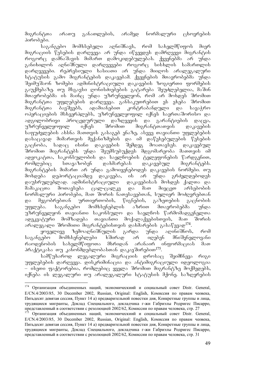მიგრანტთა არათუ განათლების, არამედ ნორმალური ცხოვრების პირობები.

საგანგებო მომხსებელი აღნიშნავს, რომ სახელმწიფოს მიერ  $\partial$ იგრაციის წესების დარღვევა არ უნდა იწვევდეს დამრღვევი მიგრანტის როგორც დამნაშავის მიმართ დამოკიდებულებას. ქვეყნებმა არ უნდა განიხილონ აღნიშნული დარღვევები როგორც სისხლის სამართლის დარღვევები. რეპრესიული ხასიათი არ უნდა მიიღოს არალეგალური სტატუსის გამო მიგრანტების დაკავებამ. ქვეყნების მთავრობებმა უნდა შეიმუშაონ ზომები ადმინისტრაციული დაკავების ზოგიერთი ფორმების გაუქმებაზე. თუ მსგავსი ღონისძიებების გატარება შეუძლებელია, მაშინ  $\delta$ თავრობებმა ის მაინც უნდა უზრუნველყონ, რომ არ მოხდეს შრომით მიგრანტთა უფლებების დარღვევა. განსაკუთრებით ეს ეხება შრომით<br>მიგრანტთა ბავშვებს, ადამიანებით კონტრაბანდული და სავაჭრო მიგრანტთა პავშვებს, ადამიანებით კონტრაპანდული და სავაჭრო ოპერაციების მსხვერპლებს, უზრუნველყოფილ იქნეს საერთაშორისო და ადგილობრივი პროცედურული დაზღვევის და გარანტიების დაცვა, უზრუნველყოფილ იქნეს შრომით მიგრანტთათვის დაკავების საფუძვლების ახსნა მათთვის გასაგებ ენაზე, ასევე თავიანთი უფლებების დასაცავად მიმართვის მექანიზმების და იმ დაწესებულების წესების  $\widetilde{P}_{\alpha}$ ა $\widetilde{P}_{\alpha}$ სადა $\widetilde{P}_{\alpha}$ ისინი აღაკავების შემდეგ მოათავ $\widetilde{p}_{\alpha}$ ს. დაკავებულ შრომით მიგრანტებს უნდა შეუმსუბუქდეს მდგომარეობა მათთვის იმ ადვოკატთა, საკონსულობის და საელწოების ტელეფონების წარდგენით, რომლებიც სთავაზობენ დახმარებას დაკავებულ მიგრანტებს. მიგრანტების მიმართ არ უნდა გამოიყენებოდეს დაკავების ნორმები. თუ მოხდება დეპორტაციამდე დაკავება, ის არ უნდა გრძელდებოდეს დაუსრულებლად. ადმინისტრაციული — დაკავებისას მოხდეს ქალთა და მამაკაცთა მოთავსება ცალ-ცალკე და მათ მიეცეთ არსებობის ნორმალური პირობები, მათ შორის ნათესავებთან, სულიერ მოძღვრებთან და მეგობრებთან ურთიერთობის, წიგნების, გაზეთების გაცნობის უფლება. საგანგებო მომხსენებლის აზრით მთავრობებმა უნდა უზრუნველყონ თავიანთი საკონსულო და საელჩოს წარმომადგენელთა ადეკვატური მომზადება თავიანთი მოქალაქეებისთვის, მათ შორის  $\sim$ არალეგალი შრომითი მიგრანტებისთვის დახმარების გასაწევად $^{174}$ .

ყოველივე ზემოაღნიშნულის გარდა უნდა აღინიშნოს, რომ საგანგებო მომხსენებლები ხშირად არ იღებენ მნიშვნელოვანი რაოდენობის სახელმწიფოთა მხრიდან არანაირ ინფორმაციას მათ პრაქტიკასა თუ კანონმდებლობასთან დაკავშირებით<sup>175</sup>.

სამწუხაროდ ლეგალური მიგრაციის დროსაც შეიმჩნევა რიგი უფლებების დარღვევა. დისკრიმინაცია და ანტიმიგრაციული იდეოლოგია – ისეთი ფაქტორებია, რომლებიც ყველა შრომით მიგრანტზე მოქმედებს, იქნება ის ლეგალური თუ არალეგალური სტატუსის მქონე. საზღვრების

<sup>174</sup> 174 Организация объединенных наций, экономическиий и социальный совет Distr. General, E/CN.4/2003/85, 30 December 2002, Russian, Original: English, Комиссия по правам чеовека, Пятьдесят девятая сессия, Пункт 14 а) предварительной повестки дня, Конкретные группы и лица, трудящиеся мигранты, Доклад Специального, докладчика г-жи Габриэлы Родригес Писарро, представленный в соответствии с резолюцией 2002/62, Комиссии по правам человека, стр. 27

<sup>&</sup>lt;sup>175</sup> Организация объединенных наций, экономическиий и социальный совет Distr. General, E/CN.4/2003/85, 30 December 2002, Russian, Original: English, Комиссия по правам чеовека, Пятьдесят девятая сессия, Пункт 14 а) предварительной повестки дня, Конкретные группы и лица, трудящиеся мигранты, Доклад Специального, докладчика г-жи Габриэлы Родригес Писарро, представленный в соответствии с резолюцией 2002/62, Комиссии по правам человека, стр. 31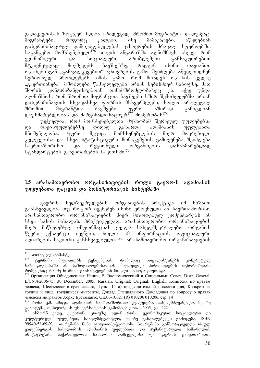გადაკვეთისას ზოგჯერ ხდება არალეგალ შრომით მიგრანტთა დაღუპვაც. მიგრანტები, როგორც ქალები, ისე მამაკაცები, აწყდებიან<br>დისკრიმინაციულ დამოკიდებულებას ცხოვრების მრავალ სფეროებში. დისკრიმინაციულ დამოკიდებულებას ცხოვრების მრავალ  $\overline{a}$ საგანგებო შომხსენებელი $^{176}$  თავის ანგარიშში აღნიშნავს ასევე, რომ ეკონომიკური და სოციალური პრობლემები განსაკუთრებით მტკივნეულად მოქმედებს ბავშვებზე, რადგან ისინი თავიანთი  $\sigma$ ჯახებისგან "განცალკევებით" ცხოვრების გამო შეიძლება აწყდებოდნენ სერიოზულ პრობლემებს. იმის გამო, რომ მოხდეს ოჯახის კვლავ "გაერთიანება" მშობლები წამსვლელები არიან ნებისმიერ ნაბიჯზე, მათ შორის კონტრაბანდისტებთან თანამშრომლობაზეც კი. აქვე უნდა აღინიშნოს, რომ შრომით მიგრანტთა ბავშვები ხშირ შემთხვევებში არიან დისკრიმინაციის სხვადასხვა ფორმის მსხვერპლები, ხოლო არალეგალ შრომით მიგრანტთა ბავშვები უფრო ხშირად განიცდიან დაუხმარებლობას და მარგინალიზაციურ<sup>177</sup> მოპყრობას<sup>178</sup>.

უეჭველია, რომ მომხსენებელთა მუშაობამ შერჩეულ უფლებებსა<br>თავისუფლებებზე დიდად გაზარდა ადამიანის უფლებათა და თავისუფლებებზე დიდად გაზარდა ადამიანის უფლებათა მნიშვნელობა. უფრო მეტიც, მომხსენებლების მიერ მოკრებილი კვლევებისა და სხვა სტატისტიკური მონაცემების გამოყენება შეიძლება საერთაშორისო და რეგიონული ორგანოების დასახმარებლად სტანდარტების განვითარების საკითხში<sup>179</sup>.

### 1.5 არასამთავრობო ორგანიზაციების როლი გაერო-ს ადამიანის უფლებათა დაცვის და მონიტორინგის სისტემაში

გაეროს ხელშეკრულების ორგანოების პრაქტიკა იმ ნიშნით განსხვავდება, თუ როგორ იყენებენ ისინი ეროვნული ან საერთაშორისო არასამთავრობო ორგანიზაციების მიერ მიწოდებულ კომენტარებს ან სხვა სახის მასალას. პრაქტიკულად, არასამთავრობო ორგანიზაციების მიერ მიწოდებულ ინფორმაციას ყველა სახელშეკრულებო ორგანოს წევრი ექსპერტი იყენებს, ხოლო ამ ინფორმაციის ოფიციალური აღიარების საკითხი განსხვავებულია<sup>180</sup>. არასამთავრობო ორგანიზაციების

<sup>&</sup>lt;sup>176</sup> ხორხე გუსტამანტე<br><sup>177</sup> ტერმინი მიუთი

<sup>-</sup> მიუთითებს ტენდენციას, რომელიც ითვალისწინებს კონკრეტულ<br>იამ საზოგადოებისათვის მიუღებელი პიროვნებების იგნორირებას,  $s$ b $\alpha$ azog $\alpha$ an sa $\alpha$  bis  $\alpha$ რომელნიც რაიმე ნიშნით განსხვავდებიან მთელი საზოგადოებისგან

<sup>178</sup> Организация Объединенных Наций, E, Экономическиий и Социальный Совет, Distr. General, E/CN.4/2006/73, 30 December, 2005, Russian, Original: Original: English, Комиссия по правам чеовека, Шестьдесят вторая сессия, Пункт 14 а) предварительной повестки дня, Конкретные группы и лица, трудящиеся мигранты, Доклад Специального Докладчика по вопросу о правах человека мигрантов Хорхе Бустаманте, GE.06-10021 (R) 010206 010206, cтр. 14

 $^{179}$  რონა კ. $\overline{\mathrm{d}}$ . სმიტი, ადამიანის საერთაშორისო უფლებები, სახელმძღვანელო, მეორე გამოცემა, ოქსფორდის უნივერსიტეტის გამომცემლობა, 2005, გ<u>ვ</u>. 222

<sup>&</sup>lt;sup>180</sup> ასბორნ ეიდე, კატარინა კრაუზე, ალან როსა, ეკონომიკური, სოციალური და კულტურული უფლებები, სახელმძღვანელო, მეორე განახლებული გამოცემა, ISBN 99940-58-69-X, თარგმანი ნანა ჯაფარიძე-ჭყიოძისა (თარგმანი განხორციელდა რაულ გალენბერგის სახელობის ადამიანის უფლებათა და პუმანიტარული სამართლის ინსტიტუტის, საქართველოს სახალხო დამცველისა და გაეროს განვითარების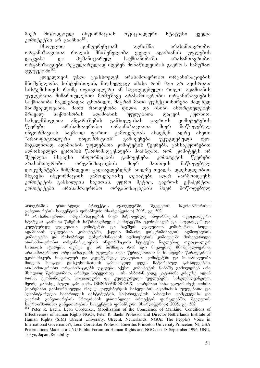მიერ მიწოდებულ ინფორმაციას ოფიციალური სტატუსი ყველა კომიტეტში არ გააჩნია<sup>181</sup>.

მსოფლიო კონფერენციამ აღნიშნა არასამთავრობო ორგანიზაციათა როლის მნიშვნელობა ყველა ადამიანის უფლების<br>დაცვასა და ჰუმანიტარულ საქმიანობაში. არასამთავრობო დაცვასა და ჰუმანიტარულ საქმიანობაში. არასამთავრობო ორგანიზაციები რეგულარულად იღებენ მონაწილეობას გაერო-ს საშუშაო  $x_3$ უფებ ში $^{182}$ .

ყოველთვის უნდა გვახსოვდეს არასამთავრობო ორგანიზაციების მნიშვნელობა სისტემისთვის, მიუხედევად იმისა რომ მათ არ აკისრიათ სისტემისთვის რაიმე ოფიციალური ან სავალდებულო როლი. ადამიანის უფლებათა მიმართულებით მომუშავე არასამთავრობო ორგანიზაციების საქმიანობა ნაკლებადაა ცნობილი, მაგრამ მათი ფუნქციონირება ძალზედ შნიშვნელოვანია. შათი რაოდენობა დიდია და ისინი ახორციელებენ მრავალ საქმიანობას ადამიანის უფლებათა დაცვის კუთხით. სახელმწიფოთა ანგარიშების განხილვისას გაერო-ს კომიტეტების წევრები — არასამთავრობო ორგანიზაციათა მიერ მოწოდებულ ინფორმაციას საკმაოდ ფართო გამოყენებას ახდენენ. ადრე ასეთი<br>"არაოფიციალური ინფორმაციის" გამოყენება უკუგდებული იყო. "არაოფიციალური ინფორმაციის" გამოყენება უკუგდებული იყო. მაგალითად, ადამიანის უფლებათა კომიტეტის წევრებს, განსაკუთრებით აღმოსავლეთ ევროპის წარმომადგენლებს მიაჩნდათ, რომ კომიტეტს არ<br>შეუძლია მსგავსი ინფორმაციის გამოყენება. კომიტეტის წევრები შეუძლია მსგავსი ინფორმაციის გამოყენება. კომიტეტის წევრები არასამთავრობო ორგანიზაციების მიერ მათთვის მიწოდებულ დოკუმენტებს მიჩქმალვით გადაავლებდნენ ხოლმე თვალს. დღესდღეობით მსგავსი ინფორმაციის გამოყენებაზე დებატები აღარ წარმოადგენს კომიტეტის განხილვის საკითხს. უფრო მეტიც, გაერო-ს ექსპერტთა კომიტეტები არასამთავრობო ორგანიზაციების მიერ მოწოდებულ

პროგრამის ერთობლივი პროექტის ფარგლებში, შვედეთის საერთაშორისო განვითარების სააგენტოს ფინანსური მხარდაჭერით) 2005, გვ. 502

<sup>.</sup> არასამთავრობო ორგანიზაციების მიერ მიწოდებულ ინფორმაციას ოფიციალური სტატუსი გააჩნია: წამების საწინააღმდეგო კომიტეტში, ეკონომიკურ და სოციალურ და კულტურულ უფლებათა კომიტეტში და ბავშვის უფლებათა კომიტეტში, ხოლო ადამიანის უფლებათა კომიტეტში, ქალთა მიმართ დისკრიმინაციის აღმოფხვრის  $R$ ომიტეტში და რასობრივი დისკრიმინაციის აღმოფხვრის კომიტეტში მოხვედრილი arasamTavrobo organizaciebis informaciis statusi naklebad oficialur ხასიათს ატარებს, თუმცა ეს არ ნიშნავს, რომ იგი ნაკლებად მნიშვნელოვანია. არასამთავრობო ორგანიზაციებს უფლება აქვთ წერილობითი მოხსენებები წარადგინონ ეკონომიკურ, სოციალურ და კულტურულ უფლებათა კომიტეტში და მონაწილეობა მიიღონ ზოგადი დისკუსიისათვის გამოყოფილ დღეს ჩატარებულ განხილვებში. არასამთავრობო ორგანიზაციებს უფლება აქვსთ კომიტეტის წინაშე გამოვიდნენ არა მხოლოდ წერილობით, არამედ სიტყვითაც – იხ. ასბორნ ეიდე, კატარინა კრაუზე, ალან როსა, ეკონომიკური, სოციალური და კულტურული უფლებები, სახელმძღვანელო, მეორე განახლებული გამოცემა, ISBN 99940-58-69-X, თარგმანი ნანა ჯაფარიძე-ჭყიოძისა-(თარგმანი განხორციელდა რაულ ვალენბერგის სახელობის ადამიანის უფლებათა და ືອໆმანიტარული სამართლის ინსტიტუტის, საქართველოს სახალხო დამცველისა და გაეროს განვითარების პროგრამის ერთობლივი პროექტის ფარგლებში, შვედეთის საერთაშორისო განვითარების სააგენტოს ფინანსური მხარდაჭერით) 2005, გვ. 502

Peter R. Baehr, Leon Gordenker, Mobilization of the Conscience of Mankind: Conditions of Effectiveness of Human Rights NGOs, Peter R. Baehr Professor and Director Netherlands Institute of Human Rights (SIM) Utrecht University, Utrecht, Netherlands, NGOs: The People's Voice in International Governance?, Leon Gordenker Professor Emeritus Princeton University Princeton, NJ, USA Presentations Made at a UNU Public Forum on Human Rights and NGOs on 18 September 1996, UNU, Tokyo, Japan ,Reliability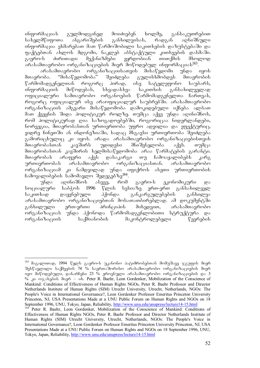ინფორმაციას გულმოდგინედ მოიძიებენ ხოლმე, განსაკუთრებით სახელმწიფოთა ანგარიშების განხილვისას, რადგან აღნიშნული <u>ინფორმაცია ეხმარებათ მათ წარმოშობილი საკითხების დაზუსტებაში და</u> ფაქტებთან ახლოს მდგომი, ნაკლებ აბსტაქტული კითხვების დასმაში.<br>გაერო-ს ძირითადი მექანიზმები ეყრდობიან თითქმის მხოლოდ გაერო-ს ძირითადი მექანიზმები ეყრდობიან თითქმის მხოლოდ  $\sim$ გრასამთავრობო ორგანიზაციების მიერ მოწოდებულ ინფორმაციას $^{183}$ .

არასამთავრობო ორგანიზაციისათვის მისაწვდომი უნდა იყოს<br>ობა. "მისაწვდომობა" შეიძლება გულისხმობდეს მთავრობის მთავრობა. "მისაწვდომობა" შეიძლება გულისხმობდეს მთავრობის<br>წარმომადგენელთან როგორც პირად, ისე სატელეფონო საუბარს, როგორც პირად, ისე სატელეფონო საუბარს,  $\alpha$ ნფორმაციის მიწოდებას, სხვადასხვა საკითხის განსახილველად ოფიციალური სამთავრობო ორგანოების წარმომადგენელთა ჩართვას, როგორც ოფიციალურ ისე არაოფიციალურ საუბრებში. არასამთავრობო ორგანიზაციის ამგვარი მისაწვდომობა დამოკიდებული იქნება ალბათ მათ ქვეყნის შიდა პოლიტიკურ როლზე. თუმცა აქვე უნდა აღინიშნოს, რომ პოლიტიკურად ღია საზოგადოებებში, როგორიცაა ნიდერლანდები, ნორვეგია, მთავრობასთან ურთიერთობა უფრო ადვილია და ეფექტურიც, ვიდრე ჩინეთში ან ინდონეზიაში, სადაც მსგავსი ურთიერთობა შეიძლება .<br>გამორიცხულიც კი იყოს. არადა არასამთავრობო ორგანიზაციებისთვის<br>მთავრობასთან კავშირს უდიდესი მნიშვნელობა აქვს. თუმცა მთავრობასთან კავშირს უდიდესი მნიშვნელობა აქვს. თუმცა მთავრობასთან კავშირის ხელმისაწვდომობა არაა წარმატების გარანტი. მთავრობას არაფერი აქვს დასაკარგი თუ ჩამოაყალიბებს კარგ ურთიერთობას არასამთავრობო ორგანიზაციასთან. არასამთავრობო ორგანიზაციამ კი ნამდვილად უნდა იფიქროს ასეთი ურთიერთობის ჩამოყალიბების სამომავლო შედეგებზე<sup>184</sup>.

უნდა აღინიშნოს ასევე, რომ გაერო-ს ეკონომიკური და სოციალური საბჭოს 1996 წლის სესიაზე ერთ-ერთ განსახილველ საკითხად დაყენებული პქონდა განკარგულებების განხილვა არასამთავრობო ორგანიზაციებთან მოსათათბირებლად. ამ დოკუმენტში განხილული ერთ-ერთი პრინციპის მიხედვით, არასამთავრობო ორგანიზაციას უნდა ჰქონოდა წარმომადგენლობითი სტრუქტურა და ორგანიზაციის საქმიანობის მაკონტროლებელი წევრების

<sup>-</sup><sup>183</sup> მაგალითად, 1994 წელს გაერო-ს უკანონო პატიმრობებთან მომუშავე ჯგუფის მიერ შესწავლილი საქმეების 74 % საერთაშორისო არასამთავრობო ორგანიზაციების მიერ oge doწოდებული, დანარჩენი 23 % ეროვნული არასამთავრობო ორგანიზაციების და 3 % <sub>do</sub> mxsbadob doam – ob. Peter R. Baehr, Leon Gordenker, Mobilization of the Conscience of Mankind: Conditions of Effectiveness of Human Rights NGOs, Peter R. Baehr Professor and Director Netherlands Institute of Human Rights (SIM) Utrecht University, Utrecht, Netherlands, NGOs: The People's Voice in International Governance?, Leon Gordenker Professor Emeritus Princeton University Princeton, NJ, USA Presentations Made at a UNU Public Forum on Human Rights and NGOs on 18 September 1996, UNU, Tokyo, Japan, Reliability, http://www.unu.edu/unupress/lecture14-15.html

<sup>&</sup>lt;sup>184</sup> Peter R. Baehr, Leon Gordenker, Mobilization of the Conscience of Mankind: Conditions of Effectiveness of Human Rights NGOs, Peter R. Baehr Professor and Director Netherlands Institute of Human Rights (SIM) Utrecht University, Utrecht, Netherlands, NGOs: The People's Voice in International Governance?, Leon Gordenker Professor Emeritus Princeton University Princeton, NJ, USA Presentations Made at a UNU Public Forum on Human Rights and NGOs on 18 September 1996, UNU, Tokyo, Japan, Reliability, http://www.unu.edu/unupress/lecture14-15.html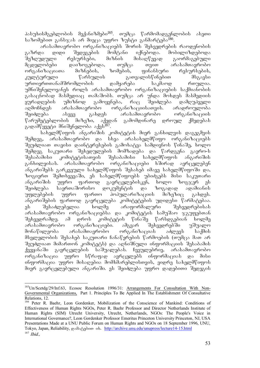პასუხისმგებლობის მექანიზმები<sup>185</sup>. თუმცა წარმომადგენლობის ასეთი საზომებით განსჯას არ მიეცა უფრო ზუსტი განმარტება<sup>186</sup>.

არასამთავრობო ორგანიზაციებს შორის შეხვედრების რაოდენობის გაზრდა დიდი შედეგების მომტანი იქნებოდა. მობილიზდებოდა<br>'შეზდუდული რესურსები, მიზნის მისაღწევად გაორმაგებული შეზღუდული რესურსები, მიზნის მისაღწევად გაორმაგებული მცდელობები დაიზოგებოდა, თუმცა თვით არასამთავრობო<br>ორგანიზაციათა მიზნების, ზომების, ფინანსური რესურსების, ორგანიზაციათა მიზნების, ზომების, ფინანსური რესურსების, კულტურული წარსულის გათვალისწინებით მსგავსი ურთიერთთანამშრომლობის დამყარება საკმაოდ რთულია. უმნიშვნელოვანეს როლს არასამთავრობო ორგანიზაციების საქმიანობის გასაცნობად მასმედიაც თამაშობს. თუმცა არ უნდა მოხდეს მასმედიის ყურადღების უმიზნოდ გამოყენება, რაც შეიძლება დამღუპველი აღმოჩნდეს არასამთავრობო ორგანიზაციისათვის. არადროულობა შეიძლება ასევე გახდეს არასამთავრობო ორგანიზაციის<br>წარუმეტებლობის მიზეზი, აქედან გამომდინარე დროულ ქმედებას წარუმეტებლობის მიზეზი, აქედან გამომდინარე დროულ ქმედებას გადამწყვეტი მნიშვნელობა აქვს<sup>187</sup>.

სახელმწიფოს ანგარიშის კომიტეტის მიერ განხილვის დაგეგმვის შემდეგ, არასამთავრობო და სხვა არასახელმწიფო ორგანიზაციებს შეუძლიათ თავისი დაინტერესების გამოხატვა სამდივნოს წინაშე, ხოლო შემდეგ საკუთარი შეხედულების მომზადება და წარდგენა გაერო-ს შესაბამისი კომიტეტისათვის შესაბამისი სახელმწიფოს ანგარიშის განხილვისას. არასამთავრობო ორგანიზაციები ხშირად ავრცელებენ ანგარიშებს გარკვეული სახელმწიფოს შესახებ იმავე სახელმწიფოში და, ზოგიერთ შემთხვევაში, ეს სახელმწიფოებს უბიძგებს მისი საკუთარი<br>ანგარიშის უფრო ფართოდ გავრცელებისკენ, ხოლო ზოგჯერ ეს უფრო ფართოდ გავრცელებისკენ, ხოლო ზოგჯერ ეს შეიძლება საერთაშორისო დოკუმენტის და ზოგადად ადამიანის უფლებების უფრო ფართო პოპულარიზაციის მიზეზიც გახდეს. ანგარიშების ფართოდ გავრცელება კომიტეტების უდიდესი წარმატებაა. ეს შესაძლებელია ხოლმე არაფორმალური შეხვედრებისას არასამთავრობო ორგანიზაციებსა და კომიტეტის სამუშაო ჯგუფებთან<br>"შეხვედრამდე. ამ დროს კომიტეტის წინაშე წარსდგებიან ხოლმე შეხვედრამდე. ამ დროს კომიტეტის წინაშე წარსდგებიან ხოლმე<br>არასამთავრობო ორგანიზაციები. ამგვარ შეხვედრებში უშუალო არასამთავრობო ორგანიზაციები. ამგვარ შეხვედრებში უშუალო მონაწილეობა არასამთავრობო ორგანიზაციას აძლევს საქმის მსვლელობის შესახებ საკუთარი ჩანაწერების წარმოების (თუმცა მათ არ შეუძლიათ მიმართონ კომიტეტს) და აღნიშნული ინფორმაციის შესაბამის ქვეყანაში გავრცელების საშუალებას. ჩვეულებრივ, არასამთავრობო ორგანიზაცია უფრო სწრაფად ავრცელებს ინფორმაციას და მისი ინფორმაცია უფრო მისაღებია მომხმარებლისთვის, ვიდრე სახელმწიფოს მიერ გავრცელებული ანგარიში. ეს შეიძლება უფრო დადებითი შედეგის

<sup>-</sup><sup>185</sup>Un/Scetdg/29/Inf.63, Ecosoc Resolution 1996/31: Arrangements For Consultation With Non-Governmental Organizations, Part 1. Principles To Be Applied In The Establishment Of Consultative Relations, 12.

<sup>186</sup> Peter R. Baehr, Leon Gordenker, Mobilization of the Conscience of Mankind: Conditions of Effectiveness of Human Rights NGOs, Peter R. Baehr Professor and Director Netherlands Institute of Human Rights (SIM) Utrecht University, Utrecht, Netherlands, NGOs: The People's Voice in International Governance?, Leon Gordenker Professor Emeritus Princeton University Princeton, NJ, USA Presentations Made at a UNU Public Forum on Human Rights and NGOs on 18 September 1996, UNU, Tokyo, Japan, Reliability,  $\infty$ 38.8300 ob. http://archive.unu.edu/unupress/lecture14-15.html  $187$  *Ibid.*,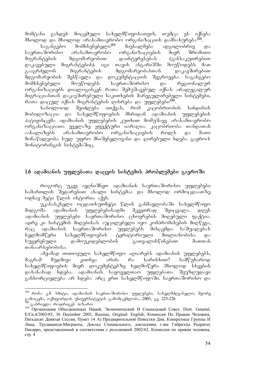მომტანი გახდეს მოცემული სახელმწიფოსათვის, თუმცა ეს იქნება mxolod da mxolod arasamTavrobo organizaciis damsaxureba188.

მომხსენებელი<sup>189</sup> მიესალმება ადგილობრივ და საერთაშორისო არასამთავრობო ორგანიზაციების მიერ შრომითი მიგრანტების მდგომარეობით დაინტერესებას (განსაკუთრებით დაკავებული მიგრანტების). იგი თავის ანგარიშში მოუწოდებს მათ გააგრძელონ მიგრანტების მდგომარეობასთან დაკავშირებით მდგომარეობის შესწავლა და დოკუმენტაციის შეგროვება. საგანგებო<br>მომხსენებელი მოუწოდებს საერთაშორისო და რეგიონალურ მომხსენებელი მოუწოდებს საერთაშორისო და ორგანიზაციებს დიალოგისკენ რათა შემუშავებულ იქნას არალეგალურ მიგრაციასთან დაკავშირებული საკითხების მარეგულირებელი სისტემები,

რათა დაცულ იქნას მიგრანტების ღისრება და უფლებები<sup>190</sup>.<br>საბოლოოდ შეიძლება ითქვას, რომ კაცობრიობი  $b$ აბოლოოდ შეიძლება ითქვას, რომ კაცობრიობის სინდისის მობილიზაცია და სახელმწიფოების მხრიდან ადამიანის უფლებების პატივისცემა ადამიანის უფლებების კუთხით მომუშავე არასამთავრობო ორგანიზაციათა ყველაზე ეფექტური იარაღია. კაცობრიობა თანდათან აანალიზებს არასამთავრობო ორგანიზაციების როლს და მათი მონაწილეობა სულ უფრო მნიშვნელოვანი და ღირებული ხდება გაერო-ს მონიტორინგის სისტემაშიც.

### 1.6 ადამიანის უფლებათა დაცვის სისტემის პრობლემები გაეროში

როგორც უკვე ავღნიშნეთ ადამიანის საერთაშორისო უფლებები სამართლის შედარებით ახალი სისტემაა და მხოლოდ ორმოცდაათზე moba dago forot otgenoo adat.

უკანასკნელი ოცდათხუთმეტი წლის განმავლობაში სახელმწიფო მიდგომა ადამიანის უფლებებისადმი მკვეთრად შეიცვალა. დღეს ადამიანის უფლებები საერთაშორისო ცხოვრების მიღებული ფაქტია. ადრე კი სისტემის მიღებისას აუცილებელი იყო კომპრომისების მიღწევა, რაც ადამიანის საერთაშორისო უფლებებს მისცემდა საშუალებას<br>ხელმომწერი სახელმწიფოების ტერიტორიული მთლიანობისა და ხელშომწერი სახელმწიფოების ტერიტორიული მთლიანობისა და სუვერენული დამოუკიდებლობის გათვალისწინებით მათთან თანაარსებობისა.

ამჟამად თითოეული სახელმწიფო აღიარებს ადამიანის უფლებებს,<br>მ მუდმივი კითხვა არის: რა ხარისხით? სამწუხაროდ მაგრამ მუდმივი კითხვა არის: რა ხარისხით? სამწუხაროდ სახელმწიფოების მიერ დოკუმენტებზე ხელმოწერა მხოლოდ სხვების დასანახად ხდება. ადამიანის საყოველთაო უფლებათა შეუზღუდავი განხორციელება არ ხდება არც ერთ სახელმწიფოში. საერთაშორისო და

 $^{188}$  რონა კ.მ. სმიტი, ადამიანის საერთაშორისო უფლებები, სახელმძღვანელო, მეორე <sub>გა</sub>მოცემა, ოქსფორდის უნივერსიტეტის გამომცემლობა, 2005, გვ. 225-226 გაპრიელა როდრიგეს პიზარო

<sup>190</sup> Организация Объединенных Наций, Экономический И Социальный Совет, Distr. General, E/Cn.4/2003/85, 30 December 2002, Russian, Original: English, Комиссия По Правам Человека, Пятьдесят Девятая Сессия, Пункт 14 А) Предварительной Повестки Дня, Конкретные Группы И Лица, Трудящиеся-Мигранты, Доклад Специального, докладчика г-жи Габриэлы Родригес Писарро, представленный в соответствии с резолюцией 2002/62, Комиссии по правам человека, стр. 4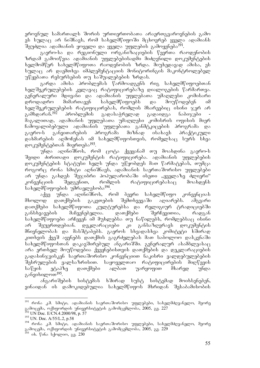ეროვნულ სამართალს შორის ურთიერთობათა არაერთგვაროვნების გამო ეს სულაც არ ნიშნავს, რომ სახელმწიფოში მცხოვრებ ყველა ადამიანს  $\tilde{a}$ ეუძლია ადამიანის ყოველი და ყველა უფლების გამოყენება $^{191}$ .

გაერო-სა და რეგიონული ორგანიზაციების წევრთა რაოდენობის ზრდამ გამოიწვია ადამიანის უფლებებისადმი მიძღვნილი დოკუმენტების ხელმომწერ სახელმწიფოთა რაოდენობის ზრდა. მიუხედავად ამისა, ეს სულაც არ დაემთხვა იმპლემენტაციის მონიტორინგის მაკონტროლებელ უწყებათა რესურსების თუ საშუალებების ზრდას.

გარდა ამისა პრობლემას წარმოადგენს რიგ სახელმწიფოებთან ხელშეკრულებების კვლავაც რატიფიცირებაზე დიალოგების წარმართვა. გენერალური მდივანი და ადამიანის უფლებათა უმაღლესი კომისარი დროდადრო მიმართავენ სახელმწიფოებს და მოუწოდებენ იმ ხელშეკრულებების რატიფიცირებას, რომლის მხარეებიც ისინი ჯერ არ<br>გამხდარან.<sup>192</sup> პრობლემის გადასაჭრელად გადაიდგა ნაბიჯები გადასაჭრელად გადაიდგა ნაბიჯები ข้อგალითად, ადამიანის უფლებათა უმაღლესი კომისრის ოფისის მიერ ჩამოყალიბებული ადამიანის უფლებათა განმტკიცების პროგრამა და გაერო-ს განვითარების პროგრამა მიზნად ისახავს პრაქტიკული დახმარების აღმოჩენას იმ სახელმწიფოსთვის, რომელსაც სურს სხვა დოკუმენტებთან მიერთება<sup>193</sup>.

უნდა აღინიშნოს, რომ ცოტა ქვეყანამ თუ მოახდინა გაერო-ს შვიდი ძირითადი დოკუმენტის რატიფიცირება. ადამიანის უფლებების დოკუმენტების სტატუსი ხელს უნდა უწყობდეს მათ წარმატებას, თუმცა როგორც რონა სმიტი აღნიშნავს, ადამიანის საერთაშორისო უფლებები არ უნდა გახდეს შეჯიბრი პოპულარობაში ისეთი "ყველაზე ძლიერი" კონვენციის შედგენით, რომლის რატიფიცირებასაც მოახდენს სახელმწიფოების უმრავლესობა<sup>194</sup>.

აქვე უნდა აღინიშნოს, რომ ბევრი სახელმწიფო კონვენციას მხოლოდ დათქმების გაკეთების შემთხვევაში აღიარებს. ამგვარი დათქმები სახელმწიფოთა კულტურებსა და რელიგიურ ტრადიციებში განსხვავების მაჩვენებელია. დათქმები შერჩევითია, რადგან სახელმწიფოები არჩევენ იმ მუხლებსა თუ ნაწილებს, რომლებსაც ისინი არ შეუერთდებიან. დეკლარაციები კი განსაზღვრავს დოკუმენტის მნივნელობას და მასშტაბებს. გაეროს სხვადასხვა კომიტეტი ხშირად კითხვის ქვეშ აყენებს დათქმის გაგრძელებას მათ საბოლოო დასკვნაში სახელმწიფოსთან დაკავშირებულ ანგარიშში. გენერალურ ასამბლეასაც არა ერთხელ მოუწოდებია ქვეყნებისთვის დათქმების და დეკლარაციების გადასინჯვისკენ საერთაშორისო კონვენციით ნაკისრი ვალდებულებების<br>შესრულების ვალსაზრისით. საყოველთაო რატიფიცირების მიღწევის საყოველთაო რატიფიცირების მიღწევის საწყის ეტაპზე დათქმები ალბათ უარყოფით მხარედ უნდა განვიხილოთ $^{195}$ .

ანგარიშების სისტემას ხშირად სუსტ სისტემად მოიხსენებენ, ვინაიდან ის დამოკიდებულია სახელმწიფოს მხრიდან შესაბამისობის

 $^{191}$  რონა კ.მ. სმიტი, ადამიანის საერთაშორისო უფლებები, სახელმძღვანელო, მეორე გამოცემა, ოქსფორდის უნივერსიტეტის გამომცემლობა, 2005, გვ. 227

<sup>192</sup> UN Doc. E/CN.4.2000/98, p. 57

<sup>193</sup> UN. Doc. A/55/L.2, p.58

 $^{194}$  რონა კ.მ. სმიტი, ადამიანის საერთაშორისო უფლებები, სახელმძღვანელო, მეორე გამოცემა, ოქსფორდის უნივერსიტეტის გამომცემლობა, 2005, გვ. 229

 $195$  ob. წინა სქოლიო, გვ. 230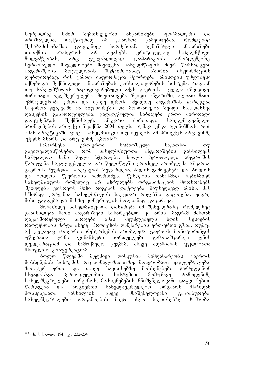სურვილზე. ხშირ შემთხვევებში ანგარიშები ფორმალური და პროზაულია, ფაქტიურად იმ კანონთა გამეორებაა, რომლებიც<br>შესაბამისობაშია დადგენილ ნორმებთან. აღნიშნული ანგარიშები შესაბამისობაშია დადგენილ ნორმებთან. აღნიშნული ანგარიშები თითქმის არასდროს არ აფასებს კრიტიკულად სახელმწიფო მოღვაწეობას, არც გულახდილად ლაპარაკობს პრობლემებზე. სერიოზული მსჯელობები მიეძღვნა სახელმწიფოს მიერ წარსადგენი ანგარიშების მოცულობის შემცირებასაც. ხშირია ინფორმაციის დუბლირებაც, რის გამოც ინფორმაცია მეორდება. ამისთვის უმჯობესი იქნებოდა შექმნილიყო ანგარიშების კონსოლიდირების სისტემა. რადგან თუ სახელმწიფოს რატიფიცირებული აქვს გაერო-ს ყველა (შვიდივე) ძირითადი ხელშეკრულება, მოეთხოვება შვიდი ანგარიში, ალბათ მათი უმრავლესობა ერთი და იგივე დროს, შვიდივე ანგარიშის წარდგენა საჭიროა ჟენევაში ან ნიუ-იორკში და მოითხოვება შვიდი სხვადასხვა დასკვნის განხორციელება. გადადგმულია ნაბიჯები ერთი ძირითადი დოკუმენტის შექმნისაკენ. ამგვარი ძირითადი სახელმძღვანელო პრინციპების პროექტი შეიქმნა 2004 წელს. თუმცა უნდა აღინიშნოს, რომ ამას პრაქტიკაში ცოტა სახელმწიფო თუ იყენებს. ამ პროექტს არც ვინმე უჭერს მხარს და არც ვინმე გმობს<sup>196</sup>.

ჩამორჩენა ერთ-ერთი სერიოზული საკითხია. თუ გავითვალისწინებთ, რომ სახელმწიფოთა ანგარიშების განხილვას საშუალოდ სამი წელი სჭირდება, ხოლო პერიოდული ანგარიშის წარდგენა სავალდებულოა ორ წელიწადში ერთხელ პრობლემა აშკარაა. გაერო-ს შეუძლია სანქციების შეფარდება, ძალის გამოყენება და, ბოლოს და ბოლოს, წევრობის ჩამორთმევა. წესდების თანახმად, ნებისმიერ სახელმწიფოს რომელიც არ ასრულებს ორგანიზაციის მოთხოვნებს შეიძლება ეთხოვოს მისი რიგების დატოვება. მიუხედავად ამისა, მას ხშირად ურჩევნია სახელმწიფოს საკუთარ რიგებში დატოვება, ვიდრე მისი გაგდება და მასზე კონტროლის მთლიანად დაკარგვა.

.<br>მონაწილე სახელმწიფოთა დასწრება იმ შეხვედრაზე, რომელზეც განიხილება მათი ანგარიშები სასარგებლო კი არის, მაგრამ მასთან დაკავშირებული ხარჯები ამას შეუძლებელს ხდის. სესიების რაოდენობის ზრდა ასევე პროცესის დაჩქარების ერთ-ერთი გზაა, თუმცა აქ კვლავაც მთავარია რესურსების პრობლემა. გაერო-ს მონიტორინგის უწყებათა ღრმა ფინანსური სირთულეები გამოააშკარავა ვენის დეკლარაციამ და სამოქმედო გეგმამ, ასევე ადამიანის უფლებათა  $\partial$ სოფლიო კონფერენციამ.

ბოლო წლებში მუდმივი დისკუსია მიმდინარეობს გაერო-ს მოხსენების სისტემის რაციონალიზაციაზე. მთავრობათა ვალდებულება, ზოგჯერ ერთი და იგივე საკითხებზე მოხსენებები წარუდგინონ სხვადასხვა პერიოდულობის სისტემით მომუშავე რამოდენიმე სახელშეკრულებო ორგანოს, მოხსენებების მნიშვნელოვანი დაგვიანებით წარდგენა და ზოგიერთი სახელშეკრულებო ორგანოს მხრიდან<br>მოხსენებათა განხილვის ასევე მნიშვნელოვანი გაჭიანურება, მოხსენებათა განხილვის ასევე მნიშვნელოვანი გაჭიანურება,<br>სახელშეკრულებო ორგანოების მიერ ისეთ საკითხებზე მუშაობა, სახელშეკრულებო ორგანოების მიერ ისეთ საკითხებზე მუშაობა,

<sup>&</sup>lt;u>.</u> <sup>196</sup> იხ. სქოლიო 194, გვ. 232-234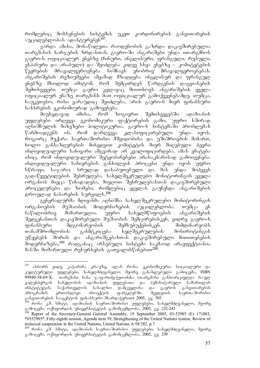რომლებიც მოხსენების სისტემის უკეთ კორდინირების განვითარების აუცილებლობას ადასტურებენ<sup>197</sup>.

გარდა ამისა, მონაწილეთა რაოდენობის გაზრდა დაკავშირებულია თარგმანის ხარჯების ზრდასთან. გაერო-ში ანგარიშები უნდა ითარგმნოს გაერო-ს ოფიციალურ ენებზე (ჩინური, ინგლისური, ფრანგული, რუსული, -ესპანური და არაბული) და შეიძლება კიდევ სხვა ენებზე – კომიტეტების<br>წევრების - მრავალფეროვნება - ნიშნავს - ენობრივ - მრავალფეროვნებას. წევრების მრავალფეროვნება ნიშნავს ენობრივ მრავალფეროვნებას. ანგარიშების რეზიუმეები ამჟამად მზადდება ინგლისურ და ფრანგულ ენებზე მხოლოდ იმიტომ, რომ შემცირდეს წარდგენის დაგვიანების შემთხვევები. თუმცა გაერო კვლავაც მოითხოვს ანგარიშების ყველა ოფიციალურ ენაზე თარგშანს შათ ოფიციალურ გამოქვეყნებაშდე. თუმცა, საუკეთესო, რისი ვარაუდიც შეიძლება, არის გაერო-ს მიერ ფინანსური სახსრების ეკონომიურად გამოყენება.

მიუხედავად იმისა, რომ ზოგიერთ შემთხვევებში ადამიანის უფლებები ირღვევა ეკონომიკური ფაქტორების გამო, უფრო ხშირად აღნიშნულის მიზეზები პოლიტიკურია. გაერო-ს სისტემაში პრობლემას წარმოადგენს ის, რომ დარღვევა კლასიფიცირებული უნდა იყოს, როგორც მუქარა საერთაშორისო მშვიდობისა და უშიშროების მიმართ, ხოლო განსაზღვრების მიხედვით კომიტეტის მიერ მიღებული ბევრი ინდივიდუალური საჩივარი ამგვარად არ კვალიფიცირდება. ამას ემატება  $\sigma$ სიც, რომ ინდივიდუალური შეტყობინებები არასაკმარისად გამოიყენება. ინდივიდუალური საჩივრების განხილვის პროცესი უნდა იყოს უფრო სწრაფი, საჯარო, სრულად დასაბუთებული და მას უნდა მოჰყვეს გადაწყვეტილების შესრულება. სახელშეკრულებო მონიტორინგის ყველა ორგანოს მიეცა წინადადება, მიეღოთ შესრულებასთან დაკავშირებული პროცედურები და ზომები, რომლებიც ყველას გაუჩენდა ანგარიშების დროულად ჩაბარების სურვილს.<sup>198</sup>

გენერალურმა მდივანმა აღნიშნა სახელშეკრულებო მონიტორინგის ორგანოების მუშაობის მოდერნიზების აუცილებლობა. თუმცა ეს ნაწილობრივ მიმართულია უფრო სახელმწიფოების ანგარიშების შედგენასთან დაკავშირებული მუშაობის შემცირებისკენ, ვიდრე გაერო-ს .<br>ფინანსური მდგომარეობის შემსუბუქებისკენ. მიმდინარეობს თანამშრომლობის განმტკიცება ხელშეკრულების მონიროტინგის უწყებებს შორის და ანგარიშგებასთან დაკავშირებული მითითებების მოდერნიზება,<sup>199</sup> რადგანაც არსებული სისტემა საკმაოდ არაეფექტიანია მასში მომართული რესურსების გათვალისწინებით $^{200}$ .

<sup>197</sup> ასბორნ ეიდე, კატარინა კრაუზე, ალან როსა, ეკონომიკური, სოციალური და კულტურული უფლებები, სახელმძღვანელო, მეორე განახლებული გამოცემა, ISBN 99940-58-69-X, თარგმანი ნანა ჯაფარიძე-ჭყიოძისა (თარგმანი განხორციელდა რაულ გალენბერგის სახელობის ადამიანის უფლებათა და <mark>პუმანიტარული სამართლის</mark><br>ინსტიტუტის, საქართველოს სახალხო დამცველისა და გაეროს განვითარების ინსტიტუტის, საქართველოს სახალხო დამცველისა და გაეროს განვითარების<br>პროგრამის ერთობლივი პროექტის ფარგლებში, შვედეთის საერთაშორისო პროგრამის ერთობლივი პროექტის ფარგლებში, შვედეთის საერთაშორისო განვითარების სააგენტოს ფინანსური მხარდაჭერით) 2005, გვ. 503

 $^{198}$  რონა კ.მ. სმიტი, ადამიანის საერთაშორისო უფლებები, სახელმძღვანელო, მეორე გამოცემა, ოქსფორდის უნივერსიტეტის გამომცემლობა, 2005, გვ. 232-243

<sup>&</sup>lt;sup>199</sup> Report of the Secretary-General General Assembly, 19 September 2003, 03-52985 (E) 171003, \*0352985\*, Fifty-eighth session, Agenda item 59, Strengthening of the United Nations system, Review of technical cooperation in the United Nations, United Nations A/58/382, p.7

<sup>&</sup>lt;sup>200</sup> რონა კ.მ. სმიტი, ადამიანის საერთაშორისო უფლებები, სახელმძღვანელო, მეორე გამოცემა, ოქსფორდის უნივერსიტეტის გამომცემლობა, 2005, გვ. 239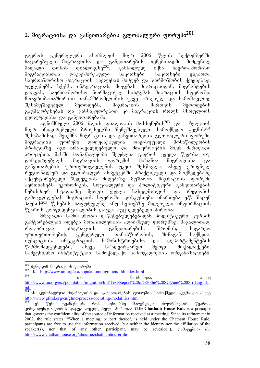# 2. მიგრაციისა და განვითარების გლობალური ფორუმი<sup>201</sup>

გაეროს გენერალური ასამბლეის მიერ 2006 წლის სექტემბერში ჩატარებული მიგრაციისა და განვითარების თემებისადმი მიძღვნილ მაღალი დონის დიალოგზე<sup>202</sup>, განხილულ იქნა საერთაშორისო მიგრაციასთან დაკავშირებული საკითხები. საკითხები ეხებოდა საერთაშორისო მიგრაციის გავლენას მიმღებ და წარმოშობის ქვეყნებზე, უფლებებს, სქესს, ინტეგრაციას, მოგებას მიგრაციიდან, მიგრანტების დაცვას, საერთაშორისო ნორმატიულ სისტემას მიგრაციის სფეროში, მთავრობათაშორისი თანამშრომლობის უკვე არსებულ და სამომავლოდ<br>შესამუშავებელ — მეთოდებს, — მიგრაციის — მართვის — მეთოდების შესამუშავებელ მეთოდებს, მიგრაციის მართვის მეთოდების გაუმჯობესებას და განსაკუთრებით კი მიგრაციის როლს მსოფლიოს  $930$  margareba da as $6300$ 

 $\alpha$ გლნიშნული 2006 წლის დიალოგის მოხსენების $^{203}$  და  $\alpha$ გლგიის მიერ ინიცირებული ბრიუსელში შემუშავებული სამოქმედო გეგმის<sup>204</sup> შესაბამისად შეიქმნა მიგრაციის და განვითარების გლობალური ფორუმი.<br>მიგრაციის — ფორუმი — დაფუძნებულია — თავისუფალი — მონაწილეობის მიგრაციის ფორუმი დაფუძნებულია თავისუფალი მონაწილეობის პრინციპზე. იგი არასავალდებულო და მთავრობების მიერ მართვადი პროცუსია. მასში მონაწილეობა შეუძლია გაეროს ყველა წევრსა თუ<br>დამკვირვებელს. მიგრაციის ფორუმის მიზანია მიგრაციისა და დამკვირვებელს. მიგრაციის ფორუმის მიზანია მიგრაციისა და განვითარების ურთიერთგავლენის უკეთ შესწავლა, ასევე ეროვნულ რეგიონალურ და გლობალურ ასპექტებში პრაქტიკული და მოქმედებაზე აქცენტირებული შედეგების მიღებაზე მუშაობა. მიგრაციის ფორუმი აერთიანებს ეკონომიკის, სოციალური და პოლიტიკური განვითარების<br>ნებისმიერ სტადიაზე მყოფი ყველა სახელმწიფოს და რეგიონის ნებისმიერ სტადიაზე მყოფი ყველა სახელმწიფოს და რეგიონის გამოცდილებას მიგრაციის სფეროში. დისკუსიები იმართება ე.წ. შატემ  $\delta$ პაუსის $^{205}$  წესების საფუძველზე ანუ სესიებზე მიღებული ინფორმაციის  $\nabla$ ყაროს კონფიდენციალობის დაცვა აუციელებელი პირობაა.

მრავალი სამთავრობო დაწესებულებებიდან პოლიტიკური კურსის გამტარებლები იღებენ მონაწილეობას აღნიშნულ ფორუმზე, მაგალითად, როგორიცაა იმიგრაციის, განვითარების, შრომის, საგარეო ურთიერთობების, გენდერული თანასწორობის, შინაგან საქმეთა, იუსტიციის, ინტეგრაციის სამინისტროებისა და დეპარტამენტების  $\mathcal{C}$ არმომადგენლები, ასევე საზღვარგარეთ მყოფი მოქალაქეები, სამეცნიერო ინსტიტუტები, სამოქალაქო საზოგადოების ორგანიზაციები,

-

 $\alpha$ ს. moves as associated as a constant of the density dependence of  $\alpha$  as a constant of  $\alpha$ 

<sup>&</sup>lt;sup>201</sup> შემდგომ მიგრაციის ფორუმი

 $^{202}$  ob. http://www.un.org/esa/population/migration/hld/index.html

http://www.un.org/esa/population/migration/hld/Text/Report%20of%20the%20SG(June%2006) English. pdf

<sup>&</sup>lt;sup>žo4</sup> oხ. გლობალური მიგრაციისა და განვითარების ფორუმის სამოქმედო გეგმა და ასევე http://www.gfmd.org/en/gfmd-process/operating-modalities.html

ეს წესი გვამცნობს, რომ სესიებზე მიღებული ინფორმაციის წყაროს კონფიდენციალობის დაცვა აუცილებელი პირობაა (The Chatham House Rule is a principle that governs the confidentiality of the source of information received at a meeting. Since its refinement in 2002, the rule states: "When a meeting, or part thereof, is held under the Chatham House Rule, participants are free to use the information received, but neither the identity nor the affiliation of the speaker(s), nor that of any other participant, may be revealed"),  $\infty$  $\partial_0 \partial_0 \partial_0$  is. http://www.chathamhouse.org/about-us/chathamhouserule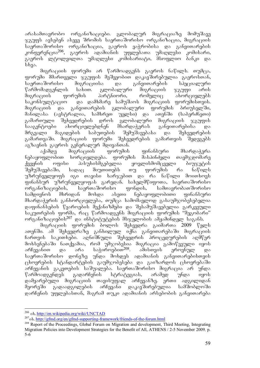არასამთავრობო ორგანიზაციები. გლობალურ მიგრაციაზე მომუშავე  $\%$ გუფს ავსებენ ასევე შრომის საერთაშორისო ორგანიზაცია, მიგრაციის საერთაშორისო ორგანიზაცია, გაეროს ვაჭრობისა და განვითარების<br>კონფერენცია<sup>206</sup>, გაეროს ადამიანის უფლებათა უმაღლესი კომისარი, გაეროს ადამიანის უფლებათა უმაღლესი გაეროს ლტოლვილთა უმაღლესი კომისარიატი, მსოფლიო ბანკი და  $bba.$ 

მიგრაციის ფორუმი არ წარმოადგენს გაეროს ნაწილს. თუმცა, ფორუმი მმართველი ჯგუფის მეშვეობით დაკავშირებულია გაეროსთან,<br>საერთაშორისო მიგრაციისა და განვითარების სპეციალური საერთაშორისო მიგრაციისა და განვითარების<br>წარმომადგენლის სახით. გლობალური მიგრაციის  $\%$ არმომადგენლის სახით. გლობალური მიგრაციის  $\%$ გუფი არის მიგრაციის ფორუმის პარტნიორი, რომელიც ახორციელებს საკონსულტაციო — და დამხმარე სამუშაოს მიგრაციის ფორუმისთვის. მიგრაციის და განვითარების გლობალური ფორუმის ბრიუსელში, მანილასა (ავსტრალია, სამხრეთ უელსი) და ათენში (საბერძნეთი)<br>გამართული შეხვედრების დროს გლობალური მიგრაციის ჯგუფის გამართული შეხვედრების დროს გლობალური მიგრაციის ჯგუფის სააგენტოები ახორციელებდნენ მხარდაჭერას განვითარებისა და მრგვალი მაგიდების საბუთების შემუშავებასა და შეხვედრების გამართვაში. მიგრაციის ფორუმი შეხვედრების გამართვის შედეგებს აგზავნის გაეროს გენერალურ მდივანთან.<br>აქამდე — მიგრაციის — ფორუმის

 $\alpha$ კემდე მიგრაციის ფორუმის ფინანსური მხარდაჭერა ნებაყოფლობით ხორციელდება. ფორუმის მასპინძელი თავმჯდომარე ქვეყნის ოფისი პასუხისმგებელია ყოვლისმომცველი ბიუჯეტის შემუშავებაში, სადაც მიუთითებს თუ ფორუმის რა ნაწილს უზრუნველყოფს იგი თავისი ხარჯებით და რა ნაწილი მოითხოვს goნანსურ უზრუნველყოფას გარედან. სახელმწიფოთა, საერთაშორისო ორგანიზაციების, საერთაშორისო ფონდის, სამთავრობათშორისო სამდივნოს მხრიდან მოხდა ასეთი ნებაყოფლობითი ფინანსური მხარდაჭერის განხორციელება, თუმცა სამომავლოდ გასაუმჯობესებელია დაფინანსების წყაროების მექანიზმები და შესამუშავებელია გარკვეული  $\overline{b}$ აკუთრების ფორმა, რაც წარმოადგენს მიგრაციის ფორუმის "მეგობარი" ორგანიზაციების<sup>207</sup> და ინსტიტუტების მსჯელობის ამჟამინდელ საგანს.

მიგრაციის ფორუმის ბოლოს შეხვედრა გაიმართა 2009 წელს ათენში. ამ შეხვედრაზე განხილულ იქნა განვითარებაში მიგრაციის ჩართვის საკითხები. აღნიშნული შეხვედრის პროცედურების აღმწერ მოხსენებაში ნათქვამია, რომ უმჯობესია მიგრაცია გამოწვეული იყოს  $\delta$ არჩევანით და არა საჭიროებით<sup>208</sup>. ამისთვის ეროვნულ საერთაშორისო დონეზე უნდა მოხდეს ადამიანის განვითარებისთვის  $\alpha$ ცხოვრების სტანდარტების გაუმჯობესება და გაიზარდოს ცხოვრებაში არჩევანის გაკეთების საშუალება. საერთაშორისო მიგრაცია არ უნდა  $\beta$ არმოადგენდეს გადარჩენის სტრატეგიას, არამედ უნდა იყოს დამყარებული მიგრაციის თავისუფალ არჩევანზე. ერთი ადგილიდან მეორეში გადაადგილების არჩევანი დაკავშირებულია სამშობლოში დარჩენის უფლებასთან, მაგრამ თუკი ადამიანის არსებობის განვითარება

<sup>&</sup>lt;sup>206</sup> ob. <u>http://en.wikipedia.org/wiki/UNCTAD</u>

<sup>&</sup>lt;sup>207</sup>ob. http://gfmd.org/en/gfmd-supporting-framework/friends-of-the-forum.html

<sup>&</sup>lt;sup>208</sup> Report of the Proceedings, Global Forum on Migration and development, Third Meeting, Integrating Migration Policies into Development Strategies for the Benefit of All, ATHENS / 2-5 November 2009*,* p. 5-6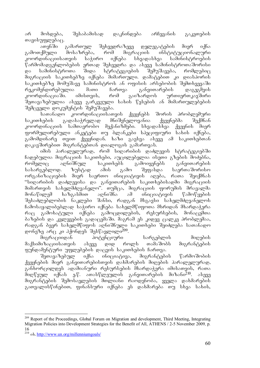არ მოხდება, შესაბამისად დაკნინდება არჩევანის გაკეთების თავისუფლებაც.<br>ათენში

ang6ში გამართულ შეხვედრაზევე დელეგატების მიერ იქნა<br>გამოთქმული მოსაზრება, რომ მიგრაციის ინსტიტუციონალური მოსაზრება, რომ მიგრაციის ინსტიტუციონალური<br>თვის საჭირო იქნება სხვადასხვა სამინისტროების კოორდინაციისათვის საჭირო იქნება სხვადასხვა სამინისტროების წარმომადგენლობების ერთად შეხვედრა და ასევე სამინისტროთაშორისი<br>და სამინისტროთა შიდა სტრატეგიების შემუშავება, რომლებიც და სამინისტროთა შიდა სტრატეგიების შემუშავება, რომლებიც შიგრაციის საკითხებზე იქნება მიმართული. დამატებით კი დიასპორის საკითხებზე მომუშავე სამინისტროს ან ოფისის არსებობის შემთხვევაში<br>რეკომენდირებულია — მათი — ჩართვა — განვითარების — დაგეგმვის რეკომენდირებულია მათი ჩართვა განვითარების დაგეგმვის<br>კოორდინაციაში. იმისთვის, რომ გაიზარდოს ურთიერთკავშირი იმისთვის, რომ გაიზარდოს ურთიერთკავშირი შეთავაზებულია ასევე გარკვეული სახის წესების ან მიმართულებების  $\partial_{\Omega}$ 333 mentali dokumentis Semester Semester

-სათანადო კოორდინაციისათვის ქვეყნებს შორის პრობლემური<br>ხების გადასაჭრელად მნიშვნელოვანია ქვეყნებმა შექმნან საკითხების გადასაჭრელად მნიშვნელოვანია ქვეყნებმა შექმნან კოორდინაციის სამთავრობო მექანიზმები. სხვადასხვა ქვეყნის მიერ .<br>ფორმულირებული ანკუტები თუ ბლანკები სპეციფიური სახის იქნება, გამომდინარე თვით ქვეყნიდან. ხაზი გაესვა ასევე ამ საკითხებთან დაკავშირებით მიგრანტებთან დიალოგის გამართვას.

იმის პარალელურად, რომ სიღარიბის დაძლევის სტრატეგიებში  $6$ ადებულია მიგრაციის საკითხები, აუცილებელია ისეთი გზების მოძებნა, რომელიც აღნიშნულ საკითხებს გამოიყენებს განვითარების<br>სასარგებლოდ. ზუსტად ამის გამო შეფასდა საერთაშორისო სასარგებლოდ. ზუსტად ამის გამო შეფასდა საერთაშორისო ორგანიზაციების მიერ საერთო ინიციატივის აღება, რათა შეიქმნას "სიღარიბის დაძლევისა და განვითარების საკითხებისადმი მიგრაციის მიმართვის სახელმძღვანელო". თუმცა, მიგრაციის ფორუმის მრავალმა მონაწილემ ხაზგასმით აღნიშნა ამ ინიციატივის წამოწყების შესაძლებლობის ნაკლები შანსი, რადგან მსგავსი სახელმძღვანელოს ჩამოსაყალიბებლად საჭირო იქნება სახელმწიფოთა მხრიდან მხარდაჭერა რაც გამოხატული იქნება გამოცდილების, რესურსების, მონაცემთა  $\delta$ აზუბის და კვლევების გადაცემაში. მაგრამ ეს კიდევ ცალკე პრობლემაა, რადგან ბევრ სახელმწიფოს აღნიშნული საკითხები შეიძლება სათანადო დონეზე არც კი ჰქონდეს შესწავლილი<sup>209</sup>.

შიგრაციიდან პოტენციური სარგებლის მიღების მაქსიმიზაციისათვის ასევე დიდ როლს თამაშობს მიგრანტების ფუნდამენტური უფლებების დაცვის საკითხების ჩართვა.

შეთავაზებულ იქნა ინიციატივა, მიგრანტების წარმოშობის ქვეყნების მიერ განვითარებისთვის დახმარების მიღების პარალელურად, განხორცილდეს ადამიანური რესურსების მხარდაჭერა იმისათვის, რათა  $\overline{\partial}$ იღწეულ იქნას ე.წ. ათასწლეულის განვითარების მიზანი<sup>210</sup>. ასევე მიგრანტების შემოსავლების მთლიანი რაოდენობა, ყველა დახმარების  $a_1a_2a_3a_4b_5a_6$  and  $a_1b_1b_2a_3$  and  $a_2b_3b_4$  and  $a_3b_4b_5$  and  $a_4b_5$  and  $a_5b_6b_5$ 

<sup>-</sup><sup>209</sup> Report of the Proceedings, Global Forum on Migration and development, Third Meeting, Integrating Migration Policies into Development Strategies for the Benefit of All, ATHENS / 2-5 November 2009*,* p. 16

<sup>&</sup>lt;sup>210</sup> ob. http://www.un.org/millenniumgoals/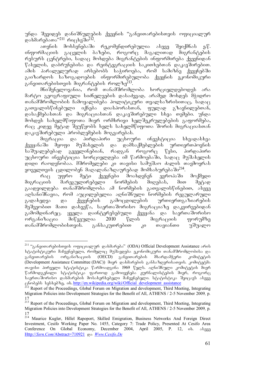უნდა შევიდეს დანიშნულების ქვეყნის "განვითარებისთვის ოფიციალურ დახმარებათა"<sup>211</sup> რიცხვში<sup>212</sup>.<br>ათენის მოხსენებაში

მოხსენებაში რეკომენდირებულია ასევე შეიქმნას ე.წ.  $\alpha$ ნფორმაციის გაცვლის ბაზები, როგორც მაგალითად მიგრანტების რესურს ცენტრები, სადაც მოხდება მიგრანტების ინფორმირება ქვეყნიდან  $F$ sbagoob, gosdombadobs gos maquamamada bosquabadon das gossadomadom. ამის პარალელურად არსებობს საჭიროება, რომ სამიზნე ქვეყნებში გაიზარდოს საზოგადოების ინფორმირებულობა ქვეყნის ეკონომიკური განვითარებისთვის მიგრანტების როლზე<sup>213</sup>.

მნიშვნელოვანია, რომ თანამშრომლობა ხორციელდებოდეს არა მარტო გეოგრაფიული სიძნელეების დასაძევად, არამედ მოხდეს შჭიდრო თანამშრომლობის ჩამოყალიბება პოლიტიკური თვალსაზრისითაც, სადაც<br>გათვალისწინებული \_ იქნება \_ დიასპორასთან, \_ ფულად \_ გზავნილებთან, გათვალისწინებული იქნება დიასპორასთან, ფულად გზავნილებთან, დასაქმებასთან და მიგრაციასთან დაკავშირებული სხვა თემები. უნდა  $\overline{\partial}$ მოხდეს სახელმწიფოთა მიერ ორმხრივი ხელშეკრულებების გაფორმება, რაც კიდევ მეტად შეუწყობს ხელს სახელმწიფოთა შორის მიგრაციასთან დაკავშირებული პრობლემების მოგვარებას.

შიგრაცია და პირდაპირი უცხოური ინვესტიცია სხვადასხვა ქვეყანაში მყოფი მუშახელის და დამსაქმებლების ურთიერთპოვნის საშუალებებად გვევლინებიან, რადგან როგორც წესი, პირდაპირი უცხოური ინვესტიცია ხორციელდება იმ წარმოებაში, სადაც მუშახელის დიდი რაოდენობაა. მშრომელები კი თავისი სამუშაო ძალის თავმოყრას .<br>ყოველთვის ცდილობენ მაღალანაზღაურუბად მომსახურებაში<sup>214</sup>.<br>— რაც უფრო მეტი ქვეყნები მოახდენენ ევროპაში

რაც უფრო მეტი ქვეყნები მოახდენენ ევროპაში მოქმედი<br>ციის მარეგულირებელი ნორმების მიღებას, მით მეტად მიგრაციის მარეგულირებელი ნორმების მიღებას, მით მეტად გაადვილდება თანამშრომლობა ამ ნორმების გათვალისწინებით, ასევე აღსანიშნავია, რომ აუცილებელია აღნიშნული ნორმების რეგულარული გადახედვა და ქვეყნების გამოცდილების ურთიერთგაზიარების მეშვეობით მათი დახვეწა, საერთაშორისო მიგრაციაზე დაკვირვებიდან გამომდინარეც. ყველა დაინტერესებული ქვეყანა და საერთაშორისო<br>ორგანიზაცია მიწვეულია 2010 წლის მიგრაციის ფორუმზე ორგანიზაცია მიწვეულია 2010 წლის მიგრაციის ფორუმზე თანამშრომლობისთვის. განსაკუთრებით კი თავიანთი უშუალო

<sup>-</sup><sup>211</sup> "განვითარებისთვის ოფიციალურ დახმარება" (ODA) Official Development Assistance არის სტატისტიკური მაჩვენებელი, რომელიც მუშავდება ეკონომიკური თანამშრომლობისა და განვითარების ორგანიზაციის (OECD) განვითარების მხარდამჭერი კომიტეტის (Development Assistance Committee (DAC)) მიერ დახმარების განსაზღვრისათვის. კომიტეტმა Tavisi pirveli statistika warmoadgina 1969 wels. aRniSnuli komitetis mier წარმოდგენილი სტატისტიკა ფართოდ გამოიყენება ჟურნალისტების მიერ, როგორც საერთაშორისო დახმარების მოსახერხებელი მაჩვენებელი. სტატისტიკა შეიცავს ასევე cobebs sessebbs sessebbs sessettled in the endeavorable values of the Proceedings, Global Forum on Migration and development, Third Meeting, Integrating

Migration Policies into Development Strategies for the Benefit of All, ATHENS / 2-5 November 2009*,* p. 17

<sup>&</sup>lt;sup>213</sup> Report of the Proceedings, Global Forum on Migration and development, Third Meeting, Integrating Migration Policies into Development Strategies for the Benefit of All, ATHENS / 2-5 November 2009*,* p. 17

<sup>&</sup>lt;sup>214</sup> Maurice Kugler, Hillel Rapoport, Skilled Emigration, Business Networks And Foreign Direct Investment, Cesifo Working Paper No. 1455, Category 7: Trade Policy, Presented At Cesifo Area Conference On Global Economy, December 2004, April 2005, P. 12, ob.  $\delta$ lagger Http://*Ssrn.Com*/Abstract=710921 gos Www.Cesifo.De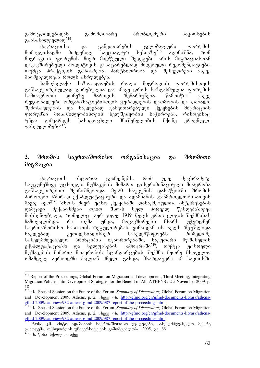გამოცდილებიდან გამომდინარე პრობლემური საკითხების განსახილველად<sup>215</sup>.<br>მიგრაციისა

და განვითარების გლობალური ფორუმის<br>ვნილ სპეციალურ სესიაზე<sup>216</sup> აღინიშნა, რომ მომავლისადმი მიძღვნილ სპეციალურ სესიაზე<sup>216</sup> აღინიშნა, რომ მიგრაციის ფორუმის მიერ მიღწეული შედეგები არის მიგრაციასთან დაკავშირებული პოლიტიკის გასატარებლად მიღებული რეკომენდაციები.  $\sigma$ უშცა პრაქტიკის გაზიარება, პარტნიორობა და შეხვედრები ასევე მნიშვნელოვან როლს ასრულებენ.

სამოქალაქო საზოგადოების როლი მიგრაციის ფორუმისთვის განსაკუთრებულად ღირებულია და ამავე დროს ხაზგასმულია ფორუმის<br>სამთავრობო — დონეზე — მართვის — შენარჩუნება. — წამოიწია — ასევე სამთავრობო დონეზე მართვის შენარჩუნება. წამოიწია ასევე რეგიონალური ორგანიზაციებისთვის ყურადღების დათმობის და დაბალი შემოსავლების და ნაკლებად განვითარებული ქვეყნების მიგრაციის  $\alpha$ ორუმში მონაწილეობისთვის ხელშეწყობის საჭიროება, რისთვისა $\alpha$ უნდა გამყარდეს სასიცოცხლო მნიშვნელობის მქონე ეროვნული ფასეულობები $^{217}$ .

# 3. შრომის საერთაშორისო ორგანიზაცია და შრომითი მიგრაცია

მიგრაციის ისტორია გვიჩვენებს, რომ უკვე მეცხრამეტე საუკუნეშივე უცხოელი მუშაკების მიმართ დისკრიმინაციული მოპყრობა განსაკუთრებით შეინიშნებოდა. მე-20 საუკუნის დასაწყისში შრომის პირობები ხშირად ექსპლუატაციური და ადამიანის ჯანმრთელობისათვის მავნე იყო<sup>218</sup>. შსო-ს მიერ უცხო ქვეყანაში დასაქმებულთა ინტერესების დამცავი მექანიზმები თვით შსო-ს სულ პირველ წესდებაშივეა მოხსენიებული, რომელიც ჯერ კიდევ 1919 წელს ერთა ლიგის შექმნისას ჩამოყალიბდა. რა თქმა უნდა, მოკავშირეები მხარს უჭერდნენ საერთაშორისო ხასიათის რეგულირებას, ვინაიდან ის ხელს შეუშლიდა<br>ნაკლებად კეთილსინდისიერ სახელმწიფოებს რომელიმე ნაკლებად კეთილსინდისიერ სახელმწიფოებს რომელიმე სახელმძღვანელო პრინციპის იგნორირებაში, საკუთარი მუშახელის<br>ექსპლუატაციაში და ხელფასების ჩამოჭრაში<sup>219</sup>. თუმცა უცხოელი ექსპლუატაციაში და ხელფასების ჩამოჭრაში<sup>219</sup>. თუმცა უცხოელი მუშაკების მიმართ მოპყრობის სტანდარტების შექმნა მეორე მსოფლიო ომამდელ პერიოდში ძალიან ძნელი გახდა, მხარდაჭერა ამ საკითხში

<sup>-</sup><sup>215</sup> Report of the Proceedings, Global Forum on Migration and development, Third Meeting, Integrating Migration Policies into Development Strategies for the Benefit of All, ATHENS / 2-5 November 2009*,* p. 18

<sup>&</sup>lt;sup>216</sup> ob. Special Session on the Future of the Forum, *Summary of Discussions*, Global Forum on Migration and Development 2009, Athens, p. 2,  $\delta_{0}$  as http://gfmd.org/en/gfmd-documents-library/athens- $\frac{\text{gfmd-2009/cat}}{2^{17} \text{ ok}}$  Special Secretor is the proof of the-proceedings.html

<sup>&</sup>lt;sup>7</sup> ob. Special Session on the Future of the Forum, *Summary of Discussions*, Global Forum on Migration and Development 2009, Athens, p. 2, abasa ob. http://gfmd.org/en/gfmd-documents-library/athensgfmd-2009/cat\_view/932-athens-gfmd-2009/987-report-of-the-proceedings.html

 $\frac{218}{218}$  რონა კ.მ. სმიტი, ადამიანის საერთაშორისო უფლებები, სახელმძღვანელო, მეორე გამოცემა, ოქსფორდის უნივერსიტეტის გამომცემლობა, 2005, გვ. 66

<sup>&</sup>lt;sup>219</sup> იხ. წინა სქოლიო, იქვე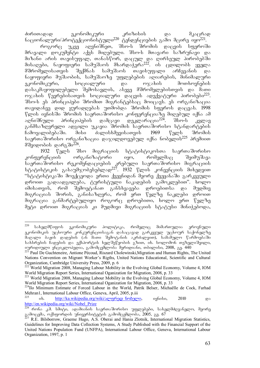ძირითადად ეკონომიკური კრიზისის და მკაცრად ნაციონალური/პროტექციონისტული<sup>220</sup> ტენდენციების გამო მცირე იყო<sup>221</sup>.

როგორც უკვე აღვნიშნეთ, შსო-ს შრომის დაცვის სფეროში მრავალი დოკუმენტი აქვს მიღებული. შსო-ს მთავარი საზრუნავი და მიზანი არის თავისუფალ, თანასწორ, დაცულ და ღირსეულ პირობებში  $\partial$ ისაღები, ნაყოფიერი სამუშაოს მხარდაჭერა<sup>222</sup>. ის ცდილობს ყველა მშრომელისათვის შექმნას სამუშაოს თავისუფალი არჩევანის და ნაყოფიერი მუშაობის, სამუშაოზე უფლებების აღიარების, მინიმალური<br>ეკონომიკური, იაისოციალური და იაღახის მოთხოვნების ეკონომიკური, სოციალური და ოჯახის დასაკმაყოფილებელი შემოსავლის, ასევე მშრომელებისთვის და მათი ოჯახის წევრებისათვის სოციალური დაცვის ადექვატური პირობები<sup>223</sup>. შსო-ს ეს პრინციპები შრომით მიგრანტებსაც მოიცავს. ეს ორგანიზაცია ოავიდანვე დიდ ყურადღებას უთმობდა შრომის სფეროს დაცვას 1998 წლის ივნისში შრომის საერთაშორისო კონფერენციაზე მიღებულ იქნა ამ<br>აღნიშნული - პრინციპების - დამცავი - დეკლარაცია<sup>224</sup>. - შსო-ს - კვლავ  $\alpha$ გლნიშნული პრინციპების დამცავი დეკლარაცია $^{224}$ . შსო-ს კვლავ განმსაზღვრელი ადგილი უკავია შრომის საერთაშორისო სტანდარტების ჩამოყალიბებაში. მისი ძალისხმევისათვის 1969 წელს შრომის  $\mu$ აერთაშორისო ორგანიზაცია დაჯილდოვებულ იქნა ნობელის $^{225}$  პრემიით მშვიდობის დარგში $^{226}$ .

1932 წელს შსო მიგრაციის სტატისტიკოსთა საერთაშორისო კონფერენციის ორგანიზატორი იყო, რომელმაც შეიმუშავა საერთაშორისო რეკომენდაციების კრებული საერთაშორისო მიგრაციის ააებია აბითველი და აღავადა და აღავადა აღავა.<br>სტატისტიკის გასაუმჯობესებლად<sup>227</sup>. 1932 წლის კონვენციის მიხედვით "სტატისტიკაში მოექცეოდა ერთი ქვეყნიდან მეორე ქვეყანაში გარკვეული დროით გადაადგილება, ტურისტული ნაკადების გამოკლებით". ხოლო იმისათვის, რომ შემოეტანათ განსხვავება დროებითსა და მუდმივ მიგრაციას შორის, განისაზღვრა, რომ ერთ წელზე ნაკლები დროით მიგრაცია განმარტებულიყო როგორც დროებითი, ხოლო ერთ წელზე შეტი დროით მიგრაციას კი მუდმივი მიგრაციის სტატუსი მინიჭებოდა,

<sup>220</sup> სახელმწიფოს ეკონომიკური პოლიტიკა, რომელიც მიმართულია ეროვნული  $_{\rm B}$ ონომიკის უცხოური კონკურუნციისაგან დასაცავად გარკვეულ უცხოურ საქონელზე dsgoggo dogol goggdol (sh domo digdagobol samdoggom), bododgggom fomdagdodo სახსრების ხადების და ექსპორტის ხელშეწყობის გზით, იხ. სოლომონ თეზელიშვილი, იურიდიული ენციკლოპედია, გამომცემლობა მერიდიანი, თბილისი, 2008, გვ. 440

<sup>&</sup>lt;sup>221</sup> Paul De Guchteneire, Antione Pécoud, Riszard Cholewinski, Migration and Human Rights, The United Nations Convention on Migrant Worker's Rigths, United Nations Educational, Scientific and Cultural Organization, Cambridge University Press, 2009, p. 6

<sup>&</sup>lt;sup>222</sup> World Migration 2008, Managing Labour Mobility in the Evolving Global Economy, Volume 4, IOM World Migration Report Series, International Oganization for Migration, 2008, p. 33

<sup>&</sup>lt;sup>223</sup> World Migration 2008, Managing Labour Mobility in the Evolving Global Economy, Volume 4, IOM World Migration Report Series, International Oganization for Migration, 2008, p. 33

<sup>&</sup>lt;sup>224</sup>Ilo Minimum Estimate of Forced Labour in the World, Patrik Belser, Michaëlle de Cock, Farhad Mehran1, International Labour Office, Geneva, April, 2005, p.iii<br>225<br>1215 - Litter (die wiking die analysis) was Genevalent in the Second Litter of the Second Little

ob. http://ka.wikipedia.org/wiki/ალფრედ\_ნობელი, ივნისი, 2010 და http://en.wikipedia.org/wiki/Nobel\_Prize

 $\overline{^{226}}$  რონა კ.მ. სმიტი, ადამიანის საერთაშორისო უფლებები, სახელმძღვანელო, მეორე <sub>. გა</sub>მოცემა, ოქსფორდის უნივერსიტეტის გამომცემლობა, 2005, გვ. 67

 $^7$  R.E. Bilsborrow, Graeme Hugo, A.S. Oberai and Hania Zlotnik, International Migration Statistics, Guidelines for Improving Data Collection Systems, A Study Published with the Financial Support of the United Nations Population Fund (UNFPA), International Labour Office, Geneva, International Labour Organization, 1997, p. 1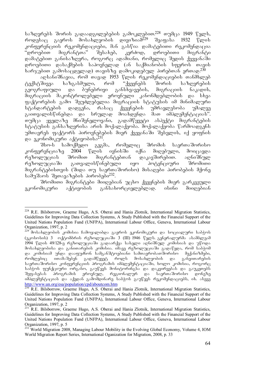$\mu$ საზღვრებს შორის გადაადგილებების გამოკლებით. $^{228}$  თუმცა 1949 წელს,  $\sigma$ ოდუსაც გაეროს მოსახლეობის დივიზიამ $^{229}$  შეაფასა 1932 წლის კონფურუნციის რეკომენდაციები, მან გასწია დამატუბითი რეკომენდაცია<br>"დროებით მიგრანტთა" შესახებ, კერძოდ, დროებითი მიგრანტი "დროებით მიგრანტთა" შესახებ, კერძოდ, დროებითი მიგრანტი  $\alpha$ ამატებით განისაზღვრა, როგორც ადაშიანი, რომელიც შედის ქვეყანაში დროებითი დასაქმების საპოვნელად (ან საქმიანობის სფეროს თავის  $\rm\,b$ არჯებით გამოსაცდელად) თავისზე დამოკიდებულ პირებთან ერთად. $^{230}$ 

ُაღსანიშნავია, რომ თავად 1953 წლის რეკომენდაციების თანმხლებ<br>გშივეა — ხაზგასმული, — რომ — "ქვეყნებს — შორის — საზღვრების ტექსტშივეა ხაზგასმული, რომ "ქვეყნებს შორის საზღვრების გეოგრაფიული და ბუნებრივი განსხვავების, მიგრაციის ნაკადის, შიგრაციის მაკონტროლუპული ეროვნული კანონმდეპლოპის და სხვა .<br>ფაქტორების გამო შეუძლებელია მიგრაციის სტატუსის იმ მინიმალური<br>სტანდარტების დადგენა, რასაც ქვეყნების უმრავლესობა უმალვე სტანდარტების დადგენა, რასაც ქვეყნების უმრავლესობა უმალვე გაითვალისწინებდა და სრულად მოახდენდა მათ იმპლემენტაციას". თუმცა ყველაზე მნიშვნელოვანი, გადამწყვეტი ასპექტი მიგრანტების სტატუსის განსაზღვრისა არის მოქალაქეობა. მოქალაქეობა წარმოადგენს უმთავრეს ფაქტორს პიროვნებების მიერ ქვეყანაში შესვლის, იქ ყოფნის და ეკონომიკური აქტივობისა<sup>231</sup>.<br>შსო-ს სამოქმედო გეგმ

'შსო-ს სამოქმედო გეგმა, რომელიც 'შრომის საერთა'შორისო<br>რენციაზე 2004 წლის ივნის'ში იქნა მიღებული, მოიცავდა კონფერენციაზე 2004 წლის ივნისში იქნა მიღებული, მოიცავდა<br>რეზოლუციას შრომით მიგრანტებთან დაკავშირებით. აღნიშნულ რეზოლუციას შრომით მიგრანტებთან დაკავშირებით. აღნიშნულ რეზოლუციაში გათვალისწინებული იყო პოტენციური შრომითი მიგრანტებისთვის (შიდა თუ საერთაშორისო) მისაღები პირობების მქონე სამუშაოს შეთავაზების პირობები<sup>232</sup>.

შრომითი მიგრანტები მიიღებიან უცხო ქვეყნების მიერ გარკვეული<br>მიკური - აქტივობის - განსახორციელებლად. - ისინი - მიიღებიან ეკონომიკური აქტივობის განსახორციელებლად. ისინი მიიღებიან

<sup>-</sup><sup>228</sup> R.E. Bilsborrow, Graeme Hugo, A.S. Oberai and Hania Zlotnik, International Migration Statistics, Guidelines for Improving Data Collection Systems, A Study Published with the Financial Support of the United Nations Population Fund (UNFPA), International Labour Office, Geneva, International Labour Organization, 1997, p. 2

<sup>229</sup> mosaxleobis komisia Camoyalibda gaeros ekonomikuri da socialuri sabWos  $($ ეკოსოსის) 3 ოქტომბრის რეზოლუციაში 3 (III) 1946 წელს. გენერალურმა ასამბლეამ 1994 წლის 49/128-ე რეზოლუციაში გადაარქვა სახელი აღნიშნულ კომისიას და უწოდა მოსახლეობისა და განითარების კომისია. იმავე რეზოლუციაში გადაწყდა, რომ საბჭომ \_და კომისიამ უნდა დააფუძნონ სამგანშტოებიანი სამთავრობათშორისო \_ მექანიზმები,<br>რომლებიც \_ ითამაშებენ \_ გადამწყვეტ \_ როლს \_ მოსახლეობის \_ და \_ განვითარების \_ გადამწყვეტ — როლს მოსახლეობის და განვითარების საერთაშორისო კონფერენციის პროგრამის იმპლემენტაციაში, ხოლო კომისია, როგორც საბჭოს ფუნქციური ორგანო, გაუწევს მონიტორინგსა და დაკვირვებას და გაუკეთებს შეფასებას პროგრამის ეროვნულ, რეგიონალურ და საერთაშორისო დონეზე იმპლემენტაციას და აქედან გამოშდინარე საბჭოს გაუწევს რეკომენდაციებს, იხ. ასევე http://www.un.org/esa/population/cpd/aboutcom.htm

R.E. Bilsborrow, Graeme Hugo, A.S. Oberai and Hania Zlotnik, International Migration Statistics, Guidelines for Improving Data Collection Systems, A Study Published with the Financial Support of the United Nations Population Fund (UNFPA), International Labour Office, Geneva, International Labour Organization, 1997, p. 2

<sup>&</sup>lt;sup>231</sup> R.E. Bilsborrow, Graeme Hugo, A.S. Oberai and Hania Zlotnik, International Migration Statistics, Guidelines for Improving Data Collection Systems, A Study Published with the Financial Support of the United Nations Population Fund (UNFPA), International Labour Office, Geneva, International Labour Organization, 1997, p. 5

<sup>&</sup>lt;sup>232</sup> World Migration 2008, Managing Labour Mobility in the Evolving Global Economy, Volume 4, IOM World Migration Report Series, International Oganization for Migration, 2008, p. 33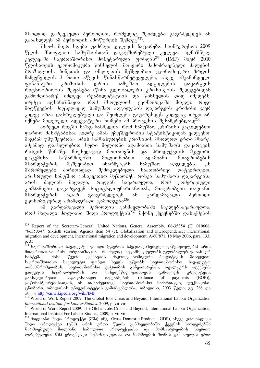მხოლოდ გარკვეული პერიოდით, რომელიც შეიძლება გაგრძელდეს ან განახლდეს ამ პერიოდის ამოწურვის შემდეგ $^{233}$ .

Sso-s mier xdeba uamravi kvlevis Catareba. sainteresoa 2009  $\nabla$ ლის მსოფლიო სამუშაოსთან დაკავშირებული კვლევა. აღნიშნულ კვლევაში საერთაშორისო მონეტარული ფონდის<sup>234</sup> (IMF) მიერ 2010 წლისათვის ეკონომიკური წინსვლის მთავარი მამოძრავებელი ძალების ბრაზილიის, ჩინეთის და ინდოეთის მეშვეობით ეკონომიკური ზრდის მაჩვენებლის 3 %-ით აწევის წინასწარმეტყველება, ასევე ამჟამინდელი<br>ფინანსური კრიზისის დროს სამუშაო ადგილების დაკარგვის ფინანსური კრიზისის დროს სამუშაო ადგილების დაკარგვის რიცხობრიობის შეფასება (წინა გლობალური კრიზისების შედეგებიდან გამომდინარე) იძლევა რეაბილიტაციის და წინსვლის დიდ იმედებს. თუმცა აღსანიშნავია, რომ მსოფლიოს ეკონომიკაში მთელი რიგი მიღწევების მიუხედავად სამუშაო ადგილების დაკარგვის კრიზისი ჯერ კიდევ არაა დასრულებული და შეიძლება გაუარესდეს კიდევაც თუკი არ oncos<br>იქნება მიღებული ადექვატური ზომები ამ პროცესის შესაჩერებლად<sup>235</sup>.

პირველ რიგში ხაზგასასმელია, რომ სამუშაო კრიზისი გაცილებით ფართო მასშტაბისაა ვიდრე ამას უმუშევრობის სტატისტიკიდან ვადგენთ.  $\widetilde{\mathfrak{d}}$ აგრამ უმუშევრობა არის სამსახურების კრიზისის მხოლოდ ერთი მხარე. ამჟამად დაახლოებით ხუთი მილიონი ადამიანია სამუშაოს დაკარგვის რისკის წინაშე. მიუხედავად მოთხოვნის და პროდუქციის მკვეთრი<br>დაცემისა საწარმოებში მილიონობით ადამიანი მთავრობების დაცემისა საწარმოებში მილიონობით ადამიანი მთავრობების მხარდაჭერის მეშვეობით ინარჩუნებს სამუშაო ადგილებს. ეს მშრომელები ძირითადად შემოკლებული საათობრივი დატვირთვით, არასრული სამუშაო განაკვეთით მუშაობენ. რისკი სამუშაოს დაკარგვისა არის ძალიან მაღალი, რადგან სავარაუდოა, რომ კომერციული კომპანიები დაკარგავენ სიციცხლიუნარიანობას, მთავრობები თავიანთ მხარდაჭერას აღარ გააგრძელებენ ან გარდამავალი პერიოდი ეკონომიკურად არამდგრადი გამოდგება $^{236}$ .

ამ გარდამავალი პერიოდის განმავლობაში ნაკლებსავარაუდოა, რომ მაღალი მთლიანი შიდა პროდუქტის $^{237}$  მქონე ქვეყნებში დასაქმების

<sup>233</sup> Report of the Secretary-General, United Nations, General Assembly, 06-35354 (E) 010606, *\*0635354\*,* Sixtieth session, Agenda item 54 (c), Globalization and interdependence: international, migration and development, International migration and development, A/60/871, 18 May 2006, para. 133, p. 35

<sup>&</sup>lt;sup>ž34</sup> საერთაშორისო სავალუტო ფონდი (გაეროს სპეციალიზებული დაწესებულება) არის მთავრობათაშორისი ორგანიზაცია, რომელიც ზედამხედველობს გლობალურ ფინანსურ<br>სისტემას, მისი წევრი ქვეყნების მაკროეკონომიკური პოლიტიკის მიხედვით, -სისტემას, მისი წევრი ქვეყნების მაკროეკონომიკური<br>-საერთაშორისო სავალუტო ფონდი ხელს უწყობს სა უწყობს საერთაშორისო სავალუტო TanamSromlobas, saerTaSoriso vaWrobis ganviTarebas, Tvalyurs adevnebs ვალუტის სტაბილურობას და სახელმწიფოებისთვის გამოყოფს კრედიტებს,<br>განსაკუთრებით საგადასახადო ბალანსების (balance of payments (BOP)), განსაკუთრებით საგადასახადო ბალანსების (balance of payments (BOP)), გაწონასწორებისათვის, იხ. თანამედროვე საერთაშორისო სამართალი, ლექსიკონიივნობარი, თპილისის უნივერსიტეტის გამომცემლობა, თბილისი, 2003 წელი, გვ. 268 და aseve http://en.wikipedia.org/wiki/IMF

<sup>&</sup>lt;sup>235</sup> World of Work Report 2009: The Global Jobs Crisis and Beyond, International Labour Organization *International Institute for Labour Studies,* 2009, p. vii-viii

<sup>236</sup> World of Work Report 2009: The Global Jobs Crisis and Beyond, International Labour Organization, International Institute For Labour Studies*,* 2009, p. vii-viii

 $^{237}$  მთლიანი შიდა პროდუქტი (მშპ) ინგ. Gross Domestic Product – GDP), ასევე ერთობლივი შიდა პროდუქტი (ეშპ) არის ერთი წლის განმავლობაში ქვეყნის საზღვრებში<br>წარმოებული მთლიანი საბოლოო პროდუქციისა და მომსახურეობის საერთო და მომსახურეობის საერთო დირებულება. მშპ ეროვნული შემოსავლებისა და წარმოების ზომის გამოთვლის ერთ-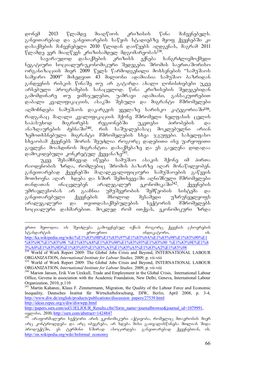დონემ 2013 წლამდე მიაღწიოს კრიზისის წინა მაჩვენებელს.  $3$ ანვითარებად და განვითარების საწყის სტადიებზე მყოფ ქვეყნებში კი  $\alpha$ ასაქმების მაჩვენებელი 2010 წლიდან დაიწყებს აღდგენას, მაგრამ 2011 წლამდე ვერ მიაღწევს კრიზისამდელ მდგომარეობას<sup>238</sup>.<br>სავარაუდოდ დასაქმების კრიზისს ექნება

სავარაუდოდ დასაქმების კრიზისს ექნება ხანგრძლივმოქმედი ნეგატიური სოციალურ-ეკონომიკური შედეგები. შრომის საერთაშორისო ორგანიზაციის მიერ 2009 წელს წარმოდგენილი მოხსენების "სამუშაოს სამყარო 2009" მიხედვით 43 მილიონი ადამიანია სამუშაო ბაზრიდან განდევნის რისკის წინაშე თუ არ გატარდა ახალი ღონისძიებები უკვე არსებული პროგრამების სანაცვლოდ. წინა კრიზისების შედეგებიდან გამომდინარე თუ ვიმსჯელებთ, უამრავი ადამიანი, განსაკუთრებით დაბალი კვალიფიკაციის, ასაკში შესული და მიგრანტი მშრომელები აღმოჩნდება სამუშაოს დაკარგვის ყველაზე სარისკო კატეგორიაში<sup>239</sup>, რადგანაც მაღალი კვალიფიკაციის მქონე მშრომელი ხელფასის ცვლის საპასუხოდ მიგრირებს რეგიონებში უკეთესი პირობების და<br>ანაზდაურების ძებნაში<sup>240</sup>, რის საშუალებასაც მოკლებულნი არიან რის საშუალებასაც მოკლებულნი არიან ზემოთხსნებული მიგრანტი მშრომელების სხვა ჯგუფები. სახელფასო  $\overline{b}$  based being the property of the September of the security is used the use use use use use use used the use use  $\overline{b}$ გავლენა მოახდინოს მიგრანტთა დასაქმებაზე და ეს გავლენა დიდადაა დამოკიდებული კონკრეტულ ქვეყანაზე<sup>241</sup>.

უკვე შესამჩნევად იწყება სამუშაო ასაკის მქონე იმ პირთა რაოდენობის ზრდა, რომლებიც შრომის ბაზარზე აღარ მონაწილეობენ. განვითარებად ქვეყნებში მაღალკვალიფიციური სამუშაოების გაწევის მოთხოვნა აღარ ხდება და ხშირ შემთხვევაში აღნიშნული მშრომელები თანდათან ინაცვლებენ არალეგალურ ეკონომიკაში<sup>242</sup>. ქვეყნების უმრავლესობას არ გააჩნია უმუშევრობის შემწეობის სისტემა და განვითარებული ქვეყნების მხოლოდ მესამედი უზრუნველყოფს არალეგალური და თვითდასაქმებულების სექტორის მშრომელებს სოციალური დახმარებით. მოკლედ რომ ითქვას, ეკონომიკური ზრდა

-

http://papers.ssrn.com/sol3/JELJOUR\_Results.cfm?form\_name=journalbrowse&journal\_id=1079991,<br>o3geobo, 2010, http://ssrn.com/abstract=1424847

erTi meTodia. is SeiZleba gamoyenebul iqnas rogorc qveynis cxovrebis standartis erT-erTi indikatori, ix.

http://ka.wikipedia.org/wiki/%E1%83%9B%E1%83%97%E1%83%9A%E1%83%98%E1%83%90%E1 %83%9C%E1%83%98\_%E1%83%A8%E1%83%98%E1%83%93%E1%83%90\_%E1%83%9E%E1%8 3%A0%E1%83%9D%E1%83%93%E1%83%A3%E1%83%A5%E1%83%A2%E1%83%98

<sup>&</sup>lt;sup>238</sup> World of Work Report 2009: The Global Jobs Crisis and Beyond, INTERNATIONAL LABOUR ORGANIZATION, *International Institute for Labour Studies,* 2009, p. vii-viii

<sup>&</sup>lt;sup>239</sup> World of Work Report 2009: The Global Jobs Crisis and Beyond, INTERNATIONAL LABOUR ORGANIZATION, *International Institute for Labour Studies,* 2009, p. vii-viii

<sup>&</sup>lt;sup>240</sup> Marion Jansen, Erik Von Uexkull, Trade and Employment in the Global Crisis, International Labour Office, Gevena in association with the Academic Foundation, New Delhi, Geneva, International Labour Organization, 2010, p.110

<sup>&</sup>lt;sup>241</sup> Martin Kahanec, Klaus F. Zimmermann, Migration, the Quality of the Labour Force and Economic Inequality, Deutsches Institut für Wirtschaftsforschung, DIW, Berlin, April 2008, p. 3-4, http://www.diw.de/english/products/publications/discussion\_papers/27539.html http://ideas.repec.org/s/diw/diwwpp.html

 $^{242}$  არაფორმალური სექტორი არის ეკონომიკური აქტივობა, რომელიც მთავრობის მიერ არც კონტროლდება და არც იბეგრება, არ ხდება მისი გათვალისწინება მთლიან შიდა პროდუქტში, ეს ტერმინი ხშირად ასოცირდება განვითარებად ქვეყნებთან, იხ. http://en.wikipedia.org/wiki/Informal\_economy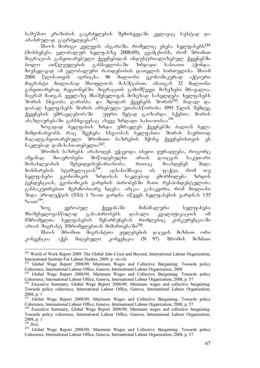სამუშაო კრიზისის გაგრძელების შემთხვევაში კვლავაც სუსტად და არასრულად გაგრძელდება<sup>243</sup>.

dbe-b demogo agengob s63smogo, medgeog abads baegasbadb<sup>244</sup> (მოხსენება გლობალურ ხელფასზე 2008-09), გვამცნობს, რომ შრომით მიგრაციას განვითარებული ქვეყნებიდან ინდუსტრიალიზებულ ქვეყნებში<br>ბოლო ათწლეულების განმავლობაში ზრდადი ხასიათი ჰქონდა. ბოლო ათწლეულების განმავლობაში ზრდადი ხასიათი ჰქონდა. მიუხედავად ამ გლობალური რაოდენობის დათვლის სირთულისა შსო-მ 2004 წლისათვის აღრიცხა 86 მილიონი ეკონომიკურად აქტიური<br>მიგრანტი მთლიანად მსოფლიოს მასშტაბით, ამათგან 32 მილიონი  $\partial$ იგრანტი მთლიანად მსოფლიოს მასშტაბით, ამათგან 32 განვითარებად რეგიონებში. მიგრაციის გამომწვევი მიზეზები მრავალია, თ.<br>მაგრამ მათგან ყველაზე მნიშვნელოვან მიზეზად სახელღება ხელფასებს შორის სხვაობა ღარიბსა და მდიდარ ქვეყნებს შორის<sup>245</sup>. მაღალ და დაბალ ხელფასებს შორის არსებული უთანასწორობა 1995 წლის შემდეგ ქვეყნების უმრავლესობაში — უფრო მეტად გაიზარდა. სქესთა შორის abab gansyon di gansarakat aseve di sebagai sebagai di sebagai sebagai sebagai sebagai sebagai sebagai sebagai

ზოგადად ხელფასის ზრდა უმრავლეს ქვეყნებში ძალიან ნელა მიმდინარუობს. რაც შეეხება სხვაობას ხელფასთა შორის საერთოდ მაღალგანვითარებული შრომითი ბაზრების მქონე ქვეყნებისთვის ეს ნაკლებად დამახასიათებელია $^{247}$ .

 $\partial \mathcal{S}$  3რომის პრასოდეს ექცეოდა ისეთი ყურადღება, როგორც ამჟამად. მთავრობები მოწოდებულნი არიან დაიცვან საკუთარი<br>მოსახლეობის შესყიდვისუნარიანობა, რითაც მოახდენენ შიდა მოსახლეობის შესყიდვისუნარიანობა, რითაც მოახდენენ შიდა<br>მოხმარების სტიმულაციას<sup>248</sup>. აოსანიშნავია ის ფაქტი, რომ თუ ოთენელა ერთილით კავითადი.<br>სტიმულაციას<sup>248</sup>. აღსანიშნავია ის ფაქტი, რომ თუ<br>ეკონომიკის ზრდისას ნაკლებად ემორჩილება ზრდის ხელფასები ეკონომიკის ზრდისას ნაკლებად ემორჩილება ზრდის ტენდენციას, ეკონომიკის ვარდნის პირობებში მათი რესპონდენტულობა განსაკუთრებით მგრძნობიარე ხდება. არცაა გასაკვირი, რომ მთლიანი  $\partial$  3000  $\partial$  3000  $\partial$  300  $\partial$  (303) 1 %-000 3800068 0  $\partial$  3130 bag 3800 3800068 1.55  $\frac{9}{600}$ <sup>249</sup>.

ზოგ ევროპულ ქვეყანაში მინიმალური ხელფასები<br>ნელოვანწილად განაპირობებს დაბალი კვალიფიკაციის იმ მნიშვნელოვანწილად განაპირობებს დაბალი კვალიფიკაციის იმ<br>მშრომელთა ხელფასების შენარჩუნებას რომლებიც კონკურენციაში მშრომელთა ხელფასების შენარჩუნებას რომლებიც კონკურენციაში არიან მიგრანტ მშრომელებთან მიმართებაში<sup>250</sup>.

შსო-ს შრომით მიგრანტთა ეფლებების დაცვის მიზნით ორი  $k$ ონვენცია აქვს მიღებული: კონვენცია (N 97) შრომის მიზნით

<sup>&</sup>lt;sup>243</sup> World of Work Report 2009: The Global Jobs Crisis and Beyond, International Labour Organization, International Institute For Labour Studies, 2009, p. vii-viii 244 Global Wage Report 2008/09, Minimum Wages and Collective Bargaining: Towards policy

Coherence, International Labour Office, Geneva, International Labour Organization, 2008

<sup>&</sup>lt;sup>245</sup> Global Wage Report 2008/09, Minimum Wages and Collective Bargaining: Towards policy Coherence, International Labour Office, Geneva, International Labour Organization, 2008, p. 57

<sup>246</sup> Executive Summary, Global Wage Report 2008/09, Minimum wages and collective bargaining: Towards policy coherence, International Labour Office, Geneva, International Labour Organization, 2008, p. 1

<sup>&</sup>lt;sup>247</sup> Global Wage Report 2008/09, Minimum Wages and Collective Bargaining: Towards policy Coherence, International Labour Office, Geneva, International Labour Organization, 2008, p. 57

<sup>&</sup>lt;sup>248</sup> Executive Summary, Global Wage Report 2008/09, Minimum wages and collective bargaining: Towards policy coherence, International Labour Office, Geneva, International Labour Organization, 2008, p. 1

<sup>249</sup> *Ibid.,* 

<sup>&</sup>lt;sup>250</sup> Global Wage Report 2008/09, Minimum Wages and Collective Bargaining: Towards policy Coherence, International Labour Office, Geneva, International Labour Organization, 2008, p. 57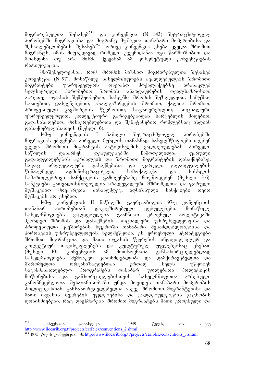მიგრირებულთა შესახებ<sup>251</sup> და კონვენცია (N 143) შეურაცხმყოფელ პირობებში მიგრაციისა და მიგრანტ მუშაკთა თანაბარი მოპყრობისა და შესაძლებლობების შესახებ<sup>252</sup>. ორივე კონვენცია ეხება ყველა შრომით მიგრანტს, იმის მიუხედავად რომელი ქვეყნიდანაა იგი წარმოშობით და მოახდინა თუ არა მისმა ქვეყანამ ამ კონკრეტული კონვენციების რატიფიკაცია.

მნიშვნელოვანია, რომ შრომის მიზნით მიგრირებულთა შესახებ კონვენცია (N 97), მონაწილე სახელმწიფოებს ავალდებულებს შრომითი მიგრანტები უზრუნველყონ თავიანთ მოქალაქეებზე არანაკლებ  $b$ ელსაყრელი პირობებით შრომის ანაზღაურების თვალსაზრისით, აგრეთვე ოჯახის შემწეობებით, სახლში შრომის შეზღუდვით, სამუშაო საათებით, დასვენებებით, ახალგაზრდების შრომით, ქალთა შრომით, პროფესიული კავშირების წევრობით, საცხოვრებლით, სოციალური უზრუნველყოფით, კოლექტიური გარიგებებიდან სარგებლის მიღებით, გადასახადებით, მოსაკრებლებითა და შენატანებით რომლებსაც იხდიან  $\omega$ ასაქმებულისათვის (მუხლი 6).

143-ე კონვენციის I ნაწილი შეურაცხმყოფელ პირობებში მიგრაციას ეძღვნება. პირველი მუხლის თანახმად სახელმწიფოები იღებენ ყველა შრომითი მიგრანტის პატივისცემის ვალდებულებას. პირველი ნაწილის დანარჩენ დებულებებში ჩამოთვლილია ფარული გადაადგილებების აკრძალვის და შრომითი მიგრანტების დასაქმებაზე,<br>სადაც არალეგალური დასაქმებისა და ფარული გადაადგილების სადაც არალეგალური დასაქმებისა და ფარული გადაადგილების წინააღმდეგ ადმინისტრაციული, სამოქალაქო და სისხლის სამართლებრივი სანქციების გამოყენებაზე მოუწოდებენ (მუხლი 3-6). სანქციები გათვალისწინებულია არალეგალური მშრომელთა და ფარული შუშაკებით მოვაჭრეთა წინააღმდეგ, აღნიშნული სანქციები თვით მუშაკებს არ ეხებათ.

143-ე კონვენციის II ნაწილში გავრცობილია 97-ე კონვენციის<br>არ პირობებთან დაკავშირებული დებულებები. მონაწილე თანაბარ პირობებთან დაკავშირებული დებულებები. მონაწილე სახელმწიფოებს ვალდებულება გააჩნიათ ეროვნულ პოლიტიკაში ჰქონდეთ შრომის და დასაქმების, სოციალური უზრუნველყოფისა და პროფესიული კავშირების სფეროში თანაბარი შესაძლებლობებისა და პიროპების უზრუნველყოფის ხელშეწყობა. ეს ეროვნული სტრატეგიები შრომით მიგრანტთა და მათი ოჯახის წევრების ინდივიდუალურ და<br>კოლექტიურ თავისუფლებებს და კულტურულ უფლებებსაც ეხებათ კოლექტიურ თავისუფლებებს და კულტურულ უფლებებსაც ეხებათ<br>(მუხლი 10). კონვენციის ამ მოთხოვნათა განსახორციელებლად (მუხლი 10). კონვენციის ამ მოთხოვნათა განსახორციელებლად სახელმწიფოებს შემოაქვთ კანონმდებლობა და დამქირავებელთა და შშრომელთა ორგანიზაცაებთან ერთად ხელს უწყობენ საგანმანათლებლო პროგრამებს თანაბარ უფლებათა პოლიტიკის მოწონებისა და განხორციელებისთვის. სახელმწიფოთა არსებული კანონმდებლობა შესაბამისობაში უნდა მოვიდეს თანაბარი მოპყრობის პოლიტიკასთან. განსახორციელებელია ასევე შრომითი მიგრანტებისა და მათი ოჯახის წევრების უფლებებისა და ვალდებულებების გაცნობის დონისძიებები, რაც დაეხმარება შრომით მიგრანტებს მათი ეროვნული და

<sup>251</sup> კონვენცია განახლდა 1949 წელს, ის. ასევე http://www.ilocarib.org.tt/projects/cariblex/conventions\_2.shtml

<sup>252 1975</sup> www.inocentrologica.com/conventions-conventions-conventions-cariblex/conventions-7.shtml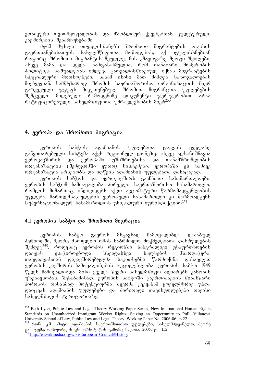ეთნიკური თვითმყოფადობის და მშობლიურ ქვეყნებთან კულტურული კავშირების შენარჩუნებაში.

 $\partial_{\Omega}$ -13  $\partial_{\Upsilon}$  by ongograph interface  $\partial_{\Omega}$  and  $\partial_{\Omega}$  and  $\partial_{\Omega}$  of  $\partial_{\Upsilon}$ გაერთიანებისათვის სახელმწიფოთა მოწოდებას, აქ იგულისხმებიან როგორც შრომითი მიგრანტის მეუღლე, მის კმაყოფაზე მყოფი შვილები, ასევე მამა და დედა. ხაზგასასმელია, რომ თანაბარი მოპყრობის პოლიტიკა საშუალებას იძლევა გათვალისწინებულ იქნას მიგრანტების სპეციალური მოთხოვნები, სანამ ისინი მათ მიმღებ საზოგადოებას მიეჩვევიან. სამწუხაროდ შრომის საერთაშორისო ორგანიზაციის მიერ<br>გარკვეული ჯგუფს მიკუთვნებულ შრომით მიგრანტთა უფლებების გარკვეული ჯგუფს მიკუთვნებულ შრომით მიგრანტთა<br>'შემცველი მიღებული რამოდენიმე დოკუმენტი ჯერ-ჯერ შემცველი მიღებული რამოდენიმე დოკუმენტი ჯერ-ჯერობით არაა რატიფიცირებული სახელმწიფოთა უმრავლესობის მიერ $^{253}$ .

## 4. ევროპა და შრომითი მიგრაცია

ევროპის საბჭოს ადამიანის უფლებათა დაცვის ყველაზე განვითარებული სისტემა აქვს რეგიონულ დონეზე. ასევე აღსანიშნავია ევროკავშირის და ევროპაში უშიშროებისა და თანამშრომლობის ორგანიზაციის (შემდგომში ეუთო) სისტემები. ევროპაში ეს სამივე ორგანიზაცია არსებობს და იღწვის ადამიანის უფლებათა დასაცავად.

ევროპის საბჭოს და ევროკავშირს გააჩნიათ სასამართლოები.  $p$ ვროპის საბჭომ ჩამოაყალიბა პირველი საერთაშორისო სასამართლო, რომლის მიმართაც ინდივიდებს აქვთ ავტომატური წარმომადგენლობის უფლება. მართლმსაჯულების ევროპული სასამართლო კი წარმოადგენს  $\overline{b}$ უპერნაციონალურ სასამართლოს უნიკალური იურისდიქციით $^{254}.$ 

### 4.1 ევროპის საბჭო და შრომითი მიგრაცია

ევროპის საბჭო გაეროს მსგავსად ჩამოყალიბდა დაძაბულ პერიოდში, მეორე მსოფლიო ომის საბრძოლო მოქმედებათა დასრულების შემდეგ<sup>255</sup>, როდესაც ევროპის რეგიონში ხანგრძლივი უსაფრთხოების დაცვას ესაჭიროებოდა სხვადასხვა ხალხების მხარდაჭერა. თავდაცვასთან დაკავშირებულმა საკითხებმა წარმოქმნა დასავლეთ ევროპის კავშირის ჩამოყალიბების აუცილებლობა. ევროპის საბჭო 1949  $\mathbb{F}_3$ ლს ჩამოყალიბდა. მისი ყველა  $\mathbb{F}_3$ ვრი სახელმ $\mathbb{F}_0$ იფო აღიარებს კანონის უზენაესობას, შესაბამისად, ევროპის საბჭოში გაერთიანების წინასწარი პირობის თანახმად პოტენციურმა წევრმა ქვეყანამ ყოველმხრივ უნდა დაიცვას ადამიანის უფლებები და ძირითადი თავისუფლებები თავისი სახელმწიფოს ტერიტორიაზე.

<sup>-</sup><sup>253</sup> Beth Lyon, Public Law and Legal Theory Working Paper Series, New International Human Rights Standards on Unauthorized Immigrant Worker Rights: Seizing an Opportunity to Pull, Villanova University School of Law, Public Law and Legal Theory, Working Paper No. 2006-06 , p.22

 $^{254}$  რონა კ.მ. სმიტი, ადამიანის საერთაშორისო უფლებები, სახელმძღვანელო, მეორე .<br>ვამოცემა, ოქსფორდის უნივერსიტეტის გამომცემლობა, 2005, გვ. 152

<sup>&</sup>lt;sup>2</sup>http://en.wikipedia.org/wiki/European\_Council#History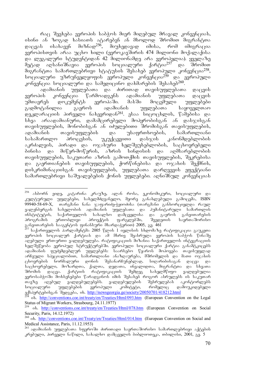რაც შეეხება ევროპის საბჭოს მიერ მიღებულ მრავალ კონვენციას, ისინი ან ზოგად ხასიათს ატარებენ ან მხოლოდ შრომით მიგრანტთა<br>დაცვას ისახავენ მიზნად<sup>256</sup>, მიუხედავად იმისა, რომ იმიგრაცია დაცვას ისახავენ მიზნად<sup>256</sup>, მიუხედავად იმისა, რომ იმიგრაცია ევროპისთვის არაა უცხო ხილი (ევროკავშირის 474 მილიონი მოქალაქისა და ლეგალური სტუდენტიდან 42 მილიონამდე არა ევროპელია). ყველაზე<br>მეტად აღსანიშნავია ევროპის სოციალური ქარტია<sup>257</sup> და შრომით მეტად აღსანიშნავია ევროპის სოციალური ქარტია<sup>257</sup> და შრომით  $\partial$ იგრანტთა სამართლებრივი სტატუსის შესახებ ევროპული კონვენცია<sup>258</sup>, აიციალური უზრუნველყოფის ევროპული კონვენცია<sup>259</sup> და ევროპული კონვენცია სოციალური და სამედიცინო დახმარების შესახებ<sup>260</sup>

ადამიანის უფლებათა და ძირითად თავისუფლებათა დაცვის ევროპის კონვენცია წარმოადგენს ადამიანის უფლებათა დაცვის<br>უმთავრეს დოკუმენტს ევროპაში. მასში მოცემული უფლებები უმთავრეს დოკუმენტს ევროპაში. მასში მოცემული უფლებები<br>გადმოტანილია გაეროს ადამიანის უფლებათა საყოველთაო გადმოტანილია გაეროს ადამიანის უფლებათა საყოველთაო დეკლარაციის პირველი ნახევრიდან<sup>261</sup>. ესაა სიცოცხლის, წამებისა და<br>სხვა არაადამიანური, დამამცირებელი მოპყრობისგან ან დასჯისგან სხვა არაადამიანური, დამამცირებელი მოპყრობისგან თავისუფლების, მონობისგან ან იძულებითი შრომისგან თავისუფლების, ადამიანის თავისუფლების და უსაფრთხოების, სამართლიანი<br>სასამართლო პროცესის, უკუქცევითი დასჯის კანონმდებლობის სასამართლო პროცესის, უკუქცევითი დასჯის კანონმდებლობის აკრძალვის, პირადი და ოჯახური ხელშეუხებლობის, საცხოვრებელი ბინისა და მიწერ-მოწერის, აზრის სინდისის და აღმსარებლობის თავისუფლების, საკუთარი აზრის გამოთქმის თავისუფლების, შეკრებისა და გაერთიანების თავისუფლების, ქორწინებისა და ოჯახის შექმნის, დისკრიმინაციისგან თავისუფლების, უფლებათა დარღვევის ეფექტიანი სამართლებრივი საშუალებების ქონის უფლებები. აღნიშნულ კონვენციას

 $^{256}$  ასბორნ ეიდე, კატარინა კრაუზე, ალან როსა, ეკონომიკური, სოციალური და კულტურული უფლებები, სახელმძღვანელო, მეორე განახლებული გამოცემა, ISBN 99940-58-69-X, თარგმანი ნანა ჯაფარიძე-ჭყიოძისა (თარგმანი განხორციელდა რაულ გალენბერგის სახელობის ადამიანის უფლებათა და პუმანიტარული სამართლის ინსტიტუტის, საქართველოს სახალხო დამცველისა და გაეროს განვითარების<br>პროგრამის ერთობლივი პროექტის ფარგლებში, შვედეთის საერთაშორისო პროგრამის ერთობლივი პროექტის ფარგლებში, შვედეთის საერთაშორისო განვითარების სააგენტოს ფინანსური მხარდაჭერით) 2005, გვ. 461

bodomagent domedged 2005 fend 1 ogenbob bbomdatg mogogogogogo gamagoo ევროპის სოციალურ ქარტიას და ამ მხრივ შეასრულა ევროპის საბჭოს წინაშე აღებული ერთ-ერთი ვალდებულება. რატიფიკაციის მიზანია საქართველოს ინტეგრაციის ხელშეწყობა ევროპულ სტრუქტურებში. ევროპული სოციალური ქარტია განაშტკიცებს  $\sim$ ადამიანის ფუძემდებლურ უფლებებს: საარსებო წყაროს მოპოვება თავისუფლად არჩეული სპეციალობით, სამართლიანი ანაზღაურება, მშრომელის და მათი ოჯახის ცხოვრების ნორმალური დონის შესანარჩუნებლად, სიღარიბისაგან დაცვა და .<br>საცხოვრებელი, მოზარდთა, ქალთა, დედათა, ინვალიდთა, მიგრანტთა და სხვათა<br>შრომის დაცვა. ქარტიის რატიფიკაციის შემდეგ სახელმწიფო ვალდებულია შრომის დაცვა. ქარტიის რატიფიკაციის შემდეგ სახელმწიფო ვალდებულია ევროსაბჭოში შოხსენებები წარადგინოს იმის შესახებ როგორ ასრულებს ის საკუთარ თავზე აღებულ ვალღებულებებს. ვალღებულების შესრულებას აკონტორლებს სოციალური უფლებების ევროპული კომიტეტი, რომელიც დამოუკიდებელი ექსპერტებისგან შედგება, იხ. <u>http://newsgeorgia.ge/society/20050701/418212.html</u>

ob. http://conventions.coe.int/treaty/en/Treaties/Html/093.htm (European Convention on the Legal Status of Migrant Workers, Strasbourg, 24.11.1977)

<sup>&</sup>lt;sup>259</sup> ob. http://conventions.coe.int/treaty/en/Treaties/Html/078.htm (European Convention on Social Security, Paris, 14.12.1972)

<sup>&</sup>lt;sup>260</sup> ob. http://conventions.coe.int/Treaty/en/Treaties/Html/014.htm (European Convention on Social and Medical Assistance, Paris, 11.12.1953)

<sup>&</sup>lt;sup>261</sup> ადამიანის უფლებათა სფეროში ძირითადი საერთაშორისო სამართლებრივი აქტების კრებული, პირველი ნაწილი, სახალხო დამცველის ბიბლიოთეკა, თბილისი, 2001, გვ. 5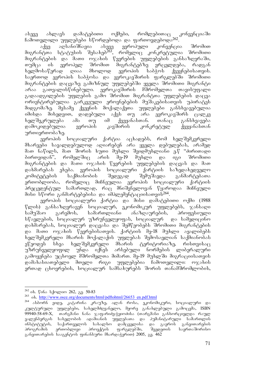ასევე ახლავს დამატებითი ოქმები, რომლებითაც კონვენციაში ჩამოთვლილი უფლებები სწორდებოდა და ფართოვდებოდა<sup>262</sup>.

აქვე აღსანიშნავია ასევე ევროპული კონვენცია შრომით მიგრანტთა სტატუსის შესახებ<sup>ž63</sup>, რომელიც კონკრეტულია შრომითი მიგრანტების და მათი ოჯახის წევრების უფლებების განსაზღვრაში, Tumca is evropel SromiT migrantebze vrceldeba, radgan ხელმოსაწერად ღიაა მხოლოდ ევროპის საბჭოს ქვეყნებისათვის. საერთოდ ევროპის საბჭოსა და ევროკავშირის ფარგლებში შრომითი მიგრანტების დაცვაზე გამიზნულ უფლებებში ყველა შრომითი მიგრანტი არაა გათვალისწინებული. ევროკავშირის მშრომელთა თავისუფალი გადაადგილების უფლების გამო შრომით მიგრანტთა უფლებების დაცვა ორიენტირებულია გარკვეული ეროვნებების მუშაკებისათვის უპირატეს მიდგომაზე. მესამე ქვეყნის მოქალაქეთა უფლებები განსხვავებულია იმისდა მიხედვით, დადებული აქვს თუ არა ევროკავშირს ცალკე<br>|ხელშეკრულება ამა თუ იმ ქვეყანასთან. თანაც განსხვავება ხელშეკრულება ამა თუ იმ ქვეყანასთან. თანაც განსხვავება damokidebulia evropis kavSiris konkretul qveyanasTan

urTierTobaze. ქარტია აცხადებს, რომ ხელშემკვრელი მხარეები სავალდებულოდ აღიარებენ არა ყველა დებულებას, არამედ მათ ნაწილს, მათ შორის ხუთი მუხლი შვიდმუხლიანი ე.წ "ძირითადი ბირთვიდან", რომელშიც არის შე-19 მუხლი და იგი შრომითი მიგრანტების და მათი ოჯახის წევრების უფლებების დაცვას და მათ დახმარებას ეხება. ევროპის სოციალური ქარტიის საზედახედველო კომიტეტების საქმიანობის შედეგად შემუშავდა განმარტებათა ერთობლიობა, რომელიც მიჩნეულია ევროპის სოციალური ქარტიის პრეცედენტულ სამართლად, რაც მნიშვნელოვან წყაროდაა მიჩნეული მისი სწორი განმარტებებისა და იმპლემენტაციისათვის<sup>264</sup>.

ევროპის სოციალური ქარტია და მისი დამატებითი ოქმი (1988  $\nabla$ ლის) განსაზღვრავენ სოციალურ, ეკონომიკურ უფლებებს, ჯანსაღი სამუშაო გარემოს, სამართლიანი ანაზღაურების, პროფესიული სწავლების, სოციალურ უზრუნველყოფას, სოციალურ \_ და სამედიცინო დახმარებას, სოციალურ დაცვასა და შემწეობებს შრომითი მიგრანტების და მათი ოჯახის წევრებისათვის. ქარტიის მე-18 მუხლი აყალიბებს ხელშემკვრელი მხარის მოქალაქის უფლებას შემოსავლიან საქმიანობას ეწეოდეს სხვა ხელშემკვრელი მხარის ტერიტორიაზე, რისთვისაც უზრუნველყოფილ უნდა იქნეს არსებული ნორმების ლიბერალური გამოყენება უცხოელ მშრომელთა მიმართ. მე-19 მუხლში მიგრაციისათვის დამახასიათებელი მთელი რიგი უფლებებია ჩამოთვლილი: ოჯახის ერთად ცხოვრების, სოციალურ სამსახურებს შორის თანამშრომლობის,

<sup>&</sup>lt;u>.</u> <sup>262</sup> იხ. წინა სქოლიო 262, გვ. 50-83

<sup>&</sup>lt;sup>263</sup> ob. <u>http://www.osce.org/documents/html/pdftohtml/26653\_en.pdf.html</u>

<sup>-</sup>ასბორნ ეიდე, კატარინა კრაუზე, ალან როსა, ეკონომიკური, სოციალური და კულტურული უფლებები, სახელმძღვანელო, მეორე განახლებული გამოცემა, ISBN 99940-58-69-X, თარგმანი ნანა ჯაფარიძე-ჭყიოძისა (თარგმანი განხორციელდა რაულ ვალენბერგის სახელობის ადამიანის უფლებათა და ჰუმანიტარული სამართლის<br>ინსტიტუტის, საქართველოს სახალხო დამცველისა და გაეროს განვითარების ინსტიტუტის, საქართველოს სახალხო დამცველისა და გაეროს<br>პროგრამის ერთობლივი პროექტის ფარგლებში, შვედეთის ერთობლივი პროექტის ფარგლებში, შვედეთის საერთაშორისო განვითარების სააგენტოს ფინანსური მხარდაჭერით) 2005, გვ. 462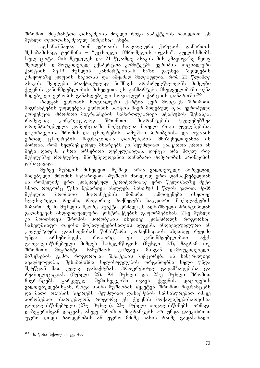შრომით მიგრანტთა დასაქმების მთელი რიგი ასპექტების ჩათვლით. ეს მუხლი თვითდასაქმებულ პირებსაც ეხება.

აღსანიშნავია, რომ ევროპის სოციალური ქარტიის დანართის შესაბამისად, ტერმინი – "უცხოელი მშრომელის ოჯახი", გულისხმობს სულ ცოტა, მის მეუღლეს და 21 წლამდე ასაკის მის კმაყოფაზე მყოფ ື შვილეპს. დამოუკიდებელ ექსპერტთა კოშიტეტშა ევროპის სოციალური<br>ქარტიის მე-19 მუხლის განმარტებისას ხაზი გაუსვა შვილების ქარტიის მე-19 მუხლის განმარტებისას ხაზი გაუსვა კმაყოფაზე ყოფნის საკითხს და ამჟამად მიღებულია, რომ 21 წლამდე ასაკის შვილები პრაქტიკულად ნიშნავს არასრულწლოვანს მიმღები ქვეყნის კანონმდებლობის მიხედვით. ეს განმარტება მხედველობაში იქნა მიღებული ევროპის განახლებული სოციალური ქარტიის დანართში.<sup>265</sup>

რადგან ევროპის სოციალური ქარტია ვერ მოიცავს შრომითი მიგრანტების უფლებებს ევროპის საბჭოს მიერ მიღებულ იქნა ევროპული კონვენცია შრომითი მიგრანტების სამართლებრივი სტატუსის შესახებ,<br>რომელიც კონკრეტულად შრომითი მიგრანტების უფლებებზეა რომელიც კონკრეტულად შრომითი მიგრანტების უფლებებზეა ორიენტირებული. კონვენციაში მოქცეულია მთელი რიგი უფლებებისა: დაქირავების, შრომის და ცხოვრების, სამუშაო პირობებისა და ოჯახის ერთად ცხოვრების, მიგრაციიდან დაბრუნების. მნიშვნელოვანია ის  $\delta$ ირობა, რომ ხელშემკვრელ მხარეებს კი შეუძლიათ გააკეთონ ერთი ან მეტი დათქმა ცხრა არსებითი დებულებიდან, თუმცა არა მთელ რიგ მუხლებზე რომლებიც მნიშვნელოვანია თანაბარი მოპყრობის პრინციპის დასაცავად.

მერვე მუხლის მიხედვით მუშაკი არაა ვალდებული პირველად მიღებული შრომის ნებართვით იმუშაოს მხოლოდ ერთ დამსაქმებელთან ან რომელიმე ერთ კონკრეტულ ტერიტორიაზე ერთ წელიწადზე მეტი ხნით. როგორც წესი ნებართვა ახლდება მინიმუმ 1 წლის ვადით. მე-16 მუხლით შრომითი მიგრანტების მიმართ გამოიყენება ისეთივე ხელსაყრელი რეჟიმი, როგორიც მოქმედებს საკუთარი მოქალაქეების მიმართ. მე-16 მუხლის მეორე პუნქტი კრძალავს აღნიშნული პრინციპიდან გადახვევას ინდივიდუალური კონტრაქტების გაფორმებისას. 21-ე მუხლი ki moiTxovs Sromis pirobebis iseTive kontrols rogorsac სახელმწიფო თავისი მოქალაქეებისათვის ადგენს. ინდივიდუალური ან კოლექტიური დათხოვნისას წინასწარი კომპენსაციის ისეთივე რეჟიმი უნდა არსებობდეს, როგორც ეს კანონმდებლობით აქვს გათვალისწინებული მიმღებ სახელმწიფოს (მუხლი 24), მაგრამ თუ ືອຕັອນທີ່ ສະຖິງຕ້ອງ ທີ່ ຈະຕະການ ສະຖິງຕ້ອງ ແລະ ສະຖິງຕາມເຈົ້າ ທີ່ მიზეზების გამო, როგორიცაა შტატების შემცირება ან ხანგრძლივი ავადმყოფობა, შესაბამისმა ხელისუფლების ორგანოებმა ხელი უნდა შეუწყონ მათ კვლავ დასაქმებას, პროფრესიულ გადამზადებასა და<br>რეაბილიტაციას (მუხლი 25). 9.4 მუხლი და 25-ე მუხლი შრომით რეაბილიტაციას (მუხლი 25). 9.4 მუხლი და 25-ე მუხლი შრომით<br>მიგრანტებს გარკვეულ შემთხვევებში იცავს ქვეყნის დატოვების მიგრანტებს გარკვეულ შემთხვევებში იცავს ქვეყნის დატოვების ვალდებულებისგან, როცა ისინი მუშაობას წყვეტენ. შრომით მიგრანტებს და მათი ოჯახის წევრებს შეუძლიათ დასაქმების სამსახურებით იმავე  $\delta$ ირობებით ისარგებლონ, როგორც ეს ქვეყნის მოქალაქეებისათვისაა გათვალისწინებული (27-ე მუხლი). 23-ე მუხლი ითვალისწინებს ორმაგი დაბეგვრისგან დაცვას, ასევე შრომით მიგრანტებს არ უნდა დაეკისროთ უფრო დიდი რაოდენობის ან უფრო მძიმე სახის რაიმე გადასახადი,

<sup>&</sup>lt;u>.</u> <sup>265</sup> იხ. წინა სქოლიო, გვ. 463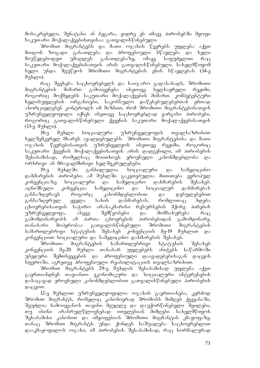მოსაკრებელი, შენატანი ან ბეგარა, ვიდრე ეს იმავე პირობებში მყოფი  $b$ აკუთარი მოქალაქეებისთვისაა გათვალისწინებული.

შრომით მიგრანტებს და მათი ოჯახის წევრებს უფლება აქვთ მიიღონ ზოგადი განათლება და პროფესიული სწავლება და ხელი<br>მიუწვდებოდეთ უმაღლეს განათლებაზე, იმავე საფუძვლით რაც მიუწვდებოდეთ უმაღლეს განათლებაზე, იმავე საფუძვლით რაც  $\alpha$  $\frac{1}{2}$ ხელი უნდა შეუწყოს შრომითი მიგრანტების ენის სწავლებას (14-ე  $\partial \eta$ bgoo).

რაც შეეხება საცხოვრებელს და საიჯარო გადასახადს, შრომითი მიგრანტების მიმართ გამოიყენება ისეთივე ხელსაყრელი რეჟიმი, როგორიც მოქმედებს საკუთარი მოქალაქეების მიმართ. კომპეტენტური ხელისუფლების ორგანოები, საკონსულო დაწესებულებებთან ერთად  $\alpha$ ახორციელებენ კონტროლს იმ მიზნით, რომ შრომითი მიგრანტებისათვის უზრუნველყოფილი იქნეს ისეთივე საცხოვრებლად ვარგისი პირობები, როგორიც გათვალისწინებული ქვეყნის საკუთარი მოქალაქეებისათვის  $(13-<sub>0</sub> \theta_{0}^{m}b_{\text{Q}})$ .

18-ე მუხლი სოციალური უზრუნველყოფის თვალსაზრისით ხელშემკვრელ მხარეს ავალდებულებს შრომითი მიგრანტებისა და მათი ოჯახის წევრებისათვის უზრუნველყოს ისეთივე რეჟიმი, როგორიც საკუთარი ქვეყნის მოქალაქეებისათვის არის დადგენილი, იმ პირობების<br>შესაბამისად, რომელსაც მოითხოვს ეროვნული კანონმდებლობა და რომელსაც მოითხოვს ეროვნული კანონმდებლობა და

ორხრივი ან მრავალმხრივი ხელშეკრულებები.<br>19-ე მუხლში განხილულია სოცია 19-ე მუხლში განხილულია სოციალური და სამედიცინო დახმარების პირობები. ამ მუხლში გაკეთებულია მითითება ევროპულ<br>კონვენციაზე სოციალური და სამედიცინო დახმარების შესახებ. სოციალური და სამედიცინო დახმარების შესახებ. აღნიშნული კონვენცია სამედიცინო და სოციალურ დახმარებას განსაზღვრავს როგორც კანონმდებლობით და დებულებებით განსაზღვრულ ყველა სახის დახმარებას, რომლითაც ხდება  $\alpha$ ცხოვრებისათვის საჭირო არასაკმარისი რესურსების მქონე პირების უზრუნველყოფა, ასევე შემწეობები და მომსახურება რაც გამომდინარეობს ამ პირთა ცხოვრების პირობებიდან გამომდინარე. თანაბარი მოპყრობაა გათვალისწინებული შრომითი მიგრანტების სამართლებრივი სტატუსის შესახებ კონვენციის მე-19 მუხლით და კონვენციით სოციალური და სამედიცინო დახმარების შესახებ.

შრომითი მიგრანტების სამართლებრივი სტატუსის შესახებ კონვენციის მე-20 მუხლი თანაბარ უფლებებს ანიჭებს საწარმოში უბედური შემთხვევების და პროფესიული დაავადებებისაგან დაცვის სფუროში, აგრეთვე პროფესიული რეაბილიტაციის თვალსაზრისით.

შრომით მიგრანტებს 29-ე მუხლის შესაბამისად უფლება აქვთ გაერთიანდნენ თავიანთი ეკონომიკური და სოციალური ინტერესების დასაცავად ეროვნული კანონმდებლობით გათვალისწინებული პირობების  $Q\delta(300)$ .

12-ე მუხლით უზრუნველყოფილია ოჯახის გაერთიანება, კერძოდ შრომით შიგრანტს, რომელიც კანონიერად შრომოპს მიმღებ ქვეყანაში, შეუძლია ჩამოიყვანოს თავისი მეუღლე და დაუქორწინებელი შვილები, თუ ისინი არასრულწლოვნებად ითვლებიან მიმღები სახელმწიფოს შესაბამისი კანონით და იმყოფებიან შრომითი მიგრანტის კმაყოფაზე. თანაც შრომით მიგრანტს უნდა ქონდეს საშუალება საცხოვრებლით დააკმაყოფილოს ოჯახი, იმ პირობების შესაბამისად, რაც ნორმალურად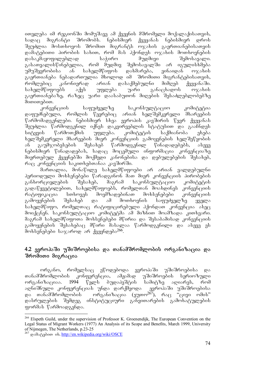ითვლება იმ რეგიონში მომუშავე ამ ქვეყნის მშრომელი მოქალაქისათვის, სადაც მიგრანტი შრომობს. ნებისმიერ ქვეყანას ნებისმიერ დროს შეუძლია მოსთხოვოს შრომით მიგრანტს ოჯახის გაერთიანებისათვის დამატებითი პიროპის სახით, რომ მას ჰქონდეს ოჯახის მოთხოვნების<br>დასაკმაყოფილებლად საჭირო მუდმივი შემოსავალი. დასაკმაყოფილებლად საჭირო მუდმივი გასათვალისწინებელია, რომ მუდმივ შემოსავალში არ იგულისხმება<br>უმუშევრობისა ან სახელმწიფოს დახმარება, ვინაიდან ოჯახის  $\sqrt{2}$ უმუშევრობისა ან სახელმწიფოს დახმარება, ვინაიდან ო $\alpha$ ახის გაერთიანება ნებადართულია მხოლოდ იმ შრომითი მიგრანტებისათვის,<br>რომლებიც კანონიერად არიან დასაქმებულნი მიმღებ ქვეყანა'ში. რომლებიც კანონიერად არიან დასაქმებულნი მიმღებ ქვეყანაში. სახელმწიფოებს აქვს უფლება უარი განაცხადოს ოჯახის გაერთიანებაზე, რაზეც უარი დაასაბუთონ მიღების შესაძლებლობებზე  $\theta$ omomg $\delta$ om.

კონვენციის საფუძველზე საკონსულტაციო კომიტეტია დაფუძნებული, რომლის წევრებიც არიან ხელშემკვრელი მხარეების  $\sqrt{\mathcal{C}}$ არმომადგენლები. ნებისმიერ სხვა ევროპის კავშირის  $\mathcal{C}_{33}$ ვრ ქვეყანას შეუძლია წარმოდგენილ იქნეს დაკვირვებლის სტატუსით და გააჩნდეს სიტყვის წარმოთქმის უფლება. კომიტეტის საქმიანობა ეხება ხელშემკვრელი მხარეების მიერ კონვენციის გამოყენების ხელშეწყობის ან გაუმჯობესების შესახებ წარმოდგენილ წინადადებებს, ასევე ნებისმიერ წინადადებას, სადაც მოცემული ინფორმაცია კონვენციაზე მიერთებულ ქვეყნებში მოქმედი კანონებისა და დებულებების შესახებ, რაც კონვენციის საკითხებთანაა კავშირში.

მართალია, მონაწილე სახელმწიფოები არ არიან ვალდებულნი პერიოდული მოხსენებები წარადგინონ მათ მიერ კონვენციის პირობების განხორციელების შესახებ, მაგრამ საკონსულტაციო კომიტეტის გადაწყვეტილებით, სახელმწიფოებს, რომელთან მოახდინეს კონვენციის რატიფიკაცია სთხოვეს მოემზადებინათ მოხსენებები კონვენციის გამოყენების შესახებ და ამ მოთხოვნის საფუძველზე ყველა სახელმწიფო, რომელთაც რატიფიცირებული ჰქონდათ კონვენცია ასეც მოიქცნენ. საკონსულტაციო კომიტეტმა ამ მიზნით მოამზადა კითხვარი. მაგრამ სახელმწიფოთა მოხსენებები მწირია და შესაბამისად კონვენციის გამოყენების შესახებაც მწირი მასალაა წარმოდგენილი და ასევე ეს მოხსენებები საჯაროდ არ ქვეყნდება $^{266}$ .

## 4.2 ევროპაში უშიშროებისა და თანამშრომლობის ორგანიზაცია და შრომითი მიგრაცია

ორგანო, რომელსაც ეწოდებოდა ევროპაში უშიშროებისა და თანამშრომლობის კონფერენცია, ამჟამად უშიშროების სერიოზული ორგანიზაციაა. 1994 წელს ბუდაპეშტის სამიტზე აღიარეს, რომ აღნიშნული კონფერენციას უნდა დარქმეოდა ევროპაში უშიშროებისა და თანამშრომლობის ორგანიზაცია (ეუთო<sup>267</sup>), რაც "ცივი ომის" დასრულების შემდეგ ინსტიტუციური განვითარების გამოხატულების ფორმას წარმოადგენდა.

<sup>-</sup><sup>266</sup> Elspeth Guild, under the supervision of Professor K. Groenendijk, The European Convention on the Legal Status of Migrant Workers (1977) An Analysis of its Scope and Benefits, March 1999, University of Nijmegen, The Netherlands, p.23-25

 $^{267}$  godo  $^{8}$ gdoon ob. http://en.wikipedia.org/wiki/OSCE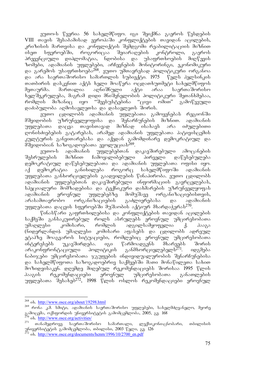ეუთო-ს წევრია 56 სახელმწიფო. იგი შეიქმნა გაეროს წესდების  $VIII$  თავის შესაბამისად ევროპაში კონფლიქტების თავიდან აცილების, კრიზისის მართვისა და კონფლიქტის შემდგომი რეაბილიტაციის მიზნით<br>ისეთ სფეროებში, როგორიცაა შეიარაღების კონტროლი, გაეროს  $\overline{a}$ სფეროებში, როგორიცაა შეიარაღების კონტროლი, გაეროს პრევენციული დიპლომატია, ნდობისა და უსაფრთხოების მიღწევის ზომები, ადამიანის უფლებები, არჩევნების მონიტორინგი, ეკონომიკური და გარემოს უსაფრთხოება<sup>268</sup>. ეუთო უმთავრესად პოლიტიკური ორგანოა და არა საერთაშორისო სამართლის სუბიექტი. 1975 წელს ჰელსინკის TaTbiris daskvniT aqts xeli moawera ocdaTxuTmeti saxelmwifos შეთაურმა. მართალია აღნიშნული აქტი არაა საერთაშორისო ხელშეკრულება, მაგრამ დიდი მნიშვნელობის პოლიტიკური შეთანხმებაა, ორა ის თავი<br>რომლის მიზანიც იყო "შეესუსტებინა "ცივი ომით" გამოწვეული დაძაბულობა აღმოსავლეთსა და დასავლეთს შორის.

ეუთო ცდილობს ადამიანის უფლებათა გამოყენებას რეგიონში მშვიდობის უზრუნველყოფისა და შენარჩუნების მიზნით. ადამიანის უფლებათა დაცვა თავისთავად მიზნად ისახავს არა იძულებითი დონისძიებების გატარებას, არამედ ადამიანის უფლებათა პატივისცემის კულტურის განვითარებასა და აქედან გამომდინარე დემოკრატიულ და მშვიდობიან საზოგადოებათა ევოლუციას<sup>269</sup>.

ეუთო-ს ადამიანის უფლებებთან დაკავშირებული ამოცანების შესრულების მიზნით ჩამოყალიბებული პირველი დაწესებულება დემოკრატიულ დაწესებულებათა და ადამიანის უფლებათა ოფისი იყო. აქ დემოკრატია განიხილება როგორც სახელმწიფოში ადამიანის უფლებათა განხორციელების გაადვილების წინაპირობა. ეუთო ცდილობს ადამიანის უფლებებთან დაკავშირებული ინფორმაციის გავრცელებას, სპეციალური მომზადებისა და ტექნიკური დახმარების უზრუნველყოფას ადამიანის ეროვნულ უფლებებზე მომუშავე ორგანიზაციებისთვის, არასამთავრობო ორგანიზაციების გაძლიერებასა და ადამიანის უფლებათა დაცვის სფეროებში მუშაობის აქტიურ მხარდაჭერას<sup>270</sup>.

წინასწარი გაფრთხილებისა და კონფლიქტების თავიდან აცილების საქმეში განსაკუთრებულ როლს ასრულებს ეროვნულ უმცირესობათა<br>უმაღლესი კომისარი, რომლის ადგილსამყოფელია ქ. პააგა უმაღლესი კომისარი, რომლის ადგილსამყოფელია ქ. ჰააგა (ნიდერლანდი). უმაღლესი კომისარი აფასებს და ცდილობს ადრეულ ეტაპზე მოაგვაროს სიტუაციები, რომლებიც ეროვნულ უმცირესობათა ინტერესებს უკავშირდება. იგი წარმოადგენს მხარეებს შორის არაკონფრონტაციული პოლიტიკის განმხორციელებელს<sup>271</sup>. იდგმება ნაბიჯები უმცირესობათა ჯგუფების ინდივიდუალურობის შენარჩუნებისა და სახელმწიფოთა საზოგადოებრივ საქმეებში მათი მონაწილეთა სახით მოზიდვისაკენ. დღემდე მიღებულ რეკომენდაციებს შორისაა 1995 წლის ჰააგის რეკომენდაციები ეროვნულ უმცირესობათა განათლების უფლებათა შესახებ $^{272}$ , 1998 წლის ოსლოს რეკომენდაციები ეროვნულ

<sup>-</sup><sup>268</sup> ob. http://www.osce.org/about/19298.html

<sup>&</sup>lt;sup>269</sup> რონა კ.მ. სმიტი, ადამიანის საერთაშორისო უფლებები, სახელმძღვანელო, მეორე გამოცემა, ოქსფორდის უნივერსიტეტის გამომცემლობა, 2005, გვ. 168 <sup>270</sup> ob. <u>http://www.osce.org/activities/</u>

<sup>&</sup>lt;sup>271</sup> თანამედროვე საერთაშორისო სამართალი, ლექსიკონი-ცნობარი, თბილისის უნივერსიტუტის გამომცუმლობა, თბილისი, 2003 წელი, გვ. 126

 $^{22}$  ob. http://www.osce.org/documents/hcnm/1996/10/2700\_en.pdf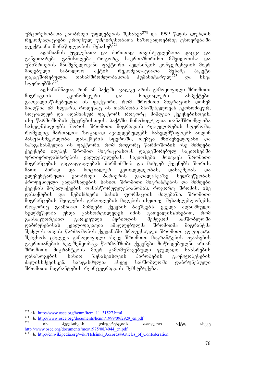უმცირესობათა ენობრივი უფლებების შესახებ<sup>273</sup> და 1999 წლის ლუნდის რეკომენდაციები ეროვნულ უმცირესობათა საზოგადოებრივ ცხოვრებაში  $\frac{1}{2}$ ggada obo $\frac{3}{4}$ entiani monawileo bada  $\frac{274}{4}$ .

ადამიანის უფლებათა და ძირითად თავისუფლებათა დაცვა და<br>ოარება განიხილება როგორც საერთაშორისო მშვიდობისა და განვითარება განიხილება როგორც საერთაშორისო მშვიდობისა და  $\tilde{\mathcal{A}}$ ში შროების მნიშვნელოვანი ფაქტორი. ჰელსინკის კონფერენციის მიერ მიღებული საბოლოო აქტის რეკომენდაციათა შესამე პაკეტი<br>დაკავშირებულია თანამშრომლობასთან პუმანიტარულ<sup>275</sup> და სხვა დაკავშირებულია თანამშრომლობასთან პუმანიტარულ<sup>275</sup> და სხვა სფეროებ ში<sup>276</sup>.

აღსანიშნავია, რომ ამ პაქტში ცალკე არის გამოყოფილი შრომითი მიგრაციის ეკონომიკური და სოციალური ასპექტები. გათვალისწინებულია ის ფაქტორი, რომ შრომითი მიგრაციის დონემ  $\delta$ იაღწია იმ ზღვარს, როდესაც ის თამაშობს მნიშვნელოვან ეკონომიკურ,  $\frac{1}{2}$ სოციალურ და ადამიანურ ფაქტორს როგორც მიმღები ქვეყნებისთვის, ისე წარმოშობის ქვეყნებისთვის. პაქტში მიმოხილულია თანამშრომლობა სახელმწიფოებს შორის შრომითი მიგრაციის რეგულირების სფეროში, რომელიც მართალია ზოგადად ავალდებულებს სახელმწიფოებს აიღონ პასუხისმგებლობა დასაქმების სფეროში, თუმცა მნიშვნელოვანი და ხაზგასასმელია ის ფაქტორი, რომ როგორც წარმოშობის ისე მიმღები ქვეყნები იღებენ შრომით მიგრაციასთან დაკავშირებულ საკითხებში ურთიერთდახმარების ვალდებულებას. საკითხები მოიცავს შრომითი მიგრანტების გადაადგილებას წარმომშობ და მიმღებ ქვეყნებს შორის, მათი პირად და სოციალურ კეთილდღეობას, დასაქმებას და ელემენტარული ენობრივი ბარიერის გადალახვაზე ხელშეწყობას პროფესიული გადამზადების სახით. შრომითი მიგრანტების და მიმღები ქვეყნის მოქალაქეების თანასწორუფლებიანობას, როგორც შრომის, ისე დასაქმების და ნებისმიერი სახის ფორმაციის მიღებაში. შრომითი მიგრანტების შვილების განათლების მიღების ისეთივე შესაძლებლობებს, როგორიც გააჩნიათ მიმღები ქვეყნის ბავშვებს. ყველა აღნიშნული ხელშეწყობა უნდა განხორცილედეს იმის გათვალისწინებით, რომ განსაკუთრებით გარკვეული პერიოდის შემდგომ სამშობლოში<br>დაბრუნებისას კვალიფიკაცია ამაღლებულმა შრომითმა მიგრანტმა დაბრუნებისას კვალიფიკაცია ამაღლებულმა შრომითმა მიგრანტმა შეძლოს თავის წარმოშობის ქვეყანაში პროფესიული შრომითი დეფიციტი შეავსოს. ცალკეა გამოყოფილი ასევე შრომითი მიგრანტების ოჯახების გაერთიანების ხელშეწყობაც. წარმომშობი ქვეყნები მოწოდებულნი არიან შრომითი მიგრანტების მიერ გამომუშავებული ფულადი სახსრების<br>დანაზოგების სახით შენახვისთვის პირობების გაუმჯობესების დანაზოგების სახით შენახვისთვის პირობების გაუმჯობესების ძალისხმევისკენ. ხაზგასმულია ასევე სამშობლოში დაბრუნებული შრომითი მიგრანტების რეინტეგრაციის შემსუბუქება.

<u>.</u>

 $\partial \partial \phi$ კონფერენციის საბოლოო აქტი, ასევე http://www.osce.org/documents/mcs/1975/08/4044\_en.pdf

<sup>&</sup>lt;sup>273</sup> ob. <u>http://www.osce.org/hcnm/item\_11\_31527.html</u>

 $\frac{274}{275}$  ob. http://www.osce.org/documents/hcnm/1999/09/2929\_en.pdf<br> $\frac{275}{275}$  ob. 39cm/106 101

<sup>&</sup>lt;sup>276</sup> ob. http://en.wikipedia.org/wiki/Helsinki\_Accords#Articles\_of\_Confederation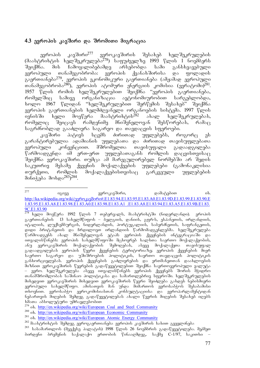## 4.3 ევროპის კავშირი და შრომითი მიგრაცია

ევროპის კავშირი<sup>277</sup> ევროკავშირის შესახებ ხელშეკრულების  $(3$ აასტრიხტის ხელშეკრულება $\widetilde{278}$ ) საფუძველზე 1993 წლის 1 ნოემბერს შეიქმნა. მის ჩამოყალიბებამდე არსებობდა სამი განსხვავებული ევროპული თანამეგობრობა: ევროპის ქვანახშირისა და ფოლადის გაერთიანება<sup>279</sup>, ევროპის ეკონომიკური გაერთიანება (ამჟამად ევროპული თანამეგოპრობა<sup>280</sup>), ევროპის ატოშური ენერგიის კომისია (ევრატომი)<sup>281</sup>. 1957 წლის რომის ხელშეკრულებით შეიქმნა "ევროპის გაერთიანება, რომელშიც სამივე ორგანიზაცია ავტონომიურობით სარგებლობდა, ხოლო 1967 წლიდან "ხელშეკრულებით შერწყმის შესახებ" შეიქმნა ევროპის გაერთიანების ხელმძღვანელი ორგანოების სისტემა. 1997 წლის<br>ივნისში ხელი მოეწერა მაასტრიხტის<sup>282</sup> ახალ ხელშეკრულებას,  $\overline{0}$ ვნისში ხელი მოეწერა მაასტრიხტის $^{282}$  ახალ ხელშეკრულებას, რომელიც შეიცავს რამდენიმე მნიშვნელოვან შესწორებას, რამაც საგრძნობლად გააძლიერა საგარეო და თავდაცვის სფეროები.

კავშირი პატივს სცემს ძირითად უფლებებს, როგორც ეს გარანტირებულია ადამიანის უფლებათა და ძირითად თავისუფლებათა ევროპული კონვენციით. მშრომელთა თავისუფალი გადაადგილება  $\mathfrak{F}$ არმოადგენდა იმ ერთ-ერთ უფლებათაგანს რომლის დაცვისთვისაც ືອງດქმნა უვროკავშირი. თუმცა ამ მარეგულირებელ ნორმებში არ შედის საკუთრივ მესამე ქვეყნის მოქალაქეების უფლებები (გამონაკლისია<br>თურქეთი, რომლის მოქალაქეებისთვისაც გარკვეული უფლებების თურქეთი, რომლის მოქალაქეებისთვისაც გარკვეული უფლებების  $3060433$   $30605283$  $3284$ .

<sup>279</sup> ob. http://en.wikipedia.org/wiki/European\_Coal\_and\_Steel\_Community

 $277$ <sup>277</sup> igive evrokavSiri, damatebiT ix. http://ka.wikipedia.org/wiki/ევროკავშირი#.E1.83.94.E1.83.95.E1.83.A0.E1.83.9D.E1.83.99.E1.83.90.E 1.83.95.E1.83.A8.E1.83.98.E1.83.A0.E1.83.98.E1.83.A1\_.E1.83.A8.E1.83.94.E1.83.A5.E1.83.9B.E1.83. 9C.E1.83.90

\_\_\_\_\_\_\_\_\_\_\_<br><sup>278</sup> ხელი მოეწერა 1992 წლის 7 თებერვალს, მაასტრიხტში (ნიდერლანდი). ვროპის  $a_1$ გაერთიანების 13 სახელმწიფოს – ბელგიის, დანიის, გფრ-ს, ესპანეთის, ირლანდიის,  $\overline{\overline{0}}$ ტალიის, ლუქსემბურგის, ნიდერლანდის, პორტუგალიის, საბერძნეთის, საფრანგეთის, დიდი პრიტანეთის და ჩრდილოეთ ირლანდიის წარმომადგენლებმა. ხელშეკრულება წარმოადგენს ახალ მნიშვნელოვან ეტაპს ევროპის ქვეყნების ინტეგრაციაში და  $\sim$ ითვალისწინებს: ევროპის სახელმწიფოში მცხოვრებ ხალხთა საერთო შოქალაქეობის, ანუ ევროკავშირის მოქალაქეობის შემოღებას, ასევე მოქალაქეთა თავისუფალ გადაადგილებას ევროპის წევრი ქვეყნების ტერიტორიაზე; ევროპის ქვეყნების მიერ .<br>საერთო საგარეო და უშიშროების პოლიტიკის, საერთო თავდაცვის პოლიტიკის განხორციელებას. ევროპის ქვეყნების გაძლიერების და ერთმანეთთან დაახლოების mizniT evrokavSiris wevrebis gadawyvetilebiT Seiqmna saerToevropuli valuta – ევრო. ხელშეკრულება ასევე ითვალისწინებს ევროპის ქვეყნებს შორის შჭიდრო თანამშრომლობას საშინაო პოლიტიკასა და სამართლებრივ სფეროში. ხელშეკრულების მიხედვით ევროკავშირის მიხედვით ევროკავშირის წევრი შეიძლება გახდეს ნებისმიერი ევროპული სახელმწიფო. ამისათვის მან უნდა მიმართოს ევროსაბჭოს შესაბამისი თხოვნით. ევროსაბჭო ევროკომისიასთან კონსულტაციისა და ევროპარლამენტიდან ნებართვის მიღების შემდეგ გადაწყვეტილებას ახალი წევრის მიღების შესახებ იღებს ხმათა აბსოლუტური უმრავლესობით

<sup>&</sup>lt;sup>280</sup> ob. http://en.wikipedia.org/wiki/European\_Economic\_Community

 $281$  ob. http://en.wikipedia.org/wiki/European Atomic Energy Community

 $^{282}$  მაასტრიხტის შემდეგ ევროგაერთიანება ევროპის კავშირის სახით გვევლინება

 $^{283}$  სასამართლოს (მეექვსე პალატის) 1998 წლის 26 ნოემბრის გადაწყვეტილება. მეპმეთ <u> ბირდენი ბრემენის საქალაქო ერთობის წინააღმდეგ, საქმე C-1/97, საკითხი –</u>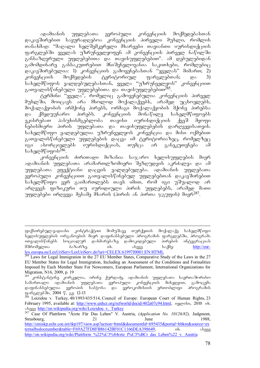ადამიანის უფლებათა ევროპული კონვენციის მოქმედებასთან დაკავშირებით საყურადღებოა კონვენციის პირველი მუხლი, რომლის თანახმად: "მაღალი ხელშემკვრელი მხარეები თავიანთი იურისდიქციის ფარგლებში ყველას უზრუნველყოფენ ამ კონვენციის პირველ ნაწილში განსაზღვრული უფლებებითა და თავისუფლებებით". ამ დებულებიდან  $a$ ამომდინარე განსაკუთრებით მნიშვნელოვანია საკითხები, რომლებიც  $\alpha$  დაკავშირებულია: 1) კონვენციის გამოყენებასთან "ყველას" მიმართ; 2)  $k$ ონვუნციის მოქმედების ტერიტორიულ ფარგლებთან; და 3) სახელმწიფოს ვალდებულებასთან, ყველა "უზრუნველყოს" კონვენციით გათვალისწინებული უფლებებითა და თავისუფლებებით<sup>285</sup>.

ტერმინი "ყველა", რომელიც გამოყენებულია კონვენციის პირველ შუხლში, მოიცავს არა მხოლოდ მოქალაქეებს, არამედ უცხოელებს, მოქალაქეობის არმქონე პირებს, ორმაგი მოქალაქეობის მქონე პირებსა და ქმედუუნარო პირებს. კონვენციის მონაწილე სახელმწიფოებს<br>ეკისრებათ პასუხისმგებლობა თავისი იურისდიქციის ქვეშ მყოფი ეკისრებათ პასუხისმგებლობა თავისი იურისდიქციის ქვეშ მყოფი ნებისმიერი პირის უფლებათა და თავისუფლებების დარღვევისათვის. სახელმწიფო ვალდებულია უზრუნველყოს კონვენცია და მისი ოქმებით გათვალისწინებული უფლებების დაცვა იმ ტერიტორიაზეც, რომელზეც იგი ახორციელებს იურისდიქციას, თუმცა არ განეკუთვნება ამ  $b$ s $b$ ელმწიფოს $^{286}$ .

კონვენციის ძირითადი მიზანია საჯარო ხელისუფლების მიერ ადამიანის უფლებათა არამართლზომიერი შეზღუდვის აკრძალვა და ამ უფლებათა ეფექტიანი დაცვის ვალდებულება. ადამიანის უფლებათა  $q$ ვროპული კონვენციით გათვალისწინებულ უფლებებთან დაკავშირებით სახელმწიფო ვერ გაიმართლებს თავს იმით, რომ იგი უშუალოდ არ არღვევს ფიზიკური თუ იურიდიული პირის უფლებებს, არამედ მათი უფლებები ირღვევა მესამე მხარის (პირის ან პირთა ჯგუფის) მიერ<sup>287</sup>.

-

goქსირებულ-ვადიანი კონტრაქტით მომუშავე თურქეთის მოქალაქე სახელმწიფო ხელისუფლების ორგანოების მიერ დაფინანსებული პროგრამის ფარგლებში, პროგრამა<br>ითვალისწინებს სოციალურ დახმარებაზე დამოკიდებული პირების ინტეგრაციას <u>ითვალისწინებს სოციალურ დახმარ</u>ებაზე დამოკიდებული მშრომელთა — ბაზარზე. — იხ. — ასევე — საქმე: — <u>http://eur-</u> lex.europa.eu/LexUriServ/LexUriServ.do?uri=CELEX:61997J0001:EN:HTML

<sup>284</sup> Laws for Legal Immigration in the 27 EU Member States, Comparative Study of the Laws in the 27 EU Member States for Legal Immigration, Including an Assessment of the Conditions and Formalities Imposed by Each Member State For Newcomers, European Parliament, International Organizations for Migration, N16, 2009, p. 19

<sup>285</sup> konstantine korkelia, irine qurdaZe, adamianis uflebaTa saerTaSoriso სამართალი ადამიანის უფლებათა ევროპული კონვენციის მიხედვით, გამოცემა დაფინანსებულია ევროპის საბჭოსა და ევროკომისიის ერთობლივი პროგრამის ფარგლებში, 2004 წ, გ<u>ვ</u>. 12-13

 $286$  Loizidou v. Turkey,  $40/1993/435/514$ , Council of Europe: European Court of Human Rights, 23 February 1995, available at: http://www.unhcr.org/refworld/docid/402a07c94.html, o3grobo, 2010 ob. alaseve http://en.wikipedia.org/wiki/Loizidou\_v.\_Turkey

<sup>287</sup> Case Of Plattform "Ärzte Für Das Leben" V. Austria, *(Application No. 10126/82),* Judgment, Strasbourg, 21 21 June 1988, http://cmiskp.echr.coe.int/tkp197/view.asp?action=html&documentId=695435&portal=hbkm&source=ex ternalbydocnumber&table=F69A27FD8FB86142BF01C1166DEA398649, ob. ob. sbg33 http://en.wikipedia.org/wiki/Plattform\_%22%C3%84rzte\_f%C3%BCr\_das\_Leben%22\_v.\_Austria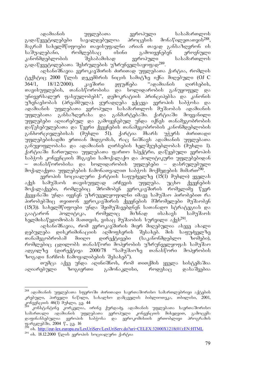ადამიანის უფლებათა ევროპული სასამართლოს გადაწყვეტილებები სავალდებულოა პროცესის მონაწილეთათვის<sup>288</sup>, მაგრამ სახელმწიფოები თავისუფალნი არიან თავად განსაზღვრონ ის საშუალებანი, რომლებსაც ისინი გამოიყენებენ ეროვნული კანონმდებლობის შესაბამისად ევროპული სასამართლოს გადაწყვეტილებათა შესრულების უზრუნველსაყოფად $^{289}$ .

აღსანიშნავია ევროკავშირის ძირითად უფლებათა ქარტია, რომლის ტექსტიც 2000 წლის დეკემბრის ნიცის სამიტზე იქნა მიღებული (OJ-C<br>364/1, \_ 18/12/2000). \_ კავშირი \_ ეფუძნება \_ "ადამიანის \_ ღირსების,  $364/1,$  18/12/2000). კავშირი ეფუძნება "ადამიანის ღირსების, თავისუფლების, თანასწორობისა და სოლიდარობის განუყოფელ და უნივერსალურ ფასეულობებს", დემოკრატიის პრინციპებსა და კანონის უზენაესობას (პრეამბულა). ყურადღება ექცევა ევროპის საბჭოსა და ადამიანის უფლებათა ევროპული სასამართლოს მუშაობას ადამიანის უფლებათა განსაზღვრასა და განმარტებაში. ქარტიაში მოყვანილი უფლებები აღიარებულ და გამოყენებულ უნდა იქნეს თანამეგობრობის დაწესებულებათა და წევრი ქვეყნების თანამეგობრობის კანონმდებლობის განხორციელებისას (მუხლი 51). ქარტია მხარს უჭერს ძირითადი უფლებებისადმი ერთიან მიდგომას, რაც ნიშნავს ადამიანის უფლებათა განუყოფლობასა და ადამიანის ღირსების ხელშეუხებლობას (მუხლი 1). ქარტიაში ჩართულია უფლებათა ფართო სპექტრი, დაწყებული ევროპის საბჭოს კონვენციის მსგავსი სამოქალაქო და პოლიტიკური უფლებებიდან თანასწორობისა და სოლიდარობის უფლებები – დასრულებული მოქალაქეთა უფლებების ჩამონათვალით საბჭოს მოქმედების მიმართ<sup>290</sup>.

 $\alpha$ ვროპის სოციალური ქარტიის საფუძველზე (15(1) მუხლი) ყველას აქვს სამუშაოს თავისუფლად არჩევის უფლება. უცხო ქვეყნების<br>მოქალაქეები, რომლებიც შრომობენ ევროკავშირის რომელიმე წევრ მოქალაქეები, რომლებიც შრომობენ ევროკავშირის რომელიმე წევრ ქვეყანაში უნდა იყვნენ უზრუველყოფილნი იმავე სამუშაო პირობებით რა პირობებშიც თვითონ ევროკავშირის ქვეყნების მშრომელები მუშაობენ (15(3)). სახელმწიფოები უნდა შეიმუშავებდნენ სათანადო სტრატეგიას და<br>გაატარონ პოლიტიკა, რომელიც მიზნად ისახავს სამუშაოს გაატარონ პოლიტიკა, რომელიც მიზნად ისახავს სამუშაოს ხელმისაწვდომობას მათთვის, ვისაც მუშაობის სურვილი აქვს<sup>291</sup>.

აღსანიშნავია, რომ ევროკავშირის მიერ მიღებულია ასევე ახალი დებულება დისკრიმინაციის აღმოფხვრის შესახებ. მის საფუძველზე თანამეგობრობამ მიიღო დირექტივები (საკანონმდებლო ზომები), რომლებიც ცდილობს თანასწორი მოპყრობის უზრუნველყოფას სამუშაო ადგილზე (დირექტივა 2000/78 "სამუშაოზე თანასწორი მოპყრობის ზოგადი ჩარჩოს ჩამოყალიბების შესახებ").

თუმცა აქვე უნდა აღინიშნოს, რომ თითქმის ყველა სისტემაშია აღიარებული ზოგიერთი გამონაკლისი, როდესაც დასაშვებია

<sup>288</sup> ადამიანის უფლებათა სფეროში ძირითადი საერთაშორისო სამართლებრივი აქტების კრებული, პირველი ნაწილი, სახალხო დამცველის ბიბლიოთეკა, თბილისი, 2001, კონვენციის 46(1) მუხლი, გ<u>ვ</u>. 44

<sup>&</sup>lt;sup>žs9</sup> კონსტანტინე კორკელია, ირინე ქურდაძე, ადამიანის უფლებათა საერთაშორისო სამართალი ადამიანის უფლებათა ევროპული კონვენციის მიხედვით, გამოცემა დაფინანსებულია ევროპის საბჭოსა და ევროკომისიის ერთობლივი პროგრაშის ფარგლებში, 2004 წ., გ<u>ვ</u>. 16

 $290^\circ$  ob. http://eur-lex.europa.eu/LexUriServ/LexUriServ.do?uri=CELEX:32000X1218(01):EN:HTML

 $291$  ob. 18.12.2000 წლის ევროპის სოციალური ქარტია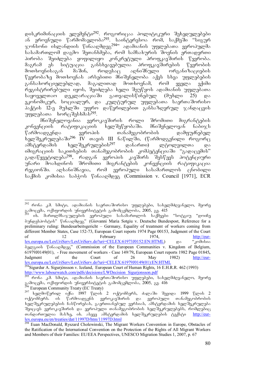დისკრიმინაციის ელემენტი<sup>292</sup>. როგორიცაა პოლიტიკური შეხედულებები ან ეროვნული წარმომავლობა<sup>293</sup>. საინტერესოა რომ, საქმეში "სიგურ  $\propto$ ონსონი ისლანდიის წინააღმდეგ $^{294}$  ადამიანის უფლებათა ევროპულმა სასამართლომ დაგმო შეთანხმება, რომ სამსახურის შოვნის ერთადერთი პირობა შეიძლება ყოფილიყო კონკრეტული პროფკავშირის წევრობა. მაგრამ ეს სიტუაცია განსხვავებულია პროფკავშირების წევრობის<br>მოთხოვნისაგან მაშინ, როდესაც აღნიშნული ორგანიზაციების მოთხოვნისაგან მაშინ, როდესაც აღნიშნული ორგანიზაციების  $\sqrt[6]{33}$ რობაზე შოთხოვნას არსებითი მნიშვნელობა აქვს სხვა უფლებების  $\alpha$ ანსახორციელებლად, მაგალითად მოთხოვნამ, რომ ყველა ექიმი \_<br>რეგისტრირეპული იყოს, შეიძლება ხელი შეუწყოს ადამიანის უფლეპათა<br>საყოველთაო \_ დეკლარაციაში \_ გათვალისწინებულ \_ (მუხლი \_ 25) \_ და საყოველთაო დეკლარაციაში გათვალისწინებულ (მუხლი 25) და ეკონომიკურ, სოციალურ, და კულტურულ უფლებათა საერთაშორისო <u>პაქტის 12-ე მუხლში უფრო დაწვრილებით განსაზღვრულ ჯანდაცვის</u> უფლებათა ხორცშესხმას<sup>295</sup>.

მნიშვნელოვანია ევროკავშირის როლი შრომითი მიგრანტების კონვენციის რატიფიკაციის ხელშეწყობაში. მნიშვნელოვან ნაბიჯს წარმოადგენდა ევროპის თანამეგობრობის დამფუძნებელ ხელშეკრულებაში<sup>296</sup> IV თავის III ნაწილში, (წარმოდგენილი როგორც ამსტერდამის ხელშეკრულების<sup>297</sup> დანართი) ლტოლვილთა და იმიგრაციის საკითხების თანამეგობრობის კომპეტენციაში "გადაცემის" გადაწყვეტილება<sup>298</sup>, იადგან ევროპის კავშირს შესწევს პოტენციური უნარი მოახდინოს შრომითი მიგრანტების კონვენციის რატიფიკაცია რეგიონში. აღსანიშნავია, რომ ევროპული სასამართლოს ცნობილი bogdob gedobos bodgerb fobosgdggg (Commission v. Council [1971], ECR

, ან კანია და და ან ანაა.<br>1936. მართლმსაჯულების ევროპული სასამართლოს საქმეები "სოტგიუ "დოიჩე degbandegolis" volossgogga" (Giovanni Maria Sotgiu v. Deutsche Bundespost, Reference for a preliminary ruling: Bundesarbeitsgericht – Germany, Equality of treatment of workers coming from different Member States, Case 152-73, European Court reports 1974 Page 00153, Judgment of the Court of 12 February 1974, of 12 February 1974, http://eur $lex.$ europa.eu/LexUriServ/LexUriServ.do?uri=CELEX:61973J0152:EN:HTML)  $\qquad \qquad \infty$  " $x\ddot{o}$ doloos  $\delta$ ggegool  $\beta$ 06ssg $\delta$ ggga" (Commission of the European Communities v. Kingdom of Belgium, 61979J0149(01),- Free movement of workers - Case 149/79**,** European Court reports 1982 Page 01845**,**  Judgment of the Court of 26 May 1982) http://eurlex.europa.eu/LexUriServ/LexUriServ.do?uri=CELEX:61979J0149(01):EN:HTML <sup>294</sup>Sigurdur A. Sigurjónsson v. Iceland, European Court of Human Rights, 16 E.H.R.R. 462 (1993)

http://www.labourwatch.com/pdfs/decisions/LWDecision\_Sigurjonsson.pdf

<sup>-</sup><sup>292</sup> რონა კ.მ. სმიტი, ადამიანის საერთაშორისო უფლებები, სახელმძღვანელო, მეორე გამოცემა, ოქსფორდის უნივერსიტეტის გამომცემლობა, 2005, გვ. 415

<sup>&</sup>lt;u>mp.mww.m.com mich.com persecutions = managements adverged</u><br><sup>295</sup> რონა კ.მ. სმიტი, ადამიანის საერთაშორისო უფლებები, სახელმძღვანელო, მეორე გამოცემა, ოქსფორდის უნივერსიტეტის გამომცემლობა, 2005, გვ. 416

<sup>&</sup>lt;sup>296</sup> European Community Treaty (EC Treaty)

 $297$  სელმოწერილ იქნა 1997 წლის 2 ოქტომბერს, ძალაში შევიდა 1999 წლის 2 ოქტომბერს. ის წარმოადგენს ევროკავშირის და ევროპული თანამეგობრობის <u>ხელშეკრულებების ჩასწორებას, გაერთიანებულ ვერსიას, ამსტერდამის ხელშე</u>კრუ<u>ლე</u>ბა ືອງົດເຈລີ້ນ ກໍ່ສຸດຕັກ ໂຈສີ domok ຕໍ່ອິງສຸດຕັ້ງຫຼາຍ ທີ່ຈະວິທີ ແລ້ວທີ່ການຕໍ່ທີ່ມີສາມານທີ່ສຸດຕັ້ງຫຼາງ ທີ່ຕ້ອງ ທີ່ທ თანდართულია მასზე, იხ. ასევე ამსტერდამის ხელშეკრულების ტექსტი http://eurlex.europa.eu/en/treaties/dat/11997D/htm/11997D.html

Euan MacDonald, Ryszard Cholewinski, The Migrant Workers Convention in Europe, Obstacles of the Ratification of the International Convention on the Protection of the Rights of All Migrant Workers and Members of their Families: EU/EEA Perspectives, UNESCO Migration Studies 1, 2007, p. 67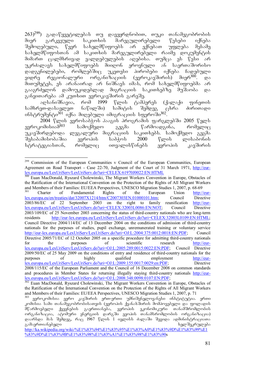$(263)^{299}$ ) გადაწყვეტილებას თუ დავეყრდნობით, თუკი თანამეგობრობის მიერ გარკვეული საკითხის მარეგულირებელი წესები იქნება<br>შემოღებული, წევრ სახელმწიფოებს არ ექნებათ უფლება მესამე შემოღებული, წევრ სახელმწიფოებს არ ექნებათ უფლება მესამე სახელმწიფოსთან ამ საკითხის მარეგულირებელი რაიმე დოკუმენტის მიმართ ცალმხრივად ვალდებულების აღებისა. თუმცა ეს წესი არ უკრძალავს სახელმწიფოებს მიიღონ ეროვნული ან საერთაშორისო \_დადგენილებები, რომლებშიც უკეთესი პირობები იქნება ჩადებული<br>ვიდრე რეგიონალური ორგანიზაციის (ევროკავშირის) მიერ<sup>300</sup>. და ვიდრე რეგიონალური ორგანიზაციის (ევროკავშირის) მიერ<sup>300</sup>. და  $\tilde{\theta}$ ითუშეტეს, ეს არანაირად არ ნიშნავს იმას, რომ სახელმწიფოებმა არ გააგრძელონ დამოუკიდებლად მიგრაციის საკითხებზე მუშაობა და განვითარება ამ კუთხით ევროკავშირის გარეშე.

აღსანიშნავია, რომ 1999 წლის ტამპერეს (ქალაქი ფინეთის სამხრეთ-დასავლეთ ნაწილში) სამიტის შემდეგ ცხრა ძირითადი  $\sim$ ინსტრუმენტი $^{301}$  იქნა მიღებული იმიგრაციის სფეროში $^{302}$ 

2004 wlis evrosabWos haagis programis farglebSi 2005 wels .<br>ევროკომისიამ<sup>303</sup> სამოქმედო გეგმა წარმოადგინა, რომელიც უკავშირდებოდა ლეგალური მიგრაციის საკითხებს. სამოქმედო გეგმა შესაბამისობაშია ევროპის საბჭოს 2000 წლის ლისაბონის<br>სტრატეგიასთან, რომელიც ითვალისწინებს ევროპის კავშირის სტრატეგიასთან, რომელიც ითვალისწინებს

<sup>300</sup> Euan MacDonald, Ryszard Cholewinski, The Migrant Workers Convention in Europe, Obstacles of the Ratification of the International Convention on the Protection of the Rights of All Migrant Workers and Members of their Families: EU/EEA Perspectives, UNESCO Migration Studies 1, 2007, p. 68-69 Charter of Fundamental Rights of the European Union http://eur-<br>
opa.eu/en/treaties/dat/32007X1214/htm/C2007303EN.01000101.htm; Council Directive lex.europa.eu/en/treaties/dat/32007X1214/htm/C2007303EN.01000101.htm; Council Directive 2003/86/EC of 22 September 2003 on the right to family reunification http://eur- $2003/86/EC$  of 22 September 2003 on the right to family reunification lex.europa.eu/LexUriServ/LexUriServ.do?uri=CELEX:32003L0086:EN:NOT; Council Directive 2003/109/EC of 25 November 2003 concerning the status of third-country nationals who are long-term<br>residents http://eur-lex.europa.eu/LexUriServ/LexUriServ.do?uri=CELEX:32003L0109:EN:HTML; http://eur-lex.europa.eu/LexUriServ/LexUriServ.do?uri=CELEX:32003L0109:EN:HTML; Council Directive 2004/114/EC of 13 December 2004 on the conditions of admission of third-country nationals for the purposes of studies, pupil exchange, unremunerated training or voluntary service http://eur-lex.europa.eu/LexUriServ/LexUriServ.do?uri=OJ:L:2004:375:0012:0018:EN:PDF; Council Directive 2005/71/EC of 12 October 2005 on a specific procedure for admitting third-country nationals<br>for the purposes of scientific research http://eurfor the purposes of scientific research http://eurlex.europa.eu/LexUriServ/LexUriServ.do?uri=OJ:L:2005:289:0015:0022:EN:PDF; Council Directive 2009/50/EC of 25 May 2009 on the conditions of entry and residence of third-country nationals for the purposes of highly qualified employment http://eurpurposes of highly qualified employment http://eurlex.europa.eu/LexUriServ/LexUriServ.do?uri=OJ:L:2009:155:0017:0029:en:PDF; Directive 2008/115/EC of the European Parliament and the Council of 16 December 2008 on common standards and procedures in Member States for returning illegally staying third-country nationals http://eurlex.europa.eu/LexUriServ/LexUriServ.do?uri=OJ:L:2008:348:0098:0107:EN:PDF;

<sup>299</sup> Commission of the European Communities v Council of the European Communities, European Agreement on Road Transport - Case 22-70, Judgment of the Court of 31 March 1971, http://eurlex.europa.eu/LexUriServ/LexUriServ.do?uri=CELEX:61970J0022:EN:HTML

<sup>302</sup> Euan MacDonald, Ryszard Cholewinski, The Migrant Workers Convention in Europe, Obstacles of the Ratification of the International Convention on the Protection of the Rights of All Migrant Workers and Members of their Families: EU/EEA Perspectives, UNESCO Migration Studies 1, 2007, p. 71

ევროკომისია ევრო კავშირის ერთ-ერთი უმნიშვნელოვანესი ინსტიტუტია. ერთი კომისია სამი თანამეგობრობისათვის (ევროპის ქვანახშირის მომპოვებელი და ფოლადის<br>მწარმოებელი \_ ქვეყნების \_ გაერთიანება, \_ ევროპის \_ ეკონომიკური \_ თანამშრომლობის .<br>შწარმოებელი ქვეყნების გაერთიანება, ევროპის ეკონომიკური organizacia, atomuri energiis dargSi evopis Tanamsromlobis organizacia) დაარსდა მას შემდეგ, რაც 1967 წლის 1 ივლისს ძალაში შევიდა ადმინისტრაციათა<br>გამაერთიანებელი გამაერთიანებელი

http://ka.wikipedia.org/wiki/%E1%83%94%E1%83%95%E1%83%A0%E1%83%9D%E1%83%99%E1 %83%9D%E1%83%9B%E1%83%98%E1%83%A1%E1%83%98%E1%83%90s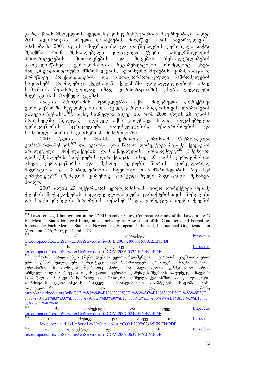გარდაქმნას მსოფლიოს ყველაზე კონკურენტუნარიან მეურნეობად, სადაც  $2010$  წლისათვის სრული დასაქმების მიიღწევა არის ნავარაუდევი<sup>304</sup>. ამასობაში 2008 წლის იმიგრაციისა და თავშესაფრის ევროპული პაქტი<br>შეიქმნა, რომ შესაძლებელი ყოფილიყო წევრი სახელმწიფოების შეიქმნა, რომ შესაძლებელი ყოფილიყო წევრი სახელმწიფოების<br>პრიორიტეტების, მოთხოვნების და მიღების შესაძლებლობების პრიორიტეტების, მოთხოვნების და მიღების შესაძლებლობების<br>გათვალისწინება. ევროკომისიის რეკომენდაციები, რომლებიც ეხება გათვალისწინება. ევროკომისიის რეკომენდაციები, რომლებიც ეხება მაღალკვალიფიციური მშრომელების, სეზონური მუშების, კომპენსაციაზე მომუშავე პრაქტიკანტების და შიდა-კორპორაციული მშრომელების საკითხებს (რომლებიც ქვეყნიდან ქვეყანაში გადაადგილდებიან იმავე სამუშაოს შესასრულებლად იმავე კორპორაციაში) ავსებს ლეგალური მიგრაციის სამოქმედო გეგმას.

ჰააგის პროგრამის ფარგლებში იქნა მიღებული დირექტივა ევროკავშირში სტუდენტების და მკვლევარების მიღებისთვის დახმარების გაწევის შესახებ<sup>305</sup>. ხაზგასასმელია ასევე ის, რომ 2006 წლის 28 ივნისს .<br>პრიუსელში (პელგია) შიღებულ იქნა კომუნიკე, სადაც შეფასებულია ევროკავშირის სტრატეგიები თავისუფლების, უსაფრთხოების და  $\tilde{\delta}$ ნამართლიანობის საკითხუბთან მიმართება ში $^{306}$ .

 $2007$  წლის  $16$  მაისს ევროპის კომისიამ წარმოადგინა ევროპარლამენტის<sup>307</sup> და ევროსაბჭოს ჩარჩო დირექტივა მესამე ქვეყნების არალეგალი მოქალაქეების დამსაქმებლების წინააღმდეგ<sup>308</sup> (შემდგომ დამსაქმებლების სანქციების დირექტივა). ამავე 16 მაისს ევროკომისიამ ასევე ევროკავშირსა და მესამე ქვეყნებს შორის ცირკულარულ მიგრაციასა და მობილურობის სფეროში თანამშრომლობის შესახებ კომუნიკეც<sup>309</sup> (შემდგომ კომუნიკე ცირკულარული მიგრაციის შესახებ)  $0.000$ .

2007 წლის 23 ოქტომბერს ევროკომისიამ მიიღო დირექტივა მესამე ქვეყნის მოქალაქეების მაღალკვალიფიციური დასაქმებისთვის შესვლისა da sacxovreblis pirobebis Sesaxeb310 da direqtiva wevri qveynis

<sup>-</sup><sup>304</sup> Laws for Legal Immigration in the 27 EU member States, Comparative Study of the Laws in the 27 EU Member States for Legal Immigration, Including an Assessment of the Conditions and Formalities Imposed by Each Member State For Newcomers, European Parliament, International Organization for Migration, N16, 2009, p. 21 and p. 73

| 305                                                                                     |            | $\delta$ .                                                          |                          | დირექტივა |            | http://eur-                                                            |
|-----------------------------------------------------------------------------------------|------------|---------------------------------------------------------------------|--------------------------|-----------|------------|------------------------------------------------------------------------|
| $\frac{lex.curopa.eu/LexUriServ/LexUriServ.do?uri=OJ:L:2005:289:0015:0022:EN:PDF}{206}$ |            |                                                                     |                          |           |            |                                                                        |
|                                                                                         | ob.        |                                                                     | კომუნიკე                 |           |            | http://eur-                                                            |
| <u>lex.europa.eu/LexUriServ/LexUriServ.do?uri=COM:2006:0332:FIN:EN:PDF</u>              |            |                                                                     |                          |           |            |                                                                        |
|                                                                                         |            |                                                                     |                          |           |            | ევროპის პარლამენტი (შემოკლებით ევროპარლამენტი) – ევროპის კავშირის ერთ- |
|                                                                                         |            |                                                                     |                          |           |            | ერთი უმნიშვნელოვანესი ინსტიტუტი. იგი წარმოადგენს ერთადერთ საერთაშორისო |
| ორგანიზაციას რომლის წევრებიც პირდაპირი საყოველთაო კენჭისყრით არიან                      |            |                                                                     |                          |           |            |                                                                        |
| არჩეულნი. იგი აირჩევა 5 წლის ვადით. ევროპარლამენტის შექმნას საფუძველი ჩაეყარა           |            |                                                                     |                          |           |            |                                                                        |
| 1952 წლის 10 აგვისტოს, როდესაც სტასბურგში შედგა ქვანახშირისა და ფოლადის                 |            |                                                                     |                          |           |            |                                                                        |
| წარმოების გაერთიანების პირველი საპარლამენტო ასამბლეის სხდომა. მისი                      |            |                                                                     |                          |           |            |                                                                        |
| თავმჯდომარე                                                                             |            | $\alpha$                                                            |                          |           |            | მონე.                                                                  |
| http://ka.wikipedia.org/wiki/%E1%83%94%E1%83%95%E1%83%A0%E1%83%9D%E1%83%9E%E1           |            |                                                                     |                          |           |            |                                                                        |
|                                                                                         |            |                                                                     |                          |           |            | %83%90%E1%83%A0%E1%83%9A%E1%83%90%E1%83%9B%E1%83%94%E1%83%9C%E1%83     |
| $\frac{\%A2\%E1\%83\%98}{308}$                                                          |            |                                                                     |                          |           |            |                                                                        |
|                                                                                         | $\delta$ . | დირექტივა                                                           |                          | და        | ასევე      | http://eur-                                                            |
| lex.europa.eu/LexUriServ/LexUriServ.do?uri=COM:2007:0249:FIN:EN:PDF<br>309              |            |                                                                     |                          |           |            |                                                                        |
|                                                                                         | $\delta$ . | კომუნიკე                                                            | $\overline{\mathcal{R}}$ | ასევე     | $\delta$ . | http://eur-                                                            |
| lex.europa.eu/LexUriServ/LexUriServ.do?uri=COM:2007:0248:FIN:EN:PDF                     |            |                                                                     |                          |           |            |                                                                        |
| 310                                                                                     | $\delta$ . | დირექტივა — და                                                      |                          | ასევე     | $\delta$ . | http://eur-                                                            |
|                                                                                         |            | lex.europa.eu/LexUriServ/LexUriServ.do?uri=COM:2007:0637:FIN:EN:PDF |                          |           |            |                                                                        |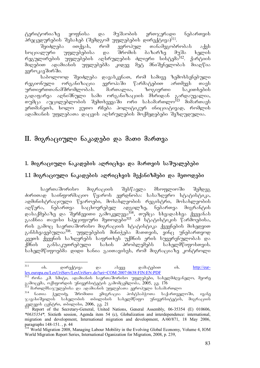ტერიტორიაზე ყოფნისა და მუშაობის ერთჯერადი ნებართვის პრეცედურების შესახებ (შემდგომ უფლებების დირექტივა)<sup>311</sup>.<br>შეიძლება \_ ითქვას, \_ რომ \_ ევროპულ \_ თანამეგობი

 $\partial$ ეიძლება ითქვას, რომ ევროპულ თანამეგობრობას აქვს სოციალური უფლებებისა და შრომის ბაზარზე მუშა ხელის რეგულირების უფლებების აღსრულების ძლიერი სისტემა<sup>312</sup>. ქარტიის მიღებით ადამიანის უფლებებმა კიდევ მეტ მნიშვნელობას მიაღწია ევროკავშირში.

საბოლოოდ შეიძლება დავასკვნათ, რომ სამივე ზემოხსენებული რეგიონული ორგანიზაცია ევროპაში წარმატებით ართმევს თავს ურთიერთთანამშრომლობას. მართალია, ზოგიერთი საკითხების გადაფარვა აღნიშნული სამი ორგანიზაციის მხრიდან გარდაუვალია, თუმცა აუცილებლობის შემთხვევაში ორი სასამართლო<sup>313</sup> მიმართავს ერთშანეთს, ხოლო ეუთო რჩეპა პოლიტიკურ ინიციატივად, რომლის ადამიანის უფლებათა დაცვის აღსრულების მოქმედებები შეზღუდულია.

# II. მიგრაციული ნაკადები და მათი მართვა

### 1. მიგრაციული ნაკადების აღრიცხვა და მართვის საშუალებები

## $1.1$  მიგრაციული ნაკადების აღრიცხვის მექანიზმები და მეთოდები

საერთაშორისო მიგრაციის შესწავლა მსოფლიოში შემდეგ ძირითად საინფორმაციო წყაროს ეყრდნობა: სასაზღვრო სტატისტიკა, ადმინისტრაციული წყაროები, მოსახლეობის რეგისტრი, მოსახლეობის აღწერა, ნებართვა საცხოვრებელ ადგილზე, ნებართვა მიგრანტის  $\infty$ ასაქმებაზე და შერჩევითი გამოკვლევა $^{314}$ , თუმცა სხვადასხვა ქვეყანას  $\alpha$ ააჩნია თავისი სპუციფიური მეთოდები $^{315}$  ამ სტატისტიკის წარმოებისა, რის გამოც საერთაშორისო მიგრაციის სტატისტიკა ქვეყნების მიხედვით განსხვავებულია<sup>316</sup>. უფლებების მინიჭება მათთვის, ვინც უნებართვოდ კვეთს ქვეყნის საზღვრებს საფრთხეს უქმნის ერის სუვერენულობას და ქმნის განსაკუთრებული სახის პრობლემებს სახელმწიფოსთვის. სახელმწიფოებმა დიდი ხანია გაითავისეს, რომ მიგრაციაზე კონტროლი

 $^\mathrm{313}$  მართლმსაჯულებისა და ადამიანის უფლებათა ევროპული სასამართლო

<sup>311</sup> იხ. დირექტივა და ასევე დამატებით იხ. <u>http://eur-</u> lex.europa.eu/LexUriServ/LexUriServ.do?uri=COM:2007:0638:FIN:EN:PDF

<sup>312</sup> rona k.m. smiti, adamianis saerTaSoriso uflebebi, saxelmZRvanelo, meore გამოცემა, ოქსფორდის უნივერსიტეტის გამომცემლობა, 2005, გვ. 176

კ<sub>14 ნათია ჭელიძე, შრომითი ემიგრაცია პოსტსაბჭოთა საქართველოში, ივანე</sub> ჯავახიშვილის სახელობის თბილისის სახელმწიფო უნივერსიტეტის, მიგრაციის  $\frac{1}{\Omega}$  and  $\frac{1}{\Omega}$  and  $\frac{1}{\Omega}$  and  $\frac{1}{\Omega}$  and  $\frac{1}{\Omega}$  and  $\frac{1}{\Omega}$  and  $\frac{1}{\Omega}$ 

<sup>315</sup> Report of the Secretary-General, United Nations, General Assembly, 06-35354 (E) 010606, *\*0635354\*,* Sixtieth session, Agenda item 54 (c), Globalization and interdependence: international, migration and development, International migration and development, A/60/871, 18 May 2006, paragraphs 148-151. , p. 44

<sup>&</sup>lt;sup>316</sup> World Migration 2008, Managing Labour Mobility in the Evolving Global Economy, Volume 4, IOM World Migration Report Series, International Oganization for Migration, 2008, p. 239,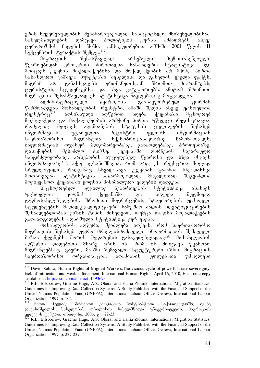ერის სუვერენულობის შესანარჩუნებლად სასიცოცხლო მნიშვნელობისაა.<br>სახელმწიფოების დამცავი პოლიტიკის კურსს ამძაფრებს ასევე სახელმწიფოების დამცავი პოლიტიკის კურსს ამძაფრებს ასევე<br>ტერორიზმის ჩადენის შიში, განსაკუთრებით აშშ-ში 2001 წლის 11 ്შიში, განსაკუთრებით აშშ-ში 2001 წლის  $\overline{11}$ seqtembris teraqtis Semdeg317.

მიგრაციის შესასწავლად არსებული ზემოთხსენებული  $\nabla$ ყაროებიდან ერთ-ერთი ძირითადია სასაზღვრო სტატისტიკა. იგი მოიცავს ქვეყნის მოქალაქეებისა და მოქალაქეობის არ მქონე პირთა სასაზღვრო გამშვებ პუნქტებში შესვლისა და გასვლის ყველა ფაქტს,<br>მაგრამ არ განასხვავებს ერთმანეთისგან შრომით მიგრანტებს. მაგრამ არ განასხვავებს ერთმანეთისგან შრომით მიგრანტებს, ტურისტებს, სტუდენტებსა და სხვა კატეგორიებს. ამიტომ შრომითი მიგრაციის შესასწავლად ეს სტატისტიკა ნაკლებად გამოგვადგება.

ადმინისტრაციული წყაროების განსაკუთრებულ ფორმას წარმოადგენს მოსახლეობის რეესტრი, ამაში შედის ასევე უცხოელთა<br>რეესტრიც<sup>318</sup>. აღნიშნული აღწერით ხდება ქვეყანაში მცხოვრებ აღნიშნული აღწერით ხდება ქვეყანაში მცხოვრებ მოქალაქეთა და მოქალაქეობის არმქონე პირთა უწყვეტი რეგისტრაცია, რომელიც შეიცავს ადამიანების სტატუსის ცვლილების შესახებ ინფორმაციას. უცხოელთა რეგისტრი ფლობს ინფორმაციას საერთაშორისო მიგრანტთა სქესობრივ-ასაკობრივ ჩამონათვალს,  $\alpha$ ნფორმაციას ოჯახურ მდგომარეობაზე, განათლებაზე, პროფესიაზე, დასაქმების შესაძლო ტიპზე, ქვეყანაში დარჩენის სავარაუდო ხანგრძლივობაზე, არსებობის აუცილებელ წყაროსა და სხვა მსგავს ინფორმაციაზე $^{319}$ . აქვე აღსანიშნავია, რომ არც ეს რეესტრია მთლად  $\frac{1}{6}$ სრულყოფილი, რადგანაც სხვადასხვა ქვეყანას გააჩნია სხვადასხვა მოთხოვნები სტატისტიკის საწარმოებლად, მაგალითად შეგვიძლია მოვიყვანოთ ქვეყანაში ყოფნის მინიმალური ვადების დადგენა.<br>საცხოვრებელ იადგილზე სნებართვების სტატისტიკ

საცხოვრებელ ადგილზე ნებართვების სტატისტიკა ასახავს უცხოელთა ყოფნას ქვეყანაში და იძლევა მუდმივად გადმოსახლებულების, შრომითი მიგრანტების, სტაჟიორების უცხოელი სტუდენტების, მაღალკვალიფიციური სამუშაო ძალის იდენტიფიცირების შესაძლებლობას ვიზის ტიპის მიხედვით, თუმცა თავისი მოქალაქეების გადაადგილებას აღნიშული სტატისტიკა ვერ ეხება.

მოსახლეობის აღწერა, შეიძლება ითქვას, რომ საერთაშორისო მიგრაციის შესახებ უფრო მრავლისმომცველი ინფორმაციის შემცველი  $\delta$ აზაა ქვეყნებს შორის შედარების გასაკეთებლადაც $^{320}$ . მოსახლეობის აღწერის დადებითი მხარე არის ის, რომ ის მოიცავს უკანონო მიგრანტებსაც. გაერო, მასში შემავალი სტუქტურები (შსო, მიგრაციის<br>საერთაშორისო — ორგანიზაცია, — ადამიანის — უფლებათა — უმაღლესი საერთაშორისო ორგანიზაცია, ადამიანის უფლებათა უმაღლესი

<sup>-</sup><sup>317</sup> David Raluca, Human Rights of Migrant Workers: The vicious cycle of powerful state sovereignty, lack of ratification and weak enforcement, International Human Rights, April 16, 2010, Electronic copy available at: http://ssrn.com/abstract=1593693

<sup>&</sup>lt;sup>318</sup> R.E. Bilsborrow, Graeme Hugo, A.S. Oberai and Hania Zlotnik, International Migration Statistics, Guidelines for Improving Data Collection Systems, A Study Published with the Financial Support of the United Nations Population Fund (UNFPA), International Labour Office, Geneva, International Labour Organization, 1997, p. 102

<sup>-</sup>ნათია ჭელიძე, შრომითი ემიგრაცია პოსტსაბჭოთა საქართველოში, ივანე<br>ახიშვილის სახელობის თბილისის სახელმწიფო უნივერსიტეტის, მიგრაციის  $\chi$ ავახიშვილის სახელობის თბილისის სახელმწიფო $^{-1}$ kvlevis centri, Tbilisi, 2006, gv. 22-23

R.E. Bilsborrow, Graeme Hugo, A.S. Oberai and Hania Zlotnik, International Migration Statistics, Guidelines for Improving Data Collection Systems, A Study Published with the Financial Support of the United Nations Population Fund (UNFPA), International Labour Office, Geneva, International Labour Organization, 1997, p. 237-239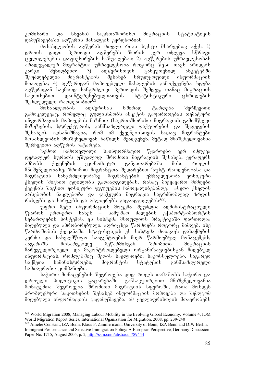კომისარი და სხვანი) საერთაშორისო მიგრაციის სტატისტიკის დამუშავებაში აღწერის მასალებს ეყრდნობიან.

მოსახლეობის აღწერას მთელი რიგი სუსტი მხარეებიც აქვს: 1)<br>ს დიდი პერიოდი აღწერებს შორის ვერ იძლევა სწრაფი დროის დიდი პერიოდი აღწერებს შორის ვერ იძლევა სწრაფი  $\alpha$ ველილებების დაფიქსირების საშუალებას; 2) აღწერების უმრავლესობას aralegalur migrantTa umravlesoba rogorc wesi Tavs aridebs  $\lambda$ არგი შენიღბვით; 3) აღწერისთვის განკუთვნილ შეუძლებელია მიგრანტების შესახებ სრულყოფილი ინფორმაციის მოპოვება; 4) აღწერიდან მოპოვებული მასალების გამოქვეყნება ხდება აღწერიდან საკმაოდ ხანგრძლივი პერიოდის შემდეგ, თანაც მიგრაციის საკითხებით დაინტერესებულთათვის სტატისტიკური ცხრილების შეზღუდული რაოდენობით $^{321}$ .

.<br>მოსახლეობის აღწერისას ხშირად ტარდება შერჩევითი გამოკვლევაც, რომელიც გულისხმობს ანკეტის გაფართოებას თემატური  $\sim$ ინფორმაციის მოპოვების მიზნით (საერთაშორისო მიგრაციის გამომწვევი მიზეზების, სტრუქტურის, განმსაზღვრელი ფაქტორების და შედეგების  $\partial^3$ ესახებ). აღსანიშნავია, რომ იმ ქვეყნებისთვის სადაც მიგრანტები მოსახლეობის მნიშვნელოვან ნაწილს შეადგენენ, მეტად მნიშვნელოვანია შერჩევითი აღწერის ჩატარება.

ზემოთ ჩამოთვლილი საინფორმაციო წყაროები ვერ იძლევა დეტალურ სურათს უშუალოდ შრომითი მიგრაციის შესახებ, ვერაფერს ამბობს ქვეყნების ეკონომიკურ განვითარებაში მისი როლის მნიშვნელობაზე, შრომით მიგრანტთა შედარებით ზუსტ რაოდენობასა და მიგრაციის ხანგრძლივობაზე. მიგრანტების უმრავლესობა ეთნიკური ქსელის შიგნით ცდილობს გადაადგილებას, რასაც მივყავართ მიმღები ქვეყნის შიგნით ეთნიკური ჯგუფების ჩამოყალიბებამდე. ასეთი ქსელის არსებობის ნაკლებობა და ჯაჭვური მიგრაცია საგრძნობლად ზრდის რისკებს და ხარჯებს და აძლიერებს გადაადგილებას $^{322}$ .

უფრო მეტი ინფორმაციის მოცემა შეუძლია ადმინისტრაციული<br>ს ერთ-ერთ სახეს – სამუშაო ძალების ექსპორტ-იმპორტის წყაროს ერთ-ერთ სახეს – სამუშაო ძალების ნებართვების სისტემას. ეს სისტემა მსოფლიოს პრაქტიკაში ფართოდაა მიღებული და აპრობირებული. აღრიცხვა წარმოებს როგორც მიმღებ, ისე  $\mathfrak F$ არმოშობის ქვეყანაში. სტატისტიკის ეს სისტემა მოიცავს დასაქმების  $\lambda$ ერძო და სახელმწიფო სააგენტოების მიერ წარმოებულ მონაცემებს, ანგარიშს მოსარგებლე მეწარმისგან, შრომითი მიგრაციის მარეგულირებელი და მაკონტროლებელი ორგანიზაციებისგან მიღებულ ინფორმაციას, რომლებშიც შედის საელჩოები, საკონსულოები, საგარეო<br>საქმეთა სამინისტროები, მიგრანტის სტატუსის განმსაზღვრელი საქმეთა სამინისტროები, მიგრანტის სტატუსის განმსაზღვრელი სამთავრობო კომპანიები.

საჭირო მონაცემების შეგროვება დიდ როლს თამაშობს საჭირო და დროული პოლიტიკის გატარებაში. განსაკუთრებით მნიშვნელოვანია მონაცემთა შეგროვება შრომითი მიგრაციის სფეროში, რათა მოხდეს პრობლემური საკითხების შესახებ ინფორმაციის მოპოვება და შემდგომ მიღებული ინფორმაციის გადამუშავება. ამ ყველაფრისთვის მთავრობებს

<sup>-</sup><sup>321</sup> World Migration 2008, Managing Labour Mobility in the Evolving Global Economy, Volume 4, IOM World Migration Report Series, International Oganization for Migration, 2008, pp. 239-240

<sup>&</sup>lt;sup>322</sup> Amelie Constant, IZA Bonn, Klaus F. Zimmermann, University of Bonn, IZA Bonn and DIW Berlin, Immigrant Performance and Selective Immigration Policy: A European Perspective, Germany Discussion Paper No. 1715, August 2005, p. 2, http://ssrn.com/abstract=789444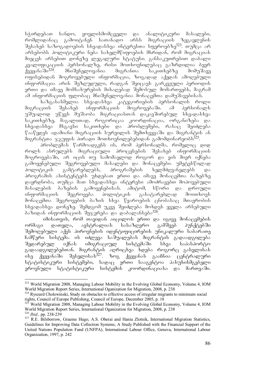სჭირდებათ სანდო, ყოვლისმომცველი და ანალიტიკური მასალები, რომლიდანაც გამოიტანენ სათანადო არსს მიგრაციის ზეგავლენის  $\partial \partial \phi$  323. organization sazogadas sazogadas interestados ser algores ser არსებობს პოლიტიკური ნება სახელმწიფოების მხრიდან, რომ მიგრაციას მიეცეს არსებით დონეზე ლეგალური სტატუსი. განსაკუთრებით დაბალი კვალიფიკაციის პერსონალზე, რისი მოთხოვნილებაც გაზრდილია ბევრ<br>ქვეყანაში<sup>324</sup>. მნიშვნელოვანია მიგრანთა საკითხებზე მომუშავე მნიშვნელოვანია მიგრანთა საკითხებზე მომუშავე ოფისებიდან მოგროვებული ინფორმაცია, ზოგადად აქედან ამოღებული ინფორმაცია არის შეზღუდული, რადგან შეიცავს გარკვეული პერიოდის ერთი და იმავე მომსახურების მისაღებად შემოსულ მომართვებს, მაგრამ  $\sim$ მ ინფორმაციის ფლობაც მნიშვნელოვანია მონაცემთა დამუშავებისას.

ხაზგასასმელია სხვადასხვა კატეგორიების პერსონალის როლი<br>ვიის შესახებ ინფორმაციის მოგროვებაში. ამ პერსონალს  $\partial$ ozრა $\overline{\Omega}$ ის შესახებ ინფორმა $\overline{\Omega}$ იის მოგროვებაში. ამ პერსონალს უშუალოდ უწევს მუშაობა მიგრაციასთან დაკავშირებულ სხვადასხვა ა თავა.<br>საკითხებზე, მაგალითად, როგორიცაა კოორდინაცია, ორგანიზება და  $b$ სხვადასხვა მსგავსი საკითხები და პრობლემები, რასაც შეიძლება  $\nabla$ ააწყდეს ადამიანი მიგრაციის სურვილის შემთხვევაში და მიგრანტის ან  $\partial$ იგრანტთა ჯგუფის პირადი მოთხოვნილებებიდან გამომდინარეობს $^{325}$ .

პრობლემას წარმოადგენს ის, რომ პერსონალმა, რომელიც დიდ როლს ასრულებს მიგრაციული პროცესების შესახებ ინფორმაციის მოგროვებაში, არ იცის თუ სამომავლოდ როგორ და ვის მიერ იქნება გამოყენებული შეგროვებული მასალები და მონაცემები. უმეტესწილად პოლიტიკის გამტარებლებს, პროგრამების ხელმძღვანელებს და პროგრამის ასისტენტებს უხდებათ ერთი და იმავე მონაცემთა ბაზებზე დაყრდნობა, თუმცა მათ სხვადასხვა ინტერესი ამოძრავებთ მოპოვებული მასალების ბაზების გამოყენებისას. ამიტომ, სწორი და დროული ინფორმაციის შეგროვება პოლიტიკის გასატარებლად მოითხოვს მონაცემთა შეგროვების ბაზის სხვა წყაროების ცნობასაც მთავრობის სხვადასხვა დონეზე. შემდგომ უკვე შეიძლება მოხდეს ყველა არსებული  $\delta$ აზიდან ინფორმაციის შეჯერება და დაბალანსება $^{326}$ .

იმისათვის, რომ თავიდან აიცილოს ერთი და იგივე მონაცემების<br>, დათვლა, ავსტრალიას სასაზღვრო გამშვებ პუნქტებში ორმაგი დათვლა, ავსტრალიას სასაზღვრო გამშვებ პუნქტებში შემოღებული აქვს პიროვნების იდენტიფიცირების უნიკალური საბარათე  $\frac{1}{6}$ ა ართველი სამუალებას შიგრანტის გადაადგილება შედარებულ იქნას იმიგრაციულ სისტემაში სხვა საპასპორტო გადაადგილებებთან. მიგრანტის აღრიცხვა ხდება როგორც გასვლისას  $\overline{a}$ bg dagas $\overline{b}$ 37.  $\overline{a}$  dagas $\overline{b}$  ang dagas $\overline{b}$  ang dagas  $\overline{a}$ სტატისტიკური სისტუმები, სადაც ურთი სააგენტოა პასუხისმგებელი ეროვნული სტატისტიკური სისტემის კოორდინაციასა და მართვაში.

<sup>-</sup><sup>323</sup> World Migration 2008, Managing Labour Mobility in the Evolving Global Economy, Volume 4, IOM World Migration Report Series, International Oganization for Migration, 2008, p. 238

<sup>&</sup>lt;sup>324</sup> Ryszard Cholewinski, Study on obstacles to effective access of irregular migrants to minimum social rights, Council of Europe Publishing, Council of Europe, December 2005, p. 18

<sup>325</sup> World Migration 2008, Managing Labour Mobility in the Evolving Global Economy, Volume 4, IOM World Migration Report Series, International Oganization for Migration, 2008, p. 238 <sup>326</sup> *Ibid.,* pp. 238-239

<sup>&</sup>lt;sup>327</sup> R.E. Bilsborrow, Graeme Hugo, A.S. Oberai and Hania Zlotnik, International Migration Statistics, Guidelines for Improving Data Collection Systems, A Study Published with the Financial Support of the United Nations Population Fund (UNFPA), International Labour Office, Geneva, International Labour Organization, 1997, p. 242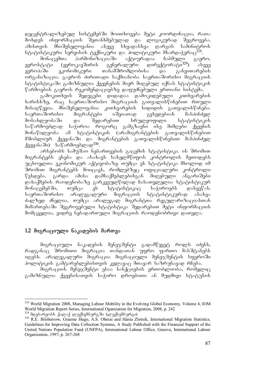დეცენტრალიზებულ სისტემებში მოითხოვება მეტი კოორდინაცია, რათა მოხდეს ინფორმაციის შეთანხმებულად და ლოგიკურად შეგროვება.  $\alpha$ alamant dara aseve saman dari saman daripadas saman daripadas saman daripadas saman daripadas saman daripadas sa სტატისტიკური სერვისის ტექნიკური და პოლიტიკური მხარდაჭერაც<sup>328</sup>.<br>მონაცემთა — პარმონიზაციაში — აქტიურადაა — ჩაბმული — გაერ

მონაცემთა ჰარმონიზაციაში აქტიურადაა ჩაბმული გაერო,<br>ცაატი (ევროკავშირის გენერალური დირექტორატი<sup>329</sup>) ასევე ევროსტატი (ევროკავშირის გენერალური დირექტორატი<sup>329</sup>) ასევე ്ങ് .<br>ევროპაში ეკონომიკური თანამშრომლობისა და განვითარების ორგანიზაცია. გაეროს ძირითადი საქმიანობა საერთაშორისო მიგრაციის სტატისტიკაში გამიზნულია ქვეყნების მიერ მიღებულ იქნას სტატისტიკის  $\nabla$ არშოების გაეროს რეკომენდაციებზე დაფუძნებული ერთიანი სისტეშა.

გამოკითხვის შედეგები დიდადაა დამოკიდებული კითხვარების ხარისხზე, რაც საერთაშორისო მიგრაციის გათვალისწინებით რთული  $\delta$ მისაღწევია. მნიშვნელოვანია კითხვარების სიდიდის გათვალისწინება. საერთაშორისო მიგრანტები იშვიათად გვხვდებიან მასპინძელ მოსახლეობაში და შედარებით სრულყოფილი სტატისტიკის საწარმოებლად საჭიროა როგორც გამგზავნი ისე მიმღები ქვეყნის მონაწილეობა ამ სტატისტიკის (არამიგრანტების გათვალისწინებით შშობლიურ ქვეყანაში და მიგრანტების გათვალისწინებით მასპინძელ  $q_3$ ვეყანაში) საწარმოებლად $^{330}$ .

არსებობს სამუშაო ნებართვების გაცემის სტატისტიკა. ის შრომით მიგრანტებს ეხება და ასახავს სახელმწიფოს კონტროლის მეთოდებს უცხოელთა ეკონომიკურ აქტივობაზე. თუმცა ეს სტატისტიკა მხოლოდ იმ შრომით მიგრანტებს მოიცავს, რომლებზეც ოფიციალური კონტროლი  $\nabla$ ესდება. გარდა ამისა დამსაქმებლებისგან მიღებული ანგარიშები დასაქმების რაოდენობაზე გარკვეულწილად ჩასათვლელია სტატისტიკურ<br>მონაცემებში, \_ თუმცა \_ ეს \_ სტატისტიკაც \_ საჭიროებს \_ დახვეწას. მონაცემებში, თუმცა ეს სტატისტიკაც საჭიროებს დახვეწას. საერთაშორისო არალეგალური მიგრაციის სტატისტიკურად ასახვა ძალზედ ძნელია, თუმცა არალეგალ მიგრანტთა რეგულარიზაციასთან მიმართებაში შეგროვებული სტატისტიკა შედარებით მეტი ინფორმაციის მომცველია, ვიდრე ნებადართული მიგრაციის რაოდენობრივი დათვლა.

### 1.2 მიგრაციული ნაკადების მართვა

მიგრაციული ნაკადების მენეჯმენტი გადამწყვეტ როლს იძენს, რადგანაც შრომითი მიგრაცია თანდათან უფრო ფართო მასშტაბებს იღებს. არალეგალური მიგრაცია მიგრაციული მენეჯმენტის სფეროში პოლიტიკის გამტარებლებისთვის კვლავაც მთავარ საზრუნავად რჩება.

მიგრაციის მენეჯმენტი ესაა სანქციების ერთობლიობა, რომელიც გამიზნულია ქვეყნისათვის საჭირო დროებითი ან მუდმივი სტატუსის

<sup>-</sup><sup>328</sup> World Migration 2008, Managing Labour Mobility in the Evolving Global Economy, Volume 4, IOM World Migration Report Series, International Oganization for Migration, 2008, p. 242

<sup>&</sup>lt;sup>329</sup> მდებარეობს ქალაქ ლუქსემბურგში (ლუქსემბურგი)

<sup>&</sup>lt;sup>330</sup> R.E. Bilsborrow, Graeme Hugo, A.S. Oberai and Hania Zlotnik, International Migration Statistics, Guidelines for Improving Data Collection Systems, A Study Published with the Financial Support of the United Nations Population Fund (UNFPA), International Labour Office, Geneva, International Labour Organization, 1997, p. 267-268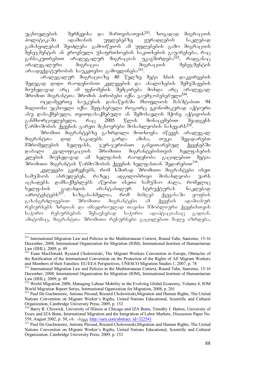უცხოელების - შერჩევისა და მართვისათვის<sup>331</sup>. ზოგადად მიგრაციის პოლიტიკაში ადამიანის უფლებებზე ყურადღების ნაკლებად გამახვილებამ შეიძლება გამოიწვიოს ამ უფლებების გამო მიგრაციის მენეჯმენტის ან ეროვნული უსაფრთხოების საკითხების გაუარესება, რაც \_ განსაკუთრებით არალეგალურ მიგრაციას უკავშირდეპა<sup>332</sup>, რადგანაც<br>არალეგალური — მიგრაცია — არის — მიგრაციის — მენეჯმენტის არალეგალური მიგრაცია არის მიგრაციის მენეჯმენტის  $\sim$ არაადექვატურობის საუკეთესო გამოვლინება $^{333}$ .

aralegalur migraciaze 40 welze meti xnis dakvirvebis შედეგად დიდი რაოდენობით კვლევების და ანალიზების შემუშავების მიუხედავად არც ამ ფენომენის შემცირება მოხდა არც არალეგალ შრომით მიგრანტთა შრომის პირობები იქნა გაუმჯობესებული<sup>334</sup>.

ოცდამეერთე საუკუნის დასაწყისში მსოფლიოს მასშტაბით 94 მილიონი უცხოელი იქნა შეფასებული როგორც ეკონომიკურად აქტიური ანუ დასაქმებული, თვითდასაქმებული ან შემოსავლის მქონე აქტივობის<br>განმხორციელებელი, — რაც — 2005 — წლის — მონაცემებით — შეადგენს განმხორციელებელი, რაც 2005 წლის მონაცემებით შეადგენს  $\tilde{v}$ არმოშობის ქვეყნის გარეთ მცხოვრები მოსახლეობის ნახევარს $^{335}$ .

შრომით მიგრანტეპზე გაზრდილი მოთხოვნა იწვევს არალეგალ<br>ნტთა დიდ ნაკადებს. გარდა ამისა, თუკი შევადარებთ მიგრანტთა დიდ ნაკადებს. გარდა ამისა, თუკი შევადარებთ<br>მშრომელების ხელფასს, ჯერ-ჯერობით განვითარებულ ქვეყნებში მშრომელების ხელფასს, ჯერ-ჯერობით განვითარებულ<br>დაბალი კვალიფიკაციის შრომითი მიგრანტებისთვის დაბალი კვალიფიკაციის შრომითი მიგრანტებისთვის ხელფასების კლების მიუხედავად ამ ხელფასის რაოდენობა გაცილებით მეტია  $\theta$ შრომითი მიგრანტის წარმოშობის ქვეყნის ხელფასთან შედარებით $^{336}$ .

. კვლევები გვიჩვენებს, რომ ხშირად შრომითი მიგრანტები ისეთ<br>სამუშაოს ასრულებენ, რაზეც ადგილობრივი მოსახლეობა უარს ადგილობრივი მოსახლეობა უარს აცხადებს. დამსაქმებლებს აწყობთ ისეთი სამუშაო ძალა, რომელიც<br>ხელფასის გადახდის არასტაბილურ სტრუქტურას ნაკლებად ხელფასის გადახდის არასტაბილურ სტრუქტურას ნაკლებად<br>აპროტესტებს<sup>337</sup>. ხაზგასასმელია, რომ მიმღებ ქვეყანაში ყოფნის aprotestebs337. xazgasasmelia, rom mimReb qveyanaSi yofnis შრომითი მიგრანტები ამ ქვეყნის ადამიანურ რესურსებს ზრდიან და იმავდროულად თავისი მშობლიური ქვეყნისთვის  $b$ აჭირო რესურსების შესავსებად საჭირო ადაპტაციასაც გადიან. ამიტომაც, მიგრანტთა შრომითი რესურსები გაცილებით მალე იზრდება,

<sup>-</sup><sup>331</sup> International Migration Law and Policies in the Mediterranean Context, Round Tabe, Sanremo, 15-16 December, 2008, International Organization for Migration (IOM), International Institute of Humanitarian Law (IIHL), 2009, p. 49

<sup>&</sup>lt;sup>332</sup> Euan MacDonald, Ryszard Cholewinski, The Migrant Workers Convention in Europe, Obstacles of the Ratification of the International Convention on the Protection of the Rights of All Migrant Workers and Members of their Families: EU/EEA Perspectives, UNESCO Migration Studies 1, 2007, p. 78

<sup>&</sup>lt;sup>333</sup> International Migration Law and Policies in the Mediterranean Context, Round Tabe, Sanremo, 15-16 December, 2008, International Organization for Migration (IOM), International Institute of Humanitarian Law (IIHL), 2009, p. 49

<sup>&</sup>lt;sup>334</sup> World Migration 2008, Managing Labour Mobility in the Evolving Global Economy, Volume 4, IOM World Migration Report Series, International Oganization for Migration, 2008, p. 201

<sup>335</sup> Paul De Guchteneire, Antione Pécoud, Riszard Cholewinski, Migration and Human Rights, The United Nations Convention on Migrant Worker's Rigths, United Nations Educational, Scientific and Cultural Organization, Cambridge University Press, 2009, p. 152

<sup>&</sup>lt;sup>336</sup> Barry R. Chiswick, University of Illinois at Chicago and IZA Bonn, Timothy J. Hatton, University of Essex and IZA Bonn, International Migration and the Integration of Labor Markets, Discussion Paper No. 559, August 2002, p. 50, ob. sbaaa http://ssrn.com/abstract\_id=322541

<sup>&</sup>lt;sup>337</sup> Paul De Guchteneire, Antione Pécoud, Riszard Cholewinski, Migration and Human Rights, The United Nations Convention on Migrant Worker's Rigths, United Nations Educational, Scientific and Cultural Organization, Cambridge University Press, 2009, p. 152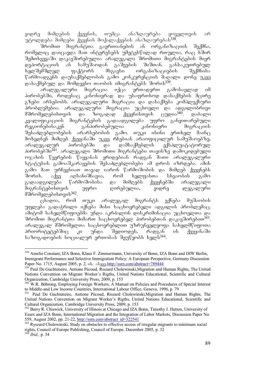ვიდრე მიმღების ქვეყნის, თუმცა ანაზღაურება ყოველთვის ა<mark>რ</mark> უტოლდება მიმღები ქვეყნის მოქალაქეების ანაზღაურებას<sup>338</sup>.<br>ურომით მიგრანტთა - გაერთიანების ან - ორგანიზა*ი* 

გაერთიანების ან ორგანიზაციის შექმნა, რომელიც დაიცავდა მათ ინტერესებს უმეტესწილად რთულია, რაც ხშირ 'შემთხვევა'ში დაკავ'შირებულია არალეგალი 'შრომითი მიგრანტების მიერ<br>დეპორტაციის ან სამუ'შაოდან გა'შვების 'ში'შთან. განსაკუთრებულ დეპორტაციის ან სამუშაოდან გაშვების შიშთან. განსაკუთრებულ<br>ხელშემშლელ ფაქტორს მსგავსი ორგანიზაციების შექმნისა <mark>ხელშემშლელ ფაქტორს მსგავსი ორგანიზაციების შექმნის</mark>ა წარმოადგენს დაუსაქმებლობის გამო კონკურენციის მაღალი დონე უკვე დასაქმებულ და მომდევნო თაობის იმიგრანტებს შორის<sup>339</sup>.<br>არალეგალური მიგრაცია - იქცა - ერთადერთ - გა

არალეგალური მიგრაცია იქცა ერთადერთ გამოსავლად იმ პირობებში, როდესაც კანონიერად და უსაფრთხოდ დასაქმების მცირე გზები არსებობს. არალეგალური მიგრაცია და დასაქმება კომპლექსური ჰრობლემებია. არალეგალური მიგრაცია უცხოელი და ადგილობრივი<br>მშრომელებისთვის და ზოგადად ქვეყნისთვის ცუდია<sup>340</sup>. დაბალი მშრომელებისთვის და ზოგადად ქვეყნისთვის ცუდია<sup>340</sup>. დაბალი<br>კვალიფიკაციის მიგრანტების გადაადგილება უფრო განვითარებული კვალიფიკაციის მიგრანტების გადაადგილება უფრო<br>რეგიონებისაკენ განპირობებულია კანონიერი რეგიონებისაკენ განპირობებულია კანონიერი მიგრაციის შესაძლებლობების არარსებობის გამო. თუკი ისინი ერთხელ მაინ $\overline{\textbf{B}}$ მოხვდნენ მიმღებ ქვეყანაში უკვე რჩებიან არაოფიცილურ სამუშაოებზე,<br>არალეგალურ — პირობებში — და — დამსაქმებლის — ექსპლუატატორულ არალეგალურ პირობებში და დამსაქმებლის ექსპლუატატორულ პიროპებში<sup>341</sup>. არალეგალი შრომითი მიგრანტები თავისზე დამოკიდებული ოჯახის წევრების წაყვანას ერიდებიან რადგან მათი არალეგალური სტატუსის გამოაშკარავების შესაძლებლობები ამ დროს იზრდება. ამის გამო შათ ურჩევნიათ თავად იარონ წარმოშობის და მიმღებ ქვეყნებს<br>შორის. აქვე აღსანიშნავია, რომ ხელფასთა სხვაობის გამო შორის. აქვე აღსანიშნავია, რომ ხელფასთა სხვაობის გამო გადაადგილება წარმოშობისა და მიმღებს ქვეყნებში არალეგალი მიგრანტებისთვის უფრო ღირებულია, ვიდრე ლეგალური მშრომელებისთვის $342$ .

ცხადია, რომ თუკი არალეგალ მიგრანტს ექნება მუშაობის უფლება გადაჭრილი იქნება მისი საცხოვრებელი ადგილის პრობლემაც. აშიტომ სახელშწიფოებმა უნდა აკრძალონ დისკრიმინაცია უცხოელთა და  $\delta$ რომით მიგრანტთა მიმართ საცხოვრებელ პირობებთან დაკავშირებით $^{343}$ . არალეგალ მშრომელთა საცხოვრებლით უზრუნველყოფა სახელმწიფოთა პრიორიტეტებშიც კი უნდა შედიოდეს, რადგან ის ქვეყანაში bsbozogoadob boczoscono gooodsb danfyodb bacob<sup>344</sup>.

<sup>-</sup><sup>338</sup> Amelie Constant, IZA Bonn, Klaus F. Zimmermann, University of Bonn, IZA Bonn and DIW Berlin, Immigrant Performance and Selective Immigration Policy: A European Perspective, Germany Discussion Paper No. 1715, August 2005, p. 2, ob. sbggg http://ssrn.com/abstract=789444

<sup>&</sup>lt;sup>339</sup> Paul De Guchteneire, Antione Pécoud, Riszard Cholewinski, Migration and Human Rights, The United Nations Convention on Migrant Worker's Rigths, United Nations Educational, Scientific and Cultural Organization, Cambridge University Press, 2009, p. 153

<sup>&</sup>lt;sup>340</sup> W.R. Böhning, Employing Foreign Workers, A Manual on Policies and Procedures of Special Interest to Middle-and Low Income Countries, International Labour Office, Geneva, 1996, p. 79

<sup>&</sup>lt;sup>341</sup> Paul De Guchteneire, Antione Pécoud, Riszard Cholewinski,Migration and Human Rights, The United Nations Convention on Migrant Worker's Rigths, United Nations Educational, Scientific and Cultural Organization, Cambridge University Press, 2009, p. 153

<sup>&</sup>lt;sup>342</sup> Barry R. Chiswick, University of Illinois at Chicago and IZA Bonn, Timothy J. Hatton, University of Essex and IZA Bonn, International Migration and the Integration of Labor Markets, Discussion Paper No. 559, August 2002, pp. 21-22, http://ssrn.com/abstract\_id=322541

<sup>&</sup>lt;sup>343</sup> Ryszard Cholewinski, Study on obstacles to effective access of irregular migrants to minimum social rights, Council of Europe Publishing, Council of Europe, December 2005, p. 32  $^{4}$  *Ibid., p.* 34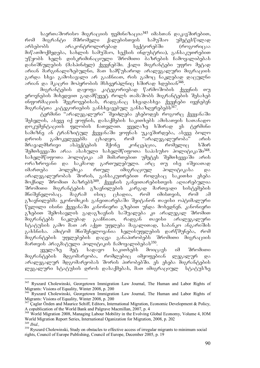$\mu_{\rm 5}$ რთაშორისო მიგრაციის ფემინიზაცია $^{345}$  იმასთან დაკავშირებით, რომ მიგრანტი მშრომელი ქალებისთვის სამუშაო უმეტესწილად<br>არსებობს არაკონტროლირებად სექტორებში (როგორიცაა არსებობს არაკონტროლირებად სექტორებში (როგორიცაა მიწათმოქმედება, სახლის სამუშაო, სექსის ინდუსტრია), განსაკუთრებით უწყობს ხელს დისკრიმინაციული შრომითი ბაზრების ჩამოყალიბებას  $\overline{\omega}$ დანიშნულების (მასპინძელ) ქვეყნებში. ქალი მიგრანტები უფრო მეტად arian marginalizebulni, maT samwuxarod aralegaluri migraciis გარდა სხვა გამოსავალი არ გააჩნიათ, რის გამოც ნაკლებად დაცულნი არიან და მკაცრი მოპყრობის მსხვერპლნიც ხშირად ხდებიან<sup>346</sup>.<br>— მიგრანტების დაყოფა კატეგორიებად წარმოშობის ქვეყნის თუ

მიგრანტების დაყოფა კატეგორიებად წარმოშობის ეროვნების მიხედვით გადამწყვეტ როლს თამაშობს მიგრანტების შესახებ  $\sigma$ ნფორმაციის შეგროვებისას, რადგანაც სხვადასხვა ქვეყნები იყენებენ მიგრანტთა კატეგორიების განსხვავებულ განსაზღვრებებს<sup>347</sup>.

ტერმინი "არალეგალური" შეიძლება ეხებოდეს როგორც ქვეყანაში agbaggon, sbaaq od yoogoop, gsbsdagbon bsyoobadb sadbsonado bsosbsoom დოკუმენტაციის ფლობის ჩათვლით. ყველაზე ხშირად ეს ტერმინი სამიზნე ან ტრანზიტულ ქვეყანაში ყოფნას უკავშირდება, ასევე ბოლო დროის გამოკვლევებმა ცხადყო, რომ "არალეგალურობა" არის<br>მრავალმხრივი ასპექტების მქონე კონცეპცია, რომელიც ხშირ მრავალმხრივი ასპექტების მქონე კონცეპცია, რომელიც ხშირ შემთხვევაში არაა ასახული სახელმწიფოთა საპასუხო პოლიტიკაში<sup>348</sup>. სახელმწიფოთა პოლიტიკა ამ მიმართებით უმეტეს შემთხვევაში არის ორაზროვანი და საკმაოდ გართულებული. არც თუ ისე იშვიათად იმართება პოლემიკა რთულ იმიგრაციულ პოლიტიკასა და არალეგალურობას შორის, განსაკუთრებით როდესაც საკითხი ეხება მოქნილ შრომით ბაზრებს<sup>349</sup>. ქვეყნის განვითარებისთვის აღიარებულია შრომითი მიგრანტების გზავნილების კარგად მართვადი სისტემების<br>მნიშვნელობაც. მაგრამ ისიც ცხადია, რომ იმისთვის, რომ ამ მნიშვნელობაც. მაგრამ ისიც ცხადია, რომ იმისთვის, რომ ამ გზავნილებმა ეკონომიკის განვითარებაში შეიტანონ თავისი ოპტიმალური  $\nabla$ ვლილი ისინი ქვეყანაში კანონიერი გზებით უნდა მოხვდნენ. კანონიერი გზებით შემოსავლის გადაგზავნის საშუალება კი არალეგალ შრომით მიგრანტებს ნაკლებად გააჩნიათ, რადგან თავისი არალეგალური სტატუსის გამო მათ არ აქვთ უფლება მაგალითად, საბანკო ანგარიშის გახსნისა. ამიტომ მნიშვნელოვანია ხელისუფლების დარწმუნება, რომ მიგრანტების უფლებების დაცვა განაპირობებს შრომითი მიგრაციის მართვის პრაგმატული პოლიტიკის ჩამოყალიბებას<sup>350</sup>.

ყველაზე მეტ სადავო საკითხებს მოიცავს იმ შრომითი მიგრანტების მდგომარეობა, რომლებიც იმყოფებიან ლეგალურ და არალეგალურ მდგომარეობას შორის პირობებში. ეს ეხება მიგრანტების ლეგალური სტატუსის დროს დასაქმებას, მათ იმიგრაციულ სტატუსზე

<sup>-</sup><sup>345</sup> Ryszard Cholewinski, Georgetown Immigration Law Journal, The Human and Labor Rights of Migrants: Visions of Equality, Winter 2008, p. 200

<sup>&</sup>lt;sup>346</sup> Ryszard Cholewinski, Georgetown Immigration Law Journal, The Human and Labor Rights of Migrants: Visions of Equality, Winter 2008, p. 200

 $347$  Caglar Özden and Maurice Schiff, Editors, International Migration, Economic Development & Policy, A copublication of the World Bank and Palgrave Macmillan, 2007, p. 4

<sup>&</sup>lt;sup>348</sup> World Migration 2008, Managing Labour Mobility in the Evolving Global Economy, Volume 4, IOM World Migration Report Series, International Oganization for Migration, 2008, p. 202

<sup>&</sup>lt;sup>350</sup> Ryszard Cholewinski, Study on obstacles to effective access of irregular migrants to minimum social rights, Council of Europe Publishing, Council of Europe, December 2005, p. 19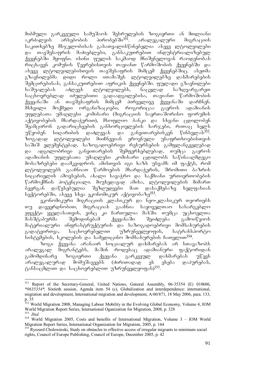მიბმული გარკვეული სამუშაოს შესრულების ზოგიერთი ან მთლიანი<br>აკრძალვის არსებობის პირობებში<sup>351</sup>. არალეგალური მიგრაციის აკრძალვის არსებობის პირობებში<sup>351</sup>. არალეგალური  $b$ აკითხებზე მსჯელობისას გასათვალისწინებელია ასევე ლტოლვილები და თავშესაფრის მაძიებლები, განსაკუთრებით ინდუსტრიალიზებულ ქვეყნებში მყოფნი. ისინი ფულის საკმაოდ შნიშვნელოვან რაოდენობას რიცხავენ კომუნის წევრებისთვის თავიანთ წარმოშობის ქვეყნებში და  $\sigma$ ასევე ლტოლვილებისთვის თავშესაფრის მიმცემ ქვეყნებშიც. ასეთმა გზავნილებმა დიდი როლი ითამაშეს ლტოლვილებზე დახმარებების შემცირებისას, განსაკუთრებით აფრიკის ქვეყნებში. ფულადი გზავნილები საშუალებას აძლევს ლტოლვილებს, ნაცვლად საზღვარგარეთ  $\log$ ხოვრებლად იძულებითი გადაადგილებისა, თავიანთ წარმოშობის ქვეყანაში ან თავშესაფრის მიმცემ პირველივე ქვეყანაში დარჩნენ.<br>მსხვილი მოქმედი ორგანიზაციები, როგორიცაა გაეროს ადამიანის msxvili moqmedi organizaciebi, rogoricaa gaeros adamianis უფლებათა უმაღლესი კომისარი (მიგრაციის საერთაშორისო ფორუმის აქტივობების მხარდაჭერით), მსოფლიო ბანკი და სხვანი ცდილობენ შეამცირონ გადარიცხვების განხორციელების ხარჯები, რითაც ხელს  $m\ddot{v}$ ყობენ სიღარიბის დაძლევას და განვითარებისკენ წინსვლას<sup>352</sup>. zogadad ltolvilebi miiCnevian erovnuli usafrTxoebisTvis საშიშ ელემენტებად, საზოგადოებრივი რესურსების გამფლანგველებად და ადგილობრივი განვითარების შემფერხებლებად, თუმცა გაეროს .<br>ადამიანის უფლებათა უმაღლესი კომისარი ცდილობს საწინააღმდეგო მოსაზრებები დაამკვიდროს. ამისთვის იგი ხაზს უსვამს იმ ფაქტს, რომ \_<br>ლტოლვილებს გააჩნიათ წარმოების მხარდა≹ერის, შრომითი ბაზრის სიცარიელის ამოვსების, ახალი სავაჭრო და საქმიანი ურთიერთობების  $\%$ არმოქმნის პოტენციალი. მიუხედავად ამისა, ლტოლვილების მიმართ ბევრგან დაწესებულია შეზღუდვები მათ დასაქმებაზე ხელფასიან სექტორებში, ასევე სხვა ეკონომიკურ აქტივობაზე<sup>353</sup>.

ეკონომიკური მიგრაციის კლასიკურ და ნეო-კლასიკურ თეორიებს თუ დავეყრდნობით, მიგრაციას გააჩნია საყოველთაო სასარგებლო ეფექტი ყველასათვის, ვინც კი ჩართულია მასში. თუმცა უცხოელთა<br>მასშტაბურმა — შემოდინებამ — ქვეყანაში — შეიძლება — გამოიწვიოს მასშტაბურმა შემოდინებამ ქვეყანაში შეიძლება გამოიწვიოს მატერიალური ინფრასტრუქტურის და საზოგადოებრივი მომსახურების გადატვირთვა, საცხოვრებელით უზრუნველყოფის, სატრანსპორტო bobegaggoot, baggagoot os bsagoocooto dodbsbaggadot bsoggoom<sup>354</sup>.

ზოგი ქვეყანა არანაირ სოციალურ დახმარებას არ სთავაზობს არალეგალ მიგრანტებს, მაშინ როდესაც ადამიანური ფაქტორიდან გამომდინარე ზოგიერთი ქვეყანა გარკვეულ დახმარებას უწევს არალეგალურად მომუშავეებს (ძირითადად ეს ეხება დაპურებას, ტანსაცმლით და საცხოვრებლით უზრუნველყოფას)<sup>355</sup>.

<sup>351</sup> 351 Report of the Secretary-General, United Nations, General Assembly, 06-35354 (E) 010606, *\*0635354\*,* Sixtieth session, Agenda item 54 (c), Globalization and interdependence: international, migration and development, International migration and development, A/60/871, 18 May 2006, para. 133,  $p. 35$ <br>352 W

<sup>352</sup> World Migration 2008, Managing Labour Mobility in the Evolving Global Economy, Volume 4, IOM World Migration Report Series, International Oganization for Migration, 2008, p. 328 <sup>353</sup> *Ibid.* 

<sup>354</sup> World Migration 2005, Costs and benefits of International Migration, Volume 3 – IOM World Migration Report Series, International Organization for Migration, 2005, p. 164

<sup>&</sup>lt;sup>355</sup> Ryszard Cholewinski, Study on obstacles to effective access of irregular migrants to minimum social rights, Council of Europe Publishing, Council of Europe, December 2005, p. 42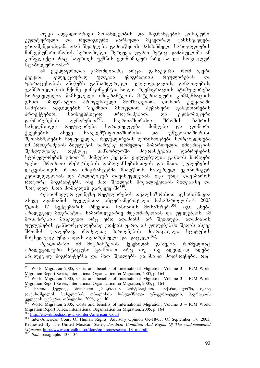თუკი ადგილობრივი მოსახლეობის და მიგრანტების ეთნიკური,<br>ურული და რელიგიური წარსული მკვეთრად განსხვავდება კულტურული და რელიგიური წარსული მკვეთრად განსხვავდება ერთამენეთისგან, ამან შეიძლება გამოიწვიოს მასპინძელი საზოგადოების ขี้ดิชิตฏงัตร์อังคอร์โคงอย ได้คู่อัดเป็นพอ ติ๊กต์หูกูลุง, ทูตุต์ค ชิกูคู๊ดูดู ดังช่องทูตูเคงิง งธ์ კონფლიქტი რაც საფრთეს უქმნის ეკონომიკურ ზრდასა და სოციალურ .აშილურობას<sup>356</sup><br>ამ ყველაფი

ყველაფრიდან გამომდინარე არცაა გასაკვირი, რომ ბევრი<br>სელექციურად უდგება ემიგრაციის რეულირებას და ქვეყანა სელექციურად უდგება ემიგრაციის რეულირებას უპირატესობას ანიჭებს განსაზღვრული კვალიფიკაციის, განათლების,  $\alpha$ ანმრთელობის მქონე კონტინგენტს. ხოლო რეემიგრაციის სტიმულირება \_<br>ხორციელდება წამსვლელი იმიგრანტების მატერიალური კომპენსაციის<br>გზით, იმიგრანტთა პროფესიული მომზადებით, დონორ ქვეყანაში გზით, იმიგრანტთა პროფესიული მომზადებით, დონორ ქვეყანაში<br>სამუშაო ადგილების შექმნით, მსოფლიო პუმანური განვითარების სამუშაო ადგილების შექმნით, მსოფლიო ჰუმანური განვითარების<br>პროექტებით, საინვესტიციო პროგრამებითა და ეკონომიკური პროექტებით, საინვესტიციო პროგრამებითა და ეკ<br>დახმარებების აღმოჩენით<sup>357</sup>. საერთაშორისო შრომის დახმარებების აღმოჩენით<sup>357</sup>. საერთაშორისო შრომის ბაზრის სახელმწიფო რეგულირება ხორციელდება მიმღები და დონორი ქვეყნების, ასევე სახელმწიფოთაშორისი და უწყებათაშორისი შეთანხმებების საფუძველზე. რეგულირების ღონისძიებები ხორციელდება იმ პროგრამების ბიუჯეტის ხარჯზე რომელიც მიმართულია იმიგრაციის<br>შეზღუდვაზე, \_ თუნდაც \_ სამშობლოში \_ მიგრანტების \_ დაბრუნების შეზღუდვაზე, თუნდაც სამშობლოში მიგრანტების დაბრუნების სტიმულირების გზით<sup>358</sup>. მიმღები ქვეყანა ვალდებულია გაწიოს ხარჯები უცხო შრომითი რესურსების დაბალანსებისათვის და მათი უფლებების დაცვისათვის, რათა იმიგრანტებმა მიაღწიონ სასურველ ეკონომიკურ  $R$ გეთილდღეობას და პოლიტიკურ თავისუფლებას. იგი უნდა დაეხმაროს როგორც მიგრანტებს, ისე მათ შვილებს მოქალაქეობის მიღებაზე და ზოგადად მათი მომავლის გარკვევაში<sup>359</sup>.

რეგიონალურ დონეზე რეგულირების თვალსაზრისით აღსანიშნავია -ასევე ადამიანის უფლებათა ინტერ-ამერიკული სასამართლოს<sup>360</sup> 2003 წლის 17 სექტემბრის რჩევითი ხასიათის მოსაზრება<sup>361</sup>. იგი ეხება  $\alpha$ რალეგალ მიგრანტთა სამართლებრივ მდგომარეობას და უფლებებს. ამ მოსაზრების მიხედვით არც ერთ ადამიანს არ შეიძლება ადამიანის უფლებების განხორციელებაზე ეთქვას უარი, ამ უფლებებში შედის ასევე შრომის უფლებაც, რომელიც პიროვნების მიგრაციული სტატუსის მიუხედავად უნდა იყოს აღიარებული და დაცული<sup>362</sup>.

რუალობაში იმ მიგრანტუბის ქვეყნიდან გაშვება, რომელთაც არალეგალური სტატუსი გააჩნიათ არც თუ ისე ადვილად ხდება.  $\alpha$ გრალეგალ მიგრანტებსა და მათ შვილებს გააჩნიათ მოთხოვნები, რაც

 $357$  World Migration 2005, Costs and benefits of International Migration, Volume 3 – IOM World Migration Report Series, International Organization for Migration, 2005, p. 164

World Migration 2005, Costs and benefits of International Migration, Volume  $3 - IOM$  World Migration Report Series, International Organization for Migration, 2005, p. 164

<sup>360</sup> http://en.wikipedia.org/wiki/Inter-American\_Court

<sup>-</sup>356 World Migration 2005, Costs and benefits of International Migration, Volume 3 – IOM World Migration Report Series, International Organization for Migration, 2005, p. 164

ნათია ჭელიძე, შრომითი ემიგრაცია პოსტსაბჭოთა საქართველოში, ივანე javaxiSvilis saxelobis Tbilisis saxelmwifo universitetis, migraciis  $\frac{1}{28}$ ლევის ცენტრი, თბილისი, 2006, გე. 10

<sup>&</sup>lt;sup>361</sup> Inter-American Court Of Human Rights, Advisory Opinion Oc-18/03, Of September 17, 2003, Requested By The United Mexican States, *Juridical Condition And Rights Of The Undocumented Migrants*. http://www.corteidh.or.cr/docs/opiniones/seriea\_18\_ing.pdf

<sup>362</sup> *Ibid.,* paragraphs 133-136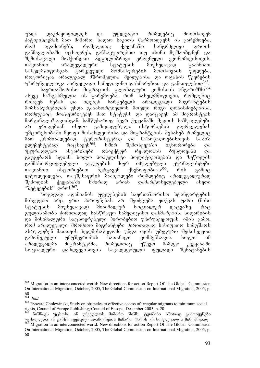უნდა დაკმაყოფილდეს და უფლებები რომლებიც მოითხოვენ  $\delta$ ატივისცუმას მათ მიმართ. სადაო საკითს წარმოადგუნს ის გარუმოება, რომ ადამიანებს, რომელთაც ქვეყანაში ხანგრძლივი დროის განმავლობაში იცხოვრეს, განსაკუთრებით თუ ისინი მუშაობდნენ და<br>შემოსავალი მოჰქონდათ ადგილობრივი ეროვნული ეკონომიკისთვის, შემოსავალი მოჰქონდათ ადგილობრივი ეროვნული<br>თავიანთი არალეგალური სტატუსის მიუხიდ თავიანთი არალეგალური სტატუსის მიუხედავად გააჩნიათ<br>სახელმწიფოსგან გარკვეული მომსახურების მოთხოვნის უფლება, სახელმწიფოსგან გარკვეული მომსახურების მოთხოვნის უფლება, როგორიცაა არალეგალ მშრომელთა შვილებისა და ოჯახის წევრების უზრუნველყოფა პირველადი სამედიცინო დახმარებით და განათლებით<sup>363</sup>.

საერთაშორისო მიგრაციის გლობალური კომისიის ანგარიშში<sup>364</sup> ასევე ხაზგასმულია ის გარემოება, რომ სახელმწიფოები, რომლებიც<br>რთავენ ნებას და იღებენ სარგებელს არალეგალი მიგრანტების რთავენ ნებას და იღებენ სარგებელს არალეგალი მიგრანტების მომსახურებიდან უნდა განახორციელონ მთელი რიგი ღონისძიებებისა, რომლებიც მოაწესრიგებენ მათ სტატუსს და დაიცავენ ამ მიგრანტებს მარგინალიზაციისგან. სამწუხაროდ ბევრ ქვეყანაში მედიის საშუალებები არ ერიდებიან ისეთი გაზვიადებული ისტორიების გავრცელებას უმცირესობაში მყოფი მოსახლეობისა და მიგრანტების შესახებ რომელიც<br>მათ ,რიმინალებად, ტერორისტებად და საზოგადოებისთვის საშიშ მათ კრიმინალებად, ტერორისტებად და საზოგადოებისთვის საშიშ<br>ელემენტებად რაცხავენ<sup>365</sup>. ხშირ შემთხვევაში იგნორირება და ელემენტებად რაცხავენ<sup>365</sup>. ხშირ შემთხვევაში იგნორირება და უყურადღებო ანგარიშები ობიექტურ რეალობას ბუნდოვანს და გაუგებარს ხდიან. ხოლო პოპულისტი პოლიტიკოსების და ზეწოლის განმახორციელებელი ჯგუფების მიერ იძულებული ჟურნალისტები თავიანთი ისტორიებით ნერგავენ ქსენოფობიას $^{366}$ , რის გამოც \_ლტოლვილები, თავშესაფრის მაძიებლები რომლებიც არალეგალურად<br>"შემოდიან ქვეყანაში ხშირად არიან დამარტოხელებული ასეთი შემოდიან ქვეყანაში ხშირად არიან დამარტოხელებული ასეთი "შეტევების" დროს<sup>367</sup>.

ზოგადად ადამიანის უფლებების საერთაშორისო სტანდარტების მიხედვით არც ერთ პიროვნებას არ შეიძლება ეთქვას უარი (მისი სტატუსის მიუხედავად) მინიმალურ სოციალურ დაცვაზე, რაც გულისხმობს ძირითადად სასწრაფო სამედიცინო დახმარების, სიღარიბის და მინიმალური საცხოვრებელი პირობებით უზრუნვეყოფას. იმის გამო, რომ არალეგალი შრომითი მიგრანტები ძირითადად სახიფათო სამუშაოს ასრულებენ მათთვის ხელმისაწვდომი უნდა იყოს უბედური შემთხვევით გამოწვეული უმუშევრობის სათანადო კომპენსაცია. ხოლო იმ არალეგალმა მიგრანტებმა, რომელთაც უწევთ მიმღებ ქვეყანაში სოციალური დაზღვევისთვის სავალდებულო ფულადი შენატანების

<sup>-</sup><sup>363</sup> Migration in an interconnected world: New directions for action Report Of The Global Commission On International Migration, October, 2005, The Global Commission on International Migration, 2005, p.  $60\n364$ 

<sup>364</sup> *Ibid.*

<sup>&</sup>lt;sup>365</sup> Ryszard Cholewinski, Study on obstacles to effective access of irregular migrants to minimum social rights, Council of Europe Publishing, Council of Europe, December 2005, p. 20

ნიშნავს უცხოსა ან უჩვეულოს მიმართ შიშს, ტერმინი ხშირად გამოიყენება უცხოელთა ან განსხვავებული ადამიანების მიმართ შიშის ან სიძულვილის მინიშნებად 367 Migration in an interconnected world: New directions for action Report Of The Global Commission On International Migration, October, 2005, The Global Commission on International Migration, 2005, p. 60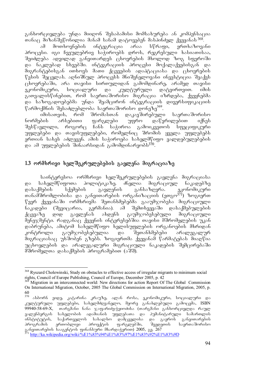განხორციელება უნდა მიიღონ შესაბამისი მომსახურება ან კომპენსაცია

Tanac mizanSewonilia manam sanam datoveben maspinZel qveyanas <sup>368</sup>. ამ მოთხოვნების ინტეგრაცია არაა სწრაფი, ერთხაზოვანი  $\delta$ როცესი. იგი ჩვეულებრივ საჭიროებს დროს, რეგრესული ხასიათისაა, შეიძლება ადვილად განვითარდეს ცხოვრების მხოლოდ ზოგ სფეროში  $\overline{\omega}$  bookside badaa saad saad sadaaladeebidad saadaa saadaa  $\overline{\omega}$  $\partial$ იგრანტებისგან ითხოვს მათი ქცევების ადაპტაციასა და ცხოვრების წესის შეცვლას. აღნიშნულ პროცესს მნიშვნელოვანი ინვესტიცია შეაქვს  $\alpha$ სოვრებაში, არა თავისი სირთულიდან გამომდინარე, არამედ თავისი ეკონომიკური, სოციალური და კულტურული დატვირთვით. იმის გათვალისწინებით, რომ საერთაშორისო მიგრაცია იზრდება, ქვეყნებმა და საზოგადოებებმა უნდა შეამცირონ ინტეგრაციის დივერსიფიკაციის წარმოქმნის შესაძლებლობა საერთაშორისო ღონეზე<sup>369</sup>.<br>დაკავშირებული მიონანიზმა სომინადა

imisaty roma 1960-bangob, 1967 მრომასთან დაკავშირებული საერთაშორისო<br>ნორმების არსებითი ფარგლები უფრო დაწვრილებით იქნეს არსებითი ფარგლები უფრო დაწვრილებით იქნეს შესწავლილი, როგორც ჩანს საჭიროა გამოიკვეთოს სფეციფიკური უფლებები და თავისუფლებები, რომელნიც შრომის ყველა უფლებებს ერთიან სახეს აძლევენ. ამის საჭიროება სახელმწიფო ვალდებულებების და ამ უფლებების შინაარსიდან გამომდინარეობს<sup>370</sup>.

## 1.3 ორმხრივი ხელშეკრულებების გავლენა მიგრაციაზე

საინტერესოა ორმხრივი ხელშეკრულებების გავლენა მიგრაციასა და სახელმწიფოთა პოლიტიკაზე. ძნელია მიგრაციულ ნაკადებზე<br>დასაქმების სქემების გავლენის განსაზღვრა. ეკონომიკური სქემების გავლენის განსაზღვრა. გკონომიკური თანამშრომლობისა და განვითარების ორგანიზაციის (ეთგო<sup>371</sup>) ზოგიერთ წევრ ქვეყანაში ორმხრივმა შეთანხმებებმა გააუმჯობესა მიგრაციული<br>ნაკადები (შვეიცარია, გერმანია). ამ შემთხვევაში დასაქმებულების ნაკადები (შვეიცარია, გერმანია). ამ შემთხვევაში დასაქმებულების ქცევაზე დიდ გავლენას ახდენს გაუმჯობესებული მიგრაციული მენეჯმენტი. რადგანაც ქვეყნის ინტერესებშია თავისი მშრომელების უკან დაბრუნება, ამიტომ სახელმწიფო ხელისუფლების ორგანოების მხრიდან ,კონტროლი გაუმჯობესებულია და შეთანხმებები არალეგალურ შიგრაციასაც უხშობენ გზებს. ზოგიერთმა ქვეყანამ წარმატებას მიაღწია უცხოელების და არალეგალური მიგრაციული ნაკადების შემცირებაში მშრომელთა დასაქმების პროგრამებით (აშშ).

<sup>-</sup><sup>368</sup> Ryszard Cholewinski, Study on obstacles to effective access of irregular migrants to minimum social rights, Council of Europe Publishing, Council of Europe, December 2005, p. 42

<sup>&</sup>lt;sup>369</sup> Migration in an interconnected world: New directions for action Report Of The Global Commission On International Migration, October, 2005 The Global Commission on International Migration, 2005, p.  $\frac{60}{370}$ 

ასბორნ ეიდე, კატარინა კრაუზე, ალან როსა, ეკონომიკური, სოციალური და კულტურული უფლებები, სახელმძღვანელო, მეორე განახლებული გამოცემა, ISBN 99940-58-69-X, თარგმანი ნანა ჯაფარიძე-ჭყიოძისა (თარგმანი განხორციელდა რაულ ვალენბერგის სახელობის ადამიანის უფლებათა და ჰუმანიტარული სამართლის<br>ინსტიტუტის, საქართველოს სახალხო დამცველისა და გაეროს განვითარების ინსტიტუტის, საქართველოს სახალხო დაშცველისა და გაეროს განვითარების<br>პროგრამის ერთობლივი პროექტის ფარგლებში, შვედეთის საერთაშორისო პროგრამის ერთობლივი პროექტის ფარგლებში, შვედეთის საერთაშორისო განვითარების სააგენტოს ფინანსური მხარდაჭერით) 2005, გვ. 267

<sup>&</sup>lt;sup>1</sup> http://ka.wikipedia.org/wiki/%E1%83%94%E1%83%97%E1%83%92%E1%83%9D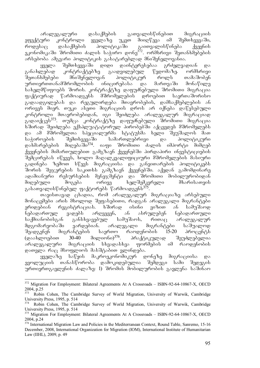არალეგალური დასაქმების გათვალისწინებით მიგრაციის ეფექტური კონტროლი ყველაზე უკეთ მიიღწევა იმ შემთხვევაში, როდესაც დასაქმების პოლიტიკაში გაითვალისწინება ქვეყნის ეკონომიკაში შრომითი ძალის საჭირო დონე $^{372}$ . ორმხრივი შეთანხმებების არსებობა ამგვარი პოლიტიკის გასატარებლად მნიშვნელოვანია.

ყველა შემთხვევაში დიდი დაინტერესებაა გრძელვადიან და განახლებად კონტრაქტებზე გაადვილებულ წვდომაზე. ორმხრივი შეთანხმებები მნიშვნელოვან პოლიტიკურ როლს თამაშობენ<br>ურთიერთთანამშრომლობის ინიცირებასა და მართვაში მონაწილე ურთიერთთანამშრომლობის ინიცირებასა და მართვაში მონაწილე სახელმწიფოებს შორის. კონტრაქტზე დაფუძნებული შრომითი მიგრაცია gs:ქტიურად წარმოადგენს მშრომელების დროებით საერთაშორისო გადაადგილებას და რეგულირდება მთავრობების, დამსაქმებლების ან ორივეს მიერ. თუკი ასეთი მიგრაციის დროს არ იქნება დაწესებული კონტროლი მთავრობებიდან, იგი შეიძლება არალეგალურ მიგრაციად ა<br>გადაიქცეს<sup>373</sup>. თუმცა კონტრაქტზე დაფუძნებული შრომითი მიგრაცია ხშირად შეიძლება ექსპლუატატორულ პირობებში აქცევდეს მშრომელებს და ამ მშრომელთა სპეციალურმა სტატუსმა ხელი შეუშალოს მათ საჭიროების შემთხვევაში სამართლებრივი და პოლიტიკური დახმარებების მიღებაში<sup>374</sup>. იაფი შრომითი ძალის იმპორტი მიმღებ  $f_3$ ეყნების მიმართულებით გამგზავნ ქვეყნებში პირდაპირი ინვესტიციების შემცირებას იწვევს, ხოლო მაღალკვალიფიციური მშრომელების მასიური გადინება ზემოთ სწევს მიგრაციისა და განვითარების პოლიტიკებს შორის შეჯერების საკითხს გამგზავნ ქვეყნებში. აქედან გამომდინარე ადამიანური რესურსების მენეჯმენტი და შრომითი მობილურობიდან<br>მიღებული — მოგება — ორივე — ხელშემკვრელი — მხარისათვის მიღებული მოგება ორივე ხელშემკვრელი მხარისათვის გასათვალისწინებელ ფაქტორებს წარმოადგენს<sup>375</sup>.

თავისთავად ცხადია, რომ არალეგალურ მიგრაციაზე არსებული მონაცემები არის მხოლოდ შეფასებითი, რადგან არალეგალი მიგრანტები ერიდებიან რეგისტრაციას. ხშირად ისინი ვიზით ან სამუშაოდ ნებადართულ ვადებს არღვევენ, ან ასრულებენ ნებადართული საქმიანობისგან განსხვავებულ სამუშაოს, რითაც არალეგალურ მდგომარეობაში ვარდებიან. არალეგალი მიგრანტები საშუალოდ<br>შეადგენენ მიგრანტების საერთო რაოდენობის 15-20 პროცენტს <u>შეადგენენ მიგრანტების საერთო რაოდენობის 15-20 პროცენტს</u> (დაახლოებით 30-40 მილიონი)<sup>376</sup>. პრაქტიკულად შეუძლებელია არალეგალური მიგრაციის სხვადასხვა ფორმების იმ რაოდენობის დათვლა რაც მსოფლიოს მასშტაბით ვლინდება.

ყველაზე საწყის მაკროეკონომიკურ დონეზე მიგრაციისა და ევოლუციის თანასწორობა დამოკიდებულია შემდეგი სამი შედეგის ურთიერთგავლენის ძალაზე: 1) შრომის მობილურობის გავლენა საშინაო

<sup>-</sup><sup>372</sup> Migration For Employment: Bilateral Agreements At A Crossroads - ISBN-92-64-10867-X, OECD 2004, p.25

<sup>373</sup> Robin Cohen, The Cambridge Survey of World Migration, University of Warwik, Cambridge University Press, 1995, p. 514

<sup>374</sup> Robin Cohen, The Cambridge Survey of World Migration, University of Warwik, Cambridge University Press, 1995, p. 514

<sup>&</sup>lt;sup>375</sup> Migration For Employment: Bilateral Agreements At A Crossroads – ISBN-92-64-10867-X, OECD 2004, p.24

<sup>&</sup>lt;sup>376</sup> International Migration Law and Policies in the Mediterranean Context, Round Table, Sanremo, 15-16 December, 2008, International Organization for Migration (IOM), International Institute of Humanitarian Law (IIHL), 2009, p. 49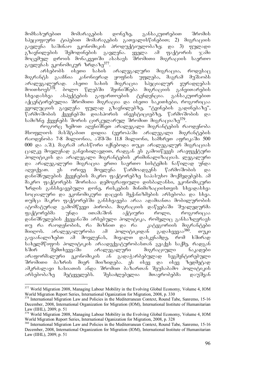მომსახურებით მომარაგების დონეზე, განსაკუთრებით შრომის სპეციფიური ტიპებით მომარაგების გათვალისწინებით; 2) მიგრაციის გავლენა საშინაო ეკონომიკის პროდუქტიულობაზე; და 3) ფულადი<br>გზავნილების შემოდინების გავლენა. ყველა ამ ფაქტორის ჯამი გზავნილების შემოდინების გავლენა. ყველა ამ ფაქტორის  $\chi$ ამი მოცემულ დროის მონაკვეთში ასახავს შრომითი მიგრაციის საერთო გავლენას ეკონომიკურ ზრდაზე<sup>377</sup>.<br>არსებობს ისეთი სახის

ეთი სახის არალეგალური მიგრაცია, როდესაც<br>\_კანონიერად ყოფნის უფლება, მაგრამ მუშაობს მიგრანტს გააჩნია კანონიერად ყოფნის უფლება, მაგრამ მუშაობს არალეგალურად. ასეთი სახის მიგრაცია სპეციალურ ყურადღებას<br>მოითხოვს<sup>378</sup>. ბოლო წლებში შეინიშნება მიგრაციის განვითარების \_ ბოლო წლებში შეინიშნება მიგრაციის განვითარების<br>ასპექტების გაფართოების ტენდენცია. განსაკუთრებით სხვადასხვა ასპექტების გაფართოების ტენდენცია. განსაკუთრებით აქცენტირებულია შრომითი მიგრაცია და ისეთი საკითხები, როგორიცაა  $\overline{\mathcal{H}}$ ოლუციის გავლენა ფულად გზავნილებზე, "ტვინების გადინებაზე",  $\sqrt[6]{8}$ რმოშობის ქვეყნებში დიასპორის ინვესტიციებზე, წარმოშობის და სამიზნე ქვეყნებს შორის ცირკულარულ შრომით მიგრაციაზე<sup>379</sup>.

როგორც ზემოთ აღვნიშნეთ არალეგალი მიგრანტების რაოდენობა მსოფლიოს მასშტაბით დიდია (ევროპაში არალეგალი მიგრანტების  $\sigma$ გოდენობა 7-8 მილიონია, აშშ-ში 11.8 მილიონი, სამხრეთ აფრიკაში 500 000 და ა.შ.). მაგრამ არასწორი იქნებოდა თუკი არალეგალურ მიგრაციას  $\alpha$ პოლიტიკის და არალეგალი მიგრანტების კრიმინალიზაციას. ლეგალური და არალეგალური მიგრაცია ერთი საერთო სისტემის ნაწილად უნდა აღვიქვათ. ეს ორივე მოვლენა წარმოადგენს წარმოშობის და დანიშნულების ქვეყნების მაკრო ფაქტორებზე საპასუხო მოქმედებებს. ამ მაკრო ფაქტორებს შორისაა დემოგრაფიული დისბალანსი, ეკონომიკური ზრდის განსხვავებული დონე, რისკების მინიმიზაციისთვის სხვადასხვა სოციალური და ეკონომიკური დაცვის მექანიზმების არსებობა და სხვა. თუმცა მაკრო ფაქტორებში განსხვავება არაა ადამიანთა მობილურობის ატომატურად გამომწვევი პირობა. მიგრაციის დაწყებაში შუალედურმა ფაქტორებმა უნდა ითამაშონ აქტიური როლი, როგორიცაა დანიშნულების ქვეყანაში არსებული პოლიტიკა, რომელიც განსაზღვრავს თუ რა რაოდენობის, რა მიზნით და რა კატეგორიის მიგრანტები მიიღოს. არალეგალურობა ამ პოლიტიკიდან გადახვევაა<sup>380</sup>. თუკი გავაანალიზებთ ამ მოვლენას, მივალთ დასკვნამდე, რომ ხშირად .<br>სახელმწიფოს პოლიტიკის არაადექვატურობასთან გვაქვს საქმე, რადგან<br>- ხშირ — შემთხვევაში — არალეგალური — მიგრაციული — ნაკადები xSir SemTxvevaSi aralegaluri migraciuli nakadebi ുკონომიკის ან გადაჭარბებულად სეგმენტირებული შროშითი ბაზრის მიერ მიიზიდება. ეს ისევ და ისევ ზედმეტად ამკრძალავი ხასიათის ანდა შრომით ბაზართან შეუსაბამო პოლიტიკის არსებობაზე მეტყველებს. შესაძლებელია მთავრობებმა დაუშვან

<sup>-</sup><sup>377</sup> World Migration 2008, Managing Labour Mobility in the Evolving Global Economy, Volume 4, IOM World Migration Report Series, International Oganization for Migration, 2008, p. 330

<sup>&</sup>lt;sup>378</sup> International Migration Law and Policies in the Mediterranean Context, Round Tabe, Sanremo, 15-16 December, 2008, International Organization for Migration (IOM), International Institute of Humanitarian Law (IIHL), 2009, p. 51

<sup>&</sup>lt;sup>379</sup> World Migration 2008, Managing Labour Mobility in the Evolving Global Economy, Volume 4, IOM World Migration Report Series, International Oganization for Migration, 2008, p. 328

<sup>&</sup>lt;sup>380</sup> International Migration Law and Policies in the Mediterranean Context, Round Tabe, Sanremo, 15-16 December, 2008, International Organization for Migration (IOM), International Institute of Humanitarian Law (IIHL), 2009, p. 51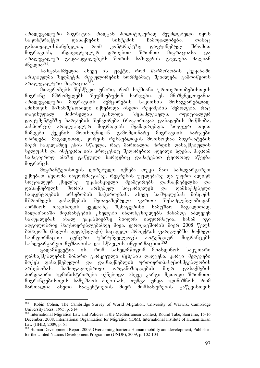არალეგალური მიგრაცია, რადგან პოლიტიკურად შეუძლებელი იყოს საკონტრაქტო დასაქმების სისტემის ჩამოყალიბება. თანაც<br>გასათვალისწინებელია, რომ კონტრაქტზე დაფუძნებულ შრომით გასათვალისწინებელია, რომ კონტრაქტზე დაფუძნებულ მიგრაციას, ინდივიდუალურ დროებით შრომით მიგრაციასა და არალეგალურ გადაადგილებებს შორის საზღვრის გავლება ძალიან  $\delta$ <sub>1</sub> $\sigma$ <sub>0</sub> $\delta$ <sup>381</sup>.

bაზგასასმელია ასევე ის ფაქტი, რომ წარმოშობის ქვეყანაში არსებულმა ზედმეტმა რეგულირების ნორმებმაც შეიძლება გამოიწვიოს არალეგალური მიგრაცია $382$ .

\_<br>მთავრობებს შესწევთ უნარი, რომ საქმიანი ურთიერთობებისთვის<br>ნტ მშრომელებს შეუმსუბუქონ ხარჯები. ეს მნიშვნელოვანია მიგრანტ მშრომელებს შეუმსუბუქონ ხარჯები. ეს მნიშვნელოვანია არალეგალური მიგრაციის შემცირების საკითხის მოსაგვარებლად. ამისთვის მიზანშეწონილი იქნებოდა ისეთი რეჟიმების შემოღება, რაც<br>თავისუფალ მიმოსვლას გახდიდა შესაძლებელს. ოფიციალურ თავისუფალ მიმოსვლას გახდიდა შესაძლებელს. ოფიციალურ დოკუმენტებზე ხარჯების შემცირება (როგორიცაა დაბადების მოწმობა, პასპორტი) არალეგალურ მიგრაციას შეამცირებდა. ზოგჯერ თვით<br>მიმღები ქვეყნის მოთხოვნიდან გამომდინარე მიგრაციის ხარჯები მიმღები ქვეყნის მოთხოვნიდან გამომდინარე მიგრაციის ხარჯები იზრდება. მაგალითად, კორეის რესპუბლიკის მოთხოვნაა მიგრანტების ოთველი დელი და კავით.<br>მიერ ჩასვლამდე ენის სწავლა, რაც მართალია ზრდის დასაქმებულის ხელფასს და ინტეგრაციის პროცესიც შედარებით ადვილი ხდება, მაგრამ სამაგიეროდ ამაზე გაწეული ხარჯებიც დამატებით ტვირთად აწვება მიგრანტს.

მიგრანტებისთვის ღირებული იქნება თუკი მათ საზღვარგარეთ ექნებათ წვდომა ინფორმაციაზე, რეგრესის უფლებაზე და უფრო ძლიერ<br>სოციალურ ქსელზე. უკანასკნელი შეამცირებს დამსაქმებელსა და სოციალურ ქსელზე. უკანასკნელი შეამცირებს დამსაქმებელსა და დასაქმებულს შორის არსებულ სიცარიელეს და დამსაქმებელი სააგენტოების არსებობის საჭიროებას, ასევე საშუალებას მისცემს მშრომელს დასაქმების შეთავაზებული ფართო შესაძლებლობიდან აირჩიოს თავისთვის ყველაზე შესაფერისი სამუშაო. მაგალითად, მალაიზიაში მიგრანტების ქსელები ინდონეზიელებს მანამდე აძლევენ საშუალებას ახალ ვაკანსიებზე მიიღონ ინფორმაცია, სანამ იგი ადგილობრივ მაცხოვრებლებამდე მივა. ევროკავშირის მიერ 2008 წელს ბამაკოში (მალის დედაქალაქი) საცდელი პროექტის ფარგლებში მოქმედი საინფორმაციო ცენტრი უზრუნველყოფს პოტენციურ მიგრანტებს  $\mu$ საზღვარგარეთ მუშაობისა და სწავლის ინფორმაციით $^{383}$ .

ิลადამწყვეტია ის, რომ სახელმწიფომ მოახდინოს საკუთარი დამსაქმებლების მიმართ გარკვეული წესების დადგენა. კარგი შედეგები მოქვს დასაქმებულის და დამსაქმებლის ურთიერთპასუხისმგებლობის არსებობას. საზოგადოებრივი ორგანიზაციების მიერ დასაქმების პირდაპირი ადმინისტრირება იქნებოდა ასევე კარგი მეთოდი შრომითი მიგრანტებისთვის სამუშაოს ძიებისას, თუმცა უნდა აღინიშნოს, რომ მართალია ასეთი სააგენტოების მიერ მომსახურების გაწევისთვის

<sup>381</sup> 381 Robin Cohen, The Cambridge Survey of World Migration, University of Warwik, Cambridge University Press, 1995, p. 514

<sup>&</sup>lt;sup>382</sup> International Migration Law and Policies in the Mediterranean Context, Round Tabe, Sanremo, 15-16 December, 2008, International Organization for Migration (IOM), International Institute of Humanitarian Law (IIHL), 2009, p. 51

<sup>&</sup>lt;sup>383</sup> Human Development Report 2009, Overcoming barriers: Human mobility and development, Published for the United Nations Development Programme (UNDP), 2009, p. 102-104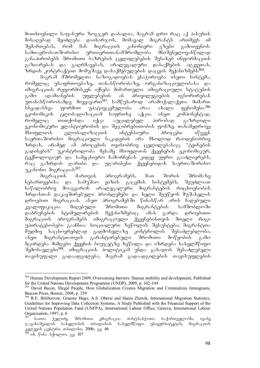მოთხოვნილი საფასური ზოგჯერ დაბალია, მაგრამ დრო რაც აქ პასუხის<br>მისაღებად შეიძლება დაიხარჯოს, მომავალ მიგრანტს ართმევს იმ შეიძლება დაიხარჯოს, მომავალ მიგრანტს ართმევს იმ<br>რომ მან მიგრაციის კანონიერი გზები გამოიყენოს. შემართებას, რომ მან მიგრაციის კანონიერი გზები გამოიყენოს. სამთავრობათშორისო ურთიერთთანამშრომლობა მნიშვნელოვანწილად განაპირობებს შრომითი ბაზრების ცვლილებების შესახებ ინფორმაციის გაზიარებას და გაღრმავებას, არალეგალური დასაქმების აღკვეთას,  $\overline{\tilde{u}}$ რდის კონტრაქტით მომუშავე დასაქმებულების დაცვის მექანიზმებს $^{384}$ .

მაგრამ მშრომელთა საზოგადოებას ესაჭიროება ისეთი სისტემა, რომელიც უსაფრთოებაზე, თანასწორობაზე, ორგანიზაციულობასა და იმიგრაციის რეფორმისკენ იქნება მიმართული. იმიგრაციული სტატუსის<br>გამო ადამიანების უფლებების ან პრივილეგიების იგნორირებას გამო ადამიანების უფლებების ან პრივილეგიების იგნორირებას უთანასწორობამდე მივყავართ<sup>385</sup>. სამწუხაროდ არამოქალაქეთა მიმართ<br>სხვადასხვა ფორმით უპატივცემულობა არაა ახალი ფენომენი.<sup>386</sup> სხვადასხვა ფორმით უპატივცემულობა არაა ახალი ფენომენი.<sup>386</sup><br>ეკონომიკის გლობალიზაციამ საფრთხე აქცია ისეთ კომპონენტად, ეკონომიკის გლობალიზაციამ საფრთხე აქცია ისეთ რომელიც თითქოსდა იქცა აუცილებელ პირობად გაზრდილი ეკონომიკური ელასტიურობის და შეჯიბრებითობის ფონზე. თანამედროვე მსოფლიოს გლობალიზაციის ინტენსიური პროცესი იწვევს საერთაშორისო მიგრაციული ნაკადების არა მხოლოდ რაოდენობრივ ზრდას, არამედ ამ პროცესის თვისობრივ ცვლილებასაც. "ტვინების გადინების" უკონტროლობა მესამე მსოფლიოს ქვეყნების ეკონომიკურ,  $\delta$ ექნოლოგიურ და სამეცნიერო ჩამორჩენას კიდევ უფრო გააძლიერებს, რაც გაზრდის ღარიბი და უღარიბესი ქვეყნებიდან საერთაშორისო

უკანონო მიგრაციას<sup>387</sup>.<br>— მიგრაციის — მართვის მიგრაციის მართვის პროგრამებს, მათ შორის შრომაზე<br>თვებისა და სამუშაო ვიზის გაცემის სისტემებს, შეუძლიათ ნებართვებისა და სამუშაო ვიზის გაცემის სისტემებს, შეუძლიათ ნაწილობრივ მოაგვარონ არალეგალური მიგრანტების რიცხოვნობის ზრდასთან დაკავშირებული პრობლემები და ხელი შეუწყონ მუშახელის დროებით მიგრაციას. ასეთ პროგრამებში წინასწარ არის ჩადებული კვალიფიკაცია მიღებული შრომითი მიგრანტების სამშობლოში დაბრუნების სტიმულირების მექანიზმებიც. ამას გარდა დროებითი მიგრაციის პროგრამებს იმიგრაციული ქვეყნებისთვის მთელი რიგი უპირატესობები გააჩნია: სოციალური ზეწოლის შესუსტება; მიგრანტთა მუდმივ საცხოვრებლად გადმოსვლაზე კონტროლის შესაძლებლობა; ასეთ მიგრანტთათვის გარანტირებული შრომითი მოწყობის გამო მცირდება მიმღები ქვეყნის ბიუჯეტზე ზეწოლა და იზრდება სახელმწიფო შემოსავლები<sup>388</sup>. იმიგრაციის პოლიტიკამ უნდა გახადოს შესაძლებელი  $\sigma$ ავისუფალი გადაადგილება, მაგრამ გადაადგილების თავისუფლების

<sup>-</sup><sup>384</sup> Human Development Report 2009, Overcoming barriers: Human mobility and development, Published for the United Nations Development Programme (UNDP), 2009, p. 102-104

<sup>&</sup>lt;sup>385</sup> David Bacon, Illegal People, How Globalization Creates Migration and Criminalizes Immigrants, Beacon Press, Boston, 2008, p. 259

<sup>386</sup> R.E. Bilsborrow, Graeme Hugo, A.S. Oberai and Hania Zlotnik, International Migration Statistics, Guidelines for Improving Data Collection Systems, A Study Published with the Financial Support of the United Nations Population Fund (UNFPA), International Labour Office, Geneva, International Labour Organization, 1997, p. 6

ნათია ჰელიძე, შრომითი ემიგრაცია პოსტსაბჭოთა საქართველოში, ივანე  $\infty$ ავახიშვილის სახელობის თბილისის სახელმწიფო უნივერსიტეტის, მიგრაციის კვლევის ცენტრი, თბილისი, 2006, გვ. 46

ob. წინა სქოლიო, გვ. 107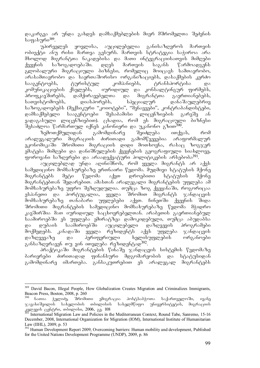დაკარგვა არ უნდა გახდეს დამსაქმებლების მიერ მშრომელთა შეძენის საფასური<sup>389</sup>.

უპირველეს ყოვლისა, აუცილებელია განისაზღვროს მართვის ობიექტი ანუ რისი მართვა გვსურს. მართვის სტრატეგია საჭიროა არა მხოლოდ მიგრანტთა ნაკადებისა და მათი ინტეგრაციისათვის მიმღები<br>ქვეყნის საზოგადოებაში. დღეს მართვის საგანს წარმოადგენს  $\frac{1}{3}$ გლობალური მიგრაციული ბიზნესი, რომელიც მოიცავს სამთავრობო, arasamTavrobo da saerTaSoriso organizaciebs, dasaqmebis kerZo .<br>ტურისტულ კომპანიებს, ტრანსპორტისა და კომუნიკაციების ქსელებს, იურიდიულ და კონსალტინგურ ფირმებს,<br>პროფკავშირებს, დამქირავებელთა და მიგრანტთა გაერთიანებებს, დამქირავებელთა და მიგრანტ<br>დიასპორებს, სპეციალურ სათვისტომოებს, დიასპორებს, სპეციალურ დანაშაულებრივ \_საზოგადოებებს (მექსიკური "კოიოტები", "შენავეები", კონტრაბანდისტები,<br>\_დამსაქმებელი \_ სააგენტოები \_ შესაბამისი \_ ლიცენზიების \_ გარეშე \_ ან დამსაქმებელი სააგენტოები შესაბამისი ლიცენზიების გარეშე ან ვადაგასული ლიცენზიებით). ცხადია, რომ ეს მიგრაციული ბიზნესი

შესაძლოა წარმართულ იქნეს კანონიერი და უკანონო გზით<sup>390</sup>.<br>არემოთქმულიდან — გამომდინარე — შეიძლება — ითქვ ზემოთქმულიდან გამომდინარე შეიძლება ითქვას, რომ<br>ეგალური მიგრაციის ძირითადი გამომწვევებია არაფორმალურ არალეგალური მიგრაციის ძირითადი გამომწვევებია არაფორმალურ ეკონომიკაში შრომითი მიგრაციის დიდი მოთხოვნა, რასაც ზოგჯერ ემატება მიმღები და დანიშნულების ქვეყნების გეოგრაფიული სიახლოვე, ფოროვანი საზღვრები და არაადექვატური პოლიტიკების არსებობა<sup>391</sup>.

აუცილებლად უნდა აღინიშნოს, რომ ყველა მიგრანტს არ აქვს სამედიცინო მომსახურებაზე ერთნაირი წვდომა. მუდმივი სტატუსის მქონე მიგრანტებს მეტი წვდომა აქვთ დროებითი სტატუსის მქონე მიგრანტებთან შედარებით. ამასთან არალეგალი მიგრანტების უფლება ამ მომსახურებაზე უფრო შეზღუდულია. თუმცა ზოგ ქვეყანაში, როგორიცაა ესპანეთი და პორტუგალია, ყველა შრომით მიგრანტს ჯანდაცვის მომსახურებაზე თანაბარი უფლებები აქვთ. ჩინეთში ქვეყნის შიდა შრომითი მიგრანტების სამედიცინო მომსახურებაზე წვდომა მჭიდრო კავშირშია მათ იურიდიულ საცხოვრებელთან. არაბეთის გაერთიანებულ საამიროებში ეს უფლება ემირატზეა დამოკიდებული, თუმცა აბუდაბსა<br>და დუბაის საამიროებში აუცილებელი დაზღვევის პროგრამები და დუბაის საამიროებში აუცილებელი დაზღვევის პროგრამები მოქმედებს. კანადაში ყველა რეზიდენტს აქვს უფლება ჯანდაცვის დაზღვევაზე და პერიფერიული ხელისუფლების ორგანოები განსაზღვრავენ თუ ვინ ითვლება რეზიდენტად<sup>392</sup>.

პრაქტიკაში მიგრანტების წინაშე ჯანდაცვის სისტემის წვდომაზე<br>რები ძირითადად ფინანსური მდგომარეობის და სტატუსიდან ბარიერები ძირითადად ფინანსური მდგომარეობის და გამომდინარე იმართება. განსაკუთრებით ეს არალეგალ მიგრანტებს

<sup>389</sup> David Bacon, Illegal People, How Globalization Creates Migration and Criminalizes Immigrants, Beacon Press, Boston, 2008, p. 260<br><sup>390</sup> ნათია ჭელიძე, შრომითი

<sup>-</sup>ნათია ჭელიძე, შრომითი ემიგრაცია პოსტსაბჭოთა საქართველოში, ივანე<br>ახიშვილის სახელობის თბილისის სახელმწიფო უნივერსიტეტის, მიგრაციის  $\infty$ ავახიშვილი $\overline{b}$  სახელობის თბილისის  $k$ ദ്ദുജുദ്ദാം ദ്രാ $k_0$ ന്ന്, ന്യായുക 2006,  $\delta$ 3. 108

International Migration Law and Policies in the Mediterranean Context, Round Tabe, Sanremo, 15-16 December, 2008, International Organization for Migration (IOM), International Institute of Humanitarian Law (IIHL), 2009, p. 53

<sup>&</sup>lt;sup>392</sup> Human Development Report 2009, Overcoming barriers: Human mobility and development, Published for the United Nations Development Programme (UNDP), 2009, p. 86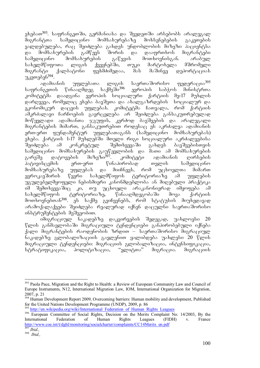ეხებათ<sup>393</sup>. საფრანგეთში, გერმანიასა და შვედეთში არსებობს არალეგალ შიგრანტთა სამედიცინო მომსახურებაზე მოხსენებების გაკეთების ვალდებულება, რაც შეიძლება გახდეს უნდობლობის მიზეზი პაციენტსა<br>და მომსახურების გამწევს შორის და დააფრთხოს მიგრანტები da momsaxurebis gamwevs Soris da daafrTxos migrantebi სამედიცინო მომსახურების გაწევის მოთხოვნისგან. არაბულ სახელმწიფოთა ლიგის ქვეყნებში, თუკი მარტოხელა მშრომელი<br>მიგრანტი ქალბატონი ფეხმძიმედაა, მას მაშინვე დეპორტაციას ggbddodggos, dsb ds'do639 ggdoo68500sb  $u_{\text{JJ}}$ gang $\frac{1}{2}$ 6<sup>394</sup>.

adamianis uflebaTa ligis saerTaSoriso federacia<sup>395</sup> საფრანგეთის წინააღმდეგ საქმეში<sup>396</sup> ევროპის საბჭოს მინისტრთა<br>კომიტეტმა დაადგინა ევროპის სოციალური ქარტიის მე-17 მუხლის კომიტეტმა დაადგინა ევროპის სოციალური ქარტიის მე-17 დარღვევა, რომელიც ეხება ბავშვთა და ახალგაზრდების სოციალურ და<br>ეკონომიკურ დაცვის უფლებას. კომიტეტმა ჩათვალა, რომ ქარტიის  $\overline{\text{a}}$ მონომიკურ დაცვის უფლებას. კომიტეტმა ჩათვალა, რომ ამკრძალავი ჩარჩოების გავრცელება არ შეიძლება განსაკუთრებულად მოწყვლადი ადამიანთა ჯგუფის, კერძოდ ბავშვების და არალუგალი შიგრანტების მიმართ, განსაკუთრებით როდესაც ეს აკრძალვა ადამიანის ერთ-ერთ ფუნდამენტურ უფლებათაგანს (სამედიცინო მომსახურებას) .<br>ეხება. ქარტიის 1-17 მუხლებში მთელი რიგი სოციალური აკრძალვებისა<br>"მეიძლება \_ ამ \_ კონკრეტულ \_ "მემთხვევაში \_ გახდეს \_ ბავშვებისთვის შეიძლება ამ კონკრეტულ შემთხვევაში გახდეს ბავშვებისთვის სამედიცინო მომსახურების გაუწევლობის და მათი ამ მომსახურების<br>გარეშე დატოვების მიზეზი<sup>397</sup>. კომიტეტი ადამიანის დირსების გარუშე დატოვების შიზეზი<sup>397</sup>. კომიტეტი ადამიანის დირსების პატივისცემის ერთ-ერთ წინაპირობად თვლის სამედიცინო მომსახურებაზე უფლებას და მიიჩნევს, რომ უცხოელთა მიმართ<br>ევროკავშირის წევრი სახელმწიფოს ტერიტორიაზე ამ უფლების ევროკავშირის წევრი სახელმწიფოს ტერიტორიაზე ამ უფლების უგულებელმყოფელი ნებისმიერი კანონმდებლობა ან მიღებული პრაქტიკა<br>იმ შემთხვევაშიც კი, თუ უცხოელი არაკანონიერად იმყოფება ამ ც კი, თუ უცხოელი არაკანონიერად იმყოფება ამ<br>\_ტერიტორიაზე, წინააღმდეგობაში მოვა ქარტიის სახელმწიფოს ტერიტორიაზე, წინააღმდეგობაში მოვა ქარტიის მოთხოვნებთან<sup>398</sup>. ეს საქმე გვიჩვენებს, რომ სტატუსის მიუხედავად არამოქალაქეები შეიძლება რეალურად იქნენ დაცულნი საერთაშორისო ინსტრუმენტების მეშვეობით.

იმიგრაციულ ნაკადებზე დაკვირვების შედეგად, უახლოესი 20 წლის განმავლობაში მიგრაციული ტენდენციები განპირობებული იქნება ქალი მიგრანტების რაოდენობის ზრდით – საერთაშორისო მიგრაციულ ნაკადებზე გლობალიზაციის გავლენით ყალიბდება უახლესი 20 წლის მიგრაციული ტენდენციები: მიგრაციის გლობალიზაცია, ინტენსიფიკაცია, სტრატიფიკაცია, პოლიტიზაცია, "ელიტთა" მიგრაცია. მიგრაციის

<sup>-</sup><sup>393</sup> Paola Pace, Migration and the Right to Health: a Review of European Community Law and Council of Europe Instruments, N12, International Migration Law, IOM, International Organization for Migration, 2007, p. 21

<sup>&</sup>lt;sup>394</sup> Human Development Report 2009, Overcoming barriers: Human mobility and development, Published for the United Nations Development Programme (UNDP), 2009, p. 86

http://en.wikipedia.org/wiki/International\_Federation\_of\_Human\_Rights\_Leagues

<sup>&</sup>lt;sup>396</sup> European Committee of Social Rights, Decision on the Merits Complaint No. 14/2003, By the International Federation of Human Rights Leagues (FIDH) v. France International Federation of Human Rights Leagues (FIDH) v. France http://www.coe.int/t/dghl/monitoring/socialcharter/complaints/CC14Merits\_en.pdf

<sup>397</sup> *Ibid.,* 398 *Ibid.,*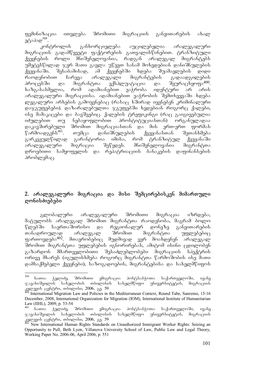ფემინიზაცია ითვლება შრომითი მიგრაციის განვითარების ახალ  $a^{8}$ აპად<sup>399</sup>.

კონტროლის განხორციელება აუცილებელია არალეგალური მიგრაციის გადამწყვეტი ფაქტორების გათვალისწინებით. ტრანზიტული ქვეყნების როლი მნიშვნელოვანია, რადგან არალეგალ მიგრანტებს უმეტესწილად ჯერ მათი გავლა უწევთ სანამ მოხვდებიან დანიშნულების<br>ქვეყანაში. შესაბამისად, ამ ქვეყნებში ხდება შუამავლების დიდი შესაბამისად, ამ ქვეყნებში ხდება შუამავლების დიდი<br>, ჩარევა არალეგალი მიგრანტების გადაადგილების რაოდენობით ჩარევა არალეგალი მიგრანტების გადაადგილების პროცესში და მიგრანტთა ექსპლუატაცია და შეურაცხყოფა<sup>400</sup>. ხაზგასასმელია, რომ ადამიანებით ვაჭრობა იდენტური არ არის არალეგალური მიგრაციისა. ადამიანებით ვაჭრობის შემთხვევაში ხდება ლეგალური არხების გამოყენებაც (რასაც ხშირად იყენებენ კრიმინალური  $\varrho$ აჯგუფებები).  $\varrho$ აზარალებულთა ჯგუფებში ხვდებიან როგორც ქალები, ისე მამაკაცები და ბავშვებიც. ქალების ტრეფიკინგი (რაც გაიგივებულია იძულებით თუ ნებაყოფლობით პროსტიტუციასთან) ორგანულადაა დაკავშირებული შრომით მიგრაციასთან და მის ერთ-ერთ ფორმას<br>წარმოადგენს<sup>401</sup>. თუმცა დანიშნულების ქვეყანასთან შეთანხმება წარმოადგენს<sup>401</sup>. თუმცა დანიშნულების ქვეყანასთან შეთანხმება<br>გარკვეულწილად გარანტორია იმისა, რომ ტრანზიტულ ქვეყანაში გარკვეულწილად გარანტორია იმისა, რომ ტრანზიტულ ქვეყანაში არალეგალური მიგრაცია შეწყდეს. მნიშვნელოვანია მიგრანტთა დროებითი სამყოფელის და რეპატრიაციის ბანაკების დაფინანსების პრობლემაც.

## 2. არალეგალური მიგრაცია და მისი შემცირებისკენ მიმართული დონისძიებები

გლობალური არალეგალური შრომითი მიგრაცია იზრდება, მატულობს არალეგალ შრომით მიგრანტთა რაოდენობა, მაგრამ ბოლო წლებში საერთაშორისო და რეგიონალურ დონეზე განვითარების<br>თანადროულად არალეგალ შრომით მიგრანტთა უფლებებიც თანადროულად არალეგალ შრომით მიგრანტთა უფლებებიც ფართოვდება $^{402}$ . მთავრობებიც მუდმივად ვერ მოახდენენ არალეგალ შრომით მიგრანტთა უფლებების იგნორირებას, ამიტომ ისინი ცდილობენ გაზარდონ მმართველობითი შესაძლებლობები მიგრაციის სპექტრის ორივე მხარეს (იგულისხმება როგორც მიგრანტთა წარმოშობის ისე მათი დამსაქმებელი ქვეყნები), საზოგადოების, მიგრანტებისა და სახელმწიფოს

<sup>399</sup> ნათია ჭელიძე, შრომითი ემიგრაცია პოსტსაბჭოთა საქართველოში, ივანე  $\chi$ ავახიშვილის სახელობის თბილისის სახელმწიფო უნივერსიტეტის, მიგრაციის 33 magaal (306660, ook ook 000 magaal 000 magaal 000 magaal 000 magaal 000 magaal 000 magaal 000 magaal 000 magaal 000 magaal 000 magaal 000 magaal 000 magaal 000 magaal 000 magaal 000 magaal 000 magaal 000 magaal 000 maga

International Migration Law and Policies in the Mediterranean Context, Round Tabe, Sanremo, 15-16 December, 2008, International Organization for Migration (IOM), International Institute of Humanitarian Law (IIHL), 2009, p. 53-54<br><sup>401</sup> ნათია ჭელიძე, შრომითი

<sup>-</sup>ნათია ჭელიძე, შრომითი ემიგრაცია პოსტსაბჭოთა საქართველოში, ივანე<br>ახიშვილის სახელობის თბილისის სახელმწიფო უნივერსიტეტის, მიგრაციის  $\infty$ გვახიშვილის სახელობის თბილისის სახელმწიფო  $k_{\rm B}$ ggerggob (306666, moogoobo, 2006,  $\overline{\phantom{a}33}$ . 59

<sup>402</sup> New International Human Rights Standards on Unauthorized Immigrant Worker Rights: Seizing an Opportunity to Pull, Beth Lyon, Villanova University School of Law, Public Law and Legal Theory, Working Paper No. 2006-06, April 2006, p. 551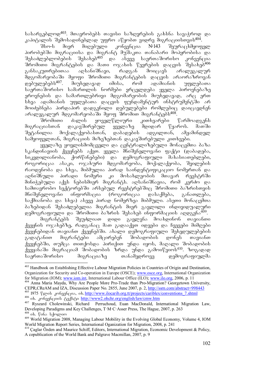სასარგებლოდ<sup>403</sup>. მთავრობებს თავისი საზღვრების გახსნა სავაჭროდ და

კაპიტალის შემოსადინებლად უფრო აწყობთ ვიდრე მიგრაციისთვის<sup>404</sup>.<br>"მსო-ს მიერ მიღებული კონვენცია №143 შეურაცხმყოფ შსო-ს მიერ მიღებული კონვენცია №143 შეურაცხმყოფელ პირობებში მიგრაციისა და მიგრანტ მუშაკთა თანაბარი მოპყრობისა და SesaZleblobebis Sesaxeb405 da aseve saerTaSoriso konvencia ື მრომითი მიგრანტების და მათი ოჯახის წევრების დაცვის შესახებ<sup>406</sup><br>განსაკუთრებითაა აღსანიშნავი, რადგან მოიცავს არალეგალურ განსაკუთრებითაა აღსანიშნავი, რადგან მოიცავს არალეგალურ მდგომარეობაში მყოფი შრომითი მიგრანტების დაცვის არაორაზროვან<br>დებულებებს<sup>407</sup>. მიუხედავად იმისა, რომ ადამიანის უფლებათა მიუხედავად იმისა, რომ ადამიანის უფლებათა საერთაშორისო სამართლის ნორმები ერცელდება ყველა პიროვნებაზე ეროვნების და სამართლებრივი მდგომარეობის მიუხედავად, არც ერთ სხვა ადამიანის უფლებათა დაცვის ფუნდამენტურ ინსტრუმენტში არ მოიძებნება პირდაპირ დადგენილი დებულებები რომლებიც დაიცავდნენ aralegalur mdgomareobaSi myof SromiT migrantebs408.

\_ ძალის ყოველწლიური კითხვარები წარმოადგენს<br>ააკავშირებულ ყველაზე მდიდარ წყაროს. მათში მიგრაციასთან დაკავშირებულ ყველაზე მდიდარ წყაროს. მათში შეტანილია მოქალაქეობასთან, დაბადების ადგილთან, ამჟამინდელ სამყოფელთან, მიგრაციის მიზეზებთან დაკავშირებული კითხვები.

ყველაზე ყოვლისმომცველი და ცენტრალიზებული მონაცემთა ბაზა სკანდინავიის ქვეყნებს აქვთ. ყველა მნიშვნელოვანი ფაქტი (დაბადება, სიკვდილიანობა, ქორწინებები) და დემოგრაფიული მახასიათებლები, როგორიცაა ასაკი, ოჯახური მდგომარეობა, მოქალაქეობა, შვილების რაოდენობა და სხვა, მიბმულია პირად საინდენტიფიკაციო ნომერთან და აღნიშნული პირადი ნომერი კი მოსახლეობის მთავარ რეესტრში მინიჭებული აქვს ნებისმიერ მიგრანტს. აღსანიშნავია, რომ კერძო და სამთავრობო სექტორებში არსებულ რეესტრებშიც შრომითი ბაზრისთვის შნიშვნელოვანი ინფორმაცია (როგორიცაა დასაქმება, განათლება, საქმიანობა და სხვა) ასევე პირად ნომერზეა მიბმული. ასეთი მონაცემთა ბაზებიდან შესაძლებელია მიგრანტის მიერ გავლილი ინდივიდუალური დემოგრაფიული და შრომითი ბაზრის შესახებ ინფორმაციის აღდგენა<sup>409</sup>.

მიგრანტებს შეუძლიათ დიდი გავლენა მოახდინონ თავიანთი ქვეყნის ოჯახებზე, რადგანაც მათ გადააქვთ იდეები და ჩვევები მიმღები ქვეყნებიდან თავიანთ ქვეყნებში. ახალი დემოგრაფიული შეხედულებების გადატანით მიგრანტები ამცირებენ შობადობის დონეს თავიანთ ქვეყნებში, თუმცა თითქოსდა პირიქით უნდა იყოს, მაღალი შობადობის ქვეყანაში მიგრაციამ შობადობის ზრდა უნდა გამოიწვიოს<sup>410</sup>. ზოგადად<br>საერთაშორისო — მიგრაციაზე — თანამედროვე — დემოგრაფიულმა დემოგრაფიულმა

<sup>-</sup><sup>403</sup> Handbook on Establishing Effective Labour Migration Policies in Countries of Origin and Destination, Organization for Security and Co-operation in Europe (OSCE); www.osce.org, International Organization for Migration (IOM); www.iom.int, International Labour Office (ILO); www.ilo.org, 2006, p. 11

<sup>404</sup> Anna Maria Mayda, Why Are People More Pro-Trade than Pro-Migration? Georgetown University, CEPR,CReAM and IZA, Discussion Paper No. 2855, June 2007, p. 2, http://ssrn.com/abstract=998443 405 1975 www.jocarib.org.tt/projects/cariblex/conventions 7.shtml 406 ob. 3ω6336(300b δηθείου http://www2.ohchr.org/english/law/cmw.htm

<sup>407</sup> Ryszard Cholewinski, Richard Perruchoud, Euan MacDonald, International Migration Law, Developing Paradigms and Key Challenges, T·M·C·Asser Press, The Hague, 2007, p. 263

 $408$  ob.  $606$   $\frac{1}{2}$   $\omega$  where

<sup>409</sup> World Migration 2008, Managing Labour Mobility in the Evolving Global Economy, Volume 4, IOM World Migration Report Series, International Oganization for Migration, 2008, p. 241

<sup>410</sup> Çaglar Özden and Maurice Schiff, Editors, International Migration, Economic Development & Policy, A copublication of the World Bank and Palgrave Macmillan, 2007, p. 9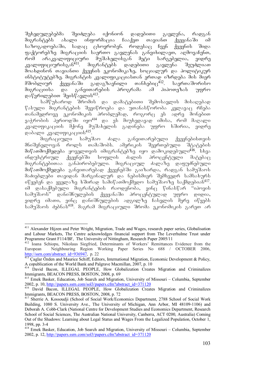შეხედულებებმა შეიძლება იქონიონ დადებითი გავლენა, რადგან migrantebs axali informacia CaaqvT TavianT qveyanaSi im საზოგადოებაში, სადაც ცხოვრობენ. როდესაც ჩვენ ქვეყნის შიდა ფაქტორებზე მიგრაციის საერთო გავლენას განვიხილავთ, აღმოვაჩენთ, რომ არაკვალიფიციური მუშახელისგან მეტი სარგებელია, ვიდრე  $\lambda$ ვალიფიციურისგან $^{411}$ . მიგრანტებს დადებითი გავლენა შეუძლიათ moaxdinon TavianTi qveynis ekonomikaze, socialur da politikur ინსტიტუტებზე. მიგრანტის კვალიფიკაციასთან ერთად იზრდება მის მიერ მშობლიურ ქვეყანაში გადაგზავნილი თანხებიც<sup>412</sup>. საერთაშორისო<br>მიგრაციისა და განვითარების პროგრამა ამ პიპოთეზას უფრო მიგრაციისა და განვითარების პროგრამა ამ ჰიპოთეზას უფრო  $\mathfrak{g}\circ\mathfrak{f}'$ ვრილებით შეის $\mathfrak{f}'$ ავლის $^{413}$ .

სამწუხაროდ შრომის და დამატებითი შემოსავლის მისაღებად წასული მიგრანტების შევიწროება და უთანასწორობა კვლავაც რჩება  $\sigma$ თანამედროვე ეკონომიკის პრობლემად, როგორც ეს ადრე მონებით ვაჭრობის პერიოდში იყო<sup>414</sup> და ეს მიუხედავად იმისა, რომ მაღალი კვალიფიკაციის მქონე მუშახელის გადინება უფრო ხშირია, ვიდრე დაბალი კვალიფიკაციის<sup>415</sup>.<br>მიგრაციული სამუშაო

მიგრაციული სამუშაო ძალა გან<mark>ვითარებული ქვეყნებისთვის</mark><br>5ელოვან როლს თამაშობს. ამერიკის შეერთებული შტატების მნიშვნელოვან როლს თამაშობს. ამერიკის შეერთებული შტატების მიწათმოქმედება ყოველთვის იმიგრანტებზე იყო დამოკიდებული<sup>416</sup>. სხვა<br>ინდუსტრიულ ქვეყნებში სოფლის ძალის პროცენტული მატებაც ქვეყნებში სოფლის ძალის პროცენტული მატებაც მიგრანტებითაა განპირობებული. მიგრაციულ ძალაზე დაფუძნებული მიწათმოქმედება განვითარებად ქვეყნებში გაიზარდა, რადგან სამუშაოს მაძიებლები თავიდან მარგინალურ და ნებისმიერ შემხვედრ სამსახურს  $\sigma$ წყებენ და ყველაზე ხშირად სამიწათმოქმედო სამუშაოზე საქმდებიან<sup>417</sup>. იმ დასაქმებული მიგრანტების რაოდენობა, ვინც წინასწარ "იპოვის სამუშაოს" დანიშნულების ქვეყანაში პროცენტულად უფრო დიდია, ვიდრე იმათი, ვინც დანიშნულების ადგილზე ჩასვლის მერე იწყებს სამუშაოს ძებნას<sup>418</sup>. მაგრამ მიგრაციული შრომა ეკონომიკის გარეთ არ

<sup>-</sup>411 Alexander Hijzen and Peter Wright, Migration, Trade and Wages, research paper series, Globalisation and Labour Markets, The Centre acknowledges financial support from The Leverhulme Trust under Programme Grant F114/BF, The University of Nittingham, Research Paper 2005/11

<sup>&</sup>lt;sup>412</sup> Ioana Schiopu, Nikolaus Siegfried, Determinants of Workers' Remittances Evidence from the European Neighbouring Region Working Paper Series No 688 / OCTOBER 2006, http://ssrn.com/abstract\_id=936947, p. 22

<sup>&</sup>lt;sup>413</sup> Çaglar Özden and Maurice Schiff, Editors, International Migration, Economic Development & Policy, A copublication of the World Bank and Palgrave Macmillan, 2007, p. 10

<sup>414</sup> David Bacon, ILLEGAL PEOPLE, How Globalization Creates Migration and Criminalizes Immigrants, BEACON PRESS, BOSTON, 2008, p. 69

<sup>&</sup>lt;sup>415</sup> Emek Basker, Education, Job Search and Migration, University of Missouri – Columbia, September 2002, p. 10, http://papers.ssrn.com/sol3/papers.cfm?abstract\_id=371120

<sup>416</sup> David Bacon, ILLEGAL PEOPLE, How Globalization Creates Migration and Criminalizes Immigrants, BEACON PRESS, BOSTON, 2008, p. 72

<sup>&</sup>lt;sup>417</sup> Sherrie A. Kossoudii (School of Social Work/Economics Department, 2788 School of Social Work Building, 1080 S. University Ave., The University of Michigan, Ann Arbor, MI 48109-1106) and Deborah A. Cobb-Clark (National Centre for Development Studies and Economics Department, Research School of Social Sciences, The Australian National University, Canberra, ACT 0200, Australia) Coming Out of the Shadows: Learning about Legal Status and Wages From the Legalized Population, October 1, 1998, pp. 3-4

<sup>418</sup> Emek Basker, Education, Job Search and Migration, University of Missouri – Columbia, September 2002, p. 12, http://papers.ssrn.com/sol3/papers.cfm?abstract\_id=371120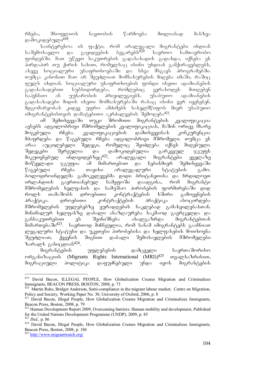რჩება, მსოფლიოს ნავთობის წარმოება მთლიანად მასზეა დამოკიდებული<sup>419</sup>.

საინტერესოა ის ფაქტი, რომ არალეგალი მიგრანტები იხდიან<br>უსავლო და გაყიდვების ბეგარებს<sup>420</sup> საერთო სამთავრობო საშემოსავლო და გაყიდვების ბეგარებს $^{420}$  საერთო სამთავრობო  $f(x)$  grobogada. as a  $f(y)$  sake the same pool is gaday and  $\tilde{g}$  sake the same same subset  $\tilde{g}$  $\delta$ ირდაპირ თუ ქირის სახით, რომელსაც ისინი უხდიან გამქირავებლებს,  $\sigma$ ასევე სოციალური უსაფრთხოებაში და სხვა მსგავს პროგრამებში. თუმცა კანონით მათ არ შეუძლიათ მომსახურების მიღება იმაში, რაშიც ფულს იხდიან. სოციალური უსაფრთხოების ფონდი ისეთი ადამიანების<br>გადასახადებით სუბსიდირდება, რომლებიც ვერასოდეს მიიღებენ გადასახადებით სუბსიდირდება, რომლებიც ვერასოდეს მიიღებენ<br>საპენსიო ან უუნარობის პრივილეგიებს. უსაბუთო ადამიანების საპენსიო ან უუნარობის პრივილეგიებს. უსაბუთო ადამიანების  $a$ asosbabasado dooob obgoo dodbabyogdado osba $\alpha$  obobo ggo oggbadgab. შდგომარეობას კიდევ უფრო ამძიმებს სახელმწიფოს მიერ უსაბუთო იმიგრანტებისთვის დამატებითი აკრძალვების შემოღუბა $^{421}$ .

იმ შემთხვევაში თუკი შრომითი მიგრანტების კვალიფიკაცია ავსებს ადგილობრივი მშრომელების კვალიფიკაციას, მაშინ ორივე მხარე მოგებული რჩება. კვალიფიკაციების დამთხვევისას კონკურენცია მძაფრდება და წაგებული რჩება ადგილობრივი მშრომელი. თუმცა ეს არაა აუცილებელი შედეგი, რომელიც შეიძლება იქნეს მიღებული. შედეგები შერეულია და დამოკიდებულია გარკვეულ ჯგუფს<br>მიკუთვნებულ ინდივიდებზეც<sup>422</sup>. არალეგალი მიგრანტები ყველაზე მიკუთვნებულ ინდივიდებზეც $^{422}$ . არალეგალი მიგრანტები ყველაზე მოწყვლადი ჯგუფია ამ მიმართებით და ნებისმიერ შემთხვევაში  $\beta$ აგებული რჩება თავისი არალეგალური სტატუსის გამო. ბოლოდროინდელმა გამოკვლევებმა დიდი ბრიტანეთისა და ჩრდილოეთ ირლანდიის გაერთიანებულ სამეფოში დაადგინა, რომ მიგრანტი მშრომელების ხელფასის და სამუშაო პირობების ფორმირებაში დიდ როლს თამაშობს დროებითი კონტრაქტების ხშირი გამოყენების პრაქტიკა. დროებითი კონტრაქტების პრაქტიკა ასოცირდება მშრომელების უფლებებზე ყურადღების ნაკლებად გამახვილებასთან. მინიმალურ ხელფასზე დაბალი ანაზღაურება საკმაოდ გავრცელდა და<br>განსაკუთრებით — ეს — შეინიშნება — ახალგაზრდა — მიგრანტებთან განსაკუთრებით ეს შეინიშნება ახალგაზრდა მიგრანტებთან მიმართებაში<sup>423</sup>. საერთოდ მიჩნეულია, რომ სანამ იმიგრანტებს გააჩნიათ ლეგალური სტატუსი და უკეთესი პირობებისა და ხელფასების მოთხოვნა შეუძლიათ, ქვეყნის შიგნით დაბალი შემოსავლების მშრომელები

ზარალს განიცდიან<sup>424</sup>.<br>მიგრანტების უფლებების დამცველი საერთაშორისო  $\omega$ <sub>3</sub>  $\omega$ <sub>3</sub>  $\omega$ <sub>3</sub>  $\omega$ <sub>5</sub> (Migrants Rights International (MRI))<sup>425</sup>  $\omega$ <sub>3</sub>  $\omega$ <sub>3</sub>  $\omega$ 5  $\omega$ <sub>5</sub>  $\omega$ <sub>5</sub> (Migrants Rights International (MRI))<sup>425</sup> მიგრაციული პოლიტიკა დაფუძნებული უნდა იყოს მიგრანტების

<sup>419</sup> David Bacon, ILLEGAL PEOPLE, How Globalization Creates Migration and Criminalizes Immigrants, BEACON PRESS, BOSTON, 2008, p. 73

<sup>&</sup>lt;sup>420</sup> Martin Ruhs, Bridget Anderson, Semi-compliance in the migrant labour market, Centre on Migration, Policy and Society, Working Paper No. 30, University of Oxford, 2006, p. 8

<sup>&</sup>lt;sup>421</sup> David Bacon, Illegal People, How Globalization Creates Migration and Criminalizes Immigrants, Beacon Press, Boston, 2008, p. 79

<sup>&</sup>lt;sup>422</sup> Human Development Report 2009, Overcoming barriers: Human mobility and development, Published for the United Nations Development Programme (UNDP), 2009, p. 85

<sup>&</sup>lt;sup>424</sup> David Bacon, Illegal People, How Globalization Creates Migration and Criminalizes Immigrants, Beacon Press, Boston, 2008, p. 186

<sup>425</sup> http://www.migrantwatch.org/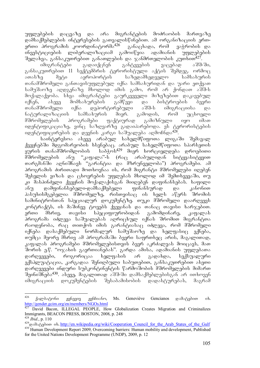უფლებების დაცვაზე და არა მიგრანტების მოძრაობის მართვაზე დამსაქმებლების ინტერესების გათვალისწინებით. ამ ორგანიზაციის ერთ-<br>ერთი პროგრამის კოორდინატორმა<sup>426</sup> განაცხადა, რომ ვაჭრობის და  $\sigma$ ერთი პროგრამის კოორდინატორმა $^{426}$  განაცხადა, რომ ვაჭრობის და ინვესტიციების ლიბერალიზაციამ გამოიწვია ადამიანის უფლებების  $\partial \partial \phi$  მელახვა, განსაკუთრებით განათლების და ჯანმრთელობის კუთხით $^{427}$ .

იმიგრანტები გადაიქცნენ განტევების ვაცებად აშშ-ში, განსაკუთრებით  $11$  სექტემბრის ტერორისტული აქტის შემდეგ. ორმოც ათასზე მეტი აეროპორტის საზედამხედველო სამსახურის თანამშრომელი განთავისუფლებულ იქნა სამსახურიდან და უარი ეთქვათ სამუშაოზე აღდგენაზე მხოლოდ იმის გამო, რომ არ ქონდათ აშშ-ს მოქალაქეობა. სხვა იმიგრანტები გაურკვეველი მიზეზებით დაკავებულ იქნენ, ასევე მომსახურების გამწევი და ბისტროების ბევრი<br>თანამშრომელი იქნა დეპორტირებული აშშ-ს იმიგრაციისა და თანამშრომელი იქნა დეპორტირებული აშშ-ს იმიგრაციისა და<br>ნატურალიზაციის სამსახურის მიერ. გამოდის, რომ უცხოელი ნატურალიზაციის სამსახურის მიერ. გამოდის, რომ უცხოელი მშრომელების პროგრამები ფაქტიურად გამიზნული იყო იმათ <u>იდენტიფიკაციაზე, ვინც საზღვარზე გადაიპარე</u>ბოდა. ეს ტერორისტების oggb sadentificiale da develop de version de version de version de version de version de version de

საინტერესოა ასევე არაბულ სახელმწიფოთა ლიგაში შემავალ ქვეყნებში მდგომარეობის ხსენებაც. არაბულ სახელმწიფოთა სპარსეთის ყურის თანამშრომლობის საბჭოს<sup>429</sup> მიერ ხორციელდება დროებითი<br>მშრომელების ანუ "კაფალა"-ს (რაც არაბულიდან სიტყვასიტყვით მშრომელების ანუ "კაფალა"-ს (რაც არაბულიდან სიტყვასიტყვით თარგმანში აღნიშნავს "გარანტია და მზრუნველობა") პროგრამები. ამ პროგრამის ძირითადი მოთხოვნაა ის, რომ მიგრანტი მშრომელები იღებენ შესვლის ვიზას და ცხოვრების უფლებას მხოლოდ იმ შემთხვევაში, თუ ki maspinZeli qveynis moqalaqisgan miiReben dafinansebas. xafili ანუ დამფინანსებელი-დამსაქმებელი ფინანსურად და პასუხისმგებელია მშრომელზე, რისთვისაც ის ხელს აწერს შრომის სამინიტროსთან სპეციალურ დოკუმენტზე. თუკი მშრომელი დაარღვევს კონტრაქტს, ის მაშინვე ტოვებს ქვეყანას და თანაც თავისი ხარჯებით. ერთი მხრივ, თავისი სპეციფიურობიდან გამომდინარე, კაფალას პროგრამა იძლევა საშუალებას აღრიცხულ იქნას შრომით მიგრანტთა რაოდენობა, რაც თითქოს იმის გარანტიასაც იძლევა, რომ მშრომელი იქნება დასაქმებული ნორმალურ სამუშაოზე და ხელფასიც ექნება, თუმცა მეორე მხრივ ამ პროგრამაში ბევრი საფრთხეც არის, მაგალითად, კაფალას პროგრამები მშრომელებისთვის ბევრ აკრძალვას მოიცავს, მათ შორის ე.წ. "ოჯახის გაერთიანებას". გარდა ამისა, ადამიანის უფლებათა<br>დარღვევები, როგორიცაა ხელფასის არ გადახდა, სექსუალური დარღვევები, როგორიცაა ხელფასის არ გადახდა, ექსპლუატაცია, კარგადაა შენიღბული საბუთებით, განსაკუთრებით ასეთი დარღვევები ინდური სუბკონტინენტის წარმოშობის მშრომელების მიმართ "შეინიშნება<sup>430</sup>. ასევე, მაგალითად აშშ-ში დამსაქმებლებისგან არ ითხოვენ იმიგრაციის დოკუმენტების შესაბამისობის დადასტურებას, მაგრამ

<sup>426</sup> ქალბატონი ჟენევივ ჟენჩიანო, Ms. Geneviève Gencianos დამატებით იხ. http://gender.gcim.org/en/members/NGOs.html

David Bacon, ILLEGAL PEOPLE, How Globalization Creates Migration and Criminalizes Immigrants, BEACON PRESS, BOSTON, 2008, p. 248

<sup>428</sup> *Ibid.*, p. 110

<sup>429&</sup>lt;sub>godo</sub> bittp://en.wikipedia.org/wiki/Cooperation\_Council\_for\_the\_Arab\_States\_of\_the\_Gulf <sup>430</sup> Human Development Report 2009, Overcoming barriers: Human mobility and development, Published for the United Nations Development Programme (UNDP), 2009, p. 12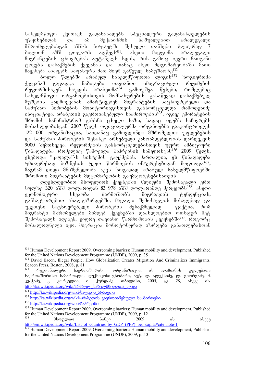სახელმწიფო ქვითავს გადასახადებს სპეციალური გადასახდელების უწყისებიდან და ამ მექანიზმის საშუალებით არალეგალი<br>მშრომელებისგან აშშ-ს ბიუჯეტში შესული თანხები წლიურად 7 ებისგან აშშ-ს ბიუჯეტში შესული თანხები<br>- აშშ დოლარს აღწევს<sup>431</sup>. ასეთი მიდგომა  $\delta$ ილიონ აშშ დოლარს აღწევს<sup>431</sup>. ასეთი მიდგომა არალეგალი მიგრანტების ცხოვრებას აუტანელს ხდის, რის გამოც ბევრი მათგანი ტოვებს დასაქმების ქვეყანას და თანაც ასეთ მდგომარეობაში მათი  $\overline{b}$ აყენება აიაფებს საფასურს მათ მიერ გაწეულ სამუშაოზე $432$ .

<u>ბოლო წლებში არაბულ სახელმწიფოთა ლიგის<sup>433</sup> ზოგიერთმა</u> ქვეყანამ გადადგა ნაბიჯები თავიანთი იმიგრაციული რეჟიმების<br>რეფორმისაკენ. საუდის არაბეთმა<sup>434</sup> გამოუშვა წესები, რომლებიც რეფორმისაკენ. საუდის არაბეთმა<sup>434</sup> გამოუშვა წესები, რომლებიც სახელმწიფო ორგანოებისთვის მომსახურების გასაწევად დასაქმებულ მუშების გადმოყვანას ამარტივებენ. მიგრანტების საცხოვრებელი და სამუშაო პირობების მონიტორინგისთვის განხორციელდა რამოდენიმე  $\sim$ ინიციატივა. არაპუთის გაერთიანებული საამიროების $^{435}$ , იგივე ემირატების შრომის სამინისტრომ გახსნა ცხელი ხაზი, სადაც იღებს საჩივრებს მოსახლეობისგან. 2007 წელს ოფიციალურმა ორგანოებმა გააკონტროლეს 122 000 ორგანიზაცია, საიდანაც გამოვლინდა შშრომელთა უფლებების და სამუშაო პირობების შესახებ არსებული კანონმდებლობის დარღვევის  $9000$  შემთხვევა. რეფორმების განხორციელებისთვის უფრო ამბიციური  $\nabla$  robscoscends romangers  $\nabla$  romangers badragangers banded  $\nabla$  romangers  $\nabla^2$   $\nabla^2$   $\nabla^2$   $\nabla^2$  $\frac{1}{2}$ მხებოდა "კაფალა"-ს სისტეშის გაუქმებას. მართალია, ეს წინადადება  $\frac{1}{2}$ უმთავრესად პიზნესის უკუთ წარმოების ინტერესებიდან მოდიოდა $^{437},$ მაგრამ დიდი მნიშვნელობა აქვს ზოგადად არაბულ სახელმწიფოებში  $\partial \mathcal{L}$  36  $\partial \partial \mathcal{L}$  modern  $\partial \mathcal{L}$  and  $\partial \mathcal{L}$  and  $\partial \mathcal{L}$  and  $\partial \mathcal{L}$  and  $\partial \mathcal{L}$ 

დღესდღეობით მსოფლიოს ქვეყნებში წლიური შემოსავალი ერთ სულზე 320 აშშ დოლარიდან 83 978 აშშ დოლარამდე მერყეობს<sup>438</sup>. ასეთი ეკონომიკური სხვაობა წარმოშობს მიგრაციის ტენდენციას, განსაკუთრებით ახალგაზრდებში, მაღალი შემოსავლის მისაღებად და უკეთესი საცხოვრებელი პირობების შესაქმნელად. ფაქტია, რომ მიგრანტი მშრომელები მიმღებ ქვეყნებში დაახლოებით ოთხჯერ მეტ  $\partial_{\Omega}$ მოსავალს იღებენ, ვიდრე თავიანთ წარმოშობის ქვეყნებ $\partial$ ი<sup>439</sup>. როგორც მოსალოდნელი იყო, მიგრაცია მონოტონურად იზრდება განათლებასთან

<sup>-</sup><sup>431</sup> Human Development Report 2009, Overcoming barriers: Human mobility and development, Published for the United Nations Development Programme (UNDP), 2009, p. 35

<sup>&</sup>lt;sup>432</sup> David Bacon, Illegal People, How Globalization Creates Migration And Criminalizes Immigrants, Beacon Press, Boston, 2008, p. 81

რეგიონალური საერთაშორისო ორგანიზაცია, იხ. ადამიანის უფლებათა საერთაშორისო სამართალი, ლექსიკონი-ცნობარი, ავტ. ლ. ალექსიძე, ლ. გიორგაძე, მ.<br>კვაჭაძე, კ. კორკელია, ი. ქურდაძე, თბილისი, 2005, გვ. 28, ასევე იხ. კ. კორკელია, ი. ქურდაძე, თბილისი, 2005, გვ. 28, ასევე იხ. http://ka.wikipedia.org/wiki/არაბულ\_სახელმწიფოთა\_ლიგა

<sup>434</sup> http://ka.wikipedia.org/wiki/საუდის არაბეთი

<sup>435</sup> http://ka.wikipedia.org/wiki/არაბეთის\_გაერთიანებული\_საამიროები

<sup>436</sup> http://ka.wikipedia.org/wiki/ბაჰრეინი

<sup>&</sup>lt;sup>437</sup> Human Development Report 2009, Overcoming barriers: Human mobility and development, Published for the United Nations Development Programme (UNDP), 2009, p. 12

 $\frac{438}{3}$  მსოფლიო — ბანკი — 2009 — იხ. ასევე http://en.wikipedia.org/wiki/List\_of\_countries\_by\_GDP\_(PPP)\_per\_capita#cite\_note-1

Human Development Report 2009, Overcoming barriers: Human mobility and development, Published for the United Nations Development Programme (UNDP), 2009, p. 50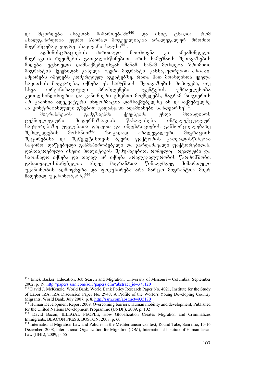და მცირდება ასაკთან მიმართებაში<sup>440</sup> და ისიც ცხადია, რომ abaლგაზრდობა უფრო ხშირად მოგვევლინება არალეგალურ შრომით მიგრანტებად ვიდრე ასაკოვანი ხალხი<sup>441</sup>.<br>ადმინისტრაციების — ძირითადი

ადმინისტრაციების ძირითადი მოთხოვნა კი ამჟამინდელი მიგრაციის რეჟიმების გათვალისწინებით, არის სამუშაოს შეთავაზების მიღება უცხოელი დამსაქმებლისგან მანამ, სანამ მოხდება შრომითი მიგრანტის ქვეყნიდან გასვლა. ბევრი მიგრანტი, განსაკუთრებით აზიაში, ამყარებს იმედებს კომერციულ აგენტებზე, რათა მათ მოახდინონ ყველა -საკითხის მოგვარება, იქნება ეს სამუშაოს შეთავაზების მოპოვება, თუ<br>სხვა — ორგანიზაციული — პრობლემები. — აგენტების — უმრავლესობა სხვა ორგანიზაციული პრობლემები. აგენტების უმრავლესობა კეთილ $\mathop{\mathrm{b}}$ ინდი $\mathop{\mathrm{b}}$ იერია და კანონიერი გზებით მოქმედებს, მაგრამ ზოგიერთს არ გააჩნია ადექვატური ინფორმაცია დამსაქმებელზე ან დასაქმებულზე an kontrabanduli gzebiT gadahyavT adamianebi sazRvarze442.

მიგრანტების გამგზავნმა ქვეყნებმა უნდა მოახდინონ<br>ტექნოლოგიური მოდერნიზაციის წახალისება ინტელექტუალურ მოდერნიზაციის წახალისება ინტელექტუალურ საკუთრებაზე უფლებათა დაცვით და ინვესტიციების განხორციელებაზე  $\partial \tilde{\theta}$ შეზღუდვების მოხსნით<sup>443</sup>. ბოგადად არალეგალური მიგრაციის შეცირებისა და შეწყვეტისთვის ბევრი ფაქტორის გათვალისწინებაა საჭირო. დაწყებული განმაპირობებელი და გარდამავალი ფაქტორებიდან, დამთავრებული ისეთი პოლიტიკის შემუშავებით, რომელიც რეალური და სათანადო იქნება და თავად არ იქნება არალეგალურობის წარმომშობი. გასათვალისწინებელია ასევე მიგრანტთა წინააღმდეგ მიმართული უკანონობის აღმოფხვრა და ფოკუსირება არა მარტო მიგრანტთა მიერ  $\beta$ sogbog  $\gamma$ zsbebedg $\delta$ ba<sup>444</sup>.

 $440\,$ <sup>440</sup> Emek Basker, Education, Job Search and Migration, University of Missouri – Columbia, September 2002, p. 19,  $\frac{http://papers.ssrn.com/sol3/papers.cfm?abstract id=371120}$ 

<sup>&</sup>lt;sup>441</sup> David J. McKenzie, World Bank, World Bank Policy Research Paper No. 4021, Institute for the Study of Labor IZA, IZA Discussion Paper No. 2948, A Profile of the World's Young Developing Country<br>Migrants. World Bank. July 2007. p. 8. http://ssrn.com/abstract=935170

 $\frac{142}{442}$  Human Development Report 2009, Overcoming barriers: Human mobility and development, Published for the United Nations Development Programme (UNDP), 2009, p. 102

<sup>443</sup> David Bacon, ILLEGAL PEOPLE, How Globalization Creates Migration and Criminalizes Immigrants, BEACON PRESS, BOSTON, 2008, p. 60

<sup>444</sup> International Migration Law and Policies in the Mediterranean Context, Round Tabe, Sanremo, 15-16 December, 2008, International Organization for Migration (IOM), International Institute of Humanitarian Law (IIHL), 2009, p. 55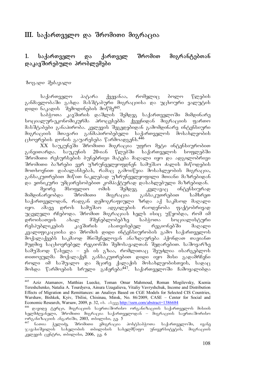# $III.$  საქართველო და შრომითი მიგრაცია

## 1. საქართველო და ქართველ შრომით მიგრანტებთან დაკავშირებული პრობლემები

#### $\delta$ ოგადი შესავალი

საქართველო პატარა ქვეყანაა, რომელიც ბოლო წლების განმავლობაში გახდა მასშტაბური მიგრაციისა და უცხოური ვალუტის დიდი ნაკადის შემოდინების მოწმე<sup>445</sup>.

საპჭოთა კავშირის დაშლის შემდეგ საქართველოში მიმდინარე სოციალურ-ეკონომიკურმა პროცესებმა ქვეყნიდან მიგრაციის ფართო მასშტაბები განაპირობა. კვლევის შეგედებიდან გამომდინარე ინტენსიური მიგრაციის მთავარი განმაპირობებელი საქართველოს მოსახლეობის  $\alpha$ ცხოვრების დონის გაუარესება წარმოადგენს. $^{446}$ 

 $XX$  საუკუნეში შრომითი მიგრაცია უფრო მეტი ინტენსიურობით განვითარდა. საუკუნის 20-იან წლებში საქართველოს სოფლებში შრომითი რესურსების ბუნებრივი მატება მაღალი იყო და ადგილობრივი შრომითი ბაზრები ვერ უზრუნველყოფდნენ სამუშაო ძალის მიწოდების მოთხოვნით დაბალანსებას, რამაც გამოიწვია მოსახლეობის მიგრაცია, განსაკუთრებით მიწით ნაკლებად უზრუნველყოფილი მთიანი მაზრებიდან და ეთნიკური უმცირესობებით კომპაქტურად დასახლებული მაზრებიდან.

მეორე მსოფლიო ომის შემდეგ კვლავაც ინტენსიურად მიმდინარეობდა შრომითი მიგრაცია განსაკუთრებით სამხრეთ საქართველოდან, რადგან დემოგრაფიული ზრდა აქ საკმაოდ მაღალი იყო. ამავე დროს სამუშაო ადგილების რაოდენობა ფაქტობრივად უცვლელი რჩებოდა. შრომით მიგრაციას ხელს ისიც უწყობდა, რომ იმ დროისათვის ახალ მშენებლობებზე საბჭოთა სოციალისტური რესპუბლიკების კავშირის ასათვისებელ რეგიონებში მაღალი კვალიფიკაციისა და შრომის დიდი ინტენსიურობის გამო საქართველოს მოქალაქეებს საკმაოდ მნიშვნელოვან ანაზღაურება პქონდათ თავიანთ მუდმივ საცხოვრებელ რეგიონში შემოსავალთან შედარებით. საშოვარზე სამუშაოდ წასვლა – ეს ის გზაა, რომლითაც შეუძლია ისარგებლოს თითოეულმა მოქალაქემ. განსაკუთრებით დიდი იყო მისი გადამრჩენი როლი იმ საშუალო და მცირე ქალაქის მოსახლეობისთვის, სადაც მოხდა წარმოების სრული გაჩერება<sup>447</sup>. საქართველოში ჩამოყალიბდა

 $445\,$ Aziz Atamanov, Matthias Luecke, Toman Omar Mahmoud, Roman Mogilevsky, Ksenia Tereshchenko, Natalia A. Tourdyeva, Ainura Uzagalieva, Vitaliy Vavryshchuk, Income and Distribution Effects of Migration and Remittances: an Analisys Based on CGE Models for Selected CIS Countries, Warshaw, Bishkek, Kyiv, Tbilisi, Chisinau, Minsk, No. 86/2009, CASE – Center for Social and Economic Research, Warsaw, 2009, p. 32, ob. along http://ssrn.com/abstract=1386684

 $^{446}$  დავიდე ტერცი, მიგრაციის საერთაშორისო ორგანიზაციის საქართველოს მისიის <u>ხელმძღვანელი, შრომითი მიგრაცია საქართველოდან – შიგრაციის საერთაშორისო</u> ორგანიზაციის ანგარიში, 2003, თბილისი, გვ. 5

ნათია ჭელიძე, შრომითი ემიგრაცია პოსტსაბჭოთა საქართველოში, ივანე  $\%$ ავახიშვილის სახელობის თბილისის სახელმწიფო უნივერსიტეტის, მიგრაციის 33 gangob (316860, 000 godo, 2006, 33.6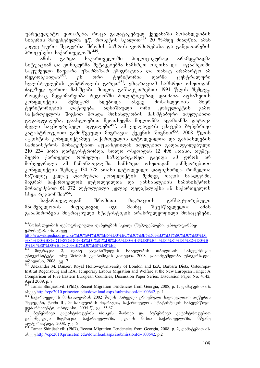უპრეცედენტო ვითარება, როცა გაღატაკებულ ქვეყანაში მოსახლეობის bodgmob dsb3g6gdgmds g. , mobggob b 30mon<sup>448</sup> 20 %-dog dosofos, sds6 კიდევ უფრო შეაფერხა შრომის ბაზრის ფორმირებისა და განვითარების პროცესები საქართველოში<sup>449</sup>.<br>ამის — გარდა — საქარი

ამის გარდა საქართველოში პოლიტიკურად არამდგრადმა  $\frac{1}{100}$ ზუაციამ და ეთნიკურმა შეტაკებებმა სამხრეთ ოსეთსა და აფხაზეთში -საფუძველი ჩაუყარა უზარმაზარ ემიგრაციას და თანაც არამარტო ამ<br>- რეგიონებიდან<sup>450</sup>. — ეს — ორი — ტერიტორია — დარჩა — ცენტრალური რეგიონებიდან<sup>450</sup>. ეს ორი ტერიტორია დარჩა ცენტრალური ხელისუფლების კონტროლის გარეთ<sup>451</sup>. ემიგრაციამ სამხრეთ ოსეთიდან ძალზედ ფართო მასშტაბი მიიღო, განსაკუთრებით 1991 წლის შემდეგ, როდესაც მდგომარეობა რეგიონში პოლიტიკურად დაიძაბა. აფხაზეთის<br>კონფლიქტის — შემდგომ — ხდებოდა — ასევე — მოსახლეობის — მიერ ზემდგომ ხდებოდა ასევე მოსახლეობის მიერ<br>დატოვება. აღნიშნული ორი კონფლიქტის გამო ტერიტორიების დატოვება. აღნიშნული ორი კონფლიქტის გამო საქართველოს შიგნით მოხდა მოსახლეობის მასშტაბური იძულებითი გადაადგილება, დაახლოებით მეოთხედმა მილიონმა ადამიანმა დატოვა  $\partial_{33}$ ლი საცხოვრებელი ადგილები $^{452}$ . ამ ყველაფერს ემატება ბუნებრივი კატასტროფებით გამოწვეული მიგრაცია ქვეყნის შიგნით<sup>433</sup>. 2008 წლის აგვისტოს კონფლიქტამდე საქართველოს ლტოლვილთა და განსახლების სამინისტროს მონაცემებით აფხაზეთიდან იძულებით გადაადგილებული  $210$   $234$  პირი დარეგისტრირდა, ხოლო ოსეთიდან 12 496 ათასი, თუმცა ბევრი ქართველი რომელიც საზღვარგარეთ გავიდა ამ დროს არ მოხვედრილა ამ ჩამონათვალში. სამხრეთ ოსეთიდან განმეორებითი კონფლიქტის შემდეგ 134 728 ათასი ლტოლვილი დაფიქსირდა, რომელთა ნაწილიც კვლავ დაბრუნდა კონფლიქტის შემდეგ თავის სახლებში, მაგრამ საქართველოს ლტოლვილთა და განსახლების სამინისტროს მონაცემებით 61 372 ლტოლვილი კვლავ დედაქალაქსა ან საქართველოს სხვა რეგიონშია<sup>454</sup>.

საქართველოდან შრომითი მიგრაციის განსაკუთრებული მნიშვნელობის მიუხედავად იგი მაინც შეუსწავლელია. ამას განაპირობებს მიგრაციული სტატისტიკის არასრულყოფილი მონაცემები,

-

<sup>&</sup>lt;sup>448</sup>მოსახლეობის დემოგრაფიული დაბერების სკალა (შემდგენლები: ჟ.ბოჟო-გარნიეg. mobaco), ob. sbaaa

http://ru.wikipedia.org/wiki/%D0%94%D0%B5%D0%BC%D0%BE%D0%B3%D1%80%D0%B0%D1 %84%D0%B8%D1%87%D0%B5%D1%81%D0%BA%D0%BE%D0%B5\_%D1%81%D1%82%D0%B <mark>0%D1%80%D0%B5%D0%BD%D0%B8%D0%B5</mark><br><sup>449</sup> მიგრაცია 2, ივანე ჯავახიშვილის

მიგრაცია 2, ივანე ჯავახიშვილის სახელობის თბილისის სახელმწიფო უნივერსიტუტი, თსუ შრომის ეკონომიკის კათედრა 2008, გამომცემლობა უნივერსალი, mdograbo, 2008, a.g. 7

<sup>450</sup> Alexander M. Danzer, Royal HollowayUniversity of London and IZA, Barbara Dietz, Osteuropa-Institut Regensburg and IZA, Temporary Labour Migration and Welfare at the New European Fringe: A Comparison of Five Eastern European Countries, Discussion Paper Series, Discussion Paper No. 4142, April 2009, p. 7

<sup>45&</sup>lt;sup>1</sup> Tamar Shinjiashvili (PhD), Recent Migration Tendencies from Georgia, 2008, p. 1, godogdoon ob. aseve http://epc2010.princeton.edu/download.aspx?submissionId=100642, p. 1

<sup>&</sup>lt;sup>452 აა</sup>ისრთველოს მოსახლეობის 2002 წლის პირველი ეროვნული საყოველთაო აღწერის Sedegebi, tomi III, mosaxleobis migracia, saqarTvelos statistikis saxelmwifo gendered word and the process of the control of the control of the control of the control of the control of the control of the control of the control of the control of the control of the control of the control of the contr

პუნებრივი კატასტროფების რისკის მართვა და პუნებრივი კატასტროფებით<br>იწვეული მიგრაცია საქართველოში, ეუთოს მისია საქართველოში, მწვანე გამოწვეული მიგრაცია საქართველოში, ეუთოს მისია საქართველოში, მწვანე ალტერნატივა, 2008, გვ. 6

<sup>454</sup> Tamar Shinjiashvili (PhD), Recent Migration Tendencies from Georgia, 2008, p. 2, godogdoon ob. aseve http://epc2010.princeton.edu/download.aspx?submissionId=100642, p.2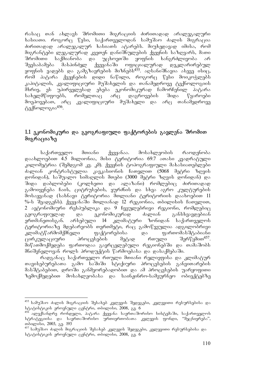რასაც თან ახლავს შრომითი მიგრაციის ძირითადად არალეგალური ხასიათი. როგორც წესი, საქართველოდან სამუშაო ძალის მიგრაცია ძირითადად არალეგალურ ხასიათს ატარებს. მიუხედავად იმისა, რომ მიგრანტები ლეგალურად კვეთენ დანიშნულების ქვეყნის საზღვარს, მათი<br>შრომითი საქმიანობა და უცხოეთში ყოფნის ხანგრძლივობა არ შრომითი საქმიანობა და უცხოეთში ყოფნის ხანგრძლივობა არ შეესაბამება მასპინძელ ქვეყანაში ოფიციალურად დეკლარირებულ  $\frac{99}{20}$  game as  $\frac{99}{20}$  and  $\frac{99}{20}$  and  $\frac{99}{20}$  and  $\frac{99}{20}$  and  $\frac{99}{20}$  and  $\frac{99}{20}$  and  $\frac{99}{20}$  and  $\frac{99}{20}$  and  $\frac{99}{20}$  and  $\frac{99}{20}$  and  $\frac{99}{20}$  and  $\frac{99}{20}$  and  $\frac{99}{2$ რომ პატარა ქვეყნების დიდი ნაწილი, როგორც წესი მოიკოჭლებს კაპიტალის, კვალიფიციური მუშახელის და თანამედროვე ტექნოლოგიის მხრივ, ეს უპირველესად ეხება ეკონომიკურად ჩამორჩენილ პატარა<br>სახელმწიფოებს, რომელთაც არც დაგროვების შიდა წყაროები სახელმწიფოებს, რომელთაც არც დაგროვების შიდა წყაროები მოეპოვებათ, არც კვალიფიციური მუშახელი და არც თანამედროვე  $6.156$ 

### $1.1$  ეკონომიკური და გეოგრაფიული ფაქტორების გავლენა შრომით მიგრაციაზე

საქართველო მთიანი ქვეყანაა. მოსახლეობის რაოდენობა დაახლოებით 4.5 მილიონია, მისი ტერიტორია 69.7 ათასი კვადრატული კილომეტრია (შემდგომ კვ. კმ). ქვეყნის ტოპოგრაფიული მახასიათებლები ძალიან კონტრასტულია კავკასიონის ჩათვლით (5068 მეტრი ზღვის დონიდან), საშუალო სიმაღლის მთები (3000 მეტრი ზღვის დონიდან) და შიდა დაბლობები (კოლხეთი და ალაზანი) რომლებიც ძირითადად გამოიყენება ჩაის, ციტრუსების, ყურძნის და სხვა აგრო კულტურების მოსაყვანად (სახნავი ტერიტორია მთლიანი ტერიტორიის დაახოებით 11 %-ს შეადგენს). ქვეყანაში მთლიანად 12 რეგიონია, თბილისის ჩათვლით, 2 ავტონომიური რესპუბლიკა და 9 ჩვეულებრივი რეგიონი, რომლებიც გეოგრაფიულად და ეკონომიკურად ძალიან განსხვავდებიან ერთმანეთისგან. არსებული 14 კლიმატური ზონიდან საქართველოს ტერიტორიაზე მდებარეობს თერთმეტი, რაც გამოწვეულია ადგილობრივი<br>კლიმატწარმომქმნელი — ფაქტორებისა — და — ფართომასშტაბიანი klimatwarmomqmneli faqtorebisa da farTomasStabiani ცირკულაციური პროცესების მეტად რთული მიწათმოქმედება ფართოდაა გავრცელებული რეგიონებში და თამაშობს მნიშვნელოვან როლს პროდუქტის წარმოებასა და დასაქმებაში.

რადგანაც საქართველო რთული მთიანი რელიეფისა და კლიმატურ თავისებურებათა გამო საშიში სტიქიური პროცესების განვითარების მასშტაბებით, დროში განმეორებადობით და ამ პროცესების უარყოფითი ზემოქმედებით მოსახლეობასა და საინჟინრო-სამეურნეო ობიექტებზე

<sup>-</sup><sup>455</sup> სამუშაო ძალის მიგრაციის შესახებ კვლევის შედეგები, კვლევითი რესურსებისა და  $\log_2$  b $\log_2$ oli $\log_2$ oli americkis erovalismo cantidation,  $\log_2$  contribution  $\log_2$  contribution.

 $^{456}$  ალექსანდრე რონდელი, პატარა ქვეყანა საერთაშორისო სისტემაში, საქართველოს სტრატეგიისა და საერთაშორისო ურთიერთობათა კვლევის ფონდი, "მეცნიერება", moographic, 2003, 83. 193

<sup>&</sup>lt;sup>457</sup> სამუშაო ძალის მიგრაციის შესახებ კვლევის შედეგები, კვლევითი რესურსებისა და  $\log_2$  b $\log_2$ ob $\log_2$  and  $\log_2$  centrical centrical controls  $\log_2$  and  $\log_2$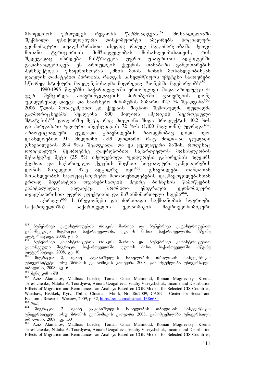მსოფლიოს ურთულეს რეგიონს წარმოადგენს $^{458}$ . მოსახლეობაში შექმნილი ფსიქოლოგიური დისკომფორტი ამცირებს სოციალურეკონომიკური თვალსაზრისით ისედაც რთულ მდგომარეობაში მყოფი<br>მთიანი ტერიტორიის მიმზიდველობას მოსახლეობისათვის, რის მთიანი ტერიტორიის მიმზიდველობას მოსახლეობისათვის, რის შედეგადაც იზრდება მისწრაფება უფრო უსაფრთხო ადგილებში გადასახლებისკენ. ეს ართულებს ქვეყნის თანაბარი განვითარების .<br>პერსპექტივას, უსაფრთხოებას, ქმნის მთის ზონის მოსახლეობისგან დაცლის დამატებით პირობას, რადგან სახელმწიფოს უმეტესი საძოვრები სწორედ სტიქიური მოვლენებისადმი მიდრეკილ ზონებში მდებარეობს<sup>459</sup>.

1990-1995 wlebSi saqarTveloSi erToblivi Sida produqti 4-  $\mathcal{R}$ ერ შემცირდა, ჰიპერინფლაციის პირობებში ცხოვრების დონე უკიდურესად დაეცა და საარსებო მინიმუმის მიმართ 42,5 % შეადგინა $^{460}$ . 2006 wlis monacemebiT ki qveynis SigniT Semosulma fuladma გადმორიცხვებმა შეადგინა 800 მილიონ ამერიკის შეერთებული შტატების<sup>461</sup> დოლარზე მეტს, რაც მთლიანი შიდა პროდუქტის 10.2 %-ს და პირდაპირი უცოური ინვესტიციის 72 %-ს (1,100 მილიონი) უდრიდა<sup>462</sup>. არაოფიციალური ფულადი გზავნილების რაოდენობაც დიდი იყო, დაახლოებით 315 მილიონი აშშ დოლარი, რაც მთლიანი ფულადი  $a^3$ ხავნილუბის 39.4 %-ს შეადგენდა და ეს ყველაფერი მაშინ, როდესაც დღიციალურ წყაროებზე დაყრდნობით საქართველოს მოსახლეობის მესამედზე მეტი (35 %) იმყოფებოდა უკიდურესი გაჭირვების ზღვარს ქვემოთ და საქართველო ქვეყნის შიგნით სოციალური განვითარების დონის მიხედვით 97-ე ადგილზე იყო<sup>463</sup>. გზავნილები თანდათან მოსახლეობის საყოფაცხოვრებო მოთხოვნილებების დაკმაყოფილებასთან ერთად მიგრანტთა ოჯახებისათვის მცირე ბიზნესის წამოწყების კაპიტალადაც გადაიქცა. შრომითი ემიგრაცია ეკონომიკური თვალსაზრისით უფრო ეფექტიანი და მიზანმიმართული ხდება<sup>464</sup>.

 $\alpha$ სრილი $^{465}$  1 (რეგიონები და ძირითადი საქმიანობის სფეროები საქართველოში) საქართველოს ეკონომიკის მაკროეკონომიკური

<sup>458</sup> .<br>ბუნებრივი კატასტროფების რისკის მართვა და ბუნებრივი კატასტროფებით<br>იწვეული მიგრაცია საქართველოში, ეუთოს მისია საქართველოში, მწვანე გამოწვეული მიგრაცია საქართველოში, ეუთოს მისია საქართველოში, მწვანე ალტერნატივა, 2008, გვ. 6

<sup>.&</sup>lt;br>ბუნებრივი კატასტროფების რისკის მართვა და ბუნებრივი კატასტროფებით<br>იწვეული მიგრაცია საქართველოში, ეუთოს მისია საქართველოში, მწვანე გამოწვეული მიგრაცია საქართველოში, ეუთოს მისია საქართველოში, მწვანე ალტერნატივა, 2008, გ<u>ვ</u>. 10

<sup>&</sup>lt;sup>460 ქ</sup>იგრაცია 2, ივანე ჯავახიშვილის სახელობის თბილისის სახელმწიფო უნივერსიტეტი, თსუ შრომის ეკონომიკის კათედრა 2008, გამომცემლობა უნივერსალი, mdograbo, 2008, 83. 6

 $\frac{461}{462}$   $\frac{300}{9}$   $\frac{1}{2}$   $\frac{1}{2}$   $\frac{1}{2}$   $\frac{1}{2}$   $\frac{1}{2}$   $\frac{1}{2}$   $\frac{1}{2}$   $\frac{1}{2}$   $\frac{1}{2}$   $\frac{1}{2}$   $\frac{1}{2}$   $\frac{1}{2}$   $\frac{1}{2}$   $\frac{1}{2}$   $\frac{1}{2}$   $\frac{1}{2}$   $\frac{1}{2}$   $\frac{1}{2}$   $\frac{1}{2}$   $\frac{1$ 

<sup>462</sup> Aziz Atamanov, Matthias Luecke, Toman Omar Mahmoud, Roman Mogilevsky, Ksenia Tereshchenko, Natalia A. Tourdyeva, Ainura Uzagalieva, Vitaliy Vavryshchuk, Income and Distribution Effects of Migration and Remittances: an Analisys Based on CGE Models for Selected CIS Countries, Warshaw, Bishkek, Kyiv, Tbilisi, Chisinau, Minsk, No. 86/2009, CASE – Center for Social and Economic Research, Warsaw, 2009, p. 32, http://ssrn.com/abstract=1386684  $\frac{463}{464}$  *Ibid.*,

მიგრაცია 2, ივანე ჯავახიშვილის სახელობის თბილისის სახელმწიფო უნივერსიტეტი, თსუ შრომის ეკონომიკის კათედრა 2008, გამომცემლობა უნივერსალი, თბილისი, 2008, გვ. 130

<sup>465</sup> Aziz Atamanov, Matthias Luecke, Toman Omar Mahmoud, Roman Mogilevsky, Ksenia Tereshchenko, Natalia A. Tourdyeva, Ainura Uzagalieva, Vitaliy Vavryshchuk, Income and Distribution Effects of Migration and Remittances: an Analisys Based on CGE Models for Selected CIS Countries,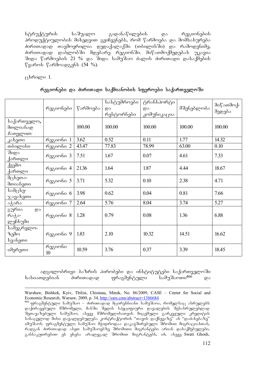სტრუქტურის საშუალო გადანაწილების და რეგიონების პროდუქტიულობის მიხედვით გვიჩვენებს, რომ წარმოება და მომსახურება ძირითადად თავმოყრილია დედაქალაქში (თბილისში) და რამოდენიმე, ძირითადად დაბლობში მდებარე რეგიონში. მიწათმოქმედებას უკავია შიდა წარმოების 21 % და შიდა სამუშაო ძალის ძირითადი დასაქმების  $\nabla$ ყაროს  $\nabla$ არმოადგენს (54 %).

 $B$ რილი 1.

|  |  | რეგიონები და ძირითადი საქმიანობის სფეროები საქართველოში |
|--|--|---------------------------------------------------------|
|  |  |                                                         |

|                                                  | რეგიონები     | წარმოება | სასტუმროები<br>და<br>რესტორნები | ტრანსპორტი<br>და<br>კომუნიკაცია | მშენებლობა | მიწათმოქ-<br>მედება |
|--------------------------------------------------|---------------|----------|---------------------------------|---------------------------------|------------|---------------------|
| საქართველო,<br>მთლიანად<br>ჩათვლით:              |               | 100.00   | 100.00                          | 100.00                          | 100.00     | 100.00              |
| კახეთი                                           | რეგიონი 1     | 3.62     | 0.52                            | 0.11                            | 1.77       | 14.32               |
| თბილისი                                          | რეგიონი 2     | 43.47    | 77.83                           | 78.99                           | 63.00      | 0.10                |
| შიდა<br>ქართლი                                   | რეგიონი 3     | 7.51     | 1.67                            | 0.07                            | 4.61       | 7.33                |
| ქვემო<br>ქართლი                                  | რეგიონი 4     | 21.36    | 1.64                            | 1.87                            | 4.44       | 18.67               |
| მცხეთა-<br>მთიანეთი                              | რეგიონი 5     | 3.71     | 5.32                            | 0.10                            | 2.38       | 4.71                |
| სამცხე-<br>ჯავახეთი                              | რეგიონი 6     | 3.98     | 0.62                            | 0.04                            | 0.81       | 7.66                |
| აჭარა                                            | რეგიონი 7     | 2.64     | 5.76                            | 8.04                            | 3.74       | 5.27                |
| გურია<br>$\overline{\omega}$<br>რაჭა-<br>ლეჩხუმი | რეგიონი 8     | 1.28     | 0.79                            | 0.08                            | 1.36       | 6.88                |
| სამეგრელო-<br>ზემო<br>სვანეთი                    | რეგიონი 9     | 1.83     | 2.10                            | 10.32                           | 14.51      | 16.62               |
| იმერეთი                                          | რეგიონი<br>10 | 10.59    | 3.76                            | 0.37                            | 3.39       | 18.45               |

ადგილობრივი ბაზრის პირობები და ინსტიტუტები საქართველოში xasiaTdebian ZiriTadad fragmentuli samuSaoTi466 da

-Warshaw, Bishkek, Kyiv, Tbilisi, Chisinau, Minsk, No. 86/2009, CASE – Center for Social and Economic Research, Warsaw, 2009, p. 34, http://ssrn.com/abstract=1386684

<sup>466</sup> ფრაგმენტული სამუშაო – ძირითადად მცირეხნიანი სამუშაოა, რომელსაც ასრულებს დაქირავებული მშრომელი, მასში შედის სპეციფიური დავალების შესასრულებლად SeTavazebuli samuSao, aseve mSromelisaTvis micemuli garkveuli kreditis ანაცვლოდ მისი დავალდებულება კონტრაქტორის "თავის დაქნევაზე" ან "დაძახებაზე" იმუშაოს. ფრაგმენტული სამუშაო მჰიდროდაა დაკავშირებული შრომით მიგრაციასთან, რადგან ძირითადად ასეთ სამუშაოებზე შრომითი შიგრანტები არიან დასაქმებულები, განსაკუთრებით ეს ეხება არალეგალ შრომით მიგრანტებს, იხ. ასევე Swati Ghosh,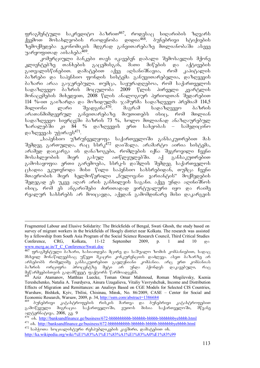ფრაგმენტული საკრედიტო ბაზრით<sup>467</sup>, როდესაც სიღარიბის ზღვარს ქვემოთ მოსახლეობის რაოდენობა დიდია<sup>468</sup>. ბუნებრივი სტიქიების ზემოქმედება ეკონომიკის მდგრად განვითარებაზე მთლიანობაში ასევე უარყოფითად აისახება $^{469}$ .

კომერციული ბანკები თავს იკავებენ დაბალი შემოსავლის მქონე კლიენტებზე თანხების გაცემისგან, მათი მიწების და აქტივების გათვალისწინებით. დამატებით აქვე აღსანიშნავია, რომ კაპიტალის ბაზრები და საპენსიო ფონდის სისტემა განუვითარებელია, დაზღვევის - ბაზარი არაა გაჯერებული. თუმცა, საყურადღებოა, რომ საქართველოს<br>- სადაზღვევო - ბაზრის - მოცულობა - 2009 - წლის - პირველი - კვარტლის სადაზღვევო ბაზრის მოცულობა 2009 წლის პირველი მონაცემების მიხედვით, 2008 წლის ანალოგიურ პერიოდთან შედარებით 114 %-iT gaizarda da mozidulma jamurma sadazRvevo premiam 114,5 მილიონი ლარი შეადგინა<sup>470</sup>. მაგრამ სადაზღვევო ბაზრის არათანმიმდევრულ განვითარებაზე მიუთითებს ისიც, რომ მთლიან სადაზღვევო სივრცეში პაზრის 73 %, ხოლო მთლიანად ანაზღაურებულ<br>ზარალებში კი 84 % დაზღვევის ერთ სახეობას – სამედიცინო  $\alpha$  84 % დაზღვევის ერთ სახეობას – სამედიცინო დაზღვევას უჭირავს $471$ .

"საპენსიო უზრუნველყოფა საქართველოში განსაკუთრებით მას .<br>შემდეგ გართულდა, რაც სსრკ<sup>472</sup> დაიშალა. არამარტო აირია სისტემა, არამედ დაიკარგა ის დანაზოგები, რომლების იქნა შეგროვილი ჩვენი მოსახლეობის მიერ გასულ ათწლეულებში. აქ განსაკუთრებით გამოსაყოფია ერთი გარემოება, სსრკ-ს დაშლის შემდეგ საქართველოს  $\alpha$  ekspos ang ang dala mang banda mangkanang kantang pandapang pandapang pandapang pandapang pandapang pandapang pandapang pandapang pandapang pandapang pandapang pandapang pandapang pandapang pandapang pandapang panda მთავრობის მიერ ხელმოწერილი "ნულოვანი ვარიანტის" მოქმედების შედეგად ეს უკვე აღარ არის განხილვის საგანი. აქვე უნდა აღინიშნოს ისიც, რომ ეს ანგარიშები ძირითადად ვირტუალური იყო და რაიმე რეალურ სახსრებს არ მოიცავდა, აქედან გამომდინარე მისი დაკარგვის

<sup>-</sup>Fragmented Labour and Elusive Solidarity: The Brickfields of Bengal, Swati Ghosh, the study based on survey of migrant workers in the brickfields of Hoogly district near Kolkata. The research was assisted by a fellowship from South Asia Program of the Social Science Research Council, Third Critical Studies Conference, CRG, Kolkata, 11-12 September 2009, p. 1 and 10 gos www.mcrg.ac.in/T\_C\_Conference/Swati.doc

<sup>&</sup>lt;sup>467</sup> ფრაგმენტული ბაზარი, ხასიათდება მცირე და საშუალო ზომის კომპანიებით, სადაც მსხვილ მონაწილეებსაც უწევთ მკაცრი კონკურენციის დაძლევა. ასეთ ბაზარზე არ არსებობს რომელიმე განსაკუთრებით გავლენიანი კომპანია. არც ერთ კომპანიას ბაზრის ორციფრა პროცენტზე მეტი არ უნდა ჰქონდეს დაკავებული, რაც  $\partial g$ წარმეებისთვის გადამწყვეტ ფაქტორს წარმოადგენს.

Aziz Atamanov, Matthias Luecke, Toman Omar Mahmoud, Roman Mogilevsky, Ksenia Tereshchenko, Natalia A. Tourdyeva, Ainura Uzagalieva, Vitaliy Vavryshchuk, Income and Distribution Effects of Migration and Remittances: an Analisys Based on CGE Models for Selected CIS Countries, Warshaw, Bishkek, Kyiv, Tbilisi, Chisinau, Minsk, No. 86/2009, CASE – Center for Social and Economic Research, Warsaw, 2009, p. 34, http://ssrn.com/abstract=1386684

ბუნებრივი კატასტროფების რისკის მართვა და ბუნებრივი კატასტროფებით გამოწვეული მიგრაცია საქართველოში, ეუთოს მისია საქართველოში, მწვანე alternativa, 2008, gv. 9

<sup>470</sup> ix. http://banksandfinance.ge/business/672-bbbbbbbbbb-bbbbbb-bbbbb-bbbbbbbyebbbb.html 471 ix. http://banksandfinance.ge/business/672-bbbbbbbbbb-bbbbbb-bbbbb-bbbbbbbyebbbb.html

<sup>&</sup>lt;sup>472</sup> საბჭოთა სოციალისტური რესპუბლიკების კავშირი, დამატებით იხ. http://ka.wikipedia.org/wiki/%E1%83%A1%E1%83%A1%E1%83%A0%E1%83%99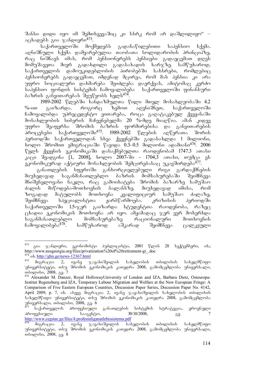შანსი დიდი იყო იმ შემთხვევაშიც კი სსრკ რომ არ დაშლილიყო" – აცხადებს გია ჯანდიერი $473$ .

საქართველოში მოქმედებს გადანაწილებითი საპენსიო სქემა. აღნიშნული სქემა დამყარებულია თაობათა სოლიდარობის პრინციპზე, რაც ნიშნავს იმას, რომ პენსიონერებს პენსიები გადაეცემათ დღეს  $\partial \omega \partial \gamma \partial \delta$ საქართველოს დამოუკიდებლობის პირობებში სახსრები, რომლებიც პენსიონერებს გადაეცემათ, იმდენად მცირეა, რომ მას პენსია კი არა უფრო სოციალური დახმარება შეიძლება დაერქვას, ამიტომაც კერძო<br>საპენსიო ფონდის სისტემის ჩამოყალიბება საქართველოში ფინანსური  $b$ აპენსიო ფონდის სისტემის ჩამოყალიბება ბაზრის განვითარებას შეუწყობს ხელს<sup>474</sup>.

1989-2002 წლებში ხანდაზმულთა წილი მთელ მოსახლეობაში 4.2<br>გაიზარდა. როგორც ზემოთ აღვნიშნეთ, საქართველოში  $\%$ -ით გაიზარდა. როგორც ზემოთ აღვნიშნეთ, საქართველოში ჩამოყალიბდა უპრეცედენტო ვითარება, როცა გაღატაკებულ ქვეყანაში მოსახლეობის სიბერის მაჩვენებელშა 20 %-მდე მიაღწია. ამან კიდევ უფრო შეაფერხა შრომის ბაზრის ფორმირებისა და განვითარების პროცესები საქართველოში<sup>475</sup>. 1989-2002 წლების აღწერათა შორის პერიოდში საქართველოდან სხვა ქვეყნებში გადასახლდა 1 მილიონი,  $\overline{16}$  being the Sronage of Sronage  $\overline{0.3}$  -  $\overline{0.5}$  added  $\overline{0.3}$  and  $\overline{0.3}$   $\overline{0.5}$   $\overline{0.3}$   $\overline{0.5}$   $\overline{0.5}$   $\overline{0.5}$   $\overline{0.7}$   $\overline{0.7}$   $\overline{0.7}$   $\overline{0.7}$   $\overline{0.7}$   $\overline{0.7}$   $\overline{$  $\nabla$ ელს ქვეყნის ეკონომიკაში დასაქმებულთა რაოდენობამ 1747.3 ათასი  $\frac{1}{100}$ კა $\frac{1}{100}$  (1, 2008], ხოლო 2007-ში - 1704,3 ათასი, თუმცა ეს ეკონომიკურად აქტიური მოსახლეობის შემცირებასაც უკავშირდება<sup>477</sup>.

განათლების სფეროში განხორციელებული რიგი გარდაქმნების მიუხედავად საგანმანათლებლო ბაზრის მომსახურებაში შეიმჩნევა მნიშვნელოვანი ნაკლი, რაც გამოიხატება შრომის ბაზარზე სამუშაო ძალის მიწოდება-მოთხოვნის ბალანსზე. მიუხედავად იმისა, რომ<br>ზოგადად მატულობს მოთხოვნა კვალიფიციურ სამუშაო ძალაზე, ზოგადად მატულობს მოთხოვნა კვალიფიციურ სამუშაო ძალაზე,<br>შეიმჩნევა სპეციალისტთა ჟარბწარმოება. კრიზისის პერიოდში შეიმჩნევა სპეციალისტთა ჟარბწარმოება. კრიზისის პერიოდში საქართველოში 1.5-ჯერ გაიზარდა სტუდენტთა რაოდენობა, რაზეც  $\alpha$ ცხადია ეკონომიკის მოთხოვნა არ იყო. ამჟამადაც ჯერ ვერ მოხერხდა საგანმანათლებლო მომსახურებაზე რაციონალური მოთხოვნის ჩამოყალიბება<sup>478</sup>. სამწუხაროდ აშკარად შეიმჩნევა ცალკეული

<sup>473</sup> გია ჯანდიერი, ეკონომისტი პუბლიცისტი, 2001 წლის 28 სექტემბერი, იხ.; http://www.nesgeorgia.org/files/privatization%20of%20retirement-gi\_.doc

 $\frac{474}{475}$  ob. http://ghn.ge/news-12367.html მიგრაცია 2, ივანე ჯავახიშვილის სახელობის თბილისის სახელმწიფო უნივერსიტუტი, თსუ შრომის ეკონომიკის კათედრა 2008, გამომცემლობა უნივერსალი, mdogmobo, 2008, 83.7

<sup>&</sup>lt;sup>476</sup> Alexander M. Danzer, Royal HollowayUniversity of London and IZA, Barbara Dietz, Osteuropa-Institut Regensburg and IZA, Temporary Labour Migration and Welfare at the New European Fringe: A Comparison of Five Eastern European Countries, Discussion Paper Series, Discussion Paper No. 4142, April 2009, p. 7, ob. stggg dozcosos 2, ogs6g xsgstodgogoot tstggoodot oodogootot სახელმწიფო უნივერსიტეტი, თსუ შრომის ეკონომიკის კათედრა 2008, გამომცემლობა  $\frac{1}{25}$  models and  $\frac{1}{25}$  models and  $\frac{1}{25}$  models and  $\frac{1}{25}$  models and  $\frac{1}{25}$ 

<sup>477</sup> saqarTvelos profesiuli ganaTlebis sistemis strategia, erovnuli პროფესიული — სააგენტო, 30/10/2008, გ. გ. http://www.cegstar.ge/files/4.profesiuliganatlebissistema.pdf

მიგრაცია 2, ივანე ჯავახიშვილის სახელობის თბილისის სახელმწიფო უნივერსიტეტი, თსუ შრომის ეკონომიკის კათედრა 2008, გამომცემლობა უნივერსალი, mdograbo, 2008, 33.8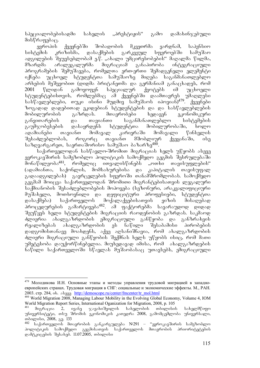სპეციალობებისადმი სახელის "პრესტიჟის" გამო დამახინჯებული მისწრაფებაც.

ევროპის ქვეყნებში შობადობის მკვეთრმა ვარდნამ, საპენსიო<br>ემის კრიზისმა, დასაქმების გარკვეულ სფეროებში სამუშაო სისტემის კრიზისმა, დასაქმების გარკვეულ სფეროებში სამუშაო ადგილების შეუვსებლობამ ე.წ. "ახალი უმცირესობების" მაღალმა წილმა,<br>მზარდმა — არალეგალურმა — მიგრაციამ — განაპირობა — ინტეგრაციული მზარდმა არალეგალურმა მიგრაციამ განაპირობა ინტეგრაციული პროგრამების შემუშავება, რომელთა ერთ-ერთი შემადგენელი ელემენტი იქნება უცხოელ სტუდენტთა სამუშაოზე მიღება საგანმანათლებლო არხების მეშვეობით (დიდმა ბრიტანეთმა და გერმანიამ განაცხადეს, რომ<br>2001 წლიდან გამოყოფენ სპეციალურ ქვოტებს იმ უცხოელი 2001 წლიდან გამოყოფენ სპეციალურ ქვოტებს იმ უცხოელი სტუდენტებისთვის, რომლებმაც ამ ქვეყნებში დაამთავრეს უმაღლესი სასწავლებლები, თუკი ისინი მუდმივ სამუშაოს იპოვიან)<sup>479</sup>. ქვეყნები ზოგადად დადებითად ეკიდებიან სტუდენტების და და სასწავლებლების მობილურობის გაზრდას. მთავრობები ხედავენ ეკონომიკური განვითარების და თავიანთი საგანმანათლებლო სისტემების გაუმჯობესების დასაყრდენს სტუდენტთა მობილურობაში, ხოლო ადამიანები თავიანთ მომავალ კარიერაში მომავალი წინსვლის <u>შესაძლებლობას, როგორც თავიანთ მშობლიურ ქვეყ</u>ანაში, ისე  $\mu$ აზღვარგარეთ, საერთაშორისო სამუშაო ბაზარზე $^{480}$ .

საქართველოდან სასწავლო-შრომით მიგრაციას ხელს უწყობს ასევე ევროკავშირის სამეზობლო პოლიტიკის სამოქმედო გეგმის შესრულებაში მონაწილეობა<sup>481</sup>, რომელიც ითვალისწინებს "ოთხი თავისუფლების" (ადამიანთა, საქონლის, მომსახურებისა და კაპიტალის თავისუფალ გადაადგილებას) გავრცელების სფეროში თანამშრომლობას. სამოქმედო გეგმამ მოიცვა საქართველოდან შრომითი მიგრანტებისათვის ლეგალური საქმიანობის შესაძლებლობების მოპოვება (სეზონური, არაკვალიფიციური მუშახელი, მოთხოვნილი და დეფიციტური პროფესიები, სტუდენტთა დასაქმება) საქართველოს მოქალაქეებისათვის ვიზის მისაღებად  $\delta$ როცედურების გამარტივება $^{482}$ . ამ ფაქტორებმა სავარაუდოდ დიდად შეუწყეს ხელი სტუდენტების მიგრაციის რაოდენობის გაზრდას. საკმაოდ ძლიერია ახალგაზრდობის ემიგრაციული განწყობა და განზრახვის რეალიზებას ახალგაზრდობის ეს ნაწილი შესაბამისი პირობების დადგომისთანავე მოახდენს, აქვე ადსანიშნავია, რომ ახალგაზრდობის  $\alpha$  depends and the migrant migration of the matter in the mode of  $\alpha$  and  $\alpha$  and  $\beta$ უმეტესობა დაუქორწინებელია. მიუხედავად იმისა, რომ ახალგაზრდების ნაწილი საქართველოში სწავლას მუშაობასაც უთავსებს, ემიგრაციული

<sup>479</sup> Молодикова И.Н. Основные этапы и методы управления трудовой миграцией в западноевропейских странах. Трудовая миграция в СНГ: социальные и экономические эффекты. М., РАН. 2003. стр. 284, об. *Sbaaa* http://demoscope.ru/center/fmcenter/tr\_mol.html

<sup>480</sup> World Migration 2008, Managing Labour Mobility in the Evolving Global Economy, Volume 4, IOM World Migration Report Series, International Oganization for Migration, 2008, p. 105

მიგრაცია 2, ივანე ჯავახიშვილის სახელობის თბილისის სახელმწიფო უნივერსიტუტი, თსუ შრომის ეკონომიკის კათედრა 2008, გამომცემლობა უნივერსალი, თბილისი, 2008, გ.<sub>8</sub>. 133

<sup>&</sup>lt;sup>482</sup> საქართველოს მთავრობის განკარგულება №291 – "ევროკავშირის სამეზობლო<br>პოლიტიკის სამოქმედო გეგმისათვის საქართველოს მთავრობის პრიორიტეტების politikis samoqono do gegmisato sa bayang bab god<sub>b</sub>anzadot datokad. 11.07.2005, mdogroto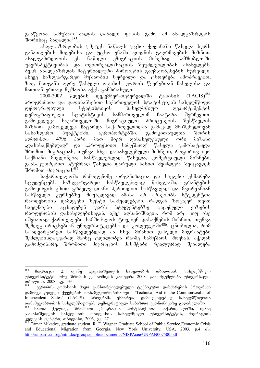განწყობა სამუშაო ძალის დაბალი ფასის გამო ამ ახალგაზრდებს შორისა $\beta$  მაღალია $^{483}$ .

ახალგაზრდობის უმეტეს ნაწილს უცხო ქვეყანაში წასვლა სურს განათლების მიღებისა და უცხო ენაში ცოდნის გაღრმავების მიზნით. ახალგაზრდობის ეს ნაწილი ემიგრაციის მიზეზად სამშობლოში უპერსპექტივობას და თვითრეალიზაციის შეუძლებლობას ასახელებს.  $\bar{\delta}$ ევრ ახალგაზრდას მატერიალური პირობების გაუმჯობესების სურვილი, ასევე საზღვარგარეთ მუშაობის სურვილი და ცხოვრება ამოძრავებთ, ზოგ მათგანს ადრე წასული ოჯახის უფროს წევრებთან ჩასვლისა და მათთან ერთად მუშაობა აქვს განზრახული.

2000-2002 წლების დეკემბერ-თებერვალში ტასისის  $(TACIS)^{484}$ პროგრამითა და დაფინანსებით საქართველოს სტატისტიკის სახელმწიფო დემოგრაფიული — სტატისტიკის — სახელმწიფო — დეპარტამენტის<br>დემოგრაფიული სტატისტიკის სამმართველომ ჩაატარა შერჩევითი დემოგრაფიული სტატისტიკის სამმართველომ ჩაატარა შერჩევითი გამოკვლევა საქართველოში მიგრაციული პროცესების შესწავლის მიზნით. გამოკვლევა ჩატარდა საქართველოდან გამავალ მნიშვნელოვან სასაზღვრო პუნქტებში, აეროპორტებში. გამოკითხულთა შორის<br>აღმოჩნდა 4796 პირი. მათ მიერ დასახელებული ორი მიზანი აღმოჩნდა 4796 პირი. მათ მიერ დასახელებული ორი მიზანი "დასასაქმებლად" და "პროფესიით სამუშაოდ" წასვლა გამოხატავდა  $\partial \mathcal{S}$  do  $\partial \mathcal{S}$  measo dasay dasay dasay dagaan ay dadaan dadaan dagaan dagaan dagaan dagaan dagaan dagaan dagaan dagaan dagaan dagaan dagaan dagaan dagaan dagaan dagaan dagaan dagaan dagaan dagaan dagaan dagaan საქმიანი მივლინება, სასწავლებლად წასვლა, კომერციული მიზნები, განსაკუთრებით სტუმრად წასვლა ფარული სახით შეიძლება შეიცავდეს შრომით მიგრაცია $\bar{\mathfrak{b}}^{4\bar{8}5}.$ 

საქართველოში რამოდენიმე ორგანიზაცია და საელჩო ეხმარება სტუდენტებს საზღვარგარეთ სასწავლებლად წასვლაში, გრანტების გამოყოფის გზით გრძელვადიანი პერიოდით სასწავლად და მცირეხნიან სასწავლო კურსებზე. მიუხედავად ამისა არ არსებობს სტუდენტთა რაოდენობის დამდგენი ზუსტი საშუალებები, რადგან ზოგჯერ თვით საელჩოები აცხადებენ უარს სტუდენტებზე გაცემული ვიზების რაოდენობის დასახელებისაგან, აქვე აღსანიშნავია, რომ არც თუ ისე იშვიათად ქართველები სამშობლოს ტოვებენ დასაქმების მიზნით, თუმცა შემდეგ ირიცხებიან უნივერსიტეტებსა და კოლეჯეპში<sup>486</sup>. ცნობილია, რომ საზღვარგარეთ სასწავლებლად ან სხვა მიზნით გასული მიგრანტები შეძლებისდაგვარად მაინც ცდილობენ რაიმე სამუშაოს შოვნას. აქედან გამომდინარე, შრომითი მიგრაციის მასშტაბი რეალურად შეიძლება

<sup>483</sup> მიგრაცია 2, ივანე ჯავახიშვილის სახელობის თბილისის სახელმწიფო უნივერსიტუტი, თსუ შრომის ეკონომიკის კათედრა 2008, გამომცემლობა უნივერსალი, mdograbo, 2008, 83. 133

ევროპის კომისიის მიერ განხორციელებული ტექნიკური დახმარების პროგრამა დამოუკიდებელი ქვეყნების თანამეგობრობისათვის "Technical Aid to the Commonwealth of Independent States" (TACIS). პროგრამა ეხმარება დამოუკიდებელ სახელმწიფოთა Tanamegobrobis saxelmwifoebs demokratiul sabazro ekonomikaze gadasvlaSi

<sup>&</sup>lt;sup>485</sup> ნათია ჭელიძე, შროშითი ეშიგრაცია პოსტსაბჭოთა საქართველოში, ივანე<br>ჯავახიშვილის სახელობის თბილისის სახელმწიფო უნივერსიტეტის, მიგრაციის <sup>⊺</sup> სახელმწიფო — უნივერსიტეტის, — მიგრაციის  $\log$  age and  $\log$  686,  $\log$  and  $\log$  2006,  $\log$  27

Tamar Mikadze, graduate student, R. F. Wagner Graduate School of Public Service, Economic Crisis and Educational Migration from Georgia, New York University, USA, 2003, p.4 ob. http://unpan1.un.org/intradoc/groups/public/documents/NISPAcee/UNPAN007500.pdf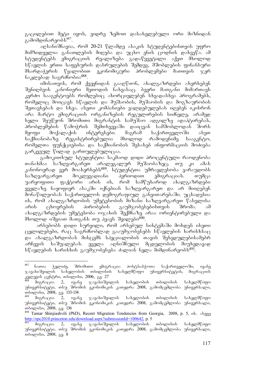გაცილებით მეტი იყოს, ვიდრე ზემოთ დასახელებული ორი მიზნიდან გამომდინარეობს<sup>487</sup>.

.<br>აოსანიშნავია, რომ 20-21 წლამდე ასაკის სტუდენტებისთვის უფრო მიმზიდველია განათლების მიღება და უცხო ენის ცოდნის დახვეწა. ამ სტუდენტებს ემიგრაციის რეალიზება გადაწყვეტილი აქვთ მხოლოდ  $\frac{16}{3}$ ავლის ერთი საფეხურის დასრულების შემდეგ. მშობლების ფინანსური მხარდაჭერის წყალობით ეკონომიკური პრობლემები მათთვის ჯერ ნაკლებად საგრძნობია<sup>488</sup>.

იმისათვის, რომ ქვეყნიდან გააღწიონ, ახალგაზრდები ახერხებენ შენიღბვის კანონიერი მეთოდის ნახვასაც. ბევრი მათგანი მიმართავს კერძო სააგენტოებს რომლებიც ახორციელებენ სხვადასხვა პროგრამებს, რომელიც მოიცავს სწავლის და მუშაობის, მუშაობის და მოგზაურობის შეთავსებას და სხვა. ასეთი კომპანიები ვალდებულებას იღებენ იკისრონ არა მარტო ემიგრაციის ორგანიზების რეგულირების სიძნელე, არამედ ხელი შეუწყონ შრომითი მიგრანტის სამუშაო ადგილზე ადაპტირებას, პრობლემების წამოჭრის შემთხვევაში დაიცვან სამშობლოდან შორს შყოფი მოქალაქის ინტერესები. მაგრამ საქართველოში ასეთ საქმიანობაზე რეგისტრირებულია მხოლოდ რამოდენიმე სააგენტო, რომელთა ფუნქციებისა და საქმიანობის შესახებ ინფორმაციის მოძიება გარკვეულ წილად გართულებულიცაა.

გამოკითხულ სტუდენტთა საკმაოდ დიდი პროცენტული რაოდენობა თანახმაა საზღვარგარეთ არალეგალურ მუშაობაზეც, თუ კი ამას კანონოერად ვერ მოახერხებს<sup>489</sup>. სტუდენტთა უმრავლესობა ვარაუდობს საზღვარგარეთ მოკლევადიანი პერიოდით ემიგრაციას. თუმცა უარყოფითი ფაქტორი არის ის, რომ სამწუხაროდ ახალგაზრდები ყველაზე ნაყოფიერ ასაკში იქნებიან საზღვარგარეთ და არ მიიღებენ მონაწილეობას საქართველოს დემოგრაფიულ განვითარებაში. უცხადესია ის, რომ ახალგაზრდობის უმეტესობის მიზანი საზღვარგარეთ წასვლისა არის ცხოვრების პირობების გაუმჯობესებისთვის შრომა. ამ  $\sigma$ ახალგაზრდების უმეტესობა ო $\chi$ ახის შექმნაზე არაა ორიენტირებული და მხოლოდ იშვიათ მათგანს თუ ჰყავს შვილები $^{490}$ .

არსებოპს დიდი სურვილი, რომ არსებულ სისტემაში მოხდეს ისეთი  $\alpha$ ველილებები, რა $\alpha$  საგრძნობლად გააუმჯობესებს სწავლების ხარისხსა $\alpha$ და ახალგაზრდობას მისცემს სპეციალობის თავის შეხედულებისამებრ არჩევის საშუალებას. ყველა აღნიშნული მცდელობის მიუხედავად  $\frac{160}{32}$ სწავლების ხარისხის გაუმჯობესება ძალიან ნელა მიმდინარეობს $^{491}$ .

<sup>487</sup> - ნათია ჭელიძე, შრომითი ემიგრაცია პოსტსაბჭოთა საქართველოში, ი<mark>ვ</mark>ანე<br>ახიშვილის სახელობის თბილისის სახელმწიფო უნივერსიტეტის, მიგრაციის  $\%$ ავახიშვილის სახელობის თბილისის სახელმწიფო უნივერსიტეტის, მიგრაციის  $\frac{1}{28}$ ജ്ജുമ്പാം ദ്വാര്ക്കം, സ്തോസ് മാര്,  $\frac{1}{27}$ 

მიგრაცია 2, ივანე ჯავახიშვილის სახელობის თბილისის სახელმწიფო უნივერსიტეტი, თსუ შრომის ეკონომიკის კათედრა 2008, გამომცემლობა უნივერსალი,  $\frac{\text{m\text{log}}\text{m\text{log}}}{\text{log} \times \text{log} \times 2008}$ ,  $\frac{\text{m\text{log}}}{\text{log} \times 2008}$ 

მიგრაცია 2, ივანე ჯავახიშვილის სახელობის თბილისის სახელმწიფო უნივერსიტეტი, თსუ შრომის ეკონომიკის კათედრა 2008, გამომცემლობა უნივერსალი, თბილისი, 2008, გვ. 136

<sup>490</sup> Tamar Shinjiashvili (PhD), Recent Migration Tendencies from Georgia, 2008, p. 5, ob. algaa http://epc2010.princeton.edu/download.aspx?submissionId=100642, p. 5

მიგრაცია 2, ივანე ჯავახიშვილის სახელობის თბილისის სახელმწიფო უნივერსიტეტი, თსუ შრომის ეკონომიკის კათედრა 2008, გამომცემლობა უნივერსალი, mdograbo, 2008, 33.8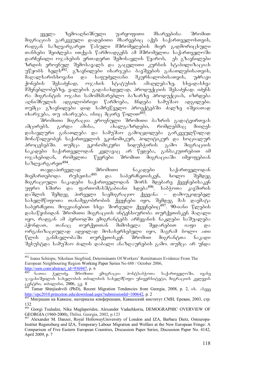ყველა ზემოაღნიშნული უარყოფითი მხარეებისა შრომით  $\partial$ იგრაციას გარკვეული დადებითი მხარეებიც აქვს საქართველოსთვის, რადგან საზღვარგარეთ წასული მშრომელების მიერ გადმორიცხული თანხები შეიძლება ითქვას წარმოადგენს ამ მშრომელთა საქართველოში დარჩენილი ოჯახების ერთადერთ შემოსავლის წყაროს, ეს გზავნილები ზრდის ეროვნულ შემოსავალს და გაცვლითი კურსის სტაბილიზაციას უწყობს ხელს<sup>492</sup>. გზავნილები იხარჯება ბავშვების განათლებისათვის,<br>მაღალხარისხოვანი და საფუძვლიანი მკურნალობისათვის, უძრავი ისხოვანი და საფუძვლიანი მკურნალობისათვის, უძრავი<br>- შესაძენად, ოჯახის სტატუსის ამაღლებაზე, სხვადასხვა ქონების შესაძენად, ოჯახის სტატუსის ამაღლებაზე, სხვადასხვა მშენებლობებზე, ვალების გადასახდელად, პროდუქციის შესაძენად. იძენს ra migrantis ojaxi samomxmareblo bazarze produqcias, izrdeba აღნიშნულის ადგილობრივი წარმოება, ჩნდება სამუშაო ადგილები. თუმცა გზავნილები დიდ სამოეწველო პროექტებში ძალზე იშვიათად იხარჯება, თუ იხარჯება, ისიც მცირე წილით $^{493}$ .

შრომითი მიგრაცია ეროვნული შრომითი ბაზრის გადატვირთვას ამცირებს. გარდა ამისა,  $\longrightarrow$ ახალგაზრდები, რომლებმაც მიიღეს დასავლური განათლება და სამუშაო გამოცდილება გარკვეულწილად მონაწილეობენ საქართველოს ეკონომიკურ, პოლიტიკურ და სოციალურ პროცესებში. თუმცა ეკონომიკური სიდუხჭირის გამო მიგრაციის ნაკადები საქართველოდან კვლავაც არ წყდება, განსაკუთრებით იმ თველია.<br>დღენებიდან, რომელთა წევრები შრომით მიგრაციაში იმყოფებიან საზღვარგარეთ $^{494}$ .

თავდაპირველად შრომითი ნაკადები საქართველოდან<br>რთებოდა რუსეთსა<sup>495</sup> და საბერძნეთისკენ, ხოლო შემდეგ მიემართებოდა რუსეთსა<sup>495</sup> და საბერძნეთისკენ, ხოლო შემდეგ მიგრაციული ნაკადები საქართველოდან შორს მდებარე ქვეყნებისაკენ უფრო ხშირი და ფართომასშტაბიანი ხდება<sup>496</sup>. საბჭოთა კავშირის დაშლის შემდეგ პირველი საემიგრაციო ქვეყანა – დამოუკიდებელ სახელმწიფოთა თანამეგობრობის ქვეყნები იყო, შემდეგ მას დაემატა საბერძნეთი. მოგვიანებით სხვა შორეული ქვეყნებიც<sup>497</sup>. 90-იანი წლების დასაწყისიდან შრომითი მიგრაციის ინტენსიურობა თურქეთისკენ მაღალი  $\alpha$ ყო, რადგან ამ პერიოდში ემიგრანტებს არჩევანის ნაკლები საშუალება ჰქონდათ, თანაც თურქეთთან მიმოსვლა შედარებით იაფი და ორგანიზაციულად ადვილად მოსახერხებელი იყო, მაგრამ ბოლო ათი წლის განმავლობაში თურქეთისკენ შრომით მიგრანტთა ნაკადი შესუსტდა სამუშაო ძალის დაბალი ანაზღაურების გამო. თუმცა არ უნდა

 $\frac{\text{http://ssrn.com/abstract_id=936947}}{493}$ , p. 6

<sup>-</sup><sup>492</sup> Ioana Schiopu, Nikolaus Siegfried, Determinants Of Workers' Remittances Evidence From The European Neighbouring Region Working Paper Series No 688 / October 2006,

ნათია ჭელიძე, შრომითი ემიგრაცია პოსტსაბჭოთა საქართველოში, ივანე  $\infty$ ავახიშვილის სახელობის თბილისის სახელმწიფო უნივერსიტეტი, მიგრაციის კვლევის  $\alpha$ gg $\check{6}$ ტრი, თბილისი, 2006, გვ. 8

Tamar Shinjiashvili (PhD), Recent Migration Tendencies from Georgia, 2008, p. 2, ob. algaan http://epc2010.princeton.edu/download.aspx?submissionId=100642, p. 2

<sup>495</sup> Миграции на Кавказе, материалы конференции, Кавказский институт СМИ, Ереван, 2003, стр. 132

<sup>496</sup> Giorgi Tsuladze, Nika Maglaperidze, Alexander Vadachkoria, DEMOGRAPHIC OVERVIEW OF GEORGIA (1960-2000), Tbilisi, Georgia, 2002, p.123

<sup>&</sup>lt;sup>7</sup> Alexander M. Danzer, Royal HollowayUniversity of London and IZA, Barbara Dietz, Osteuropa-Institut Regensburg and IZA, Temporary Labour Migration and Welfare at the New European Fringe: A Comparison of Five Eastern European Countries, Discussion Paper Series, Discussion Paper No. 4142, April 2009, p. 7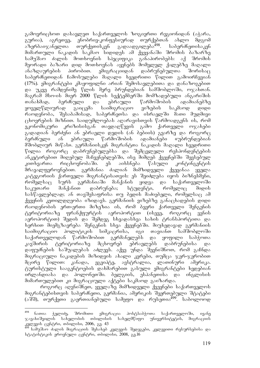გამოვრიცხოთ დასავლეთ საქართველოს ზოგიერთი რეგიონიდან (აჭარა, გურია), აგრეთვე, ენობრივ-კონფესიურად თურქებთან ახლო მდგომ<br>აზერბაიჯანელთა თურქეთისკენ გადაადგილება<sup>498</sup>. საბერძნეთისაკენ აზერბაიჯანელთა თურქეთისკენ გადაადგილება<sup>498</sup>. საბერძნეთისაკენ mimarTuli nakadis sakmao sidides am qveyanaSi Sromis bazarze სამუშაო ძალის მოთხოვნის სპეციფიკა მეორადი ბაზარი დიდ მოთხოვნას აყენებს მომვლელ ქალებზე მაღალი ანაზღაურების პირობით. ემიგრაციიდან დაბრუნებულთა შორისაც საბერძნეთიდან ჩამოსულები მაღალი ხვედრითი წილით გამოირჩევიან (17%). ემიგრანტები კმაყოფილნი არიან შემოსავლებითა და დანაზოგებით და უკვე რამდენიმე წლის მერე ბრუნდებიან სამშობლოში, ოჯახთან. და თით დადგილი არი ლიფის სახედა.<br>მაგრამ მსო-ის მიერ 2000 წლის სექტემბერში მომზადებული ანგარიშის თანახმად, ბერძნული და ებრაული წარმოშობის ადამიანებზე ყოველწლიურად გაიცემა საიმიგრაციო ვიზების საკმაოდ დიდი რაოდენობა, შესაბამისად, საბერძნეთსა და ისრაელში მათი მუდმივი ცხოვრების მიზნით. საიდუმლოებას აღარავისთვის წარმოადგენს ის, რომ ეკონომიკური კრიზისისგან თავდაღწევის გამო ქართველი ოჯახები გადადიან ბერძენი ან ებრაელი დედის (ან ბებიის) გვარზე და როგორც<br>ბერძნული ან ებრაული წარმოშობის ადამიანები «უბრუნდებიან ბერძნული ან ებრაული წარმოშობის ადამიანები «უბრუნდებიან მშობლიურ მიწას». გერმანიისკენ მიგრანტთა ნაკადის მაღალი ხვედრითი წილია როგორც დაბრუნებულებსა და შემცვლელი რესპონდენტების ანკეტირებით მიღებულ მაჩვენებლებში, ისე მიმღებ ქვეყნებში შევსებულ კითხვართა რიცხოვნობაში. ეს აიხსნება წასული კონტინგენტის მრავალფეროვნებით. გერმანია ძალიან მიმზიდველი ქვეყანაა ყველა კატეგორიის ქართველი მიგრანტისათვის: ეს შეიძლება იყოს ბიზნესმენი, რომელსაც სურს გერმანიაში მანქანის ყიდვა და საქართველოში საკუთარი მანქანით დაბრუნება; სტუდენტი, რომელიც მიდის სასწავლებლად; ან თავშესაფრისა თუ ბედის მაძიებელი, რომელსაც ამ ქვეყნის კეთილდღეობა იზიდავს. გერმანიის ვიზებზე განაცხადების დიდი რაოდენობის ერთ-ერთი მიზეზია ის, რომ ბევრი ქართველი შენგენის ტერიტორიაზე ფრანქფურტის აეროპორტით (ისევე, როგორც ვენის აეროპორტით) შედის და შემდეგ სხვადასხვა სახის ტრანსპორტითა და ხერხით მიემგზავრება შენგენის სხვა ქვეყნებში. მიუხედავად გერმანიის საიმიგრაციო პოლიტიკის სიმკაცრისა, იგი თავიანთ სამშობლოში საქართველოდან წარმოშობით გერმანელებს და ყოფილი საბჭოთა კავშირის ტერიტორიაზე მცხოვრებ ებრაელებს დაბრუნებისა და დაფუძნების საშუალებას აძლევს. აქვე უნდა შევნიშნოთ, რომ გაჩნდა მიგრაციული ნაკადების მიზიდვის ახალი კერები, თუმცა ჯერ-ჯერობით მცირე წილით: კანადა, ეგვიპტე, ავსტრალია, ლათინური ამერიკა. ტურისტული სააგენტოების დახმარებით გასული ემიგრანტები ხვდებიან ირლანდიასა და პოლონეთში. ბელგიის, ესპანეთისა და ინგლისის მიმართულებით კი მიგრაციული აქტები საკმაოდ გაიზარდა.

როგორც აღვნიშნეთ, ყველაზე მიმზიდველი ქვეყნები საქართველოს მიგრანტებისთვის საბერძნეთი, გერმანია, ამერიკის შეერთებული შტატები (აშშ), თურქეთი გაერთიანებული სამეფო და რუსეთია<sup>499</sup>. საბოლოოდ

<sup>498</sup> ნათია ჭელიძე, შრომითი ემიგრაცია პოსტსაბჭოთა საქართველოში, ივანე ჯავახიშვილის სახელობის თბილისის სახელმწიფო უნივერსიტეტის, მიგრაციის კვლევის ცენტრი, თბილისი, 2006, გვ. 43

<sup>&</sup>lt;sup>'</sup> სამუშაო ძალის მიგრაციის შესახებ კვლევის შედეგები, კვლევითი რესურსებისა და სტატისტიკის ეროვნული ცენტრი, თბილისი, 2008, გვ.16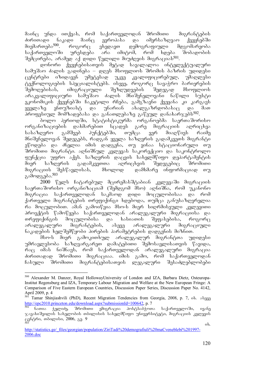მაინც უნდა ითქვას, რომ საქართველოდან შრომითი — მიგრანტების - ძირითადი ნაკადი მაინც ევროპასა და იმერსაზდვაო ქვეყნებში<br>- მიემართება<sup>500</sup>. როგორც ვხედავთ დემოგრაფიული მდგომარეობა როგორც ვხედავთ დემოგრაფიული საქართველოში ურესდება არა იმიტომ, რომ ხდება შობადობის შემცირება, არამედ აქ დიდი წვლილი მიუძღვის მიგრაციას<sup>501</sup>.

 $\overline{\omega}$ ონორი ქვეყნებისათვის მეტად სავალალოა ინტელექტუალური სამუშაო ძალის გადინება – დღეს მსოფლიოს შრომის ბაზრის უდიდესი<br>ცენტრები იზიდავენ უმეტესად უკვე კვალიფიცირებულ, უმაღლესი ცენტრები იზიდავენ უმეტესად უკვე კვალიფიცირებულ, უმაღლესი .<br>ტექნოლოგიების სპეციალისტებს. ისევე, როგორც სავაჭრო ბარიერების შემოღებისას, იმიგრაციული შეზღუდვების შედეგად მსოფლიოს არაკვალიფიციური სამუშაო ძალის მნიშვნელოვანი ნაწილი სუსტი ეკონომიკის ქვეყნებში ჩაკეტილი რჩება, გამგზავნი ქვეყანა კი კარგავს<br>ყველაზე ენთუზიასტ და უნარიან ახალგაზრდობასაც და მათ  $\frac{99}{430}$ ლაზე ენთუზიასტ და უნარიან ახალგაზრდობასაც და შათ პროფესიულ მომზადებასა და განათლებაზე გაწეულ დანახარჯებს<sup>502</sup>.

.<br>ბოლო პერიოდში, სტატისტიკურმა ორგანოებმა საერთაშორისო ორგანიზაციების დახმარებით სცადეს გარე მიგრაციის აღრიცხვა სასაზღვრო გამშვებ პუნქტებში, თუმცა ვერ მიაღწიეს რაიმე მნიშვნელოვან შედეგებს, რადგან ყველა საზღვრის გადამკვეთს მიგრანტი ეწოდება და ძნელია იმის დადგენა, თუ ვინაა სტაციონარული თუ შრომითი მიგრანტი. აღნიშნულ კვლევას საკორექციო და საკონტროლო ფუნქცია უფრო აქვს. საზღვრის დაცვის სახელმწიფო დეპარტამენტის მიერ საზღვრის გადამკვეთთა აღრიცხვის შედეგებიც შრომითი მიგრაციის შესწავლისას, მხოლოდ დამხმარე ინფორმაციად თუ გამოდგება.<sup>503</sup>

2000 წელს ჩატარებულ მცირემასშტაბიან კვლევაში მიგრაციის საერთაშორისო ორგანიზაციამ (შემდგომ მსო) ადნიშნა, რომ უკანონო მიგრაცია საქართველოდან საკმაოდ დიდი მოცულობისაა და რომ ქართველი მიგრანტების თრეფიქინგი ხდებოდა, თუმცა განუსაზღვრელია რა მოცულობით. ამან გამოიწვია მსო-ს მიერ სიღრმისეული კვლევითი პროექტის წამოწყება საქართველოდან არალეგალური მიგრაციისა და თრეფიქინგის მოცულობისა და ხასიათის შეფასებისა, როგორც არალეგალური მიგრანტების, ასევე არალეგალური მიგრაციული ნაკადების ხელშემწყობი პირების პარამეტრების დადგენის მიზნით.

მსო-ს მიერ გამოკითხულ არალეგალურ მიგრანტთა უდიდესი უმრავლესობა საზღვარგარეთ დამატებითი შემოსავლისათვის წავიდა, რაც იმას ნიშნავს, რომ საქართველოდან არალეგალური მიგრაცია ძირითადად შრომითი მიგრაციაა. იმის გამო, რომ საქართველოდან ჩასული შრომითი მიგრანტებისათვის ლეგალური შესაძლებლობები

 $500\,$ 500 Alexander M. Danzer, Royal HollowayUniversity of London and IZA, Barbara Dietz, Osteuropa-Institut Regensburg and IZA, Temporary Labour Migration and Welfare at the New European Fringe: A Comparison of Five Eastern European Countries, Discussion Paper Series, Discussion Paper No. 4142, April 2009, p. 4

Tamar Shinjiashvili (PhD), Recent Migration Tendencies from Georgia, 2008, p. 7, ob. algaa http://epc2010.princeton.edu/download.aspx?submissionId=100642, p. 7

ნათია ჭელიძე, შრომითი ემიგრაცია პოსტსაბჭოთა საქართველოში, ივანე ჯავახიშვილის სახელობის თბილისის სახელმწიფო უნივერსიტეტი, მიგრაციის კვლევის ცენტრი, თბილისი, 2006, გვ. 9  $\frac{1}{503}$  ob.

http://statistics.ge/\_files/georgian/population/ZiriTadi%20demografiuli%20maCveneblebi%201997- 2006.doc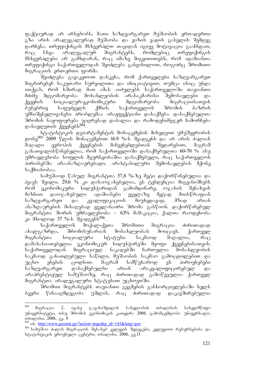ფაქტიურად არ არსებობს, მათი საზღვარგარეთ მუშაობის ერთადერთი გზა არის არალეგალურად მუშაობა და ვიზის ვადის გასვლის შემდეგ darCena. Trefiqingis msxverplT Tavidan igive motivacia gaaCndaT, რაც სხვა არალეგალურ მიგრანტებს, რომლებიც თრეფიქინგის მსხვერპლები არ გამხდარან, რაც იმაზე მიგვითითებს, რომ ადამიანთა თრეფიქინგი საქართველოდან შეიძლება განვიხილოთ, როგორც შრომითი  $\partial$ oგრაციის ერთ-ერთი ფორმა.

შეიძლება გავაკეთოთ დასკვნა, რომ ქართველები საზღვარგარეთ შიგრირებენ საკუთარი სურვილითა და ინიციატივით, თუმცა ისიც უნდა ითქვას, რომ ხშირად მათ ამას აიძულებს საქართველოში თავიანთი<br>მძიმე მდგომარეობა. მოსახლეობის არასაკმარისი შემოსავლები და მძიმე მდგომარეობა. მოსახლეობის არასაკმარისი შემოსავლები და ქვეყნის სოციალურ-ეკონომიკური მდგომარეობა მიგრაციისათვის<br>ბუნებრივ საფუძველს ქმნის. საქართველოს შრომის ბაზრის ბუნებრივ საფუძველს ქმნის. საქართველოს შრომის ბაზრის უმნიშვნელოვანესი პრობლემაა არაეფექტიანი დასაქმება. დასაქმებულთა შრომის ნაყოფიერება უაღრესად დაბალია და რამოდენიმეჯერ ჩამორჩება დასავლეთის ქვეყნებს<sup>504</sup>.

სტატისტიკის დეპარტამენტის მონაცემების მიხედვით უმუშევრობის დონე<sup>505</sup> 2009 წლის მონაცემებით 16.9 %-ს შეადგენს და არ არის ძალიან მაღალი ევროპის ქვეყნების მაჩვენებლებთან შედარებით, მაგრამ გასათვალისწინებელია, რომ საქართველოში დასაქმებულთა 60-70 % ანუ უმრავლესობა სოფლის მეურნეობაშია დასაქმებული, რაც საქართველოს პირობებში არაანაზღაურებადი, არასტაბილური შემოსავლების მქონე საქმიანობაა.

სამუშაოდ წასულ მიგრანტთა 57,8 %-ზე მეტი დაქორწინებულია და ჰყავს შვილი, 29,6 % კი დასაოჯახებელია, ეს ტენდენცია მიგვანიშნებს რომ ეკონომიკური სიდუხჭირიდან გამომდინარე, ოჯახის შენახვის მიზნით დაოჯახებული ადამიანები ყველაზე მეტად მიისწრაფიან საზღვარგარეთ და კვალიფიკაციის მიუხედავად, მზად არიან ანაზღაურების მისაღებად ყველანაირი შრომა გასწიონ. დაქორწინებულ მიგრანტთა შორის უმრავლესობა – 63% მამაკაცია, ქალთა რაოდენობა <u>კი მხოლოდ 37 %-ს შეადგენს<sup>506</sup>.</u>

საქართველოს მოქალაქეთა შრომითი მიგრაცია ძირითადად ახალგაზრდა, შრომისუნარიან მოსახლეობას მოიცავს. ქართველ მიგრანტთა სოციალური სტატუსი საკმაოდ მაღალია, რაც დამახასიათებელია ეკონომიკურ სიდუხჭირეში მყოფი ქვეყნებისათვის. საქართველოდან მიგრაციულ ნაკადებში ჩართულია მოსახლეობის საკმაოდ განათლებული ნაწილი, მუშაობის საკმაო გამოცდილებით და<br>უცხო ენების ცოდნით. მაგრამ სამწუხაროდ ეს პიროვნებები ენების ცოდნით. მაგრამ სამწუხაროდ ეს პიროვნებები საზღვარგარეთ დასაქმებულნი არიან არაკვალიფიცირებულ და არაპრესტიჟულ სამუშაოზე, რაც ძირითადად გამოწვეულია ქართველ მიგრანტთა არალეგალური სტატუსით უცხოეთში.

შრომით მიგრანტებს თავიანთი გეგმების განხორციელებაში ხელს ბევრი წინააღმდეგობა უშლის, რაც ძირითადად დაკავშირებულია

<sup>504</sup> მიგრაცია 2, ივანე ჯავახიშვილის სახელობის თბილისის სახელმწიფო უნივერსიტეტი, თსუ შრომის ეკონომიკის კათედრა 2008, გამომცემლობა უნივერსალი, თბილისი, 2008, გვ. 8

 $505$  ob. http://www.geostat.ge/?action=page&p\_id=145&lang=geo

<sup>&</sup>lt;sup>506</sup> სამუშაო ძალის მიგრაციის შესახებ კვლევის შედეგები, კვლევითი რესურსებისა და  $\log_2$  b $\log_2$ ob $\log_2$  and  $\log_2$   $\log_2$  and  $\log_2$  and  $\log_2$   $\log_2$   $\log_2$   $\log_2$   $\log_2$   $\log_2$   $\log_2$   $\log_2$   $\log_2$   $\log_2$   $\log_2$   $\log_2$   $\log_2$   $\log_2$   $\log_2$   $\log_2$   $\log_2$   $\log_2$   $\log_2$   $\log_2$   $\log_2$   $\log_2$   $\log_2$   $\log_$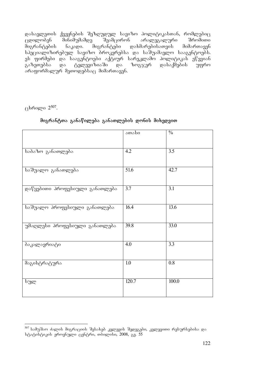დასავლეთის ქვეყნების შეზღუდულ სავიზო პოლიტიკასთან, რომლებიც ცდილობენ მინიმუმამდე შეამცირონ არალეგალური შრომითი<br>მიგრანტების ნაკადი. მიგრანტები დახმარებისათვის მიმართავენ  $\varrho$ ახმარებისათვის სპეციალიზირებულ სავიზო პროკერებსა და საშუამავლო სააგენტოეპს. -ეს ფირმები და სააგენტოები აქტიურ სარეკლამო პოლიტიკას ეწევიან<br>გაზეთებსა - და - ტელევიზიაში - და - ზოგჯერ - დასაქმების - უფრო გაზეთებსა და ტელევიზიაში და ზოგჯერ დასაქმების უფრო  $\alpha$ გრაფორმალურ მეთოდებსაც მიმართავენ.

 $\beta$ დილი 2<sup>507</sup>.

|                                | ათასი            | $\frac{0}{0}$ |
|--------------------------------|------------------|---------------|
| საბაზო განათლება               | 4.2              | 3.5           |
| საშუალო განათლება              | 51.6             | 42.7          |
| დაწყებითი პროფესიული განათლება | 3.7              | 3.1           |
| საშუალო პროფესიული განათლება   | 16.4             | 13.6          |
| უმაღლესი პროფესიული განათლება  | 39.8             | 33.0          |
| პაკალავრიატი                   | 4.0              | 3.3           |
| მაგისტრატურა                   | $\overline{1.0}$ | 0.8           |
| სულ                            | 120.7            | 100.0         |

#### მიგრანტთა განაწილება განათლების დონის მიხედვით

<sup>-</sup><sup>507</sup> სამუშაო ძალის მიგრაციის შესახებ კვლევის შედეგები, კვლევითი რესურსებისა და სტატისტიკის ეროვნული ცენტრი, თბილისი, 2008, გ<u>ვ</u>. 55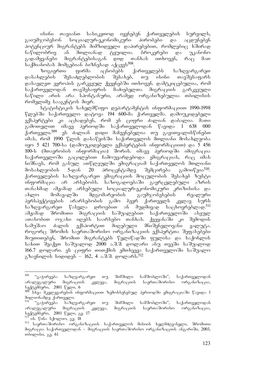ისინი თავიანთ სასიკეთოდ იყენებენ ქართველების სურვილს, გაიუმჯობესონ სოციალურ-ეკონომიკური პირობები და აცდუნებენ პოტენციურ მიგრანტებს მიმზიდველი დაპირებებით, რომლებიც ხშირად<br>ნაწილობრივ ან მთლიანად ტყუილია. ბროკერები და უკანონო ნაწილობრივ ან მთლიანად ტყუილია. ბროკერები და გადამყვანები მიგრანტებისაგან დიდ თანხას ითხოვენ, რაც მათ საქმიანობას მომგებიან ბიზნესად აქცევს<sup>508</sup>.

ზოგიერთი ფირმა აცნობებს ქართველებს საზღვარგარეთ დასახლების შესაძლებლობის შესახებ, თუ ისინი თავშესაფარს დასავლეთ ევროპის გარკვეულ ქვეყნებში ითხოვენ. დამტკიცებულია, რომ საქართველოდან თავშესაფრის მაძიებელთა მიგრაციის გარკვეული ნაწილი არის არა სპონტანური, არამედ ორგანიზებულია თბილისის რომელიმე სააგენტოს მიერ.

სტატისტიკის სახელმწიფო დეპარტამენტის ინფორმაციით 1990-1998 წლებში საქართველო დატოვა 194 600-მა ქართველმა. დამოუკიდებელი ექსპერტები კი აცხადებენ, რომ ეს ციფრი ძალიან დაბალია. მათი გამოთვლით იმავე პერიოდში საქართველოდან წავიდა 1 638 000 ყართველი.<sup>509</sup> ეს ძალიან დიდი მაჩვენებელია თუ გავითვალისწინებთ იმას, რომ 1990 წლის დასაწყისში საქართველოს მთლიანი მოსახლეობა იყო 5 421 700-სა (დამოუკიდებელი ექსპერტების ინფორმაციით) და 5 456 100-ს (მთავრობის ინფორმაცია) შორის. იმავე პერიოდში იმიგრაცია საქართველოში გაცილებით ჩამოუვარდებოდა ემიგრაციას, რაც იმას ნიშნავს, რომ გასულ ათწლეულში ემიგრაციამ საქართველოს მთლიანი მოსახლეობის 5-დან 20 პროცენტამდე შემცირება გამოიწვია<sup>510</sup>. ქართველების საზღვარგარეთ ემიგრაციის მოცულობის შესახებ ზუსტი ინფორმაცია არ არსებობს. საზოგადოებაში გავრცელებული აზრის თანახმად ამჟამად არსებული სოციალურ-ეკონომიკური კრიზისისა და -ახლო მომავალში მდგომარეობის გაუმჯობესების რეალური<br>პერსპექტივების არარსებობის გამო ბევრ ქართველს კვლავ სურს პერსპექტივების არარსებობის გამო ბევრ ქართველს საზღვარგარეთ წასვლა დროებით ან მუდმივად საცხოვრებლად.<sup>511</sup> ამჟამად შრომითი მიგრაციის საშუალებით საქართველოში ასეულ ათასობით ოჯახი იღებს საარსებო თანხას. ქვეყანაში კი შემოდის სამუშაო ძალის ექსპორტით მიღებული მნიშვნელოვანი ვალუტა. როგორც შრომის საერთაშორისო ორგანიზაციის ექსპერტთა შეფასებები მიუთითებენ, შრომით მიგრანტებს წელიწადში ფულისა და საქონლის სახით შეაქვთ საშუალოდ 2000 ა.შ.შ. დოლარი ანუ თვეში საშუალოდ 166.7 დოლარი. ეს ციფრი თითქმის ემთხვევა საქართველოში საშუალო  $a\$ bagbogrob bogoggb – 162, 4 s.d.d. goografis.<sup>512</sup>

<sup>508</sup> "გაჭირვება საზღვარგარეთ თუ შიმშილი სამშობლოში", საქართველოდან არალეგალური მიგრაციის კვლევა, მიგრაციის საერთაშორისო ორგანიზაცია, seqtemberi, 2001 weli, 6

 $\overline{16}$ გვლევარების ინფორმაციით ზემოხსენებულ პერიოდში ემიგრაციაში წავიდა 1 მილიონამდე ქართველი.<br><sup>510</sup> "გაჭირვება საზღ

<sup>-</sup> საზღვარგარეთ თუ შიმშილი სამშობლოში", საქართველოდან<br>მიგრაციის კვლევა, მიგრაციის საერთაშორისო ორგანიზაცია, არალეგალური მიგრაციის კვლევა,  $\iota$ ada bari, 2001  $\chi$ agro,  $\iota$  and 17

ob. წინა სქოლიო, გვ. 18

<sup>&</sup>lt;sub>512 სავრთაშორისო ორგანიზაციის საქართველოს მისიის ხელმძღვანელი, შრომითი</sub> მიგრაცია საქართველოდან – მიგრაციის საერთაშორისო ორგანიზაციის ანგარიში, 2003, თბილისი, გვ. 61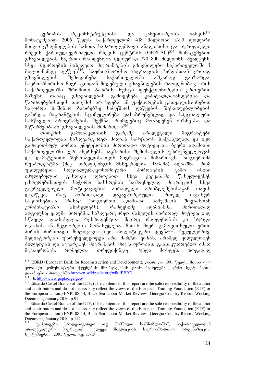ევროპის რეკონსტრუქციისა და განვითარების ბანკის<sup>513</sup> მონაცემებით 2006 წელს საქართველომ 418 მილიონი აშშ დოლარი მიიღო გზავნილების სახით. სამართლებრივი ანალიზისა და იურიდიული რჩევის ქართულ-ევროპული რჩევის ცუნტრის (GEPLAC) $^{514}$  მონაცუმებით გზავნილების საერთო რაოდენობა წლიურად 770 800 მილიონს შეადგენს. სხვა წყაროების მიხედვით მიგრანტების გზავნილები საქართველოში 1 . არია და ადწევს<sup>315</sup>. საერთაშორისო მიგრაციის ზრდასთან ერთად გზავნილების შემოდინება საქართველოში აშკარად გაიზარდა. საერთაშორისო მიგრაციიდან მიღებული გზავნილების რაოდენობაც არის საქართველოში შრომითი ბაზრის სუსტი ფუნქციონირების ერთ-ერთი<br>მიზეზი. თანაც გზავნილების გამოყენება კაპიტალდაბანდებისა და მიზეზი. თანაც გზავნილების გამოყენება კაპიტალდაბანდებისა და წარმოებებისთვის თითქმის არ ხდება. ამ ფაქტორების გათვალისწინებით სა≹იროა საშინაო ბაზრებზე საშუშაოს დაწყების შესაძლებლობების გაზრდა, მიგრანტების სტიმულირება დასაბრუნებლად და სპეციალური სასწავლო პროგრამების შექმნა, რომლებიც შოახდენენ ბიზნესსა და მეწარმეობაში გზავნილების მიმართვას<sup>516</sup>.

თითქმის გამონაკლისის გარეშე არალეგალი მიგრანტები საქართველოდან საზღვარგარეთ მიდიან სამუშაოს საძებნელად. ეს იყო გამოკითხულ პირთა უმეტესობის ძირითადი მოტივაცია. ბევრი ადამიანი საქართველოში ვერ ახერხებს საკმარისი შემოსავლის უზრუნველყოფას და დამატებითი შემოსავლისათვის მიგრაციას მიმართავს. ზოგიერთმა რესპოდენტმა (მაგ. თრეფიქინგის მსხვერპლთა 13%-მა) აღნიშნა, რომ<br>უკიდურესი სოციალურ-ეკონომიკური პირობების გამო ისინი უკიდურესი სოციალურ-ეკონომიკური პირობების გამო ისინი<br>იძულებულნი გახდნენ დროებით სხვა ქვეყანაში წასულიყვნენ . გახდნენ დროებით სხვა ქვეყანაში წასულიყვნენ  $\alpha$ ცხოვრებისათვის საჭირო სახსრების საშოვნელად. მიგრაციის სხვა გავრცელებული მოტივაციებია პირადული პრობლემებისაგან თავის დაღწევა, რაც ძირითადად დაკავშირებულია რთულ ოჯახურ საკითხებთან (რასაც ზოგიერთი ადამიანი სამუშაოს შოვნასთან კომბინაციაში ასახელებს). რამდენიმე ადამიანმა, ძირითადად ადგილნაცვალმა პირებმა, საზღვარგარეთ წასვლის ძირითად მოტივაციად სწავლა დაასახელა, რესპოდენტთა მცირე რაოდენობას კი სურდა  $\cos$ ვასის ან მეგობრების მონახულება. მსო-ს მიერ გამოკითხული ერთი პირის ძირითადი მოტივაცია იყო პოლიტიკური დევნა<sup>517</sup>. ჩვეულებრივ, მედიატორები უზრუნველყოფენ არა მარტო ვიზას, არამედ ყიდულობენ ბილეთებს და აგვარებენ მიგრანტის მოგზაურობას, განსაკუთრებით იმათ მგზავრობას, რომელთა თრეფიქინგიც უნდა მოხდეს. ზოგადად

<sup>-</sup>513 EBRD (European Bank for Recomstruction and Development), goodbgo 1991  $\gamma$ ggeb, doboo ogo ყოფილი კომუნისტური ქვეყნების მხარდაჭერის განხორციელება კერძო სექტორების დაარსების პროცესში http://en.wikipedia.org/wiki/EBRD

 $514$  ob. http://www.geplac.ge/geo/

<sup>515</sup> Eduarda Castel Branco of the ETF, (The contents of this report are the sole responsibility of the author and contributors and do not necessarily reflect the views of the European Training Foundation (ETF) or the European Union.) ENPI 08-14, Black Sea labour Market Reviews, Georgia Country Report, Working Document, January 2010, p.91

<sup>516</sup> Eduarda Castel Branco of the ETF, (The contents of this report are the sole responsibility of the author and contributors and do not necessarily reflect the views of the European Training Foundation (ETF) or the European Union.) ENPI 08-14, Black Sea labour Market Reviews, Georgia Country Report, Working Document, January 2010, p.114

<sup>&</sup>quot;გაჭირვება საზღვარგარეთ თუ შიმშილი სამშობლოში", საქართველოდან<br>ალეგალური მიგრაციის კვლევა, მიგრაციის საერთაშორისო ორგანიზაცია, არალეგალური მიგრაციის კელევა, მიგრაციის სექტემბერი, 2001 წელი, გვ. 17-18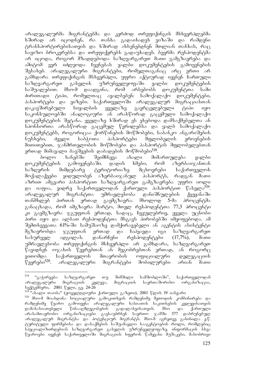არალეგალურმა მიგრანტებმა და კერძოდ თრეფიქინგის მსხვერპლებმა ხშირად არ იცოდნენ, რა თანხა გადაიხადეს ვიზაში და რამდენი ტრანსპორტირებისათვის და ხშირად ახსენებდნენ მთლიან თანხას, რა $\alpha$ სავიზო ბროკერებსა და თრეფიქერებს გადაუხადეს. ბევრმა რესპოდენტმა არ იცოდა, როგორ მზადდებოდა საზღვარგარეთ მათი გამგზავრება და ამიტომ ვერ იძლეოდა ჩვენებას ყალბი დოკუმენტების გამოყენების შესახებ. არალეგალური მიგრანტები, რომელთაგანაც არც ერთი არ გამხდარა თრეფიქინგის მსხვერპლი, უფრო აქტიურად იყვნენ ჩართული<br>საზღვარგარეთ გასვლის უზრუნველყოფაში ყალბი დოკუმენტების საზღვარგარეთ გასვლის უზრუნველყოფაში ყალბი<br>საშუალებით. მსო-მ დაადგინა, რომ არსებობს დო საშუალებით. მსო-მ დაადგინა, რომ არსებობს დოკუმენტთა სამი ძირითადი ტიპი, რომელთაც აყალბებენ: სამოქალაქო დოკუმენტები, პასპორტები და ვიზები. საქართველოში არალეგალურ მიგრაციასთან დაკავშირებული სიყალბის ყველაზე გავრცელებული ტიპი იყო საკონსულოებში ანალოგიური ან არასწორად გაცემული სამოქალაქო დოკუმენტების შეტანა. ყველაზე ხშირად ეს ეხებოდა დამსაქმებელთა ან სპონსორთა არასწორად გაცემულ წერილებსა და ყალბ სამოქალაქო დოკუმენტებს, როგორიცაა ქორწინების მოწმობები, საბანკო ანგარიშების ნუსხები, ძველი საბჭოთა პასპორტები მფლობელის ეროვნების მითითებით, ჯანმრთელობის მოწმობები და პასპორტის მფლობელებთან ერთად მიმავალი ბავშვების დაბადების მოწმობები<sup>518</sup>.

ბოლო ხანებში შეიმჩნევა ახალი მიმართულება ყალბი დოკუმენტების გამოყენებაში. დადის ხმები, რომ აზერბაიჯანთან საზღვრის მიმდებარე ტერიტორიაზე მცხოვრები საქართველოს მოქალაქეები ყიდულობენ აზერბაიჯანულ პასპორტს, რადგან მათი აზრით ამგვარი პასპორტით საზღვარგარეთ გამგზავრება უფრო იოლი და იაფია, ვიდრე საქართველოდან ქართული პასპორტით წასვლა<sup>519</sup>. არალეგალურ მიგრანტთა უმრავლესობა დანიშნულების ქვეყანაში თანმხლებ პირთან ერთად გაემგზავრა. მხოლოდ 5-მა პროცენტმა განაცხადა, რომ იმგზავრა მარტო, მთელ რესპოდენტთა 77,3 პროცენტი კი გაემგზავრა ჯგუფთან ერთად, სადაც, ჩვეულებრივ, ყველა უცნობი პირი იყო და ალბათ რესპოდენტთა მსგავს პირობებში იმყოფებოდა. ამ შემთხვევათა 61%-ში სამუშაოზე დამქირავებელი ან აგენტის ასისტენტი მგზავრობდა ჯგუფთან ერთად და ჩაჰყავდა იგი საზღვარგარეთ სასურველ ადგილას. დანარჩენი რესპოდენტები (17,7%), მათი უმრავლესობა თრეფიქინგის მსხვერპლი არ გამხდარა, საზღვარგარეთ  $\mathbb{F}$ ავიდნენ ო $\chi$ ახის  $\mathbb{F}_0$ ვრებთან ან მეგობრებთან ერთად, ან როგორ $\alpha$ ვითომდა საქართველოს მთავრობის ოფიციალური დელეგაციის<br>წევრები<sup>520</sup>. არალეგალური მიგრანტები მობილურები არიან მათი არალეგალური მიგრანტები მობილურები არიან მათი

<sup>518</sup> "გაჭირვება საზღვარგარეთ თუ შიმშილი სამშობლოში", საქართველოდან არალეგალური მიგრაციის კვლევა, მიგრაციის საერთაშორისო ორგანიზაცია, სექტემბერი, 2001 წელი, გვ. 24-26

<sup>&#</sup>x27;ახალი თაობა" (ყოველდღიური ქართული გაზეთი), 2001 წლის 19 იანვარი

<sup>520</sup> mso-m moaxdina socialuri gamokiTxvis ramdenime meTodis kombinireba da -რამდენიმე წყარო გამოიყენა არალეგალური ხასიათის საკითხების კვლევისათვის<br>დამახასიათებელი წინააღმდეგობების გადალახვისათვის. მსო და ქართული დამახასიათებელი წინააღმდეგობების გადალახვისათვის. მსო და არასამთავრობო ორგანიზაციები გაესაუბრნენ საერთო ჯამში 577 დაბრუნებულ არალეგალურ მიგრანტსა და პოტენციურ მიგრანტს. მსო-მ აგრეთვე განიხილა ე.წ. ტურიტული ფირმებისა და დასაქმების საშუამავლო სააგენტოების როლი, რომლებიც სპეციალიზირდებიან საზღვარგარეთ გასვლის უზრუნველყოფაზე. ინფორმაცის სხვა  $\mathbb{F}$ ყაროები იყვნენ საქართველოში მიგრაციის სფეროს წამყვანი შუშაკები, მასობრივი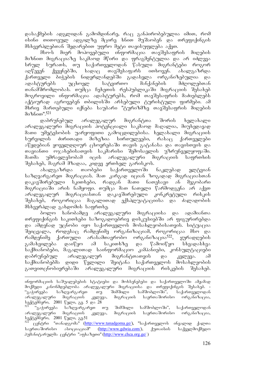დასაქმების ადგლიდან გამომდინარე, რაც განპირობებულია იმით, რომ ისინი თითოეულ ადგილზე მცირე ხნით მუშაობენ და თრეფიქინგის მსხვერპლებთან შედარებით უფრო მეტი თავისუფლება აქვთ.

მსო-ს მიერ მოპოვებული ინფორმაცია თავშესაფრის მიღების მიზნით მიგრაციაზე საკმაოდ მწირი და ფრაგმენტულია და არ იძლევა სრულ სურათს, თუ საქართველოდან წასული მიგრანტები როგორ<br>აღწევენ ქვეყნებში, სადაც თავშესაფარს ითხოვენ. ახალგაზრდა  $\alpha$ ს კვეყნებში, სადაც თავშესაფარს ითხოვენ. ახალგაზრდა ქართველი ბიჭების ნიდერლანდებში გადასვლა ორგანიზებულია და<br>ადასტურებს უცხოელ სატვირთო მანქანების მძღოლებთან ადასტურებს უცხოელ სატვირთო მანქანების მძღოლებთან თანამშრომლობას. თუმცა ჩეხეთის რესპუბლიკაში მიგრაციის შესახებ მოგროვილი ინფორმაცია ადასტურებს, რომ თავშესაფრის მაძიებლებს აქტიურად აგროვებენ თბილისში არსებული ტურისტული ფირმები. ამ ിხრივ მართებული იქნება საუბარი "ტურიზმზე თავშესაფრის მიღების  $a_0$ <sup>6</sup><sub>00</sub>".<sup>521</sup>

დაბრუნებულ არალეგალურ მიგრანტთა შორის ხელახალი არალეგალური მიგრაციის პოტენციალი საკმაოდ მაღალია, მიუხედავად მათი უმეტესობის უარყოფითი გამოცდილებისა. ხელახალი მიგრაციის სურვილის ძირითადი მიზეზია სირთულეები, რასაც ქართველები აწყდებიან ყოველდღიურ ცხოვრებაში თავის გატანასა და თავისთვის და თავიანთი ოჯახებისათვის საკმარისი შემოსავლის უზრუნველყოფაში. მათმა უმრავლესობამ იცის არალეგალური მიგრაციის საფრთხის შესახებ, მაგრამ მზადაა, კიდევ ერთხელ გარისკოს.

ახალგაზრდა თაობები საქართველოში ნაკლებად ელტვიან საზღვარგარეთ მიგრაციას. მათ კარგად იციან ზოგადად მიგრაციასთან დაკავშირებული სკითხები, რადგან მათი ნათესავი ან მეგობარი მიგრაციაში არის ნამყოფი. თუმცა მათ ნათელი წარმოდგენა არ აქვთ არალეგალურ მიგრაციასთან დაკავშირებული კონკრეტული რისკის შესახებ, როგორიცაა მაგალითად ექსპლუატაციისა და ძალადობის მსხვერპლად გახდომის საფრთხე.

ბოლო ხანობამდე არალეგალური მიგრაციისა და ადამიანთა თრეფიქინგის საკითხები საზოგადოებრივ დისკუსიებში არ ფიგურირებდა და ამდენად უცნობი იყო საქართველოს მოსახლეობისათვის. სიტუაცია შეიცვალა, როდესაც რამდენიმე ორგანიზაციამ, როგორიცაა მსო და<br>რამდენიმე ქართული არასამთავრობო ორგანიზაცია<sup>522</sup>, ყურადღების რამდენიმე ქართული არასამთავრობო ორგანიზაცია<sup>522</sup>, ყურადღების გამახვილება დაიწყო ამ საკითხზე და წამოიწყო სხვადასხვა საქმიანობები, მაგალითად საინფორმაციო კამპანიები, კონსულტაციები დაბრუნებულ არალეგალურ მიგრანტთათვის და კვლევა. ამ<br>საქმიანობებმა დიდი წვლილი შეიტანა საქართველოს მოსახლეობის საქმიანობებმა დიდი წვლილი შეიტანა საქართველოს მოსახლეობის გათვითცნობიერებაში არალეგალური მიგრაციის რისკების შესახებ.

-

ინფორმაციის საშუალებების სტატიები და მოხსენებები და საქართველოში ამჟამად მოქმედი კანონმდებლობა არალეგალური მიგრაციისა და თრეფიქინგის შესახებ. -<br>"გაჭირვება საზღვარგარეთ თუ შიმშილი სამშობლოში", საქართველოდან "გაჭირვება საზღვარგარეთ თუ შიმშილი სამშობლოში", საქართველოდან არალეგალური მიგრაციის კელევა, მიგრაციის საერთაშორისო ორგანიზაცია, სექტემბერი, 2001 წელი, გვ. 5 და 28

<sup>&</sup>quot;გაჭირვება საზღვარგარეთ თუ შიმშილი სამშობლოში", საქართველოდან<br>ვეგალური მიგრაციის კვლევა, მიგრაციის საერთაშორისო ორგანიზაცია, არალეგალური მიგრაციის კვლევა, seqtemberi, 2001 weli, gv.51

ცენტრი "თანადგომა" (http://www.tanadgoma.ge/), "საქართველოს ინვალიდ ქალთა საერთაშორისო ასოციაციამ" (http://www.gdwia.com/), ქუთაისის საქველმოქმედო ჰუმანიტარულმა ცენტრი "აფხაზეთი" (http://www.chca.org.ge/ )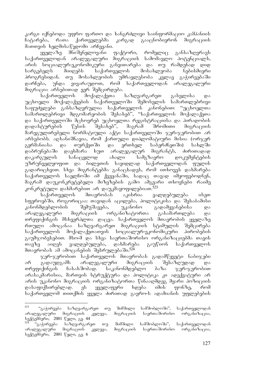კარგი იქნებოდა უფრო ფართო და ხანგრძლივი საინფორმაციო კამპანიის<br>ჩატარება, რათა ქართველებმა კარგად გააცნობიერონ მიგრაციის ჩატარება, რათა ქართველებმა კარგად გააცნობიერონ მიგრაციის მათთვის ხელმისაწვდომი არჩევანი.

 $y_3y$ ლაზე მნიშვნელოვანი ფაქტორი, რომელიც განსაზღვრავს საქართველოდან არალეგალური მიგრაციის სამომავლო პოტენციალს, არის სოციალურ-ეკონომიკური განვითარება და თუ რამდენად დიდ სარგებელს მიიღებს საქართველოს მოსახლეობა ნებისმიერი პროგრესიდან. თუ მოსახლეობის უმრავლესობა კვლავ გაჭირვებაში დარჩება, უნდა ვივარაუდოთ, რომ საქართველოდან არალეგალური მიგრაცია არსებითად ვერ შემცირდება.

საქართველოს მოქალაქეთა საზღვარგარეთ გასვლისა და უცხოელი მოქალაქეების საქართველოში შემოსვლის სამართლებრივი საფუძვლები განსაზღვრულია საქართველოს კანონებით: "უცხოელთა სამართლებრივი მდგომარეობის შესახებ", "საქართველოს მოქალაქეთა და საქართველოში მცხოვრებ უცხოელთა რეგისტრაციისა და პირადობის დადასტურების წესის შესახებ", მაგრამ შრომითი მიგრაციის მარეგულირებელი ნორმატიული აქტი საქართველოში ჯერ-ჯერობით არ არსებობს. აღსანიშნავია, რომ ქართული დიპლომატიური მისია (ორ $\chi$ ერ გერმანიასა და თურქეთში და ერთხელ საბერძნეთში) სახლში<br>დაბრუნებაში დაეხმარა ხუთ არალეგალურ მიგრანტს, ძირითადად დაბრუნებაში დაეხმარა ხუთ არალეგალურ მიგრანტს, ძირითადად დაკარგულის სანაცვლოდ ახალი სამგზავრო დოკუმენტების უზრუნველყოფით და ბილეთის საყიდლად საქართველოდან ფულის გადარიცხვით. სხვა მიგრანტებმა განაცხადეს, რომ ითხოვეს დახმარება საქართველოს საელჩოში იმ ქვეყანაში, სადაც თავად იმყოფებოდნენ, მაგრამ დაუკონკრეტებელი მიზეზების გამო ამგვარი თხოვნები რაიმე კონკრეტული დახმარებით არ დაუკმაყოფილებიათ.<sup>523</sup>

საქართველოს მთავრობას აკისრია ვალდებულება ისეთ სფეროებში, როგორიცაა: თავიდან აცილება, პოლიტიკისა და შესაბამისი კანონმდებლობის შემუშავება, უკანონო გადამყვანებისა და არალეგალური მიგრაციის ორგანიზატორთა გასაშართლება და თრეფიქინგის მსხვერპლთა დაცვა. საქართველოს მთავრობის ყველაზე რთული ამოცანაა საზღვარგარეთ მიგრაციის სტიმულის შემცირება საქართველოს მოქალაქეთათვის სოციალურ-ეკონომიკური პირობების გაუმჯობესებით. მსო-მ და სხვა საერთაშორისო ორგანიზაციებმა თავის თავზე აიღეს ვალდებულება, დახმარება გაუწიონ საქართველოს მთავრობას ამ ამოცანების შესრულებაში.<sup>524</sup>

 $\chi$ ერ- $\chi$ ერობით საქართველოს მთავრობას გადამწყვეტი ნაბი $\chi$ ები არ გადაუდგამს არალეგალური მიგრაციის შესაზღუდად და თრეფიქინგის ჩასახშობად. საკანონმდებლო ბაზა ჯერ-ჯერობით არასაკმარისია, მართვის სტრუქტურა და პოლიტიკა კი ადექვატური არ არის უკანონო მიგრაციის ორგანიზატორთა წინააღმდეგ მყარი პოზიციის დასაფიქსირებლად. ეს ყველაფერი ხდება იმის ფონზე, რომ საქართველომ თითქმის ყველა ძირითად გაერო-ს ადამიანის უფლებების

<sup>523</sup> "გაჭირვება საზღვარგარეთ თუ შიმშილი სამშობლოში", საქართველოდან<br>გალური მიგრაციის კვლევა, მიგრაციის საერთაშორისო ორგანიზაცია, არალეგალური მიგრაციის კვლევა, მიგრაციის საერთაშორისო ორგანიზაცია, სექტემპერი, 2001 წელი, გვ. 44

<sup>&#</sup>x27;გაჭირვება საზღვარგარეთ თუ შიმშილი სამშობლოში'', საქართველოდან<br>ეგალური მიგრაციის კვლევა, მიგრაციის საერთაშორისო ორგანიზაცია, არალეგალური მიგრაციის კვლევა, მიგრაციის საერთაშორისო  $b$ ექტემბერი, 2001 წელი, გვ. 6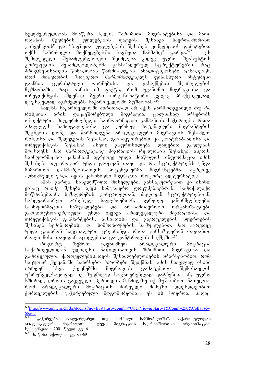ხელშეკრულებას მოაწერა ხელი, ''შრომითი მიგრანტებისა და მათი <u>ოჯახის წევრების უფლებების დაცვის შესახე</u>ბ საერთაშორისო კონვენციის" და "ბავშვთა უფლებების შესახებ კონვენციის დამატებით<br>ოქმს საბრძოლო მოქმედებებში ბავშვთა ჩაბმაზე" გარდა.<sup>525</sup> ეს ოქმს საბრძოლო მოქმედებებში ბავშვთა ჩაბმაზე" გარდა.<sup>525</sup> ეს შეზღუდული შესაძლებლობები შეიძლება კიდევ უფრო შეასუსტოს კორუფციის შესაძლებლობებმა განსაზღვრულ სტრუქტურებში, რაც \_პროგრესისათვის წინაღობას წარმოადგენს. ანალიტიკოსები აცხადებენ,<br>\_რომ მთავრობის ზოგიერთ წარმომადგენელს ფინანსური ინტერესი რომ მთავრობის ზოგიერთ წარმომადგენელს ფინანსური ინტერესი გააჩნია ტურისტული ფირმებისა და დასაქმების შუამავლების<br>მუშაობაში, რაც ხსნის იმ ფაქტს, რომ უკანონო მიგრაციისა და მუშაობაში, რაც ხსნის იმ ფაქტს, რომ უკანონო მიგრაციისა და თრეფიქინგის ამდენად ბევრი ორგანიზატორი კვლავ პრაქტიკულად dausjelad agrZelebs saqarTveloSi muSaobas.<sup>526</sup>

bs mbb bs as agreed a docomber of salab booking and compared was რისკთან არის დაკავშირებული მიგრაცია. ცალსახად არსებობს ობიექტური, მიუკერძოებელი საინფორმაციო კამპანიის საჭიროება რათა ამაღლდეს საზოგადოებისა და კერძოდ პოტენციური მიგრანტების შეგნების დონე და წარმოდგენა არალეგალური მიგრაციის შესაძლო რისკისა და შედეგების შესახებ, განსაკუთრებით კი კონტრაბანდისა და თრეფიქინგის შესახებ. ასეთი გაფრთხილება დადებით გავლენას მოახდენს მათ წარმოდგენებზე მიგრაციის რეალობის შესახებ. ასეთმა საინფორმაციო კამპანიამ აგრეთვე უნდა მიაწოდოს ინფორმაცია იმის შესახებ, თუ როგორ უნდა დაიცვან თავი და რა სტრუქტურებს უნდა<br>მიმართონ დახმარებისათვის პოტენციურმა მიგრანტებმა, აგრეთვე მიმართონ დახმარებისათვის პოტენციურმა მიგრანტებმა, აგრეთვე აღნიშნული უნდა იყოს კანონიერი მიგრაცია, როგორც ალტერნატივა.

ამას გარდა, სახელმწიფო მოხელეები, განსაკუთრებით კი ისინი, ვისაც რაიმე შეხება აქვს სამგზავრო დოკუმენტებთან, სამოქალაქო მოწმობებთან, საზღვრების კონტროლთან, ძალოვან სტრუქტურებთან, საზღვარგარეთ არსებულ საელჩოებთან, აგრეთვე კანონმდებლები, საინფორმაციო საშუალებები და არასამთავრობო ორგანიზაციები გათვითცნობიერებული უნდა იყვნენ არალეგალური მიგრაციისა და თრეფიქინგის განმარტების, ხასიათისა და გავრცელების სფეროების შესახებ სემინარებისა და სიმპოზიუმების საშუალებით. მათ აგრეთვე უნდა გაიარონ სპეციალური ტრეინინგი, რათა განსაზღვრონ თავიანთი როლი მისი თავიდან აცილებისა და კონტროლის საქმეში.<sup>527</sup>

როგორც ზემოთ აღვნიშნეთ, არალეგალური მიგრაცია<br>თველოდან უდიდესი ნაწილისათვის შრომითი მიგრაციაა და საქართველოდან უდიდესი ნაწილისათვის შრომითი მიგრაციაა და გამოწვეულია ქართველებისათვის შესაძლებლობების არარსებობით, რომ საკუთარ ქვეყანაში საარსებო პირობები შეიქმნას. ამის ნაცვლად ისინი ირჩევენ სხვა ქვეყნებში მიგრაციას დამატებითი შემოსავლის უზრუნველსაყოფად იქ მუდმივად საცხოვრებლად დარჩენით, ან, უფრო ხშირად, დროის გაკვეული პერიოდის მანძილზე იქ მუშაობით. ნათელია, რომ არალეგალური მიგრაციის ძირეული მიზეზი დღესდღეობით ქართველების გაჭირვებული მდგომარეობაა. ეს ის სფეროა, სადაც

<sup>-</sup>525http://www.unhchr.ch/tbs/doc.nsf/newhvstatusbycountry?OpenView&Start=1&Count=250&Collapse= <mark>65#65</mark><br><sup>526 </sup>"გაჭირვება საზღვარგარეთ თუ შიმშილი სამშობლოში", საქართველოდან

არალეგალური მიგრაციის კვლევა, მიგრაციის საერთაშორისო ორგანიზაცია, სექტემბერი, 2001 წელი, გვ. 6

ob. წინა სქოლიო, გვ. 67-69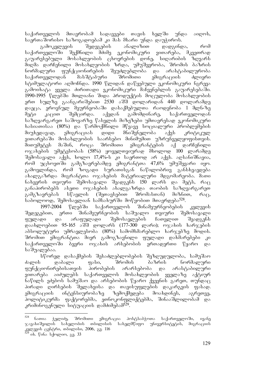საქართველოს მთავრობამ სადავეები თავის ხელში უნდა აიღოს,

sagრთაშორისო საზოგადოებამ კი მას მხარი უნდა დაუჭიროს.<br>გამოკვლევის შედეგების ანალიზით დადგინდ გამოკვლევის შედეგების ანალიზით დადგინდა, რომ საქართველოში შექმნილი მძიმე ეკონომიკური ვითარება, მკვეთრად გაუარესებული მოსახლეობის ცხოვრების დონე, სიღარიბის ზღვარს .<br>მიღმა დარჩენილი მოსახლეობის ზრდა, უმუშევრობა, შრომის ბაზრის<br>ნორმალური ფუნქციონირების შეუძლებლობა და არასტაბილურობა ნორმალური ფუნქციონირების შეუძლებლობა და არასტაბილურობა საქართველოდან მასშტაბური შრომითი ემიგრაციის ძლიერი სტიმულატორი აღმოჩნდა. 1990 წლიდან დაწყებული ეკონომიკური ნგრევა გამოიხატა ყველა ძირითადი ეკონომიკური მაჩვენებლის გაუარესებაში. 1990-1995 წლებში მთლიანი შიდა პროდუქტის მოცულობა მოსახლეობის ერთ სულზე გაანგარიშებით 2530 აშშ დოლარიდან 440 დოლარამდე .<br>დაეცა, ეროვნულ მეურნეობაში დასაქმებულთა რაოდენობა 1 მლნ-ზე<br>მეტი კაცით შემცირდა. აქედან გამომდინარე, საქართველოდან შეტი კაცით შემცირდა. აქედან გამომდინარე, საქართველოდან საზღვარგარეთ საშოვარზე წასვლის მიზეზები უმთავრესად ეკონომიკური ხასიათისაა (80%) და წარმოქმნილი მწვავე სოციალური პრობლემების<br>მიუხედავად, ემიგრაციას დიდი მნიშვნელობა აქვს კრიტიკულ მიუხედავად, ემიგრაციას დიდი მნიშვნელობა აქვს კრიტიკულ ვითარებაში მოსახლეობის საარსებო მინიმუმით უზრუნველყოფისთვის. მითუმეტეს მაშინ, როცა შრომითი ემიგრანტების აქ დარჩენილი ოჯახების უმეტესობას (58%) ყოველთვიურად მხოლოდ 100 ლარამდე  $\partial_{\Omega}$ მოსავალი აქვს, ხოლო 17,4%-ს კი საერთოდ არ აქვს. აღსანიშნავია, რომ უცხოეთში გამგზავრებამდე ემიგრანტთა 47,6% უმუშევარი იყო. გამოვლინდა, რომ ზოგადი სურათისგან ნაწილობრივ განსხვავდება ახალგაზრდა მიგრანტთა ოჯახების მატერიალური მდგომარეობა. მათი ნახევრის თვიური შემოსავალი შეადგენს 150 ლარს და მეტს, რა $\overline{\textbf{q}}$ განაპირობებს ასეთი ოჯახების ახალგაზრდა თაობის საზღვარგარეთ გამგზავრებას სწავლის (შეთავსებით შრომასთან) მიზნით, რაც, საბოლოოდ, შემოსავლიან სამსახურში მოწყობით მთავრდება<sup>528</sup>.

1997-2004 წლებში საქართველოს შინამეურნეობების კვლევის შედეგებით, ერთი შინამეურნეობის საშუალო თვიური შემოსავალი ფულადი და არაფულადი შემოსავლების ჩათვლით შეადგენს დაახლოებით 95-165 აშშ დოლარს (177-300 ლარი); ოჯახის ხარჯების  $\delta$ აბსოლუტური უმრავლესობა (80%) სამომხმარებლო ხარჯებზე მოდის. შრომით ემიგრანტთა მიერ გამოგზავნილი ფულადი დახმარებები კი საქართველოში ბევრი ოჯახის არსებობის ერთადერთი წყარო და საშუალებაა.

სწორედ დასაქმების შესაძლებლობების შეზღუდულობა, სამუშაო<br>ა — დაბალი — ფასი, — შრომის — ბაზრის — ნორმალური ძალის დაბალი ფასი, შრომის ბაზრის ნორმალური ფუნქციონირებისათვის პირობების არარსებობა და არასტაბილური ვითარება აიძულებს საქართველოს მოსახლეობის ყველაზე აქტიურ ნაწილს ეძებოს სამუშაო და არსებობის წყარო ქვეყნის გარეთ, თუნდაც პირადი ღირსების შელახვისა და თავისუფლების დაკარგვის ფასად. ემიგრაციის ინტენსიურობაზე ზემოქმედება მოახდინეს, აგრეთვე, პოლიტიკურმა ფაქტორებმა, ეთნოკონფლიქტებმა, შინააშლილობამ და კრიმინოგენული სიტუაციის დამძიმებამ<sup>529</sup>.

<sup>528</sup> <sup>528</sup> ნათია ჭელიძე, შრომითი ემიგრაცია პოსტსაბჭოთა საქართველოში, ივანე<br>ჯავახიშვილის სახელობის თბილისის სახელმწიფო უნივერსიტეტის, მიგრაციის \_ სახელმწიფო \_ უნივერსიტეტის, \_ მიგრაციის კვლევის ცენტრი, თბილისი, 2006, გვ. 116

ob. წინა სქოლიო, გვ. 33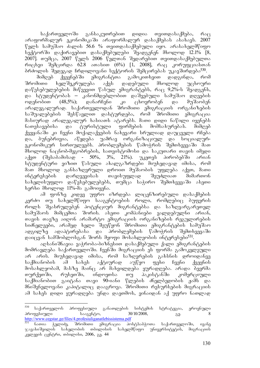საქართველოში განსაკუთრებით დიდია თვითდასაქმება, რაც არაფორმალურ ეკონომიკაში არაფორმალურ დასაქმებას ასახავს. 2007  $\nabla$ ელს სამუშაო ძალის 56.6 % თვითდასაქმებული იყო. არასახელმწიფო სექტორში დაქირავებით დასაქმებულები შეადგენენ მხოლოდ 12.1% [8, 2007]. თუმცა, 2007 წელს 2006 წელთან შედარუბით თვითდასაქმებულთა რიცხვი შემცირდა 62.8 ათასით (6%) [1, 2008], რაც კორუფციასთან ბრძოლის შედეგად ჩრდილოვანი სექტორის შემცირებას უკავშირდება<sup>530</sup>.

მიმღებ ქვეყნებში ემიგრანტთა გამოკითხვით დადგინდა, რომ შრომითი ხელშეკრულება აქვს დადებული მხოლოდ უცხოური დაწესებულებების მიწვევით წასულ ემიგრანტებს, რაც 9,2%-ს შეადგენს, და სტუდენტობას – კანონმდებლობით დაშვებული სამუშაო დღეების ოდენობით (48,5%); დანარჩენი კი ცხოვრობენ და მუშაობენ არალეგალურად. საქართველოდან შრომითი ემიგრაციის ორგანიზების საშუალებების შესწავლით დასტურდება, რომ შრომითი ემიგრაცია  $\delta$ მასიურად არალეგალურ ხასიათს ატარებს. მათი დიდი ნაწილი იყენებს ნათესავებისა და ტურისტული ფირმების მომსახურებას. მიმღებ ქვეყანაში კი ჩვენი მოქალაქეების ნახევარი სრულიად დაუცველი რჩება და, ბუნებრივია, აწყდება უამრავ ორგანიზაციულ და სოციალურ- $\alpha$ კონომიკურ სირთულეებს. პრობლემების წამოჭრის შემთხვევაში მათ შხოლოდ ნაცნობ-მეგობრების, სათვისტომოსი და საკუთარი თავის იმედი  $\delta$ კქვთ (შესაბამისად - 50%, 3%, 21%). უკეთეს პირობებში არიან სტუდენტური ვიზით წასული ახალგაზრდები მიუხედავად იმისა, რომ მათ მხოლოდ განსაზღვრული დროით მუშაობის უფლება აქვთ, მათი ინტერესების დარღვევისას თავისუფლად შეუძლიათ მიმართონ სახელისუფლო დაწესებულებებს, თუმცა საჭირო შემთხვევაში ასეთი ხერხი მხოლოდ 11%-მა გამოიყენა.

ამ ფონზე კიდევ უფრო იზრდება ლიცენზირებული დასაქმების კერძო თუ სახელმწიფო სააგენტოების როლი, რომლებიც ბუფერის როლს შეასრულებენ პოტენციურ მიგრანტებსა და საზღვარგარეთელ სამუშაოს მიმცემთა შორის. ასეთი კომპანიები ვალდებულნი არიან, თავის თავზე აიღონ არამარტო ემიგრაციის ორგანიზების რეგულირების სიძნელეები, არამედ ხელი შეუწყონ შრომითი ემიგრანტების სამუშაო ადგილზე ადაპტირებასა და პრობლემების წამოჭრის შემთხვევაში დაიცვან სამშობლოსგან შორს მყოფი მოსახლეობის ინტერესები<sup>531</sup>.

აღსანიშნავია ვაჭრობა-ბიზნესით დასაქმებული ქალი ემიგრანტების მომრავლება საქართველოში. ჩვენში მიგრაციის ეს ფორმა გამოკვლეული არ არის. მიუხედავად იმისა, რომ საზღვრების გახსნის დროიდანვე<br>საქმიანობის ამ სახეს აქტიურად აუწყო ფეხი ჩვენი ქვეყნის საქმიანობის ამ სახეს აქტიურად აუწყო ფეხი ჩვენი ქვეყნის მოსახლეობამ, მასზე მაინც არ მახვილდება ყურადღება. არადა ბევრმა თურქეთში, რუსეთში, ინდოეთსა თუ პაკისტანში კომერციული საქმიანობით გაიტანა თავი 90-იანი წლების ძნელბედობის ჟამს და მნიშვნელოვანი კაპიტალიც დააგროვა. შრომითი რუსურსების მიგრაციის ამ სახეს დიდი ყურადღება უნდა დაეთმოს, ვინაიდან აქ უფრო ნათლად

<sup>530</sup> <sup>530</sup> saqarTvelos profesiuli ganaTlebis sistemis strategia, erovnuli profesiuli saagento, 30/10/2008, gv. 8 http://www.cegstar.ge/files/4.profesiuliganatlebissistema.pdf<br>531 ნათია ჭელიძე, შრომითი ემიგრაცია პო

<sup>&</sup>lt;sup>531</sup> ნათია ჭელიძე, შრომითი ემიგრაცია პოსტსაბჭოთა საქართველოში, ივანე<br>ჯავახიშვილის სახელობის თბილისის სახელმწიფო უნივერსიტეტის, მიგრაციის სახელმწიფო უნივერსიტეტის, მიგრაციის კვლევის ცენტრი, თბილისი, 2006, გ<u>ვ</u>. 44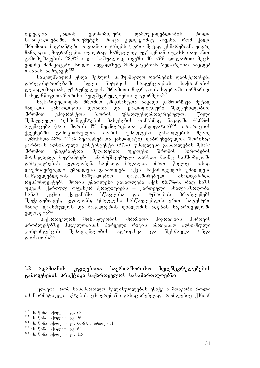იკვეთება ქალის ეკონომიკური დამოუკიდებლობის როლი საზოგადოებაში, მითუმეტეს, როცა კვლევებმაც აჩვენა, რომ ქალი შრომითი მიგრანტები თავიანთ ოჯახებს უფრო მეტად ეხმარებიან, ვიდრე მამაკაცი ემიგრანტები. თვიურად საშუალოდ უგზავნიან ოჯახს თავიანთი გამომუშავების 28,9%-ს და საშუალოდ თვეში 40 აშშ დოლარით მეტს,  $2000$ ე მამაკაცები, ხოლო ადგილზეც მამაკაცებთან შედარებით ნაკლებ  $m$ sbab bs $m\alpha_3$ san $5^{532}$ .

სახელმწიფომ უნდა შეძლოს საშუამავლო ფირმების დაინტერესება დარეგისტრირებაში, ხელი შეუწყოს სააგენტოების საქმიანობის ლეგალიზაციას, უზრუნველყოს შრომითი მიგრაციის სფეროში ორმხრივი სახელმწიფოთაშორისი ხელშეკრულებების გაფორმება<sup>533</sup>.

საქართველოდან შრომით ემიგრანტთა ნაკადი გამოირჩევა მეტად მაღალი განათლების დონითა და კვალიფიციური შედგენილობით. შრომით ემიგრანტთა შორის უმაღლესდამთავრებულთა წილი შემცვლელი რესპონდენტების პასუხების თანახმად ნაკადში 41,6%-ს აღემატება (მათ შორის 1% მეცნიერებათა კანდიდატია)<sup>534</sup>. იმიგრაციის ქვეყნებში გამოკითხულთა შორის უმაღლესი განათლების მქონე აღმოჩნდა 48% (2,2% მეცნერებათა კანდიდატი). დაბრუნებულთა შორისაც ჭარბობს აღნიშნული კონტინგენტი (57%). უმაღლესი განათლების მქონე შრომით ემიგრანტთა შედარებით უკეთესი შრომის პირობების მიუხედავად, მიგრანტები გამომუშავებული თანხით მაინც სამშობლოში დამკვიდრებას ცდილობენ. საკმაოდ მაღალია იმათი წილიც, ვისაც დაუმთავრებელი უმაღლესი განათლება აქვს. საქართველოს უმაღლესი სასწავლებლების საშუალებით დაკავშირებულ ახალგაზრდა რესპონდენტებს შორის უმაღლესი განათლება აქვს 66,7%-ს, რაც ხაზს უსვამს ქართულ ოჯახურ ტრადიციებს – ქართველი ახალგაზრდობა, სანამ უცხო ქვეყანაში სწავლისა და მუშაობის პრობლემებს შეეჭიდებოდეს, ცდილობს, უმაღლესი სასწავლებლის ერთი საფეხური მაინც დაასრულოს და ბაკალავრის დიპლომის აღებას საქართველოში ელოდება<sup>535</sup>.

საქართველოს მოსახლეობის შრომითი მიგრაციის მართვის პრობლემებზე მსჯელობისას პირველი რიგის ამოცანად აღნიშნული კონტინგენტის შემადგენლობის აღრიცხვა და შესწავლა უნდა  $\alpha$ asols $\alpha$ b. $5\overline{36}$ 

#### 1.2 ადამიანის უფლებათა საერთაშორისო ხელშეკრულებების გამოყენების პრაქტიკა საქართველოს სასამართლოებში

უდავოა, რომ სასამართლო ხელისუფლებას ენიჭება მთავარი როლი იმ ნორმატიული აქტების ცხოვრებაში გასატარებლად, რომლებიც ქმნიან

-

<sup>&</sup>lt;sup>532</sup> ob. წინა სქოლიო, გვ. 63

 $533$  ob.  $\sqrt{65}$  b. we now sq. 56

 $^{534}$  ob.  $\degree$ 060 b $\frac{1}{6}$  begroes,  $\frac{1}{66}$ . 66-67,  $\frac{1}{6}$  before 11

<sup>&</sup>lt;sup>535</sup> ob. წინა სქოლიო, გვ. 64

 $536$  ob.  $665$  b/memor,  $83.115$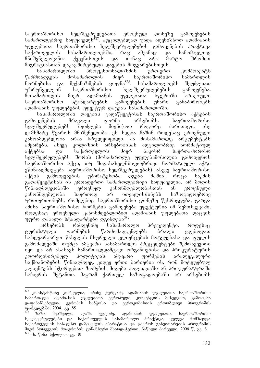საერთაშორისო ხელშეკრულებათა ეროვნულ დონეზე გამოყენების სამართლებრივ საფუძველს<sup>537</sup>. აუცილებლად უნდა აღვნიშნოთ ადამიანის უფლებათა საერთაშორისო ხელშეკრულებების გამოყენების პრაქტიკა საქართველოს სასამართლოებში, რაც ამჟამად და სამომავლოდ მნიშვნელოვანია ქვეყნისთვის და თანაც არა მარტო შრომით მიგრაციასთან დაკავშირებული დავების მოგვარებისთვის.

სასამართლოში პროფესიონალიზმის ერთ-ერთ კომპონენტს წარმოადგენს მოსამართლის მიერ საერთაშორისო სამართლის<br>ნორმებისა და მექანიზმების ცოდნა<sup>538</sup>. სასამართლოებს შეუძლიათ ნორმებისა და მექანიზმების ცოდნა<sup>538</sup>. სასამართლოებს შეუძლიათ უზრუნველყონ საერთაშორისო ხელშეკრულებების გამოყენება. მოსამართლის მიერ ადამიანის უფლებათა სფეროში არსებული საერთაშორისო სტანდარტების გამოყენების უნარი განაპირობებს ადამიანის უფლებების ეფექტურ დაცვას სასამართლოში.

სასამართლოში დავების გადაწყვეტისას საერთაშორისო აქტების<br>ყენების მრავალი ფორმა არსებობს. საერთაშორისო gamoyenebis mravali forma arsebobs. saerTaSoriso ხელშეკრულებებს შეიძლება მიენიჭოთ როგორც ძირითადი, ისე დამხმარე წყაროს მნიშვნელობა. ეს ხდება მაშინ როდესაც ეროვნული კანონმდებლობა არაა სრულყოფილი, ან მოსამართლე არგუმენტებს ამყარებს, ასევე კოლიზიის არსებობისას ადგილობრივ ნორმატიულ<br>აქტებსა და საქართველოს მიერ ნაკისრ საერთაშორისო აქტებსა და საქართველოს მიერ ნაკისრ საერთაშორისო ხელშეკრულებებს შორის (მოსამართლე უფლებამოსილია გამოიყენოს საერთაშორისო აქტი, თუ შიდასახელმწიფოებრივი ნორმატიული აქტი ეწინააღმდეგება საერთაშორისო ხელშეკრულებას), ასევე საერთაშორისო აქტის გამოიყენების უპირატესობა დგება მაშინ, როცა საქმის გადაწყვეტისას ის ერთადერთი სამართლებრივი საფუძველია, არ მოდის წინააღმდეგობაში ეროვნულ კანონმდებლობასთან ან ეროვნული კანონმდებლობა საერთოდ არ ითვალისწინებს საზოგადოებრივ ურთიერთობებს, რომლებიც საერთაშორისო დონეზე წესრიგდება, გარდა ამისა საერთაშორისო ნორმების გამოყენება ეფექტურია იმ შემთხვევაში, როდესაც ეროვნული კანონმდებლობით აღამიანის უფლებათა დაცვის უფრო დაბალი სტანდარტები დგინდება<sup>539</sup>.

არსებობს რამდენიმე სასამართლო პრეცედენტი, როდესაც ტურისტული ფირმების წარმომადგენლებს ბრალი ედებოდათ საზღვარგარეთ წასვლის მსურველი კლიენტების მოტყუებასა და ფულის გამოძალვაში. თუმცა ამგვარი სასამართლო პრეცედენტები შემთხვევითი ing და არ ასახავს სამართალდამცავი ორგანოებისა და პროკურატურის კოორდინირებულ პოლიტიკას ამგვარი ფირმების არალეგალური საქმიანობების წინააღმდეგ. კიდევ ერთი ბარიერია ის, რომ მოტყუებულ კლიენტებს სჭირდებათ ზომების მიღება პოლიციაში ან პროკურატურაში საჩივრის შეტანით. მაგრამ ქართულ საზოგადოებაში არ არსებობს

<sup>537</sup> კონსტანტინე კორკელია, ირინე ქურდაძე, ადამიანის უფლებათა საერთაშორისო სამართალი ადამიანის უფლებათა ევროპული კონვენციის მიხედვით, გამოცემა<br>დაფინანსებულია ევროპის საბჭოსა და ევროკომისიის ერთობლივი პროგრამის \_და \_ ევროკომისიის \_ ერთობლივი \_ პროგრაშის ფარგლებში, 2004, გ<u>ვ</u>. 85

<sup>&</sup>lt;sup>538 გ</sup>აზა მეიშვილი, ლაშა ჭელიძე, ადამიანის უფლებათა საერთაშორისო ხელშეკრულებები და საქართველოს სასამართლო პრაქტიკა, კვლევა მომზადდა საქართველოს სახალხო დამცველის აპარატისა და გაეროს განვითარების პროგრამის მიერ ნორვეგიის მთავრობის ფინანსური მხარდაჭერით, ნაწილი პირველი, 2006 წ, გვ. 6  $539$  ob.  $805$  b. we were squared square square square square square square square square square square square square square square square square square square square square square square square square square square squa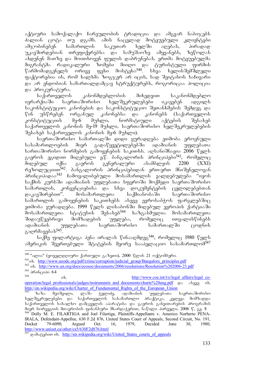აქტიური სამოქალაქო ჩარეულობის ტრადიცია და ამგვარ ნაბიჯებს ძალიან ცოტა თუ დგამს. ამის ნაცვლად მოტყუებული კლიენტები<br>ამჯობინებენ სამართლის საკუთარ ხელში აღებას, პირადად ამჯობინებენ სამართლის საკუთარ ხელში აღებას, პირადად უკავშირდებიან თრეფიქერებსა და სამუშაოზე ამყვანებს, ზეწოლას ახდენენ მათზე და მოითხოვენ ფულის დაბრუნებას. ერთმა მოტყუებულმა მიგრანტმა რადიკალური ზომები მიიღო და ტურისტული ფირმის<br>წარმომადგენელს ორივე ფეხი მოსტეხა<sup>540</sup>. სხვა ხელისშემშლელი ორივე ფეხი მოსტეხა<sup>540</sup>. სხვა ხელისშემშლელი ფაქტორებია ის, რომ ხალხმა ზოგჯერ არ იცის, სად შეიტანოს საჩივარი და არ ენდობიან სამართალდამცავ სტრუქტურებს, როგორიცაა პოლიცია

და პროკურატურა.<br>საქართველოს კანონმდებლობის მიხედვით საკანონმდებლო . იერარქიაში საერთაშორისო ხელშეკრულებები იკავებენ ადგილს საკონსტიტუციო კანონების და საკონსტიტუციო შეთანხმების შემდეგ და წინ უსწრებენ ორგანულ კანონებსა და კანონებს (საქართველოს<br>კონსტიტუციის მე-6 მუხლი, ნორმატიული აქტების შესახებ კონსტიტუციის მე-6 მუხლი, ნორმატიული აქტების შესახებ საქართველოს კანონის მე-19 მუხლი, საერთაშორისო ხელშეკრულებების  $\partial \mathcal{A}$  3  $\partial \mathcal{A}$  and  $\partial \mathcal{A}$  and  $\partial \mathcal{A}$  and  $\partial \mathcal{A}$  and  $\partial \mathcal{A}$ 

საერთაშორისო სამართალში დიდი ყურადღება ეთმობა ეროვნული სასამართლოების მიერ გადაწყვეტილებებში ადამიანის უფლებათა სართაშორისო ნორმების გამოყენების საკითხს. ადსანიშნავია 2006 წელს გაეროს ეგიდით მიღებული ე.წ. ბანგალორის პრინციპები<sup>541</sup>, რომელიც მიღებულ იქნა გაეროს გენერალური ასამბლეის 2200 (XXI) რეზოლუციით<sup>542</sup>. ბანგალორის პრინციპებიდან ერთ-ერთ მნიშვნელოვან პრინციპადაა<sup>543</sup> ჩამოყალიბებული მოსამართლის ვალდებულება "იყოს საქმის კურსში ადამიანის უფლებათა სფეროში მოქმედი საერთაშორისო სამართლის, კონვენციებისა და სხვა დოკუმენტების ცვლილებებთან დაკავშირებით". მოსამართლეთა საქმიანობაში საერთაშორისო სამართლის გამოყენების საკითხებს ასევე ევროსაბჭოს ფარგლებშიც ეთმობა ყურადღება. 1999 წელს ლისაბონში მიღებულ ევროპის ქარტიაში<br>მოსამართლეთა სტატუსის შესახებ<sup>544</sup> ხაზგასმულია მოსამართლეთა მოსამართლეთა სტატუსის შესახებ<sup>544</sup> ხაზგასმულია მოსამართლეთა შიდაუწყებრივი მომზადების უფლება, რომელიც ითვალისწინებს<br>ადამიანის უფლებათა საერთაშორისო სამართალში ცოდნის ადამიანის უფლებათა საერთაშორისო სამართალში ცოდნის გაღრმავებას<sup>545</sup>.

საქმე ფილარტიგა პენა ირალას წინააღმდეგ<sup>546</sup>, რომელიც 1980 წელს ამერიკის შეერთებული შტატების მეორე სააპელაციო სასამართლომ<sup>547</sup>

-

<sup>&</sup>lt;sup>540</sup> "ალია" (ყოველდღიური ქართული გაზეთი), 2000 წლის 21 ოქტომბერი.

<sup>541&</sup>lt;sub>ob.</sub> http://www.unodc.org/pdf/crime/corruption/judicial\_group/Bangalore\_principles.pdf

<sup>542</sup> ob. http://www.un.org/docs/ecosoc/documents/2006/resolutions/Resolution%202006-23.pdf  $\frac{543}{544}$  36006  $\frac{1}{3000}$ 

ob. http://www.coe.int/t/e/legal\_affairs/legal\_cooperation/legal\_professionals/judges/instruments\_and\_documents/charte%20eng.pdf go along ob. http://en.wikipedia.org/wiki/Charter\_of\_Fundamental\_Rights\_of\_the\_European\_Union 545 bs 365 dgo@gogo, gesdo dgggodg, agsdosbob უფლებათა საერთაშორისო

ხელშეკრულებები და საქართველოს სასამართლო პრაქტიკა, კვლევა მომზადდა საქართველოს სახალხო დამცველის აპარატისა და გაეროს განვითარების პროგრამის მიერ ნორვეგიის მთავრობის ფინანსური მხარდაჭერით, ნაწილი პირველი, 2006 წ, გვ. 8 546 Dolly M. E. FILARTIGA and Joel Filartiga, Plaintiffs-Appellants v. Americo Norberto PENA-IRALA, Defendant-Appellee, 630 F.2d 876, United States Court of Appeals, Second Circuit, No. 191, Docket 79-6090, Argued Oct. 16, 1979, Decided June 30, 1980, http://www.uniset.ca/other/cs5/630F2d876.html

production of the intertaction in the intertwiki/United States courts of appeals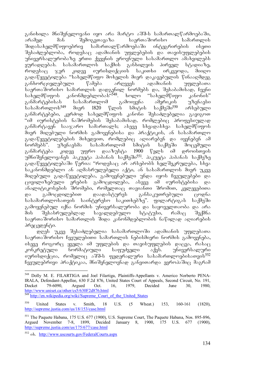განიხილა მნიშვნელოვანი იყო არა მარტო აშშ-ს სამართალწარმოებაში, aramed man SemogvTavaza saerTaSoriso samarTlis  $\partial \theta$  and  $\partial \theta$  integrigacy is the property superconduction  $\partial \theta$ შესაძლებლობა, როდესაც ადამიანის უფლებების და თავისუფლებების უნივერსალურობაზე ერთი ქვეყნის ეროვნული სასამართლო ამახვილებს<br>ყურადღებას. სასამართლოს საქმის განხილვის პირველ სტადიაზე,  $y$ ურადღებას. სასამართლოს საქმის განხილვის პირველ სტადიაზე, როდესაც ჯერ კიდევ იურისდიქციის საკითხი ირკვეოდა, მიიღო გადაწყვეტილება "სახელმწიფო მოხელის მიერ დაკავებულის წინააღმდეგ განხორციელებული წამება არღვევს ადამიანის უფლებათა საერთაშორისო სამართლის დადგენილ ნორმებს და, შესაბამისად, ჩვენი<br>სახელმწიფოს კანონმდებლობას"<sup>548</sup>. ხოლო "სახელმწიფო კანონის" სახელმწიფოს კანონმდებლობას"<sup>548</sup>. განმარტებისას სასამართლომ გამოიყენა ამერიკის უზენაესი<br>სასამართლოს<sup>549</sup> მიერ 1820 წლის სმიტის საქმეში<sup>550</sup> არსებული  $\sim 5.8$ ასამართლოს $^{549}$  მიერ 1820 წლი $\rm\bar{b}$  სმიტის საქმეში $^{550}$  არსებული განმარტებები, კერძოდ სახელმწიფოს კანონი შესაძლებელია გავიგოთ "იმ იურისტების ნაშრომების შესაბამისად, რომლებიც პროფესიულად განმარტავენ სააჯარო სამართალს; ასევე სხვადასხვა სახელმწიფოს მიერ მიღებული ნორმის გამოყენებისა და პრაქტიკის, ან სასამართლო გადაწყვეტილებების მიხედვით, რომლებიც აღიარებენ და იყენებენ ამ<br>ნორმებს". უზენაესმა სასამართლომ სმიტის საქმეში მოცემული ნორმებს". უზენაესმა სასამართლომ სმიტის საქმეში მოცემული განმარტება კიდევ უფრო დააზუსტა 1900 წელს იმ დროისთვის უმნიშვნელოვანეს პაკუეტა პაბანას საქმეში<sup>551</sup>. პაკუეტა პაბანას საქმეზე გადაწყვეტილებაში წერია: "როდესაც არ არსებობს ხელშეკრულება, სხვა საკანონმდებლო ან აღმასრულებელი აქტი, ან სასამართლოს მიერ უკვე მიღებული გადაწყვეტილება, გამოყენებული უნდა იყოს ჩვეულებები და ცივილიზებული ერების გამოცდილება, ასევე იმ იურისტებისა და ანალიტიკოსების შრომები, რომელთაც თავიანთი შრომით, კვლევებითა და გამოცდილებით დაადასტურეს განსაკუთრებული ცოდნა სასამართლოსათვის საინტერესო საკითხებზე". ფილარტიგას საქმეში გამოყენებულ იქნა ნორმის უნივერსალურობა და საყოველთაობა და არა მის შესასრულებლად სავალდებულო სტატუსი, რამაც შექმნა საერთაშორისო სამართლის შიდა კანონმდებლობის ნაწილად აღიარების პრეცედენტი.

დღეს უკვე შესაძლებელია სასამართლოში ადამიანის უფლებათა საერთაშორისო ჩვეულებითი სამართლის ნებისმიერი ნორმის გამოყენება, ისევე როგორც ყველა იმ უფლების და თავისუფლების დაცვა, რასაც კონკრეტული ნორმატიული საფუძველი აქვს. უნივერსალური  $\alpha$ ურისდიქცია, რომელიც აშშ-ს ფედერალური სასამართლოებისათვის $^{552}$  $6a$ ეულებრივი პრაქტიკაა, მნიშვნელოვნად განვითარდა ევროპაშიც მაგრამ

<sup>-</sup>548 Dolly M. E. FILARTIGA and Joel Filartiga, Plaintiffs-Appellants v. Americo Norberto PENA-IRALA, Defendant-Appellee, 630 F.2d 876, United States Court of Appeals, Second Circuit, No. 191, Docket 79-6090, Argued Oct. 16, 1979, Decided June 30, 1980, http://www.uniset.ca/other/cs5/630F2d876.html

http://en.wikipedia.org/wiki/Supreme\_Court\_of\_the\_United\_States

<sup>550</sup> United States v. Smith, 18 U.S. (5 Wheat.) 153, 160-161 (1820), http://supreme.justia.com/us/18/153/case.html

<sup>&</sup>lt;sup>551</sup> The Paquete Habana, 175 U.S. 677 (1900), U.S. Supreme Court, The Paquete Habana, Nos. 895-896, Argued November 7-8, 1899, Decided January 8, 1900, 175 U.S. 677 (1900), Argued November 7-8, 1899, Decided January 8, 1900, 175 U.S. 677 http://supreme.justia.com/us/175/677/case.html

<sup>552</sup> ob. http://www.uscourts.gov/FederalCourts.aspx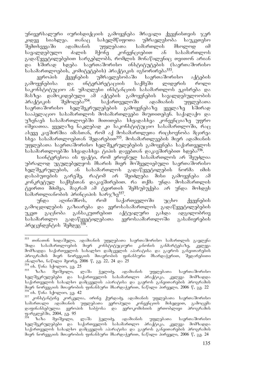უნივერსალური იურისდიქციის გამოყენება მრავალი ქვეყნისთვის ჯერ კიდევ სიახლეა. თანაც სახელმწიფოთა უმრავლესობა საუკეთესო შემთხვევაში ადამიანის უფლებათა სამართლის მხოლოდ იმ სავალდებულო ძალის მქონე კონვენციებით ან სასამართლოს გადაწყვეტილებებით სარგებლობს, რომლის მონაწილენიც თვითონ არიან და ხშირად ხდება საერთაშორისო ინსტიტუტების (საერთაშორისო სასამართლოების, კომიტეტების) პრაქტიკის იგნორირება<sup>553</sup>.

ევროპის ქვეყნების უმრავლესობაში საერთაშორისო აქტების გამოყენებისა და ინტერპრეტაციის საქმეში ლიდერის როლი საკონსტიტუციო ან უმაღლესი ინსტანციის სასამართლოს ეკისრება და მასზეა დამოკიდებული ამ აქტების გამოყენების სავალდებულოობის<br>პრაქტიკის შემოღება<sup>554</sup>. საქართველოში ადამიანის უფლებათა პრაქტიკის შემოღება<sup>554</sup>. საქართველოში ადამიანის უფლებათა საერთაშორისო ხელშეკრულებების გამოყენებაზე ყველაზე ხშირად სააპელაციო სასამართლოს მოსამართლეები მიუთითებენ. საქალაქო და უზენაეს სასამართლოებში მითითება სხვადასხვა კონვენციაზე უფრო იშვიათია. ყველაზე ნაკლებად კი საკონსტიტუციო სასამართლოში, რაც ასევე კავშირშია იმასთან, რომ აქ მოსამართლეთა რიცხოვნობა მცირეა სხვა სასამართლოებთან შედარებით<sup>555</sup>. მოსამართლეების მიერ ადამიანის უფლებათა საერთაშორისო ხელშეკრულებების გამოყენება საქართველოს სასამართლოებში სხვადასხვა ტიპის დავებთან დაკავშირებით ხდება<sup>556</sup>.

საინტერესოა ის ფაქტი, რომ ეროვნულ სასამართლოს არ შეუძლია უბრალოდ უგულებელყოს მხარის მიერ მოშველიებული საერთაშორისო ხელშეკრულების, ან სასამართლოს გადაწყვეტილების ნორმა იმის დასაბუთების გარეშე, რატომ არ შეიძლება მისი გამოყენება ამ კონკრეტულ საქმესთან დაკავშირებით. რა თქმა უნდა მოსამართლის ტვირთი მძიმეა, მაგრამ ამ ტვირთის შემსუბუქება არ უნდა მოხდეს  $b$ ამართლიანობის პრინციპის ხარჯზე $557$ .

უნდა აღინიშნოს, რომ საქართველოში უცხო ქვეყნების გამოცდილების გაზიარება და ევროსასამართლოს გადაწყვეტილებების უკეთ გაცნობა განსაკუთრებით აქტუალური გახდა ადგილობრივ სასამართლო გადაწყვეტილებათა ევროსაამართლოში გასაჩივრების პრეცენდენტის შემდეგ<sup>558</sup>.

<sup>-</sup><sup>553</sup> თინათინ ხიდაშელი, ადამიანის უფლებათა საერთაშორისო სამართლის გავლენა შიდა სასამართლოების მიერ კონსტიტუციური კანონის განმარტებაზე, კვლევა მომზადდა საქართველოს სახალხო დამცველის აპარატისა და გაეროს განვითარების პროგრამის მიერ ნორვეგიის მთავრობის ფინანსური მხარდაჭერით, შედარებითი ანალიზი, ნაწილი მეორე, 2006 წ, გვ. 22, 24 და 25

<sup>554</sup> ix. wina sqolio, gv. 25 <sup>555</sup> zaza meiSvili, laSa WeliZe, adamianis uflebaTa saerTaSoriso bელშეკრულებები და საქართველოს სასამართლო პრაქტიკა, კვლევა მომზადდა საქართველოს სახალხო დამცველის აპარატისა და გაეროს განვითარების პროგრამის მიერ ნორვეგიის მთავრობის ფინანსური მხარდაჭერით, ნაწილი პირველი, 2006 წ, გვ. 22 <sup>556</sup> ob. წინა სქოლიო, გვ. 42<br><sup>557</sup> კონსტანტინე კორკელია, ირინე ქურდაძე, ადამიანის უფლებათა საერთაშორისო

სამართალი ადამიანის უფლებათა ევროპული კონვენციის მიხედვით, გამოცემა<br>დაფინანსებულია ევროპის საბჭოსა და ევროკომისიის ერთობლივი პროგრამის და ევროკომისიის ერთობლივი პროგრამის ფარგლებში, 2004, გგ. 95<br><sup>558</sup> წაზა მეიშვილი,

ლაშა ჭელიძე, ადამიანის უფლებათა საერთაშორისო ხელშეკრულებები და საქართველოს სასამართლო პრაქტიკა, კვლევა მომზადდა საქართველოს სახალხო დამცველის აპარატისა და გაეროს განვითარების პროგრამის მიერ ნორვეგიის მთავრობის ფინანსური მხარდაჭერით, ნაწილი პირველი, 2006 წ, გვ. 24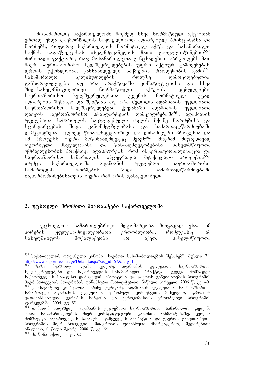მოსამართლე საქართველოში მოქმედ სხვა ნორმატიულ აქტებთან ერთად უნდა დაემორჩილოს საყოველთაოდ აღიარებულ პრინციპებსა და ნორმებს, როგორც საქართველოს ნორმატიულ აქტს და სასამართლო<br>საქმის გადაწყვეტისას იხელმძღვანელოს მათი გათვალისწინებით<sup>559</sup>. საქმის გადაწყვეტისას იხელმძღვანელოს მათი  $\alpha$ ირითადი ფაქტორი, რაც მოსამართლეთა განცხადებით აბრკოლებს მათ მიერ საერთაშორისო ხელშეკრულებების უფრო აქტიურ გამოყენებას, დროის უქონლობაა, განსახილველი საქმეების რაოდენობის გამო<sup>560</sup>. სასამართლო ხელისუფლების როლზე დამოკიდებულია, განხორციელდება თუ არა პრაქტიკაში კონსტიტუციისა და სხვა<br>'შიდასახელმწიფოებრივი — ნორმატიული — აქტების — დებულებები, შიდასახელმწიფოებრივი — ნორმატიული — აქტების — დებულებები,<br>საერთაშორისო — ხელშეკრულებათა — ქვეყნის — ნორმატიულ — აქტად საერთაშორისო ხელშეკრულებათა ქვეყნის ნორმატიულ აქტად აღიარების შესახებ და შეიტანს თუ არა წვლილს ადამიანის უფლებათა საერთაშორისო ხელშეკრულებები ქვეყანაში ადამიანის უფლებათა დაცვის საერთაშორისო სტანდარტების დამკვიდრებაში<sup>561</sup>. ადამიანის უფლებათა სამართლის სავალდებულო ძალის მქონე ნორმებისა და სტანდარტების შიდა კანონმდებლობასა და სამართალწარმოებაში დამკვიდრება ძალზედ წინააღმდეგობრივი და დინამიკური პროცესია და  $\delta$ am პროცესს ბევრი მოწინააღმდეგეც პყავს $^{562}$ . მაგრამ მიუხედავად თეორიული მსჯელობისა და წინააღმდეგობებისა, სახელმწიფოთა უმრავლესობის პრაქტიკა ადასტურებს, რომ ინტერნაციონალიზაცია და<br>საერთაშორისო სამართლის ინტეგრაცია შეუქცევადი პროცესია<sup>563</sup>. საერთაშორისო სამართლის ინტეგრაცია შეუქცევადი თუმცა საქართველოში ადამიანის უფლებათა საერთაშორისო samarTlis normebis Sida samarTalwarmoebaSi  $\sigma$ ნკორპორირებისათვის ბევრი რამ არის გასაკეთებელი.

### 2. უცხოელი შრომითი მიგრანტები საქართველოში

უცხოელთა სამართლებრივი მდგომარეობა ზოგადად ესაა იმ პირების უფლება-მოვალეობათა ერთობლიობა, რომლებსაც ამ სახელმწიფოს მოქალაქეობა არ აქვთ. სახელმწიფოთა

-

<sup>&</sup>lt;sup>559</sup> საქართველოს ორგანული კანონი "საერთო სასამართლოების შესახებ", მუხლი 7.1, http://www.supremecourt.ge/Default.aspx?sec\_id=67&lang=1<br><sup>560</sup> ზაზა მეიშვილი, ლაშა <u>ჭე</u>ლიძე, ადამიანის

ზაზა მეიშვილი, ლაშა ჭელიძე, ადამიანის უფლებათა საერთაშორისო ხელშეკრულებები და საქართველოს სასამართლო პრაქტიკა, კვლევა მომზადდა საქართველოს სახალხო დამცველის აპარატისა და გაეროს განვითარების პროგრამის მიერ ნორვეგიის მთავრობის ფინანსური მხარდაჭერით, ნაწილი პირველი, 2006 წ, გვ. 40 - ამარი დავა.<br>1965 წლება კორკელია, არინე ქურდაძე, ადამიანის უფლებათა საერთაშორისო<br>სამართალი ადამიანის უფლებათა ევროპული კონვენციის მიხედვით, გამოცემა \_ უფლებათა ევროპული კონვენციის მიხედვით, გამოცემა დაფინანსებულია ევროპის საბჭოსა და ევროკომისიის ერთობლივი პროგრამის ფარგლებში, 2004,  $\frac{90}{36}$ . 85

 $^{52}$  თინათინ ხიდაშელი, ადამიანის უფლებათა საერთაშორისო სამართლის გავლენა <u>შიდა სასამართლოების მიერ კონსტიტუციური კანონის განმარტებაზე, კვლ</u>ევა მომზადდა საქართველოს სახალხო დაშცველის აპარატისა და გაეროს განვითარების პროგრამის მიერ ნორვეგიის მთავრობის ფინანსური მხარდაჭერით, შედარებითი ანალიზი, ნაწილი მეორე, 2006 წ, გვ. 64

 $563$  ob.  $\sqrt{65}$  b. we we see the square square square square square square square square square square square square square square square square square square square square square square square square square square squ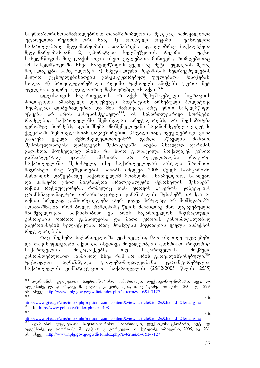საერთაშორისოსამართლებრივი თანამშრომლობის შედეგად ჩამოყალიბდა უცხოელთა რეჟიმის ორი სახე: 1) ეროვნული რეჟიმი - უცხოელთა სამართლებრივ მდგომარეობის გათანაბრება ადგილობრივ მოქალაქეთა მდგომარეობასთან; 2) უპირატესი ხელშეწყობის რეჟიმი – უცხო  $\mathrm{d}x$ ხანელმწიფოს მოქალაქისათვის ისეთ უფლებათა მინიჭება, რომლებითაც ამ სახელმწიფოში სხვა სახელმწიფოს ყველაზე მეტი უფლების მქონე მოქალაქეები სარგებლობენ. 3) სპეციალური რეჟიმისას ხელშეკრულების ძალით უცხოელებისათვის განკსაკუთრებულ უფლებათა მინიჭებას,  $\,$ ხოლო 4) პრივილეგირებული რეჟიმი უც $\,$ ხოელ $\,$ ს ანიჭებ $\,$ ს უფრო მეტ უფლებას, ვიდრე ადგილობრივ მცხოვრებლებს აქვთ.<sup>564</sup>

დღეისათვის საქართველოს არ აქვს შემუშავებული მიგრაციის პოლიტიკის ამსახველი დოკუმენტი. მიგრაციის არსებული პოლიტიკა ზედმეტად ლიბერალურია და მის მართვაზე არც ერთი სახელმწიფო უწყება არ არის პასუხისმგებელი<sup>565</sup>. ის სამართლებრივი ნორმები, რომლებიც საქართველოში შემოსვლას არეგულირებს, არ შეესაბამება ევროპულ ნორმებს; აღინიშნება მნიშვნელოვანი საკანონმდებლო ვაკუუმი ქვეყანაში შემოსვლასთან დაკავშირებით (მაგალითად, ჩვეულებრივი ვიზა გაიცემა ყველა შემომსვლელთათვის<sup>566</sup>, გარდა სწავლის მიზნით<br>შემოსულთათვის; დარღვევის შემთხვევაში ხდება მხოლოდ ჯარიმის შემოსულთათვის; დარღვევის შემთხვევაში ხდება მხოლოდ გადახდა, მიუხედავად იმისა რა ხნით გადააცილა მოქალაქემ ვიზით განსაზღვრულ ვადას) ამასთან, არ რეგულირდება როგორც საქართველოში შემოსული, ისე საქართველოდან გასული შრომითი მიგრანტი, რაც შეშფოთების საბაბს იძლევა. 2006 წელს საანგარიშო პერიოდის დაწყებამდე საქართველომ მოახდინა "სახმელეთო, საზღვაო და საჰაერო გზით მიგრანტთა არალეგალური შემოსვლის შესახებ", ოქმის რატიფიცირება, რომელიც თან ერთვის "გაეროს კონვენციას ტრანსნაციონალური ორგანიზაციული დანაშაულის შესახებ", თუმცა ამ ოქმის სრულად განხორციელება ჯერ კიდევ სრულად არ მომხდარა<sup>567</sup>. აღსანიშნავია, რომ ბოლო რამდენიმე წლის მანძილზე მსო დაკავებულია მნიშვნელოვანი საქმიანობით: ეს არის საქართველოს მიგრაციული კანონების ფართო განხილვისა და მათი ერთიან კანონმდებლობად გაერთიანების ხელშეწყობა, რაც მოახდენს მიგრაციის ყველა ასპექტის რეგულირებას.

რაც შეეხება საქართველოში უცხოელებს, მათ ისეთივე უფლებები და თავისუფლებები აქვთ და ისეთივე მოვალეობები აკისრიათ, როგორიც საქართველოს მოქალაქეებს, თუ საქართველოს მოქმედი კანონმდებლობით საამისოდ სხვა რამ არ არის გათვალისწინებული.<sup>568</sup><br>უცხოელთა აღნიშნული უფლება-მოვალეობანი გარანტირებულია: უცხოელთა აღნიშნული უფლება-მოვალეობანი გარანტირებულია: საქართველოს კონსტიტუციით, საქართველოს (25/12/2005 წლის 2535)

-

<sup>&</sup>lt;sup>564</sup> ადამიანის უფლებათა საერთაშორისო სამართალი, ლექსიკონი-ცნობარი, ავტ. ლ. ალექსიძე, ლ. გიორგაძე, მ. კვაჭაძე, კ. კორკელია, ი. ქურდაძე, თბილისი, 2005, გვ. 229, ob. sbaaa http://www.nplg.gov.ge/gwdict/index.php?a=term&d=6&t=7127  $\delta$ 565 i $\delta$ .

http://www.gtuc.ge/cms/index.php?option=com\_content&view=article&id=26&Itemid=24&lang=ka  $\frac{566}{567}$  ob.  $\frac{http://www.police.ge/index.php?m=408}{06}$  ob.

http://www.gtuc.ge/cms/index.php?option=com\_content&view=article&id=26&Itemid=24&lang=ka

<sup>.</sup> ადამიანის უფლებათა საერთაშორისო სამართალი, ლექსიკონი-ცნობარი, ავტ. ლ. ალექსიძე, ლ. გიორგაძე, მ. კვაჭაძე, კ. კორკელია, ი. ქურდაძე, თბილისი, 2005, გვ. 231, ob. algaa http://www.nplg.gov.ge/gwdict/index.php?a=term&d=6&t=7127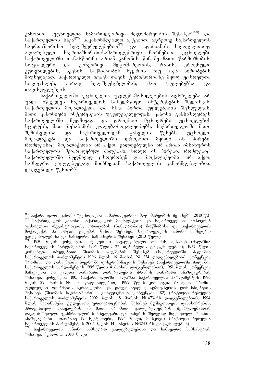კანონით "უცხოელთა სამართლებრივი მდგომარეობის შესახებ"<sup>569</sup> და .<br>საქართველოს სხვა<sup>570</sup> საკანონმდებლო აქტებით, აგრეთვე საქართველოს საერთაშორისო ხელშეკრულებებით<sup>571</sup> და ადამიანის საყოველთაოდ აღიარებული საერთაშორისოსამართლებრივი ნორმებით. უცხოელები საქართველოში თანასწორნი არიან კანონის წინაშე მათი წარმოშობის, სოციალური და ქონებრივი მდგომარეობის, რასის, ეროვნული კუთვნილების, სქესის, საქმიანობის სფეროს, თუ სხვა პირობების მიუხედავად. საქართველო იცავს თავის ტერიტორიაზე მყოფ უცხოელთა სიცოცხლეს, პირად ხელშეუხებლობას, მათ უფლებებსა და თავისუფლებებს.

საქართველოში უცხოელთა უფლებამოსილებების აღსრულება არ უნდა იწვევდეს საქართველოს სახელმწიფო ინტერესების შელახვას, საქართველოს მოქალაქეთა და სხვა პირთა უფლებების შეზღუდვას, მათი კანონიერი ინტერესების უგულებელყოფას. კანონი განსაზღვრავს საქართველოში მუდმივად და დროებით მცხოვრები უცხოელების სტატუსს, მათ შესაბამის უფლება-მოვალეობებს, საქართველოში მათი შემოსვლისა და საქართველოდან გასვლის წესებს. უცხოელი მოქალაქეები და საქართველოში დროებით მყოფი ის პირები, რომლებსაც მოქალაქეობა არ აქვთ, ვალღებულნი არ არიან იმსახურონ საქართველოს შეიარაღებულ ძალებში. ხოლო ის პირები, რომლებიც საქართველოში მუდმივად ცხოვრობენ და მოქალაქეობა არ აქვთ, სამხედრო ვალდებულად მიიჩნევიან საქართველოს კანონმდებლობით დადგენილი წესით<sup>572</sup>.

<sup>-</sup><sup>569</sup> საქართველოს კანონი "უცხოელთა სამართლებრივი მდგომარეობის შესახებ" (2010 წ.)  $^{570}$  საქართველოს კანონი საქართველოს მოქალაქეთა და საქართველოში მცხოვრებ უცხოელთა რეგისტრაციის, პირადობის (ბინადრობის) მოწმობისა და საქართველოს მოქალაქის პასპორტის გაცემის წესის შესახებ, საქართველოს კანონი სამხედრო ვალდებულებისა და სამხედრო სამსახურის შესახებ (2010 წელი) <sub>-</sub>

<sup>&</sup>lt;sup>571</sup> 1930 წლის კონვენცია იძულებითი სავალდებულო შრომის შესახებ (ძალაშია საქართველოს პარლაშენტის 1995 წლის 22 თებერვლის დადგენილებით), 1957 წლის<br>კონვენცია იძულებითი შრომის გაუქმების შესახებ (საქარველოში ძალაშია ് შესახებ (საქარველოში .<br>საქართველოს პარლამენტის 1996 წლის 16 მაისის № 234 დადგენილებით), კონვენცია შრომისა და დასაქმების სფეროში დისკრიმინაციის შესახებ (საქართველოში ძალაშია საქართველოს პარლამენტის 1995 წლის 4 მაისის დადგენილებით), 1951 წლის კონვენცია ორგამაკაცთა და ქალთა თანაბარი ღირებულების შრომის თანაბარი ანაზღაურების შესახებ, კონვენცია 100, (საქართველოში ძალაშია საქართველოს პარლამენტის 1996 წლის 29 მაისის № 153 დადგენილებით), 1999 წლის კონვენცია ბავშვთა შრომის უკიდურესი ფორმების აკრძალვისა და დაუყოვნებლივ აღმოფხვრის ღონისძიებების შესახებ (შრომის საერთაშორისო კონფერენცია, კონვენცია 182) (რატიფიცირებულია საქართველოს პარლამენტის 2002 წლის 18 მაისის N<sup>3</sup>1473-რს დადგენილებით), 1994  $\mathfrak{F}$ ლის შეთანხმება უფლებათა ურთიერთცნობის შესახებ მუშაკთათვის დასახიჩრების, profesiuli daavadebis an maTi SromiTi valdebulebebis SesrulebasTan დაკავშირებული ჯანმრთელობის სხვაგვარი დაზიანების შედეგად მიყენებული ზიანის anazRaurebis Taobaze (9 seqtemberi, 1994 weli, moskovi) (ratificirebulia საქართველოს პარლამენტის 2004 წლის 14 იანვრის №3245-რს დადგენილებით)

<sup>-</sup>საქართველოს კანონი სამხედრო ვალდებულებისა და სამხედრო სამსახურის  $a<sub>3</sub>$  3<sub>7</sub>  $b<sub>3</sub>$ ,  $a<sub>7</sub>$   $b<sub>3</sub>$   $a<sub>9</sub>$ ,  $a<sub>9</sub>$   $a<sub>1</sub>$ ,  $a<sub>1</sub>$ ,  $a<sub>1</sub>$ ,  $a<sub>1</sub>$ ,  $a<sub>1</sub>$ ,  $a<sub>1</sub>$ ,  $a<sub>1</sub>$ ,  $a<sub>1</sub>$ ,  $a<sub>1</sub>$ ,  $a<sub>1</sub>$ ,  $a<sub>1</sub>$ ,  $a<sub>1</sub>$ ,  $a$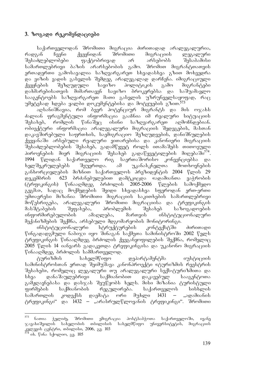## 3. ზოგადი რეკომენდაციები

საქართველოდან შრომითი მიგრაცია ძირითადად არალეგალურია, რადგან ჩვენი ქვეყნიდან შრომითი მიგრაციის ლეგალური SesaZleblobebi faqtobrivad ar arsebobs Sesabamisi სამართლებრივი ბაზის არარსებობის ერთადერთი გამოსავალია საზღვარგარეთ სხვადასხვა გზით მოხვედრა და ვიზის ვადის გასვლის შემდეგ არალეგალად დარჩენა. იმიგრაციული<br>ქვეყნების შეზღუდული სავიზო პოლიტიკის გამო მიგრანტები ქვეყნების შეზღუდული სავიზო პოლიტიკის გამო მიგრანტები დახმარებისათვის მიმართავენ სავიზო ბროკერებსა და საშუამავლო saagentoebs sazRvargareT maTi gasvlis uzrunvelsayofad, rac  $n\partial y$ 

აღსანიშნავია, რომ ბევრ პოტენციურ მიგრანტს და მის ოჯახს ძალიან ფრაგმენტული ინფორმაცია გააჩნია იმ რეალური სიტუაციის შესახებ, რომლის წინაშეც ისინი საზღვარგარეთ აღმოჩნდებიან. ობიექტური ინფორმაცია არალეგალური მიგრაციის შედეგების, მასთან დაკავშირებული საფრთხის, საემიგრაციო შეზღუდვების, დანიშნულების ქვეყანაში არსებული რეალური ვითარებისა და კანონიერი მიგრაციის შესაძლებლობების შესახებ, გადამწყვეტ როლს ითამაშებს თითოეული პიროვნების მიერ მიგრაციის შესახებ გადაწყვეტილების მიღებაში<sup>574</sup>.<br>1994 წლიდან საქართველო რიგ საერთაშორისო კონვენციებსა და 1994 წლიდან საქართველო რიგ საერთაშორისო კონვენციებსა და ხელშეკრულებებს შეუერთდა. ამ უკანასკნელთა მოთხოვნების განხორციელების მიზნით საქართველოს პრეზიდენტის 2004 წლის 29 დეკემბრის 623 ბრძანებულებით დამტკიცდა «ადამიანთა ვაჭრობის<br>(ტრფიკინგის) წინააღმდეგ ბრძოლის 2005-2006 წლების სამოქმედო (ტრფიკინგის) წინააღმდეგ ბრძოლის 2005-2006 წლების სამოქმედო გეგმა», სადაც მოქმედების შვიდი სხვადასხვა სფეროდან ერთ-ერთი უმთავრესი მიზანია შრომითი მიგრაციის საკითხების სამართლებრივი მოწესრიგება, არალეგალური შრომითი მიგრაციისა და ტრეფიკინგის მასშტაბების შეფასება, პრობლემის შესახებ საზოგადოების<br>ინფორმირებულობის ამაღლება, მართვის ინსტიტუციონალური ინფორმირებულობის ამაღლება, მართვის ინსტიტუციონალური მექანიზმების შექმნა, არსებული მდგომარეობის მონიტორინგი.

ინსტიტუციონალური სტრუქტურების კონტექსტში ძირითადი წინგადადგმული ნაბიჯი იყო შინაგან საქმეთა სამინისტროში 2002 წელს ტრეფიკინგის წინააღმდეგ ბრძოლის ქვეგანყოფილების შექმნა, რომელიც 2005 წლის 14 იანვარს გადაკეთდა ტრეფიკინგისა და უკანონო მიგრაციის წინააღმდეგ ბრძოლის სამმართველოდ.

ტურიზმის სახელმწიფო დეპარტამენტმა იუსტიციის სამინისტროსთან ერთად შეიმუშავა კანონპროექტი «ტურიზმის რეესტრის შესახებ», რომელიც ლეგალური თუ არალეგალური სექს-ტურიზმითა და სხვა დანაშაულებრივი საქმიანობით დაკავებულ სააგენტოთა გამჟღავნებასა და დასჯას შეუწყობს ხელს. მისი მიზანია ტურისტული ფირმების საქმიანობის რეგულირება. საქართველოს სისხლის სამართლის კოდექსს დაემატა ორი მუხლი 1431 – "ადამიანის ტრეფიკინგი" და 1432 – "არასრულწლოვანის ტრეფიკინგი". შრომითი

<sup>573</sup> <sup>573</sup> ნათია ჭელიძე, შრომითი ემიგრაცია პოსტსაბჭოთა საქართველოში, ივანე<br>ჯავახიშვილის სახელობის თბილისის სახელმწიფო უნივერსიტეტის, მიგრაციის \_ სახელმწიფო \_ უნივერსიტეტის, \_ მიგრაციის კვლევის ცენტრი, თბილისი, 2006, გვ. 103

ob. წინა სქოლიო, გვ. 105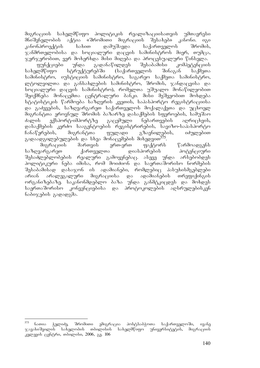მიგრაციის სახელმწიფო პოლიტიკის რეალიზაციისათვის უმთავრესი<br>მნიშვნელობის აქტია «შრომითი მიგრაციის შესახებ» კანონი. იგი მნიშვნელობის აქტია «შრომითი მიგრაციის შესახებ» კანონი. იგი<br>"ანონპროექტის სახით დამუშავდა საქართველოს შრომის. კანონპროექტის სახით დამუშავდა საქართველოს შრომის,  $\alpha$ ანმრთელობისა და სოციალური დაცვის სამინისტროს მიერ, თუმცა, ُالْمِوَرُوْمَ) როპერი მოხერნდა მისი მიღება და პროცესუალური წინსვლა.<br>ფუნქციები — უნდა — გადანაწილდეს — შესაბამისი — კომპეტენციის

ფუნქციები უნდა გადანაწილდეს შესაბამისი კომპეტენციის<br>ლმწიფო სტრუქტურებში (საქართველოს შინაგან საქმეთა სახელმწიფო სტრუქტურებში (საქართველოს შინაგან საქმეთა სამინისტრო, იუსტიციის სამინისტრო, საგარეო საქმეთა სამინისტრო, ლტოლვილთა და განსახლების სამინისტრო, შრომის, ჯანდაცვისა და სოციალური დაცვის სამინისტრო), რომელთა უშუალო მონაწილეობით <u>შეიქმნება მონაცე</u>მთა ცენტრალური ბანკი. მისი მეშვეობით მოხდება სტატისტიკის წარმოება საზღვრის კვეთის, საპასპორტო რეგისტრაციისა და გაძევების, საზღვარგარეთ საქართველოს მოქალაქეთა და უცხოელ მიგრანტთა ეროვნულ შრომის ბაზარზე დასაქმების სფეროების, სამუშაო ძალის ექსპორტ-იმპორტზე გაცემული ნებართვების აღრიცხვის, დასაქმების კერძო სააგენტოების რეგისტრირების, სავიზო-საპასპორტო ჩანაწერების, მიგრანტთა ფულადი გზავნილების, იძულებით გადაადგილებულების და სხვა მონაცემების მიხედვით<sup>575</sup>.

მიგრაციის მართვის ერთ-ერთ ფაქტორს წარმოადგენს<br>ცრგარეთ ქართველთა დიასპორების პოტენციური საზღვარგარეთ ქართველთა დიასპორების პოტენციური "შესაძლებლობების რეალური გამოყენებაც. ასევე უნდა არსებობდეს პოლიტიკური ნება იმისა, რომ მოიძიონ და საერთაშორისო ნორმების  $\partial \mathcal{S}$ ესაბამისად დასაჯონ ის ადამიანები, რომლებიც პასუხისმგებლები არიან არალეგალური მიგრაციისა და ადამიანების თრეფიქინგის ორგანიზებაზე. საკანონმდებლო ბაზა უნდა განმტკიცდეს და მოხდეს -საერთაშორისო კონვენციებისა და პროტოკოლების აღსრულებისკენ ნაბიჯების გადადგმა.

<sup>575</sup> <sup>575</sup> ნათია ჭელიძე, შრომითი ემიგრაცია პოსტსაბჭოთა საქართველოში, ივანე<br>ჯავახიშვილის სახელობის თბილისის სახელმწიფო უნივერსიტეტის, მიგრაციის ുნივერსიტეტის, მიგრაციის კვლევის ცენტრი, თბილისი, 2006, გ<u>ვ</u>. 106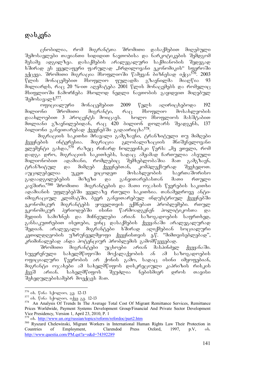# დასკვნა

ცნობილია, რომ მიგრანტთა შრომითი დასაქმებით მიღებული შემოსავლები თავიანთი სიდიდით ნავთობისა და ნარკოტიკების შემდგომ მესამე ადგილზეა. დასაქმების არალეგალური საქმიანობის შედეგად ხშირად ეს ყველაფერი ფარულად "ჩრდილოვანი ეკონომიკის" სფეროში ექცევა. შრომითი მიგრაცია მსოფლიოში წამყვან პიზნესად იქცა<sup>576</sup>. 2003<br>წლის მონაცემებით მსოფლიო ფულადმა გზავნილმა მიაოწია 93  $\mathbb{F}$ ლის მონაცემებით მსოფლიო ფულადმა გზავნილმა მიაღ $\mathbb{F}$ ია 93  $\partial$ ილიარდს, რაც 20 %-ით აღემატება 2001 წლის მონაცემებს და რომელიც მსიფლიოში ჩამორჩება მხოლოდ ნედლი ნავთობის გაყიდვით მიღებულ შემოსავალს<sup>577</sup>.

\_ოფიციალური მონაცემებით 2009 წელს აღირიცხებოდა 192<br>ინი შრომითი მიგრანტი, რაც მსოფლიო მოსახლეობის მილიონი შრომითი მიგრანტი, რაც მსოფლიო მოსახლეობის<br>დაახლოებით 3 პროცენტს მოიცავს. ხოლო მსოფლიოს მასშტაბით  $\cos$ ხლოებით 3 პროცენტს მოიცავს.  $\frac{1}{20}$  and  $\frac{1}{20}$  bilion dominant  $\frac{1}{20}$  bilion dominant denotes  $\frac{1}{20}$  and  $\frac{1}{20}$  and  $\frac{1}{20}$  $\delta$ ილიონი განვითარუბად ქვეყნებში გადაირიც $\delta^{578}$ .

მიგრაციის საკითხი მრავალი გამგზავნი, ტრანზიტული თუ მიმღები<br>ების ინტერესია. მიგრაცია გლობალიზაციის მნიშვნელოვანი ქვეყნების ინტერესია. მიგრაცია გლობალიზაციის მნიშვნელოვანი  $\frac{1}{2}$ ელუმუნტი გახდა, $^{579}$  რაზეც რიჩარდ ჩოლევინსკი წერს: "მე ვთვლი, რომ  $\overline{\cos}$  grow, dozrozoob bazoobadb, bagaa adaadag baroomgoo abamgoo  $\partial \alpha$ ლიონობით ადამიანი, რომლებიც შემხებლობაშია მათ გამგზავნ, ტრანზიტულ და მიმღებ ქვეყნებთან, კომპლექსურად შევხედოთ. აუცილებელია უკეთ ვიცოდეთ მოსახლეობის საერთაშორისო გადაადგილებების მიზეზი და განვითარებასთან მათი რთული კავშირი."<sup>580</sup> შრომითი მიგრანტების და მათი ოჯახის წევრების საკითხი ადამიანის უფლებებში ყველაზე რთული საკითხია. თანამედროვე ანტიიმიგრაციულ კლიმატში, ბევრ განვითარებულ ინდუსტრიულ ქვეყნებში ეკონომიკურ მიგრანტებს ყოველთვის ექმნებათ პრობლემები. რთულ ით<br>ეკონომიკურ პერიოდებში ისინი წარმოადგენენ პოლიტიკოსთა და მედიის სამიზნეს და მიჩნეულები არიან საზოგადოების საფრთხედ, განსაკუთრებით ისეთები, ვინც დასაქმების ქვეყანაში არალეგალურად შედიან. არალეგალი მიგრანტები ხშირად აღიქმებიან სოციალური  $R$ გეთილდღეობის უზრუნველმყოფი ქვეყნისთვის ე.წ. "მიმთვისებლებად", კრიმინალებად ანდა პოტენციურ პრობლემის გამომწვევებად.

შრომითი მიგრანტები უცხოები არიან მასპინძელ ქვეყანაში. სუვერენული სახელმწიფოში მოქალაქეობის ან ამ საზოგადოების ოფიციალური წევრობის არ ქონის გამო, სადაც ისინი იმყოფებიან, მიგრანტი ოჯახები ამ სახელმწიფოს დისკრეციული კაპრიზის რისკის ქვეშ არიან. სახელმწიფოს შეუძლია ნებისმიერ დროს თავისი შეხედულებისამებრ მოექცეს მათ.

<sup>&</sup>lt;sup>576</sup> იხ. წინა სქოლიო, გვ. 12-13

 $\frac{577}{6}$  ob. Wobs bdogoon, odg<sub>0</sub> 33. 12-13<br>  $\frac{578}{6}$  An Analysis Of Trends In The Average Total Cost Of Migrant Remittance Services, Remittance Prices Worldwide, Payment Systems Development Group/Financial And Private Sector Development Vice Presidency, Version 1, April 23, 2010, P. 1

<sup>579</sup> ob. http://www.un.org/russian/topics/reform/refordoc/part2.htm

<sup>580</sup> Ryszard Chelewinski, Migrant Workers in International Human Rights Law Their Protection in Countries of Employment, Clarendod Press Oxford, 1997, p.V, ob. http://www.questia.com/PM.qst?a=o&d=74392289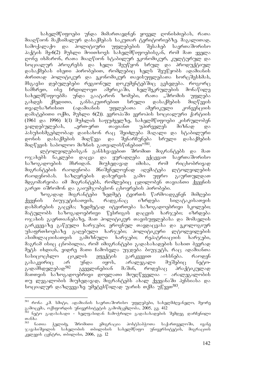სახელმწიფოები უნდა მიმართავდნენ ყოველ ღონისძიებას, რათა miaRwion maqsimalur dasaqmebas sakuTar teritoriebze. magaliTad, სამოქალაქო და პოლიტიური პაქტის მე-6(2) მუხლი მოითხოვს სახელმწიფოებისგან, რომ მათ ყველა დონე იხმარონ, რათა მიაღწიონ სტაბილურ ეკონომიკურ, კულტურულ და სოციალურ პროგრესს და ხელი შეუწყონ სრულ და პროდუქტიულ დასაქმებას ისეთი პირობებით, რომლებიც ხელს შეუწყობს ადამიანის ძირითად პოლიტიკურ და ეკონომიკურ თავისუფლებათა ხორცშესხმას, მსგავსი დებულებები რეგიონულ დოკუმენტებშიც გვხვდება. როგორც სამხრეთ, ისე ჩრდილოეთ ამერიკაში, ხელშეკრულების მონაწილე<br>სახელმწიფოებმა უნდა გაატარონ ზომები, რათა "შრომის უფლება ართმები, რათა "შრომის უფლება გახდეს ქმედითი, განსაკუთრებით სრული დასაქმების მიღწევის თვალსაზრისით (ადამიანის უფლებათა ამერიკული კონვენციის დამატებითი ოქმი, მუხლი 6(2)). ევროპაში ევროპის სოციალური ქარტიის (1961 და 1996) 1(1) მუხლის საფუძველზე, სახელმწიფოები კისრულობენ<br>ვალდებულებას, "ერთ-ერთ თავიანთ უპირველეს მიზნად და ვალდებულებას, "ერთ-ერთ თავიანთ უპირველეს მიზნად და პასუხისმგებლობად დაისახონ რაც შეიძლება მაღალი და სტაბილური დონის დასაქმების მიღწევა და შენარჩუნება სრული დასაქმების მიღწევის საბოლოო მიზნის გათვალისწინებით"<sup>581</sup>.

ლტოლვილებისგან განსხვავებით შრომით მიგრანტებს და მათ ოჯახებს ნაკლები დაცვა და ყურადღება ექცევათ საერთაშორისო საზოგადოების მხრიდან. მიუხედავად იმისა, რომ რიცხობრივად მიგრანტების რაოდენობა მნიშვნელოვნად აღემატება ლტოლვილების რაოდენობას. საზღვრების დახურვის გამო უფრო გაურთულდათ მდგომარეობა იმ მიგრანტებს, რომლებიც ცდილობენ თავიანთი ქვეყნის გარეთ იშრომონ და გაიუმჯობესონ ცხოვრების პირობები.

ზოგადად მიგრანტები ზედმეტ ტვირთს წარმოადგენენ მიმღები ქვეყნის ბიუჯეტისათვის, რადგანაც იზრდება სიღატაკისათვის დახმარების გაცემა; ზედმეტად იტვირთება საზოგადოებრივი სკოლები; მატულობს საზოგადოებრიგი წესრიგის დაცვის ხარჯები, იზრდება ოჯახის გაერთიანებაზე, მათ პოლიტიკურ თავისუფლებასა და მომავლის გარკვევაზე გაწეული ხარჯები; ეროვნულ თავდაცვასა და ეკოლოგიურ უსაფრთხოებაზე გაღებული ხარჯები; პოლიტიკური ლტოლვილების  $\delta$ ასიმილაციისათვის გამიზნული ხარჯები; რეპატრიაციის ხარჯები, მაგრამ ისიც ცნობილია, რომ იმიგრანტები გადასახადების სახით ბევრად შეტს იხდიან, ვიდრე მათი ჩამოსვლა უჯდება ბიუჯეტს, რაც ადამიანთა სასიცოცხლო ციკლის ეფექტის გარკვევით აიხსნება. რაოდენ გასაკვირიც არ უნდა იყოს, არალეგალი მუშებიც ნეტოგადამხდელებად<sup>582</sup> გვევლინებიან მაშინ, როდესაც პრაქტიკულად მათთვის საზოგადოებრივი დოვლათი მიუღწეველია – არალეგალობის თუ ლეგალობის მიუხედავად, მიგრანტებს ახალ ქვეყანაში პენსიასა და სოციალურ დაზღვევაზე უმეტესწილად უარის თქმა უწევთ<sup>583</sup>.

<sup>-</sup><sup>581</sup> რონა კ.მ. სმიტი, ადამიანის საერთაშორისო უფლებები, სახელმძღვანელო, მეორე გამოცემა, ოქსფორდის უნივერსიტეტის გამომცემლობა, 2005, გვ. 412

<sup>&</sup>lt;sup>582</sup> ნეტო გადასახადი - ხელფასიდან ჩამოჭრილი გადასახადების შემდეგ დარჩენილი თანხა

<sup>&</sup>lt;sup>583</sup> ნათია ჭელიძე, შრომითი ემიგრაცია პოსტსაბჭოთა საქართველოში, ივანე<br>ჯავახიშვილის სახელობის თბილისის სახელმწიფო უნივერსიტეტის, მიგრაციის სახელმწიფო უნივერსიტეტის, მიგრაციის კვლევის ცენტრი, თბილისი, 2006, გ<u>ვ</u>. 12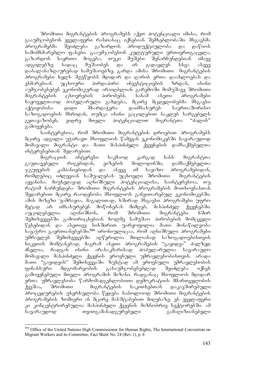შრომითი მიგრანტების პროგრამებს აქვთ პოტენციალი იმისა, რომ გააუმჯობესონ ყველაფერი რასთანაც იქნებიან შემხებლობაში. მსგავსმა<br>პროგრამებმა შეიძლება გაზარდოს პროდუქტიულობა და დაწიოს პროგრამებმა შეიძლება გაზარდოს პროდუქტიულობა და დაწიოს სამომხმარებლო ფასები. გააუმჯობესონ კულტურული ურთიერთგაცვლა,<br>გაზარდონ საერთო მოგება, თუკი მუშები შენარჩუნდებიან იმავე გაზარდონ საერთო მოგება, თუკი მუშები შენარჩუნდებიან იმავე ადგილებზე სადაც მუშაობენ და არ გადავლენ სხვა ასევე დაბალანაზღაურებად სამუშაოებზე. გარდა ამისა შრომითი მიგრანტების პროგრამები ხელს შეუწყობს მდიდარ და ღარიბ ერთა დაახლოებას და<br>"ეხმარებიან უცხოური პირდაპირი ინვესტიციების ზრდას, ისინი პირდაპირი ინვესტიციების ზრდას, ისინი აუმჯობესებენ ეკონომიკურად არაიდბლიან გარემოში მომუშავე შრომითი<br>მიგრანტების — ცხოვრების — პირობებს. — სანამ — ასეთი — პროგრამები მიგრანტების ცხოვრების პირობებს. სანამ ასეთი პროგრამები საყოველთაოდ პოპულარული გახდება, მცირე მცდელობებმა მსგავსი აქტივობისა დიდი მხარდაჭერა დაიმსახურეს საერთაშორისო საზოგადოების მხრიდან, თუმცა ისინი გაცილებით ნაკლებ სარგებელს<br>გვთავაზობენ, ვიდრე მთელი პოტენციალით მიგრანტთა "ძალის" ვიდრე მთელი პოტენციალით მიგრანტთა "ძალის" გამოყენება.

საინტერესოა, რომ შრომითი მიგრანტების დროებით პროგრამებს მცირე ადგილი უჭირავთ მსოფლიოს წამყვან ეკონომიკებში სავარაუდოდ მომავალი მიგრანტი და მათი მასპინძელი ქვეყნების დამსაქმებელთა ინტერესებთან შედარებით.

მიგრაციის ინტერესი საკმაოდ კარგად ჩანს მიგრანტთა<br>ვებელი რიგებიდან, ვიზების მოლოდინში, დამსაქმებელთა გაუთავებელი რიგებიდან, ვიზების მოლოდინში, დამსაქმებელთა  $\%$ გუფების კამპანიებიდან და ასევე იმ სავიზო პროგრამებიდან, რომლებიც იძლევიან საშუალებას უცხოელი შრომითი მიგრანტების აყვანისა. მიუხედავად აღნიშნული პოტენციალისა, საინტერესოა, თუ რატომ ნარჩუნდება შრომითი მიგრანტების პროგრამების მოთხოვნასთან შედარებით მცირე რაოდენობა მსოფლიოს განვითარებულ ეკონომიკებში. ამის მიზეზი უამრავია, მაგალითად, ხშირად მსგავსი პროგრამები უფრო მეტად არ იმსახურებენ მოწონებას მიმღებ, მასპინძელ ქვეყნებში. აუცილებელია აღინიშნოს, რომ შრომითი მიგრანტები ხშირ შემთხვევებში გამოირიცხებიან ხოლმე სამუშაო პირობების მომცველი  $\nabla$ ესებიდან და ასეთივე სიხშირით უარყოფილია მათი მონაწილეობა სავაჭრო გაერთიანებებში.<sup>584</sup> ირონიულიცაა, რომ აღნიშნული პროგრამები უმრავლეს შემთხვევებში აღწერილია მთლიანად საზოგადოებისთვის .<br>სიკეთის მომტანებად, მაგრამ ასეთი პროგრამების "გაყიდვა" ძალზედ ძნელია, რადგან ისინი არასაკმარისად პოპულარულია სავარაუდო მომავალი მასპინძელი ქვეყნის ეროვნული უმრავლესობისთვის. არადა მათი "გაყიდვის" შემთხვევაში ზუსტად ამ ეროვნული უმრავლესობის  $q$ ინანსური მდგომარეობის გასაუმჯობესებლად შეიძლება იქნეს გამოყენებული მთელი პროგრამის მიზანი. რადგანაც მსოფლიოს მდიდარ erTa umravlesoba warmomadgenlobiTi demokratiis mmarTvelobis ქვეშაა, შრომითი — მიგრანტების საკითხებთან დაკავშირებული პროცედურების უხერხულობა წყდება საბოლოოდ შრომითი მიგრანტების პროგრამების ზომიერი ან მცირე მასშტაბებით მიღებაზე. ეს ყველაფერი კი კონცენტრირებულია მასპინძელი ქვეყნის მიზნობრივ სექტორებში. ამ სავარაუდოდ თვითგამანადგურებელი გამაღიზიანებელი

<sup>-</sup>584 Office of the United Nations High Commissioner for Human Rights, The International Convention on Migrant Workers and its Committee, Fact Sheet No. 24 (Rev.1), p. 6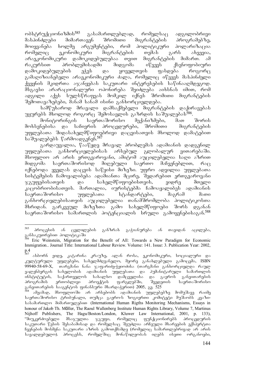ობსტრუქციონიზმის $^{585}$  გასამართლებლად, რომელსაც ადგილობრივი მასპინძლები მიმართავენ შრომითი მიგრანტების პროგრამებზე, მოიყვანება ხოლმე არგუმენტები, რომ პოლიტიკური პოლარიზაცია რომელიც ეკონომიკური მიგრანტების თემას გარს ახვევია, არაეკონომიკური დამოკიდებულებაა თვით მიგრანტების მიმართ. ამ რაკურსით პრობლემისადმი მიდგომა იწვევს ქსენოფობიური დამოკიდებულების ეჭვს და ყოველთვის ფასდება როგორ $\overline{\alpha}$ გამაღიზიანებელი არაეკონომიკური ძალა, რომელიც იწვევს მასპინძელი ქვეყნის მკიდრთა აჯანყებას საკუთარი ინტერესების საწინააღმდეგოდ. მსგავსი არარაციონალური ოპონირება შეიძლება აიხსნას იმით, რომ ადგილი აქვს სულსწრაფვას მომკილ იქნეს შრომითი მიგრანტების შემოთავაზებები, მანამ სანამ ისინი განხორციელდება.

სამწუხაროდ მრავალი დამსაქმებელი მიგრანტების დაქირავებას უყურებს მხოლოდ როგორც შემოსავლის გაზრდის საშუალებას<sup>586</sup>.<br>— მონიტორინგის — საერთაშორისო — მექანიზმები, — მათ

საერთაშორისო მექანიზმები, მათ შორის მოხსენებისა და საჩივრის პროცედურები, შრომითი — მიგრანტების უფლებათა შიდასახელმწიფოებრივი დაცვისათვის მხოლოდ დამატებით საშუალებებს წარმოადგენენ.<sup>587</sup>

გარდაუვალია, წააწყდე მრავალ პრობლემას ადამიანის დადგენილ უფლებათა განხორციელებისას არსებულ გლობალურ ვითარებაში.  $\partial$ სოფლიო არ არის ერთგვაროვანი, ამიტომ აუცილებელია საღი აზრით მიდგომა საერთაშორისოდ მიღებული საერთო მაჩვენებლით, რა $\alpha$ იქნებოდა ყველას დაცვის საწყისი მიზეზი. უფრო ადვილია უფლებათა სისტემების ჩამოყალიბება ადამიანთა მცირე, შედარებით ერთგვაროვანი  $\mathcal{R}$ გუფებისათვის და სახელმწიფოებისთვის, ვიდრე მთელი კაცობრიობისათვის. მართალია, იურისტებმა ჩამოაყალიბეს ადამიანის საერთაშორისო უფლებათა სტანდარტები, მაგრამ მათი განხორციელებისათვის აუცილებელია თანამშრომლობა პოლიტიკოსთა მხრიდან. გარკვეულ მიზეზთა გამო სახელმწიფოები შორს დგანან საერთაშორისო სამართლის პოტენციალის სრული გამოყენებისაგან.<sup>588</sup>

<sup>585</sup> <sup>585</sup> პროცესის ან ცვლილების განზრახ გაჭიანურება ან თავიდან აცილება, განსაკუთრებით პოლიტიკაში

<sup>586</sup> Eric Weinstein, Migration for the Benefit of All: Towards a New Paradigm for Economic Immigration.. Journal Title: International Labour Review. Volume: 141. Issue: 3. Publication Year: 2002,  $p.4$ <sub>587</sub>

ასბორნ ეიდე, კატარინა კრაუზე, ალან როსა, ეკონომიკური, სოციალური და კულტურული უფლებები, სახელმძღვანელო, მეორე განახლებული გამოცემა, ISBN 99940-58-69-X, თარგმანი ნანა ჯაფარიძე-ჭყიოძისა (თარგმანი განხორციელდა რაულ ვალენბერგის სახელობის ადამიანის უფლებათა და ჰუმანიტარული სამართლის<br>ინსტიტუტის, საქართველოს სახალხო დამცველისა და გაეროს განვითარების ibsbsლხო დამცველისა და გაეროს განვითარების<br>პროექტის ფარგლებში, შვედეთის საერთაშორისო პროგრამის ერთობლივი პროექტის ფარგლებში, შვედეთის საერთაშორისო განვითარების სააგენტოს ფინანსური მხარდაჭერით) 2005, გვ. 525

ამჟამად, მსოფლიოში არ არსებობს ადამიანის უფლებებზე მომუშავე რაიმე საერთაშორისო ტრიბუნალი, თუმცა გაერო-ს ზოგიერთი კომიტეტი მუშაობს კვაზიbsbsdsრთლო მიმართულებით (International Human Rigths Monitoring Mechanisms, Essays in honour of Jakob Th. Möller, The Raoul Wallenberg Institute Human Rights Library, Volume 7, Martinus Nijhoff Publishers, The Hagu/Boston/London, Kluwer Law International, 2001, p. 133), "მნევერმოებელი მსაჯულთა ჯგუფი, რომელიც ფუნქციონირებს პროცელურის  $\frac{1}{2}$   $\frac{1}{2}$   $\frac{1}{2}$  models  $\frac{1}{2}$  models  $\frac{1}{2}$  and  $\frac{1}{2}$   $\frac{1}{2}$  and  $\frac{1}{2}$  models  $\frac{1}{2}$  and  $\frac{1}{2}$  and  $\frac{1}{2}$  and  $\frac{1}{2}$  and  $\frac{1}{2}$  and  $\frac{1}{2}$  and  $\frac{1}{2}$  and  $\frac{1}{2}$  and საკუთარი წესის შესაბამისად და რომელსაც შეუძლია არჩეული მხარეების ექსპერტთა  $6a\bar{b}$ ენების მოსმენა საკუთარი აზრის გამოთქმამდე (რომელიც სამართლებრივად არ არის სავალდებულო). პროცესს, რომელშიც მონაწილეობას იღებს ისეთი ორგანოები,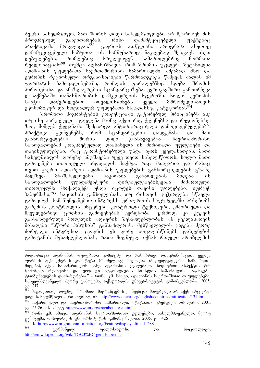ბევრი სახელმწიფო, მათ შორის დიდი სახელმწიფოები არ ჩქარობენ მის პროგრესულ განვითარებას, რისი დამამტკიცებელი ფაქტებიც<br>პრაქტიკაში მრავლადაა.<sup>589</sup> გაერო-ს ათწლიანი პროგრამა ასეთივე <u>პრაქტიკაში მრავლადაა.<sup>589</sup> გაერო-ს ათწლიანი პროგრამა ასეთივე</u> დამამტკიცებელი საბუთია, ის სამწუხაროდ ნაკლებად შეიცავს ისეთ დებულებებს, რომლებიც სრულყოფენ სამართლებრივ ნორმათა რეალიზაციას $^{590}$ . თუმცა აღსანიშნავია, რომ შრომის უფლება შეტანილია ადამიანის უფლებათა საერთაშორისო სამართალში. ამჟამად შსო და ევროპის რეგიონული ორგანიზაციები წარმოადგენენ წამყვან ძალას იმ<br>ფორმატის ჩამოყალიბებაში, რომლის ფარგლებშიც ხდება შრომის .<br>ფორმატის ჩამოყალიბებაში, რომლის პირობებისა და ანაზღაურების სტანდარტიზება. ევროკავშირი გამოირჩევა დასაქმებაში თანასწორობის დამკვიდრების სფეროში, ხოლო ევროპის საბჭო დაწვრილებით ითვალისწინებს ყველა მშრომელისათვის  $n$ კონომიკურ და სოციალურ უფლებათა სხვადასხვა კატეგორიას<sup>591</sup>.

შრომითი მიგრანტების კონვენციაში გატარებულ პრინციპებს ასე თუ ისე გარკვეული გავლენა მაინც აქვთ რიგ ქვეყნებსა და რეგიონებზე. ზოგ მიმღებ ქვეყანაში შემცირდა ანტიმიგრაციული დამოკიდებულება<sup>592</sup>. პრაქტიკა გვიჩვენებს, რომ სტანდარტების დადგენასა და მათ განხორციელებას შორის დიდი განსხვავებაა. საერთაშორისო საზოგადოებამ კონკრეტულად დაასახელა ის ძირითადი უფლებები და თავისუფლებები, რაც გარანტირებული უნდა იყოს ყველასათვის. მათი სახელმწიფოს დონეზე ამუშავება უკვე თვით სახელმწიფოს, ხოლო მათი გამოყენება თითოეული ინდივიდის საქმეა. რაც მთავარია და რასაც თვით გაერო აღიარებს ადამიანის უფლებების განხორციელების გზაზე<br>ძალზედ მნიშვნელოვანი საკითხია განათლების მიღება. ის ძალზედ მნიშვნელოვანი საკითხია განათლების მიღება. ის საზოგადოების ფუნდამენტური დირებულებებისკენაა მიმართული. თითოეულმა მოქალაქემ უნდა იცოდეს თავისი უფლებები. იურგენ ჰაბერმასი,<sup>593</sup> საკითხის განხილვისას, თუ რისთვის გვჭირდება სწავლა გამოყოფს სამ შემეცნებით ინტერესს. ერთ-ერთის საფუძველში არსებობს გარემოს კონტროლის ინტერესი. კონტროლი ტექნიკური, ემპირიული და ნვეულებრივი ცოდნის გამოყენებას ეყრდნობა. კურძოდ, კი ქცევის ვანსაზღვრული მოდელის აღწერის შესაძლებლობას ან ყველასათვის dobsggdo "სწორი პასუხის" განსაზღვრას. შესწავლილის გაგუბა მეორე ძირეული ინტერესია. ცოდნის ეს დონე ითვალისწინებს დასკვნების გამოტანის შესაძლებლობას, რათა მიღწეულ იქნას რთული პრობლემის

როგორიცაა ადამიანის უფლებათა კომიტეტი და რასობრივი დისკრიმინაციის ყველა . ფორმის აღმოფხვრის კოშიტუტი (რომელსაც შეუძლია ინდივიდუალური საჩივრების ขึ้นอยู่สิง), saat ไม่ ไม่ ไม่ และคือ เมื่อไม่ เขียน การเขา การ การที่ เป็นอยู่ เป็นอยู่ ซึ่งได้ เ წამოწევა რუანდისა და ყოფილი იუგოსლავიის სისხლის სამართლის საგანგებო ტრიბუნალების დამსახურებაა" - რონა კ.მ. სმიტი, ადამიანის საერთაშორისო უფლებები, სახელმძღვანელო, მეორე გამოცემა, ოქსფორდის უნივერსიტეტის გამომცემლობა, 2005,  $389 \frac{217}{9}$ 

მაგალითად, დღემდე შრომითი მიგრანტების კონვენცია მიღებული არ აქვს არც ერთ gogo bsbaged ogob, robogobses ob. http://www.ohchr.org/english/countries/ratification/13.htm

<sup>&</sup>lt;sup>590</sup> საქართველო და საერთაშორისო სამართალი, სტატიათა კრებული, თბილისი, 2001, gg. 25-26, ob. abggg http://www.un.org/esa/about\_esa.html

რონა კ.მ. სმიტი, ადამიანის საერთაშორისო უფლებები, სახელმძღვანელო, მეორე გამოცემა, ოქსფორდის უნივერსიტეტის გამომცემლობა, 2005, გვ. 426

<sup>&</sup>lt;sup>592</sup> ის. <u>http://www.migrationinformation.org/Feature/display.cfm?id=288</u><br>393 გერმანელი ფილოსოფოსი და სოციოლოგი, http://en.wikipedia.org/wiki/J%C3%BCrgen\_Habermas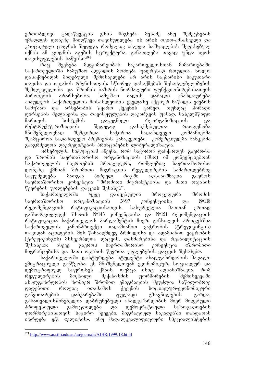ერთობლივი გადაწყვეტის გზის მიგნება. მესამე ანუ შემეცნების უმაღლეს დონეზე მიიღწევა თავისუფლება. ის არის თვით-ამსახველი და კრიტიკული ცოდნის შედეგი, რომელიც იძლევა საშუალებას შეფასებულ იქნას ამ ცოდნის აგების სტრუქტურა. განათლება თავად უნდა იყოს Tavisuflebis sawyisi.594

რაც შეეხება მდგომარეობას საქართველოსთან მიმართებაში საქართველოში სამუშაო ადგილის მოძიება უაღრესად რთულია, ხოლო დასაქმებიდან მიღებული შემოსავლები არ არის საკმარისი საკუთარი mosaobo co mxobob mbabobomaob. bymma coboadadob dabodcadocobadob 'შეზღუდულობა და შრომის ბაზრის ნორმალური ფუნქციონირებისათვის<br>პირობების არარსებობა, სამუშაო ძალის დაბალი ანაზღაურება პირობების არარსებობა, სამუშაო ძალის დაბალი ანაზღაურება აიძულებს საქართველოს მოსახლეობის ყველაზე აქტიურ ნაწილს ეძებოს სამუშაო და არსებობის წყარო ქვეყნის გარეთ, თუნდაც პირადი ლირსების შელახვისა და თავისუფლების დაკარგვის ფასად. სახელმწიფო მართვის სისტემის დაგეგმილი რეორგანიზაციის და რესტრუქტურიზაციის შედეგად დასაქმებულთა რაოდენობა მნიშვნელოვნად შემცირდა. საჭიროა სადაზღვევო კომპანიებმა შეამცირონ სადაზღვევო პრემიების განაკვეთები. კომერციულმა ბანკებმა გააგრძელონ დაკრედიტების პრინციპების ლიბერალიზაცია.

არსებულმა სიტუაციამ აჩვენა, რომ საჭიროა დაჩქარდეს გაერო-სა და შრომის საერთაშორისო ორგანიზაციის (შსო) იმ კონვენციებთან საქართველოს მიერთების პროცედურა, რომლებიც საერთაშორისო<br>დონეზე ქმნიან შრომითი მიგრაციის რეგულირების სამართლებრივ დონეზე ქმნიან შრომითი მიგრაციის რეგულირების სამართლებრივ საფუძვლებს. მათგან პირველ რიგში აღსანიშნავია გაეროს საერთაშორისო კონვენცია "შრომითი მიგრანტებისა და მათი ოჯახის წევრების უფლებების დაცვის შესახებ".

საქართველოში უკვე დაწყებულია პროცედურა შრომის საერთაშორისო ორგანიზაციის №97 კონვენციისა და №118 რეკომენდაციის რატიფიკაციისათვის. სასურველია მათთან ერთად განხორციელდეს შსო-ის №143 კონვენციისა და №151 რეკომენდაციის რატიფიკაცია საქართველოს პარლამენტის მიერ. განხილვის პროცესშია საქართველოს კანონპროექტი «ადამიანით ვაჭრობის (ტრეფიკინგის) ms30ps6 s30p3dol, dol fo6sspdp33 dadamols ps spsdos600 3s36mdol (ტრეფიკინგის) მსხვერპლთა დაცვის, დახმარებისა და რეაბილიტაციის<br>"შესახებ»; ასევე, გაეროს საერთაშორისო კონვენცია «შრომითი შესახებ»; ასევე, გაეროს საერთაშორისო კონვენცია «შრომითი მიგრანტებისა და მათი ოჯახის წევრთა უფლებების დაცვის შესახებ».

საქართველოში დასტურდება სტუდენტი ახალგაზრდობის მაღალი ემიგრაციული განწყობა. ეს მნიშვნელოვან ეკონომიკურ, სოციალურ და დემოგრაფიულ საფრთხეს ქმნის. თუმცა ისიც აღსანიშნავია, რომ რეგულირების მოქნილი მექანიზმის ფორმირების შემთხვევაში ახალგაზრდობის ზომიერ შრომით ემიგრაციას შეუძლია ნაწილობრივ<br>დადებითი როლიც ითამაშოს ქვეყნის სოციალურ-ეკონომიკური \_დადებითი \_ როლიც \_ \_ ითამაშოს \_ ქვეყნის \_ \_ სოციალურ-ეკონომიკური განვითარების დაჩქარებაში. ფულადი გზავნილების გარდა, გასათვალისწინებელია დაბრუნებული ახალგაზრდობის მიერ მიღებული პროფესიული გამოცდილება და დემოკრატიული საზოგადოების ფორმირებისათვის საჭირო ჩვევები. მიგრაციულ ნაკადებში თანდათან იზრდება ე.წ. «ელიტის», ანუ მაღალკვალიფიციური სპეციალისტების

<sup>-</sup><sup>594</sup> http://www.austlii.edu.au/au/journals/AJHR/1999/18.html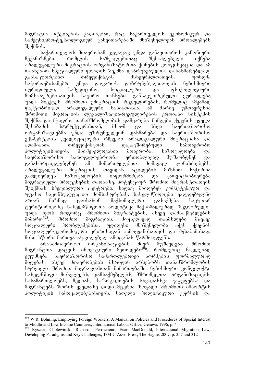მიგრაცია. «ტვინების გადინება», რაც საქართველოს ეკონომიკურ და სამეცნიერო-ტექნოლოგიურ განვითარებაში მნიშვნელოვან პრობლემებს  $a<sub>3</sub>$ ,  $a<sub>1</sub>$ ,  $a<sub>1</sub>$ ,  $a<sub>2</sub>$ ,  $a<sub>3</sub>$ ,  $a<sub>4</sub>$ ,  $a<sub>5</sub>$ ,  $a<sub>6</sub>$ ,  $a<sub>7</sub>$ ,  $a<sub>8</sub>$ ,  $a<sub>9</sub>$ ,  $a<sub>1</sub>$ ,  $a<sub>1</sub>$ ,  $a<sub>1</sub>$ ,  $a<sub>1</sub>$ ,  $a<sub>1</sub>$ ,  $a<sub>1</sub>$ ,  $a<sub>1</sub>$ ,  $a$ 

საქართველოს მთავრობამ კვლავაც უნდა განავითაროს კანონიერი მექანიზმები, რომლის საშუალებითაც შესაძლებელი იქნება  $\alpha$ გრალეგალური მიგრაციის ორგანიზატორთა ქონების კონფისკაცია და ამ თანხებით სპეციალური ფონდის შექმნა დაბრუნებულთა დასახმარებლად,<br>განსაკუთრებით თრეფიქინგის მსხვერპლთათვის. ფონდმა განსაკუთრებით თრეფიქინგის მსხვერპლთათვის. ფონდმა<br>საჭიროებისამებრ უნდა დაფაროს დაბრუნებულთათვის ნებისმიერი საჭიროებისამებრ უნდა დაფაროს დაბრუნებულთათვის იურიდიული, სამედიცინო, სოციალური და ფსიქოლოგიური მომსახურებისათვის საჭირო თანხები. განსაკუთრებული ყურადღება უნდა მიექცეს შრომითი ემიგრაციის რეგულირებას, რომელიც ამჟამად<br>ფაქტობრივად არალეგალური ხასიათისაა. ამ მხრივ უმთავრესია  $\overline{q}$ აქტობრივად არალეგალური ხასიათისაა. ამ მხრივ უმთავრესია შრომითი მიგრაციის ლეგალიზაცია-რეგულირების ერთიანი სისტემის შექმნა და მჭიდრო თანამშრომლობის დამყარება მიმღები ქვეყნის ყველა<br>შესაბამის სტრუქტურასთან; მსო-მ და სხვა საერთაშორისო შესაბამის სტრუქტურასთან; მსო-მ და სხვა საერთაშორისო ორგანიზაციებმა უნდა უზრუნველყონ დახმარება და საერთაშორისო ექსპერტების კვალიფიციური რჩევები არალეგალური მიგრაციასა და ადამიანთა თრეფიქინგთან დაკავშირებული სამთავრობო პოლიტიკისათვის. მნიშვნელოვანია მთავრობა, საზოგადოება და საერთაშორისო საზოგადოებრიობა ერთობლივად მუშაობდნენ და განახორციელებდნენ ამ მიმართულებით მომავალ ღონისძიებებს. არალეგალური მიგრაციის თავიდან აცილების მიზნით საჭიროა გაძლიერდეს საზოგადოების ინფორმირება და გათვიცნობიერება მიგრაციული პროცესების თაობაზე. პოტენციურ შრომით მიგრანტთათვის შეიქმნას სპეციალური ცენტრები, სადაც მიიღებენ კომპეტენტურ და უფასო საკონსულტაციო მომსახურებას; სახელმწიფოები ვალდებულნი არიან მიზნად დაისახონ მაქსიმალური დასაქმება საკუთარ ტერიტორიებზე. სახელმწიფოთა პოლიტიკა მაქსიმალურად "მეგობრული" უნდა იყოს როგორც შრომითი მიგრანტების, ასევე დამსაქმებლების<br>მიმართ<sup>595</sup>. შრომით მიგრაციას, მიუხედავად თანმხლები მწვავე შრომით მიგრაციას, მიუხედავად თანმხლები მწვავე სოციალური პრობლემებისა, უდიდესი მნიშვნელობა აქვს ქვეყნის სოციალურ-ეკონომიკური კრიზისიდან გამოყვანისათვის და შესაბამისად, მისი სწორი მართვა აუცილებელ ამოცანას წარმოადგენს.

არასამთავრობო ორგანიზაციების მიერ მუშავდება შრომით მიგრანტთა დაცვის ინოვაციური მეთოდები<sup>596</sup>, რომლებიც ნაკლებად ეფუძნება საერთაშორისო სამართლებრივი ნორმების ფორმალურად მიღებას. ასევე მთავრობების მხრიდან არსებობს თანამშრომლობის სურვილი შრომით მიგრაციასთან მიმართებაში. ნებისმიერი კონფლიქტი სახელმწიფო მოხელეებს, დამსაქმებლებს, მშრომელთა ორგანიზაციებს,  $b$ ასამართლოებს, მედიას, საზოგადოების სხვადასხვა ჯგუფებსა მიგრანტებს შორის ყველაზე დიდი მტერია ზოგადი შრომითი იმპორტის პოლიტიკის ჩამოყალიბებისთვის. ნათელი პოლიტიკური კურსის და

<sup>-</sup><sup>595</sup> W.R. Böhning, Employing Foreign Workers, A Manual on Policies and Procedures of Special Interest to Middle-and Low Income Countries, International Labour Office, Geneva, 1996, p. 4

<sup>596</sup> Ryszard Cholewinski, Richard Perruchoud, Euan MacDonald, International Migration Law, Developing Paradigms and Key Challenges, T·M·C·Asser Press, The Hague, 2007, p. 257 and 312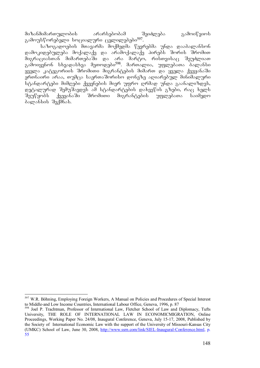მიზანმიმართულობის არარსებობამ შეიძლება გამოიწვიოს გამოუსწორებელი სოციალური ცვლილებები<sup>597</sup>.

.<br>\_<br>საზოგადოების შთავარმა შოქმედმა წევრებმა უნდა დააბალანსონ დამოკიდებულება მოქალაქე და არამოქალაქე პირებს შორის შრომით შიგრაციასთან მიმართებაში და არა მარტო, რისთვისაც შეუძლიათ  $3$ გამოიყენონ სხვადასხვა მეთოდები<sup>598</sup>. მართალია, უფლებათა ბალანსი  $\frac{1}{2}$ ყველა კატეგორიის შრომითი მიგრანტების მიმართ და ყველა ქვეყანაში ერთნაირი არაა, თუმცა საერთაშორისო დონეზე აღიარებულ მინიმალური სტანდარტები მიმღები ქვეყნების მიერ უფრო ღრმად უნდა გაანალიზდეს, დეტალურად შემუშავდეს ამ სტანდარტების დახვეწის გზები, რაც ხელს<br>შეუწყობს ქვეყანაში შრომითი მიგრანტების უფლებათა საიმედო შიგრანტების უფლებათა საიმედო ბალანსის შექმნას.

<sup>-</sup><sup>597</sup> W.R. Böhning, Employing Foreign Workers, A Manual on Policies and Procedures of Special Interest to Middle-and Low Income Countries, International Labour Office, Geneva, 1996, p. 87

<sup>598</sup> Joel P. Trachtman, Professor of International Law, Fletcher School of Law and Diplomacy, Tufts University, THE ROLE OF INTERNATIONAL LAW IN ECONOMICMIGRATION, Online Proceedings, Working Paper No. 24/08, Inaugural Conference, Geneva, July 15-17, 2008, Published by the Society of International Economic Law with the support of the University of Missouri-Kansas City (UMKC) School of Law, June 30, 2008, http://www.ssrn.com/link/SIEL-Inaugural-Conference.html, p. 55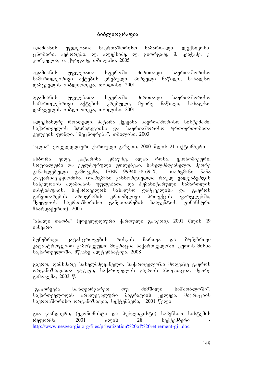## პიბლიოგრაფია

ადამიანის უფლებათა საერთაშორისო სამართალი, ლექსიკონიცნობარი, ავტორები: ლ. ალექსიძე, ლ. გიორგაძე, მ. კვაჭაძე, კ. კორკელია, ი. ქურდაძე, თბილისი,  $2005$ 

ადამიანის უფლებათა სფეროში ძირითადი საერთაშორისო სამართლებრივი აქტების კრებული, პირველი ნაწილი, სახალხო  $\alpha$ ამცველის ბიბლიოთეკა, თბილისი, 2001

-ადამიანის უფლებათა სფეროში ძირითადი საერთაშორისო<br>-<br>სამართლებრივი აქტების კრებული, მეორე ნაწილი, სახალხო სამართლებრივი აქტების კრებული, მეორე ნაწილი, სახალხო დამცველის ბიბლიოთეკა, თბილისი, 2001

ალექსანდრე რონდელი, პატარა ქვეყანა საერთაშორისო სისტემაში, საქართველოს სტრატეგიისა და საერთაშორისო ურთიერთობათა კვლევის ფონდი, "მეცნიერება", თბილისი, 2003

"ალია", ყოველდღიური ქართული გაზეთი, 2000 წლის 21 ოქტომბერი

ასბორნ ეიდე, კატარინა კრაუზე, ალან როსა, ეკონომიკური, სოციალური და კულტურული უფლებები, სახელმძღვანელო, მეორე განახლებული გამოცემა, ISBN 99940-58-69- $X$ , თარგმანი ნანა ჯაფარიძე-ჭყიოძისა, (თარგმანი განხორციელდა რაულ ვალენბერგის სახელობის ადამიანის უფლებათა და პუმანიტარული სამართლის ინსტიტუტის, საქართველოს სახალხო დამცველისა და გაეროს განვითარების პროგრამის ერთობლივი პროექტის ფარგლებში, "მვედეთის საერთაშორისო განვითარების სააგენტოს ფინანსური მხარდაჭერით), 2005

"ახალი თაობა" (ყოველდღიური ქართული გაზეთი), 2001 წლის 19 იანვარი

პუნებრივი კატასტროფების რისკის მართვა და ბუნებრივი კატასტროფებით გამოწვეული მიგრაცია საქართველოში, ეუთოს მისია საქართველოში, მწვანე ალტერნატივა, 2008

გაერო, დამხმარე სახელმძღვანელო, საქართველოში მოღვაწე გაეროს ორგანიზაციათა ჯგუფი, საქართველოს გაეროს ასოციაცია, მეორე გამოცემა, 2003 წ.

"გაჭირვება საზღვარგარეთ თუ შიმშილი სამშობლოში", საქართველოდან არალეგალური მიგრაციის კვლევა, მიგრაციის საერთაშორისო ორგანიზაცია, სექტემბერი, 2001 წელი

გია ჯანდიერი, (ეკონომისტი და პუბლიცისტი) საპენსიო სისტემის რეფორმა, 2001 წლის  $28$  სექტემბერი http://www.nesgeorgia.org/files/privatization%20of%20retirement-gi\_.doc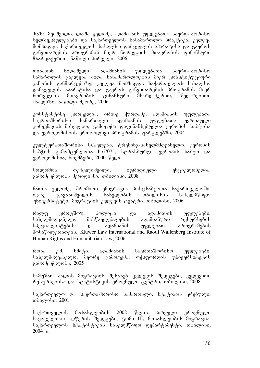ზაზა მეიშვილი, ლაშა ჭელიძე, ადამიანის უფლებათა საერთაშორისო ხელშეკრულებები და საქართველოს სასამართლო პრაქტიკა, კვლევა მომზადდა საქართველოს სახალხო დამცველის აპარატისა და გაეროს განვითარების პროგრამის მიერ ნორვეგიის მთავრობის ფინანსური მხარდაჭერით, ნაწილი პირველი, 2006

თინათინ ხიდაშელი, ადამიანის უფლებათა საერთაშორისო სამართლის გავლენა შიდა სასამართლოების მიერ კონსტიტუციური კანონის განმარტებაზე, კვლევა მომზადდა საქართველოს სახალხო დამცველის აპარატისა და გაეროს განვითარების პროგრამის მიერ ნორვეგიის მთავრობის ფინანსური მხარდაჭერით, შედარებითი ანალიზი, ნაწილი მეორე,  $2006$ 

კონსტანტინე კორკელია, ირინე ქურდაძე, ადამიანის უფლებათა<br>საერთაშორისო სამართალი ადამიანის უფლებათა ევროპული საერთაშორისო სამართალი ადამიანის უფლებათა ევროპული კონვენციის მიხედვით, გამოცემა დაფინანსებულია ევროპის საბჭოსა და ევროკომისიის ერთობლივი პროგრამის ფარგლებში, 2004

კულტურათაშორისი სწავლება, ტრენინგ-სახელმძღვანელო, ევროპის საბჭოს გამომცემლობა F-67075, სტრასბურგი, ევროპის საბჭო და  $2000$  წელი სახია, ნოემბერი, 2000 წელი

სოლომონ თეზელიშვილი, იურიდიული ენციკლოპედია, გამომცემლობა მერიდიანი, თბილისი, 2008

ნათია ჭელიძე, შრომითი ემიგრაცია პოსტსაბჭოთა საქართველოში, ივანე ჯავახიშვილის სახელობის თბილისის სახელმწიფო უნივერსიტეტი, მიგრაციის კვლევის ცენტრი, თბილისი, 2006

რალფ კროუშოუ, პოლიცია და ადამიანის უფლებები, სახელმძღვანელო მასწავლებლების, ადამიანური რესურსების სპეციალისტებისა და ადამიანის უფლებათა პროგრამების derbagography and Kluwer Law International and Raoul Wallenberg Institute of Human Rigths and Humanitarian Law, 2006

რონა კ.მ. სმიტი, ადამიანის საერთაშორისო უფლებები, სახელმძღვანელო, მეორე გამოცემა, ოქსფორდის უნივერსიტეტის გამომცემლობა, 2005

სამუშაო ძალის მიგრაციის შესახებ კვლევის შედეგები, კვლევითი რესურსებისა და სტატისტიკის ეროვნული ცენტრი, თბილისი, 2008

საქართველო და საერთაშორისო სამართალი, სტატიათა კრებული, თბილისი, 2001

საქართველოს მოსახლეობის 2002 წლის პირველი ეროვნული საყოველთაო აღწერის შედეგები, ტომი III, მოსახლეობის მიგრაცია, საქართველოს სტატისტიკის სახელმწიფო დეპარტამენტი, თბილისი, 2004 w.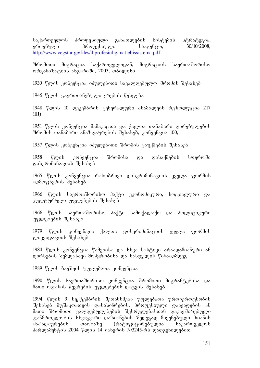საქართველოს პროფესიული განათლების სისტემის სტრატეგია,<br>ეროვნული პროფესიული სააგენტო. 30/10/2008. erovnuli profesiuli saagento, 30/10/2008, http://www.cegstar.ge/files/4.profesiuliganatlebissistema.pdf

შრომითი მიგრაცია საქართველოდან, მიგრაციის საერთაშორისო ორგანიზაციის ანგარიში, 2003, თბილისი

1930 წლის კონვენცია იძულებითი სავალდებულო შრომის შესახებ

1945 წლის გაერთიანებული ერების წესდება

1948 წლის 10 დეკემბრის გენერალური ასამბლეის რეზოლუცია 217 (III)

1951 წლის კონვენცია მამაკაცთა და ქალთა თანაბარი ღირებულების  $\partial \mathcal{S}$  36  $\partial$  36  $\partial$  36  $\partial$  36  $\partial$  36  $\partial$  36  $\partial$  36  $\partial$  36  $\partial$  36  $\partial$  36  $\partial$  360,

1957 წლის კონვენცია იძულებითი შრომის გაუქმების შესახებ

1958 წლის კონვენცია შრომისა და დასაქმების სფეროში დისკრიმინაციის შესახებ

1965 წლის კონვენცია რასობრივი დისკრიმინაციის ყველა ფორმის აღმოფხვრის შესახებ

1966 წლის საერთაშორისო პაქტი ეკონომიკური, სოციალური და კულტურული უფლებების შესახებ

1966 წლის საერთაშორისო პაქტი სამოქალაქო და პოლიტიკური უფლებების შესახებ

1979 წლის კონვენცია ქალთა დისკრიმინაციის ყველა ფორმის mozzogosczool dalsokad

1984 წლის კონვენცია წამებისა და სხვა სასტიკი არაადამიანური ან დირსების შემლახავი მოპყრობისა და სასჯელის წინააღმდეგ

1989 წლის ბავშვის უფლებათა კონვენცია

1990 წლის საერთაშორისო კონვენცია შრომითი მიგრანტებისა და მათი ოჯახის წევრების უფლებების დაცვის შესახებ

1994 წლის 9 სექტემბრის შეთანხმება უფლებათა ურთიერთცნობის შესახებ მუშაკთათვის დასახიჩრების, პროფესიული დაავადების ან მათი შრომითი ვალდებულებების შესრულებასთან დაკავშირებული  $\chi$ ანმრთელობის სხვაგვარი დაზიანების შედეგად მიყენებული ზიანის ანაზღაურების თაობაზე (რატიფიცირებულია საქართველოს პარლამენტის 2004 წლის 14 იანვრის №3245-რს დადგენილებით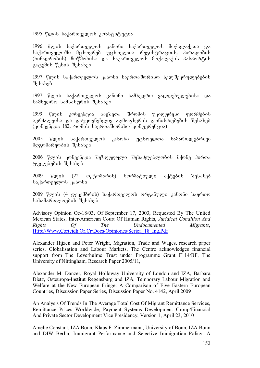1995 წლის საქართველოს კონსტიტუცია

1996 წლის საქართველოს კანონი საქართველოს მოქალაქეთა და საქართველოში მცხოვრებ უცხოელთა რეგისტრაციის, პირადობის (ბინადრობის) მოწმობისა და საქართველოს მოქალაქის პასპორტის zocandol Valob dabsbad

1997 წლის საქართველოს კანონი საერთაშორისო ხელშეკრულებების შესახებ

1997 წლის საქართველოს კანონი სამხედრო ვალდებულებისა და სამხედრო სამსახურის შესახებ

1999 წლის კონვენცია ბავშვთა შრომის უკიდურესი ფორმების აკრძალვისა და დაუყოვნებლივ აღმოფხვრის ღონისძიებების შესახებ  $\alpha$ ონვენცია 182, რომის საერთაშორისო კონფერენცია)

2005 წლის საქართველოს კანონი უცხოელთა სამართლებრივი მდგომარეობის შესახებ

2006 წლის კონვენცია შეზღუდული შესაძლებლობის მქონე პირთა უფლებების შესახებ

 $2009$  წლის (22 ოქტომბრის) ნორმატიული აქტების შესახებ საქართველოს კანონი

 $2009$  წლის (4 დეკემბრის) საქართველოს ორგანული კანონი საერთო სასამართლოების შესახებ

Advisory Opinion Oc-18/03, Of September 17, 2003, Requested By The United Mexican States, Inter-American Court Of Human Rights, *Juridical Condition And Rights Of The Undocumented Migrants*, Http://Www.Corteidh.Or.Cr/Docs/Opiniones/Seriea\_18\_Ing.Pdf

Alexander Hijzen and Peter Wright, Migration, Trade and Wages, research paper series, Globalisation and Labour Markets, The Centre acknowledges financial support from The Leverhulme Trust under Programme Grant F114/BF, The University of Nittingham, Research Paper 2005/11,

Alexander M. Danzer, Royal Holloway University of London and IZA, Barbara Dietz, Osteuropa-Institut Regensburg and IZA, Temporary Labour Migration and Welfare at the New European Fringe: A Comparison of Five Eastern European Countries, Discussion Paper Series, Discussion Paper No. 4142, April 2009

An Analysis Of Trends In The Average Total Cost Of Migrant Remittance Services, Remittance Prices Worldwide, Payment Systems Development Group/Financial And Private Sector Development Vice Presidency, Version 1, April 23, 2010

Amelie Constant, IZA Bonn, Klaus F. Zimmermann, University of Bonn, IZA Bonn and DIW Berlin, Immigrant Performance and Selective Immigration Policy: A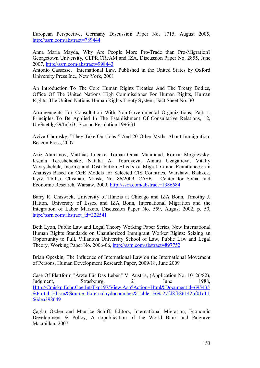European Perspective, Germany Discussion Paper No. 1715, August 2005, http://ssrn.com/abstract=789444

Anna Maria Mayda, Why Are People More Pro-Trade than Pro-Migration? Georgetown University, CEPR,CReAM and IZA, Discussion Paper No. 2855, June 2007, http://ssrn.com/abstract=998443

Antonio Cassesse, International Law, Published in the United States by Oxford University Press Inc., New York, 2001

An Introduction To The Core Human Rights Treaties And The Treaty Bodies, Office Of The United Nations High Commissioner For Human Rights, Human Rights, The United Nations Human Rights Treaty System, Fact Sheet No. 30

Arrangements For Consultation With Non-Governmental Organizations, Part 1. Principles To Be Applied In The Establishment Of Consultative Relations, 12, Un/Scetdg/29/Inf.63, Ecosoc Resolution 1996/31

Aviva Chomsky, "They Take Our Jobs!" And 20 Other Myths About Immigration, Beacon Press, 2007

Aziz Atamanov, Matthias Luecke, Toman Omar Mahmoud, Roman Mogilevsky, Ksenia Tereshchenko, Natalia A. Tourdyeva, Ainura Uzagalieva, Vitaliy Vavryshchuk, Income and Distribution Effects of Migration and Remittances: an Analisys Based on CGE Models for Selected CIS Countries, Warshaw, Bishkek, Kyiv, Tbilisi, Chisinau, Minsk, No. 86/2009, CASE – Center for Social and Economic Research, Warsaw, 2009, http://ssrn.com/abstract=1386684

Barry R. Chiswick, University of Illinois at Chicago and IZA Bonn, Timothy J. Hatton, University of Essex and IZA Bonn, International Migration and the Integration of Labor Markets, Discussion Paper No. 559, August 2002, p. 50, http://ssrn.com/abstract\_id=322541

Beth Lyon, Public Law and Legal Theory Working Paper Series, New International Human Rights Standards on Unauthorized Immigrant Worker Rights: Seizing an Opportunity to Pull, Villanova University School of Law, Public Law and Legal Theory, Working Paper No. 2006-06, http://ssrn.com/abstract=897752

Brian Opeskin, The Influence of International Law on the International Movement of Persons, Human Development Research Paper, 2009/18, June 2009

Case Of Plattform "Ärzte Für Das Leben" V. Austria, (Application No. 10126/82), Judgment, Strasbourg, 21 June 1988, Http://Cmiskp.Echr.Coe.Int/Tkp197/View.Asp?Action=Html&Documentid=695435 &Portal=Hbkm&Source=Externalbydocnumber&Table=F69a27fd8fb86142bf01c11 66dea398649

Çaglar Özden and Maurice Schiff, Editors, International Migration, Economic Development & Policy, A copublication of the World Bank and Palgrave Macmillan, 2007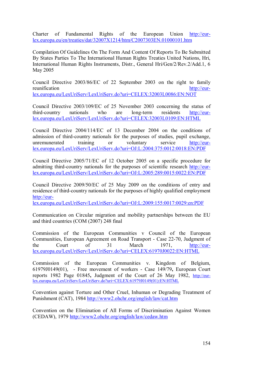Charter of Fundamental Rights of the European Union http://eurlex.europa.eu/en/treaties/dat/32007X1214/htm/C2007303EN.01000101.htm

Compilation Of Guidelines On The Form And Content Of Reports To Be Submitted By States Parties To The International Human Rights Treaties United Nations, Hri, International Human Rights Instruments, Distr., General Hri/Gen/2/Rev.2/Add.1, 6 May 2005

Council Directive 2003/86/EC of 22 September 2003 on the right to family reunification http://eurlex.europa.eu/LexUriServ/LexUriServ.do?uri=CELEX:32003L0086:EN:NOT

Council Directive 2003/109/EC of 25 November 2003 concerning the status of third-country nationals who are long-term residents http://eurlex.europa.eu/LexUriServ/LexUriServ.do?uri=CELEX:32003L0109:EN:HTML

Council Directive 2004/114/EC of 13 December 2004 on the conditions of admission of third-country nationals for the purposes of studies, pupil exchange, unremunerated training or voluntary service http://eurlex.europa.eu/LexUriServ/LexUriServ.do?uri=OJ:L:2004:375:0012:0018:EN:PDF

Council Directive 2005/71/EC of 12 October 2005 on a specific procedure for admitting third-country nationals for the purposes of scientific research http://eurlex.europa.eu/LexUriServ/LexUriServ.do?uri=OJ:L:2005:289:0015:0022:EN:PDF

Council Directive 2009/50/EC of 25 May 2009 on the conditions of entry and residence of third-country nationals for the purposes of highly qualified employment http://eur-

lex.europa.eu/LexUriServ/LexUriServ.do?uri=OJ:L:2009:155:0017:0029:en:PDF

Communication on Circular migration and mobility partnerships between the EU and third countries (COM (2007) 248 final

Commission of the European Communities v Council of the European Communities, European Agreement on Road Transport - Case 22-70, Judgment of the Court of 31 March 1971, <u>http://eur-</u> lex.europa.eu/LexUriServ/LexUriServ.do?uri=CELEX:61970J0022:EN:HTML

Commission of the European Communities v. Kingdom of Belgium, 61979J0149(01),- Free movement of workers - Case 149/79**,** European Court reports 1982 Page 01845**,** Judgment of the Court of 26 May 1982, http://eurlex.europa.eu/LexUriServ/LexUriServ.do?uri=CELEX:61979J0149(01):EN:HTML

Convention against Torture and Other Cruel, Inhuman or Degrading Treatment of Punishment (CAT), 1984 http://www2.ohchr.org/english/law/cat.htm

Convention on the Elimination of All Forms of Discrimination Against Women (CEDAW), 1979 http://www2.ohchr.org/english/law/cedaw.htm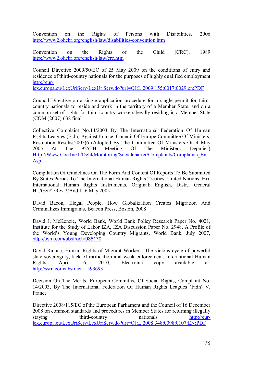Convention on the Rights of Persons with Disabilities, 2006 http://www2.ohchr.org/english/law/disabilities-convention.htm

Convention on the Rights of the Child (CRC), 1989 http://www2.ohchr.org/english/law/crc.htm

Council Directive 2009/50/EC of 25 May 2009 on the conditions of entry and residence of third-country nationals for the purposes of highly qualified employment http://eur-

lex.europa.eu/LexUriServ/LexUriServ.do?uri=OJ:L:2009:155:0017:0029:en:PDF

Council Directive on a single application procedure for a single permit for thirdcountry nationals to reside and work in the territory of a Member State, and on a common set of rights for third-country workers legally residing in a Member State (COM (2007) 638 final

Collective Complaint No.14/2003 By The International Federation Of Human Rights Leagues (Fidh) Against France, Council Of Europe Committee Of Ministers, Resolution Reschs(2005)6 (Adopted By The Committee Of Ministers On 4 May 2005 At The 925TH Meeting Of The Ministers' Deputies) Http://Www.Coe.Int/T/Dghl/Monitoring/Socialcharter/Complaints/Complaints\_En. Asp

Compilation Of Guidelines On The Form And Content Of Reports To Be Submitted By States Parties To The International Human Rights Treaties, United Nations, Hri, International Human Rights Instruments, Original: English, Distr., General Hri/Gen/2/Rev.2/Add.1, 6 May 2005

David Bacon, Illegal People, How Globalization Creates Migration And Criminalizes Immigrants, Beacon Press, Boston, 2008

David J. McKenzie, World Bank, World Bank Policy Research Paper No. 4021, Institute for the Study of Labor IZA, IZA Discussion Paper No. 2948, A Profile of the World's Young Developing Country Migrants, World Bank, July 2007, http://ssrn.com/abstract=935170

David Raluca, Human Rights of Migrant Workers: The vicious cycle of powerful state sovereignty, lack of ratification and weak enforcement, International Human Rights, April 16, 2010, Electronic copy available at: http://ssrn.com/abstract=1593693

Decision On The Merits, European Committee Of Social Rights, Complaint No. 14/2003, By The International Federation Of Human Rights Leagues (Fidh) V. France

Directive 2008/115/EC of the European Parliament and the Council of 16 December 2008 on common standards and procedures in Member States for returning illegally staying third-country nationals http://eurlex.europa.eu/LexUriServ/LexUriServ.do?uri=OJ:L:2008:348:0098:0107:EN:PDF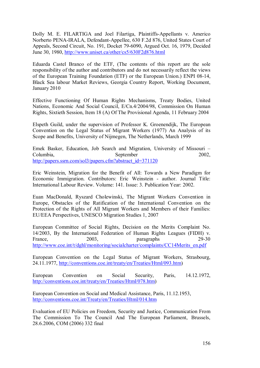Dolly M. E. FILARTIGA and Joel Filartiga, Plaintiffs-Appellants v. Americo Norberto PENA-IRALA, Defendant-Appellee, 630 F.2d 876, United States Court of Appeals, Second Circuit, No. 191, Docket 79-6090, Argued Oct. 16, 1979, Decided June 30, 1980, http://www.uniset.ca/other/cs5/630F2d876.html

Eduarda Castel Branco of the ETF, (The contents of this report are the sole responsibility of the author and contributors and do not necessarily reflect the views of the European Training Foundation (ETF) or the European Union.) ENPI 08-14, Black Sea labour Market Reviews, Georgia Country Report, Working Document, January 2010

Effective Functioning Of Human Rights Mechanisms, Treaty Bodies, United Nations, Economic And Social Council, E/Cn.4/2004/98, Commission On Human Rights, Sixtieth Session, Item 18 (A) Of The Provisional Agenda, 11 February 2004

Elspeth Guild, under the supervision of Professor K. Groenendijk, The European Convention on the Legal Status of Migrant Workers (1977) An Analysis of its Scope and Benefits, University of Nijmegen, The Netherlands, March 1999

Emek Basker, Education, Job Search and Migration, University of Missouri – Columbia, September 2002, http://papers.ssrn.com/sol3/papers.cfm?abstract\_id=371120

Eric Weinstein, Migration for the Benefit of All: Towards a New Paradigm for Economic Immigration. Contributors: Eric Weinstein - author. Journal Title: International Labour Review. Volume: 141. Issue: 3. Publication Year: 2002.

Euan MacDonald, Ryszard Cholewinski, The Migrant Workers Convention in Europe, Obstacles of the Ratification of the International Convention on the Protection of the Rights of All Migrant Workers and Members of their Families: EU/EEA Perspectives, UNESCO Migration Studies 1, 2007

European Committee of Social Rights, Decision on the Merits Complaint No. 14/2003, By the International Federation of Human Rights Leagues (FIDH) v. France, 2003, paragraphs 29-30 http://www.coe.int/t/dghl/monitoring/socialcharter/complaints/CC14Merits\_en.pdf

European Convention on the Legal Status of Migrant Workers, Strasbourg, 24.11.1977, http://conventions.coe.int/treaty/en/Treaties/Html/093.htm)

European Convention on Social Security, Paris, 14.12.1972, http://conventions.coe.int/treaty/en/Treaties/Html/078.htm)

European Convention on Social and Medical Assistance, Paris, 11.12.1953, http://conventions.coe.int/Treaty/en/Treaties/Html/014.htm

Evaluation of EU Policies on Freedom, Security and Justice, Communication From The Commission To The Council And The European Parliament, Brussels, 28.6.2006, COM (2006) 332 final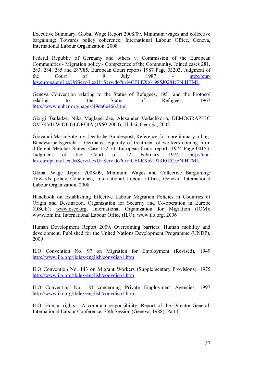Executive Summary, Global Wage Report 2008/09, Minimum wages and collective bargaining: Towards policy coherence, International Labour Office, Geneva, International Labour Organization, 2008

Federal Republic of Germany and others v. Commission of the European Communities - Migration policy - Competence of the Community. Joined cases 281, 283, 284, 285 and 287/85, European Court reports 1987 Page 03203, Judgment of the Court of 9 July 1987 - <u>http://eur-</u> lex.europa.eu/LexUriServ/LexUriServ.do?uri=CELEX:61985J0281:EN:HTML

Geneva Convention relating to the Status of Refugees, 1951 and the Protocol relating to the Status of Refugees, 1967 http://www.unhcr.org/pages/49da0e466.html

Giorgi Tsuladze, Nika Maglaperidze, Alexander Vadachkoria, DEMOGRAPHIC OVERVIEW OF GEORGIA (1960-2000), Tbilisi, Georgia, 2002

Giovanni Maria Sotgiu v. Deutsche Bundespost, Reference for a preliminary ruling: Bundesarbeitsgericht – Germany, Equality of treatment of workers coming from different Member States, Case 152-73, European Court reports 1974 Page 00153, Judgment of the Court of 12 February 1974, http://eurlex.europa.eu/LexUriServ/LexUriServ.do?uri=CELEX:61973J0152:EN:HTML

Global Wage Report 2008/09, Minimum Wages and Collective Bargaining: Towards policy Coherence, International Labour Office, Geneva, International Labour Organization, 2008

Handbook on Establishing Effective Labour Migration Policies in Countries of Origin and Destination, Organization for Security and Co-operation in Europe (OSCE); www.osce.org, International Organization for Migration (IOM); www.iom.int, International Labour Office (ILO); www.ilo.org, 2006

Human Development Report 2009, Overcoming barriers: Human mobility and development, Published for the United Nations Development Programme (UNDP), 2009

ILO Convention No. 97 on Migration for Employment (Revised), 1949 http://www.ilo.org/ilolex/english/convdisp1.htm

ILO Convention No. 143 on Migrant Workers (Supplementary Provisions), 1975 http://www.ilo.org/ilolex/english/convdisp1.htm

ILO Convention No. 181 concerning Private Employment Agencies, 1997 http://www.ilo.org/ilolex/english/convdisp1.htm

ILO: Human rights - A common responsibility, Report of the Director-General, International Labour Conference, 75th Session (Geneva, 1988), Part I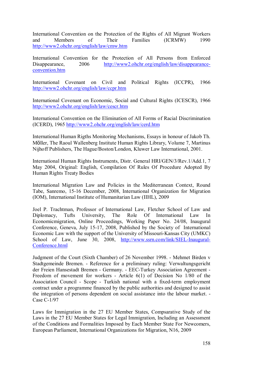International Convention on the Protection of the Rights of All Migrant Workers and Members of Their Families (ICRMW) 1990 http://www2.ohchr.org/english/law/cmw.htm

International Convention for the Protection of All Persons from Enforced Disappearance, 2006 http://www2.ohchr.org/english/law/disappearanceconvention.htm

International Covenant on Civil and Political Rights (ICCPR), 1966 http://www2.ohchr.org/english/law/ccpr.htm

International Covenant on Economic, Social and Cultural Rights (ICESCR), 1966 http://www2.ohchr.org/english/law/cescr.htm

International Convention on the Elimination of All Forms of Racial Discrimination (ICERD), 1965 http://www2.ohchr.org/english/law/cerd.htm

International Human Rigths Monitoring Mechanisms, Essays in honour of Jakob Th. Möller, The Raoul Wallenberg Institute Human Rights Library, Volume 7, Martinus Nijhoff Publishers, The Hague/Boston/London, Kluwer Law International, 2001.

International Human Rights Instruments, Distr. General HRI/GEN/3/Rev.1/Add.1, 7 May 2004, Original: English, Compilation Of Rules Of Procedure Adopted By Human Rights Treaty Bodies

International Migration Law and Policies in the Mediterranean Context, Round Tabe, Sanremo, 15-16 December, 2008, International Organization for Migration (IOM), International Institute of Humanitarian Law (IIHL), 2009

Joel P. Trachtman, Professor of International Law, Fletcher School of Law and Diplomacy, Tufts University, The Role Of International Law In Economicmigration, Online Proceedings, Working Paper No. 24/08, Inaugural Conference, Geneva, July 15-17, 2008, Published by the Society of International Economic Law with the support of the University of Missouri-Kansas City (UMKC) School of Law, June 30, 2008, http://www.ssrn.com/link/SIEL-Inaugural-Conference.html

Judgment of the Court (Sixth Chamber) of 26 November 1998. - Mehmet Birden v Stadtgemeinde Bremen. - Reference for a preliminary ruling: Verwaltungsgericht der Freien Hansestadt Bremen - Germany. - EEC-Turkey Association Agreement - Freedom of movement for workers - Article 6(1) of Decision No 1/80 of the Association Council - Scope - Turkish national with a fixed-term employment contract under a programme financed by the public authorities and designed to assist the integration of persons dependent on social assistance into the labour market. - Case C-1/97

Laws for Immigration in the 27 EU Member States, Compsarative Study of the Laws in the 27 EU Member States for Legal Immigration, Including an Assessment of the Conditions and Formalities Imposed by Each Member State For Newcomers, European Parliament, International Organizations for Migration, N16, 2009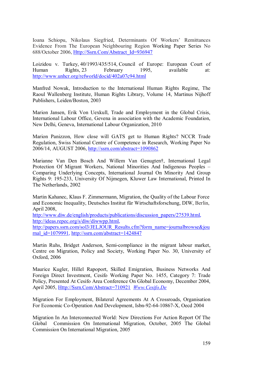Ioana Schiopu, Nikolaus Siegfried, Determinants Of Workers' Remittances Evidence From The European Neighbouring Region Working Paper Series No 688/October 2006, Http://Ssrn.Com/Abstract\_Id=936947

Loizidou v. Turkey, 40/1993/435/514, Council of Europe: European Court of Human Rights, 23 February 1995, available at: http://www.unhcr.org/refworld/docid/402a07c94.html

Manfred Nowak, Introduction to the International Human Rights Regime, The Raoul Wallenberg Institute, Human Rights Library, Volume 14, Martinus Nijhoff Publishers, Leiden/Boston, 2003

Marion Jansen, Erik Von Uexkull, Trade and Employment in the Global Crisis, International Labour Office, Gevena in association with the Academic Foundation, New Delhi, Geneva, International Labour Organization, 2010

Marion Panizzon, How close will GATS get to Human Rights? NCCR Trade Regulation, Swiss National Centre of Competence in Research, Working Paper No 2006/14, AUGUST 2006, http://ssrn.com/abstract=1090862

Marianne Van Den Bosch And Willem Van Genugten†, International Legal Protection Of Migrant Workers, National Minorities And Indigenous Peoples – Comparing Underlying Concepts, International Journal On Minority And Group Rights 9: 195-233, University Of Nijmegen, Kluwer Law International, Printed In The Netherlands, 2002

Martin Kahanec, Klaus F. Zimmermann, Migration, the Quality of the Labour Force and Economic Inequality, Deutsches Institut für Wirtschaftsforschung, DIW, Berlin, April 2008,

http://www.diw.de/english/products/publications/discussion\_papers/27539.html, http://ideas.repec.org/s/diw/diwwpp.html,

http://papers.ssrn.com/sol3/JELJOUR\_Results.cfm?form\_name=journalbrowse&jou rnal\_id=1079991, http://ssrn.com/abstract=1424847

Martin Ruhs, Bridget Anderson, Semi-compliance in the migrant labour market, Centre on Migration, Policy and Society, Working Paper No. 30, University of Oxford, 2006

Maurice Kugler, Hillel Rapoport, Skilled Emigration, Business Networks And Foreign Direct Investment, Cesifo Working Paper No. 1455, Category 7: Trade Policy, Presented At Cesifo Area Conference On Global Economy, December 2004, April 2005, Http://Ssrn.Com/Abstract=710921 *Www.Cesifo.De*

Migration For Employment, Bilateral Agreements At A Crossroads, Organisation For Economic Co-Operation And Development, Isbn-92-64-10867-X, Oecd 2004

Migration In An Interconnected World: New Directions For Action Report Of The Global Commission On International Migration, October, 2005 The Global Commission On International Migration, 2005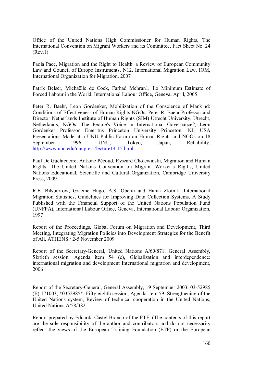Office of the United Nations High Commissioner for Human Rights, The International Convention on Migrant Workers and its Committee, Fact Sheet No. 24 (Rev.1)

Paola Pace, Migration and the Right to Health: a Review of European Community Law and Council of Europe Instruments, N12, International Migration Law, IOM, International Organization for Migration, 2007

Patrik Belser, Michaëlle de Cock, Farhad Mehran1, Ilo Minimum Estimate of Forced Labour in the World, International Labour Office, Geneva, April, 2005

Peter R. Baehr, Leon Gordenker, Mobilization of the Conscience of Mankind: Conditions of Effectiveness of Human Rights NGOs, Peter R. Baehr Professor and Director Netherlands Institute of Human Rights (SIM) Utrecht University, Utrecht, Netherlands, NGOs: The People's Voice in International Governance?, Leon Gordenker Professor Emeritus Princeton University Princeton, NJ, USA Presentations Made at a UNU Public Forum on Human Rights and NGOs on 18 September 1996, UNU, Tokyo, Japan, Reliability, http://www.unu.edu/unupress/lecture14-15.html

Paul De Guchteneire, Antione Pécoud, Ryszard Cholewinski, Migration and Human Rights, The United Nations Convention on Migrant Worker's Rigths, United Nations Educational, Scientific and Cultural Organization, Cambridge University Press, 2009

R.E. Bilsborrow, Graeme Hugo, A.S. Oberai and Hania Zlotnik, International Migration Statistics, Guidelines for Improving Data Collection Systems, A Study Published with the Financial Support of the United Nations Population Fund (UNFPA), International Labour Office, Geneva, International Labour Organization, 1997

Report of the Proceedings, Global Forum on Migration and Development, Third Meeting, Integrating Migration Policies into Development Strategies for the Benefit of All, ATHENS / 2-5 November 2009

Report of the Secretary-General, United Nations A/60/871, General Assembly, Sixtieth session, Agenda item 54 (c), Globalization and interdependence: international migration and development International migration and development, 2006

Report of the Secretary-General, General Assembly, 19 September 2003, 03-52985 (E) 171003, \*0352985\*, Fifty-eighth session, Agenda item 59, Strengthening of the United Nations system, Review of technical cooperation in the United Nations, United Nations A/58/382

Report prepared by Eduarda Castel Branco of the ETF, (The contents of this report are the sole responsibility of the author and contributors and do not necessarily reflect the views of the European Training Foundation (ETF) or the European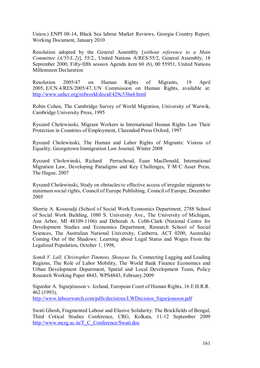Union.) ENPI 08-14, Black Sea labour Market Reviews, Georgia Country Report, Working Document, January 2010

Resolution adopted by the General Assembly [*without reference to a Main Committee (A/55/L.2)*], 55/2., United Nations A/RES/55/2, General Assembly, 18 September 2000, Fifty-fifth session Agenda item 60 *(b*), 00 55951, United Nations Millennium Declaration

Resolution 2005/47 on Human Rights of Migrants, 19 April 2005, E/CN.4/RES/2005/47, UN Commission on Human Rights, available at: http://www.unhcr.org/refworld/docid/429c53ba4.html

Robin Cohen, The Cambridge Survey of World Migration, University of Warwik, Cambridge University Press, 1995

Ryszard Chelewinski, Migrant Workers in International Human Rights Law Their Protection in Countries of Employment, Clarendod Press Oxford, 1997

Ryszard Cholewinski, The Human and Labor Rights of Migrants: Visions of Equality, Georgetown Immigration Law Journal, Winter 2008

Ryszard Cholewinski, Richard Perruchoud, Euan MacDonald, International Migration Law, Developing Paradigms and Key Challenges, T·M·C·Asser Press, The Hague, 2007

Ryszard Cholewinski, Study on obstacles to effective access of irregular migrants to minimum social rights, Council of Europe Publishing, Council of Europe, December 2005

Sherrie A. Kossoudji (School of Social Work/Economics Department, 2788 School of Social Work Building, 1080 S. University Ave., The University of Michigan, Ann Arbor, MI 48109-1106) and Deborah A. Cobb-Clark (National Centre for Development Studies and Economics Department, Research School of Social Sciences, The Australian National University, Canberra, ACT 0200, Australia) Coming Out of the Shadows: Learning about Legal Status and Wages From the Legalized Population, October 1, 1998,

*Somik V. Lall, Christopher Timmins, Shouyue Yu,* Connecting Lagging and Leading Regions, The Role of Labor Mobility, The World Bank Finance Economics and Urban Development Department, Spatial and Local Development Team, Policy Research Working Paper 4843, WPS4843, February 2009

Sigurdur A. Sigurjónsson v. Iceland, European Court of Human Rights, 16 E.H.R.R. 462 (1993), http://www.labourwatch.com/pdfs/decisions/LWDecision\_Sigurjonsson.pdf

Swati Ghosh, Fragmented Labour and Elusive Solidarity: The Brickfields of Bengal, Third Critical Studies Conference, CRG, Kolkata, 11-12 September 2009 http://www.mcrg.ac.in/T\_C\_Conference/Swati.doc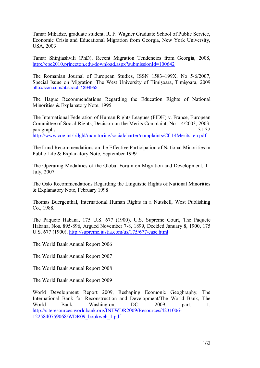Tamar Mikadze, graduate student, R. F. Wagner Graduate School of Public Service, Economic Crisis and Educational Migration from Georgia, New York University, USA, 2003

Tamar Shinjiashvili (PhD), Recent Migration Tendencies from Georgia, 2008, http://epc2010.princeton.edu/download.aspx?submissionId=100642

The Romanian Journal of European Studies, ISSN 1583–199X, No 5-6/2007, Special Isuue on Migration, The West University of Timişoara, Timişoara, 2009 http://ssrn.com/abstract=1394952

The Hague Recommendations Regarding the Education Rights of National Minorities & Explanatory Note, 1995

The International Federation of Human Rights Leagues (FIDH) v. France, European Committee of Social Rights, Decision on the Merits Complaint, No. 14/2003, 2003, paragraphs 31-32 http://www.coe.int/t/dghl/monitoring/socialcharter/complaints/CC14Merits\_en.pdf

The Lund Recommendations on the Effective Participation of National Minorities in Public Life & Explanatory Note, September 1999

The Operating Modalities of the Global Forum on Migration and Development, 11 July, 2007

The Oslo Recommendations Regarding the Linguistic Rights of National Minorities & Explanatory Note, February 1998

Thomas Buergenthal, International Human Rights in a Nutshell, West Publishing Co., 1988.

The Paquete Habana, 175 U.S. 677 (1900), U.S. Supreme Court, The Paquete Habana, Nos. 895-896, Argued November 7-8, 1899, Decided January 8, 1900, 175 U.S. 677 (1900), http://supreme.justia.com/us/175/677/case.html

The World Bank Annual Report 2006

The World Bank Annual Report 2007

The World Bank Annual Report 2008

The World Bank Annual Report 2009

World Development Report 2009, Reshaping Ecomonic Geoghraphy, The International Bank for Reconstruction and Development/The World Bank, The World Bank, Washington, DC, 2009, part. 1, http://siteresources.worldbank.org/INTWDR2009/Resources/4231006- 1225840759068/WDR09\_bookweb\_1.pdf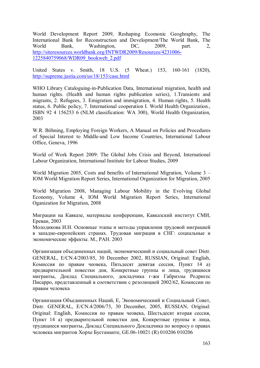World Development Report 2009, Reshaping Ecomonic Geoghraphy, The International Bank for Reconstruction and Development/The World Bank, The World Bank, Washington, DC, 2009, part. 2, http://siteresources.worldbank.org/INTWDR2009/Resources/4231006- 1225840759068/WDR09\_bookweb\_2.pdf

United States v. Smith, 18 U.S. (5 Wheat.) 153, 160-161 (1820), http://supreme.justia.com/us/18/153/case.html

WHO Library Cataloguing-in-Publication Data, International migration, health and human rights. (Health and human rights publication series), 1.Transients and migrants, 2. Refugees, 3. Emigration and immigration, 4. Human rights, 5. Health status, 6. Public policy, 7. International cooperation I. World Health Organization., ISBN 92 4 156253 6 (NLM classification: WA 300), World Health Organization, 2003

W.R. Böhning, Employing Foreign Workers, A Manual on Policies and Procedures of Special Interest to Middle-and Low Income Countries, International Labour Office, Geneva, 1996

World of Work Report 2009: The Global Jobs Crisis and Beyond, International Labour Organization, International Institute for Labour Studies, 2009

World Migration 2005, Costs and benefits of International Migration, Volume 3 – IOM World Migration Report Series, International Organization for Migration, 2005

World Migration 2008, Managing Labour Mobility in the Evolving Global Economy, Volume 4, IOM World Migration Report Series, International Oganization for Migration, 2008

Миграции на Кавказе, материалы конференции, Кавказский институт СМИ, Ереван, 2003

Молодикова И.Н. Основные этапы и методы управления трудовой миграцией в западно-европейских странах. Трудовая миграция в СНГ: социальные и экономические эффекты. М., РАН. 2003

Организация объединенных наций, экономическиий и социальный совет Distr. GENERAL, E/CN.4/2003/85, 30 December 2002, RUSSIAN, Original: English, Комиссия по правам чеовека, Пятьдесят девятая сессия, Пункт 14 а) предварительной повестки дня, Конкретные группы и лица, трудящиеся мигранты, Доклад Специального, докладчика г-жи Габриэлы Родригес Писарро, представленный в соответствии с резолюцией 2002/62, Комиссии по правам человека

Организация Объединенных Наций, E, Экономическиий и Социальный Совет, Distr. GENERAL, E/CN.4/2006/73, 30 December, 2005, RUSSIAN, Original: Original: English, Комиссия по правам чеовека, Шестьдесят вторая сессия, Пункт 14 а) предварительной повестки дня, Конкретные группы и лица, трудящиеся мигранты, Доклад Специального Докладчика по вопросу о правах человека мигрантов Хорхе Бустаманте, GE.06-10021 (R) 010206 010206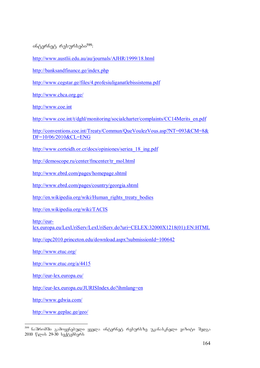$106$ ტერნეტ რესურსები $599$ :

http://www.austlii.edu.au/au/journals/AJHR/1999/18.html

http://banksandfinance.ge/index.php

http://www.cegstar.ge/files/4.profesiuliganatlebissistema.pdf

http://www.chca.org.ge/

http://www.coe.int

http://www.coe.int/t/dghl/monitoring/socialcharter/complaints/CC14Merits\_en.pdf

http://conventions.coe.int/Treaty/Commun/QueVoulezVous.asp?NT=093&CM=8& DF=10/06/2010&CL=ENG

http://www.corteidh.or.cr/docs/opiniones/seriea\_18\_ing.pdf

http://demoscope.ru/center/fmcenter/tr\_mol.html

http://www.ebrd.com/pages/homepage.shtml

http://www.ebrd.com/pages/country/georgia.shtml

http://en.wikipedia.org/wiki/Human\_rights\_treaty\_bodies

http://en.wikipedia.org/wiki/TACIS

http://eur-

lex.europa.eu/LexUriServ/LexUriServ.do?uri=CELEX:32000X1218(01):EN:HTML

http://epc2010.princeton.edu/download.aspx?submissionId=100642

http://www.etuc.org/

http://www.etuc.org/a/4415

http://eur-lex.europa.eu/

http://eur-lex.europa.eu/JURISIndex.do?ihmlang=en

http://www.gdwia.com/

http://www.geplac.ge/geo/

-

<sup>&</sup>lt;sup>599</sup> ნაშრომში გამოყენებული ყველა ინტერნეტ რესურსზე უკანასკნელი ვიზიტი შედგა  $2010$   $\sqrt{29-30}$   $\frac{1}{20}$  $\sqrt{30}$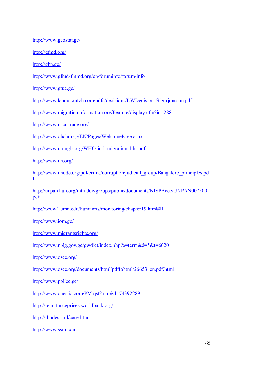http://www.geostat.ge/

http://gfmd.org/

http://ghn.ge/

http://www.gfmd-fmmd.org/en/foruminfo/forum-info

http://www.gtuc.ge/

http://www.labourwatch.com/pdfs/decisions/LWDecision\_Sigurjonsson.pdf

http://www.migrationinformation.org/Feature/display.cfm?id=288

http://www.nccr-trade.org/

http://www.ohchr.org/EN/Pages/WelcomePage.aspx

http://www.un-ngls.org/WHO-intl\_migration\_hhr.pdf

http://www.un.org/

http://www.unodc.org/pdf/crime/corruption/judicial\_group/Bangalore\_principles.pd f

http://unpan1.un.org/intradoc/groups/public/documents/NISPAcee/UNPAN007500. pdf

http://www1.umn.edu/humanrts/monitoring/chapter19.html#H

http://www.iom.ge/

http://www.migrantsrights.org/

http://www.nplg.gov.ge/gwdict/index.php?a=term&d=5&t=6620

http://www.osce.org/

http://www.osce.org/documents/html/pdftohtml/26653\_en.pdf.html

http://www.police.ge/

http://www.questia.com/PM.qst?a=o&d=74392289

http://remittanceprices.worldbank.org/

http://rhodesia.nl/case.htm

http://www.ssrn.com